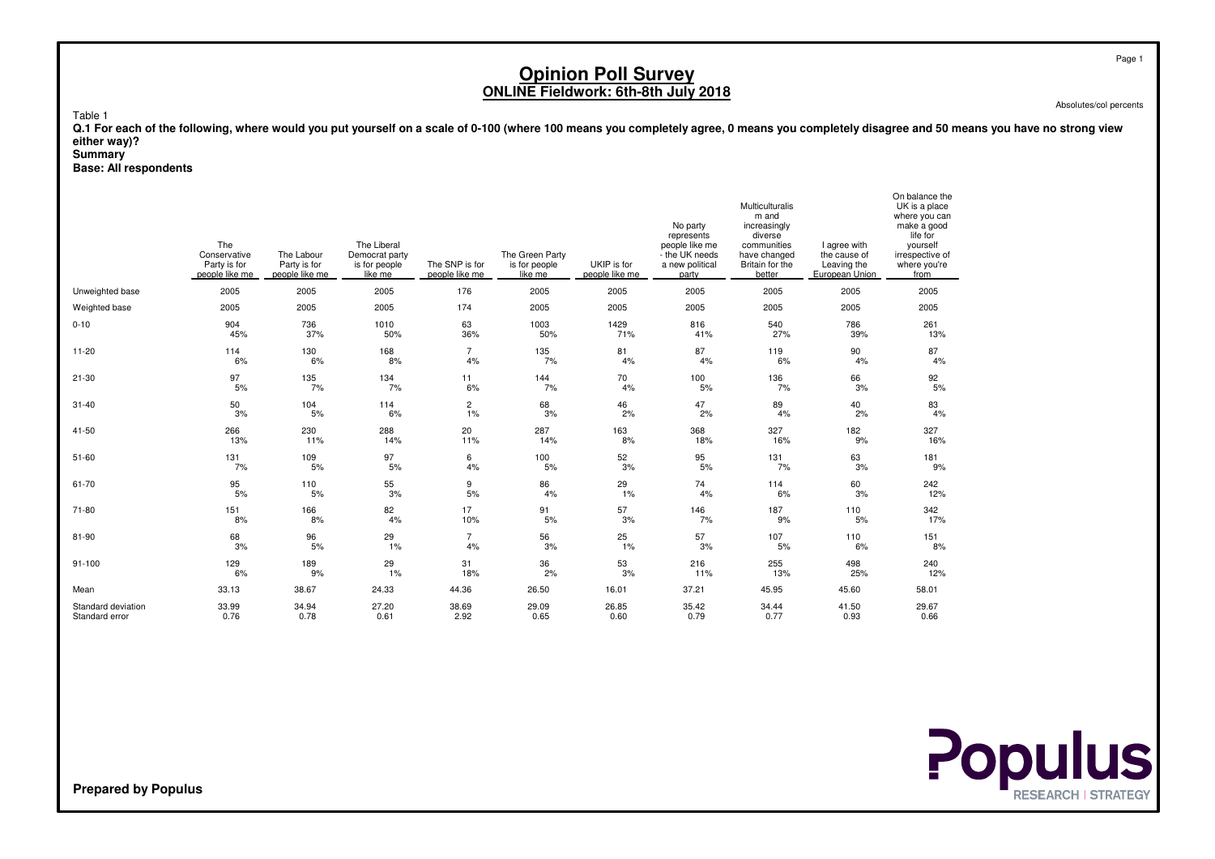Absolutes/col percents

On balance the

Table 1

 **Q.1 For each of the following, where would you put yourself on a scale of 0-100 (where 100 means you completely agree, 0 means you completely disagree and 50 means you have no strong vieweither way)?**

#### **Summary**

**Base: All respondents**

|                    | The<br>Conservative<br>Party is for<br>people like me | The Labour<br>Party is for<br>people like me | The Liberal<br>Democrat party<br>is for people<br>like me | The SNP is for<br>people like me | The Green Party<br>is for people<br>like me | UKIP is for<br>people like me | No party<br>represents<br>people like me<br>- the UK needs<br>a new political<br>party | Multiculturalis<br>m and<br>increasingly<br>diverse<br>communities<br>have changed<br>Britain for the<br>better | I agree with<br>the cause of<br>Leaving the<br>European Union | On palance the<br>UK is a place<br>where you can<br>make a good<br>life for<br>vourself<br>irrespective of<br>where you're<br>from |
|--------------------|-------------------------------------------------------|----------------------------------------------|-----------------------------------------------------------|----------------------------------|---------------------------------------------|-------------------------------|----------------------------------------------------------------------------------------|-----------------------------------------------------------------------------------------------------------------|---------------------------------------------------------------|------------------------------------------------------------------------------------------------------------------------------------|
| Unweighted base    | 2005                                                  | 2005                                         | 2005                                                      | 176                              | 2005                                        | 2005                          | 2005                                                                                   | 2005                                                                                                            | 2005                                                          | 2005                                                                                                                               |
| Weighted base      | 2005                                                  | 2005                                         | 2005                                                      | 174                              | 2005                                        | 2005                          | 2005                                                                                   | 2005                                                                                                            | 2005                                                          | 2005                                                                                                                               |
| $0 - 10$           | 904                                                   | 736                                          | 1010                                                      | 63                               | 1003                                        | 1429                          | 816                                                                                    | 540                                                                                                             | 786                                                           | 261                                                                                                                                |
|                    | 45%                                                   | 37%                                          | 50%                                                       | 36%                              | 50%                                         | 71%                           | 41%                                                                                    | 27%                                                                                                             | 39%                                                           | 13%                                                                                                                                |
| $11 - 20$          | 114                                                   | 130                                          | 168                                                       | $\overline{7}$                   | 135                                         | 81                            | 87                                                                                     | 119                                                                                                             | 90                                                            | 87                                                                                                                                 |
|                    | 6%                                                    | 6%                                           | 8%                                                        | 4%                               | 7%                                          | 4%                            | 4%                                                                                     | 6%                                                                                                              | 4%                                                            | 4%                                                                                                                                 |
| $21 - 30$          | 97                                                    | 135                                          | 134                                                       | 11                               | 144                                         | 70                            | 100                                                                                    | 136                                                                                                             | 66                                                            | 92                                                                                                                                 |
|                    | 5%                                                    | 7%                                           | 7%                                                        | 6%                               | 7%                                          | 4%                            | 5%                                                                                     | 7%                                                                                                              | 3%                                                            | 5%                                                                                                                                 |
| $31 - 40$          | 50                                                    | 104                                          | 114                                                       | 2                                | 68                                          | 46                            | 47                                                                                     | 89                                                                                                              | 40                                                            | 83                                                                                                                                 |
|                    | 3%                                                    | 5%                                           | 6%                                                        | 1%                               | 3%                                          | 2%                            | 2%                                                                                     | 4%                                                                                                              | 2%                                                            | 4%                                                                                                                                 |
| $41 - 50$          | 266                                                   | 230                                          | 288                                                       | 20                               | 287                                         | 163                           | 368                                                                                    | 327                                                                                                             | 182                                                           | 327                                                                                                                                |
|                    | 13%                                                   | 11%                                          | 14%                                                       | 11%                              | 14%                                         | 8%                            | 18%                                                                                    | 16%                                                                                                             | 9%                                                            | 16%                                                                                                                                |
| $51 - 60$          | 131                                                   | 109                                          | 97                                                        | 6                                | 100                                         | 52                            | 95                                                                                     | 131                                                                                                             | 63                                                            | 181                                                                                                                                |
|                    | 7%                                                    | 5%                                           | 5%                                                        | 4%                               | 5%                                          | 3%                            | 5%                                                                                     | 7%                                                                                                              | 3%                                                            | 9%                                                                                                                                 |
| 61-70              | 95                                                    | 110                                          | 55                                                        | 9                                | 86                                          | 29                            | 74                                                                                     | 114                                                                                                             | 60                                                            | 242                                                                                                                                |
|                    | 5%                                                    | 5%                                           | 3%                                                        | 5%                               | 4%                                          | 1%                            | 4%                                                                                     | 6%                                                                                                              | 3%                                                            | 12%                                                                                                                                |
| 71-80              | 151                                                   | 166                                          | 82                                                        | 17                               | 91                                          | 57                            | 146                                                                                    | 187                                                                                                             | 110                                                           | 342                                                                                                                                |
|                    | 8%                                                    | 8%                                           | 4%                                                        | 10%                              | 5%                                          | 3%                            | 7%                                                                                     | 9%                                                                                                              | 5%                                                            | 17%                                                                                                                                |
| 81-90              | 68                                                    | 96                                           | 29                                                        | $\overline{7}$                   | 56                                          | 25                            | 57                                                                                     | 107                                                                                                             | 110                                                           | 151                                                                                                                                |
|                    | 3%                                                    | 5%                                           | 1%                                                        | 4%                               | 3%                                          | 1%                            | 3%                                                                                     | 5%                                                                                                              | 6%                                                            | 8%                                                                                                                                 |
| $91 - 100$         | 129                                                   | 189                                          | 29                                                        | 31                               | 36                                          | 53                            | 216                                                                                    | 255                                                                                                             | 498                                                           | 240                                                                                                                                |
|                    | 6%                                                    | 9%                                           | 1%                                                        | 18%                              | 2%                                          | 3%                            | 11%                                                                                    | 13%                                                                                                             | 25%                                                           | 12%                                                                                                                                |
| Mean               | 33.13                                                 | 38.67                                        | 24.33                                                     | 44.36                            | 26.50                                       | 16.01                         | 37.21                                                                                  | 45.95                                                                                                           | 45.60                                                         | 58.01                                                                                                                              |
| Standard deviation | 33.99                                                 | 34.94                                        | 27.20                                                     | 38.69                            | 29.09                                       | 26.85                         | 35.42                                                                                  | 34.44                                                                                                           | 41.50                                                         | 29.67                                                                                                                              |
| Standard error     | 0.76                                                  | 0.78                                         | 0.61                                                      | 2.92                             | 0.65                                        | 0.60                          | 0.79                                                                                   | 0.77                                                                                                            | 0.93                                                          | 0.66                                                                                                                               |

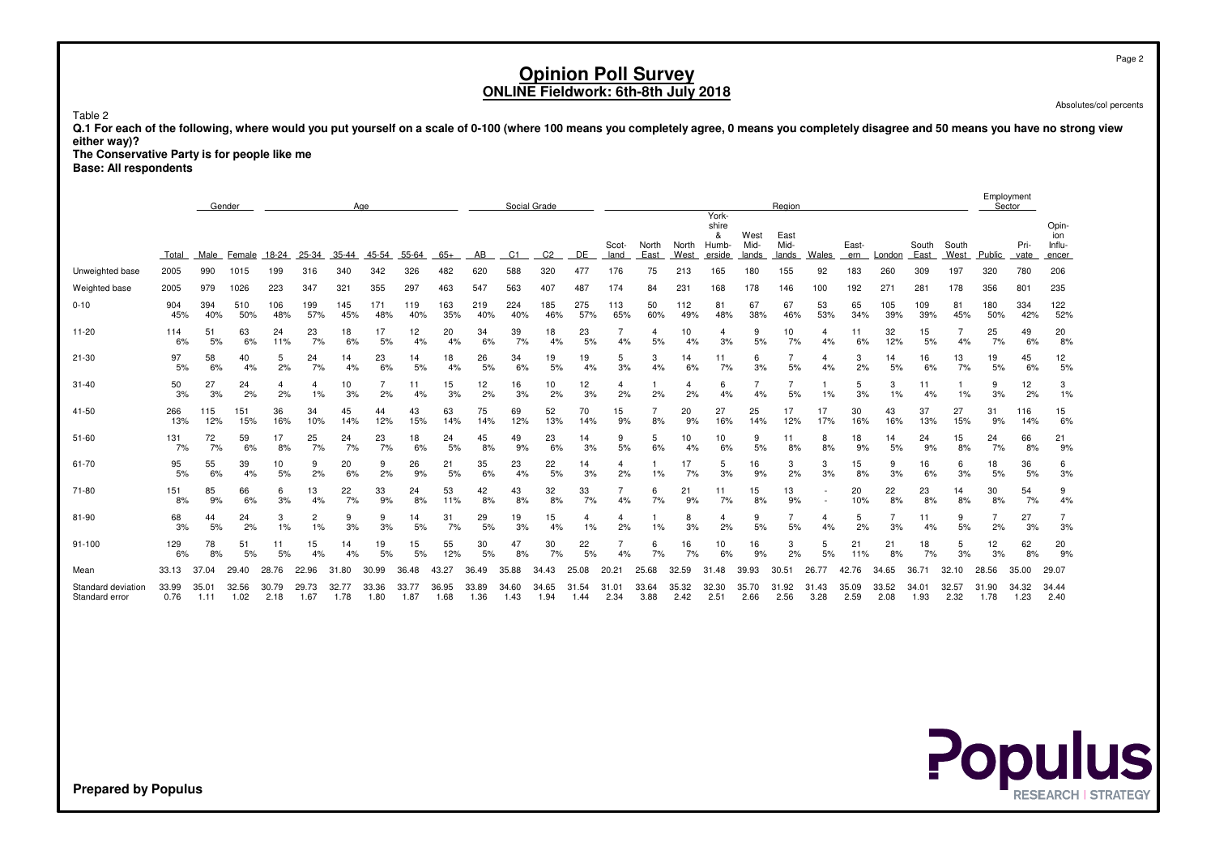Absolutes/col percents

Table 2

 **Q.1 For each of the following, where would you put yourself on a scale of 0-100 (where 100 means you completely agree, 0 means you completely disagree and 50 means you have no strong vieweither way)?**

 **The Conservative Party is for people like meBase: All respondents**

|                                      |               | Gender<br>Age |               |               |                      |            |               |               |               |               |                | Social Grade  |                      |                        |               |               |                                       |                       | Region                |               |               |                      |                |                      |               | Employment<br>Sector |                                 |
|--------------------------------------|---------------|---------------|---------------|---------------|----------------------|------------|---------------|---------------|---------------|---------------|----------------|---------------|----------------------|------------------------|---------------|---------------|---------------------------------------|-----------------------|-----------------------|---------------|---------------|----------------------|----------------|----------------------|---------------|----------------------|---------------------------------|
|                                      | Total         | Male          | Female        | 18-24         | 25-34                | $35 - 44$  | 45-54         | 55-64         | $65+$         | AB            | C <sub>1</sub> | C2            | DE                   | Scot-<br>land          | North<br>East | North<br>West | York-<br>shire<br>&<br>Humb<br>erside | West<br>Mid-<br>lands | East<br>Mid-<br>lands | Wales         | East-<br>ern  | London               | South<br>East  | South<br>West        | Public        | Pri-<br>vate         | Opin-<br>ion<br>Influ-<br>encer |
| Unweighted base                      | 2005          | 990           | 1015          | 199           | 316                  | 340        | 342           | 326           | 482           | 620           | 588            | 320           | 477                  | 176                    | 75            | 213           | 165                                   | 180                   | 155                   | 92            | 183           | 260                  | 309            | 197                  | 320           | 780                  | 206                             |
| Weighted base                        | 2005          | 979           | 1026          | 223           | 347                  | 321        | 355           | 297           | 463           | 547           | 563            | 407           | 487                  | 174                    | 84            | 231           | 168                                   | 178                   | 146                   | 100           | 192           | 271                  | 281            | 178                  | 356           | 801                  | 235                             |
| $0 - 10$                             | 904<br>45%    | 394<br>40%    | 510<br>50%    | 106<br>48%    | 199<br>57%           | 145<br>45% | 171<br>48%    | 119<br>40%    | 163<br>35%    | 219<br>40%    | 224<br>40%     | 185<br>46%    | 275<br>57%           | 113<br>65%             | 50<br>60%     | 112<br>49%    | 81<br>48%                             | 67<br>38%             | 67<br>46%             | 53<br>53%     | 65<br>34%     | 105<br>39%           | 109<br>39%     | 81<br>45%            | 180<br>50%    | 334<br>42%           | 122<br>52%                      |
| $11 - 20$                            | 114<br>6%     | 51<br>5%      | 63<br>6%      | 24<br>11%     | 23<br>7%             | 18<br>6%   | 17<br>5%      | 12<br>4%      | 20<br>4%      | 34<br>6%      | 39<br>7%       | 18<br>4%      | 23<br>5%             | 4%                     | 4<br>5%       | 10<br>4%      | 3%                                    | 9<br>5%               | 10<br>7%              | 4<br>4%       | 11<br>6%      | 32<br>12%            | 15<br>5%       | $\overline{7}$<br>4% | 25<br>7%      | 49<br>6%             | 20<br>8%                        |
| $21 - 30$                            | 97<br>5%      | 58<br>6%      | 40<br>4%      | 5<br>2%       | 24<br>7%             | 14<br>4%   | 23<br>6%      | 14<br>5%      | 18<br>4%      | 26<br>5%      | 34<br>6%       | 19<br>5%      | 19<br>4%             | 5<br>3%                | 3<br>4%       | 14<br>6%      | 11<br>7%                              | 6<br>3%               | 5%                    | 4<br>4%       | 3<br>2%       | 14<br>5%             | 16<br>6%       | 13<br>7%             | 19<br>5%      | 45<br>6%             | 12<br>5%                        |
| $31 - 40$                            | 50<br>3%      | 27<br>3%      | 24<br>2%      | 4<br>2%       | 4<br>1%              | 10<br>3%   | 7<br>2%       | 11<br>4%      | 15<br>3%      | 12<br>2%      | 16<br>3%       | 10<br>2%      | 12<br>3%             | 4<br>2%                | 2%            | 2%            | 6<br>4%                               | 4%                    | 5%                    | 1%            | 5<br>3%       | 3<br>1%              | 11<br>4%       | 1%                   | 9<br>3%       | 12<br>2%             | 3<br>1%                         |
| 41-50                                | 266<br>13%    | 115<br>12%    | 151<br>15%    | 36<br>16%     | 34<br>10%            | 45<br>14%  | 44<br>12%     | 43<br>15%     | 63<br>14%     | 75<br>14%     | 69<br>12%      | 52<br>13%     | 70<br>14%            | 15<br>9%               | 8%            | 20<br>9%      | 27<br>16%                             | 25<br>14%             | 17<br>12%             | 17<br>17%     | 30<br>16%     | 43<br>16%            | 37<br>13%      | 27<br>15%            | 31<br>9%      | 116<br>14%           | 15<br>6%                        |
| $51 - 60$                            | 131<br>7%     | 72<br>7%      | 59<br>6%      | 17<br>8%      | 25<br>7%             | 24<br>7%   | 23<br>7%      | 18<br>6%      | 24<br>5%      | 45<br>8%      | 49<br>9%       | 23<br>6%      | 14<br>3%             | 9<br>5%                | 5<br>6%       | 10<br>4%      | 10<br>6%                              | 9<br>5%               | 11<br>8%              | 8<br>8%       | 18<br>9%      | 14<br>5%             | 24<br>9%       | 15<br>8%             | 24<br>7%      | 66<br>8%             | 21<br>9%                        |
| 61-70                                | 95<br>5%      | 55<br>6%      | 39<br>4%      | 10<br>5%      | 9<br>2%              | 20<br>6%   | 9<br>2%       | 26<br>9%      | 21<br>5%      | 35<br>6%      | 23<br>4%       | 22<br>5%      | 14<br>3%             | 4<br>2%                | 1%            | 17<br>7%      | 5<br>3%                               | 16<br>9%              | 3<br>2%               | 3<br>3%       | 15<br>8%      | 9<br>3%              | 16<br>6%       | 6<br>3%              | 18<br>5%      | 36<br>5%             | 6<br>3%                         |
| 71-80                                | 151<br>8%     | 85<br>9%      | 66<br>6%      | 6<br>3%       | 13<br>4%             | 22<br>7%   | 33<br>9%      | 24<br>8%      | 53<br>11%     | 42<br>8%      | 43<br>8%       | 32<br>8%      | 33<br>7%             | 4%                     | 6<br>7%       | 21<br>9%      | 11<br>7%                              | 15<br>8%              | 13<br>9%              |               | 20<br>10%     | 22<br>8%             | 23<br>8%       | 14<br>8%             | 30<br>8%      | 54<br>7%             | 9<br>4%                         |
| 81-90                                | 68<br>3%      | 44<br>5%      | 24<br>2%      | 3<br>1%       | $\overline{c}$<br>1% | 9<br>3%    | 9<br>3%       | 14<br>5%      | 31<br>7%      | 29<br>5%      | 19<br>3%       | 15<br>4%      | $\overline{4}$<br>1% | 4<br>2%                | 1%            | 8<br>3%       | 2%                                    | 9<br>5%               | 5%                    | 4<br>4%       | 5<br>2%       | $\overline{7}$<br>3% | 11<br>4%       | 9<br>5%              | 2%            | 27<br>3%             | 3%                              |
| $91 - 100$                           | 129<br>6%     | 78<br>8%      | 51<br>5%      | 11<br>5%      | 15<br>4%             | 14<br>4%   | 19<br>5%      | 15<br>5%      | 55<br>12%     | 30<br>5%      | 47<br>8%       | 30<br>7%      | 22<br>5%             | 4%                     | 6<br>7%       | 16<br>7%      | 10<br>6%                              | 16<br>9%              | 3<br>2%               | 5<br>5%       | 21<br>11%     | 21<br>8%             | 18<br>7%       | 5<br>3%              | 12<br>3%      | 62<br>8%             | 20<br>9%                        |
| Mean                                 | 33.13         | 37.04         | 29.40         | 28.76         | 22.96                | 31.80      | 30.99         | 36.48         | 43.27         | 36.49         | 35.88          | 34.43         | 25.08                | 20.21                  | 25.68         | 32.59         | 31<br>.48                             | 39.93                 | 30.51                 | 26.77         | 42.76         | 34.65                | $36.7^{\circ}$ | 32.10                | 28.56         | 35.00                | 29.07                           |
| Standard deviation<br>Standard error | 33.99<br>0.76 | 35.01<br>1.11 | 32.56<br>1.02 | 30.79<br>2.18 | 29.73<br>1.67        | 1.78       | 33.36<br>1.80 | 33.77<br>1.87 | 36.95<br>1.68 | 33.89<br>1.36 | 34.60<br>1.43  | 34.65<br>1.94 | 31<br>.54<br>1.44    | $31.0^{\circ}$<br>2.34 | 33.64<br>3.88 | 35.32<br>2.42 | 32.30<br>2.51                         | 35.70<br>2.66         | 31.92<br>2.56         | 31.43<br>3.28 | 35.09<br>2.59 | 33.52<br>2.08        | 34.01<br>1.93  | 32.57<br>2.32        | 31.90<br>1.78 | 34.32<br>1.23        | 34.44<br>2.40                   |



Page 2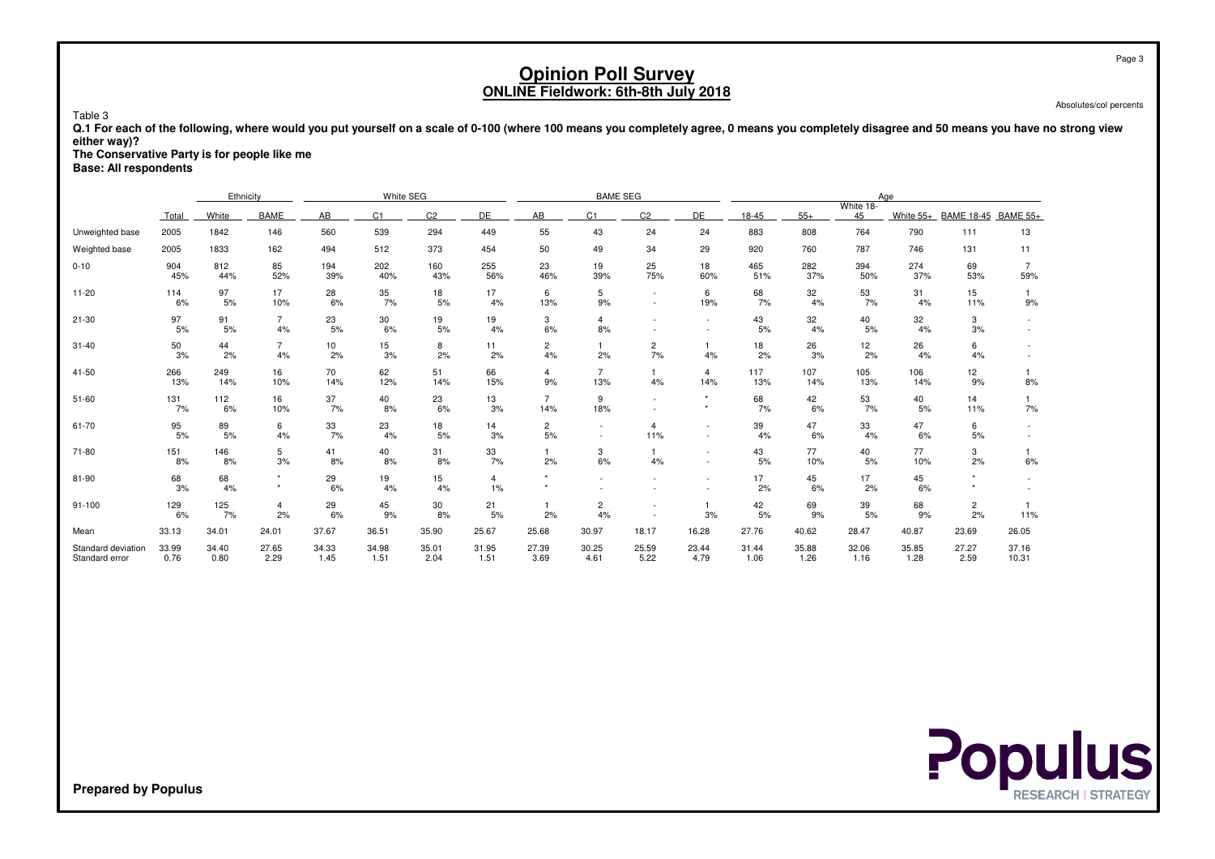Absolutes/col percents

 **Q.1 For each of the following, where would you put yourself on a scale of 0-100 (where 100 means you completely agree, 0 means you completely disagree and 50 means you have no strong vieweither way)?**

**The Conservative Party is for people like me**

**Base: All respondents**

Table 3

|                                      |               | Ethnicity     |                      |                                  | White SEG     |               |               |                       | <b>BAME SEG</b>       |                |                                    |               |               |                 | Aae           |                      |                       |
|--------------------------------------|---------------|---------------|----------------------|----------------------------------|---------------|---------------|---------------|-----------------------|-----------------------|----------------|------------------------------------|---------------|---------------|-----------------|---------------|----------------------|-----------------------|
|                                      | Total         | White         | <b>BAME</b>          | C <sub>2</sub><br>DE<br>AB<br>C1 |               |               |               |                       | C <sub>1</sub>        | C <sub>2</sub> | DE                                 | 18-45         | $55+$         | White 18-<br>45 | White 55+     | <b>BAME 18-45</b>    | <b>BAME 55+</b>       |
| Unweighted base                      | 2005          | 1842          | 146                  | 560                              | 539           | 294           | 449           | 55                    | 43                    | 24             | 24                                 | 883           | 808           | 764             | 790           | 111                  | 13                    |
| Weighted base                        | 2005          | 1833          | 162                  | 494                              | 512           | 373           | 454           | 50                    | 49                    | 34             | 29                                 | 920           | 760           | 787             | 746           | 131                  | 11                    |
| $0 - 10$                             | 904<br>45%    | 812<br>44%    | 85<br>52%            | 194<br>39%                       | 202<br>40%    | 160<br>43%    | 255<br>56%    | 23<br>46%             | 19<br>39%             | 25<br>75%      | 18<br>60%                          | 465<br>51%    | 282<br>37%    | 394<br>50%      | 274<br>37%    | 69<br>53%            | $\overline{7}$<br>59% |
| $11 - 20$                            | 114<br>6%     | 97<br>5%      | 17<br>10%            | 28<br>6%                         | 35<br>7%      | 18<br>5%      | 17<br>4%      | 6<br>13%              | 5<br>9%               |                | 6<br>19%                           | 68<br>7%      | 32<br>4%      | 53<br>7%        | 31<br>4%      | 15<br>11%            | 9%                    |
| $21 - 30$                            | 97<br>5%      | 91<br>5%      | $\overline{7}$<br>4% | 23<br>5%                         | 30<br>6%      | 19<br>5%      | 19<br>4%      | 3<br>6%               | 4<br>8%               |                | $\sim$                             | 43<br>5%      | 32<br>4%      | 40<br>5%        | 32<br>4%      | 3<br>3%              |                       |
| $31 - 40$                            | 50<br>3%      | 44<br>2%      | $\overline{7}$<br>4% | 10<br>2%                         | 15<br>3%      | 8<br>2%       | 11<br>2%      | $\overline{2}$<br>4%  | $\mathbf{1}$<br>2%    | 2<br>7%        | 4%                                 | 18<br>2%      | 26<br>3%      | 12<br>2%        | 26<br>4%      | 6<br>4%              |                       |
| 41-50                                | 266<br>13%    | 249<br>14%    | 16<br>10%            | 70<br>14%                        | 62<br>12%     | 51<br>14%     | 66<br>15%     | $\overline{4}$<br>9%  | $\overline{7}$<br>13% | 4%             | $\overline{4}$<br>14%              | 117<br>13%    | 107<br>14%    | 105<br>13%      | 106<br>14%    | 12<br>9%             | 8%                    |
| $51 - 60$                            | 131<br>7%     | 112<br>6%     | 16<br>10%            | 37<br>7%                         | 40<br>8%      | 23<br>6%      | 13<br>3%      | $\overline{7}$<br>14% | 9<br>18%              |                | $\star$<br>$\star$                 | 68<br>7%      | 42<br>6%      | 53<br>7%        | 40<br>5%      | 14<br>11%            | 7%                    |
| 61-70                                | 95<br>5%      | 89<br>5%      | 6<br>4%              | 33<br>7%                         | 23<br>4%      | 18<br>5%      | 14<br>3%      | $\overline{c}$<br>5%  |                       | 4<br>11%       | $\sim$<br>$\sim$                   | 39<br>4%      | 47<br>6%      | 33<br>4%        | 47<br>6%      | 6<br>5%              | $\sim$                |
| 71-80                                | 151<br>8%     | 146<br>8%     | 5<br>3%              | 41<br>8%                         | 40<br>8%      | 31<br>8%      | 33<br>7%      | 2%                    | 3<br>6%               | 4%             | $\overline{\phantom{a}}$<br>$\sim$ | 43<br>5%      | 77<br>10%     | 40<br>5%        | 77<br>10%     | 3<br>2%              | 6%                    |
| 81-90                                | 68<br>3%      | 68<br>4%      | $\star$              | 29<br>6%                         | 19<br>4%      | 15<br>4%      | 4<br>1%       |                       |                       |                |                                    | 17<br>2%      | 45<br>6%      | 17<br>2%        | 45<br>6%      |                      |                       |
| $91 - 100$                           | 129<br>6%     | 125<br>7%     | $\overline{4}$<br>2% | 29<br>6%                         | 45<br>9%      | 30<br>8%      | 21<br>5%      | 2%                    | $\overline{c}$<br>4%  |                | $\mathbf{1}$<br>3%                 | 42<br>5%      | 69<br>9%      | 39<br>5%        | 68<br>9%      | $\overline{c}$<br>2% | 11%                   |
| Mean                                 | 33.13         | 34.01         | 24.01                | 37.67                            | 36.51         | 35.90         | 25.67         | 25.68                 | 30.97                 | 18.17          | 16.28                              | 27.76         | 40.62         | 28.47           | 40.87         | 23.69                | 26.05                 |
| Standard deviation<br>Standard error | 33.99<br>0.76 | 34.40<br>0.80 | 27.65<br>2.29        | 34.33<br>1.45                    | 34.98<br>1.51 | 35.01<br>2.04 | 31.95<br>1.51 | 27.39<br>3.69         | 30.25<br>4.61         | 25.59<br>5.22  | 23.44<br>4.79                      | 31.44<br>1.06 | 35.88<br>1.26 | 32.06<br>1.16   | 35.85<br>1.28 | 27.27<br>2.59        | 37.16<br>10.31        |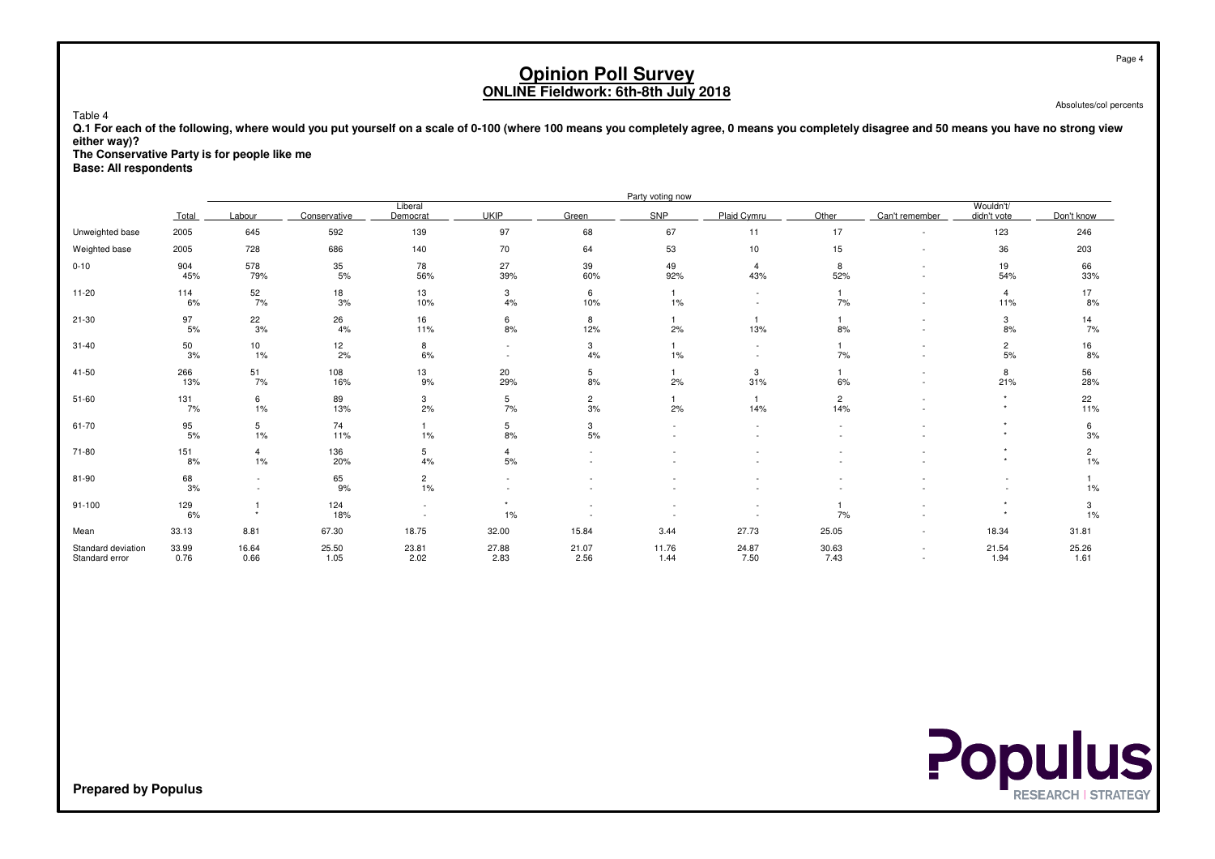Absolutes/col percents

 **Q.1 For each of the following, where would you put yourself on a scale of 0-100 (where 100 means you completely agree, 0 means you completely disagree and 50 means you have no strong vieweither way)?**

**The Conservative Party is for people like me**

**Base: All respondents**

Table 4

|                                      |               |               |               |                      |               |                      | Party voting now      |                          |                       |                |                          |                      |
|--------------------------------------|---------------|---------------|---------------|----------------------|---------------|----------------------|-----------------------|--------------------------|-----------------------|----------------|--------------------------|----------------------|
|                                      | Total         | Labour        | Conservative  | Liberal<br>Democrat  | <b>UKIP</b>   | Green                | SNP                   | Plaid Cymru              | Other                 | Can't remember | Wouldn't/<br>didn't vote | Don't know           |
| Unweighted base                      | 2005          | 645           | 592           | 139                  | 97            | 68                   | 67                    | 11                       | 17                    | $\sim$         | 123                      | 246                  |
| Weighted base                        | 2005          | 728           | 686           | 140                  | 70            | 64                   | 53                    | 10 <sup>1</sup>          | 15                    | $\sim$         | 36                       | 203                  |
| $0 - 10$                             | 904<br>45%    | 578<br>79%    | 35<br>5%      | 78<br>56%            | 27<br>39%     | 39<br>60%            | 49<br>92%             | $\overline{4}$<br>43%    | 8<br>52%              |                | 19<br>54%                | 66<br>33%            |
| $11 - 20$                            | 114<br>6%     | 52<br>7%      | 18<br>3%      | 13<br>10%            | 3<br>4%       | 6<br>10%             | $\mathbf{1}$<br>$1\%$ | $\overline{\phantom{a}}$ | 1<br>7%               | ٠<br>$\sim$    | 4<br>11%                 | 17<br>8%             |
| $21 - 30$                            | 97<br>5%      | 22<br>3%      | 26<br>4%      | 16<br>11%            | 6<br>8%       | 8<br>12%             | 2%                    | 13%                      | 8%                    |                | 3<br>8%                  | 14<br>7%             |
| $31 - 40$                            | 50<br>3%      | 10<br>1%      | 12<br>2%      | 8<br>6%              | $\sim$        | 3<br>4%              | $\mathbf{1}$<br>$1\%$ | $\overline{\phantom{a}}$ | $\mathbf{1}$<br>7%    |                | $\overline{2}$<br>5%     | 16<br>8%             |
| 41-50                                | 266<br>13%    | 51<br>7%      | 108<br>16%    | 13<br>9%             | 20<br>29%     | 5<br>8%              | $\mathbf{1}$<br>2%    | 3<br>31%                 | $\mathbf{1}$<br>6%    |                | 8<br>21%                 | 56<br>28%            |
| 51-60                                | 131<br>7%     | 6<br>1%       | 89<br>13%     | 3<br>2%              | 5<br>7%       | $\overline{2}$<br>3% | 2%                    | 14%                      | $\overline{2}$<br>14% |                |                          | 22<br>11%            |
| 61-70                                | 95<br>5%      | 5<br>1%       | 74<br>11%     | 1%                   | 5<br>8%       | 3<br>5%              |                       |                          |                       |                |                          | 6<br>3%              |
| 71-80                                | 151<br>8%     | 4<br>1%       | 136<br>20%    | 5<br>4%              | 4<br>5%       |                      |                       |                          |                       |                |                          | $\overline{c}$<br>1% |
| 81-90                                | 68<br>3%      | $\sim$        | 65<br>9%      | $\overline{c}$<br>1% |               |                      |                       |                          |                       |                |                          | 1%                   |
| 91-100                               | 129<br>6%     | $\ddot{}$     | 124<br>18%    |                      | $\star$<br>1% |                      |                       |                          | 7%                    |                | $\star$                  | 3<br>1%              |
| Mean                                 | 33.13         | 8.81          | 67.30         | 18.75                | 32.00         | 15.84                | 3.44                  | 27.73                    | 25.05                 |                | 18.34                    | 31.81                |
| Standard deviation<br>Standard error | 33.99<br>0.76 | 16.64<br>0.66 | 25.50<br>1.05 | 23.81<br>2.02        | 27.88<br>2.83 | 21.07<br>2.56        | 11.76<br>1.44         | 24.87<br>7.50            | 30.63<br>7.43         | $\sim$         | 21.54<br>1.94            | 25.26<br>1.61        |



**Prepared by Populus**

Page 4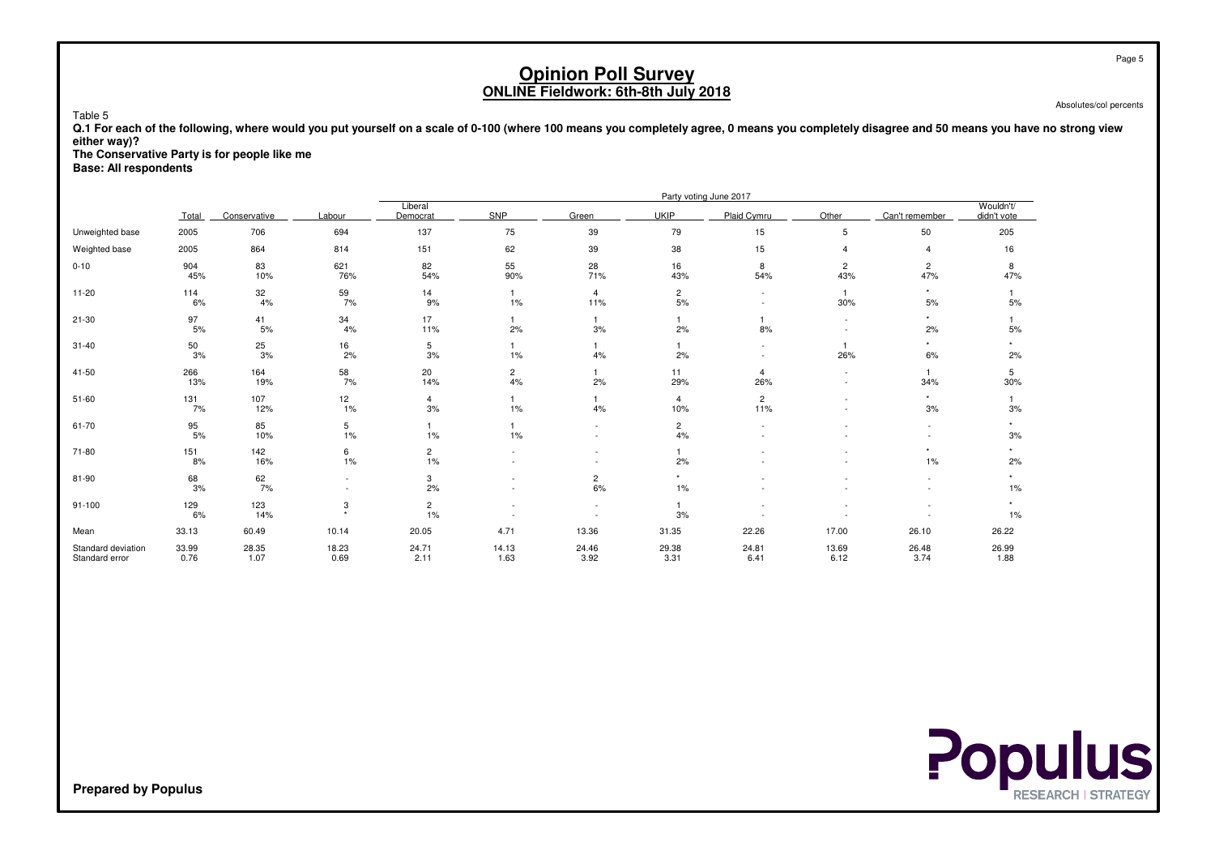Absolutes/col percents

 **Q.1 For each of the following, where would you put yourself on a scale of 0-100 (where 100 means you completely agree, 0 means you completely disagree and 50 means you have no strong vieweither way)?**

**The Conservative Party is for people like me**

**Base: All respondents**

Table 5

|                                      |               |               |                          | Party voting June 2017  |                                                      |                         |                       |                       |                       |                                |                          |  |  |  |
|--------------------------------------|---------------|---------------|--------------------------|-------------------------|------------------------------------------------------|-------------------------|-----------------------|-----------------------|-----------------------|--------------------------------|--------------------------|--|--|--|
|                                      | Total         | Conservative  | Labour                   | Liberal<br>Democrat     | SNP                                                  | Green                   | <b>UKIP</b>           | Plaid Cvmru           | Other                 | Can't remember                 | Wouldn't/<br>didn't vote |  |  |  |
| Unweighted base                      | 2005          | 706           | 694                      | 137                     | 75                                                   | 39                      | 79                    | 15                    | 5                     | 50                             | 205                      |  |  |  |
| Weighted base                        | 2005          | 864           | 814                      | 151                     | 62                                                   | 39                      | 38                    | 15                    | $\overline{4}$        | 4                              | 16                       |  |  |  |
| $0 - 10$                             | 904<br>45%    | 83<br>10%     | 621<br>76%               | 82<br>54%               | 55<br>90%                                            | 28<br>71%               | 16<br>43%             | 8<br>54%              | $\overline{c}$<br>43% | $\overline{\mathbf{c}}$<br>47% | 8<br>47%                 |  |  |  |
| $11 - 20$                            | 114<br>6%     | 32<br>4%      | 59<br>7%                 | 14<br>9%                | $\mathbf{1}$<br>1%                                   | $\overline{4}$<br>11%   | $\overline{c}$<br>5%  |                       | $\mathbf{1}$<br>30%   | $^\star$<br>5%                 | 5%                       |  |  |  |
| $21 - 30$                            | 97<br>$5%$    | 41<br>5%      | 34<br>4%                 | 17<br>11%               | $\overline{1}$<br>2%                                 | 3%                      | 2%                    | 8%                    |                       | $\star$<br>2%                  | 5%                       |  |  |  |
| $31 - 40$                            | 50<br>3%      | 25<br>3%      | 16<br>2%                 | 5<br>3%                 | 1%                                                   | 4%                      | 2%                    |                       | $\mathbf{1}$<br>26%   | $\star$<br>6%                  | 2%                       |  |  |  |
| 41-50                                | 266<br>13%    | 164<br>19%    | $\frac{58}{7\%}$         | 20<br>14%               | $\overline{c}$<br>4%                                 | 2%                      | 11<br>29%             | $\overline{4}$<br>26% | $\sim$<br>٠           | $\mathbf{1}$<br>34%            | 5<br>30%                 |  |  |  |
| $51 - 60$                            | 131<br>7%     | 107<br>12%    | 12<br>1%                 | $\overline{4}$<br>3%    | -1<br>1%                                             | 4%                      | $\overline{4}$<br>10% | $\overline{c}$<br>11% |                       | $\star$<br>3%                  | 3%                       |  |  |  |
| 61-70                                | 95<br>$5%$    | 85<br>10%     | 5<br>1%                  | $\mathbf{1}$<br>$1\%$   | 1%                                                   |                         | $\mathbf{2}$<br>4%    |                       |                       |                                | $\ddot{}$<br>3%          |  |  |  |
| 71-80                                | 151<br>8%     | 142<br>16%    | 6<br>1%                  | $\overline{c}$<br>$1\%$ |                                                      |                         | 2%                    |                       |                       | ٠<br>1%                        | 2%                       |  |  |  |
| 81-90                                | 68<br>3%      | $62$<br>$7\%$ | $\overline{\phantom{a}}$ | 3<br>2%                 |                                                      | $\overline{c}$<br>$6\%$ | $\star$<br>1%         |                       |                       |                                | $1\%$                    |  |  |  |
| $91 - 100$                           | 129<br>6%     | 123<br>14%    | 3<br>$\ddot{}$           | $\overline{c}$<br>$1\%$ | $\overline{\phantom{a}}$<br>$\overline{\phantom{a}}$ | $\sim$                  | 3%                    |                       |                       |                                | $\star$<br>$1\%$         |  |  |  |
| Mean                                 | 33.13         | 60.49         | 10.14                    | 20.05                   | 4.71                                                 | 13.36                   | 31.35                 | 22.26                 | 17.00                 | 26.10                          | 26.22                    |  |  |  |
| Standard deviation<br>Standard error | 33.99<br>0.76 | 28.35<br>1.07 | 18.23<br>0.69            | 24.71<br>2.11           | 14.13<br>1.63                                        | 24.46<br>3.92           | 29.38<br>3.31         | 24.81<br>6.41         | 13.69<br>6.12         | 26.48<br>3.74                  | 26.99<br>1.88            |  |  |  |

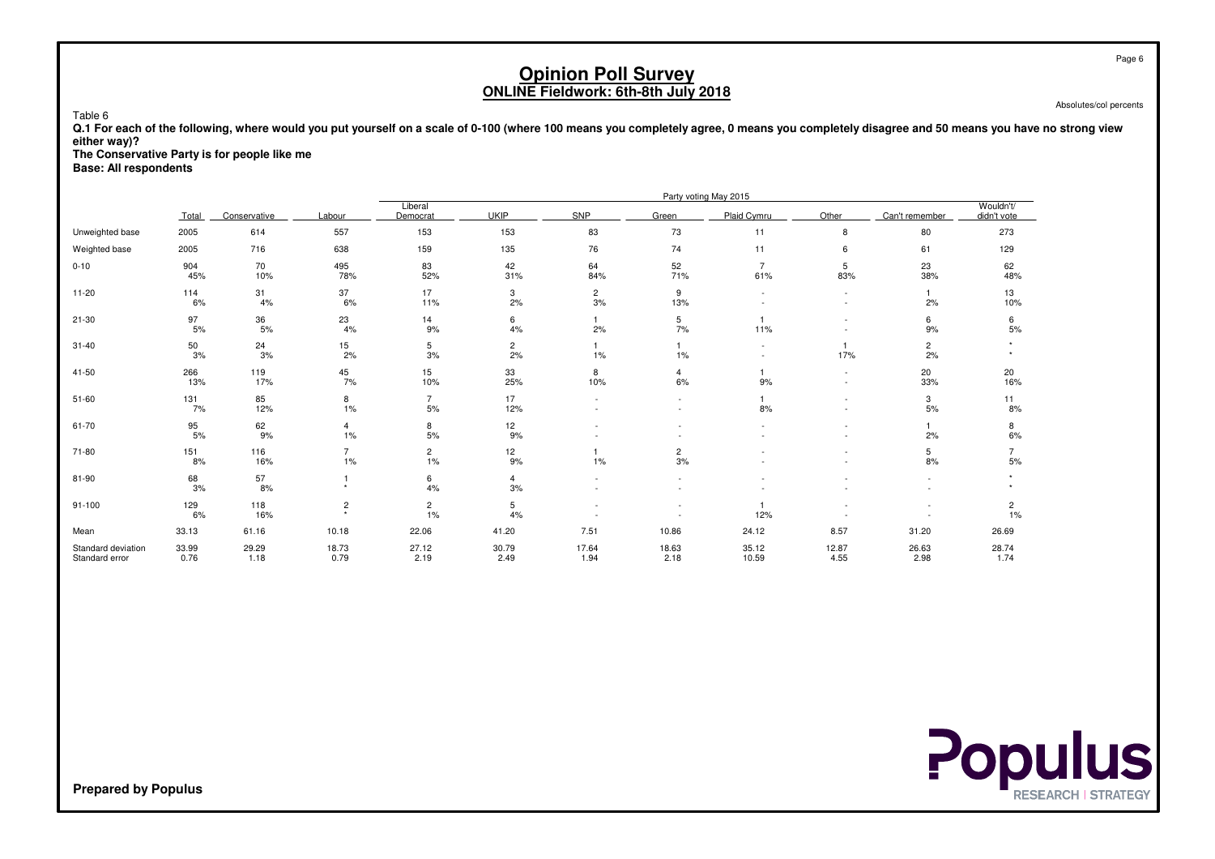Absolutes/col percents

 **Q.1 For each of the following, where would you put yourself on a scale of 0-100 (where 100 means you completely agree, 0 means you completely disagree and 50 means you have no strong vieweither way)?**

**The Conservative Party is for people like me**

**Base: All respondents**

Table 6

|                                      |               |               |                |                      |                      |                      |                      | Party voting May 2015 |                     |                      |                          |
|--------------------------------------|---------------|---------------|----------------|----------------------|----------------------|----------------------|----------------------|-----------------------|---------------------|----------------------|--------------------------|
|                                      | Total         | Conservative  | Labour         | Liberal<br>Democrat  | <b>UKIP</b>          | <b>SNP</b>           | Green                | Plaid Cymru           | Other               | Can't remember       | Wouldn't/<br>didn't vote |
| Unweighted base                      | 2005          | 614           | 557            | 153                  | 153                  | 83                   | 73                   | 11                    | 8                   | 80                   | 273                      |
| Weighted base                        | 2005          | 716           | 638            | 159                  | 135                  | 76                   | 74                   | 11                    | 6                   | 61                   | 129                      |
| $0 - 10$                             | 904<br>45%    | 70<br>10%     | 495<br>78%     | 83<br>52%            | 42<br>31%            | 64<br>84%            | 52<br>71%            | 61%                   | 5<br>83%            | 23<br>38%            | 62<br>48%                |
| $11 - 20$                            | 114<br>6%     | 31<br>4%      | 37<br>6%       | 17<br>11%            | 3<br>2%              | $\overline{2}$<br>3% | 9<br>13%             |                       | $\sim$<br>$\sim$    | $\mathbf{1}$<br>2%   | 13<br>10%                |
| $21 - 30$                            | 97<br>$5%$    | 36<br>5%      | 23<br>4%       | 14<br>9%             | 6<br>4%              | 2%                   | 5<br>7%              | 11%                   |                     | 6<br>9%              | 6<br>5%                  |
| $31 - 40$                            | 50<br>3%      | 24<br>3%      | 15<br>2%       | 5<br>3%              | $\overline{c}$<br>2% | 1%                   | $1\%$                |                       | $\mathbf{1}$<br>17% | $\overline{c}$<br>2% |                          |
| 41-50                                | 266<br>13%    | 119<br>17%    | 45<br>7%       | 15<br>10%            | 33<br>25%            | 8<br>10%             | $\overline{4}$<br>6% | 9%                    | $\sim$<br>$\sim$    | 20<br>33%            | 20<br>16%                |
| $51 - 60$                            | 131<br>7%     | 85<br>12%     | 8<br>1%        | $\overline{7}$<br>5% | 17<br>12%            |                      |                      | 8%                    |                     | 3<br>5%              | 11<br>8%                 |
| 61-70                                | 95<br>$5%$    | 62<br>9%      | 4<br>1%        | 8<br>5%              | 12<br>9%             |                      |                      |                       |                     | 2%                   | 8<br>6%                  |
| 71-80                                | 151<br>8%     | 116<br>16%    | 1%             | $\overline{c}$<br>1% | 12<br>9%             | 1%                   | $\overline{c}$<br>3% |                       |                     | 5<br>8%              | 5%                       |
| 81-90                                | 68<br>3%      | 57<br>8%      |                | 6<br>4%              | 4<br>3%              |                      |                      |                       |                     |                      |                          |
| $91 - 100$                           | 129<br>6%     | 118<br>16%    | $\overline{c}$ | $\overline{c}$<br>1% | 5<br>4%              |                      |                      | 12%                   |                     |                      | $\overline{c}$<br>1%     |
| Mean                                 | 33.13         | 61.16         | 10.18          | 22.06                | 41.20                | 7.51                 | 10.86                | 24.12                 | 8.57                | 31.20                | 26.69                    |
| Standard deviation<br>Standard error | 33.99<br>0.76 | 29.29<br>1.18 | 18.73<br>0.79  | 27.12<br>2.19        | 30.79<br>2.49        | 17.64<br>1.94        | 18.63<br>2.18        | 35.12<br>10.59        | 12.87<br>4.55       | 26.63<br>2.98        | 28.74<br>1.74            |

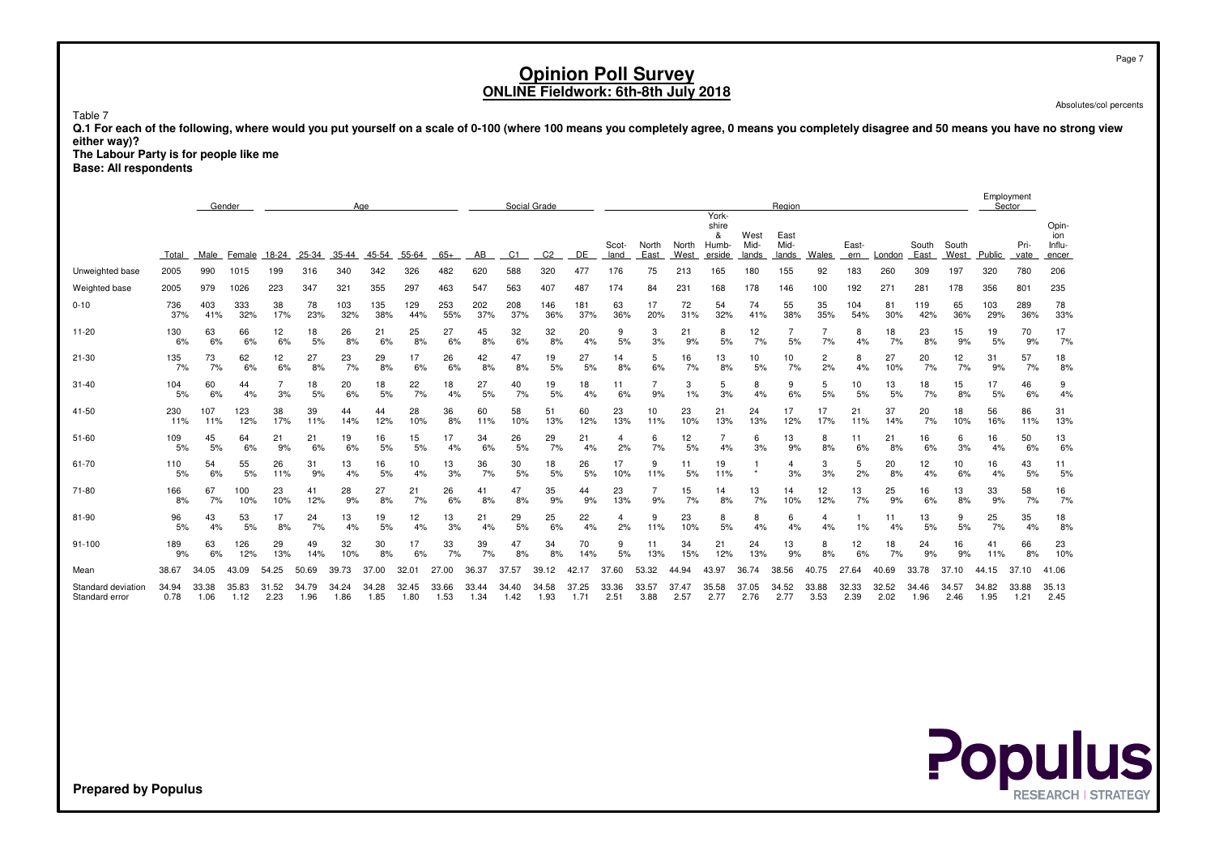Absolutes/col percents

Page 7

Table 7

 **Q.1 For each of the following, where would you put yourself on a scale of 0-100 (where 100 means you completely agree, 0 means you completely disagree and 50 means you have no strong vieweither way)?**

 **The Labour Party is for people like meBase: All respondents**

|                                      |               | Gender<br>Age |               |                   |               |               |               |               |               |               |                | Social Grade   |               |               |               |               |                                       |                       | Region                |                      |               |               |               |               |               | Employment<br>Sector |                                 |
|--------------------------------------|---------------|---------------|---------------|-------------------|---------------|---------------|---------------|---------------|---------------|---------------|----------------|----------------|---------------|---------------|---------------|---------------|---------------------------------------|-----------------------|-----------------------|----------------------|---------------|---------------|---------------|---------------|---------------|----------------------|---------------------------------|
|                                      | Total         | Male          | Female        | 18-24             | 25-34         | 35-44         | 45-54         | 55-64         | $65+$         | AB            | C <sub>1</sub> | C <sub>2</sub> | DE            | Scot-<br>land | North<br>East | North<br>West | York-<br>shire<br>&<br>Humb<br>erside | West<br>Mid-<br>lands | East<br>Mid-<br>lands | Wales                | East-<br>ern  | London        | South<br>East | South<br>West | Public        | Pri-<br>vate         | Opin-<br>ion<br>Influ-<br>encer |
| Unweighted base                      | 2005          | 990           | 1015          | 199               | 316           | 340           | 342           | 326           | 482           | 620           | 588            | 320            | 477           | 176           | 75            | 213           | 165                                   | 180                   | 155                   | 92                   | 183           | 260           | 309           | 197           | 320           | 780                  | 206                             |
| Weighted base                        | 2005          | 979           | 1026          | 223               | 347           | 321           | 355           | 297           | 463           | 547           | 563            | 407            | 487           | 174           | 84            | 231           | 168                                   | 178                   | 146                   | 100                  | 192           | 271           | 281           | 178           | 356           | 801                  | 235                             |
| $0 - 10$                             | 736<br>37%    | 403<br>41%    | 333<br>32%    | 38<br>17%         | 78<br>23%     | 103<br>32%    | 135<br>38%    | 129<br>44%    | 253<br>55%    | 202<br>37%    | 208<br>37%     | 146<br>36%     | 181<br>37%    | 63<br>36%     | 17<br>20%     | 72<br>31%     | 54<br>32%                             | 74<br>41%             | 55<br>38%             | 35<br>35%            | 104<br>54%    | 81<br>30%     | 119<br>42%    | 65<br>36%     | 103<br>29%    | 289<br>36%           | 78<br>33%                       |
| $11 - 20$                            | 130<br>6%     | 63<br>6%      | 66<br>6%      | 12<br>6%          | 18<br>5%      | 26<br>8%      | 21<br>6%      | 25<br>8%      | 27<br>6%      | 45<br>8%      | 32<br>6%       | 32<br>8%       | 20<br>4%      | 9<br>5%       | 3<br>3%       | 21<br>9%      | 8<br>5%                               | 12<br>7%              | 5%                    | 7%                   | 8<br>4%       | 18<br>7%      | 23<br>8%      | 15<br>9%      | 19<br>5%      | 70<br>9%             | 17<br>7%                        |
| $21 - 30$                            | 135<br>7%     | 73<br>7%      | 62<br>6%      | 12<br>6%          | 27<br>8%      | 23<br>7%      | 29<br>8%      | 17<br>6%      | 26<br>6%      | 42<br>8%      | 47<br>8%       | 19<br>5%       | 27<br>5%      | 14<br>8%      | 5<br>6%       | 16<br>7%      | 13<br>8%                              | 10<br>5%              | 10<br>7%              | $\overline{c}$<br>2% | 8<br>4%       | 27<br>10%     | 20<br>7%      | 12<br>7%      | 31<br>9%      | 57<br>7%             | 18<br>8%                        |
| $31 - 40$                            | 104<br>5%     | 60<br>6%      | 44<br>4%      | 3%                | 18<br>5%      | 20<br>6%      | 18<br>5%      | 22<br>7%      | 18<br>4%      | 27<br>5%      | 40<br>7%       | 19<br>5%       | 18<br>4%      | 11<br>6%      | 9%            | 3<br>1%       | 5<br>3%                               | 8<br>4%               | 9<br>6%               | 5<br>5%              | 10<br>5%      | 13<br>5%      | 18<br>7%      | 15<br>8%      | 17<br>5%      | 46<br>6%             | 9<br>4%                         |
| 41-50                                | 230<br>11%    | 107<br>11%    | 123<br>12%    | 38<br>17%         | 39<br>11%     | 44<br>14%     | 44<br>12%     | 28<br>10%     | 36<br>8%      | 60<br>11%     | 58<br>10%      | 51<br>13%      | 60<br>12%     | 23<br>13%     | 10<br>11%     | 23<br>10%     | 21<br>13%                             | 24<br>13%             | 17<br>12%             | 17<br>17%            | 21<br>11%     | 37<br>14%     | 20<br>7%      | 18<br>10%     | 56<br>16%     | 86<br>11%            | 31<br>13%                       |
| $51 - 60$                            | 109<br>5%     | 45<br>5%      | 64<br>6%      | 21<br>9%          | 21<br>6%      | 19<br>6%      | 16<br>5%      | 15<br>5%      | 17<br>4%      | 34<br>6%      | 26<br>5%       | 29<br>7%       | 21<br>4%      | 4<br>2%       | 6<br>7%       | 12<br>5%      | 4%                                    | 6<br>3%               | 13<br>9%              | 8<br>8%              | 11<br>6%      | 21<br>8%      | 16<br>6%      | 6<br>3%       | 16<br>4%      | 50<br>6%             | 13<br>6%                        |
| 61-70                                | 110<br>5%     | 54<br>6%      | 55<br>5%      | 26<br>11%         | 31<br>9%      | 13<br>4%      | 16<br>5%      | 10<br>4%      | 13<br>3%      | 36<br>7%      | 30<br>5%       | 18<br>5%       | 26<br>5%      | 17<br>10%     | 9<br>11%      | 11<br>5%      | 19<br>11%                             |                       | 4<br>3%               | 3<br>3%              | 5<br>2%       | 20<br>8%      | 12<br>4%      | 10<br>6%      | 16<br>4%      | 43<br>5%             | 11<br>5%                        |
| 71-80                                | 166<br>8%     | 67<br>7%      | 100<br>10%    | 23<br>10%         | 41<br>12%     | 28<br>9%      | 27<br>8%      | 21<br>7%      | 26<br>6%      | 41<br>8%      | 47<br>8%       | 35<br>9%       | 44<br>9%      | 23<br>13%     | 9%            | 15<br>7%      | 14<br>8%                              | 13<br>7%              | 14<br>10%             | 12<br>12%            | 13<br>7%      | 25<br>9%      | 16<br>6%      | 13<br>8%      | 33<br>9%      | 58<br>7%             | 16<br>7%                        |
| 81-90                                | 96<br>5%      | 43<br>4%      | 53<br>5%      | 17<br>8%          | 24<br>7%      | 13<br>4%      | 19<br>5%      | 12<br>4%      | 13<br>3%      | 21<br>4%      | 29<br>5%       | 25<br>6%       | 22<br>4%      | 4<br>2%       | 9<br>11%      | 23<br>10%     | 8<br>5%                               | 8<br>4%               | 6<br>4%               | $\overline{4}$<br>4% | 1%            | 11<br>4%      | 13<br>5%      | 9<br>5%       | 25<br>7%      | 35<br>4%             | 18<br>8%                        |
| $91 - 100$                           | 189<br>9%     | 63<br>6%      | 126<br>12%    | 29<br>13%         | 49<br>14%     | 32<br>10%     | 30<br>8%      | 17<br>6%      | 33<br>7%      | 39<br>7%      | 47<br>8%       | 34<br>8%       | 70<br>14%     | 9<br>5%       | 11<br>13%     | 34<br>15%     | 21<br>12%                             | 24<br>13%             | 13<br>9%              | 8<br>8%              | 12<br>6%      | 18<br>7%      | 24<br>9%      | 16<br>9%      | 41<br>11%     | 66<br>8%             | 23<br>10%                       |
| Mean                                 | 38.67         | 34.05         | 43.09         | 54.25             | 50.69         | 39.73         | 37.00         | 32.01         | 27.00         | 36.37         | 37.57          | 39.<br>12      | 42.17         | 37<br>.60     | 53.32         | 44.94         | 43.97                                 | 36.74                 | 38.56                 | 40.75                | 27.64         | 40.69         | 33.78         | 37.10         | 44.15         | 37.10                | 41.06                           |
| Standard deviation<br>Standard error | 34.94<br>0.78 | 33.38<br>1.06 | 35.83<br>1.12 | .52<br>31<br>2.23 | 34.79<br>1.96 | 34.24<br>1.86 | 34.28<br>1.85 | 32.45<br>1.80 | 33.66<br>1.53 | 33.44<br>1.34 | 34.40<br>1.42  | 34.58<br>1.93  | 37.25<br>1.71 | 33.36<br>2.51 | 33.57<br>3.88 | 37.47<br>2.57 | 35.58<br>2.77                         | 37.05<br>2.76         | 34.52<br>2.77         | 33.88<br>3.53        | 32.33<br>2.39 | 32.52<br>2.02 | 34.46<br>1.96 | 34.57<br>2.46 | 34.82<br>1.95 | 33.88<br>1.21        | 35.13<br>2.45                   |

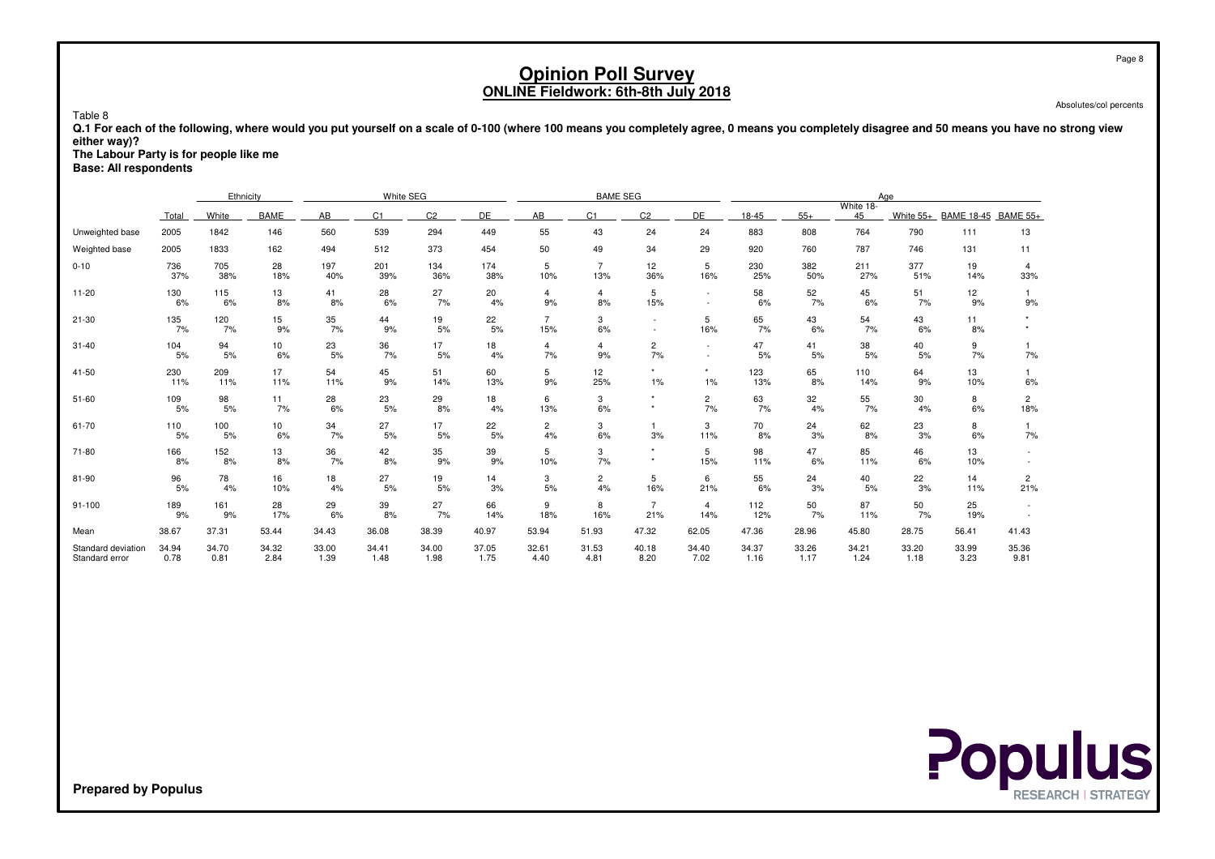Absolutes/col percents

 **Q.1 For each of the following, where would you put yourself on a scale of 0-100 (where 100 means you completely agree, 0 means you completely disagree and 50 means you have no strong vieweither way)?**

**The Labour Party is for people like me**

**Base: All respondents**

Table 8

|                                      |               | Ethnicity     |               |                                              | White SEG     |               |               |                       | <b>BAME SEG</b>       |                       |                          |               |               |                 | Age           |                     |                       |
|--------------------------------------|---------------|---------------|---------------|----------------------------------------------|---------------|---------------|---------------|-----------------------|-----------------------|-----------------------|--------------------------|---------------|---------------|-----------------|---------------|---------------------|-----------------------|
|                                      | Total         | White         | <b>BAME</b>   | C <sub>2</sub><br>DE<br>AB<br>C <sub>1</sub> |               |               |               | AB                    | C <sub>1</sub>        | C <sub>2</sub>        | DE                       | 18-45         | $55+$         | White 18-<br>45 | White 55+     | BAME 18-45 BAME 55+ |                       |
| Unweighted base                      | 2005          | 1842          | 146           | 560                                          | 539           | 294           | 449           | 55                    | 43                    | 24                    | 24                       | 883           | 808           | 764             | 790           | 111                 | 13                    |
| Weighted base                        | 2005          | 1833          | 162           | 494                                          | 512           | 373           | 454           | 50                    | 49                    | 34                    | 29                       | 920           | 760           | 787             | 746           | 131                 | 11                    |
| $0 - 10$                             | 736<br>37%    | 705<br>38%    | 28<br>18%     | 197<br>40%                                   | 201<br>39%    | 134<br>36%    | 174<br>38%    | 5<br>10%              | $\overline{7}$<br>13% | 12<br>36%             | 5<br>16%                 | 230<br>25%    | 382<br>50%    | 211<br>27%      | 377<br>51%    | 19<br>14%           | 4<br>33%              |
| $11 - 20$                            | 130<br>6%     | 115<br>6%     | 13<br>8%      | 41<br>8%                                     | 28<br>6%      | 27<br>7%      | 20<br>4%      | $\overline{4}$<br>9%  | $\overline{4}$<br>8%  | 5<br>15%              | $\overline{\phantom{a}}$ | 58<br>6%      | 52<br>7%      | 45<br>6%        | 51<br>7%      | 12<br>9%            | 9%                    |
| $21 - 30$                            | 135<br>7%     | 120<br>7%     | 15<br>9%      | 35<br>7%                                     | 44<br>9%      | 19<br>5%      | 22<br>5%      | $\overline{7}$<br>15% | 3<br>6%               |                       | 5<br>16%                 | 65<br>7%      | 43<br>6%      | 54<br>7%        | 43<br>6%      | 11<br>8%            |                       |
| $31 - 40$                            | 104<br>5%     | 94<br>5%      | 10<br>6%      | 23<br>5%                                     | 36<br>7%      | 17<br>5%      | 18<br>4%      | 4<br>7%               | $\overline{4}$<br>9%  | 2<br>7%               | $\sim$<br>$\sim$         | 47<br>5%      | 41<br>5%      | 38<br>5%        | 40<br>5%      | 9<br>7%             | 7%                    |
| 41-50                                | 230<br>11%    | 209<br>11%    | 17<br>11%     | 54<br>11%                                    | 45<br>9%      | 51<br>14%     | 60<br>13%     | 5<br>9%               | 12<br>25%             | $\star$<br>1%         | $\star$<br>1%            | 123<br>13%    | 65<br>8%      | 110<br>14%      | 64<br>9%      | 13<br>10%           | 6%                    |
| $51 - 60$                            | 109<br>5%     | 98<br>5%      | 11<br>7%      | 28<br>6%                                     | 23<br>5%      | 29<br>8%      | 18<br>4%      | 6<br>13%              | 3<br>6%               | $\star$               | $\overline{c}$<br>7%     | 63<br>7%      | 32<br>4%      | 55<br>7%        | 30<br>4%      | 8<br>6%             | $\overline{2}$<br>18% |
| 61-70                                | 110<br>5%     | 100<br>5%     | 10<br>6%      | 34<br>7%                                     | 27<br>5%      | 17<br>5%      | 22<br>5%      | $\overline{2}$<br>4%  | 3<br>6%               | 3%                    | 3<br>11%                 | 70<br>8%      | 24<br>3%      | 62<br>8%        | 23<br>3%      | 8<br>6%             | $7\%$                 |
| 71-80                                | 166<br>8%     | 152<br>8%     | 13<br>8%      | 36<br>7%                                     | 42<br>8%      | 35<br>9%      | 39<br>9%      | 5<br>10%              | 3<br>7%               | $\star$               | 5<br>15%                 | 98<br>11%     | 47<br>6%      | 85<br>11%       | 46<br>6%      | 13<br>10%           |                       |
| 81-90                                | 96<br>5%      | 78<br>4%      | 16<br>10%     | 18<br>4%                                     | 27<br>5%      | 19<br>5%      | 14<br>3%      | 3<br>5%               | $\overline{c}$<br>4%  | 5<br>16%              | 6<br>21%                 | 55<br>6%      | 24<br>3%      | 40<br>5%        | 22<br>3%      | 14<br>11%           | $\overline{c}$<br>21% |
| 91-100                               | 189<br>9%     | 161<br>9%     | 28<br>17%     | 29<br>6%                                     | 39<br>8%      | 27<br>7%      | 66<br>14%     | 9<br>18%              | 8<br>16%              | $\overline{7}$<br>21% | $\overline{4}$<br>14%    | 112<br>12%    | 50<br>7%      | 87<br>11%       | 50<br>7%      | 25<br>19%           |                       |
| Mean                                 | 38.67         | 37.31         | 53.44         | 34.43                                        | 36.08         | 38.39         | 40.97         | 53.94                 | 51.93                 | 47.32                 | 62.05                    | 47.36         | 28.96         | 45.80           | 28.75         | 56.41               | 41.43                 |
| Standard deviation<br>Standard error | 34.94<br>0.78 | 34.70<br>0.81 | 34.32<br>2.84 | 33.00<br>1.39                                | 34.41<br>1.48 | 34.00<br>1.98 | 37.05<br>1.75 | 32.61<br>4.40         | 31.53<br>4.81         | 40.18<br>8.20         | 34.40<br>7.02            | 34.37<br>1.16 | 33.26<br>1.17 | 34.21<br>1.24   | 33.20<br>1.18 | 33.99<br>3.23       | 35.36<br>9.81         |

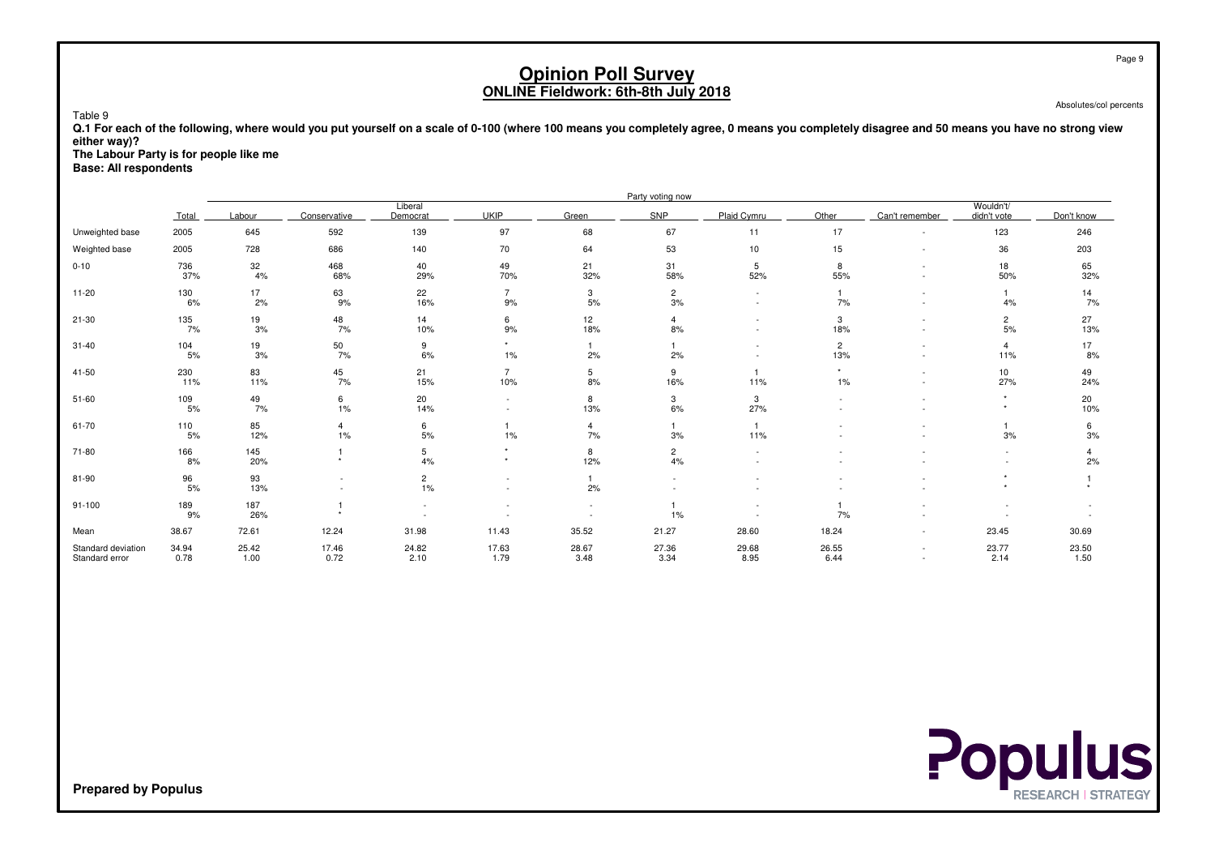Absolutes/col percents

 **Q.1 For each of the following, where would you put yourself on a scale of 0-100 (where 100 means you completely agree, 0 means you completely disagree and 50 means you have no strong vieweither way)?**

**The Labour Party is for people like me**

**Base: All respondents**

Table 9

|                                      |               |               |               |                      |                        |                      | Party voting now     |                                    |                            |                                    |                          |                  |
|--------------------------------------|---------------|---------------|---------------|----------------------|------------------------|----------------------|----------------------|------------------------------------|----------------------------|------------------------------------|--------------------------|------------------|
|                                      | Total         | Labour        | Conservative  | Liberal<br>Democrat  | <b>UKIP</b>            | Green                | SNP                  | Plaid Cymru                        | Other                      | Can't remember                     | Wouldn't/<br>didn't vote | Don't know       |
| Unweighted base                      | 2005          | 645           | 592           | 139                  | 97                     | 68                   | 67                   | 11                                 | 17                         | $\sim$                             | 123                      | 246              |
| Weighted base                        | 2005          | 728           | 686           | 140                  | 70                     | 64                   | 53                   | 10                                 | 15                         | $\overline{\phantom{a}}$           | 36                       | 203              |
| $0 - 10$                             | 736<br>37%    | 32<br>4%      | 468<br>68%    | 40<br>29%            | 49<br>70%              | 21<br>32%            | 31<br>58%            | 5<br>52%                           | 8<br>55%                   |                                    | 18<br>50%                | 65<br>32%        |
| $11 - 20$                            | 130<br>6%     | 17<br>2%      | 63<br>9%      | 22<br>16%            | $\overline{7}$<br>$9%$ | 3<br>$5\%$           | $\overline{c}$<br>3% | $\sim$<br>$\overline{\phantom{a}}$ | $\mathbf{1}$<br>7%         | $\sim$<br>$\overline{\phantom{a}}$ | 4%                       | $\frac{14}{7\%}$ |
| 21-30                                | 135<br>7%     | 19<br>3%      | 48<br>7%      | 14<br>10%            | 6<br>9%                | 12<br>18%            | 4<br>8%              |                                    | 3<br>18%                   | ٠                                  | $\overline{c}$<br>5%     | 27<br>13%        |
| $31 - 40$                            | 104<br>5%     | 19<br>3%      | 50<br>7%      | 9<br>6%              | $\star$<br>$1\%$       | 2%                   | 2%                   |                                    | $\overline{c}$<br>13%      | $\sim$<br>$\sim$                   | $\overline{4}$<br>11%    | 17<br>8%         |
| $41 - 50$                            | 230<br>11%    | 83<br>11%     | 45<br>7%      | 21<br>15%            | $\overline{7}$<br>10%  | 5<br>8%              | 9<br>16%             | $\overline{1}$<br>11%              | $\star$<br>$1\%$           | $\sim$<br>$\sim$                   | 10<br>27%                | 49<br>24%        |
| $51 - 60$                            | 109<br>5%     | 49<br>7%      | 6<br>$1\%$    | 20<br>14%            | $\sim$                 | 8<br>13%             | 3<br>6%              | 3<br>27%                           |                            |                                    |                          | 20<br>10%        |
| 61-70                                | 110<br>5%     | 85<br>12%     | 4<br>$1\%$    | 6<br>5%              | $1\%$                  | $\overline{4}$<br>7% | 3%                   | $\overline{1}$<br>11%              |                            |                                    | 3%                       | 6<br>3%          |
| 71-80                                | 166<br>8%     | 145<br>20%    |               | 5<br>4%              | $\star$<br>$\star$     | 8<br>12%             | $\overline{2}$<br>4% |                                    |                            |                                    |                          | 4<br>2%          |
| 81-90                                | 96<br>5%      | 93<br>13%     |               | $\overline{c}$<br>1% |                        | 2%                   |                      |                                    |                            |                                    |                          |                  |
| $91 - 100$                           | 189<br>9%     | 187<br>26%    |               |                      |                        |                      | 1%                   |                                    | $\blacktriangleleft$<br>7% |                                    |                          |                  |
| Mean                                 | 38.67         | 72.61         | 12.24         | 31.98                | 11.43                  | 35.52                | 21.27                | 28.60                              | 18.24                      | $\sim$                             | 23.45                    | 30.69            |
| Standard deviation<br>Standard error | 34.94<br>0.78 | 25.42<br>1.00 | 17.46<br>0.72 | 24.82<br>2.10        | 17.63<br>1.79          | 28.67<br>3.48        | 27.36<br>3.34        | 29.68<br>8.95                      | 26.55<br>6.44              | $\sim$<br>$\sim$                   | 23.77<br>2.14            | 23.50<br>1.50    |

**Populus**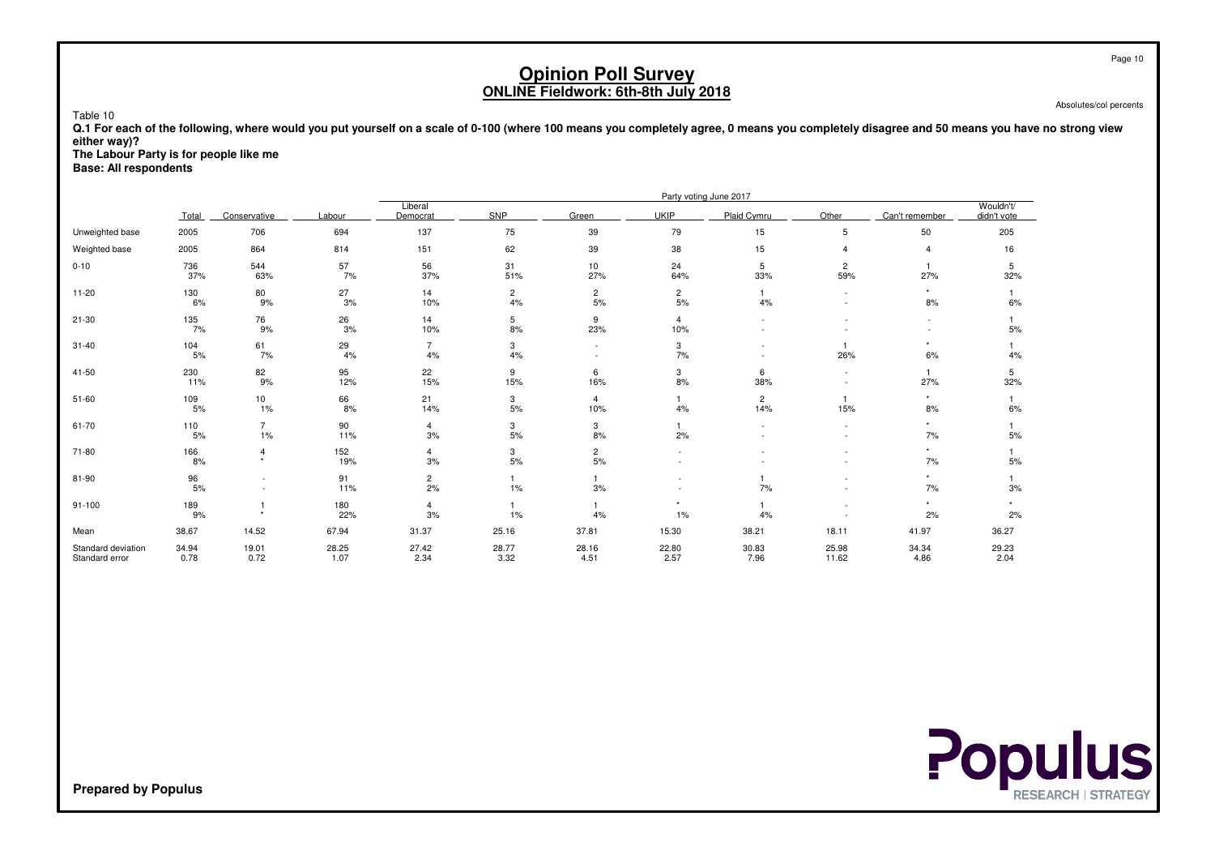Absolutes/col percents

 **Q.1 For each of the following, where would you put yourself on a scale of 0-100 (where 100 means you completely agree, 0 means you completely disagree and 50 means you have no strong vieweither way)?**

**The Labour Party is for people like me**

**Base: All respondents**

Table 10

|                                      |               |                           |               |                      |                      |                      |                       | Party voting June 2017 |                                    |                     |                          |
|--------------------------------------|---------------|---------------------------|---------------|----------------------|----------------------|----------------------|-----------------------|------------------------|------------------------------------|---------------------|--------------------------|
|                                      | Total         | Conservative              | Labour        | Liberal<br>Democrat  | <b>SNP</b>           | Green                | <b>UKIP</b>           | Plaid Cymru            | Other                              | Can't remember      | Wouldn't/<br>didn't vote |
| Unweighted base                      | 2005          | 706                       | 694           | 137                  | 75                   | 39                   | 79                    | 15                     | 5                                  | 50                  | 205                      |
| Weighted base                        | 2005          | 864                       | 814           | 151                  | 62                   | 39                   | 38                    | 15                     | $\boldsymbol{\Delta}$              | $\overline{4}$      | 16                       |
| $0 - 10$                             | 736<br>37%    | 544<br>63%                | 57<br>7%      | 56<br>37%            | 31<br>51%            | 10<br>27%            | 24<br>64%             | 5<br>33%               | $\overline{c}$<br>59%              | 27%                 | 5<br>32%                 |
| $11 - 20$                            | 130<br>6%     | 80<br>9%                  | 27<br>3%      | 14<br>10%            | $\overline{c}$<br>4% | $\overline{2}$<br>5% | $\overline{c}$<br>5%  | 4%                     | $\overline{\phantom{a}}$<br>$\sim$ | 8%                  | 6%                       |
| $21 - 30$                            | 135<br>7%     | 76<br>9%                  | 26<br>3%      | 14<br>10%            | 5<br>8%              | 9<br>23%             | $\overline{4}$<br>10% |                        |                                    |                     | $5%$                     |
| $31 - 40$                            | 104<br>5%     | 61<br>7%                  | 29<br>4%      | $\overline{7}$<br>4% | 3<br>4%              | $\sim$               | 3<br>7%               |                        | 26%                                | $\star$<br>6%       | 4%                       |
| 41-50                                | 230<br>11%    | 82<br>9%                  | 95<br>12%     | 22<br>15%            | 9<br>15%             | 6<br>16%             | 3<br>8%               | 6<br>38%               | $\overline{\phantom{0}}$           | $\mathbf{1}$<br>27% | 5<br>32%                 |
| $51 - 60$                            | 109<br>5%     | 10<br>1%                  | 66<br>8%      | 21<br>14%            | 3<br>5%              | 4<br>10%             | 4%                    | $\overline{2}$<br>14%  | 15%                                | $^\star$<br>8%      | 6%                       |
| 61-70                                | 110<br>$5%$   | $\overline{7}$<br>$1\%$   | 90<br>11%     | $\overline{4}$<br>3% | 3<br>5%              | 3<br>8%              | 2%                    |                        | $\overline{\phantom{0}}$           | $\star$<br>7%       | 5%                       |
| 71-80                                | 166<br>8%     | $\overline{4}$<br>$\star$ | 152<br>19%    | 4<br>3%              | 3<br>5%              | $\frac{2}{5\%}$      |                       |                        |                                    | $\star$<br>7%       | 5%                       |
| 81-90                                | 96<br>$5%$    |                           | 91<br>11%     | $\overline{c}$<br>2% | 1%                   | 3%                   |                       | 7%                     |                                    | $\star$<br>7%       | 3%                       |
| $91 - 100$                           | 189<br>9%     |                           | 180<br>22%    | $\overline{4}$<br>3% | 1%                   | 4%                   | $\star$<br>1%         | 4%                     |                                    | $\star$<br>2%       | $\star$<br>2%            |
| Mean                                 | 38.67         | 14.52                     | 67.94         | 31.37                | 25.16                | 37.81                | 15.30                 | 38.21                  | 18.11                              | 41.97               | 36.27                    |
| Standard deviation<br>Standard error | 34.94<br>0.78 | 19.01<br>0.72             | 28.25<br>1.07 | 27.42<br>2.34        | 28.77<br>3.32        | 28.16<br>4.51        | 22.80<br>2.57         | 30.83<br>7.96          | 25.98<br>11.62                     | 34.34<br>4.86       | 29.23<br>2.04            |

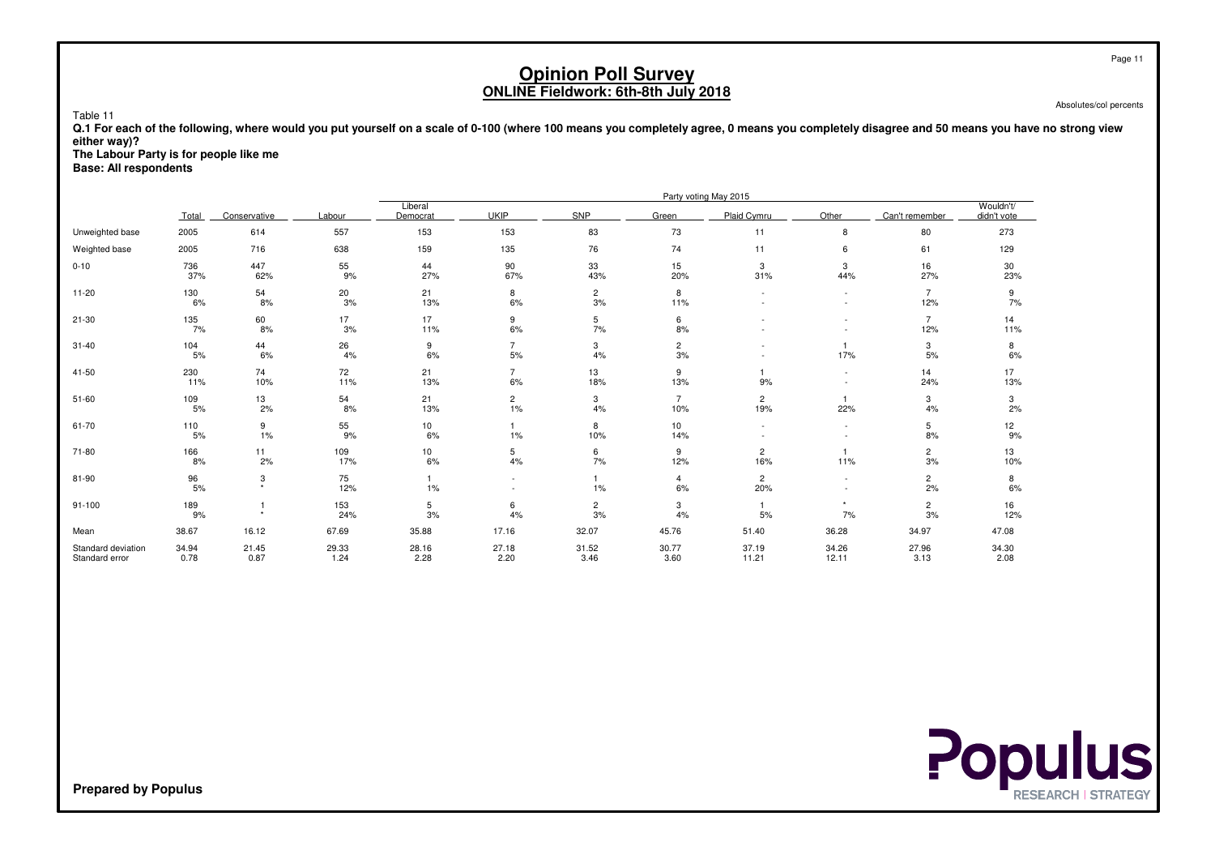Absolutes/col percents

 **Q.1 For each of the following, where would you put yourself on a scale of 0-100 (where 100 means you completely agree, 0 means you completely disagree and 50 means you have no strong vieweither way)?**

**The Labour Party is for people like me**

**Base: All respondents**

Table 11

|                                      |               |               |               |                     |                          |                      |                       | Party voting May 2015 |                                                      |                               |                          |
|--------------------------------------|---------------|---------------|---------------|---------------------|--------------------------|----------------------|-----------------------|-----------------------|------------------------------------------------------|-------------------------------|--------------------------|
|                                      | Total         | Conservative  | Labour        | Liberal<br>Democrat | <b>UKIP</b>              | SNP                  | Green                 | Plaid Cymru           | Other                                                | Can't remember                | Wouldn't/<br>didn't vote |
| Unweighted base                      | 2005          | 614           | 557           | 153                 | 153                      | 83                   | 73                    | 11                    | 8                                                    | 80                            | 273                      |
| Weighted base                        | 2005          | 716           | 638           | 159                 | 135                      | 76                   | 74                    | 11                    | 6                                                    | 61                            | 129                      |
| $0 - 10$                             | 736<br>37%    | 447<br>62%    | 55<br>9%      | 44<br>27%           | 90<br>67%                | 33<br>43%            | 15<br>20%             | 3<br>31%              | 3<br>44%                                             | 16<br>27%                     | 30<br>23%                |
| $11 - 20$                            | 130<br>6%     | 54<br>8%      | 20<br>3%      | 21<br>13%           | 8<br>6%                  | $\overline{c}$<br>3% | 8<br>11%              |                       | $\sim$<br>$\sim$                                     | $\overline{7}$<br>12%         | 9<br>7%                  |
| $21 - 30$                            | 135<br>7%     | 60<br>8%      | 17<br>3%      | 17<br>11%           | 9<br>6%                  | 5<br>7%              | 6<br>8%               |                       |                                                      | $\overline{7}$<br>12%         | 14<br>11%                |
| $31 - 40$                            | 104<br>5%     | 44<br>6%      | 26<br>4%      | 9<br>6%             | $\overline{7}$<br>5%     | 3<br>4%              | $\mathbf{2}$<br>3%    |                       | 17%                                                  | 3<br>5%                       | 8<br>6%                  |
| 41-50                                | 230<br>11%    | 74<br>10%     | 72<br>11%     | 21<br>13%           | $\overline{7}$<br>6%     | 13<br>18%            | 9<br>13%              | 9%                    | $\sim$                                               | 14<br>24%                     | 17<br>13%                |
| $51 - 60$                            | 109<br>5%     | 13<br>2%      | 54<br>8%      | 21<br>13%           | $\overline{c}$<br>1%     | 3<br>4%              | $\overline{7}$<br>10% | 2<br>19%              | $\mathbf{1}$<br>22%                                  | 3<br>4%                       | 3<br>2%                  |
| 61-70                                | 110<br>5%     | 9<br>1%       | 55<br>9%      | 10<br>6%            | 1%                       | 8<br>10%             | 10<br>14%             |                       |                                                      | 5<br>8%                       | 12<br>9%                 |
| 71-80                                | 166<br>8%     | 11<br>2%      | 109<br>17%    | 10<br>6%            | 5<br>4%                  | 6<br>7%              | 9<br>12%              | 2<br>16%              | 11%                                                  | $\overline{c}$<br>3%          | 13<br>10%                |
| 81-90                                | 96<br>5%      | 3<br>$\star$  | 75<br>12%     | 1<br>$1\%$          | $\overline{\phantom{a}}$ | 1%                   | $\overline{4}$<br>6%  | $\overline{c}$<br>20% | $\overline{\phantom{a}}$<br>$\overline{\phantom{a}}$ | $\overline{c}$<br>2%          | 8<br>6%                  |
| $91 - 100$                           | 189<br>9%     | ٠             | 153<br>24%    | 5<br>3%             | 6<br>4%                  | $\overline{2}$<br>3% | 3<br>4%               | 5%                    | $\star$<br>7%                                        | $\overline{\mathbf{c}}$<br>3% | 16<br>12%                |
| Mean                                 | 38.67         | 16.12         | 67.69         | 35.88               | 17.16                    | 32.07                | 45.76                 | 51.40                 | 36.28                                                | 34.97                         | 47.08                    |
| Standard deviation<br>Standard error | 34.94<br>0.78 | 21.45<br>0.87 | 29.33<br>1.24 | 28.16<br>2.28       | 27.18<br>2.20            | 31.52<br>3.46        | 30.77<br>3.60         | 37.19<br>11.21        | 34.26<br>12.11                                       | 27.96<br>3.13                 | 34.30<br>2.08            |

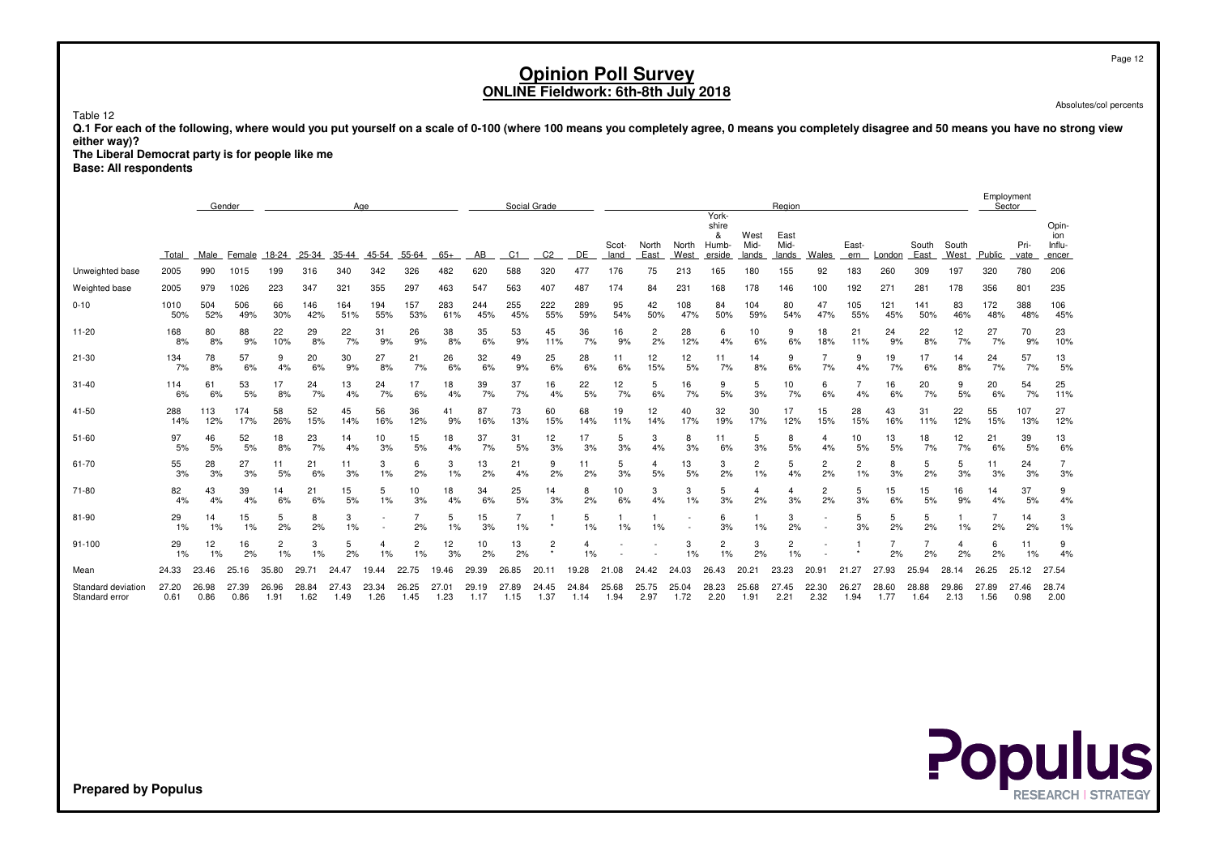Page 12

# **Opinion Poll SurveyONLINE Fieldwork: 6th-8th July 2018**

Absolutes/col percents

Table 12

 **Q.1 For each of the following, where would you put yourself on a scale of 0-100 (where 100 means you completely agree, 0 means you completely disagree and 50 means you have no strong vieweither way)?**

 **The Liberal Democrat party is for people like meBase: All respondents**

|                                      |               | Age<br>Gender |               |               |               |               |               |               |               |               |                      | Social Grade   |               |               |               |               |                                               |                       | Region                |               |               |               |               |                      |               | Employment<br>Sector |                                 |
|--------------------------------------|---------------|---------------|---------------|---------------|---------------|---------------|---------------|---------------|---------------|---------------|----------------------|----------------|---------------|---------------|---------------|---------------|-----------------------------------------------|-----------------------|-----------------------|---------------|---------------|---------------|---------------|----------------------|---------------|----------------------|---------------------------------|
|                                      | Total         | Male          | Female        | 18-24         | 25-34         | 35-44         | 45-54         | 55-64         | $65+$         | AB            | C1                   | C <sub>2</sub> | DE            | Scot-<br>land | North<br>East | North<br>West | York-<br>shire<br>&<br><b>Humb-</b><br>erside | West<br>Mid-<br>lands | East<br>Mid-<br>lands | Wales         | East-<br>ern  | London        | South<br>East | South<br>West        | Public        | Pri-<br>vate         | Opin-<br>ion<br>Influ-<br>encer |
| Unweighted base                      | 2005          | 990           | 1015          | 199           | 316           | 340           | 342           | 326           | 482           | 620           | 588                  | 320            | 477           | 176           | 75            | 213           | 165                                           | 180                   | 155                   | 92            | 183           | 260           | 309           | 197                  | 320           | 780                  | 206                             |
| Weighted base                        | 2005          | 979           | 1026          | 223           | 347           | 321           | 355           | 297           | 463           | 547           | 563                  | 407            | 487           | 174           | 84            | 231           | 168                                           | 178                   | 146                   | 100           | 192           | 271           | 281           | 178                  | 356           | 801                  | 235                             |
| $0 - 10$                             | 1010<br>50%   | 504<br>52%    | 506<br>49%    | 66<br>30%     | 146<br>42%    | 164<br>51%    | 194<br>55%    | 157<br>53%    | 283<br>61%    | 244<br>45%    | 255<br>45%           | 222<br>55%     | 289<br>59%    | 95<br>54%     | 42<br>50%     | 108<br>47%    | 84<br>50%                                     | 104<br>59%            | 80<br>54%             | 47<br>47%     | 105<br>55%    | 121<br>45%    | 141<br>50%    | 83<br>46%            | 172<br>48%    | 388<br>48%           | 106<br>45%                      |
| $11 - 20$                            | 168<br>8%     | 80<br>8%      | 88<br>9%      | 22<br>10%     | 29<br>8%      | 22<br>7%      | 31<br>9%      | 26<br>9%      | 38<br>8%      | 35<br>6%      | 53<br>9%             | 45<br>11%      | 36<br>7%      | 16<br>9%      | 2<br>2%       | 28<br>12%     | 6<br>4%                                       | 10<br>6%              | 9<br>6%               | 18<br>18%     | 21<br>11%     | 24<br>9%      | 22<br>8%      | 12<br>7%             | 27<br>7%      | 70<br>9%             | 23<br>10%                       |
| 21-30                                | 134<br>7%     | 78<br>8%      | 57<br>6%      | 9<br>4%       | 20<br>6%      | 30<br>9%      | 27<br>8%      | 21<br>7%      | 26<br>6%      | 32<br>6%      | 49<br>9%             | 25<br>6%       | 28<br>6%      | 11<br>6%      | 12<br>15%     | 12<br>5%      | 11<br>7%                                      | 14<br>8%              | 9<br>6%               | 7%            | 9<br>4%       | 19<br>7%      | 17<br>6%      | 14<br>8%             | 24<br>7%      | 57<br>7%             | 13<br>5%                        |
| $31 - 40$                            | 114<br>6%     | 61<br>6%      | 53<br>5%      | 17<br>8%      | 24<br>7%      | 13<br>4%      | 24<br>7%      | 17<br>6%      | 18<br>4%      | 39<br>7%      | 37<br>7%             | 16<br>4%       | 22<br>5%      | 12<br>7%      | 5<br>6%       | 16<br>7%      | 9<br>5%                                       | 5<br>3%               | 10<br>7%              | 6<br>6%       | 4%            | 16<br>6%      | 20<br>7%      | 9<br>5%              | 20<br>6%      | 54<br>7%             | 25<br>11%                       |
| 41-50                                | 288<br>14%    | 113<br>12%    | 174<br>17%    | 58<br>26%     | 52<br>15%     | 45<br>14%     | 56<br>16%     | 36<br>12%     | 41<br>9%      | 87<br>16%     | 73<br>13%            | 60<br>15%      | 68<br>14%     | 19<br>11%     | 12<br>14%     | 40<br>17%     | 32<br>19%                                     | 30<br>17%             | 17<br>12%             | 15<br>15%     | 28<br>15%     | 43<br>16%     | 31<br>11%     | 22<br>12%            | 55<br>15%     | 107<br>13%           | 27<br>12%                       |
| 51-60                                | 97<br>5%      | 46<br>5%      | 52<br>5%      | 18<br>8%      | 23<br>7%      | 14<br>4%      | 10<br>3%      | 15<br>5%      | 18<br>4%      | 37<br>7%      | 31<br>5%             | 12<br>3%       | 17<br>3%      | 5<br>3%       | 3<br>4%       | 8<br>3%       | 11<br>6%                                      | 5<br>3%               | 8<br>5%               | 4<br>4%       | 10<br>5%      | 13<br>5%      | 18<br>7%      | 12<br>7%             | 21<br>6%      | 39<br>5%             | 13<br>6%                        |
| 61-70                                | 55<br>3%      | 28<br>3%      | 27<br>3%      | 11<br>5%      | 21<br>6%      | 11<br>3%      | 3<br>1%       | 6<br>2%       | 3<br>1%       | 13<br>2%      | 21<br>4%             | 9<br>2%        | 11<br>2%      | 5<br>3%       | 4<br>5%       | 13<br>5%      | 3<br>2%                                       | 2<br>1%               | 5<br>4%               | 2<br>2%       | 2<br>1%       | 8<br>3%       | 5<br>2%       | 5<br>3%              | 11<br>3%      | 24<br>3%             | 3%                              |
| 71-80                                | 82<br>4%      | 43<br>4%      | 39<br>4%      | 14<br>6%      | 21<br>6%      | 15<br>5%      | 5<br>1%       | 10<br>3%      | 18<br>4%      | 34<br>6%      | 25<br>5%             | 14<br>3%       | 8<br>2%       | 10<br>6%      | 3<br>4%       | 3<br>1%       | 5<br>3%                                       | 4<br>2%               | 4<br>3%               | 2<br>2%       | 5<br>3%       | 15<br>6%      | 15<br>5%      | 16<br>9%             | 14<br>4%      | 37<br>5%             | 9<br>4%                         |
| 81-90                                | 29<br>1%      | 14<br>1%      | 15<br>1%      | 5<br>2%       | 8<br>2%       | 3<br>1%       |               | 2%            | 5<br>1%       | 15<br>3%      | $\overline{7}$<br>1% |                | 5<br>1%       | 1%            | 1%            |               | 6<br>3%                                       | 1%                    | 3<br>2%               |               | 5<br>3%       | 5<br>2%       | 5<br>2%       | 1%                   | 2%            | 14<br>2%             | 3<br>1%                         |
| $91 - 100$                           | 29<br>1%      | 12<br>1%      | 16<br>2%      | 2<br>1%       | 3<br>1%       | 5<br>2%       | 4<br>1%       | 1%            | 12<br>3%      | 10<br>2%      | 13<br>2%             | $\overline{c}$ | 4<br>1%       |               |               | 3<br>1%       | 2<br>1%                                       | 3<br>2%               | 2<br>1%               |               |               | 2%            | 2%            | $\overline{4}$<br>2% | 6<br>2%       | 11<br>1%             | 9<br>4%                         |
| Mean                                 | 24.33         | 23.46         | 25.16         | 35.80         | 29.71         | 24.<br>47     | 19.44         | 22.75         | 19.46         | 29.39         | 26.85                | 20.11          | 19.28         | 21<br>.08     | 24.42         | 24.03         | 26.43                                         | 20.21                 | 23.23                 | 20.91         | 21.27         | 27.93         | 25.94         | 28.14                | 26.25         | 25.12                | 27.54                           |
| Standard deviation<br>Standard error | 27.20<br>0.61 | 26.98<br>0.86 | 27.39<br>0.86 | 26.96<br>1.91 | 28.84<br>1.62 | 27.43<br>1.49 | 23.34<br>1.26 | 26.25<br>1.45 | 27.01<br>1.23 | 29.19<br>1.17 | 27.89<br>1.15        | 24.45<br>1.37  | 24.84<br>1.14 | 25.68<br>1.94 | 25.75<br>2.97 | 25.04<br>1.72 | 28.23<br>2.20                                 | 25.68<br>1.91         | 27.45<br>2.21         | 22.30<br>2.32 | 26.27<br>1.94 | 28.60<br>1.77 | 28.88<br>1.64 | 29.86<br>2.13        | 27.89<br>1.56 | 27.46<br>0.98        | 28.74<br>2.00                   |

**Populus**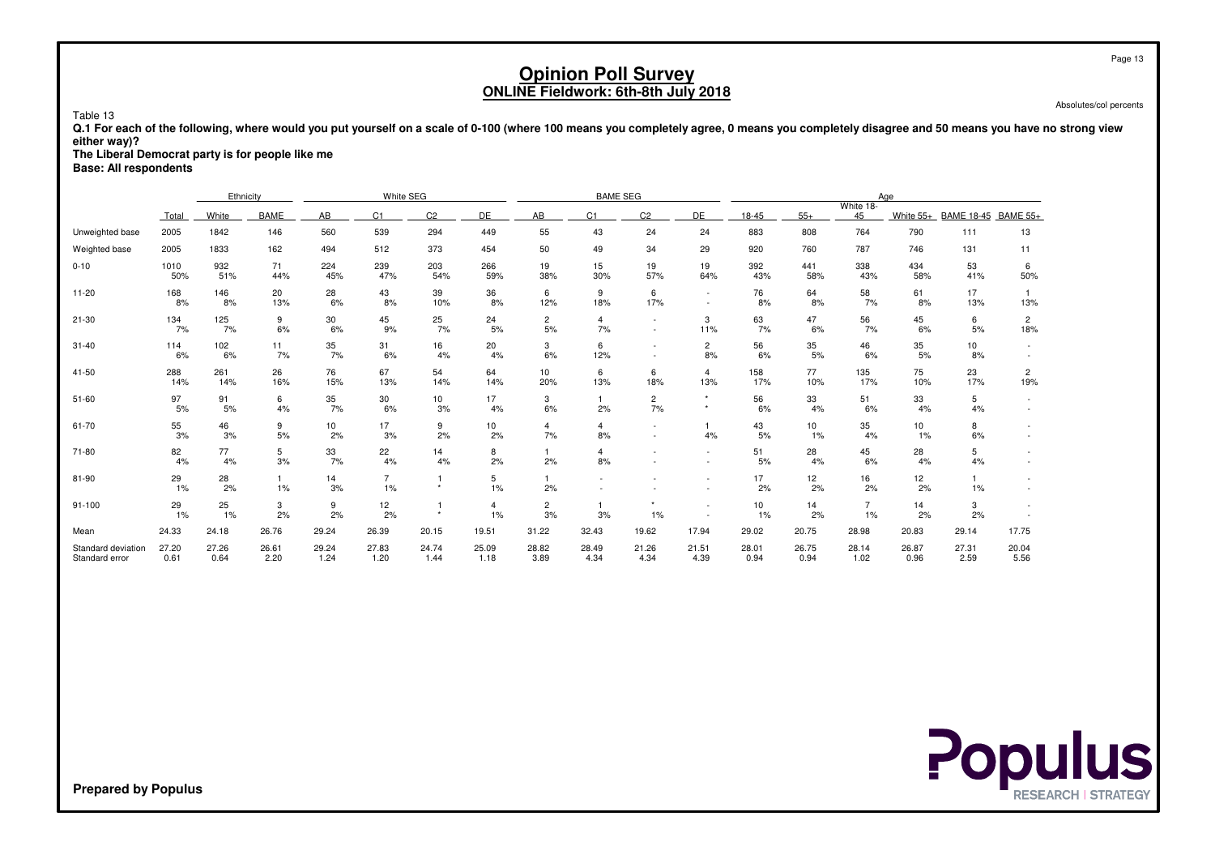Absolutes/col percents

 **Q.1 For each of the following, where would you put yourself on a scale of 0-100 (where 100 means you completely agree, 0 means you completely disagree and 50 means you have no strong vieweither way)?**

**The Liberal Democrat party is for people like me**

**Base: All respondents**

Table 13

|                                      |               | Ethnicity     |                      |               | White SEG            |               |               |                      | <b>BAME SEG</b>      |                    |                                    | Aae<br>White 18- |               |                      |               |                   |                       |
|--------------------------------------|---------------|---------------|----------------------|---------------|----------------------|---------------|---------------|----------------------|----------------------|--------------------|------------------------------------|------------------|---------------|----------------------|---------------|-------------------|-----------------------|
|                                      | Total         | White         | BAME                 | AB            | C <sub>1</sub>       | C2            | DE            | AB                   | C <sub>1</sub>       | C <sub>2</sub>     | DE                                 | 18-45            | $55+$         | 45                   | White 55+     | <b>BAME 18-45</b> | <b>BAME 55+</b>       |
| Unweighted base                      | 2005          | 1842          | 146                  | 560           | 539                  | 294           | 449           | 55                   | 43                   | 24                 | 24                                 | 883              | 808           | 764                  | 790           | 111               | 13                    |
| Weighted base                        | 2005          | 1833          | 162                  | 494           | 512                  | 373           | 454           | 50                   | 49                   | 34                 | 29                                 | 920              | 760           | 787                  | 746           | 131               | 11                    |
| $0 - 10$                             | 1010<br>50%   | 932<br>51%    | 71<br>44%            | 224<br>45%    | 239<br>47%           | 203<br>54%    | 266<br>59%    | 19<br>38%            | 15<br>30%            | 19<br>57%          | 19<br>64%                          | 392<br>43%       | 441<br>58%    | 338<br>43%           | 434<br>58%    | 53<br>41%         | 6<br>50%              |
| $11 - 20$                            | 168<br>8%     | 146<br>8%     | 20<br>13%            | 28<br>6%      | 43<br>8%             | 39<br>10%     | 36<br>8%      | 6<br>12%             | 9<br>18%             | 6<br>17%           | $\sim$<br>$\overline{\phantom{a}}$ | 76<br>8%         | 64<br>8%      | 58<br>7%             | 61<br>8%      | 17<br>13%         | 13%                   |
| $21 - 30$                            | 134<br>7%     | 125<br>7%     | 9<br>6%              | 30<br>6%      | 45<br>9%             | 25<br>7%      | 24<br>5%      | $\overline{2}$<br>5% | $\overline{4}$<br>7% | $\sim$             | 3<br>11%                           | 63<br>7%         | 47<br>6%      | 56<br>7%             | 45<br>6%      | 6<br>5%           | $\overline{2}$<br>18% |
| $31 - 40$                            | 114<br>6%     | 102<br>6%     | 11<br>7%             | 35<br>7%      | 31<br>6%             | 16<br>4%      | 20<br>4%      | 3<br>6%              | 6<br>12%             |                    | $\overline{c}$<br>8%               | 56<br>6%         | 35<br>5%      | 46<br>6%             | 35<br>5%      | 10<br>8%          |                       |
| $41 - 50$                            | 288<br>14%    | 261<br>14%    | 26<br>16%            | 76<br>15%     | 67<br>13%            | 54<br>14%     | 64<br>14%     | 10<br>20%            | 6<br>13%             | 6<br>18%           | $\overline{4}$<br>13%              | 158<br>17%       | 77<br>10%     | 135<br>17%           | 75<br>10%     | 23<br>17%         | $\overline{c}$<br>19% |
| $51 - 60$                            | 97<br>5%      | 91<br>5%      | 6<br>4%              | 35<br>7%      | 30<br>6%             | 10<br>3%      | 17<br>4%      | 3<br>6%              | 2%                   | $\mathbf{2}$<br>7% | $\star$                            | 56<br>6%         | 33<br>4%      | 51<br>6%             | 33<br>4%      | 5<br>4%           |                       |
| 61-70                                | 55<br>3%      | 46<br>3%      | 9<br>5%              | 10<br>2%      | 17<br>3%             | 9<br>2%       | 10<br>2%      | $\overline{4}$<br>7% | $\overline{4}$<br>8% |                    | 4%                                 | 43<br>5%         | 10<br>1%      | 35<br>4%             | 10<br>1%      | 8<br>6%           |                       |
| 71-80                                | 82<br>4%      | 77<br>4%      | 5<br>3%              | 33<br>7%      | 22<br>4%             | 14<br>4%      | 8<br>2%       | 2%                   | 4<br>8%              |                    | $\sim$                             | 51<br>5%         | 28<br>4%      | 45<br>6%             | 28<br>4%      | 5<br>4%           |                       |
| 81-90                                | 29<br>1%      | 28<br>2%      | $\overline{1}$<br>1% | 14<br>3%      | $\overline{7}$<br>1% | $\star$       | 5<br>1%       | 2%                   |                      |                    | ٠                                  | 17<br>2%         | 12<br>2%      | 16<br>2%             | 12<br>2%      | 1<br>$1\%$        |                       |
| 91-100                               | 29<br>1%      | 25<br>$1\%$   | 3<br>2%              | 9<br>2%       | 12<br>2%             | $\star$       | 4<br>1%       | $\overline{c}$<br>3% | 3%                   | $\star$<br>1%      | $\overline{\phantom{a}}$           | 10<br>1%         | 14<br>2%      | $\overline{7}$<br>1% | 14<br>2%      | 3<br>2%           |                       |
| Mean                                 | 24.33         | 24.18         | 26.76                | 29.24         | 26.39                | 20.15         | 19.51         | 31.22                | 32.43                | 19.62              | 17.94                              | 29.02            | 20.75         | 28.98                | 20.83         | 29.14             | 17.75                 |
| Standard deviation<br>Standard error | 27.20<br>0.61 | 27.26<br>0.64 | 26.61<br>2.20        | 29.24<br>1.24 | 27.83<br>1.20        | 24.74<br>1.44 | 25.09<br>1.18 | 28.82<br>3.89        | 28.49<br>4.34        | 21.26<br>4.34      | 21.51<br>4.39                      | 28.01<br>0.94    | 26.75<br>0.94 | 28.14<br>1.02        | 26.87<br>0.96 | 27.31<br>2.59     | 20.04<br>5.56         |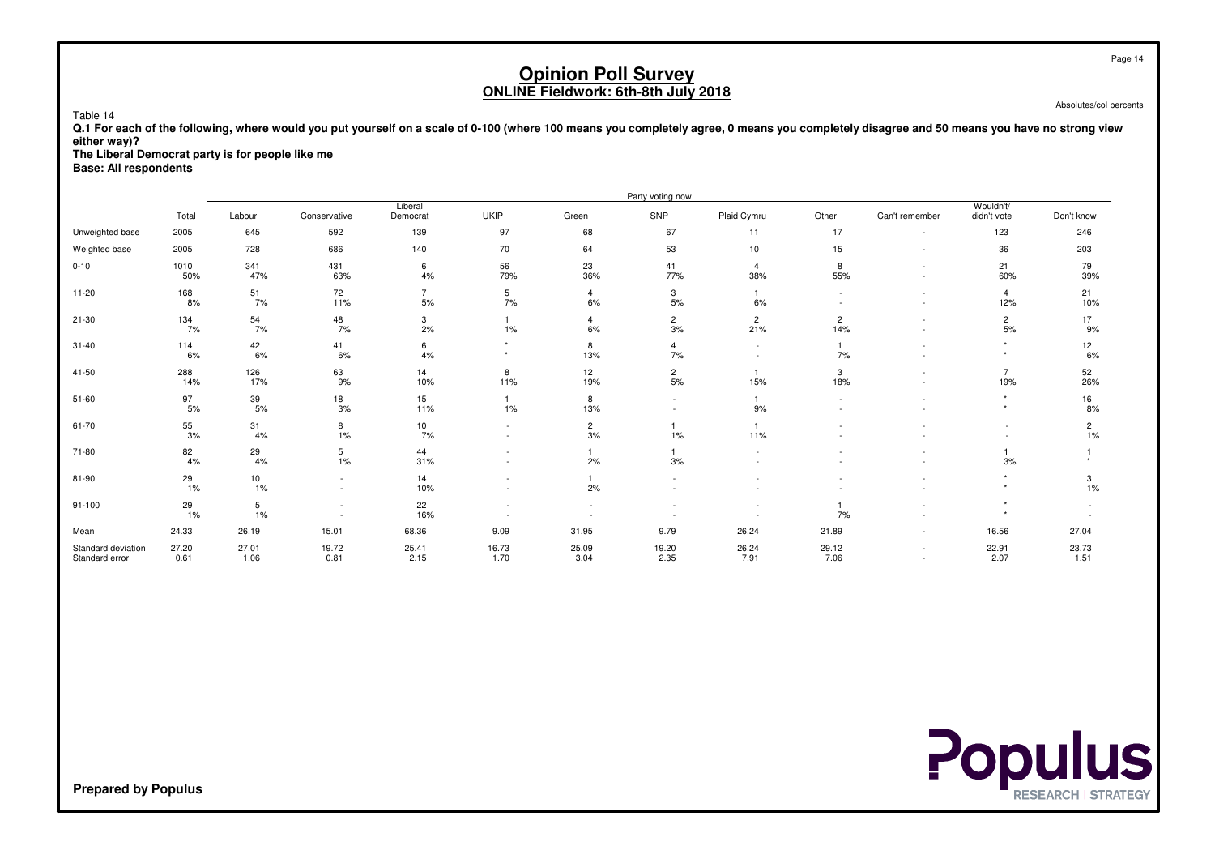Absolutes/col percents

#### **Q.1 For each of the following, where would you put yourself on a scale of 0-100 (where 100 means you completely agree, 0 means you completely disagree and 50 means you have no strong vieweither way)?**

**The Liberal Democrat party is for people like me**

**Base: All respondents**

Table 14

|                                      |               |               |               |                      |                          |                      | Party voting now     |                          |                          |                                    |                          |                      |
|--------------------------------------|---------------|---------------|---------------|----------------------|--------------------------|----------------------|----------------------|--------------------------|--------------------------|------------------------------------|--------------------------|----------------------|
|                                      | Total         | Labour        | Conservative  | Liberal<br>Democrat  | <b>UKIP</b>              | Green                | SNP                  | Plaid Cymru              | Other                    | Can't remember                     | Wouldn't/<br>didn't vote | Don't know           |
| Unweighted base                      | 2005          | 645           | 592           | 139                  | 97                       | 68                   | 67                   | 11                       | 17                       | $\sim$                             | 123                      | 246                  |
| Weighted base                        | 2005          | 728           | 686           | 140                  | 70                       | 64                   | 53                   | 10 <sup>1</sup>          | 15                       | $\sim$                             | 36                       | 203                  |
| $0 - 10$                             | 1010<br>50%   | 341<br>47%    | 431<br>63%    | 6<br>4%              | 56<br>79%                | 23<br>36%            | 41<br>77%            | $\overline{4}$<br>38%    | 8<br>55%                 | ٠                                  | 21<br>60%                | 79<br>39%            |
| $11 - 20$                            | 168<br>8%     | 51<br>7%      | 72<br>11%     | $\overline{7}$<br>5% | 5<br>7%                  | $\overline{4}$<br>6% | 3<br>5%              | $\mathbf{1}$<br>6%       | $\overline{\phantom{a}}$ | ٠<br>٠                             | 4<br>12%                 | 21<br>10%            |
| 21-30                                | 134<br>7%     | 54<br>7%      | 48<br>7%      | 3<br>2%              | 1%                       | $\overline{4}$<br>6% | $\overline{c}$<br>3% | $\overline{2}$<br>21%    | $\overline{2}$<br>14%    |                                    | $\overline{c}$<br>5%     | 17<br>9%             |
| $31 - 40$                            | 114<br>6%     | 42<br>6%      | 41<br>6%      | 6<br>4%              | $\star$                  | 8<br>13%             | 4<br>7%              | $\overline{\phantom{a}}$ | $\mathbf{1}$<br>7%       | ٠                                  | $\star$<br>$\star$       | 12<br>6%             |
| 41-50                                | 288<br>14%    | 126<br>17%    | 63<br>9%      | 14<br>10%            | 8<br>11%                 | 12<br>19%            | $\overline{c}$<br>5% | 15%                      | 3<br>18%                 | $\sim$                             | 7<br>19%                 | 52<br>26%            |
| $51 - 60$                            | 97<br>5%      | 39<br>5%      | 18<br>3%      | 15<br>11%            | $\mathbf{1}$<br>$1\%$    | 8<br>13%             | ٠                    | $\overline{1}$<br>9%     | $\sim$                   |                                    |                          | 16<br>8%             |
| 61-70                                | 55<br>3%      | 31<br>4%      | 8<br>$1\%$    | 10<br>7%             | $\sim$<br>$\sim$         | $\overline{2}$<br>3% | 1%                   | $\overline{1}$<br>11%    |                          |                                    |                          | $\overline{c}$<br>1% |
| 71-80                                | 82<br>4%      | 29<br>4%      | 5<br>1%       | 44<br>31%            | $\overline{\phantom{a}}$ | 2%                   | 3%                   |                          |                          |                                    | 3%                       |                      |
| 81-90                                | 29<br>1%      | 10<br>1%      |               | 14<br>10%            |                          | 2%                   |                      |                          |                          |                                    |                          | 3<br>$1\%$           |
| 91-100                               | 29<br>1%      | 5<br>1%       |               | 22<br>16%            |                          |                      |                      |                          | $\overline{1}$<br>7%     |                                    |                          |                      |
| Mean                                 | 24.33         | 26.19         | 15.01         | 68.36                | 9.09                     | 31.95                | 9.79                 | 26.24                    | 21.89                    | $\sim$                             | 16.56                    | 27.04                |
| Standard deviation<br>Standard error | 27.20<br>0.61 | 27.01<br>1.06 | 19.72<br>0.81 | 25.41<br>2.15        | 16.73<br>1.70            | 25.09<br>3.04        | 19.20<br>2.35        | 26.24<br>7.91            | 29.12<br>7.06            | $\sim$<br>$\overline{\phantom{a}}$ | 22.91<br>2.07            | 23.73<br>1.51        |

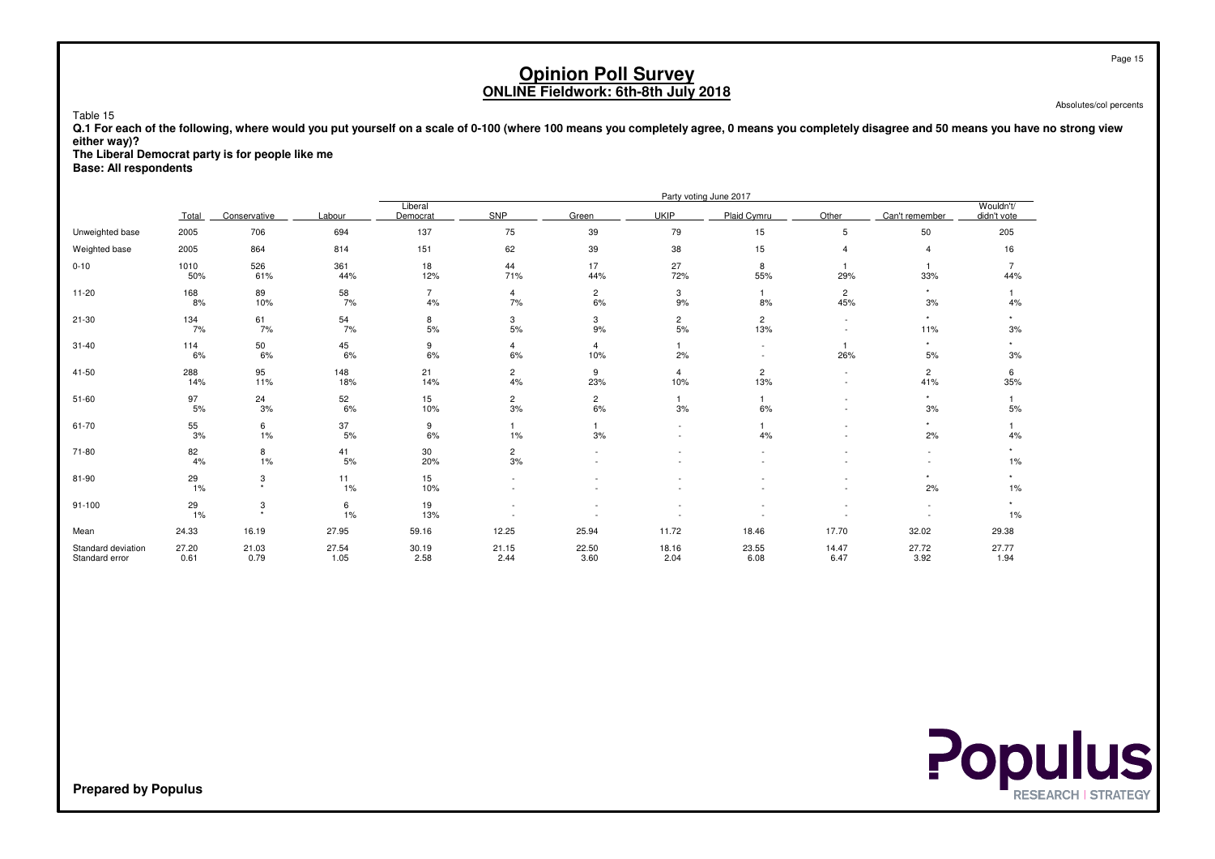Absolutes/col percents

Table 15 **Q.1 For each of the following, where would you put yourself on a scale of 0-100 (where 100 means you completely agree, 0 means you completely disagree and 50 means you have no strong vieweither way)?**

**The Liberal Democrat party is for people like me**

**Base: All respondents**

|                                      |               |               |               |                      |                               |                       |                        | Party voting June 2017 |                       |                       |                          |
|--------------------------------------|---------------|---------------|---------------|----------------------|-------------------------------|-----------------------|------------------------|------------------------|-----------------------|-----------------------|--------------------------|
|                                      | Total         | Conservative  | Labour        | Liberal<br>Democrat  | SNP                           | Green                 | <b>UKIP</b>            | Plaid Cvmru            | Other                 | Can't remember        | Wouldn't/<br>didn't vote |
| Unweighted base                      | 2005          | 706           | 694           | 137                  | 75                            | 39                    | 79                     | 15                     | 5                     | 50                    | 205                      |
| Weighted base                        | 2005          | 864           | 814           | 151                  | 62                            | 39                    | 38                     | 15                     | $\overline{4}$        | 4                     | 16                       |
| $0 - 10$                             | 1010<br>50%   | 526<br>61%    | 361<br>44%    | 18<br>12%            | 44<br>71%                     | 17<br>44%             | 27<br>72%              | 8<br>55%               | $\mathbf{1}$<br>29%   | $\overline{1}$<br>33% | 44%                      |
| $11 - 20$                            | 168<br>8%     | 89<br>10%     | 58<br>7%      | $\overline{7}$<br>4% | $\overline{4}$<br>7%          | $\overline{c}$<br>6%  | 3<br>9%                | 8%                     | $\overline{c}$<br>45% | $\star$<br>3%         | 4%                       |
| $21 - 30$                            | 134<br>7%     | 61<br>7%      | 54<br>7%      | 8<br>$5%$            | 3<br>5%                       | 3<br>9%               | $\overline{c}$<br>$5%$ | $\overline{c}$<br>13%  | $\sim$<br>$\sim$      | $\star$<br>11%        | 3%                       |
| $31 - 40$                            | 114<br>6%     | 50<br>6%      | 45<br>6%      | 9<br>6%              | 4<br>6%                       | $\overline{4}$<br>10% | 2%                     |                        | $\mathbf{1}$<br>26%   | $\star$<br>5%         | 3%                       |
| 41-50                                | 288<br>14%    | 95<br>11%     | 148<br>18%    | 21<br>14%            | $\overline{c}$<br>4%          | 9<br>23%              | $\overline{4}$<br>10%  | $\overline{c}$<br>13%  | $\sim$<br>$\sim$      | $\overline{c}$<br>41% | 6<br>35%                 |
| $51 - 60$                            | 97<br>5%      | 24<br>3%      | 52<br>6%      | 15<br>10%            | $\overline{\mathbf{c}}$<br>3% | $\overline{c}$<br>6%  | 3%                     | 6%                     |                       | $\star$<br>3%         | 5%                       |
| 61-70                                | 55<br>3%      | 6<br>1%       | 37<br>5%      | 9<br>6%              | 1%                            | 3%                    |                        | 4%                     |                       | $\star$<br>2%         | 4%                       |
| 71-80                                | 82<br>4%      | 8<br>1%       | 41<br>5%      | 30<br>20%            | $\overline{c}$<br>3%          |                       |                        |                        |                       |                       | $1\%$                    |
| 81-90                                | 29<br>1%      | 3<br>$\star$  | 11<br>1%      | 15<br>10%            |                               |                       |                        |                        |                       | ٠<br>2%               | 1%                       |
| $91 - 100$                           | 29<br>1%      | 3<br>٠        | 6<br>1%       | 19<br>13%            |                               |                       | ٠                      |                        |                       |                       | $\star$<br>$1\%$         |
| Mean                                 | 24.33         | 16.19         | 27.95         | 59.16                | 12.25                         | 25.94                 | 11.72                  | 18.46                  | 17.70                 | 32.02                 | 29.38                    |
| Standard deviation<br>Standard error | 27.20<br>0.61 | 21.03<br>0.79 | 27.54<br>1.05 | 30.19<br>2.58        | 21.15<br>2.44                 | 22.50<br>3.60         | 18.16<br>2.04          | 23.55<br>6.08          | 14.47<br>6.47         | 27.72<br>3.92         | 27.77<br>1.94            |

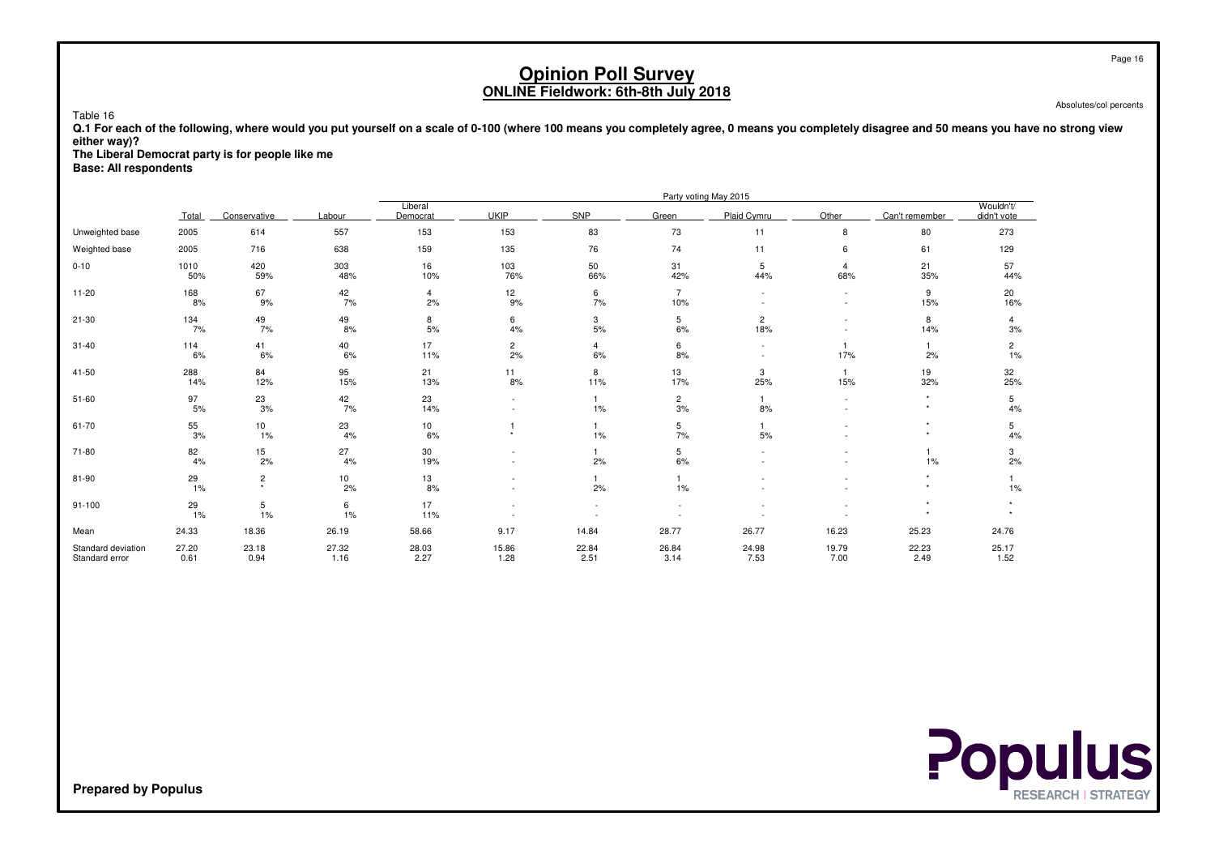Absolutes/col percents

Table 16 **Q.1 For each of the following, where would you put yourself on a scale of 0-100 (where 100 means you completely agree, 0 means you completely disagree and 50 means you have no strong vieweither way)?**

 **The Liberal Democrat party is for people like meBase: All respondents**

|                                      |               |                           |               |                     |                      |                      |                          | Party voting May 2015 |                                    |                |                          |
|--------------------------------------|---------------|---------------------------|---------------|---------------------|----------------------|----------------------|--------------------------|-----------------------|------------------------------------|----------------|--------------------------|
|                                      | Total         | Conservative              | Labour        | Liberal<br>Democrat | <b>UKIP</b>          | SNP                  | Green                    | Plaid Cymru           | Other                              | Can't remember | Wouldn't/<br>didn't vote |
| Unweighted base                      | 2005          | 614                       | 557           | 153                 | 153                  | 83                   | 73                       | 11                    | 8                                  | 80             | 273                      |
| Weighted base                        | 2005          | 716                       | 638           | 159                 | 135                  | 76                   | 74                       | 11                    | 6                                  | 61             | 129                      |
| $0 - 10$                             | 1010<br>50%   | 420<br>59%                | 303<br>48%    | 16<br>10%           | 103<br>76%           | 50<br>66%            | 31<br>42%                | 5<br>44%              | $\overline{4}$<br>68%              | 21<br>35%      | 57<br>44%                |
| $11 - 20$                            | 168<br>8%     | 67<br>9%                  | 42<br>7%      | 4<br>2%             | 12<br>9%             | 6<br>7%              | $\overline{7}$<br>10%    |                       | $\overline{\phantom{a}}$<br>$\sim$ | 9<br>15%       | 20<br>16%                |
| 21-30                                | 134<br>7%     | 49<br>7%                  | 49<br>8%      | 8<br>$5%$           | 6<br>4%              | 3<br>$5%$            | 5<br>6%                  | $\overline{c}$<br>18% |                                    | 8<br>14%       | 4<br>3%                  |
| $31 - 40$                            | 114<br>6%     | 41<br>6%                  | 40<br>6%      | 17<br>11%           | $\overline{c}$<br>2% | $\overline{4}$<br>6% | 6<br>8%                  |                       | 17%                                | 2%             | $\overline{2}$<br>1%     |
| 41-50                                | 288<br>14%    | 84<br>12%                 | 95<br>15%     | 21<br>13%           | 11<br>8%             | 8<br>11%             | 13<br>17%                | 3<br>25%              | $\mathbf{1}$<br>15%                | 19<br>32%      | 32<br>25%                |
| $51 - 60$                            | 97<br>5%      | 23<br>3%                  | 42<br>7%      | 23<br>14%           |                      | 1%                   | $\overline{2}$<br>3%     | 8%                    | ٠                                  | $\star$        | 5<br>4%                  |
| 61-70                                | 55<br>3%      | 10<br>1%                  | 23<br>4%      | 10<br>6%            | $\ddot{}$            | 1%                   | 5<br>7%                  | 5%                    |                                    | ٠<br>٠         | 5<br>4%                  |
| 71-80                                | 82<br>4%      | 15<br>2%                  | 27<br>4%      | 30<br>19%           |                      | 2%                   | 5<br>6%                  |                       |                                    | 1%             | 3<br>2%                  |
| 81-90                                | 29<br>$1\%$   | $\overline{c}$<br>$\star$ | 10<br>2%      | 13<br>8%            |                      | 2%                   | 1%                       |                       |                                    |                | $1\%$                    |
| $91 - 100$                           | 29<br>1%      | $\overline{5}$<br>1%      | 6<br>1%       | 17<br>11%           | ٠                    | $\sim$               | $\overline{\phantom{a}}$ |                       |                                    | $\star$        |                          |
| Mean                                 | 24.33         | 18.36                     | 26.19         | 58.66               | 9.17                 | 14.84                | 28.77                    | 26.77                 | 16.23                              | 25.23          | 24.76                    |
| Standard deviation<br>Standard error | 27.20<br>0.61 | 23.18<br>0.94             | 27.32<br>1.16 | 28.03<br>2.27       | 15.86<br>1.28        | 22.84<br>2.51        | 26.84<br>3.14            | 24.98<br>7.53         | 19.79<br>7.00                      | 22.23<br>2.49  | 25.17<br>1.52            |

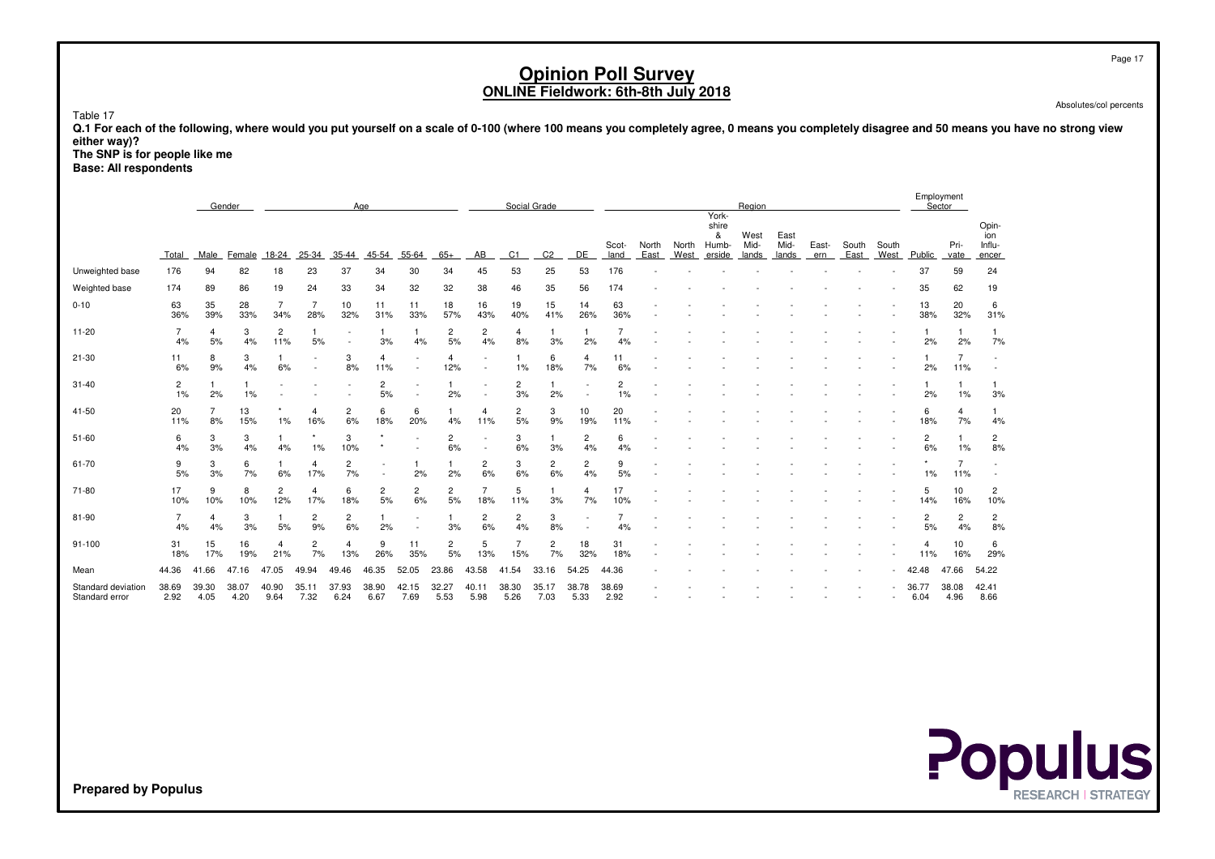Absolutes/col percents

Table 17

 **Q.1 For each of the following, where would you put yourself on a scale of 0-100 (where 100 means you completely agree, 0 means you completely disagree and 50 means you have no strong vieweither way)?**

 **The SNP is for people like meBase: All respondents**

|                                             |                      |               | Gender        |                       |                      |                      | Age                  |                      |               |                      |                       | Social Grade   |               |                      |               |               |                                        | Region                |                       |              |               |               |               | Employment<br>Sector  |                                 |  |
|---------------------------------------------|----------------------|---------------|---------------|-----------------------|----------------------|----------------------|----------------------|----------------------|---------------|----------------------|-----------------------|----------------|---------------|----------------------|---------------|---------------|----------------------------------------|-----------------------|-----------------------|--------------|---------------|---------------|---------------|-----------------------|---------------------------------|--|
|                                             | Total                | Male          | Female        | 18-24                 | 25-34                | 35-44                | 45-54                | 55-64                | $65+$         | AB                   | C <sub>1</sub>        | C <sub>2</sub> | DE            | Scot-<br>land        | North<br>East | North<br>West | York-<br>shire<br>&<br>Humb-<br>erside | West<br>Mid-<br>lands | East<br>Mid-<br>lands | East-<br>ern | South<br>East | South<br>West | Public        | Pri-<br>vate          | Opin-<br>ion<br>Influ-<br>encer |  |
| Unweighted base                             | 176                  | 94            | 82            | 18                    | 23                   | 37                   | 34                   | 30                   | 34            | 45                   | 53                    | 25             | 53            | 176                  |               |               |                                        |                       |                       |              |               |               | 37            | 59                    | 24                              |  |
| Weighted base                               | 174                  | 89            | 86            | 19                    | 24                   | 33                   | 34                   | 32                   | 32            | 38                   | 46                    | 35             | 56            | 174                  |               |               |                                        |                       |                       |              |               |               | 35            | 62                    | 19                              |  |
| $0 - 10$                                    | 63<br>36%            | 35<br>39%     | 28<br>33%     | $\overline{7}$<br>34% | 28%                  | 10<br>32%            | 11<br>31%            | 11<br>33%            | 18<br>57%     | 16<br>43%            | 19<br>40%             | 15<br>41%      | 14<br>26%     | 63<br>36%            |               |               |                                        |                       |                       |              |               |               | 13<br>38%     | 20<br>32%             | 6<br>31%                        |  |
| 11-20                                       | 7<br>4%              | 4<br>5%       | 3<br>4%       | $\overline{c}$<br>11% | 5%                   |                      | 3%                   | 4%                   | 2<br>5%       | $\overline{c}$<br>4% | 4<br>8%               | 3%             | 2%            | 7<br>4%              |               |               |                                        |                       |                       |              |               |               | 2%            | 2%                    | $\mathbf{1}$<br>7%              |  |
| 21-30                                       | 11<br>6%             | 8<br>9%       | 3<br>4%       | 6%                    |                      | 3<br>8%              | 4<br>11%             |                      | 4<br>12%      |                      | 1%                    | 6<br>18%       | 4<br>7%       | 11<br>6%             |               |               |                                        |                       |                       |              |               |               | 2%            | 11%                   |                                 |  |
| 31-40                                       | $\overline{c}$<br>1% | 2%            | 1%            |                       |                      |                      | $\overline{c}$<br>5% |                      | 2%            |                      | $\overline{c}$<br>3%  | 2%             |               | $\overline{2}$<br>1% |               |               |                                        |                       |                       |              |               |               | 2%            | 1%                    | 3%                              |  |
| 41-50                                       | 20<br>11%            | 8%            | 13<br>15%     | $1\%$                 | 4<br>16%             | $\overline{c}$<br>6% | 6<br>18%             | 6<br>20%             | 4%            | 4<br>11%             | $\overline{c}$<br>5%  | 3<br>9%        | 10<br>19%     | 20<br>11%            |               |               |                                        |                       |                       |              |               |               | 6<br>18%      | 4<br>7%               | 4%                              |  |
| 51-60                                       | 6<br>4%              | 3<br>3%       | 3<br>4%       | 4%                    | 1%                   | 3<br>10%             |                      |                      | 2<br>6%       |                      | 3<br>6%               | 3%             | 2<br>4%       | 6<br>4%              |               |               |                                        |                       |                       |              |               |               | 2<br>6%       | 1%                    | $\overline{c}$<br>8%            |  |
| 61-70                                       | 9<br>5%              | 3<br>3%       | 6<br>7%       | 6%                    | 4<br>17%             | 2<br>7%              |                      | 2%                   | 2%            | $\overline{c}$<br>6% | 3<br>6%               | 2<br>6%        | 2<br>4%       | 9<br>5%              |               |               |                                        |                       |                       |              |               |               | 1%            | $\overline{7}$<br>11% |                                 |  |
| 71-80                                       | 17<br>10%            | 9<br>10%      | 8<br>10%      | $\overline{2}$<br>12% | 4<br>17%             | 6<br>18%             | 2<br>5%              | $\overline{c}$<br>6% | 2<br>5%       | 7<br>18%             | 5<br>11%              | 3%             | 4<br>7%       | 17<br>10%            |               |               |                                        |                       |                       |              |               |               | 5<br>14%      | 10<br>16%             | $\overline{c}$<br>10%           |  |
| 81-90                                       | 7<br>4%              | 4<br>4%       | 3<br>3%       | 5%                    | 2<br>9%              | $\overline{2}$<br>6% | 2%                   |                      | 3%            | $\overline{2}$<br>6% | 2<br>4%               | 3<br>8%        |               | 7<br>4%              |               |               |                                        |                       |                       |              |               |               | 2<br>5%       | $\overline{c}$<br>4%  | $\overline{c}$<br>8%            |  |
| 91-100                                      | 31<br>18%            | 15<br>17%     | 16<br>19%     | $\overline{4}$<br>21% | $\overline{2}$<br>7% | 13%                  | 9<br>26%             | 11<br>35%            | 2<br>5%       | 5<br>13%             | $\overline{7}$<br>15% | 2<br>7%        | 18<br>32%     | 31<br>18%            |               |               |                                        |                       |                       |              |               |               | 4<br>11%      | 10<br>16%             | 6<br>29%                        |  |
| Mean                                        | 44.36                | 41.66         | 47.16         | 47.05                 | 49.94                | 49.46                | 46.35                | 52.05                | 23.86         | 43.58                | 41.54                 | 33.16          | 54.25         | 44.36                |               |               |                                        |                       |                       |              |               |               | 42.48         | 47.66                 | 54.22                           |  |
| <b>Standard deviation</b><br>Standard error | 38.69<br>2.92        | 39.30<br>4.05 | 38.07<br>4.20 | 40.90<br>9.64         | 35.11<br>7.32        | 37.93<br>6.24        | 38.90<br>6.67        | 42.15<br>7.69        | 32.27<br>5.53 | 40.11<br>5.98        | 38.30<br>5.26         | 35.17<br>7.03  | 38.78<br>5.33 | 38.69<br>2.92        |               |               |                                        |                       |                       |              |               |               | 36.77<br>6.04 | 38.08<br>4.96         | 42.41<br>8.66                   |  |



Page 17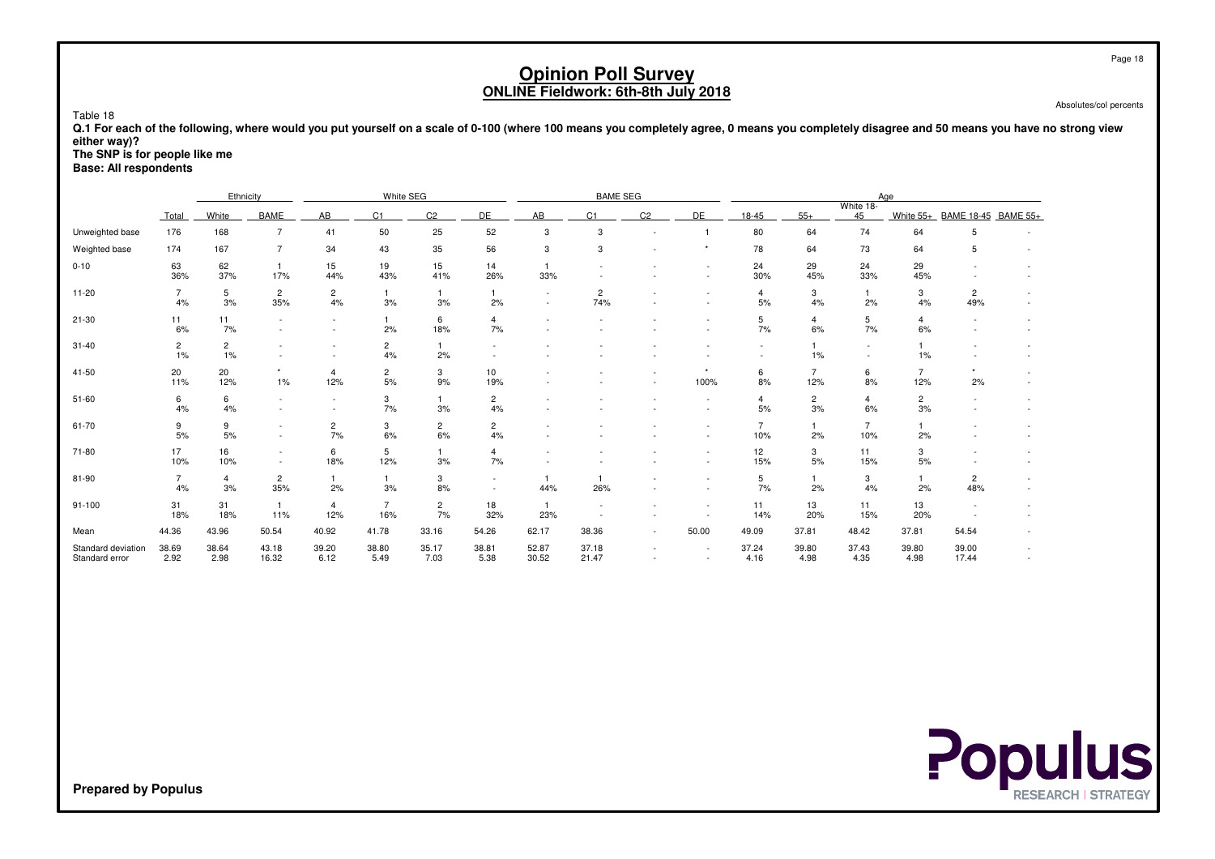|                                      |                                                                                                                                                                                                                                                                                                 |                      |                       |                                                      |                       |                      |                      |                       | <b>Opinion Poll Survey</b>                 |                          |                                                      |                       |                       |                       |                       |                       |  | Page 18                |
|--------------------------------------|-------------------------------------------------------------------------------------------------------------------------------------------------------------------------------------------------------------------------------------------------------------------------------------------------|----------------------|-----------------------|------------------------------------------------------|-----------------------|----------------------|----------------------|-----------------------|--------------------------------------------|--------------------------|------------------------------------------------------|-----------------------|-----------------------|-----------------------|-----------------------|-----------------------|--|------------------------|
| Table 18                             |                                                                                                                                                                                                                                                                                                 |                      |                       |                                                      |                       |                      |                      |                       | <b>ONLINE Fieldwork: 6th-8th July 2018</b> |                          |                                                      |                       |                       |                       |                       |                       |  | Absolutes/col percents |
| either way)?                         | Q.1 For each of the following, where would you put yourself on a scale of 0-100 (where 100 means you completely agree, 0 means you completely disagree and 50 means you have no strong view<br>The SNP is for people like me<br><b>Base: All respondents</b><br>White SEG<br>Ethnicity          |                      |                       |                                                      |                       |                      |                      |                       |                                            |                          |                                                      |                       |                       |                       |                       |                       |  |                        |
|                                      |                                                                                                                                                                                                                                                                                                 |                      |                       |                                                      |                       |                      |                      |                       | <b>BAME SEG</b>                            |                          |                                                      |                       |                       |                       | Age                   |                       |  |                        |
|                                      | <b>Total</b>                                                                                                                                                                                                                                                                                    | White                | <b>BAME</b>           | AB                                                   | C1                    | C <sub>2</sub>       | <b>DE</b>            | AB                    | C <sub>1</sub>                             | C <sub>2</sub>           | DE                                                   | 18-45                 | $55+$                 | White 18-<br>45       | White 55+             | BAME 18-45 BAME 55+   |  |                        |
| Unweighted base                      | 176                                                                                                                                                                                                                                                                                             | 168                  | $\overline{7}$        | 41                                                   | 50                    | 25                   | 52                   | 3                     | 3                                          |                          |                                                      | 80                    | 64                    | 74                    | 64                    | 5                     |  |                        |
| Weighted base                        | 174<br>$\overline{7}$<br>43<br>35<br>56<br>3<br>3<br>78<br>73<br>167<br>34<br>64<br>64<br>5<br>63<br>62<br>15<br>19<br>15<br>14<br>24<br>29<br>24<br>29<br>$\mathbf{1}$<br>$\mathbf{1}$<br>$\sim$<br>30%<br>36%<br>26%<br>45%<br>33%<br>37%<br>17%<br>44%<br>43%<br>41%<br>33%<br>45%<br>$\sim$ |                      |                       |                                                      |                       |                      |                      |                       |                                            |                          |                                                      |                       |                       |                       |                       |                       |  |                        |
| $0 - 10$                             | $\overline{7}$<br>5<br>$\overline{2}$<br>$\overline{c}$<br>$\overline{c}$<br>3<br>3<br>$\overline{2}$<br>$\mathbf{1}$<br>$\mathbf{1}$<br>$\overline{1}$<br>4<br>$\overline{1}$                                                                                                                  |                      |                       |                                                      |                       |                      |                      |                       |                                            |                          |                                                      |                       |                       |                       |                       |                       |  |                        |
| $11 - 20$                            | 4%                                                                                                                                                                                                                                                                                              | 3%                   | 35%                   | 4%                                                   | 3%                    | 3%                   | 2%                   |                       | 74%                                        |                          |                                                      | 5%                    | 4%                    | 2%                    | 4%                    | 49%                   |  |                        |
| $21 - 30$                            | 11<br>6%                                                                                                                                                                                                                                                                                        | 11<br>7%             | $\sim$                | $\overline{\phantom{a}}$                             | $\mathbf{1}$<br>2%    | 6<br>18%             | 4<br>7%              |                       |                                            |                          |                                                      | 5<br>7%               | $\overline{4}$<br>6%  | 5<br>7%               | $\overline{4}$<br>6%  |                       |  |                        |
| $31 - 40$                            | $\overline{a}$<br>1%                                                                                                                                                                                                                                                                            | $\overline{2}$<br>1% |                       |                                                      | $\overline{c}$<br>4%  | $\mathbf{1}$<br>2%   |                      |                       |                                            |                          |                                                      | $\sim$                | $\mathbf{1}$<br>1%    | $\sim$                | $\mathbf{1}$<br>1%    |                       |  |                        |
| 41-50                                | 20<br>11%                                                                                                                                                                                                                                                                                       | 20<br>12%            | *<br>1%               | $\overline{4}$<br>12%                                | $\overline{c}$<br>5%  | 3<br>9%              | 10<br>19%            |                       |                                            |                          | 100%                                                 | 6<br>8%               | $\overline{7}$<br>12% | 6<br>8%               | $\overline{7}$<br>12% | 2%                    |  |                        |
| $51 - 60$                            | 6<br>4%                                                                                                                                                                                                                                                                                         | 6<br>4%              | $\sim$<br>$\sim$      | $\overline{\phantom{a}}$<br>$\overline{\phantom{a}}$ | 3<br>7%               | $\mathbf{1}$<br>3%   | $\overline{c}$<br>4% |                       |                                            |                          | $\sim$                                               | 4<br>5%               | $\overline{c}$<br>3%  | $\overline{4}$<br>6%  | $\overline{c}$<br>3%  |                       |  |                        |
| 61-70                                | 9<br>5%                                                                                                                                                                                                                                                                                         | 9<br>5%              | $\sim$<br>$\sim$      | $\overline{2}$<br>7%                                 | 3<br>6%               | $\overline{2}$<br>6% | $\overline{2}$<br>4% |                       |                                            |                          | $\sim$                                               | $\overline{7}$<br>10% | $\mathbf{1}$<br>2%    | $\overline{7}$<br>10% | $\mathbf{1}$<br>2%    |                       |  |                        |
| 71-80                                | 17<br>10%                                                                                                                                                                                                                                                                                       | 16<br>10%            | $\sim$<br>$\sim$      | 6<br>18%                                             | 5<br>12%              | $\mathbf{1}$<br>3%   | 4<br>7%              |                       |                                            |                          | $\sim$                                               | 12<br>15%             | 3<br>5%               | 11<br>15%             | 3<br>5%               |                       |  |                        |
| 81-90                                | $\overline{7}$<br>4%                                                                                                                                                                                                                                                                            | $\overline{4}$<br>3% | $\overline{c}$<br>35% | $\mathbf{1}$<br>2%                                   | $\overline{1}$<br>3%  | 3<br>8%              | $\sim$               | $\mathbf{1}$<br>44%   | $\overline{1}$<br>26%                      |                          | $\sim$                                               | 5<br>7%               | $\mathbf{1}$<br>2%    | 3<br>4%               | $\mathbf{1}$<br>2%    | $\overline{2}$<br>48% |  |                        |
| $91 - 100$                           | 31<br>18%                                                                                                                                                                                                                                                                                       | 31<br>18%            | $\mathbf{1}$<br>11%   | $\overline{4}$<br>12%                                | $\overline{7}$<br>16% | $\overline{c}$<br>7% | 18<br>32%            | $\overline{1}$<br>23% | $\overline{\phantom{a}}$<br>$\sim$         | $\tilde{\phantom{a}}$    | $\overline{\phantom{a}}$<br>$\overline{\phantom{a}}$ | 11<br>14%             | 13<br>20%             | 11<br>15%             | 13<br>20%             |                       |  |                        |
| Mean                                 | 44.36                                                                                                                                                                                                                                                                                           | 43.96                | 50.54                 | 40.92                                                | 41.78                 | 33.16                | 54.26                | 62.17                 | 38.36                                      | $\overline{\phantom{a}}$ | 50.00                                                | 49.09                 | 37.81                 | 48.42                 | 37.81                 | 54.54                 |  |                        |
| Standard deviation<br>Standard error | 38.69<br>2.92                                                                                                                                                                                                                                                                                   | 38.64<br>2.98        | 43.18<br>16.32        | 39.20<br>6.12                                        | 38.80<br>5.49         | 35.17<br>7.03        | 38.81<br>5.38        | 52.87<br>30.52        | 37.18<br>21.47                             | $\sim$<br>$\sim$         | $\sim$                                               | 37.24<br>4.16         | 39.80<br>4.98         | 37.43<br>4.35         | 39.80<br>4.98         | 39.00<br>17.44        |  |                        |

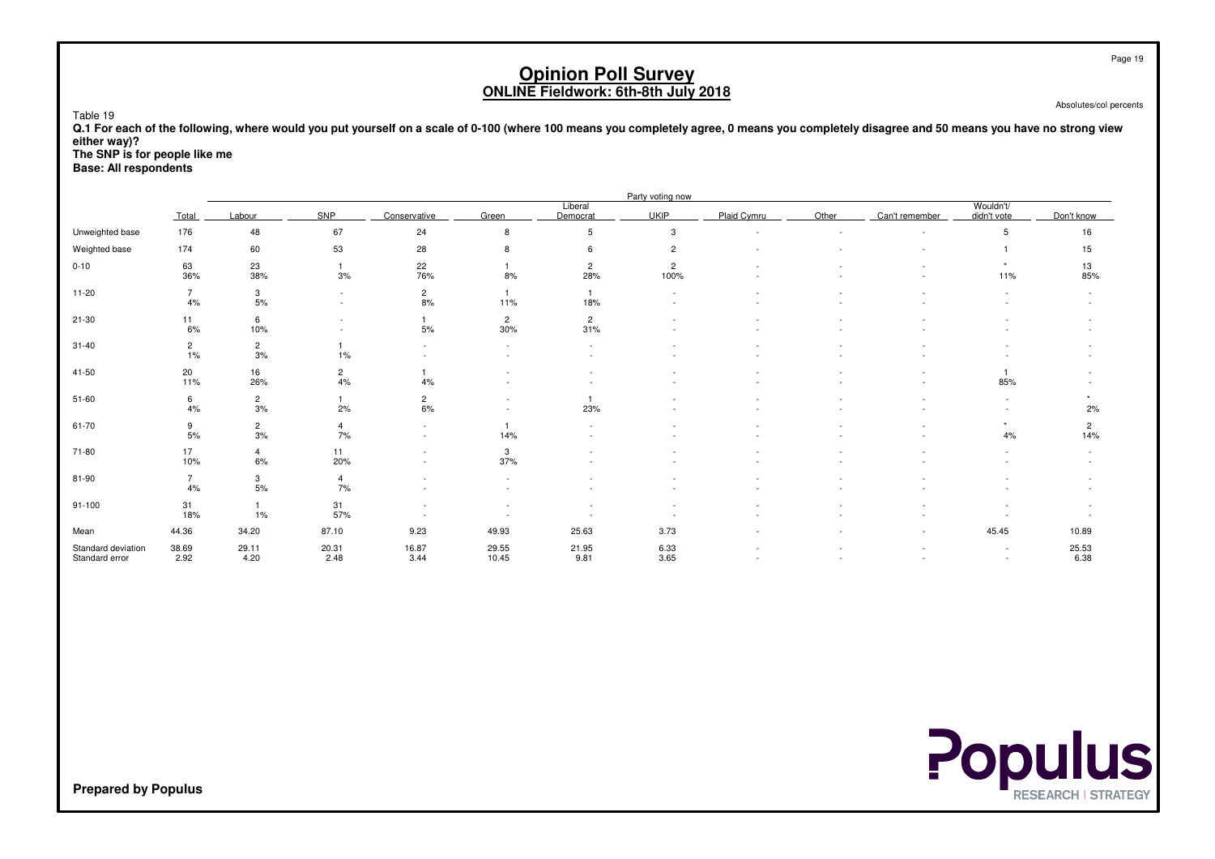Absolutes/col percents

 **Q.1 For each of the following, where would you put yourself on a scale of 0-100 (where 100 means you completely agree, 0 means you completely disagree and 50 means you have no strong vieweither way)?**

**The SNP is for people like me**

**Base: All respondents**

Table 19

|                                      |                         |                      |                          |                                                      |                       |                                | Party voting now       |                          |       |                |                          |                       |
|--------------------------------------|-------------------------|----------------------|--------------------------|------------------------------------------------------|-----------------------|--------------------------------|------------------------|--------------------------|-------|----------------|--------------------------|-----------------------|
|                                      | Total                   | Labour               | SNP                      | Conservative                                         | Green                 | Liberal<br>Democrat            | <b>UKIP</b>            | Plaid Cymru              | Other | Can't remember | Wouldn't/<br>didn't vote | Don't know            |
| Unweighted base                      | 176                     | 48                   | 67                       | 24                                                   | 8                     | 5                              | 3                      | $\overline{\phantom{a}}$ |       |                | 5                        | 16                    |
| Weighted base                        | 174                     | 60                   | 53                       | 28                                                   | 8                     | 6                              | $\overline{2}$         |                          |       |                |                          | 15                    |
| $0 - 10$                             | 63<br>36%               | 23<br>38%            | 3%                       | 22<br>76%                                            | 8%                    | $\overline{2}$<br>28%          | $\overline{c}$<br>100% |                          |       |                | 11%                      | 13<br>85%             |
| $11 - 20$                            | $\overline{7}$<br>4%    | 3<br>5%              | $\sim$<br>$\sim$         | $\overline{c}$<br>8%                                 | 11%                   | $\overline{\mathbf{1}}$<br>18% | $\sim$                 |                          |       |                | $\overline{\phantom{a}}$ |                       |
| $21 - 30$                            | 11<br>6%                | 6<br>10%             | $\overline{\phantom{a}}$ | 5%                                                   | $\overline{2}$<br>30% | $\overline{2}$<br>31%          |                        |                          |       |                |                          |                       |
| $31 - 40$                            | $\overline{2}$<br>$1\%$ | $\overline{2}$<br>3% | 1%                       | $\overline{\phantom{a}}$                             | $\sim$                | $\sim$<br>$\sim$               |                        |                          |       |                |                          |                       |
| 41-50                                | 20<br>11%               | 16<br>26%            | $\overline{c}$<br>4%     | 4%                                                   |                       |                                |                        |                          |       |                | 85%                      |                       |
| $51 - 60$                            | 6<br>4%                 | $\overline{2}$<br>3% | 2%                       | $\overline{c}$<br>6%                                 |                       | 23%                            |                        |                          |       |                |                          | 2%                    |
| 61-70                                | 9<br>5%                 | $\overline{2}$<br>3% | $\overline{4}$<br>7%     | $\overline{\phantom{a}}$<br>$\sim$                   | 14%                   | $\sim$                         |                        |                          |       |                | $\star$<br>4%            | $\overline{c}$<br>14% |
| 71-80                                | 17<br>10%               | $\overline{4}$<br>6% | 11<br>20%                | $\overline{\phantom{a}}$<br>$\overline{\phantom{a}}$ | 3<br>37%              |                                |                        |                          |       |                |                          |                       |
| 81-90                                | $\overline{7}$<br>4%    | 3<br>$5%$            | $\overline{4}$<br>7%     |                                                      |                       |                                |                        |                          |       |                |                          |                       |
| $91 - 100$                           | 31<br>18%               | 1%                   | 31<br>57%                |                                                      |                       |                                |                        |                          |       |                |                          |                       |
| Mean                                 | 44.36                   | 34.20                | 87.10                    | 9.23                                                 | 49.93                 | 25.63                          | 3.73                   |                          |       | $\sim$         | 45.45                    | 10.89                 |
| Standard deviation<br>Standard error | 38.69<br>2.92           | 29.11<br>4.20        | 20.31<br>2.48            | 16.87<br>3.44                                        | 29.55<br>10.45        | 21.95<br>9.81                  | 6.33<br>3.65           |                          |       |                | $\overline{\phantom{a}}$ | 25.53<br>6.38         |

**Populus** 

**Prepared by Populus**

Page 19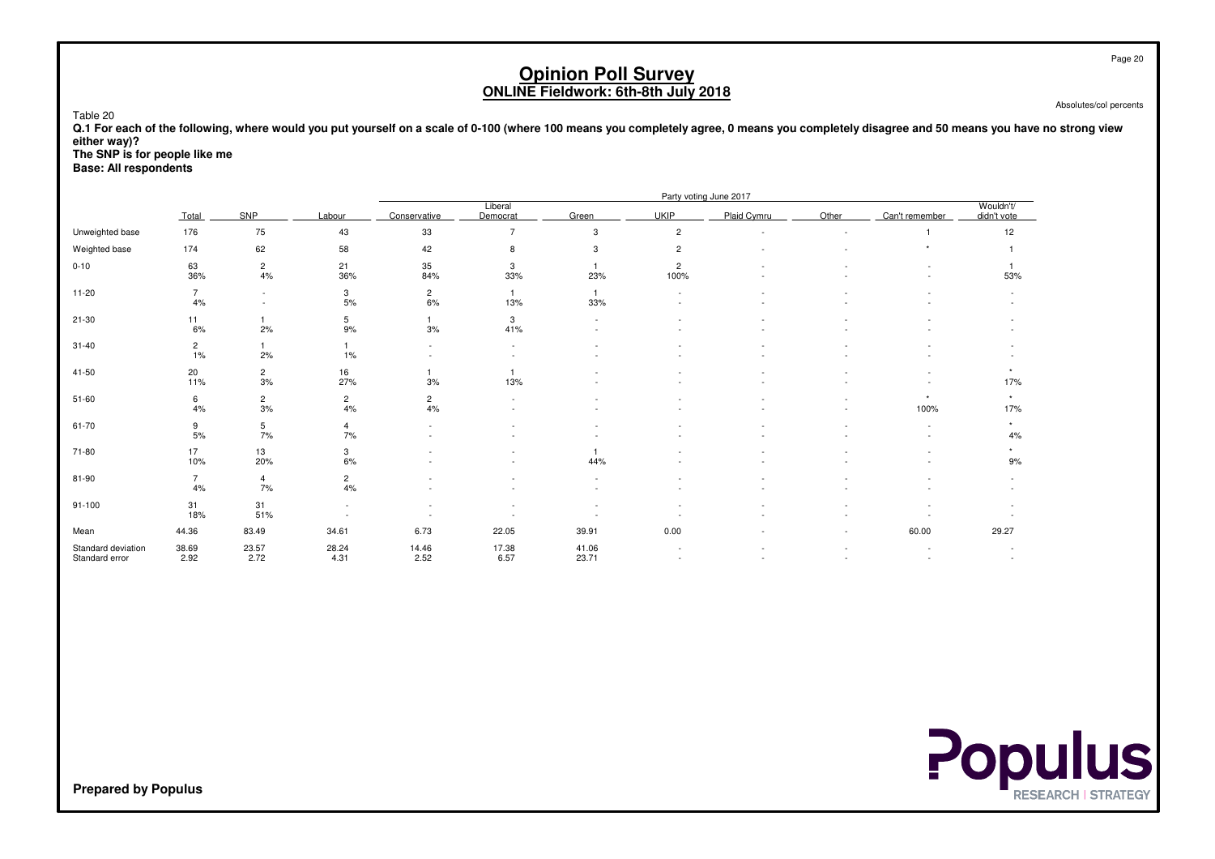| Table 20<br>either way)?<br>The SNP is for people like me<br><b>Base: All respondents</b>                                             |                                                                                                                                                                                                                         |                      |                                                  |                                                   |                          | <b>Opinion Poll Survey</b><br>ONLINE Fieldwork: 6th-8th July 2018 |      |                        |        | Q.1 For each of the following, where would you put yourself on a scale of 0-100 (where 100 means you completely agree, 0 means you completely disagree and 50 means you have no strong view |                | Page 20<br>Absolutes/col percents |  |  |  |
|---------------------------------------------------------------------------------------------------------------------------------------|-------------------------------------------------------------------------------------------------------------------------------------------------------------------------------------------------------------------------|----------------------|--------------------------------------------------|---------------------------------------------------|--------------------------|-------------------------------------------------------------------|------|------------------------|--------|---------------------------------------------------------------------------------------------------------------------------------------------------------------------------------------------|----------------|-----------------------------------|--|--|--|
|                                                                                                                                       |                                                                                                                                                                                                                         |                      |                                                  |                                                   |                          |                                                                   |      | Party voting June 2017 |        |                                                                                                                                                                                             |                |                                   |  |  |  |
|                                                                                                                                       | Wouldn't/<br>Liberal<br>SNP<br><b>UKIP</b><br>Plaid Cymru<br>Other<br>Labour<br>Conservative<br>Democrat<br>Green<br>Can't remember<br>Total<br>didn't vote<br>176<br>75<br>$\overline{7}$<br>$\overline{c}$<br>43<br>3 |                      |                                                  |                                                   |                          |                                                                   |      |                        |        |                                                                                                                                                                                             |                |                                   |  |  |  |
| Unweighted base                                                                                                                       |                                                                                                                                                                                                                         |                      |                                                  | 33                                                |                          |                                                                   |      |                        |        |                                                                                                                                                                                             | 12             |                                   |  |  |  |
| Weighted base<br>174<br>62<br>58<br>42<br>8<br>3<br>$\overline{c}$<br>$\overline{1}$<br>$\overline{1}$                                |                                                                                                                                                                                                                         |                      |                                                  |                                                   |                          |                                                                   |      |                        |        |                                                                                                                                                                                             |                |                                   |  |  |  |
| 63<br>21<br>35<br>3<br>$\overline{c}$<br>$0 - 10$<br>$\overline{2}$<br>36%<br>36%<br>4%<br>84%<br>33%<br>23%<br>100%<br>53%<br>$\sim$ |                                                                                                                                                                                                                         |                      |                                                  |                                                   |                          |                                                                   |      |                        |        |                                                                                                                                                                                             |                |                                   |  |  |  |
| $11 - 20$                                                                                                                             | $\overline{7}$<br>4%                                                                                                                                                                                                    | $\blacksquare$       | 3<br>5%                                          | $\overline{2}$<br>6%                              | $\mathbf{1}$<br>13%      | $\mathbf{1}$<br>33%                                               |      |                        |        |                                                                                                                                                                                             |                |                                   |  |  |  |
| $21 - 30$                                                                                                                             | 11<br>6%                                                                                                                                                                                                                | $\overline{1}$<br>2% | 5<br>9%                                          | $\overline{1}$<br>3%                              | 3<br>41%                 |                                                                   |      |                        |        |                                                                                                                                                                                             |                |                                   |  |  |  |
| $31 - 40$                                                                                                                             | $\overline{2}$<br>1%                                                                                                                                                                                                    | $\overline{1}$<br>2% | $\overline{1}$<br>1%                             | $\blacksquare$<br>$\sim$                          | $\sim$                   |                                                                   |      |                        |        |                                                                                                                                                                                             |                |                                   |  |  |  |
| 41-50                                                                                                                                 | 20<br>11%                                                                                                                                                                                                               | $\overline{2}$<br>3% | 16<br>27%                                        | $\mathbf{1}$<br>3%                                | $\overline{1}$<br>13%    |                                                                   |      |                        |        |                                                                                                                                                                                             | $\star$<br>17% |                                   |  |  |  |
| $51 - 60$                                                                                                                             | 6<br>4%                                                                                                                                                                                                                 | $\overline{2}$<br>3% | $\overline{c}$<br>4%                             | $\mathbf{2}$<br>4%                                | $\sim$                   |                                                                   |      |                        | $\sim$ | $\star$<br>100%                                                                                                                                                                             | $\star$<br>17% |                                   |  |  |  |
| 61-70                                                                                                                                 | 9<br>5%                                                                                                                                                                                                                 | 5<br>7%              | $\overline{4}$<br>7%                             | $\overline{\phantom{a}}$<br>$\tilde{\phantom{a}}$ | $\overline{\phantom{a}}$ |                                                                   |      |                        |        |                                                                                                                                                                                             | $\star$<br>4%  |                                   |  |  |  |
| 71-80                                                                                                                                 | 17<br>10%                                                                                                                                                                                                               | 13<br>20%            | 3<br>6%                                          |                                                   |                          | $\overline{1}$<br>44%                                             |      |                        |        |                                                                                                                                                                                             | $\star$<br>9%  |                                   |  |  |  |
| 81-90                                                                                                                                 | $\overline{7}$<br>4%                                                                                                                                                                                                    | $\overline{4}$<br>7% | $\overline{c}$<br>4%                             |                                                   |                          |                                                                   |      |                        |        |                                                                                                                                                                                             |                |                                   |  |  |  |
| $91 - 100$                                                                                                                            | 31<br>18%                                                                                                                                                                                                               | 31<br>51%            | $\overline{\phantom{a}}$<br>$\ddot{\phantom{1}}$ | $\tilde{\phantom{a}}$                             |                          |                                                                   |      |                        |        |                                                                                                                                                                                             |                |                                   |  |  |  |
| Mean                                                                                                                                  | 44.36                                                                                                                                                                                                                   | 83.49                | 34.61                                            | 6.73                                              | 22.05                    | 39.91                                                             | 0.00 |                        |        | 60.00                                                                                                                                                                                       | 29.27          |                                   |  |  |  |
| Standard deviation<br>Standard error                                                                                                  | 38.69<br>2.92                                                                                                                                                                                                           | 23.57<br>2.72        | 28.24<br>4.31                                    | 14.46<br>2.52                                     | 17.38<br>6.57            | 41.06<br>23.71                                                    |      | $\sim$                 |        |                                                                                                                                                                                             | $\sim$         |                                   |  |  |  |

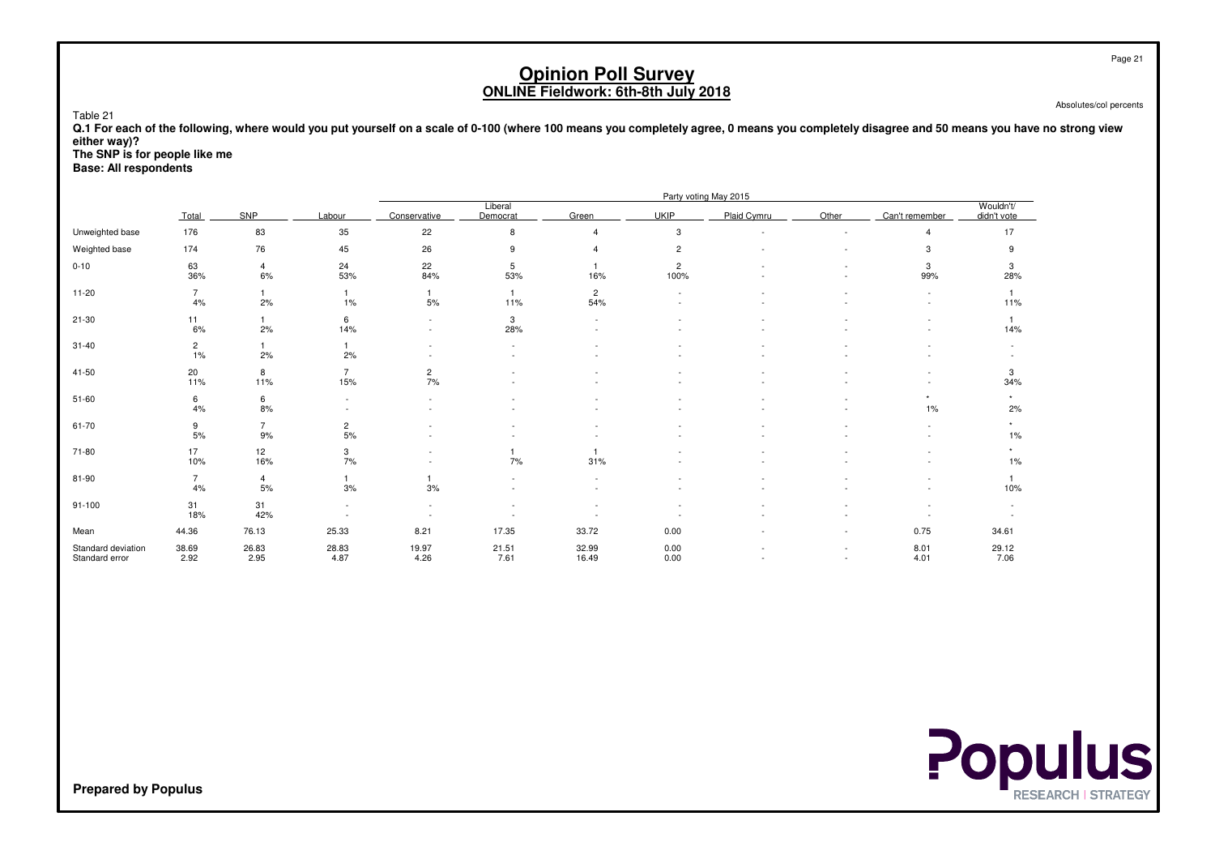Absolutes/col percents

 **Q.1 For each of the following, where would you put yourself on a scale of 0-100 (where 100 means you completely agree, 0 means you completely disagree and 50 means you have no strong vieweither way)?**

**The SNP is for people like me**

**Base: All respondents**

Table 21

|                                      |                      |                      |                          |                          |                       |                       |                        | Party voting May 2015 |                          |                                    |                          |
|--------------------------------------|----------------------|----------------------|--------------------------|--------------------------|-----------------------|-----------------------|------------------------|-----------------------|--------------------------|------------------------------------|--------------------------|
|                                      | Total                | SNP                  | Labour                   | Conservative             | Liberal<br>Democrat   | Green                 | <b>UKIP</b>            | Plaid Cymru           | Other                    | Can't remember                     | Wouldn't/<br>didn't vote |
| Unweighted base                      | 176                  | 83                   | 35                       | 22                       | 8                     |                       | 3                      |                       |                          | $\overline{4}$                     | 17                       |
| Weighted base                        | 174                  | 76                   | 45                       | 26                       | 9                     |                       | $\mathbf{2}$           |                       |                          | 3                                  | 9                        |
| $0 - 10$                             | 63<br>36%            | $\overline{4}$<br>6% | 24<br>53%                | 22<br>84%                | 5<br>53%              | 16%                   | $\overline{c}$<br>100% |                       |                          | 3<br>99%                           | 3<br>28%                 |
| $11 - 20$                            | $\overline{7}$<br>4% | 2%                   | 1<br>1%                  | $\mathbf{1}$<br>5%       | $\overline{1}$<br>11% | $\overline{2}$<br>54% |                        |                       |                          | $\overline{\phantom{a}}$<br>$\sim$ | 11%                      |
| $21 - 30$                            | 11<br>6%             | 2%                   | 6<br>14%                 | $\overline{\phantom{a}}$ | 3<br>28%              |                       |                        |                       |                          |                                    | 14%                      |
| $31 - 40$                            | $\overline{2}$<br>1% | 2%                   | $\overline{1}$<br>2%     |                          |                       |                       |                        |                       |                          |                                    |                          |
| 41-50                                | 20<br>11%            | 8<br>11%             | $\overline{7}$<br>15%    | $\overline{c}$<br>7%     |                       |                       |                        |                       |                          |                                    | 3<br>34%                 |
| $51 - 60$                            | 6<br>4%              | 6<br>8%              | $\sim$                   | $\sim$                   |                       |                       |                        |                       |                          | 1%                                 | 2%                       |
| 61-70                                | 9<br>$5%$            | $\overline{7}$<br>9% | $\overline{c}$<br>5%     |                          |                       |                       |                        |                       |                          |                                    | ٠<br>1%                  |
| 71-80                                | 17<br>10%            | 12<br>16%            | 3<br>7%                  |                          | 7%                    | 31%                   |                        |                       |                          |                                    | 1%                       |
| 81-90                                | $\overline{7}$<br>4% | $\overline{4}$<br>5% | 3%                       | 3%                       |                       |                       |                        |                       |                          |                                    | 10%                      |
| $91 - 100$                           | 31<br>18%            | 31<br>42%            | $\overline{\phantom{a}}$ | $\overline{\phantom{a}}$ |                       |                       |                        |                       |                          |                                    |                          |
| Mean                                 | 44.36                | 76.13                | 25.33                    | 8.21                     | 17.35                 | 33.72                 | 0.00                   |                       |                          | 0.75                               | 34.61                    |
| Standard deviation<br>Standard error | 38.69<br>2.92        | 26.83<br>2.95        | 28.83<br>4.87            | 19.97<br>4.26            | 21.51<br>7.61         | 32.99<br>16.49        | 0.00<br>0.00           |                       | $\overline{\phantom{0}}$ | 8.01<br>4.01                       | 29.12<br>7.06            |



**Prepared by Populus**

Page 21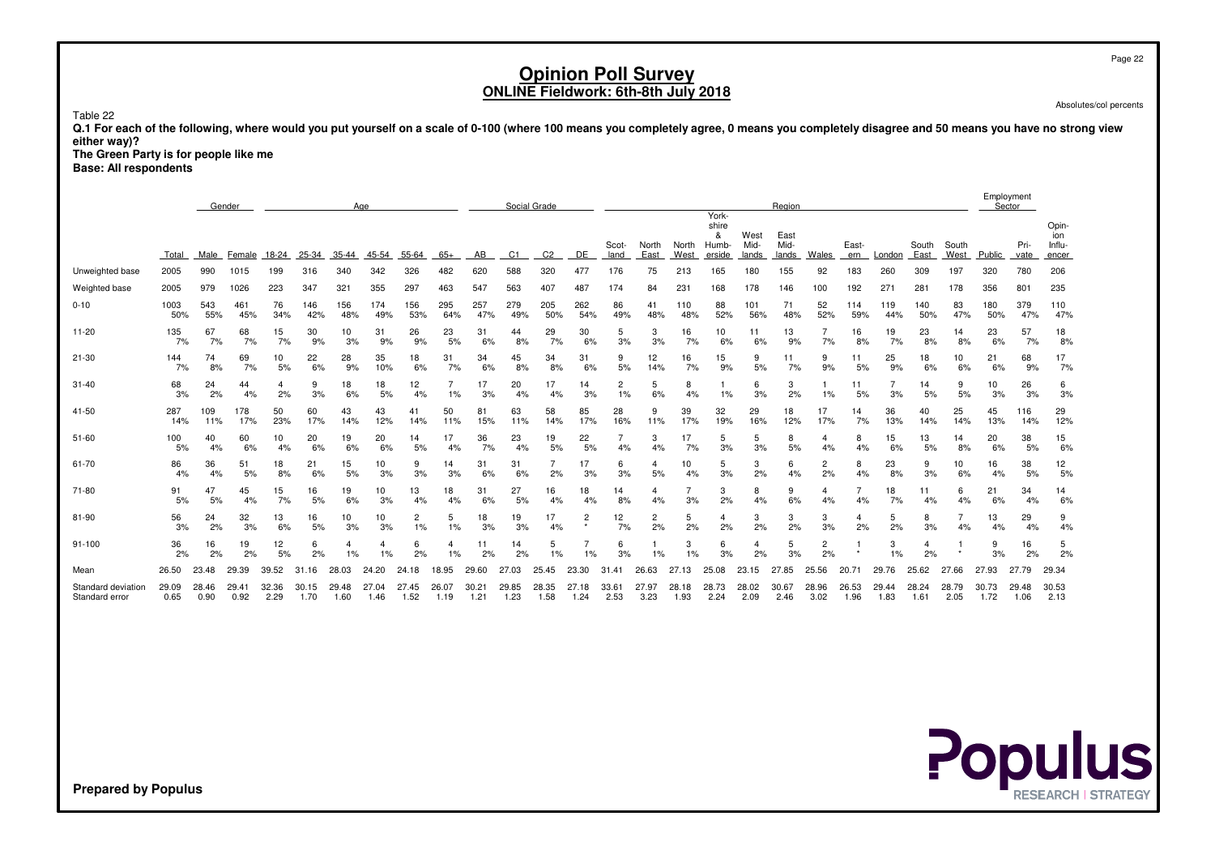Page 22

# **Opinion Poll SurveyONLINE Fieldwork: 6th-8th July 2018**

Absolutes/col percents

Table 22

 **Q.1 For each of the following, where would you put yourself on a scale of 0-100 (where 100 means you completely agree, 0 means you completely disagree and 50 means you have no strong vieweither way)?**

 **The Green Party is for people like meBase: All respondents**

|                                      |               | Gender        |               |               |               |               | Age           |               |               |                           |                | Social Grade   |                |               |               |               |                                        |                       | Region                |               |               |                      |               |                      |               | Employment<br>Sector |                                 |
|--------------------------------------|---------------|---------------|---------------|---------------|---------------|---------------|---------------|---------------|---------------|---------------------------|----------------|----------------|----------------|---------------|---------------|---------------|----------------------------------------|-----------------------|-----------------------|---------------|---------------|----------------------|---------------|----------------------|---------------|----------------------|---------------------------------|
|                                      | Total         | Male          | Female        | 18-24         | 25-34         | 35-44         | 45-54         | 55-64         | $65+$         | AB                        | C <sub>1</sub> | C <sub>2</sub> | DE             | Scot-<br>land | North<br>East | North<br>West | York-<br>shire<br>&<br>Humb-<br>erside | West<br>Mid-<br>lands | East<br>Mid-<br>lands | Wales         | East-<br>ern  | London               | South<br>East | South<br>West        | Public        | Pri-<br>vate         | Opin-<br>ion<br>Influ-<br>encer |
| Unweighted base                      | 2005          | 990           | 1015          | 199           | 316           | 340           | 342           | 326           | 482           | 620                       | 588            | 320            | 477            | 176           | 75            | 213           | 165                                    | 180                   | 155                   | 92            | 183           | 260                  | 309           | 197                  | 320           | 780                  | 206                             |
| Weighted base                        | 2005          | 979           | 1026          | 223           | 347           | 321           | 355           | 297           | 463           | 547                       | 563            | 407            | 487            | 174           | 84            | 231           | 168                                    | 178                   | 146                   | 100           | 192           | 271                  | 281           | 178                  | 356           | 801                  | 235                             |
| $0 - 10$                             | 1003<br>50%   | 543<br>55%    | 461<br>45%    | 76<br>34%     | 146<br>42%    | 156<br>48%    | 174<br>49%    | 156<br>53%    | 295<br>64%    | 257<br>47%                | 279<br>49%     | 205<br>50%     | 262<br>54%     | 86<br>49%     | 41<br>48%     | 110<br>48%    | 88<br>52%                              | 101<br>56%            | 71<br>48%             | 52<br>52%     | 114<br>59%    | 119<br>44%           | 140<br>50%    | 83<br>47%            | 180<br>50%    | 379<br>47%           | 110<br>47%                      |
| $11 - 20$                            | 135<br>7%     | 67<br>7%      | 68<br>7%      | 15<br>7%      | 30<br>9%      | 10<br>3%      | 31<br>9%      | 26<br>9%      | 23<br>5%      | 31<br>6%                  | 44<br>8%       | 29<br>7%       | 30<br>6%       | 5<br>3%       | 3<br>3%       | 16<br>7%      | 10<br>6%                               | 11<br>6%              | 13<br>9%              | 7%            | 16<br>8%      | 19<br>7%             | 23<br>8%      | 14<br>8%             | 23<br>6%      | 57<br>7%             | 18<br>8%                        |
| $21 - 30$                            | 144<br>7%     | 74<br>8%      | 69<br>7%      | 10<br>5%      | 22<br>6%      | 28<br>9%      | 35<br>10%     | 18<br>6%      | 31<br>7%      | 34<br>6%                  | 45<br>8%       | 34<br>8%       | 31<br>6%       | 9<br>5%       | 12<br>14%     | 16<br>7%      | 15<br>9%                               | 9<br>5%               | 11<br>7%              | 9<br>9%       | 11<br>5%      | 25<br>9%             | 18<br>6%      | 10<br>6%             | 21<br>6%      | 68<br>9%             | 17<br>7%                        |
| $31 - 40$                            | 68<br>3%      | 24<br>2%      | 44<br>4%      | 4<br>2%       | 9<br>3%       | 18<br>6%      | 18<br>5%      | 12<br>4%      | 1%            | 17<br>3%                  | 20<br>4%       | 17<br>4%       | 14<br>3%       | 2<br>1%       | 5<br>6%       | 8<br>4%       | 1%                                     | 6<br>3%               | 3<br>2%               | 1%            | 11<br>5%      | $\overline{7}$<br>3% | 14<br>5%      | 9<br>5%              | 10<br>3%      | 26<br>3%             | 6<br>3%                         |
| 41-50                                | 287<br>14%    | 109<br>11%    | 178<br>17%    | 50<br>23%     | 60<br>17%     | 43<br>14%     | 43<br>12%     | 41<br>14%     | 50<br>11%     | 81<br>15%                 | 63<br>11%      | 58<br>14%      | 85<br>17%      | 28<br>16%     | 9<br>11%      | 39<br>17%     | 32<br>19%                              | 29<br>16%             | 18<br>12%             | 17<br>17%     | 14<br>7%      | 36<br>13%            | 40<br>14%     | 25<br>14%            | 45<br>13%     | 116<br>14%           | 29<br>12%                       |
| 51-60                                | 100<br>5%     | 40<br>4%      | 60<br>6%      | 10<br>4%      | 20<br>6%      | 19<br>6%      | 20<br>6%      | 14<br>5%      | 17<br>4%      | 36<br>7%                  | 23<br>4%       | 19<br>5%       | 22<br>5%       | 4%            | 3<br>4%       | 17<br>7%      | 5<br>3%                                | 5<br>3%               | 8<br>5%               | 4<br>4%       | 8<br>4%       | 15<br>6%             | 13<br>5%      | 14<br>8%             | 20<br>6%      | 38<br>5%             | 15<br>6%                        |
| 61-70                                | 86<br>4%      | 36<br>4%      | 51<br>5%      | 18<br>8%      | 21<br>6%      | 15<br>5%      | 10<br>3%      | 9<br>3%       | 14<br>3%      | 31<br>6%                  | 31<br>6%       | 2%             | 17<br>3%       | 6<br>3%       | 4<br>5%       | 10<br>4%      | 5<br>3%                                | 3<br>2%               | 6<br>4%               | 2<br>2%       | 8<br>4%       | 23<br>8%             | 9<br>3%       | 10<br>6%             | 16<br>4%      | 38<br>5%             | 12<br>5%                        |
| 71-80                                | 91<br>5%      | 47<br>5%      | 45<br>4%      | 15<br>7%      | 16<br>5%      | 19<br>6%      | 10<br>3%      | 13<br>4%      | 18<br>4%      | 31<br>6%                  | 27<br>5%       | 16<br>4%       | 18<br>4%       | 14<br>8%      | 4<br>4%       | 3%            | 3<br>2%                                | 8<br>4%               | 9<br>6%               | 4<br>4%       | 4%            | 18<br>7%             | 11<br>4%      | 6<br>4%              | 21<br>6%      | 34<br>4%             | 14<br>6%                        |
| 81-90                                | 56<br>3%      | 24<br>2%      | 32<br>3%      | 13<br>6%      | 16<br>5%      | 10<br>3%      | 10<br>3%      | 2<br>1%       | 5<br>1%       | 18<br>3%                  | 19<br>3%       | 17<br>4%       | $\overline{2}$ | 12<br>7%      | 2<br>2%       | 5<br>2%       | 4<br>2%                                | 3<br>2%               | 3<br>2%               | 3<br>3%       | 4<br>2%       | 5<br>2%              | 8<br>3%       | $\overline{7}$<br>4% | 13<br>4%      | 29<br>4%             | 9<br>4%                         |
| 91-100                               | 36<br>2%      | 16<br>2%      | 19<br>2%      | 12<br>5%      | 6<br>2%       | 1%            | 1%            | 6<br>2%       | 1%            | 11<br>2%                  | 14<br>2%       | 5<br>1%        | 1%             | 6<br>3%       | 1%            | 3<br>1%       | 6<br>3%                                | 4<br>2%               | 5<br>3%               | 2<br>2%       |               | 3<br>1%              | 4<br>2%       |                      | 9<br>3%       | 16<br>2%             | 5<br>2%                         |
| Mean                                 | 26.50         | 23.48         | 29.39         | 39.52         | 31.16         | 28.03         | 24.20         | 24.<br>18     | 18.95         | 29.60                     | 27.03          | 25.45          | 23.30          | 31            | 26.63         | 27.13         | 25.08                                  | 23.15                 | 27.85                 | 25.56         | 20.71         | 29.76                | 25.62         | 27.66                | 27.93         | 27.79                | 29.34                           |
| Standard deviation<br>Standard error | 29.09<br>0.65 | 28.46<br>0.90 | 29.41<br>0.92 | 32.36<br>2.29 | 30.15<br>1.70 | 29.48<br>1.60 | 27.04<br>1.46 | 27.45<br>1.52 | 26.07<br>1.19 | 30.2 <sup>2</sup><br>1.21 | 29.85<br>1.23  | 28.35<br>1.58  | 27.18<br>1.24  | 33.61<br>2.53 | 27.97<br>3.23 | 28.18<br>1.93 | 28.73<br>2.24                          | 28.02<br>2.09         | 30.67<br>2.46         | 28.96<br>3.02 | 26.53<br>1.96 | 29.44<br>1.83        | 28.24<br>1.61 | 28.79<br>2.05        | 30.73<br>1.72 | 29.48<br>1.06        | 30.53<br>2.13                   |

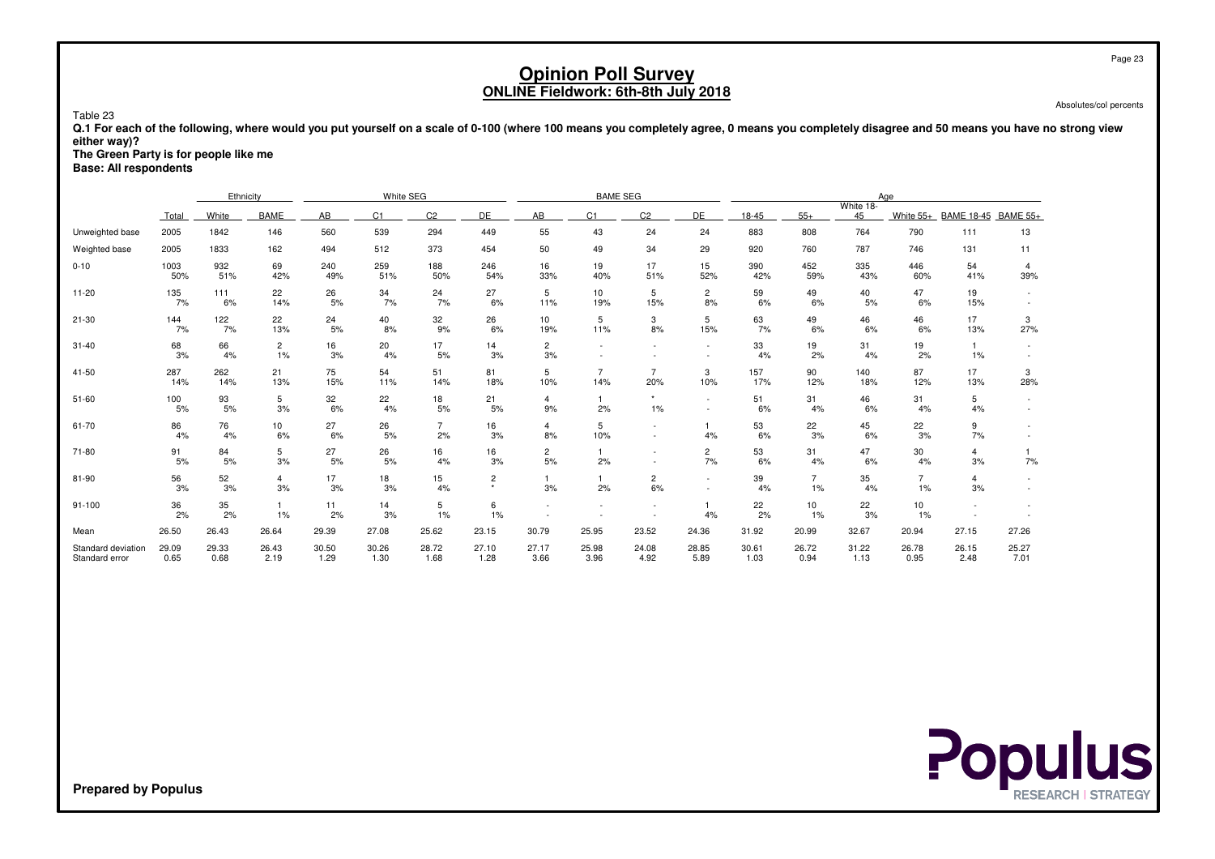Absolutes/col percents

 **Q.1 For each of the following, where would you put yourself on a scale of 0-100 (where 100 means you completely agree, 0 means you completely disagree and 50 means you have no strong vieweither way)?**

**The Green Party is for people like me**

**Base: All respondents**

Table 23

|                                      |               | Ethnicity     |                      |               | White SEG      |                      |               |                          | <b>BAME SEG</b>       |                          |                          |               |                      |                 | Aae                  |                      |                       |
|--------------------------------------|---------------|---------------|----------------------|---------------|----------------|----------------------|---------------|--------------------------|-----------------------|--------------------------|--------------------------|---------------|----------------------|-----------------|----------------------|----------------------|-----------------------|
|                                      | Total         | White         | BAME                 | AB            | C <sub>1</sub> | C2                   | DE            | AB                       | C <sub>1</sub>        | C <sub>2</sub>           | DE                       | 18-45         | $55+$                | White 18-<br>45 | White $55+$          | <b>BAME 18-45</b>    | <b>BAME 55+</b>       |
| Unweighted base                      | 2005          | 1842          | 146                  | 560           | 539            | 294                  | 449           | 55                       | 43                    | 24                       | 24                       | 883           | 808                  | 764             | 790                  | 111                  | 13                    |
| Weighted base                        | 2005          | 1833          | 162                  | 494           | 512            | 373                  | 454           | 50                       | 49                    | 34                       | 29                       | 920           | 760                  | 787             | 746                  | 131                  | 11                    |
| $0 - 10$                             | 1003<br>50%   | 932<br>51%    | 69<br>42%            | 240<br>49%    | 259<br>51%     | 188<br>50%           | 246<br>54%    | 16<br>33%                | 19<br>40%             | 17<br>51%                | 15<br>52%                | 390<br>42%    | 452<br>59%           | 335<br>43%      | 446<br>60%           | 54<br>41%            | $\overline{4}$<br>39% |
| $11 - 20$                            | 135<br>7%     | 111<br>6%     | 22<br>14%            | 26<br>5%      | 34<br>7%       | 24<br>7%             | 27<br>6%      | 5<br>11%                 | 10<br>19%             | 5<br>15%                 | $\overline{c}$<br>8%     | 59<br>6%      | 49<br>6%             | 40<br>5%        | 47<br>6%             | 19<br>15%            |                       |
| $21 - 30$                            | 144<br>7%     | 122<br>7%     | 22<br>13%            | 24<br>5%      | 40<br>8%       | 32<br>9%             | 26<br>6%      | 10<br>19%                | 5<br>11%              | 3<br>8%                  | 5<br>15%                 | 63<br>7%      | 49<br>6%             | 46<br>6%        | 46<br>6%             | 17<br>13%            | 3<br>27%              |
| $31 - 40$                            | 68<br>3%      | 66<br>4%      | $\overline{c}$<br>1% | 16<br>3%      | 20<br>4%       | 17<br>5%             | 14<br>3%      | $\overline{2}$<br>3%     |                       |                          | $\overline{\phantom{a}}$ | 33<br>4%      | 19<br>2%             | 31<br>4%        | 19<br>2%             | $\mathbf{1}$<br>1%   | $\sim$                |
| 41-50                                | 287<br>14%    | 262<br>14%    | 21<br>13%            | 75<br>15%     | 54<br>11%      | 51<br>14%            | 81<br>18%     | 5<br>10%                 | $\overline{7}$<br>14% | $\overline{7}$<br>20%    | 3<br>10%                 | 157<br>17%    | 90<br>12%            | 140<br>18%      | 87<br>12%            | 17<br>13%            | 3<br>28%              |
| $51 - 60$                            | 100<br>5%     | 93<br>5%      | 5<br>3%              | 32<br>6%      | 22<br>4%       | 18<br>5%             | 21<br>5%      | $\overline{4}$<br>9%     | 2%                    | $\star$<br>1%            | $\overline{\phantom{a}}$ | 51<br>6%      | 31<br>4%             | 46<br>6%        | 31<br>4%             | 5<br>4%              |                       |
| 61-70                                | 86<br>4%      | 76<br>4%      | 10<br>6%             | 27<br>6%      | 26<br>5%       | $\overline{7}$<br>2% | 16<br>3%      | $\overline{4}$<br>8%     | 5<br>10%              | $\overline{\phantom{a}}$ | 4%                       | 53<br>6%      | 22<br>3%             | 45<br>6%        | 22<br>3%             | 9<br>7%              |                       |
| 71-80                                | 91<br>5%      | 84<br>5%      | 5<br>3%              | 27<br>5%      | 26<br>5%       | 16<br>4%             | 16<br>3%      | $\overline{c}$<br>5%     | 2%                    |                          | $\overline{c}$<br>7%     | 53<br>6%      | 31<br>4%             | 47<br>6%        | 30<br>4%             | $\overline{4}$<br>3% | 7%                    |
| 81-90                                | 56<br>3%      | 52<br>3%      | 4<br>3%              | 17<br>3%      | 18<br>3%       | 15<br>4%             | 2<br>٠        | 3%                       | 2%                    | 2<br>6%                  | $\sim$<br>$\sim$         | 39<br>4%      | $\overline{7}$<br>1% | 35<br>4%        | $\overline{7}$<br>1% | 4<br>3%              |                       |
| 91-100                               | 36<br>2%      | 35<br>2%      | 1<br>1%              | 11<br>2%      | 14<br>3%       | 5<br>1%              | 6<br>1%       | $\overline{\phantom{a}}$ |                       | $\overline{\phantom{a}}$ | 4%                       | 22<br>2%      | 10<br>1%             | 22<br>3%        | 10<br>1%             |                      |                       |
| Mean                                 | 26.50         | 26.43         | 26.64                | 29.39         | 27.08          | 25.62                | 23.15         | 30.79                    | 25.95                 | 23.52                    | 24.36                    | 31.92         | 20.99                | 32.67           | 20.94                | 27.15                | 27.26                 |
| Standard deviation<br>Standard error | 29.09<br>0.65 | 29.33<br>0.68 | 26.43<br>2.19        | 30.50<br>1.29 | 30.26<br>1.30  | 28.72<br>1.68        | 27.10<br>1.28 | 27.17<br>3.66            | 25.98<br>3.96         | 24.08<br>4.92            | 28.85<br>5.89            | 30.61<br>1.03 | 26.72<br>0.94        | 31.22<br>1.13   | 26.78<br>0.95        | 26.15<br>2.48        | 25.27<br>7.01         |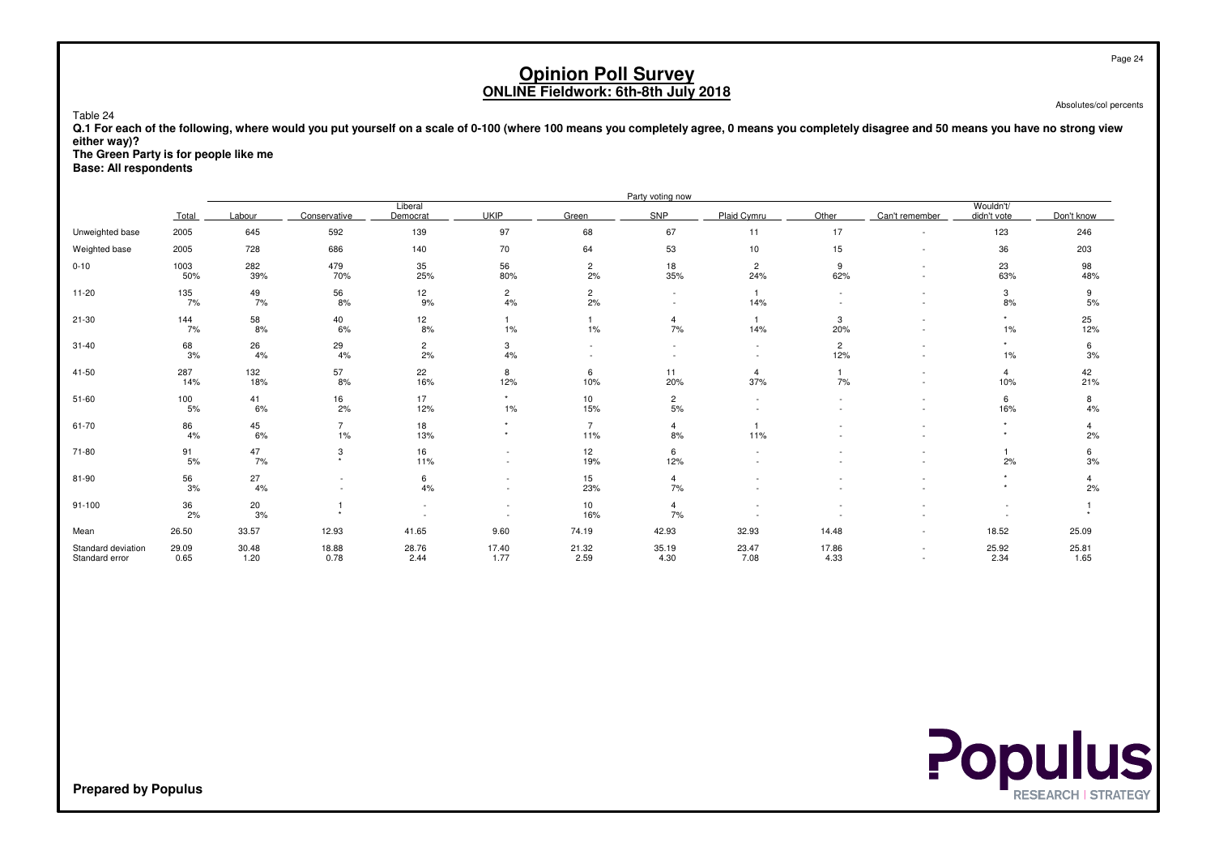Absolutes/col percents

 **Q.1 For each of the following, where would you put yourself on a scale of 0-100 (where 100 means you completely agree, 0 means you completely disagree and 50 means you have no strong vieweither way)?**

**The Green Party is for people like me**

**Base: All respondents**

Table 24

|                                      |               |               |                           |                      |                                    |                       | Party voting now       |                             |                       |                |                          |               |
|--------------------------------------|---------------|---------------|---------------------------|----------------------|------------------------------------|-----------------------|------------------------|-----------------------------|-----------------------|----------------|--------------------------|---------------|
|                                      | Total         | Labour        | Conservative              | Liberal<br>Democrat  | <b>UKIP</b>                        | Green                 | SNP                    | Plaid Cymru                 | Other                 | Can't remember | Wouldn't/<br>didn't vote | Don't know    |
| Unweighted base                      | 2005          | 645           | 592                       | 139                  | 97                                 | 68                    | 67                     | 11                          | 17                    | $\sim$         | 123                      | 246           |
| Weighted base                        | 2005          | 728           | 686                       | 140                  | 70                                 | 64                    | 53                     | 10                          | 15                    | $\sim$         | 36                       | 203           |
| $0 - 10$                             | 1003<br>50%   | 282<br>39%    | 479<br>70%                | 35<br>25%            | 56<br>80%                          | $\overline{2}$<br>2%  | 18<br>35%              | $\overline{2}$<br>24%       | 9<br>62%              |                | 23<br>63%                | 98<br>48%     |
| $11 - 20$                            | 135<br>7%     | 49<br>7%      | $\frac{56}{8\%}$          | 12<br>9%             | $\overline{2}$<br>4%               | $\overline{c}$<br>2%  | $\sim$                 | $\mathbf{1}$<br>14%         | $\sim$                |                | 3<br>8%                  | 9<br>5%       |
| $21 - 30$                            | 144<br>7%     | 58<br>8%      | 40<br>6%                  | 12<br>8%             | $1\%$                              | 1%                    | $\overline{4}$<br>7%   | $\mathbf{1}$<br>14%         | 3<br>20%              |                | $\star$<br>$1\%$         | 25<br>12%     |
| $31 - 40$                            | 68<br>3%      | 26<br>4%      | 29<br>4%                  | $\overline{c}$<br>2% | 3<br>4%                            |                       |                        | $\sim$                      | $\overline{c}$<br>12% |                | $\star$<br>$1\%$         | 6<br>3%       |
| 41-50                                | 287<br>14%    | 132<br>18%    | 57<br>8%                  | 22<br>16%            | 8<br>12%                           | 6<br>10%              | 11<br>20%              | $\overline{4}$<br>37%       | 7%                    |                | 4<br>10%                 | 42<br>21%     |
| $51 - 60$                            | 100<br>5%     | 41<br>6%      | 16<br>2%                  | 17<br>12%            | $\star$<br>$1\%$                   | 10<br>15%             | $\overline{c}$<br>$5%$ | $\sim$                      | ٠                     |                | 6<br>16%                 | 8<br>4%       |
| 61-70                                | 86<br>4%      | 45<br>6%      | $\overline{7}$<br>1%      | 18<br>13%            | $\star$<br>$\star$                 | $\overline{7}$<br>11% | $\overline{4}$<br>8%   | $\blacktriangleleft$<br>11% |                       |                | $\star$<br>$\star$       | 2%            |
| 71-80                                | 91<br>5%      | 47<br>7%      | 3<br>$\ddot{\phantom{1}}$ | 16<br>11%            | $\sim$<br>$\overline{\phantom{a}}$ | 12<br>19%             | 6<br>12%               |                             |                       |                | 2%                       | 6<br>3%       |
| 81-90                                | 56<br>3%      | 27<br>4%      |                           | 6<br>4%              | $\overline{a}$                     | 15<br>23%             | $\overline{4}$<br>7%   |                             |                       |                |                          | 4<br>2%       |
| $91 - 100$                           | 36<br>2%      | 20<br>3%      |                           |                      |                                    | 10<br>16%             | $\overline{4}$<br>7%   |                             |                       |                |                          |               |
| Mean                                 | 26.50         | 33.57         | 12.93                     | 41.65                | 9.60                               | 74.19                 | 42.93                  | 32.93                       | 14.48                 | $\sim$         | 18.52                    | 25.09         |
| Standard deviation<br>Standard error | 29.09<br>0.65 | 30.48<br>1.20 | 18.88<br>0.78             | 28.76<br>2.44        | 17.40<br>1.77                      | 21.32<br>2.59         | 35.19<br>4.30          | 23.47<br>7.08               | 17.86<br>4.33         |                | 25.92<br>2.34            | 25.81<br>1.65 |

**Populus**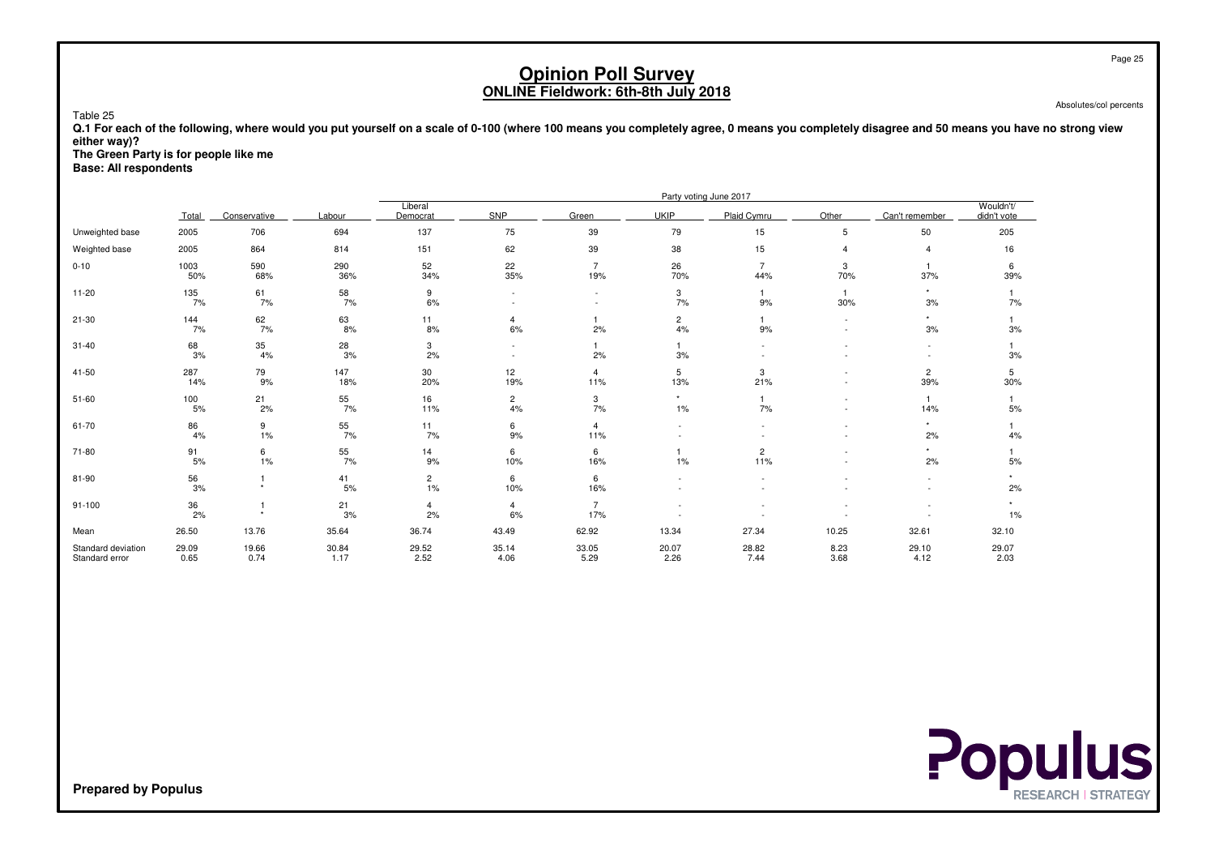Absolutes/col percents

 **Q.1 For each of the following, where would you put yourself on a scale of 0-100 (where 100 means you completely agree, 0 means you completely disagree and 50 means you have no strong vieweither way)?**

**The Green Party is for people like me**

**Base: All respondents**

Table 25

|                                      |                  |               |               | Party voting June 2017           |                                    |                                |                      |                       |                     |                       |                          |  |  |
|--------------------------------------|------------------|---------------|---------------|----------------------------------|------------------------------------|--------------------------------|----------------------|-----------------------|---------------------|-----------------------|--------------------------|--|--|
|                                      | Total            | Conservative  | Labour        | Liberal<br>Democrat              | SNP                                | Green                          | <b>UKIP</b>          | Plaid Cvmru           | Other               | Can't remember        | Wouldn't/<br>didn't vote |  |  |
| Unweighted base                      | 2005             | 706           | 694           | 137                              | 75                                 | 39                             | 79                   | 15                    | 5                   | 50                    | 205                      |  |  |
| Weighted base                        | 2005             | 864           | 814           | 151                              | 62                                 | 39                             | 38                   | 15                    | $\overline{4}$      | $\overline{4}$        | 16                       |  |  |
| $0 - 10$                             | 1003<br>50%      | 590<br>68%    | 290<br>36%    | 52<br>34%                        | 22<br>35%                          | $\overline{7}$<br>19%          | 26<br>70%            | $\overline{7}$<br>44% | 3<br>70%            | $\overline{1}$<br>37% | 6<br>39%                 |  |  |
| $11 - 20$                            | 135<br>7%        | 61<br>7%      | 58<br>7%      | 9<br>6%                          | $\sim$                             |                                | 3<br>7%              | 9%                    | $\mathbf{1}$<br>30% | $\star$<br>3%         | 7%                       |  |  |
| $21 - 30$                            | 144<br>7%        | 62<br>7%      | 63<br>8%      | 11<br>8%                         | $\overline{4}$<br>6%               | 2%                             | $\overline{c}$<br>4% | 9%                    | ٠                   | $\star$<br>3%         | 3%                       |  |  |
| $31 - 40$                            | 68<br>3%         | 35<br>4%      | 28<br>3%      | 3<br>2%                          | $\overline{\phantom{a}}$<br>$\sim$ | 2%                             | 3%                   |                       |                     |                       | 3%                       |  |  |
| 41-50                                | 287<br>14%       | 79<br>9%      | 147<br>18%    | 30<br>20%                        | 12<br>19%                          | $\overline{4}$<br>11%          | 5<br>13%             | 3<br>21%              |                     | $\overline{c}$<br>39% | 5<br>30%                 |  |  |
| $51 - 60$                            | 100<br>$5%$      | 21<br>2%      | 55<br>7%      | 16<br>11%                        | $\overline{c}$<br>4%               | 3<br>7%                        | $\star$<br>1%        | 7%                    |                     | 14%                   | 5%                       |  |  |
| 61-70                                | 86<br>4%         | 9<br>1%       | 55<br>7%      | 11<br>7%                         | 6<br>9%                            | $\overline{\mathbf{4}}$<br>11% |                      |                       |                     | $\star$<br>2%         | 4%                       |  |  |
| 71-80                                | 91<br>5%         | 6<br>1%       | 55<br>7%      | 14<br>9%                         | 6<br>10%                           | 6<br>16%                       | 1%                   | $\overline{c}$<br>11% |                     | 2%                    | 5%                       |  |  |
| 81-90                                | $\frac{56}{3\%}$ | ٠             | 41<br>5%      | $\overline{\mathbf{c}}$<br>$1\%$ | 6<br>10%                           | 6<br>16%                       |                      |                       |                     |                       | 2%                       |  |  |
| $91 - 100$                           | 36<br>2%         | ٠             | 21<br>3%      | $\overline{4}$<br>2%             | $\overline{4}$<br>6%               | $\overline{7}$<br>17%          | ٠                    |                       |                     |                       | $\star$<br>$1\%$         |  |  |
| Mean                                 | 26.50            | 13.76         | 35.64         | 36.74                            | 43.49                              | 62.92                          | 13.34                | 27.34                 | 10.25               | 32.61                 | 32.10                    |  |  |
| Standard deviation<br>Standard error | 29.09<br>0.65    | 19.66<br>0.74 | 30.84<br>1.17 | 29.52<br>2.52                    | 35.14<br>4.06                      | 33.05<br>5.29                  | 20.07<br>2.26        | 28.82<br>7.44         | 8.23<br>3.68        | 29.10<br>4.12         | 29.07<br>2.03            |  |  |

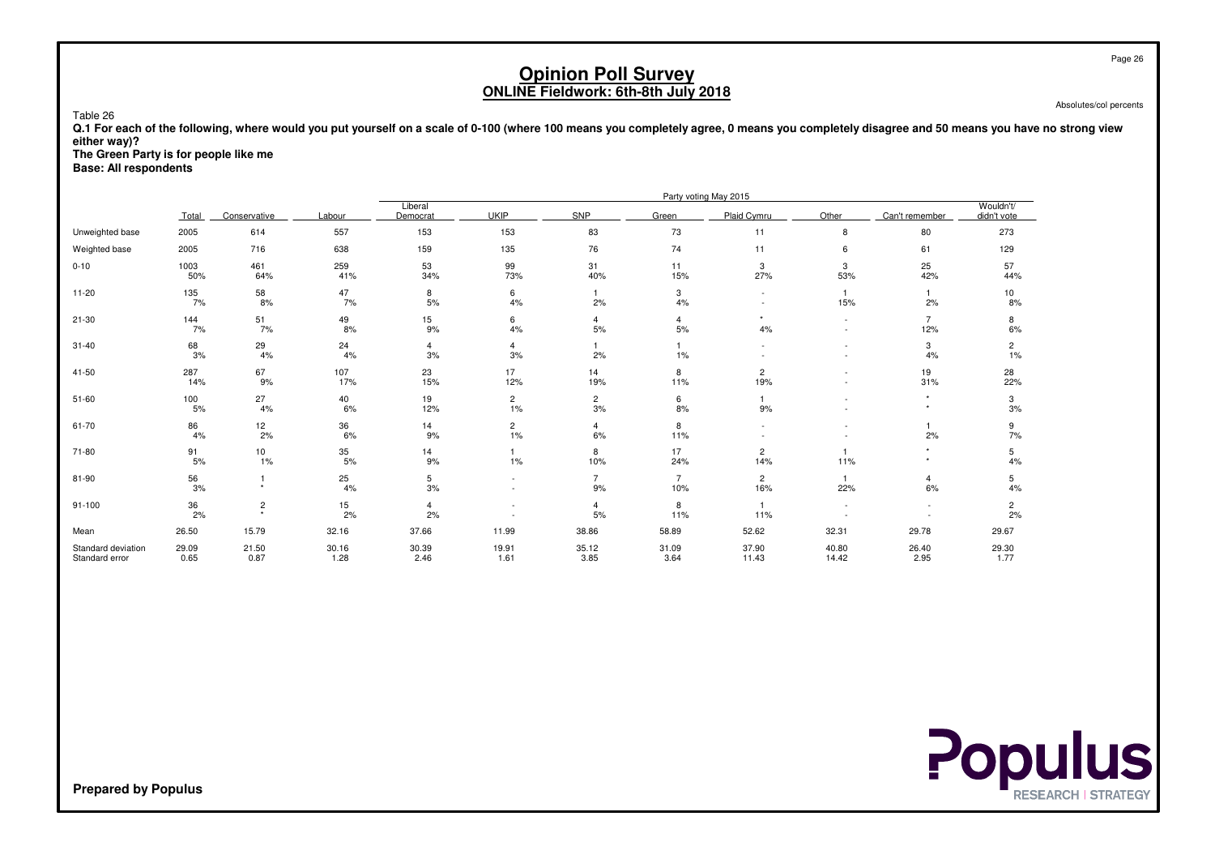Absolutes/col percents

 **Q.1 For each of the following, where would you put yourself on a scale of 0-100 (where 100 means you completely agree, 0 means you completely disagree and 50 means you have no strong vieweither way)?**

**The Green Party is for people like me**

**Base: All respondents**

Table 26

|                                      |               |                     |               |                      |                      |                      |                       | Party voting May 2015 |                          |                       |                          |
|--------------------------------------|---------------|---------------------|---------------|----------------------|----------------------|----------------------|-----------------------|-----------------------|--------------------------|-----------------------|--------------------------|
|                                      | Total         | Conservative        | Labour        | Liberal<br>Democrat  | <b>UKIP</b>          | SNP                  | Green                 | Plaid Cymru           | Other                    | Can't remember        | Wouldn't/<br>didn't vote |
| Unweighted base                      | 2005          | 614                 | 557           | 153                  | 153                  | 83                   | 73                    | 11                    | 8                        | 80                    | 273                      |
| Weighted base                        | 2005          | 716                 | 638           | 159                  | 135                  | 76                   | 74                    | 11                    | 6                        | 61                    | 129                      |
| $0 - 10$                             | 1003<br>50%   | 461<br>64%          | 259<br>41%    | 53<br>34%            | 99<br>73%            | 31<br>40%            | 11<br>15%             | 3<br>27%              | 3<br>53%                 | 25<br>42%             | 57<br>44%                |
| $11 - 20$                            | 135<br>7%     | 58<br>8%            | 47<br>7%      | 8<br>5%              | 6<br>4%              | 2%                   | 3<br>4%               |                       | 15%                      | 2%                    | 10<br>8%                 |
| $21 - 30$                            | 144<br>7%     | 51<br>7%            | 49<br>8%      | 15<br>9%             | 6<br>4%              | 4<br>$5%$            | $\overline{4}$<br>5%  | $\star$<br>4%         | $\overline{\phantom{a}}$ | $\overline{7}$<br>12% | 8<br>6%                  |
| $31 - 40$                            | 68<br>3%      | 29<br>4%            | 24<br>4%      | $\overline{4}$<br>3% | 4<br>3%              | 2%                   | $\mathbf{1}$<br>1%    |                       | $\overline{\phantom{a}}$ | 3<br>4%               | $\overline{2}$<br>$1\%$  |
| 41-50                                | 287<br>14%    | 67<br>9%            | 107<br>17%    | 23<br>15%            | 17<br>12%            | 14<br>19%            | 8<br>11%              | 2<br>19%              |                          | 19<br>31%             | 28<br>22%                |
| $51 - 60$                            | 100<br>5%     | 27<br>4%            | 40<br>6%      | 19<br>12%            | $\overline{c}$<br>1% | $\overline{2}$<br>3% | 6<br>8%               | 9%                    |                          | $\star$               | 3<br>3%                  |
| 61-70                                | 86<br>4%      | 12<br>2%            | 36<br>6%      | 14<br>9%             | $\overline{c}$<br>1% | 4<br>6%              | 8<br>11%              |                       |                          | 2%                    | 9<br>7%                  |
| 71-80                                | 91<br>5%      | 10<br>1%            | 35<br>5%      | 14<br>9%             | 1%                   | 8<br>10%             | 17<br>24%             | 2<br>14%              | 11%                      | $\star$               | 5<br>4%                  |
| 81-90                                | 56<br>3%      |                     | 25<br>4%      | 5<br>3%              |                      | $\overline{7}$<br>9% | $\overline{7}$<br>10% | $\overline{c}$<br>16% | 22%                      | $\overline{4}$<br>6%  | 5<br>4%                  |
| $91 - 100$                           | 36<br>2%      | $\overline{c}$<br>٠ | 15<br>2%      | $\overline{4}$<br>2% |                      | $\overline{4}$<br>5% | 8<br>11%              | 11%                   |                          |                       | $\overline{c}$<br>2%     |
| Mean                                 | 26.50         | 15.79               | 32.16         | 37.66                | 11.99                | 38.86                | 58.89                 | 52.62                 | 32.31                    | 29.78                 | 29.67                    |
| Standard deviation<br>Standard error | 29.09<br>0.65 | 21.50<br>0.87       | 30.16<br>1.28 | 30.39<br>2.46        | 19.91<br>1.61        | 35.12<br>3.85        | 31.09<br>3.64         | 37.90<br>11.43        | 40.80<br>14.42           | 26.40<br>2.95         | 29.30<br>1.77            |

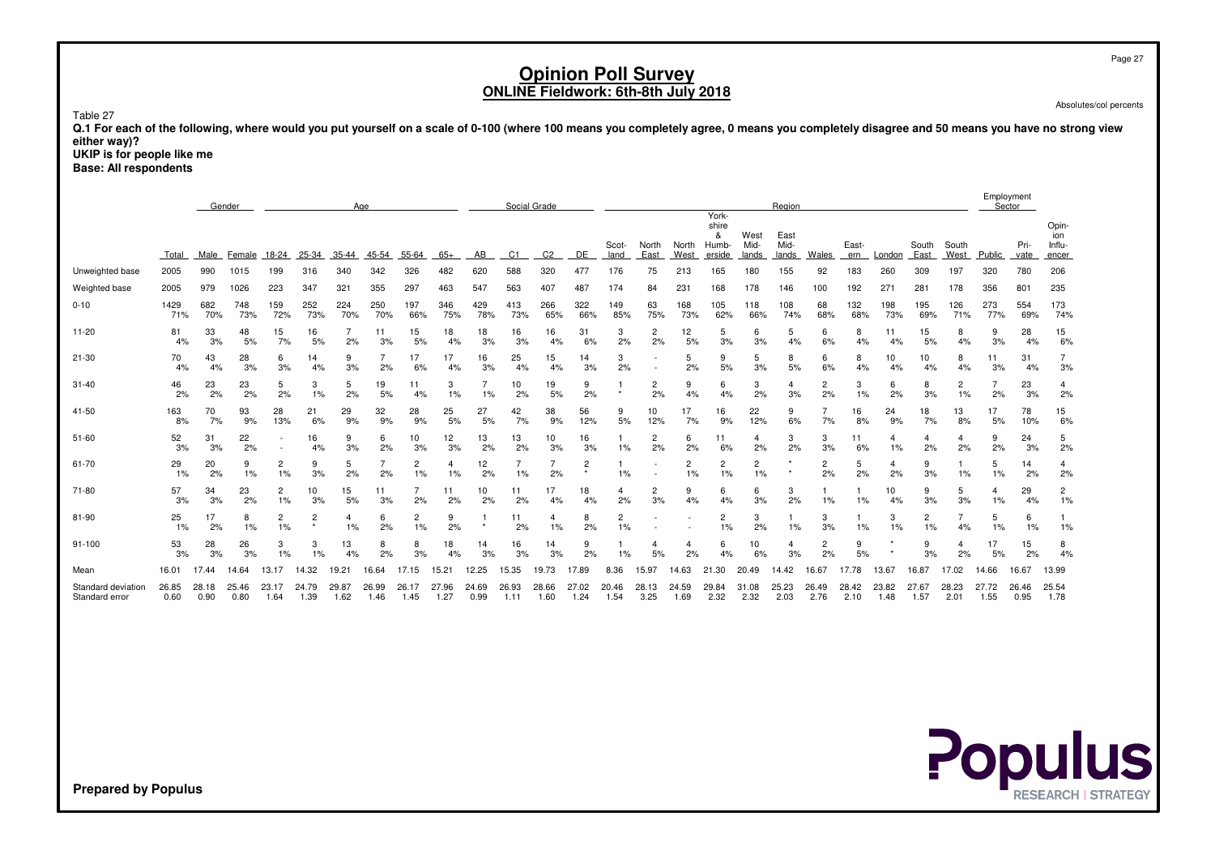Page 27

# **Opinion Poll SurveyONLINE Fieldwork: 6th-8th July 2018**

Absolutes/col percents

Table 27

 **Q.1 For each of the following, where would you put yourself on a scale of 0-100 (where 100 means you completely agree, 0 means you completely disagree and 50 means you have no strong vieweither way)?**

 **UKIP is for people like meBase: All respondents**

|                                      |               | Gender<br>Age |               |                          |                |               |               |                      | Social Grade  |               |               |                |                |                      |                          |               | Region                                |                       |                       |                      |               |               | Employment<br>Sector |                      |               |               |                                 |
|--------------------------------------|---------------|---------------|---------------|--------------------------|----------------|---------------|---------------|----------------------|---------------|---------------|---------------|----------------|----------------|----------------------|--------------------------|---------------|---------------------------------------|-----------------------|-----------------------|----------------------|---------------|---------------|----------------------|----------------------|---------------|---------------|---------------------------------|
|                                      | Total         | Male          | Female        | 18-24                    | 25-34          | 35-44         | 45-54         | 55-64                | $65+$         | AB            | C1            | C <sub>2</sub> | DE             | Scot-<br>land        | North<br>East            | North<br>West | York-<br>shire<br>&<br>Humb<br>erside | West<br>Mid-<br>lands | East<br>Mid-<br>lands | Wales                | East-<br>ern  | London        | South<br>East        | South<br>West        | Public        | Pri-<br>vate  | Opin-<br>ion<br>Influ-<br>encer |
| Unweighted base                      | 2005          | 990           | 1015          | 199                      | 316            | 340           | 342           | 326                  | 482           | 620           | 588           | 320            | 477            | 176                  | 75                       | 213           | 165                                   | 180                   | 155                   | 92                   | 183           | 260           | 309                  | 197                  | 320           | 780           | 206                             |
| Weighted base                        | 2005          | 979           | 1026          | 223                      | 347            | 321           | 355           | 297                  | 463           | 547           | 563           | 407            | 487            | 174                  | 84                       | 231           | 168                                   | 178                   | 146                   | 100                  | 192           | 271           | 281                  | 178                  | 356           | 801           | 235                             |
| $0 - 10$                             | 1429<br>71%   | 682<br>70%    | 748<br>73%    | 159<br>72%               | 252<br>73%     | 224<br>70%    | 250<br>70%    | 197<br>66%           | 346<br>75%    | 429<br>78%    | 413<br>73%    | 266<br>65%     | 322<br>66%     | 149<br>85%           | 63<br>75%                | 168<br>73%    | 105<br>62%                            | 118<br>66%            | 108<br>74%            | 68<br>68%            | 132<br>68%    | 198<br>73%    | 195<br>69%           | 126<br>71%           | 273<br>77%    | 554<br>69%    | 173<br>74%                      |
| $11 - 20$                            | 81<br>4%      | 33<br>3%      | 48<br>5%      | 15<br>7%                 | 16<br>5%       | 2%            | 11<br>3%      | 15<br>5%             | 18<br>4%      | 18<br>3%      | 16<br>3%      | 16<br>4%       | 31<br>6%       | 3<br>2%              | $\overline{c}$<br>2%     | 12<br>5%      | 5<br>3%                               | 6<br>3%               | 5<br>4%               | 6<br>6%              | 8<br>4%       | 4%            | 15<br>5%             | 8<br>4%              | 9<br>3%       | 28<br>4%      | 15<br>6%                        |
| 21-30                                | 70<br>4%      | 43<br>4%      | 28<br>3%      | 6<br>3%                  | 14<br>4%       | 9<br>3%       | 7<br>2%       | 17<br>6%             | 17<br>4%      | 16<br>3%      | 25<br>4%      | 15<br>4%       | 14<br>3%       | 3<br>2%              | $\overline{\phantom{a}}$ | 5<br>2%       | 9<br>5%                               | 5<br>3%               | 8<br>5%               | 6<br>6%              | 8<br>4%       | 10<br>4%      | 10<br>4%             | 8<br>4%              | 11<br>3%      | 31<br>4%      | 3%                              |
| $31 - 40$                            | 46<br>2%      | 23<br>2%      | 23<br>2%      | 5<br>2%                  | 3<br>1%        | 5<br>2%       | 19<br>5%      | 11<br>4%             | 3<br>$1\%$    | 1%            | 10<br>2%      | 19<br>5%       | 9<br>2%        |                      | 2<br>2%                  | 9<br>4%       | 6<br>4%                               | 3<br>2%               | 4<br>3%               | 2<br>2%              | 3<br>1%       | 6<br>2%       | 8<br>3%              | $\overline{c}$<br>1% | 2%            | 23<br>3%      | 4<br>2%                         |
| 41-50                                | 163<br>8%     | 70<br>7%      | 93<br>9%      | 28<br>13%                | 21<br>6%       | 29<br>9%      | 32<br>9%      | 28<br>9%             | 25<br>5%      | 27<br>5%      | 42<br>7%      | 38<br>9%       | 56<br>12%      | 9<br>5%              | 10<br>12%                | 17<br>7%      | 16<br>9%                              | 22<br>12%             | 9<br>6%               | 7%                   | 16<br>8%      | 24<br>9%      | 18<br>7%             | 13<br>8%             | 17<br>5%      | 78<br>10%     | 15<br>6%                        |
| 51-60                                | 52<br>3%      | 31<br>3%      | 22<br>2%      | $\overline{\phantom{a}}$ | 16<br>4%       | 9<br>3%       | 6<br>2%       | 10<br>3%             | 12<br>3%      | 13<br>2%      | 13<br>2%      | 10<br>3%       | 16<br>3%       | 1%                   | $\overline{c}$<br>2%     | 6<br>2%       | 11<br>6%                              | $\overline{4}$<br>2%  | 3<br>2%               | 3<br>3%              | 11<br>6%      | 4<br>1%       | 2%                   | $\overline{4}$<br>2% | 9<br>2%       | 24<br>3%      | 5<br>2%                         |
| 61-70                                | 29<br>1%      | 20<br>2%      | 9<br>1%       | 2<br>1%                  | 9<br>3%        | 5<br>2%       | 7<br>2%       | $\overline{c}$<br>1% | 4<br>1%       | 12<br>2%      | 1%            | 2%             | $\overline{2}$ | 1%                   |                          | 2<br>$1\%$    | 2<br>1%                               | 2<br>1%               |                       | 2<br>2%              | 5<br>2%       | 4<br>2%       | 9<br>3%              | -1<br>1%             | 5<br>1%       | 14<br>2%      | 4<br>2%                         |
| 71-80                                | 57<br>3%      | 34<br>3%      | 23<br>2%      | $\overline{2}$<br>1%     | 10<br>3%       | 15<br>5%      | 11<br>3%      | 2%                   | 11<br>2%      | 10<br>2%      | 11<br>2%      | 17<br>4%       | 18<br>4%       | 4<br>2%              | 2<br>3%                  | 9<br>4%       | 6<br>4%                               | 6<br>3%               | 3<br>2%               | 1%                   | 1%            | 10<br>4%      | 9<br>3%              | 5<br>3%              | 4<br>1%       | 29<br>4%      | $\overline{2}$<br>1%            |
| 81-90                                | 25<br>1%      | 17<br>2%      | 8<br>1%       | 2<br>1%                  | $\overline{c}$ | 1%            | 6<br>2%       | 2<br>1%              | 9<br>2%       |               | 11<br>2%      | 1%             | 8<br>2%        | $\overline{2}$<br>1% |                          |               | 2<br>1%                               | 3<br>2%               | 1%                    | 3<br>3%              | 1%            | 3<br>1%       | 2<br>1%              | 7<br>4%              | 5<br>1%       | 6<br>1%       | 1%                              |
| $91 - 100$                           | 53<br>3%      | 28<br>3%      | 26<br>3%      | 3<br>1%                  | 3<br>1%        | 13<br>4%      | 8<br>2%       | 8<br>3%              | 18<br>4%      | 14<br>3%      | 16<br>3%      | 14<br>3%       | 9<br>2%        | 1%                   | 5%                       | 2%            | 6<br>4%                               | 10<br>6%              | 4<br>3%               | $\overline{2}$<br>2% | 9<br>5%       |               | 9<br>3%              | 4<br>2%              | 17<br>5%      | 15<br>2%      | 8<br>4%                         |
| Mean                                 | 16.01         | 17.44         | 14.64         | 13.17                    | 14.32          | 19.21         | 16.64         | 17.15                | 15.21         | 12.25         | 15.35         | 19.73          | 17.89          | 8.36                 | 15.97                    | 14.63         | 21<br>.30                             | 20.49                 | 14.42                 | 16.67                | 17.78         | 13.67         | 16.87                | 17.02                | 14.66         | 16.67         | 13.99                           |
| Standard deviation<br>Standard error | 26.85<br>0.60 | 28.18<br>0.90 | 25.46<br>0.80 | 23.17<br>1.64            | 24.79<br>1.39  | 29.87<br>1.62 | 26.99<br>1.46 | 26.17<br>1.45        | 27.96<br>1.27 | 24.69<br>0.99 | 26.93<br>1.11 | 28.66<br>1.60  | 27.02<br>1.24  | 20.46<br>1.54        | 28.13<br>3.25            | 24.59<br>1.69 | 29.84<br>2.32                         | 31.08<br>2.32         | 25.23<br>2.03         | 26.49<br>2.76        | 28.42<br>2.10 | 23.82<br>1.48 | 27.67<br>1.57        | 28.23<br>2.01        | 27.72<br>1.55 | 26.46<br>0.95 | 25.54<br>1.78                   |

**Populus**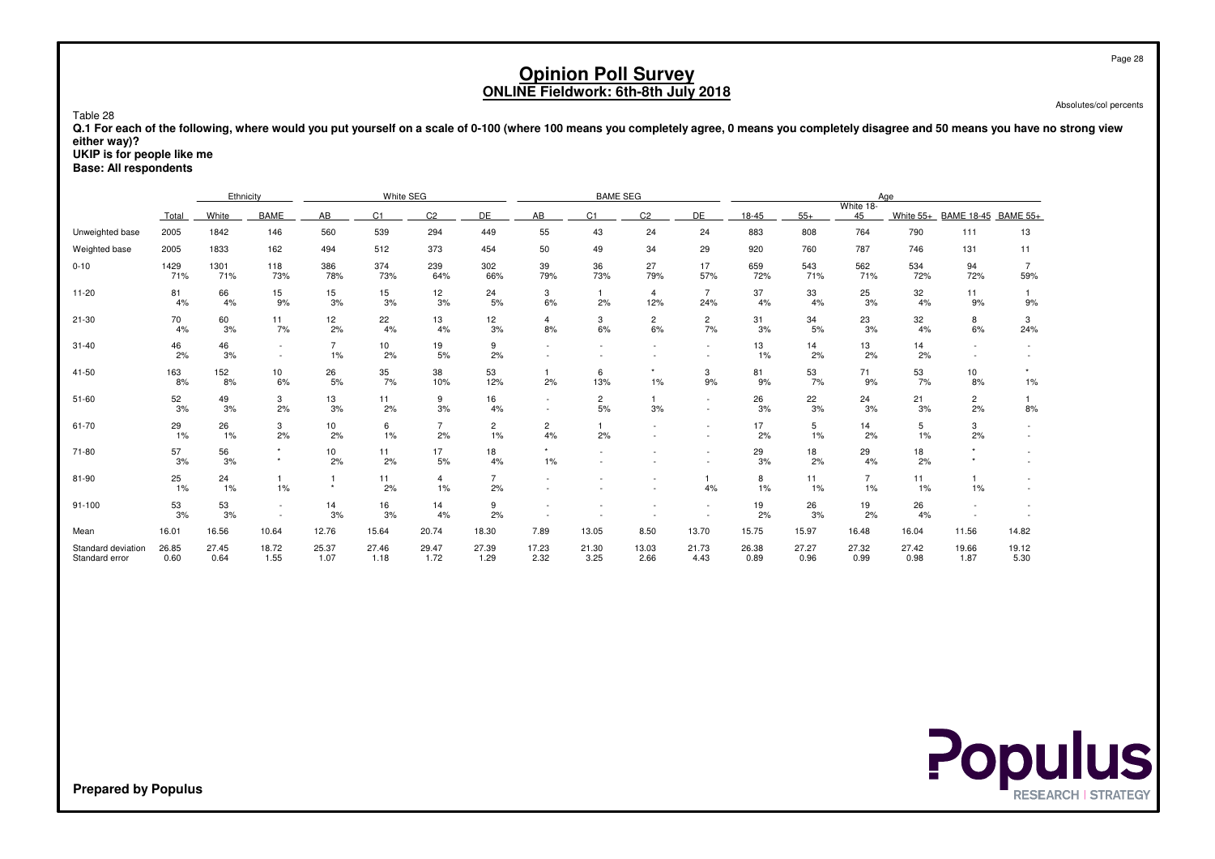Absolutes/col percents

 **Q.1 For each of the following, where would you put yourself on a scale of 0-100 (where 100 means you completely agree, 0 means you completely disagree and 50 means you have no strong vieweither way)?**

 **UKIP is for people like meBase: All respondents**

Table 28

|                                      |               | Ethnicity     |                  |                      | White SEG      |                      |                      |                      | <b>BAME SEG</b>      |                       |                       |               |               |                      | Age           |                      |                       |
|--------------------------------------|---------------|---------------|------------------|----------------------|----------------|----------------------|----------------------|----------------------|----------------------|-----------------------|-----------------------|---------------|---------------|----------------------|---------------|----------------------|-----------------------|
|                                      | Total         | White         | <b>BAME</b>      | AB                   | C <sub>1</sub> | C <sub>2</sub>       | DE                   | AB.                  | C <sub>1</sub>       | C <sub>2</sub>        | DE                    | 18-45         | $55+$         | White 18-<br>45      | White 55+     | <b>BAME 18-45</b>    | <b>BAME 55+</b>       |
| Unweighted base                      | 2005          | 1842          | 146              | 560                  | 539            | 294                  | 449                  | 55                   | 43                   | 24                    | 24                    | 883           | 808           | 764                  | 790           | 111                  | 13                    |
| Weighted base                        | 2005          | 1833          | 162              | 494                  | 512            | 373                  | 454                  | 50                   | 49                   | 34                    | 29                    | 920           | 760           | 787                  | 746           | 131                  | 11                    |
| $0 - 10$                             | 1429<br>71%   | 1301<br>71%   | 118<br>73%       | 386<br>78%           | 374<br>73%     | 239<br>64%           | 302<br>66%           | 39<br>79%            | 36<br>73%            | 27<br>79%             | 17<br>57%             | 659<br>72%    | 543<br>71%    | 562<br>71%           | 534<br>72%    | 94<br>72%            | $\overline{7}$<br>59% |
| $11 - 20$                            | 81<br>4%      | 66<br>4%      | 15<br>9%         | 15<br>3%             | 15<br>3%       | 12<br>3%             | 24<br>5%             | 3<br>6%              | 2%                   | $\overline{4}$<br>12% | $\overline{7}$<br>24% | 37<br>4%      | 33<br>4%      | 25<br>3%             | 32<br>4%      | 11<br>9%             | 9%                    |
| $21 - 30$                            | 70<br>4%      | 60<br>3%      | 11<br>7%         | 12<br>2%             | 22<br>4%       | 13<br>4%             | 12<br>3%             | $\overline{4}$<br>8% | 3<br>6%              | $\overline{2}$<br>6%  | $\overline{c}$<br>7%  | 31<br>3%      | 34<br>5%      | 23<br>3%             | 32<br>4%      | 8<br>6%              | 3<br>24%              |
| $31 - 40$                            | 46<br>2%      | 46<br>3%      | $\sim$<br>$\sim$ | $\overline{7}$<br>1% | 10<br>2%       | 19<br>5%             | 9<br>2%              |                      |                      |                       | $\sim$                | 13<br>1%      | 14<br>2%      | 13<br>2%             | 14<br>2%      | $\sim$               |                       |
| 41-50                                | 163<br>8%     | 152<br>8%     | 10<br>6%         | $^{26}_{5\%}$        | 35<br>7%       | 38<br>10%            | 53<br>12%            | 2%                   | 6<br>13%             | $1\%$                 | 3<br>9%               | 81<br>9%      | 53<br>7%      | 71<br>9%             | 53<br>7%      | 10<br>8%             | $1\%$                 |
| $51 - 60$                            | 52<br>3%      | 49<br>3%      | 3<br>2%          | 13<br>3%             | 11<br>2%       | 9<br>3%              | 16<br>4%             |                      | $\overline{c}$<br>5% | 3%                    |                       | 26<br>3%      | 22<br>3%      | 24<br>3%             | 21<br>3%      | $\overline{2}$<br>2% | 8%                    |
| 61-70                                | 29<br>1%      | 26<br>1%      | 3<br>2%          | 10<br>2%             | 6<br>1%        | $\overline{7}$<br>2% | $\overline{2}$<br>1% | $\overline{2}$<br>4% | 2%                   |                       |                       | 17<br>2%      | 5<br>1%       | 14<br>2%             | 5<br>1%       | 3<br>2%              |                       |
| $71 - 80$                            | 57<br>3%      | 56<br>3%      | $^\star$         | 10<br>2%             | 11<br>2%       | 17<br>5%             | 18<br>4%             | 1%                   |                      |                       |                       | 29<br>3%      | 18<br>2%      | 29<br>4%             | 18<br>2%      |                      |                       |
| 81-90                                | 25<br>1%      | 24<br>1%      | 1<br>1%          | $\star$              | 11<br>2%       | $\overline{4}$<br>1% | $\overline{7}$<br>2% |                      |                      |                       | 4%                    | 8<br>1%       | 11<br>1%      | $\overline{7}$<br>1% | 11<br>1%      | $\mathbf{1}$<br>1%   |                       |
| $91 - 100$                           | 53<br>3%      | 53<br>3%      | $\sim$           | 14<br>3%             | 16<br>3%       | 14<br>4%             | 9<br>2%              |                      |                      |                       |                       | 19<br>2%      | 26<br>3%      | 19<br>2%             | 26<br>4%      |                      |                       |
| Mean                                 | 16.01         | 16.56         | 10.64            | 12.76                | 15.64          | 20.74                | 18.30                | 7.89                 | 13.05                | 8.50                  | 13.70                 | 15.75         | 15.97         | 16.48                | 16.04         | 11.56                | 14.82                 |
| Standard deviation<br>Standard error | 26.85<br>0.60 | 27.45<br>0.64 | 18.72<br>1.55    | 25.37<br>1.07        | 27.46<br>1.18  | 29.47<br>1.72        | 27.39<br>1.29        | 17.23<br>2.32        | 21.30<br>3.25        | 13.03<br>2.66         | 21.73<br>4.43         | 26.38<br>0.89 | 27.27<br>0.96 | 27.32<br>0.99        | 27.42<br>0.98 | 19.66<br>1.87        | 19.12<br>5.30         |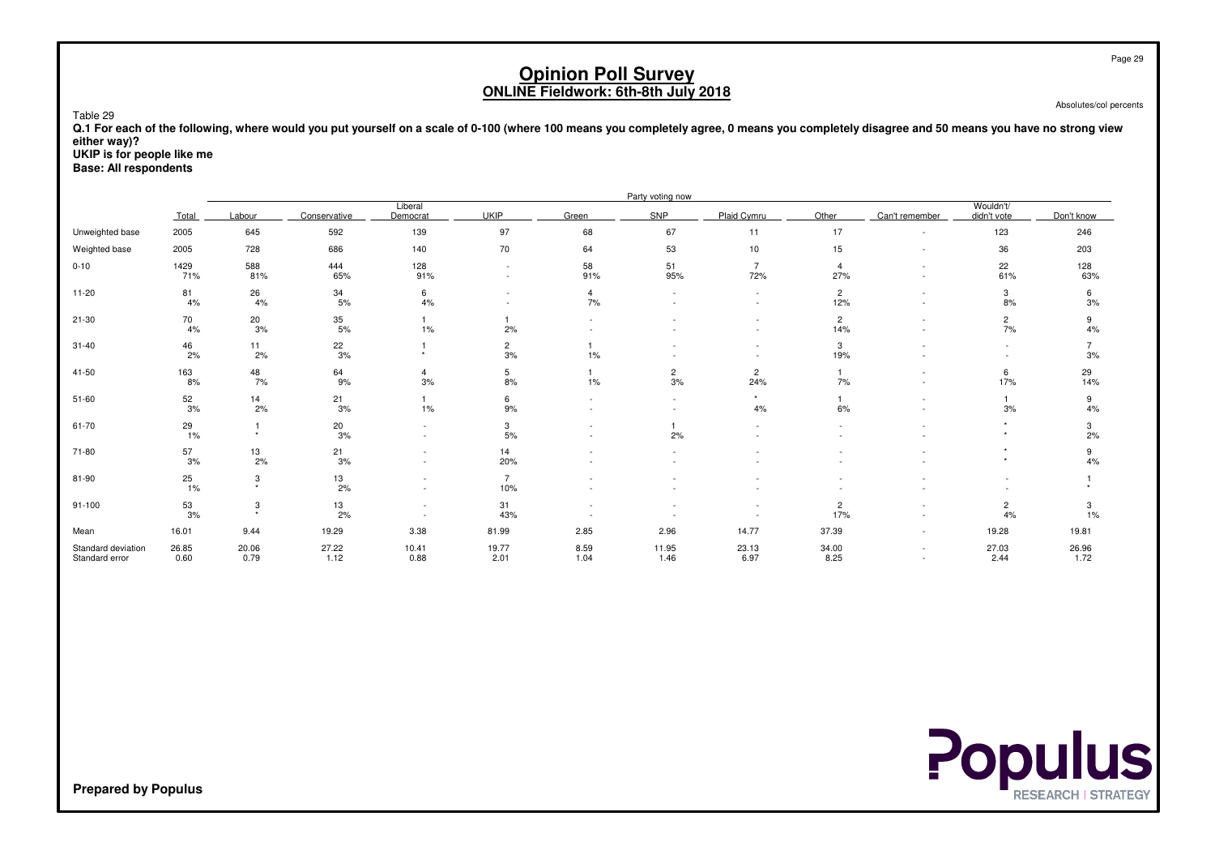Absolutes/col percents

 **Q.1 For each of the following, where would you put yourself on a scale of 0-100 (where 100 means you completely agree, 0 means you completely disagree and 50 means you have no strong vieweither way)?**

**UKIP is for people like me**

Table 29

**Base: All respondents**

|                                      |               |                           |                 |                                                      |                                    |                                                      | Party voting now         |                       |                       |                  |                          |               |
|--------------------------------------|---------------|---------------------------|-----------------|------------------------------------------------------|------------------------------------|------------------------------------------------------|--------------------------|-----------------------|-----------------------|------------------|--------------------------|---------------|
|                                      | Total         | Labour                    | Conservative    | Liberal<br>Democrat                                  | <b>UKIP</b>                        | Green                                                | SNP                      | Plaid Cymru           | Other                 | Can't remember   | Wouldn't/<br>didn't vote | Don't know    |
| Unweighted base                      | 2005          | 645                       | 592             | 139                                                  | 97                                 | 68                                                   | 67                       | 11                    | 17                    | $\sim$           | 123                      | 246           |
| Weighted base                        | 2005          | 728                       | 686             | 140                                                  | 70                                 | 64                                                   | 53                       | 10                    | 15                    | $\sim$           | 36                       | 203           |
| $0 - 10$                             | 1429<br>71%   | 588<br>81%                | 444<br>65%      | 128<br>91%                                           | $\overline{\phantom{a}}$<br>$\sim$ | 58<br>91%                                            | 51<br>95%                | $\overline{7}$<br>72% | $\overline{4}$<br>27% | $\sim$<br>÷      | 22<br>61%                | 128<br>63%    |
| $11 - 20$                            | 81<br>4%      | 26<br>4%                  | 34<br>5%        | 6<br>4%                                              | $\overline{\phantom{a}}$           | $\overline{4}$<br>7%                                 | $\overline{\phantom{a}}$ | $\sim$                | $\overline{c}$<br>12% | $\sim$           | 3<br>8%                  | 6<br>3%       |
| 21-30                                | 70<br>4%      | 20<br>3%                  | 35<br>5%        | 1%                                                   | 2%                                 |                                                      |                          |                       | $\overline{c}$<br>14% | ٠                | $\overline{c}$<br>7%     | 9<br>4%       |
| $31 - 40$                            | 46<br>2%      | 11<br>2%                  | $\frac{22}{3%}$ |                                                      | $\overline{c}$<br>3%               | 1%                                                   |                          |                       | 3<br>19%              |                  |                          | 3%            |
| $41 - 50$                            | 163<br>8%     | 48<br>7%                  | 64<br>9%        | 4<br>3%                                              | 5<br>8%                            | 1%                                                   | $\overline{2}$<br>3%     | $\overline{c}$<br>24% | $\mathbf{1}$<br>7%    | $\sim$<br>$\sim$ | 6<br>17%                 | 29<br>14%     |
| $51 - 60$                            | 52<br>3%      | 14<br>2%                  | 21<br>3%        | 1%                                                   | 6<br>$9%$                          | $\overline{\phantom{a}}$<br>$\overline{\phantom{a}}$ | $\sim$                   | $\star$<br>4%         | 1<br>6%               | $\sim$<br>٠      | 3%                       | 9<br>4%       |
| 61-70                                | 29<br>1%      | $\star$                   | 20<br>3%        | $\overline{\phantom{a}}$<br>$\overline{\phantom{a}}$ | 3<br>$5%$                          | $\overline{\phantom{a}}$<br>$\overline{\phantom{a}}$ | 2%                       | $\sim$                | $\sim$                | ٠                | $\star$<br>$\star$       | 3<br>2%       |
| 71-80                                | 57<br>3%      | 13<br>2%                  | 21<br>3%        | $\overline{\phantom{a}}$<br>$\overline{\phantom{a}}$ | 14<br>20%                          |                                                      |                          |                       |                       |                  | ٠                        | 9<br>4%       |
| 81-90                                | $^{25}_{1\%}$ | 3<br>$\ddot{\phantom{1}}$ | 13<br>2%        | $\overline{\phantom{a}}$                             | $\overline{7}$<br>10%              |                                                      |                          |                       |                       |                  |                          |               |
| $91 - 100$                           | 53<br>3%      | 3<br>$\rightarrow$        | 13<br>2%        |                                                      | 31<br>43%                          |                                                      |                          |                       | $\overline{c}$<br>17% |                  | $\overline{c}$<br>4%     | 3<br>1%       |
| Mean                                 | 16.01         | 9.44                      | 19.29           | 3.38                                                 | 81.99                              | 2.85                                                 | 2.96                     | 14.77                 | 37.39                 | $\sim$           | 19.28                    | 19.81         |
| Standard deviation<br>Standard error | 26.85<br>0.60 | 20.06<br>0.79             | 27.22<br>1.12   | 10.41<br>0.88                                        | 19.77<br>2.01                      | 8.59<br>1.04                                         | 11.95<br>1.46            | 23.13<br>6.97         | 34.00<br>8.25         | $\sim$<br>$\sim$ | 27.03<br>2.44            | 26.96<br>1.72 |



**Prepared by Populus**

Page 29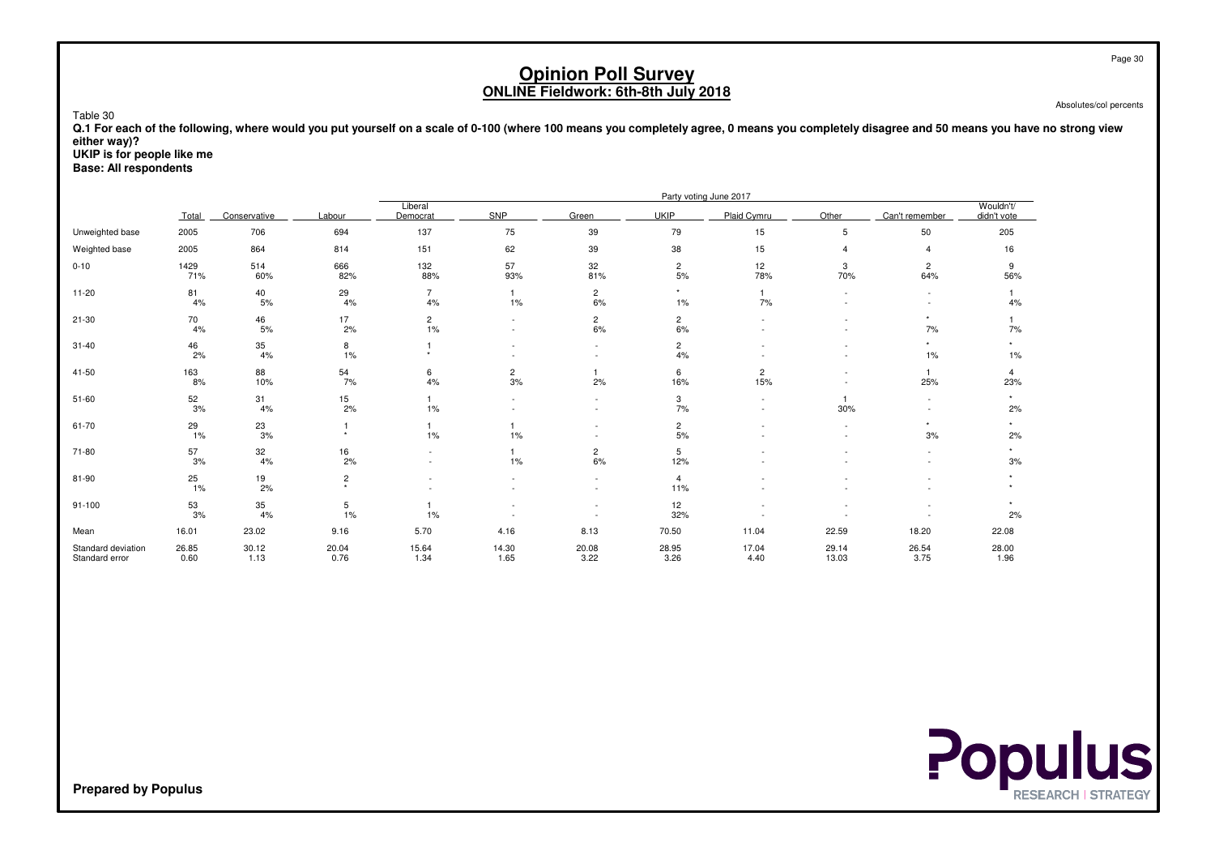Absolutes/col percents

 **Q.1 For each of the following, where would you put yourself on a scale of 0-100 (where 100 means you completely agree, 0 means you completely disagree and 50 means you have no strong vieweither way)?**

**UKIP is for people like me**

Table 30

**Base: All respondents**

|                                      |               |                  |               |                            |                         |                         |                       | Party voting June 2017 |                |                       |                          |
|--------------------------------------|---------------|------------------|---------------|----------------------------|-------------------------|-------------------------|-----------------------|------------------------|----------------|-----------------------|--------------------------|
|                                      | Total         | Conservative     | Labour        | Liberal<br>Democrat        | SNP                     | Green                   | <b>UKIP</b>           | Plaid Cymru            | Other          | Can't remember        | Wouldn't/<br>didn't vote |
| Unweighted base                      | 2005          | 706              | 694           | 137                        | 75                      | 39                      | 79                    | 15                     | 5              | 50                    | 205                      |
| Weighted base                        | 2005          | 864              | 814           | 151                        | 62                      | 39                      | 38                    | 15                     | 4              | $\overline{4}$        | 16                       |
| $0 - 10$                             | 1429<br>71%   | 514<br>60%       | 666<br>82%    | 132<br>88%                 | 57<br>93%               | 32<br>81%               | $\overline{2}$<br>5%  | 12<br>78%              | 3<br>70%       | $\overline{2}$<br>64% | 9<br>56%                 |
| $11 - 20$                            | 81<br>4%      | $^{40}_{\ 5\%}$  | 29<br>4%      | $\overline{7}$<br>4%       | $\overline{1}$<br>$1\%$ | $\overline{c}$<br>$6\%$ | $\star$<br>1%         | $\mathbf{1}$<br>7%     | $\sim$         | $\sim$                | 4%                       |
| $21 - 30$                            | 70<br>4%      | 46<br>5%         | 17<br>2%      | $\overline{c}$<br>1%       |                         | $\overline{c}$<br>6%    | $\overline{2}$<br>6%  |                        |                | $\star$<br>7%         | 7%                       |
| $31 - 40$                            | 46<br>2%      | 35<br>4%         | 8<br>1%       | $\ddot{\phantom{1}}$       |                         | $\sim$                  | $\overline{2}$<br>4%  |                        |                | $\star$<br>1%         | 1%                       |
| 41-50                                | 163<br>8%     | 88<br>10%        | 54<br>7%      | 6<br>4%                    | $\overline{c}$<br>3%    | 2%                      | 6<br>16%              | $\overline{c}$<br>15%  |                | $\overline{1}$<br>25% | 4<br>23%                 |
| $51 - 60$                            | 52<br>$3%$    | 31<br>4%         | 15<br>2%      | $\mathbf{1}$<br>$1\%$      |                         | $\sim$                  | 3<br>7%               |                        | 30%            |                       | 2%                       |
| 61-70                                | 29<br>$1\%$   | 23<br>$3%$       |               | 1<br>$1\%$                 | 1%                      |                         | $\overline{c}$<br>5%  |                        |                | 3%                    | 2%                       |
| 71-80                                | 57<br>3%      | 32<br>4%         | 16<br>2%      |                            | 1%                      | $\overline{c}$<br>6%    | 5<br>12%              |                        |                | $\sim$                | 3%                       |
| 81-90                                | 25<br>1%      | $\frac{19}{2\%}$ | 2             |                            |                         |                         | $\overline{4}$<br>11% |                        |                |                       |                          |
| $91 - 100$                           | 53<br>3%      | 35<br>4%         | 5<br>1%       | $\blacktriangleleft$<br>1% |                         |                         | 12<br>32%             |                        |                |                       | 2%                       |
| Mean                                 | 16.01         | 23.02            | 9.16          | 5.70                       | 4.16                    | 8.13                    | 70.50                 | 11.04                  | 22.59          | 18.20                 | 22.08                    |
| Standard deviation<br>Standard error | 26.85<br>0.60 | 30.12<br>1.13    | 20.04<br>0.76 | 15.64<br>1.34              | 14.30<br>1.65           | 20.08<br>3.22           | 28.95<br>3.26         | 17.04<br>4.40          | 29.14<br>13.03 | 26.54<br>3.75         | 28.00<br>1.96            |

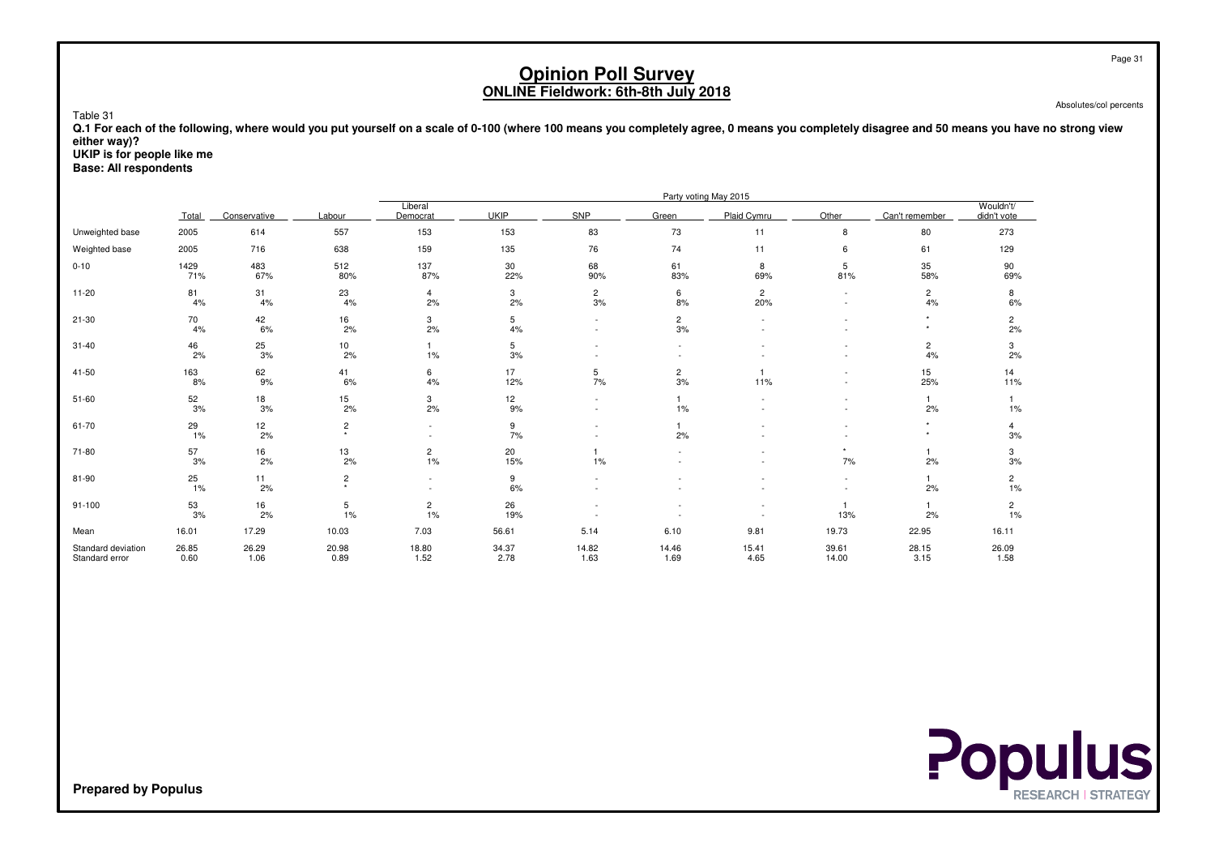Absolutes/col percents

 **Q.1 For each of the following, where would you put yourself on a scale of 0-100 (where 100 means you completely agree, 0 means you completely disagree and 50 means you have no strong vieweither way)?**

**UKIP is for people like me**

Table 31

**Base: All respondents**

|                                      | Party voting May 2015 |               |                           |                          |               |                          |                      |                       |                     |                               |                          |
|--------------------------------------|-----------------------|---------------|---------------------------|--------------------------|---------------|--------------------------|----------------------|-----------------------|---------------------|-------------------------------|--------------------------|
|                                      | Total                 | Conservative  | Labour                    | Liberal<br>Democrat      | <b>UKIP</b>   | SNP                      | Green                | Plaid Cymru           | Other               | Can't remember                | Wouldn't/<br>didn't vote |
| Unweighted base                      | 2005                  | 614           | 557                       | 153                      | 153           | 83                       | 73                   | 11                    | 8                   | 80                            | 273                      |
| Weighted base                        | 2005                  | 716           | 638                       | 159                      | 135           | 76                       | 74                   | 11                    | 6                   | 61                            | 129                      |
| $0 - 10$                             | 1429<br>71%           | 483<br>67%    | 512<br>80%                | 137<br>87%               | 30<br>22%     | 68<br>90%                | 61<br>83%            | 8<br>69%              | 5<br>81%            | 35<br>58%                     | 90<br>69%                |
| $11 - 20$                            | 81<br>4%              | 31<br>4%      | 23<br>4%                  | $\overline{4}$<br>2%     | 3<br>2%       | $\overline{c}$<br>3%     | 6<br>8%              | $\overline{2}$<br>20% | $\sim$<br>$\sim$    | $\overline{c}$<br>4%          | 8<br>6%                  |
| $21 - 30$                            | 70<br>4%              | 42<br>6%      | 16<br>2%                  | 3<br>2%                  | 5<br>4%       | $\overline{\phantom{a}}$ | $\overline{c}$<br>3% |                       |                     | $\star$<br>$\star$            | $\overline{c}$<br>2%     |
| $31 - 40$                            | 46<br>2%              | 25<br>3%      | 10<br>2%                  | $\mathbf{1}$<br>$1\%$    | 5<br>3%       |                          |                      |                       |                     | $\overline{\mathbf{c}}$<br>4% | 3<br>2%                  |
| 41-50                                | 163<br>8%             | 62<br>9%      | 41<br>6%                  | 6<br>4%                  | 17<br>12%     | 5<br>7%                  | $\overline{c}$<br>3% | 11%                   |                     | 15<br>25%                     | 14<br>11%                |
| $51 - 60$                            | 52<br>3%              | 18<br>3%      | 15<br>2%                  | 3<br>2%                  | 12<br>9%      | $\sim$                   | $\mathbf{1}$<br>1%   |                       | ٠                   | $\overline{1}$<br>2%          | 1%                       |
| 61-70                                | 29<br>1%              | 12<br>2%      | $\overline{c}$            |                          | 9<br>7%       |                          | $\mathbf{1}$<br>2%   |                       |                     | $\star$<br>$\star$            | 4<br>3%                  |
| 71-80                                | 57<br>3%              | 16<br>2%      | 13<br>2%                  | $\overline{c}$<br>1%     | 20<br>15%     | 1%                       |                      |                       | 7%                  | 2%                            | 3<br>3%                  |
| 81-90                                | 25<br>1%              | 11<br>2%      | $\overline{c}$<br>$\star$ | $\overline{\phantom{a}}$ | 9<br>6%       |                          |                      |                       |                     | 2%                            | $\overline{c}$<br>1%     |
| $91 - 100$                           | 53<br>3%              | 16<br>2%      | 5<br>1%                   | $\overline{c}$<br>1%     | 26<br>19%     |                          |                      |                       | $\mathbf{1}$<br>13% | 2%                            | $\overline{c}$<br>1%     |
| Mean                                 | 16.01                 | 17.29         | 10.03                     | 7.03                     | 56.61         | 5.14                     | 6.10                 | 9.81                  | 19.73               | 22.95                         | 16.11                    |
| Standard deviation<br>Standard error | 26.85<br>0.60         | 26.29<br>1.06 | 20.98<br>0.89             | 18.80<br>1.52            | 34.37<br>2.78 | 14.82<br>1.63            | 14.46<br>1.69        | 15.41<br>4.65         | 39.61<br>14.00      | 28.15<br>3.15                 | 26.09<br>1.58            |

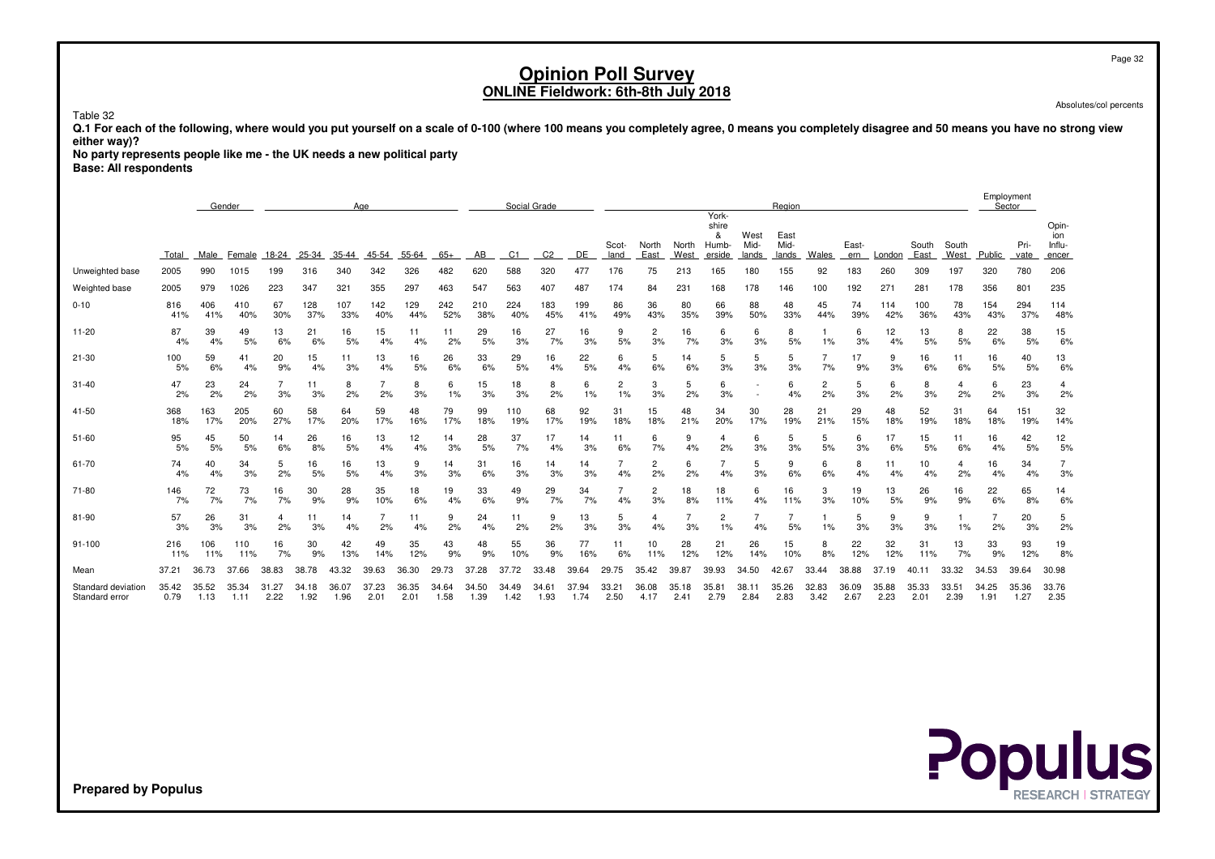Page 32

# **Opinion Poll SurveyONLINE Fieldwork: 6th-8th July 2018**

Absolutes/col percents

Table 32

 **Q.1 For each of the following, where would you put yourself on a scale of 0-100 (where 100 means you completely agree, 0 means you completely disagree and 50 means you have no strong vieweither way)?**

**No party represents people like me - the UK needs a new political party**

**Base: All respondents**

|                                      |               | Gender<br>Age |               |               |               |               |               |               | Social Grade  |               |               |                |               |               |                      | Region        |                                        |                       |                       |               |               |               | Employment<br>Sector |               |               |               |                                 |
|--------------------------------------|---------------|---------------|---------------|---------------|---------------|---------------|---------------|---------------|---------------|---------------|---------------|----------------|---------------|---------------|----------------------|---------------|----------------------------------------|-----------------------|-----------------------|---------------|---------------|---------------|----------------------|---------------|---------------|---------------|---------------------------------|
|                                      | Total         | Male          | Female        | 18-24         | 25-34         | 35-44         | 45-54         | 55-64         | $65+$         | AB            | C1            | C <sub>2</sub> | DE            | Scot-<br>land | North<br>East        | North<br>West | York-<br>shire<br>&<br>Humb-<br>erside | West<br>Mid-<br>lands | East<br>Mid-<br>lands | Wales         | East-<br>ern  | London        | South<br>East        | South<br>West | Public        | Pri-<br>vate  | Opin-<br>ion<br>Influ-<br>encer |
| Unweighted base                      | 2005          | 990           | 1015          | 199           | 316           | 340           | 342           | 326           | 482           | 620           | 588           | 320            | 477           | 176           | 75                   | 213           | 165                                    | 180                   | 155                   | 92            | 183           | 260           | 309                  | 197           | 320           | 780           | 206                             |
| Weighted base                        | 2005          | 979           | 1026          | 223           | 347           | 321           | 355           | 297           | 463           | 547           | 563           | 407            | 487           | 174           | 84                   | 231           | 168                                    | 178                   | 146                   | 100           | 192           | 271           | 281                  | 178           | 356           | 801           | 235                             |
| $0 - 10$                             | 816<br>41%    | 406<br>41%    | 410<br>40%    | 67<br>30%     | 128<br>37%    | 107<br>33%    | 142<br>40%    | 129<br>44%    | 242<br>52%    | 210<br>38%    | 224<br>40%    | 183<br>45%     | 199<br>41%    | 86<br>49%     | 36<br>43%            | 80<br>35%     | 66<br>39%                              | 88<br>50%             | 48<br>33%             | 45<br>44%     | 74<br>39%     | 114<br>42%    | 100<br>36%           | 78<br>43%     | 154<br>43%    | 294<br>37%    | 114<br>48%                      |
| 11-20                                | 87<br>4%      | 39<br>4%      | 49<br>5%      | 13<br>6%      | 21<br>6%      | 16<br>5%      | 15<br>4%      | 11<br>4%      | 11<br>2%      | 29<br>5%      | 16<br>3%      | 27<br>7%       | 16<br>3%      | 9<br>5%       | 2<br>3%              | 16<br>7%      | 6<br>3%                                | 6<br>3%               | 8<br>5%               | 1%            | 6<br>3%       | 12<br>4%      | 13<br>5%             | 8<br>5%       | 22<br>6%      | 38<br>5%      | 15<br>6%                        |
| 21-30                                | 100<br>5%     | 59<br>6%      | 41<br>4%      | 20<br>9%      | 15<br>4%      | 11<br>3%      | 13<br>4%      | 16<br>5%      | 26<br>6%      | 33<br>6%      | 29<br>5%      | 16<br>4%       | 22<br>5%      | 6<br>4%       | 5<br>6%              | 14<br>6%      | 5<br>3%                                | 5<br>3%               | 5<br>3%               | 7%            | 17<br>9%      | 9<br>3%       | 16<br>6%             | 11<br>6%      | 16<br>5%      | 40<br>5%      | 13<br>6%                        |
| 31-40                                | 47<br>2%      | 23<br>2%      | 24<br>2%      | 3%            | 11<br>3%      | 8<br>2%       | 7<br>2%       | 8<br>3%       | 6<br>1%       | 15<br>3%      | 18<br>3%      | 8<br>2%        | 6<br>1%       | 2<br>1%       | 3<br>3%              | 5<br>2%       | 6<br>3%                                |                       | 6<br>4%               | 2<br>2%       | 5<br>3%       | 6<br>2%       | 8<br>3%              | 4<br>2%       | 6<br>2%       | 23<br>3%      | 4<br>2%                         |
| 41-50                                | 368<br>18%    | 163<br>17%    | 205<br>20%    | 60<br>27%     | 58<br>17%     | 64<br>20%     | 59<br>17%     | 48<br>16%     | 79<br>17%     | 99<br>18%     | 110<br>19%    | 68<br>17%      | 92<br>19%     | 31<br>18%     | 15<br>18%            | 48<br>21%     | 34<br>20%                              | 30<br>17%             | 28<br>19%             | 21<br>21%     | 29<br>15%     | 48<br>18%     | 52<br>19%            | 31<br>18%     | 64<br>18%     | 151<br>19%    | 32<br>14%                       |
| 51-60                                | 95<br>5%      | 45<br>5%      | 50<br>5%      | 14<br>6%      | 26<br>8%      | 16<br>5%      | 13<br>4%      | 12<br>4%      | 14<br>3%      | 28<br>5%      | 37<br>7%      | 17<br>4%       | 14<br>3%      | 11<br>6%      | 6<br>7%              | 9<br>4%       | 2%                                     | 6<br>3%               | 5<br>3%               | 5<br>5%       | 6<br>3%       | 17<br>6%      | 15<br>5%             | 11<br>6%      | 16<br>4%      | 42<br>5%      | 12<br>5%                        |
| 61-70                                | 74<br>4%      | 40<br>4%      | 34<br>3%      | 5<br>2%       | 16<br>5%      | 16<br>5%      | 13<br>4%      | 9<br>3%       | 14<br>3%      | 31<br>6%      | 16<br>3%      | 14<br>3%       | 14<br>3%      | 4%            | $\overline{c}$<br>2% | 6<br>2%       | 4%                                     | 5<br>3%               | 9<br>6%               | 6<br>6%       | 8<br>4%       | 11<br>4%      | 10<br>4%             | 4<br>2%       | 16<br>4%      | 34<br>4%      | 3%                              |
| 71-80                                | 146<br>7%     | 72<br>7%      | 73<br>7%      | 16<br>7%      | 30<br>9%      | 28<br>9%      | 35<br>10%     | 18<br>6%      | 19<br>4%      | 33<br>6%      | 49<br>9%      | 29<br>7%       | 34<br>7%      | 4%            | 2<br>3%              | 18<br>8%      | 18<br>11%                              | 4%                    | 16<br>11%             | 3<br>3%       | 19<br>10%     | 13<br>5%      | 26<br>9%             | 16<br>9%      | 22<br>6%      | 65<br>8%      | 14<br>6%                        |
| 81-90                                | 57<br>3%      | 26<br>3%      | 31<br>3%      | 4<br>2%       | 11<br>3%      | 14<br>4%      | 2%            | 11<br>4%      | 9<br>2%       | 24<br>4%      | 11<br>2%      | 9<br>2%        | 13<br>3%      | 5<br>3%       | 4<br>4%              | 3%            | $\overline{c}$<br>1%                   | 4%                    | 5%                    | 1%            | 5<br>3%       | 9<br>3%       | 9<br>3%              | 1%            | 2%            | 20<br>3%      | 5<br>2%                         |
| 91-100                               | 216<br>11%    | 106<br>11%    | 110<br>11%    | 16<br>7%      | 30<br>9%      | 42<br>13%     | 49<br>14%     | 35<br>12%     | 43<br>9%      | 48<br>9%      | 55<br>10%     | 36<br>9%       | 77<br>16%     | 11<br>6%      | 10<br>11%            | 28<br>12%     | 21<br>12%                              | 26<br>14%             | 15<br>10%             | 8<br>8%       | 22<br>12%     | 32<br>12%     | 31<br>11%            | 13<br>7%      | 33<br>9%      | 93<br>12%     | 19<br>8%                        |
| Mean                                 | 37.21         | 36.73         | 37.66         | 38.83         | 38.78         | 43.32         | 39.63         | 36.30         | 29.73         | 37.28         | 37.72         | 33.48          | 39.64         | 29.75         | 35.42                | 39.87         | 39.93                                  | 34.50                 | 42.67                 | 33.44         | 38.88         | 37.19         |                      | 33.32         | 34.53         | 39.64         | 30.98                           |
| Standard deviation<br>Standard error | 35.42<br>0.79 | 35.52<br>1.13 | 35.34<br>1.11 | 31.27<br>2.22 | 34.18<br>1.92 | 36.07<br>1.96 | 37.23<br>2.01 | 36.35<br>2.01 | 34.64<br>1.58 | 34.50<br>1.39 | 34.49<br>1.42 | 34.61<br>1.93  | 37.94<br>1.74 | 33.21<br>2.50 | 36.08<br>4.17        | 35.18<br>2.41 | 35.81<br>2.79                          | 38.11<br>2.84         | 35.26<br>2.83         | 32.83<br>3.42 | 36.09<br>2.67 | 35.88<br>2.23 | 35.33<br>2.01        | 33.51<br>2.39 | 34.25<br>1.91 | 35.36<br>1.27 | 33.76<br>2.35                   |

**Populus**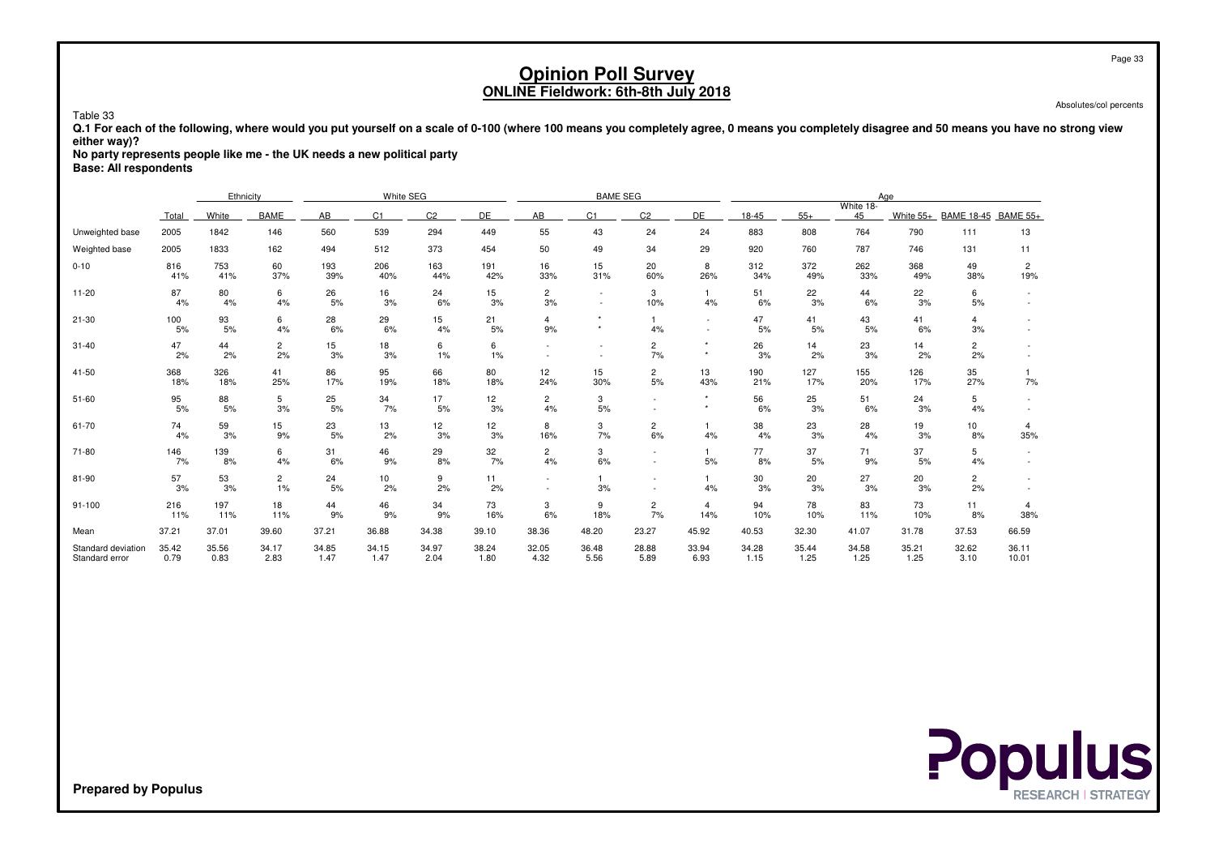Absolutes/col percents

 **Q.1 For each of the following, where would you put yourself on a scale of 0-100 (where 100 means you completely agree, 0 means you completely disagree and 50 means you have no strong vieweither way)?**

**No party represents people like me - the UK needs a new political party**

**Base: All respondents**

Table 33

|                                      |               | White SEG<br>Ethnicity |                      |               |                |                |               |                      | <b>BAME SEG</b> |                                                      |                          |               |               |                 | Age           |                      |                       |
|--------------------------------------|---------------|------------------------|----------------------|---------------|----------------|----------------|---------------|----------------------|-----------------|------------------------------------------------------|--------------------------|---------------|---------------|-----------------|---------------|----------------------|-----------------------|
|                                      | Total         | White                  | <b>BAME</b>          | AB            | C <sub>1</sub> | C <sub>2</sub> | DE            | AB                   | C <sub>1</sub>  | C <sub>2</sub>                                       | DE                       | 18-45         | $55+$         | White 18-<br>45 | White 55+     | BAME 18-45 BAME 55+  |                       |
| Unweighted base                      | 2005          | 1842                   | 146                  | 560           | 539            | 294            | 449           | 55                   | 43              | 24                                                   | 24                       | 883           | 808           | 764             | 790           | 111                  | 13                    |
| Weighted base                        | 2005          | 1833                   | 162                  | 494           | 512            | 373            | 454           | 50                   | 49              | 34                                                   | 29                       | 920           | 760           | 787             | 746           | 131                  | 11                    |
| $0 - 10$                             | 816<br>41%    | 753<br>41%             | 60<br>37%            | 193<br>39%    | 206<br>40%     | 163<br>44%     | 191<br>42%    | 16<br>33%            | 15<br>31%       | 20<br>60%                                            | 8<br>26%                 | 312<br>34%    | 372<br>49%    | 262<br>33%      | 368<br>49%    | 49<br>38%            | $\overline{2}$<br>19% |
| $11 - 20$                            | 87<br>4%      | 80<br>4%               | 6<br>4%              | 26<br>5%      | 16<br>3%       | 24<br>6%       | 15<br>3%      | $\overline{c}$<br>3% |                 | 3<br>10%                                             | $\mathbf{1}$<br>4%       | 51<br>6%      | 22<br>3%      | 44<br>6%        | 22<br>3%      | 6<br>5%              | $\sim$                |
| $21 - 30$                            | 100<br>5%     | 93<br>5%               | 6<br>4%              | 28<br>6%      | 29<br>6%       | 15<br>4%       | 21<br>5%      | 4<br>9%              |                 | $\mathbf{1}$<br>4%                                   | $\overline{\phantom{a}}$ | 47<br>5%      | 41<br>5%      | 43<br>5%        | 41<br>6%      | 4<br>3%              |                       |
| $31 - 40$                            | 47<br>2%      | 44<br>2%               | $\overline{c}$<br>2% | 15<br>3%      | 18<br>3%       | 6<br>1%        | 6<br>1%       |                      |                 | $\overline{c}$<br>7%                                 |                          | 26<br>3%      | 14<br>2%      | 23<br>3%        | 14<br>2%      | $\overline{2}$<br>2% |                       |
| 41-50                                | 368<br>18%    | 326<br>18%             | 41<br>25%            | 86<br>17%     | 95<br>19%      | 66<br>18%      | 80<br>18%     | 12<br>24%            | 15<br>30%       | $\overline{c}$<br>5%                                 | 13<br>43%                | 190<br>21%    | 127<br>17%    | 155<br>20%      | 126<br>17%    | 35<br>27%            | 7%                    |
| $51 - 60$                            | 95<br>5%      | 88<br>5%               | 5<br>3%              | 25<br>5%      | 34<br>7%       | 17<br>5%       | 12<br>3%      | $\overline{a}$<br>4% | 3<br>5%         |                                                      | $\star$                  | 56<br>6%      | 25<br>3%      | 51<br>6%        | 24<br>3%      | 5<br>4%              |                       |
| 61-70                                | 74<br>4%      | 59<br>3%               | 15<br>9%             | 23<br>5%      | 13<br>2%       | 12<br>3%       | 12<br>3%      | 8<br>16%             | 3<br>7%         | $\overline{c}$<br>6%                                 | $\overline{1}$<br>4%     | 38<br>4%      | 23<br>3%      | 28<br>4%        | 19<br>3%      | 10<br>8%             | 4<br>35%              |
| 71-80                                | 146<br>7%     | 139<br>8%              | 6<br>4%              | 31<br>6%      | 46<br>9%       | 29<br>8%       | 32<br>7%      | $\overline{2}$<br>4% | 3<br>6%         | $\sim$                                               | $\mathbf{1}$<br>5%       | 77<br>8%      | 37<br>5%      | 71<br>9%        | 37<br>5%      | 5<br>4%              |                       |
| 81-90                                | 57<br>3%      | 53<br>3%               | $\overline{c}$<br>1% | 24<br>5%      | 10<br>2%       | 9<br>2%        | 11<br>2%      |                      | 3%              | $\overline{\phantom{a}}$<br>$\overline{\phantom{a}}$ | $\mathbf{1}$<br>4%       | 30<br>3%      | 20<br>3%      | 27<br>3%        | 20<br>3%      | $\overline{2}$<br>2% |                       |
| $91 - 100$                           | 216<br>11%    | 197<br>11%             | 18<br>11%            | 44<br>9%      | 46<br>9%       | 34<br>9%       | 73<br>16%     | 3<br>6%              | 9<br>18%        | $\overline{c}$<br>7%                                 | $\overline{4}$<br>14%    | 94<br>10%     | 78<br>10%     | 83<br>11%       | 73<br>10%     | 11<br>8%             | 4<br>38%              |
| Mean                                 | 37.21         | 37.01                  | 39.60                | 37.21         | 36.88          | 34.38          | 39.10         | 38.36                | 48.20           | 23.27                                                | 45.92                    | 40.53         | 32.30         | 41.07           | 31.78         | 37.53                | 66.59                 |
| Standard deviation<br>Standard error | 35.42<br>0.79 | 35.56<br>0.83          | 34.17<br>2.83        | 34.85<br>1.47 | 34.15<br>1.47  | 34.97<br>2.04  | 38.24<br>1.80 | 32.05<br>4.32        | 36.48<br>5.56   | 28.88<br>5.89                                        | 33.94<br>6.93            | 34.28<br>1.15 | 35.44<br>1.25 | 34.58<br>1.25   | 35.21<br>1.25 | 32.62<br>3.10        | 36.11<br>10.01        |

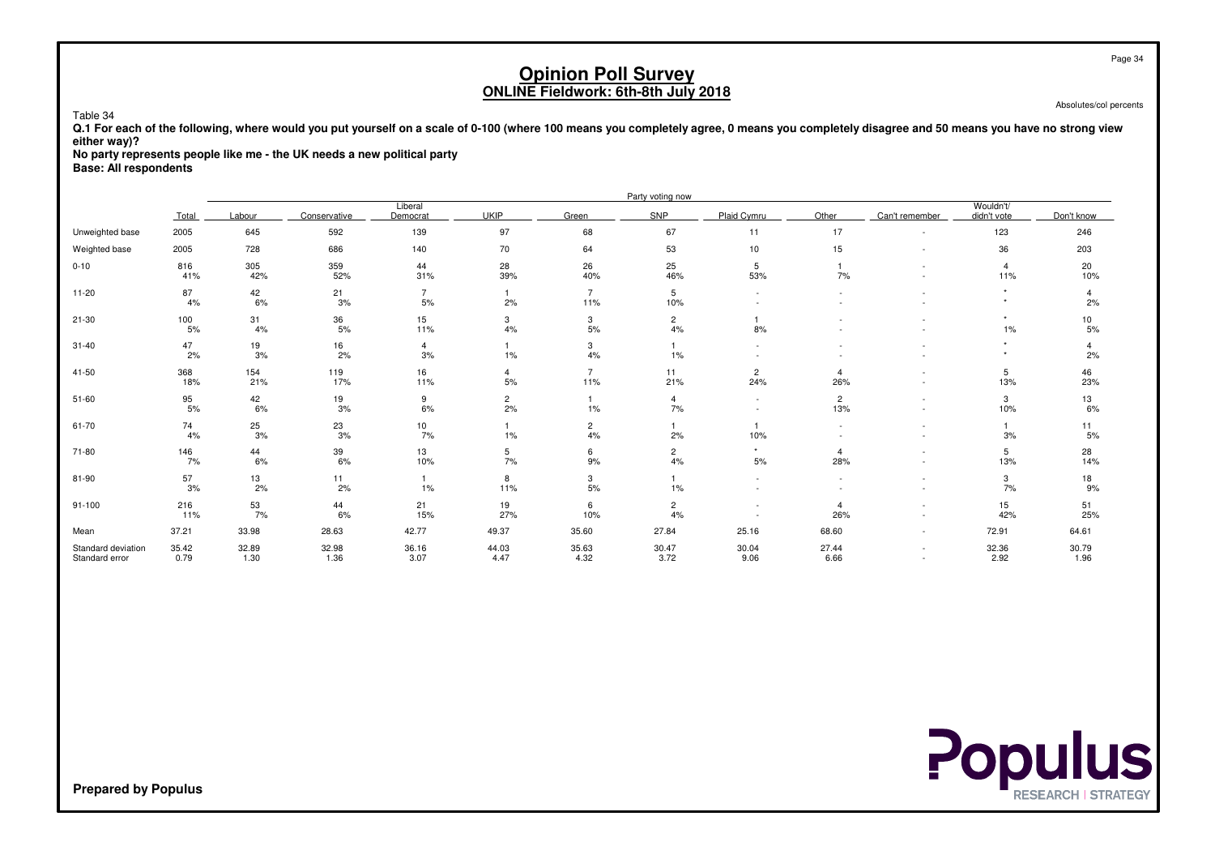Absolutes/col percents

 **Q.1 For each of the following, where would you put yourself on a scale of 0-100 (where 100 means you completely agree, 0 means you completely disagree and 50 means you have no strong vieweither way)?**

**No party represents people like me - the UK needs a new political party**

**Base: All respondents**

Table 34

|                                      |                  |               |               |                      |                      |                       | Party voting now     |                          |                          |                |                          |               |
|--------------------------------------|------------------|---------------|---------------|----------------------|----------------------|-----------------------|----------------------|--------------------------|--------------------------|----------------|--------------------------|---------------|
|                                      | Total            | Labour        | Conservative  | Liberal<br>Democrat  | <b>UKIP</b>          | Green                 | SNP                  | Plaid Cymru              | Other                    | Can't remember | Wouldn't/<br>didn't vote | Don't know    |
| Unweighted base                      | 2005             | 645           | 592           | 139                  | 97                   | 68                    | 67                   | 11                       | 17                       | $\sim$         | 123                      | 246           |
| Weighted base                        | 2005             | 728           | 686           | 140                  | 70                   | 64                    | 53                   | 10                       | 15                       | $\sim$         | 36                       | 203           |
| $0 - 10$                             | 816<br>41%       | 305<br>42%    | 359<br>52%    | 44<br>31%            | 28<br>39%            | 26<br>40%             | 25<br>46%            | 5<br>53%                 | 7%                       |                | $\overline{4}$<br>11%    | 20<br>10%     |
| $11 - 20$                            | 87<br>4%         | 42<br>6%      | 21<br>3%      | $\overline{7}$<br>5% | 2%                   | $\overline{7}$<br>11% | 5<br>10%             | $\sim$                   | $\overline{\phantom{a}}$ |                |                          | 4<br>2%       |
| $21 - 30$                            | 100<br>$5%$      | 31<br>4%      | 36<br>$5%$    | 15<br>11%            | 3<br>$4\%$           | 3<br>5%               | $\overline{c}$<br>4% | 8%                       |                          |                | $\star$<br>$1\%$         | 10<br>5%      |
| $31 - 40$                            | 47<br>2%         | 19<br>3%      | 16<br>2%      | $\overline{4}$<br>3% | $1\%$                | 3<br>4%               | $\mathbf{1}$<br>1%   |                          |                          |                | $\ddot{}$                | 4<br>2%       |
| 41-50                                | 368<br>18%       | 154<br>21%    | 119<br>17%    | 16<br>11%            | $\overline{4}$<br>5% | $\overline{7}$<br>11% | 11<br>21%            | $\overline{2}$<br>24%    | $\overline{4}$<br>26%    |                | 5<br>13%                 | 46<br>23%     |
| $51 - 60$                            | 95<br>5%         | 42<br>6%      | 19<br>3%      | 9<br>6%              | $\overline{c}$<br>2% | 1%                    | $\overline{4}$<br>7% | $\overline{\phantom{a}}$ | $\overline{2}$<br>13%    |                | 3<br>10%                 | 13<br>6%      |
| 61-70                                | 74<br>4%         | 25<br>3%      | 23<br>3%      | 10<br>7%             | 1%                   | $\overline{2}$<br>4%  | $\mathbf{1}$<br>2%   | 10%                      |                          |                | 3%                       | 11<br>5%      |
| 71-80                                | 146<br>7%        | 44<br>6%      | 39<br>6%      | 13<br>10%            | 5<br>7%              | 6<br>9%               | $\overline{2}$<br>4% | $\star$<br>5%            | $\overline{4}$<br>28%    |                | 5<br>13%                 | 28<br>14%     |
| 81-90                                | $\frac{57}{3\%}$ | 13<br>2%      | 11<br>2%      | 1%                   | 8<br>11%             | 3<br>$5%$             | 1%                   |                          |                          |                | 3<br>7%                  | 18<br>9%      |
| $91 - 100$                           | 216<br>11%       | 53<br>7%      | 44<br>6%      | 21<br>15%            | 19<br>27%            | 6<br>10%              | $\overline{c}$<br>4% |                          | $\overline{4}$<br>26%    |                | 15<br>42%                | 51<br>25%     |
| Mean                                 | 37.21            | 33.98         | 28.63         | 42.77                | 49.37                | 35.60                 | 27.84                | 25.16                    | 68.60                    | $\sim$         | 72.91                    | 64.61         |
| Standard deviation<br>Standard error | 35.42<br>0.79    | 32.89<br>1.30 | 32.98<br>1.36 | 36.16<br>3.07        | 44.03<br>4.47        | 35.63<br>4.32         | 30.47<br>3.72        | 30.04<br>9.06            | 27.44<br>6.66            | $\sim$         | 32.36<br>2.92            | 30.79<br>1.96 |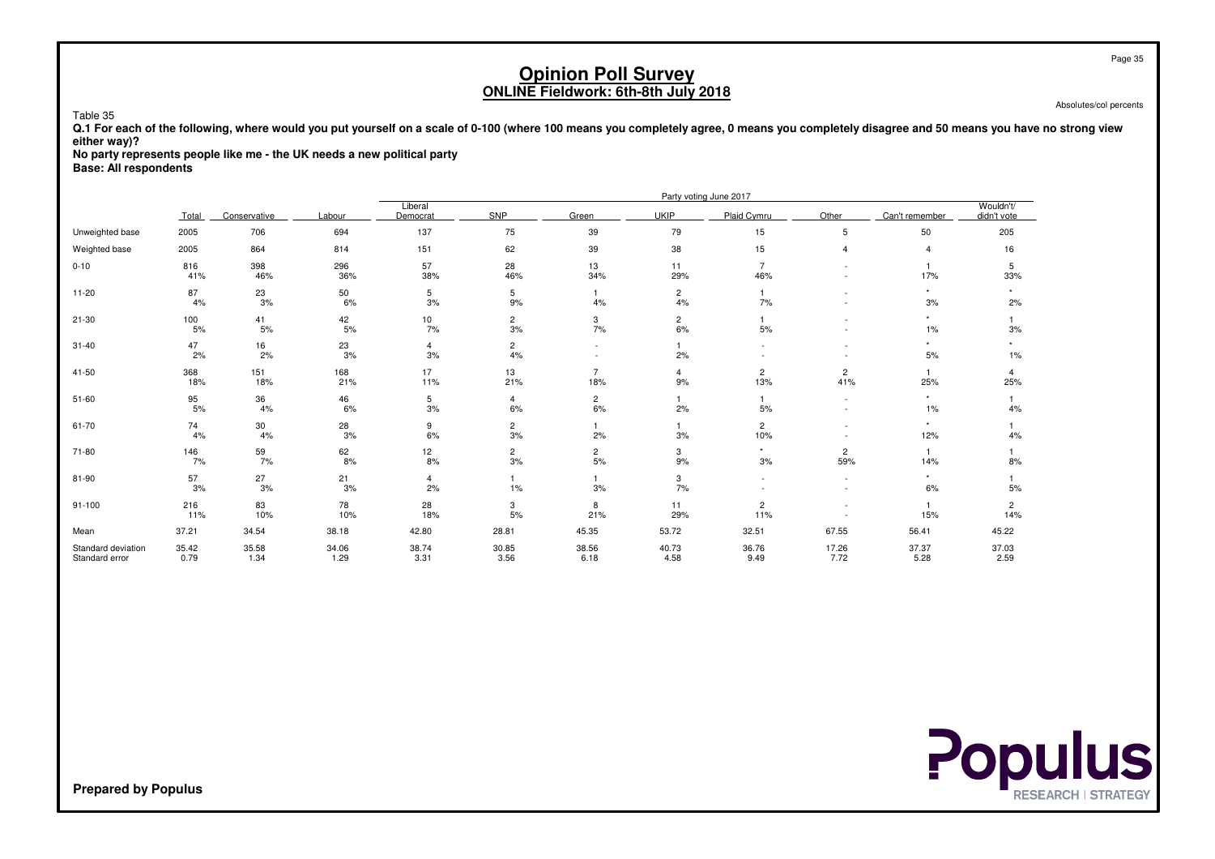Absolutes/col percents

 **Q.1 For each of the following, where would you put yourself on a scale of 0-100 (where 100 means you completely agree, 0 means you completely disagree and 50 means you have no strong vieweither way)?**

**No party represents people like me - the UK needs a new political party**

**Base: All respondents**

Table 35

|                                      |                  |               |               |                      |                      |                       |                      | Party voting June 2017 |                               |                       |                          |
|--------------------------------------|------------------|---------------|---------------|----------------------|----------------------|-----------------------|----------------------|------------------------|-------------------------------|-----------------------|--------------------------|
|                                      | Total            | Conservative  | Labour        | Liberal<br>Democrat  | <b>SNP</b>           | Green                 | <b>UKIP</b>          | Plaid Cymru            | Other                         | Can't remember        | Wouldn't/<br>didn't vote |
| Unweighted base                      | 2005             | 706           | 694           | 137                  | 75                   | 39                    | 79                   | 15                     | 5                             | 50                    | 205                      |
| Weighted base                        | 2005             | 864           | 814           | 151                  | 62                   | 39                    | 38                   | 15                     | $\overline{4}$                | 4                     | 16                       |
| $0 - 10$                             | 816<br>41%       | 398<br>46%    | 296<br>36%    | 57<br>38%            | 28<br>46%            | 13<br>34%             | 11<br>29%            | $\overline{7}$<br>46%  |                               | 17%                   | 5<br>33%                 |
| $11 - 20$                            | 87<br>4%         | 23<br>3%      | 50<br>6%      | 5<br>3%              | 5<br>9%              | 1<br>4%               | $\overline{2}$<br>4% | 7%                     | ٠<br>$\overline{\phantom{a}}$ | $\star$<br>3%         | 2%                       |
| $21 - 30$                            | 100<br>$5%$      | 41<br>5%      | 42<br>$5%$    | 10<br>7%             | $\overline{c}$<br>3% | 3<br>7%               | $\overline{c}$<br>6% | $5%$                   |                               | $\star$<br>1%         | 3%                       |
| $31 - 40$                            | 47<br>2%         | 16<br>2%      | 23<br>3%      | $\overline{4}$<br>3% | $\overline{c}$<br>4% |                       | $\mathbf{1}$<br>2%   |                        |                               | $\star$<br>5%         | $1\%$                    |
| 41-50                                | 368<br>18%       | 151<br>18%    | 168<br>21%    | 17<br>11%            | 13<br>21%            | $\overline{7}$<br>18% | $\overline{4}$<br>9% | $\overline{c}$<br>13%  | $\overline{c}$<br>41%         | $\overline{1}$<br>25% | 4<br>25%                 |
| $51 - 60$                            | 95<br>5%         | 36<br>4%      | 46<br>6%      | 5<br>3%              | 4<br>6%              | $\overline{2}$<br>6%  | $\mathbf{1}$<br>2%   | $\mathbf{1}$<br>5%     | $\sim$<br>$\sim$              | $\star$<br>1%         | 4%                       |
| $61 - 70$                            | 74<br>4%         | 30<br>4%      | 28<br>3%      | 9<br>6%              | $\overline{c}$<br>3% | 2%                    | $\mathbf{1}$<br>3%   | $\overline{2}$<br>10%  |                               | $\star$<br>12%        | 4%                       |
| 71-80                                | 146<br>7%        | 59<br>7%      | 62<br>8%      | 12<br>8%             | $\overline{2}$<br>3% | $\frac{2}{5\%}$       | 3<br>9%              | $\star$<br>3%          | $\overline{c}$<br>59%         | $\overline{1}$<br>14% | 8%                       |
| 81-90                                | $\frac{57}{3\%}$ | 27<br>3%      | 21<br>3%      | $\overline{4}$<br>2% | 1%                   | 3%                    | 3<br>7%              |                        | $\overline{\phantom{a}}$      | $\star$<br>6%         | 5%                       |
| $91 - 100$                           | 216<br>11%       | 83<br>10%     | 78<br>10%     | 28<br>18%            | 3<br>5%              | 8<br>21%              | 11<br>29%            | $\overline{c}$<br>11%  |                               | 15%                   | $\overline{2}$<br>14%    |
| Mean                                 | 37.21            | 34.54         | 38.18         | 42.80                | 28.81                | 45.35                 | 53.72                | 32.51                  | 67.55                         | 56.41                 | 45.22                    |
| Standard deviation<br>Standard error | 35.42<br>0.79    | 35.58<br>1.34 | 34.06<br>1.29 | 38.74<br>3.31        | 30.85<br>3.56        | 38.56<br>6.18         | 40.73<br>4.58        | 36.76<br>9.49          | 17.26<br>7.72                 | 37.37<br>5.28         | 37.03<br>2.59            |



**Prepared by Populus**

Page 35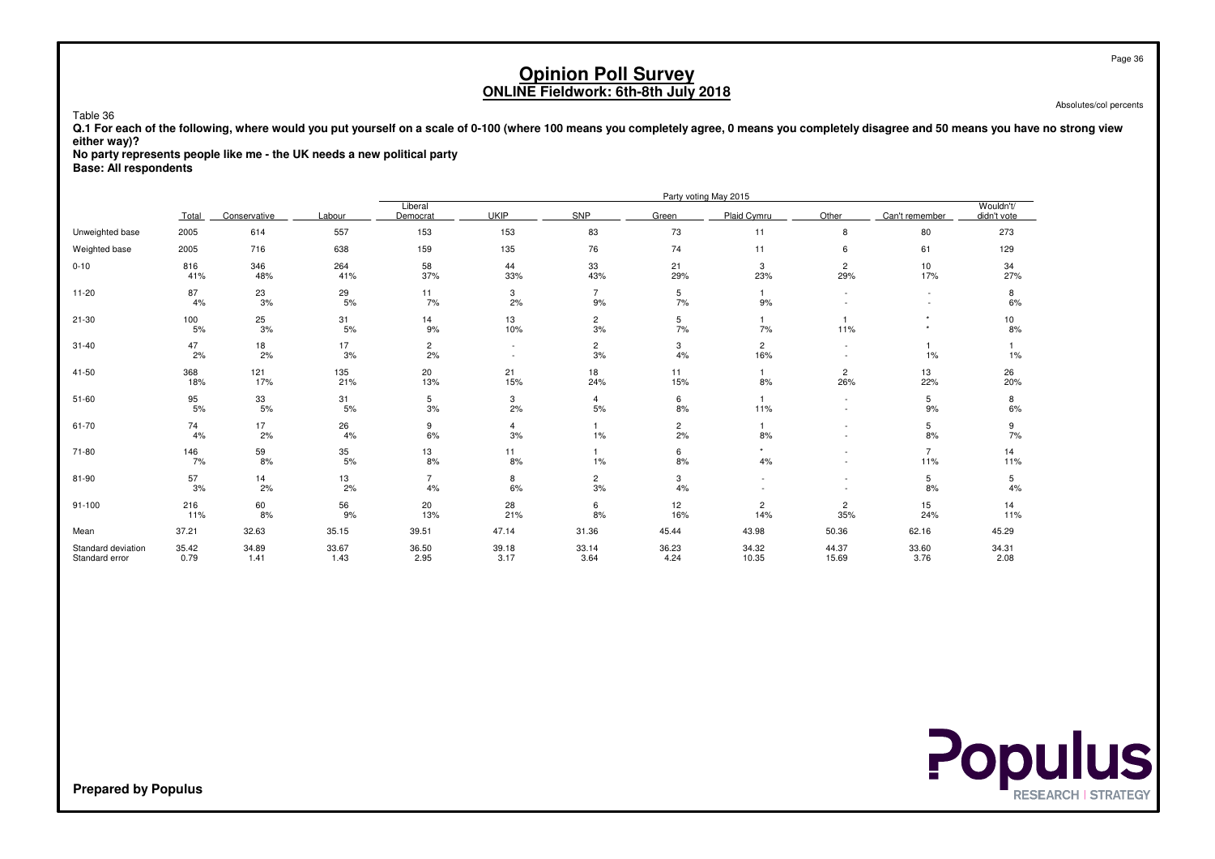Absolutes/col percents

 **Q.1 For each of the following, where would you put yourself on a scale of 0-100 (where 100 means you completely agree, 0 means you completely disagree and 50 means you have no strong vieweither way)?**

**No party represents people like me - the UK needs a new political party**

**Base: All respondents**

Table 36

|                                      |               |               | Party voting May 2015 |                      |                                    |                      |                      |                       |                       |                       |                          |
|--------------------------------------|---------------|---------------|-----------------------|----------------------|------------------------------------|----------------------|----------------------|-----------------------|-----------------------|-----------------------|--------------------------|
|                                      | Total         | Conservative  | Labour                | Liberal<br>Democrat  | <b>UKIP</b>                        | SNP                  | Green                | Plaid Cvmru           | Other                 | Can't remember        | Wouldn't/<br>didn't vote |
| Unweighted base                      | 2005          | 614           | 557                   | 153                  | 153                                | 83                   | 73                   | 11                    | 8                     | 80                    | 273                      |
| Weighted base                        | 2005          | 716           | 638                   | 159                  | 135                                | 76                   | 74                   | 11                    | 6                     | 61                    | 129                      |
| $0 - 10$                             | 816<br>41%    | 346<br>48%    | 264<br>41%            | 58<br>37%            | 44<br>33%                          | 33<br>43%            | 21<br>29%            | 3<br>23%              | $\overline{2}$<br>29% | 10<br>17%             | 34<br>27%                |
| $11 - 20$                            | 87<br>4%      | 23<br>3%      | 29<br>5%              | 11<br>7%             | 3<br>2%                            | $\overline{7}$<br>9% | 5<br>7%              | 9%                    |                       |                       | 8<br>6%                  |
| $21 - 30$                            | 100<br>$5%$   | 25<br>$3%$    | 31<br>5%              | 14<br>9%             | 13<br>10%                          | $\overline{c}$<br>3% | 5<br>7%              | 7%                    | 11%                   | $\star$<br>$\star$    | 10<br>8%                 |
| $31 - 40$                            | 47<br>2%      | 18<br>2%      | 17<br>3%              | $\overline{c}$<br>2% | $\sim$<br>$\overline{\phantom{a}}$ | $\overline{2}$<br>3% | 3<br>4%              | $\overline{2}$<br>16% |                       | 1%                    | $1\%$                    |
| 41-50                                | 368<br>18%    | 121<br>17%    | 135<br>21%            | 20<br>13%            | 21<br>15%                          | 18<br>24%            | 11<br>15%            | 8%                    | $\overline{c}$<br>26% | 13<br>22%             | 26<br>20%                |
| $51 - 60$                            | 95<br>$5%$    | 33<br>$5%$    | 31<br>5%              | 5<br>3%              | 3<br>2%                            | $\overline{4}$<br>5% | 6<br>8%              | 11%                   | $\sim$                | 5<br>9%               | 8<br>6%                  |
| $61 - 70$                            | 74<br>4%      | 17<br>2%      | 26<br>4%              | 9<br>6%              | $\overline{4}$<br>3%               | 1%                   | $\overline{c}$<br>2% | 8%                    |                       | 5<br>8%               | 9<br>7%                  |
| 71-80                                | 146<br>7%     | 59<br>8%      | 35<br>5%              | 13<br>8%             | 11<br>8%                           | 1%                   | 6<br>8%              | 4%                    |                       | $\overline{7}$<br>11% | 14<br>11%                |
| 81-90                                | 57<br>3%      | 14<br>2%      | 13<br>2%              | $\overline{7}$<br>4% | 8<br>6%                            | $\overline{c}$<br>3% | 3<br>4%              |                       |                       | 5<br>8%               | 5<br>4%                  |
| $91 - 100$                           | 216<br>11%    | 60<br>8%      | 56<br>9%              | 20<br>13%            | 28<br>21%                          | 6<br>8%              | 12<br>16%            | $\overline{c}$<br>14% | $\overline{c}$<br>35% | 15<br>24%             | 14<br>11%                |
| Mean                                 | 37.21         | 32.63         | 35.15                 | 39.51                | 47.14                              | 31.36                | 45.44                | 43.98                 | 50.36                 | 62.16                 | 45.29                    |
| Standard deviation<br>Standard error | 35.42<br>0.79 | 34.89<br>1.41 | 33.67<br>1.43         | 36.50<br>2.95        | 39.18<br>3.17                      | 33.14<br>3.64        | 36.23<br>4.24        | 34.32<br>10.35        | 44.37<br>15.69        | 33.60<br>3.76         | 34.31<br>2.08            |

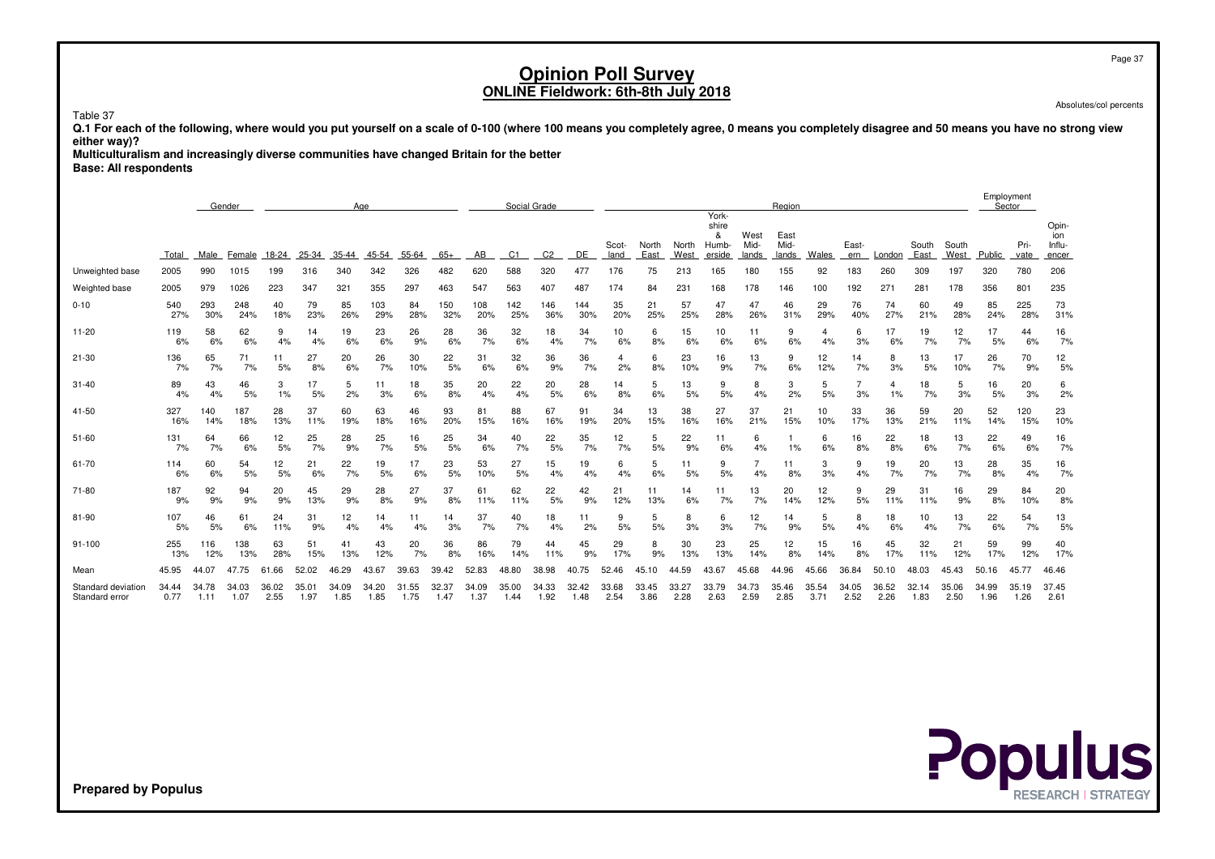Page 37

# **Opinion Poll SurveyONLINE Fieldwork: 6th-8th July 2018**

Absolutes/col percents

Table 37

 **Q.1 For each of the following, where would you put yourself on a scale of 0-100 (where 100 means you completely agree, 0 means you completely disagree and 50 means you have no strong vieweither way)?**

**Multiculturalism and increasingly diverse communities have changed Britain for the better**

**Base: All respondents**

|                                      |               |               | Gender        |               |               |               | Age           |                   |               |               |                | Social Grade   |               |               |               |               |                                        |                       | Region                |               |               |                |               |               | Employment<br>Sector |               |                                 |
|--------------------------------------|---------------|---------------|---------------|---------------|---------------|---------------|---------------|-------------------|---------------|---------------|----------------|----------------|---------------|---------------|---------------|---------------|----------------------------------------|-----------------------|-----------------------|---------------|---------------|----------------|---------------|---------------|----------------------|---------------|---------------------------------|
|                                      | Total         | Male          | Female        | 18-24         | 25-34         | 35-44         | 45-54         | 55-64             | $65+$         | AB            | C <sub>1</sub> | C <sub>2</sub> | DE            | Scot-<br>land | North<br>East | North<br>West | York-<br>shire<br>&<br>Humb-<br>erside | West<br>Mid-<br>lands | East<br>Mid-<br>lands | Wales         | East-<br>ern  | London         | South<br>East | South<br>West | Public               | Pri-<br>vate  | Opin-<br>ion<br>Influ-<br>encer |
| Unweighted base                      | 2005          | 990           | 1015          | 199           | 316           | 340           | 342           | 326               | 482           | 620           | 588            | 320            | 477           | 176           | 75            | 213           | 165                                    | 180                   | 155                   | 92            | 183           | 260            | 309           | 197           | 320                  | 780           | 206                             |
| Weighted base                        | 2005          | 979           | 1026          | 223           | 347           | 321           | 355           | 297               | 463           | 547           | 563            | 407            | 487           | 174           | 84            | 231           | 168                                    | 178                   | 146                   | 100           | 192           | 271            | 281           | 178           | 356                  | 801           | 235                             |
| $0 - 10$                             | 540           | 293           | 248           | 40            | 79            | 85            | 103           | 84                | 150           | 108           | 142            | 146            | 144           | 35            | 21            | 57            | 47                                     | 47                    | 46                    | 29            | 76            | 74             | 60            | 49            | 85                   | 225           | 73                              |
|                                      | 27%           | 30%           | 24%           | 18%           | 23%           | 26%           | 29%           | 28%               | 32%           | 20%           | 25%            | 36%            | 30%           | 20%           | 25%           | 25%           | 28%                                    | 26%                   | 31%                   | 29%           | 40%           | 27%            | 21%           | 28%           | 24%                  | 28%           | 31%                             |
| $11 - 20$                            | 119           | 58            | 62            | 9             | 14            | 19            | 23            | 26                | 28            | 36            | 32             | 18             | 34            | 10            | 6             | 15            | 10                                     | 11                    | 9                     | 4             | 6             | 17             | 19            | 12            | 17                   | 44            | 16                              |
|                                      | 6%            | 6%            | 6%            | 4%            | 4%            | 6%            | 6%            | 9%                | 6%            | 7%            | 6%             | 4%             | 7%            | 6%            | 8%            | 6%            | 6%                                     | 6%                    | 6%                    | 4%            | 3%            | 6%             | 7%            | 7%            | 5%                   | 6%            | 7%                              |
| $21 - 30$                            | 136           | 65            | 71            | 11            | 27            | 20            | 26            | 30                | 22            | 31            | 32             | 36             | 36            | 4             | 6             | 23            | 16                                     | 13                    | 9                     | 12            | 14            | 8              | 13            | 17            | 26                   | 70            | 12                              |
|                                      | 7%            | 7%            | 7%            | 5%            | 8%            | 6%            | 7%            | 10%               | 5%            | 6%            | 6%             | 9%             | 7%            | 2%            | 8%            | 10%           | 9%                                     | 7%                    | 6%                    | 12%           | 7%            | 3%             | 5%            | 10%           | 7%                   | 9%            | 5%                              |
| $31 - 40$                            | 89            | 43            | 46            | 3             | 17            | 5             | 11            | 18                | 35            | 20            | 22             | 20             | 28            | 14            | 5             | 13            | 9                                      | 8                     | 3                     | 5             | 7             | $\overline{4}$ | 18            | 5             | 16                   | 20            | 6                               |
|                                      | 4%            | 4%            | 5%            | 1%            | 5%            | 2%            | 3%            | 6%                | 8%            | 4%            | 4%             | 5%             | 6%            | 8%            | 6%            | 5%            | 5%                                     | 4%                    | 2%                    | 5%            | 3%            | 1%             | 7%            | 3%            | 5%                   | 3%            | 2%                              |
| 41-50                                | 327           | 140           | 187           | 28            | 37            | 60            | 63            | 46                | 93            | 81            | 88             | 67             | 91            | 34            | 13            | 38            | 27                                     | 37                    | 21                    | 10            | 33            | 36             | 59            | 20            | 52                   | 120           | 23                              |
|                                      | 16%           | 14%           | 18%           | 13%           | 11%           | 19%           | 18%           | 16%               | 20%           | 15%           | 16%            | 16%            | 19%           | 20%           | 15%           | 16%           | 16%                                    | 21%                   | 15%                   | 10%           | 17%           | 13%            | 21%           | 11%           | 14%                  | 15%           | 10%                             |
| $51 - 60$                            | 131<br>7%     | 64<br>7%      | 66<br>6%      | 12<br>5%      | 25<br>7%      | 28<br>9%      | 25<br>7%      | 16<br>5%          | 25<br>5%      | 34<br>6%      | 40<br>7%       | 22<br>5%       | 35<br>7%      | 12<br>7%      | 5<br>5%       | 22<br>9%      | 11<br>6%                               | 6<br>4%               | 1%                    | 6<br>6%       | 16<br>8%      | 22<br>8%       | 18<br>6%      | 13<br>7%      | 22<br>6%             | 49<br>6%      | 16<br>7%                        |
| 61-70                                | 114<br>6%     | 60<br>6%      | 54<br>5%      | 12<br>5%      | 21<br>6%      | 22<br>7%      | 19<br>5%      | 17<br>6%          | 23<br>5%      | 53<br>10%     | 27<br>5%       | 15<br>4%       | 19<br>4%      | 6<br>4%       | 5<br>6%       | 11<br>5%      | 9<br>5%                                | 4%                    | 11<br>8%              | 3<br>3%       | 9<br>4%       | 19<br>7%       | 20<br>7%      | 13<br>7%      | 28<br>8%             | 35<br>4%      | 16<br>7%                        |
| 71-80                                | 187           | 92            | 94            | 20            | 45            | 29            | 28            | 27                | 37            | 61            | 62             | 22             | 42            | 21            | 11            | 14            | 11                                     | 13                    | 20                    | 12            | 9             | 29             | 31            | 16            | 29                   | 84            | 20                              |
|                                      | 9%            | 9%            | 9%            | 9%            | 13%           | 9%            | 8%            | 9%                | 8%            | 11%           | 11%            | 5%             | 9%            | 12%           | 13%           | 6%            | 7%                                     | 7%                    | 14%                   | 12%           | 5%            | 11%            | 11%           | 9%            | 8%                   | 10%           | 8%                              |
| 81-90                                | 107           | 46            | 61            | 24            | 31            | 12            | 14            | 11                | 14            | 37            | 40             | 18             | 11            | 9             | 5             | 8             | 6                                      | 12                    | 14                    | 5             | 8             | 18             | 10            | 13            | 22                   | 54            | 13                              |
|                                      | 5%            | 5%            | 6%            | 11%           | 9%            | 4%            | 4%            | 4%                | 3%            | 7%            | 7%             | 4%             | 2%            | 5%            | 5%            | 3%            | 3%                                     | 7%                    | 9%                    | 5%            | 4%            | 6%             | 4%            | 7%            | 6%                   | 7%            | 5%                              |
| $91 - 100$                           | 255           | 116           | 138           | 63            | 51            | 41            | 43            | 20                | 36            | 86            | 79             | 44             | 45            | 29            | 8             | 30            | 23                                     | 25                    | 12                    | 15            | 16            | 45             | 32            | 21            | 59                   | 99            | 40                              |
|                                      | 13%           | 12%           | 13%           | 28%           | 15%           | 13%           | 12%           | 7%                | 8%            | 16%           | 14%            | 11%            | 9%            | 17%           | 9%            | 13%           | 13%                                    | 14%                   | 8%                    | 14%           | 8%            | 17%            | 11%           | 12%           | 17%                  | 12%           | 17%                             |
| Mean                                 | 45.95         | 44.07         | 47.75         | .66<br>61     | 52.02         | 46.29         | 43.67         | 39.63             | 39.42         | 52.83         | 48.80          | 38.98          | 40.75         | 52.46         | 45.10         | 44.59         | 43.67                                  | 45.68                 | 44.96                 | 45.66         | 36.84         | 50.10          | 48.03         | 45.43         | 50.16                | 45.77         | 46.46                           |
| Standard deviation<br>Standard error | 34.44<br>0.77 | 34.78<br>1.11 | 34.03<br>1.07 | 36.02<br>2.55 | 35.01<br>1.97 | 34.09<br>1.85 | 34.20<br>1.85 | .55<br>31<br>1.75 | 32.37<br>1.47 | 34.09<br>1.37 | 35.00<br>1.44  | 34.33<br>1.92  | 32.42<br>1.48 | 33.68<br>2.54 | 33.45<br>3.86 | 33.27<br>2.28 | 33.79<br>2.63                          | 34.73<br>2.59         | 35.46<br>2.85         | 35.54<br>3.71 | 34.05<br>2.52 | 36.52<br>2.26  | 32.14<br>1.83 | 35.06<br>2.50 | 34.99<br>1.96        | 35.19<br>1.26 | 37.45<br>2.61                   |

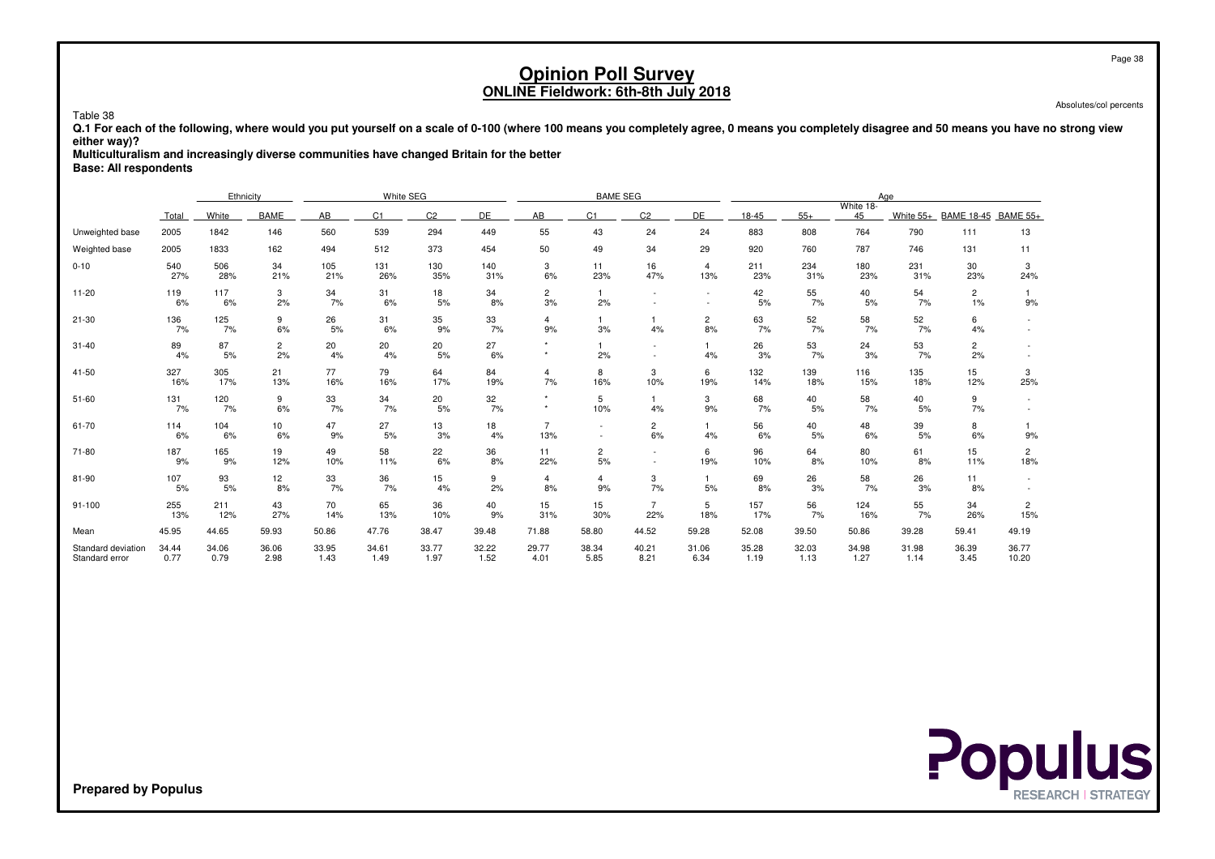Absolutes/col percents

Table 38 **Q.1 For each of the following, where would you put yourself on a scale of 0-100 (where 100 means you completely agree, 0 means you completely disagree and 50 means you have no strong vieweither way)?**

**Multiculturalism and increasingly diverse communities have changed Britain for the better**

**Base: All respondents**

|                                      |               | Ethnicity     |                      |                  | White SEG        |                |               |                       | <b>BAME SEG</b>      |                          |                          |               |               |                 | Age           |                      |                       |
|--------------------------------------|---------------|---------------|----------------------|------------------|------------------|----------------|---------------|-----------------------|----------------------|--------------------------|--------------------------|---------------|---------------|-----------------|---------------|----------------------|-----------------------|
|                                      | Total         | White         | <b>BAME</b>          | AB               | C <sub>1</sub>   | C <sub>2</sub> | DE            | AB                    | C <sub>1</sub>       | C <sub>2</sub>           | DE                       | 18-45         | $55+$         | White 18-<br>45 | White 55+     | BAME 18-45 BAME 55+  |                       |
| Unweighted base                      | 2005          | 1842          | 146                  | 560              | 539              | 294            | 449           | 55                    | 43                   | 24                       | 24                       | 883           | 808           | 764             | 790           | 111                  | 13                    |
| Weighted base                        | 2005          | 1833          | 162                  | 494              | 512              | 373            | 454           | 50                    | 49                   | 34                       | 29                       | 920           | 760           | 787             | 746           | 131                  | 11                    |
| $0 - 10$                             | 540<br>27%    | 506<br>28%    | 34<br>21%            | 105<br>21%       | 131<br>26%       | 130<br>35%     | 140<br>31%    | 3<br>6%               | 11<br>23%            | 16<br>47%                | $\overline{4}$<br>13%    | 211<br>23%    | 234<br>31%    | 180<br>23%      | 231<br>31%    | 30<br>23%            | 3<br>24%              |
| $11 - 20$                            | 119<br>6%     | 117<br>6%     | 3<br>2%              | 34<br>7%         | 31<br>6%         | 18<br>5%       | 34<br>8%      | $\overline{c}$<br>3%  | 1<br>2%              | $\sim$                   | $\overline{\phantom{a}}$ | 42<br>5%      | 55<br>7%      | 40<br>5%        | 54<br>7%      | $\overline{c}$<br>1% | 9%                    |
| $21 - 30$                            | 136<br>7%     | 125<br>7%     | 9<br>6%              | 26<br>5%         | 31<br>6%         | 35<br>9%       | 33<br>7%      | 4<br>9%               | 3%                   | $\mathbf{1}$<br>4%       | $\overline{2}$<br>8%     | 63<br>7%      | 52<br>7%      | 58<br>7%        | 52<br>7%      | 6<br>4%              |                       |
| $31 - 40$                            | 89<br>4%      | 87<br>5%      | $\overline{c}$<br>2% | 20<br>4%         | 20<br>4%         | 20<br>5%       | 27<br>6%      |                       | 2%                   | $\overline{\phantom{a}}$ | 4%                       | 26<br>3%      | 53<br>7%      | 24<br>3%        | 53<br>7%      | $\overline{2}$<br>2% |                       |
| 41-50                                | 327<br>16%    | 305<br>17%    | 21<br>13%            | 77<br>16%        | 79<br>16%        | 64<br>17%      | 84<br>19%     | 4<br>7%               | 8<br>16%             | 3<br>10%                 | 6<br>19%                 | 132<br>14%    | 139<br>18%    | 116<br>15%      | 135<br>18%    | 15<br>12%            | 3<br>25%              |
| $51 - 60$                            | 131<br>7%     | 120<br>7%     | 9<br>6%              | 33<br>7%         | 34<br>7%         | 20<br>5%       | 32<br>7%      | $\star$               | 5<br>10%             | $\mathbf{1}$<br>4%       | 3<br>9%                  | 68<br>7%      | 40<br>5%      | 58<br>7%        | 40<br>5%      | 9<br>7%              |                       |
| 61-70                                | 114<br>6%     | 104<br>6%     | 10<br>6%             | 47<br>9%         | 27<br>5%         | 13<br>3%       | 18<br>4%      | $\overline{7}$<br>13% |                      | $\overline{c}$<br>6%     | $\mathbf{1}$<br>4%       | 56<br>6%      | 40<br>5%      | 48<br>6%        | 39<br>5%      | 8<br>6%              | 9%                    |
| 71-80                                | 187<br>9%     | 165<br>9%     | 19<br>12%            | 49<br>10%        | 58<br>11%        | 22<br>6%       | 36<br>8%      | 11<br>22%             | 2<br>5%              | $\sim$                   | 6<br>19%                 | 96<br>10%     | 64<br>8%      | 80<br>10%       | 61<br>8%      | 15<br>11%            | $\overline{c}$<br>18% |
| 81-90                                | 107<br>5%     | 93<br>5%      | 12<br>8%             | $\frac{33}{7\%}$ | $\frac{36}{7\%}$ | 15<br>4%       | 9<br>2%       | $\overline{4}$<br>8%  | $\overline{4}$<br>9% | 3<br>7%                  | $\mathbf{1}$<br>5%       | 69<br>8%      | 26<br>3%      | 58<br>7%        | 26<br>3%      | 11<br>8%             |                       |
| 91-100                               | 255<br>13%    | 211<br>12%    | 43<br>27%            | 70<br>14%        | 65<br>13%        | 36<br>10%      | 40<br>9%      | 15<br>31%             | 15<br>30%            | $\overline{7}$<br>22%    | 5<br>18%                 | 157<br>17%    | 56<br>7%      | 124<br>16%      | 55<br>7%      | 34<br>26%            | $\overline{c}$<br>15% |
| Mean                                 | 45.95         | 44.65         | 59.93                | 50.86            | 47.76            | 38.47          | 39.48         | 71.88                 | 58.80                | 44.52                    | 59.28                    | 52.08         | 39.50         | 50.86           | 39.28         | 59.41                | 49.19                 |
| Standard deviation<br>Standard error | 34.44<br>0.77 | 34.06<br>0.79 | 36.06<br>2.98        | 33.95<br>1.43    | 34.61<br>1.49    | 33.77<br>1.97  | 32.22<br>1.52 | 29.77<br>4.01         | 38.34<br>5.85        | 40.21<br>8.21            | 31.06<br>6.34            | 35.28<br>1.19 | 32.03<br>1.13 | 34.98<br>1.27   | 31.98<br>1.14 | 36.39<br>3.45        | 36.77<br>10.20        |

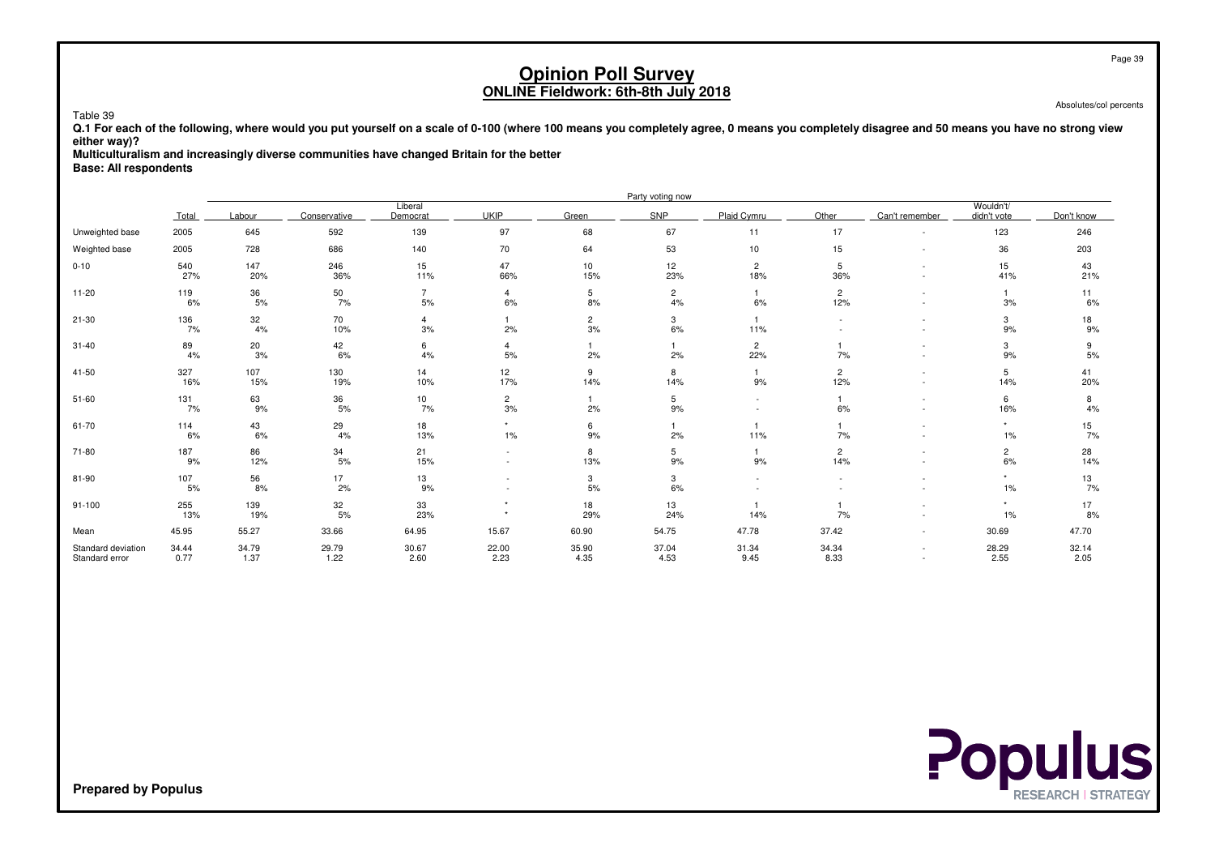Absolutes/col percents

Table 39 **Q.1 For each of the following, where would you put yourself on a scale of 0-100 (where 100 means you completely agree, 0 means you completely disagree and 50 means you have no strong vieweither way)?**

**Multiculturalism and increasingly diverse communities have changed Britain for the better**

**Base: All respondents**

|                                      |               |               |               |                      |                      |                      | Party voting now     |                       |                            |                                                      |                          |               |
|--------------------------------------|---------------|---------------|---------------|----------------------|----------------------|----------------------|----------------------|-----------------------|----------------------------|------------------------------------------------------|--------------------------|---------------|
|                                      | Total         | Labour        | Conservative  | Liberal<br>Democrat  | <b>UKIP</b>          | Green                | SNP                  | Plaid Cymru           | Other                      | Can't remember                                       | Wouldn't/<br>didn't vote | Don't know    |
| Unweighted base                      | 2005          | 645           | 592           | 139                  | 97                   | 68                   | 67                   | 11                    | 17                         | $\overline{\phantom{a}}$                             | 123                      | 246           |
| Weighted base                        | 2005          | 728           | 686           | 140                  | 70                   | 64                   | 53                   | 10                    | 15                         |                                                      | 36                       | 203           |
| $0 - 10$                             | 540<br>27%    | 147<br>20%    | 246<br>36%    | 15<br>11%            | 47<br>66%            | 10<br>15%            | 12<br>23%            | $\overline{2}$<br>18% | 5<br>36%                   | $\overline{\phantom{a}}$<br>$\overline{\phantom{a}}$ | 15<br>41%                | 43<br>21%     |
| $11 - 20$                            | 119<br>6%     | 36<br>5%      | $50\,$<br>7%  | $\overline{7}$<br>5% | $\overline{4}$<br>6% | 5<br>8%              | $\overline{c}$<br>4% | $\mathbf{1}$<br>6%    | $\overline{2}$<br>12%      | $\overline{\phantom{a}}$                             | 3%                       | 11<br>6%      |
| $21 - 30$                            | 136<br>7%     | 32<br>4%      | 70<br>10%     | $\overline{4}$<br>3% | 2%                   | $\overline{a}$<br>3% | 3<br>6%              | 11%                   |                            | $\sim$                                               | 3<br>$9%$                | 18<br>9%      |
| $31 - 40$                            | 89<br>4%      | 20<br>3%      | 42<br>6%      | 6<br>4%              | 4<br>5%              | 2%                   | 2%                   | $\overline{2}$<br>22% | 7%                         | $\overline{\phantom{a}}$                             | 3<br>9%                  | 9<br>5%       |
| 41-50                                | 327<br>16%    | 107<br>15%    | 130<br>19%    | 14<br>10%            | 12<br>17%            | 9<br>14%             | 8<br>14%             | 9%                    | $\overline{2}$<br>12%      | $\sim$<br>$\sim$                                     | 5<br>14%                 | 41<br>20%     |
| $51 - 60$                            | 131<br>7%     | 63<br>9%      | 36<br>5%      | 10<br>7%             | $\overline{c}$<br>3% | 1<br>2%              | 5<br>9%              | $\sim$                | $\blacktriangleleft$<br>6% | $\overline{\phantom{a}}$<br>$\sim$                   | 6<br>16%                 | 8<br>4%       |
| 61-70                                | 114<br>6%     | 43<br>6%      | 29<br>4%      | 18<br>13%            | $\star$<br>$1\%$     | 6<br>$9%$            | 2%                   | 11%                   | 7%                         | $\overline{\phantom{a}}$                             | $\star$<br>$1\%$         | 15<br>7%      |
| 71-80                                | 187<br>9%     | 86<br>12%     | 34<br>5%      | 21<br>15%            | $\sim$               | 8<br>13%             | 5<br>9%              | $\mathbf{1}$<br>9%    | $\overline{c}$<br>14%      | $\overline{\phantom{a}}$                             | 2<br>6%                  | 28<br>14%     |
| 81-90                                | 107<br>5%     | 56<br>8%      | 17<br>2%      | 13<br>9%             |                      | $\mathbf{3}$<br>5%   | 3<br>6%              |                       |                            |                                                      | $\star$<br>$1\%$         | 13<br>7%      |
| $91 - 100$                           | 255<br>13%    | 139<br>19%    | 32<br>5%      | 33<br>23%            | $\star$<br>$\star$   | 18<br>29%            | 13<br>24%            | 14%                   | 7%                         |                                                      | $\star$<br>$1\%$         | 17<br>8%      |
| Mean                                 | 45.95         | 55.27         | 33.66         | 64.95                | 15.67                | 60.90                | 54.75                | 47.78                 | 37.42                      | $\sim$                                               | 30.69                    | 47.70         |
| Standard deviation<br>Standard error | 34.44<br>0.77 | 34.79<br>1.37 | 29.79<br>1.22 | 30.67<br>2.60        | 22.00<br>2.23        | 35.90<br>4.35        | 37.04<br>4.53        | 31.34<br>9.45         | 34.34<br>8.33              | $\overline{\phantom{a}}$                             | 28.29<br>2.55            | 32.14<br>2.05 |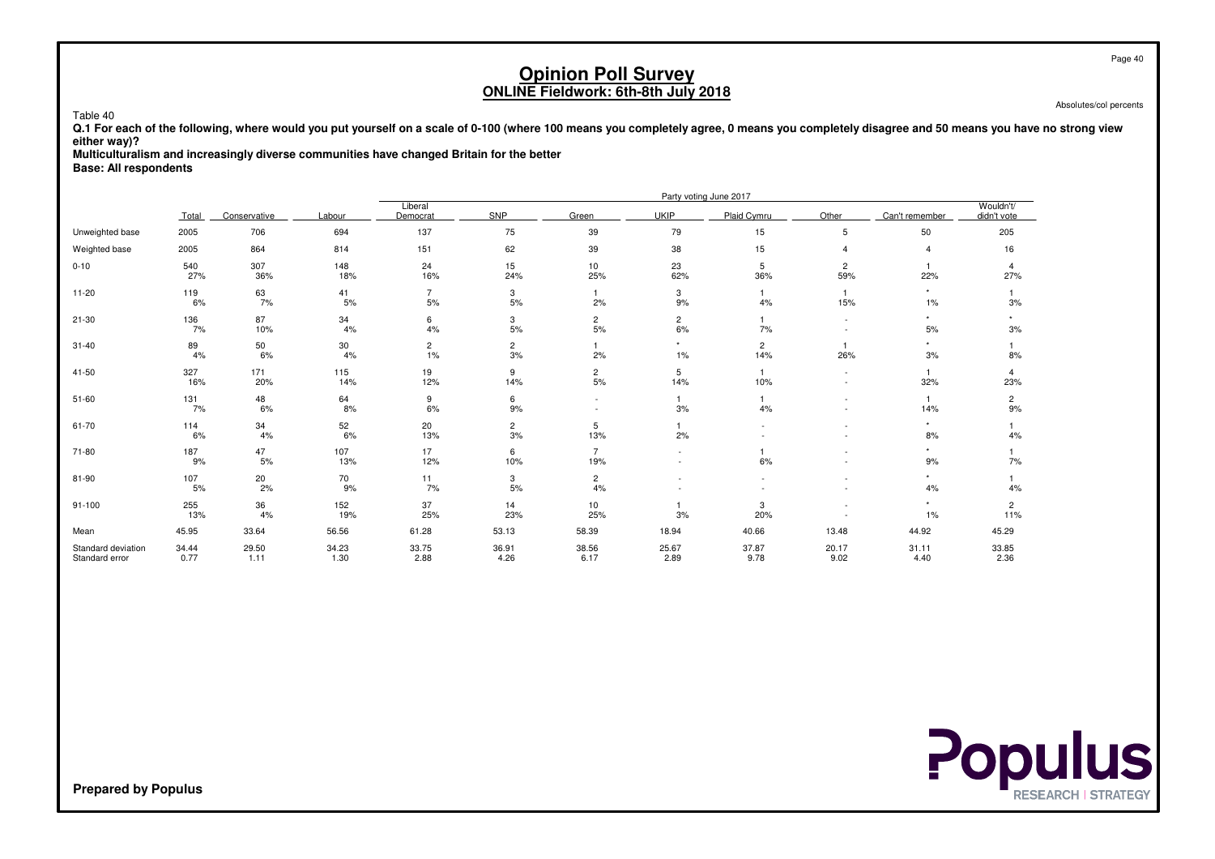Absolutes/col percents

 **Q.1 For each of the following, where would you put yourself on a scale of 0-100 (where 100 means you completely agree, 0 means you completely disagree and 50 means you have no strong vieweither way)?**

**Multiculturalism and increasingly diverse communities have changed Britain for the better**

**Base: All respondents**

Table 40

|                                      |               |               |               |                      |                      |                        |                          | Party voting June 2017 |                          |                     |                          |
|--------------------------------------|---------------|---------------|---------------|----------------------|----------------------|------------------------|--------------------------|------------------------|--------------------------|---------------------|--------------------------|
|                                      | Total         | Conservative  | Labour        | Liberal<br>Democrat  | SNP                  | Green                  | <b>UKIP</b>              | Plaid Cymru            | Other                    | Can't remember      | Wouldn't/<br>didn't vote |
| Unweighted base                      | 2005          | 706           | 694           | 137                  | 75                   | 39                     | 79                       | 15                     | 5                        | 50                  | 205                      |
| Weighted base                        | 2005          | 864           | 814           | 151                  | 62                   | 39                     | 38                       | 15                     | $\overline{4}$           | $\overline{4}$      | 16                       |
| $0 - 10$                             | 540<br>27%    | 307<br>36%    | 148<br>18%    | 24<br>16%            | 15<br>24%            | 10<br>25%              | 23<br>62%                | 5<br>36%               | $\overline{c}$<br>59%    | $\mathbf{1}$<br>22% | 4<br>27%                 |
| $11 - 20$                            | 119<br>6%     | 63<br>7%      | 41<br>5%      | $\overline{7}$<br>5% | 3<br>5%              | 2%                     | 3<br>9%                  | $\overline{1}$<br>4%   | $\mathbf{1}$<br>15%      | $^\star$<br>1%      | 3%                       |
| $21 - 30$                            | 136<br>7%     | 87<br>10%     | 34<br>4%      | 6<br>$4\%$           | 3<br>5%              | $\overline{c}$<br>$5%$ | $\overline{c}$<br>$6\%$  | 7%                     |                          | $\star$<br>5%       | ٠<br>3%                  |
| $31 - 40$                            | 89<br>4%      | 50<br>6%      | 30<br>4%      | $\overline{c}$<br>1% | $\overline{c}$<br>3% | 2%                     | $\star$<br>$1\%$         | $\mathbf{2}$<br>14%    | $\overline{1}$<br>26%    | 3%                  | 8%                       |
| $41 - 50$                            | 327<br>16%    | 171<br>20%    | 115<br>14%    | 19<br>12%            | 9<br>14%             | $\overline{c}$<br>5%   | 5<br>14%                 | -1<br>10%              | $\overline{\phantom{a}}$ | $\mathbf{1}$<br>32% | 4<br>23%                 |
| $51 - 60$                            | 131<br>7%     | 48<br>6%      | 64<br>8%      | 9<br>6%              | 6<br>9%              | $\sim$                 | 3%                       | 4%                     |                          | $\mathbf{1}$<br>14% | $\overline{c}$<br>9%     |
| 61-70                                | 114<br>6%     | 34<br>4%      | 52<br>6%      | 20<br>13%            | $\overline{c}$<br>3% | 5<br>13%               | 2%                       |                        |                          | $\star$<br>8%       | 4%                       |
| 71-80                                | 187<br>9%     | 47<br>5%      | 107<br>13%    | 17<br>12%            | 6<br>10%             | $\overline{7}$<br>19%  | $\overline{\phantom{a}}$ | 6%                     |                          | 9%                  | 7%                       |
| 81-90                                | 107<br>5%     | 20<br>2%      | 70<br>9%      | 11<br>7%             | 3<br>5%              | $\overline{2}$<br>4%   |                          |                        |                          | 4%                  | 4%                       |
| $91 - 100$                           | 255<br>13%    | 36<br>4%      | 152<br>19%    | 37<br>25%            | 14<br>23%            | 10<br>25%              | 3%                       | 3<br>20%               |                          | $\star$<br>1%       | $\overline{c}$<br>11%    |
| Mean                                 | 45.95         | 33.64         | 56.56         | 61.28                | 53.13                | 58.39                  | 18.94                    | 40.66                  | 13.48                    | 44.92               | 45.29                    |
| Standard deviation<br>Standard error | 34.44<br>0.77 | 29.50<br>1.11 | 34.23<br>1.30 | 33.75<br>2.88        | 36.91<br>4.26        | 38.56<br>6.17          | 25.67<br>2.89            | 37.87<br>9.78          | 20.17<br>9.02            | 31.11<br>4.40       | 33.85<br>2.36            |

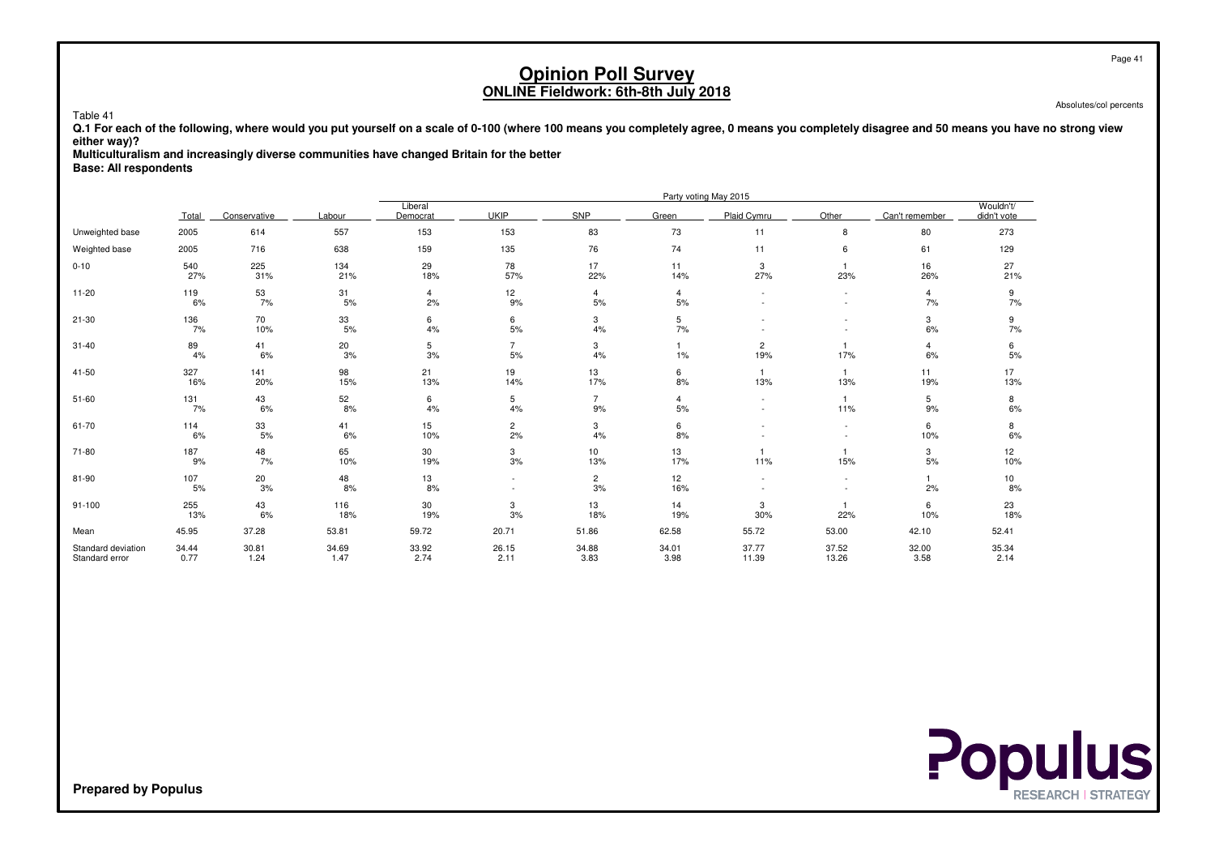Absolutes/col percents

 **Q.1 For each of the following, where would you put yourself on a scale of 0-100 (where 100 means you completely agree, 0 means you completely disagree and 50 means you have no strong vieweither way)?**

**Multiculturalism and increasingly diverse communities have changed Britain for the better**

**Base: All respondents**

Table 41

|                                      |               |               |               |                      |                                    |                      |                      | Party voting May 2015 |                          |                      |                          |
|--------------------------------------|---------------|---------------|---------------|----------------------|------------------------------------|----------------------|----------------------|-----------------------|--------------------------|----------------------|--------------------------|
|                                      | Total         | Conservative  | Labour        | Liberal<br>Democrat  | <b>UKIP</b>                        | SNP                  | Green                | Plaid Cymru           | Other                    | Can't remember       | Wouldn't/<br>didn't vote |
| Unweighted base                      | 2005          | 614           | 557           | 153                  | 153                                | 83                   | 73                   | 11                    | 8                        | 80                   | 273                      |
| Weighted base                        | 2005          | 716           | 638           | 159                  | 135                                | 76                   | 74                   | 11                    | 6                        | 61                   | 129                      |
| $0 - 10$                             | 540<br>27%    | 225<br>31%    | 134<br>21%    | 29<br>18%            | 78<br>57%                          | 17<br>22%            | 11<br>14%            | 3<br>27%              | $\mathbf{1}$<br>23%      | 16<br>26%            | 27<br>21%                |
| $11 - 20$                            | 119<br>6%     | 53<br>7%      | 31<br>5%      | $\overline{4}$<br>2% | 12<br>9%                           | 4<br>5%              | 4<br>5%              |                       | $\sim$                   | 4<br>7%              | 9<br>7%                  |
| $21 - 30$                            | 136<br>7%     | 70<br>10%     | 33<br>5%      | 6<br>$4\%$           | 6<br>5%                            | 3<br>4%              | 5<br>7%              |                       |                          | 3<br>6%              | 9<br>7%                  |
| $31 - 40$                            | 89<br>4%      | 41<br>6%      | 20<br>3%      | 5<br>3%              | $\overline{7}$<br>5%               | 3<br>4%              | $1\%$                | $\overline{c}$<br>19% | 17%                      | $\overline{4}$<br>6% | 6<br>5%                  |
| $41 - 50$                            | 327<br>16%    | 141<br>20%    | 98<br>15%     | 21<br>13%            | 19<br>14%                          | 13<br>17%            | 6<br>8%              | -1<br>13%             | $\overline{1}$<br>13%    | 11<br>19%            | 17<br>13%                |
| $51 - 60$                            | 131<br>7%     | 43<br>6%      | 52<br>8%      | 6<br>4%              | 5<br>4%                            | $\overline{7}$<br>9% | $\overline{4}$<br>5% |                       | $\overline{1}$<br>11%    | 5<br>9%              | 8<br>6%                  |
| 61-70                                | 114<br>6%     | 33<br>5%      | 41<br>6%      | 15<br>10%            | $\overline{c}$<br>2%               | 3<br>4%              | 6<br>8%              |                       | $\overline{\phantom{a}}$ | 6<br>10%             | 8<br>6%                  |
| 71-80                                | 187<br>9%     | 48<br>7%      | 65<br>10%     | 30<br>19%            | 3<br>3%                            | 10<br>13%            | 13<br>17%            | 11%                   | 15%                      | 3<br>5%              | 12<br>10%                |
| 81-90                                | 107<br>5%     | 20<br>3%      | 48<br>8%      | 13<br>8%             | $\sim$<br>$\overline{\phantom{a}}$ | $\overline{2}$<br>3% | 12<br>16%            |                       | $\sim$                   | 2%                   | 10<br>8%                 |
| $91 - 100$                           | 255<br>13%    | 43<br>6%      | 116<br>18%    | 30<br>19%            | 3<br>3%                            | 13<br>18%            | 14<br>19%            | 3<br>30%              | 22%                      | 6<br>10%             | 23<br>18%                |
| Mean                                 | 45.95         | 37.28         | 53.81         | 59.72                | 20.71                              | 51.86                | 62.58                | 55.72                 | 53.00                    | 42.10                | 52.41                    |
| Standard deviation<br>Standard error | 34.44<br>0.77 | 30.81<br>1.24 | 34.69<br>1.47 | 33.92<br>2.74        | 26.15<br>2.11                      | 34.88<br>3.83        | 34.01<br>3.98        | 37.77<br>11.39        | 37.52<br>13.26           | 32.00<br>3.58        | 35.34<br>2.14            |

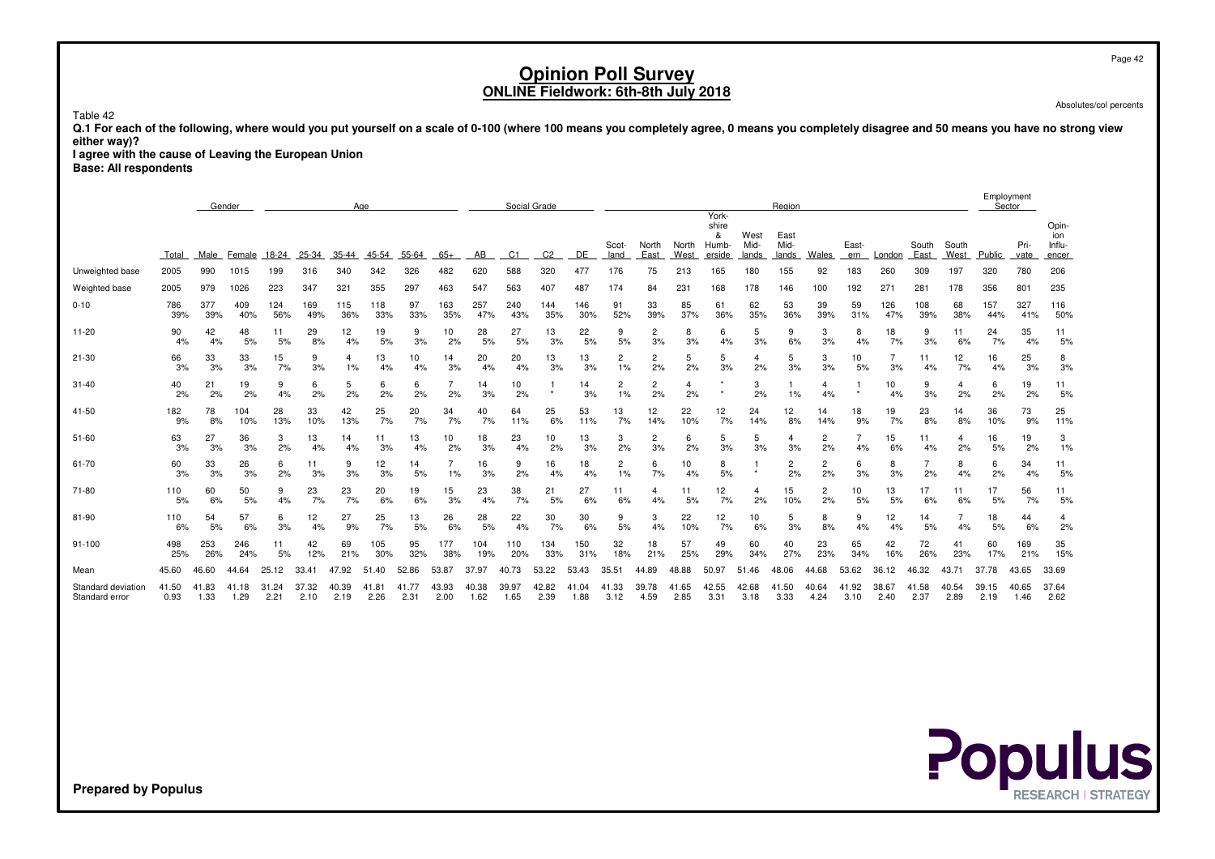Page 42

# **Opinion Poll SurveyONLINE Fieldwork: 6th-8th July 2018**

Absolutes/col percents

Table 42

 **Q.1 For each of the following, where would you put yourself on a scale of 0-100 (where 100 means you completely agree, 0 means you completely disagree and 50 means you have no strong vieweither way)?**

 **I agree with the cause of Leaving the European UnionBase: All respondents**

|                                      |               |             | Gender     |                   |               | Age           |               |           |               |               | Social Grade   |                |                   |                  |                      |               |                                              |                       | Region                |               |                   |               |               |               | Employment<br>Sector |               |                                 |
|--------------------------------------|---------------|-------------|------------|-------------------|---------------|---------------|---------------|-----------|---------------|---------------|----------------|----------------|-------------------|------------------|----------------------|---------------|----------------------------------------------|-----------------------|-----------------------|---------------|-------------------|---------------|---------------|---------------|----------------------|---------------|---------------------------------|
|                                      | Total         | Male        | Female     | 18-24             | 25-34         | $35 - 44$     | 45-54         | 55-64     | $65+$         | AB            | C <sub>1</sub> | C <sub>2</sub> | DE                | Scot-<br>land    | North<br>East        | North<br>West | York-<br>shire<br>&<br><b>Humb</b><br>erside | West<br>Mid-<br>lands | East<br>Mid-<br>lands | Wales         | East-<br>ern      | London        | South<br>East | South<br>West | Public               | Pri-<br>vate  | Opin-<br>ion<br>Influ-<br>encer |
| Unweighted base                      | 2005          | 990         | 1015       | 199               | 316           | 340           | 342           | 326       | 482           | 620           | 588            | 320            | 477               | 176              | 75                   | 213           | 165                                          | 180                   | 155                   | 92            | 183               | 260           | 309           | 197           | 320                  | 780           | 206                             |
| Weighted base                        | 2005          | 979         | 1026       | 223               | 347           | 321           | 355           | 297       | 463           | 547           | 563            | 407            | 487               | 174              | 84                   | 231           | 168                                          | 178                   | 146                   | 100           | 192               | 271           | 281           | 178           | 356                  | 801           | 235                             |
| $0 - 10$                             | 786<br>39%    | 377<br>39%  | 409<br>40% | 124<br>56%        | 169<br>49%    | 115<br>36%    | 118<br>33%    | 97<br>33% | 163<br>35%    | 257<br>47%    | 240<br>43%     | 144<br>35%     | 146<br>30%        | 91<br>52%        | 33<br>39%            | 85<br>37%     | 61<br>36%                                    | 62<br>35%             | 53<br>36%             | 39<br>39%     | 59<br>31%         | 126<br>47%    | 108<br>39%    | 68<br>38%     | 157<br>44%           | 327<br>41%    | 116<br>50%                      |
| $11 - 20$                            | 90<br>4%      | 42<br>4%    | 48<br>5%   | 11<br>5%          | 29<br>8%      | 12<br>4%      | 19<br>5%      | 9<br>3%   | 10<br>2%      | 28<br>5%      | 27<br>5%       | 13<br>3%       | 22<br>5%          | 9<br>5%          | $\overline{c}$<br>3% | 8<br>3%       | 6<br>4%                                      | 3%                    | 9<br>6%               | 3<br>3%       | 8<br>4%           | 18<br>7%      | 9<br>3%       | 11<br>6%      | 24<br>7%             | 35<br>4%      | 11<br>5%                        |
| $21 - 30$                            | 66<br>3%      | 33<br>3%    | 33<br>3%   | 15<br>7%          | 9<br>3%       | 4<br>1%       | 13<br>4%      | 10<br>4%  | 14<br>3%      | 20<br>4%      | 20<br>4%       | 13<br>3%       | 13<br>3%          | 2<br>1%          | $\overline{2}$<br>2% | 5<br>2%       | 5<br>3%                                      | 4<br>2%               | 5<br>3%               | 3<br>3%       | 10<br>5%          | 3%            | 11<br>4%      | 12<br>7%      | 16<br>4%             | 25<br>3%      | 8<br>3%                         |
| $31 - 40$                            | 40<br>2%      | 21<br>2%    | 19<br>2%   | 9<br>4%           | 6<br>2%       | 5<br>2%       | 6<br>2%       | 6<br>2%   | 2%            | 14<br>3%      | 10<br>2%       | $\star$        | 14<br>3%          | 2<br>1%          | 2<br>2%              | 2%            |                                              | 3<br>2%               | 1%                    | 4%            |                   | 10<br>4%      | 9<br>3%       | 2%            | 6<br>2%              | 19<br>2%      | 11<br>5%                        |
| 41-50                                | 182<br>9%     | 78<br>8%    | 104<br>10% | 28<br>13%         | 33<br>10%     | 42<br>13%     | 25<br>7%      | 20<br>7%  | 34<br>7%      | 40<br>7%      | 64<br>11%      | 25<br>6%       | 53<br>11%         | 13<br>7%         | 12<br>14%            | 22<br>10%     | 12<br>7%                                     | 24<br>14%             | 12<br>8%              | 14<br>14%     | 18<br>9%          | 19<br>7%      | 23<br>8%      | 14<br>8%      | 36<br>10%            | 73<br>9%      | 25<br>11%                       |
| $51 - 60$                            | 63<br>3%      | 27<br>3%    | 36<br>3%   | 3<br>2%           | 13<br>4%      | 14<br>4%      | 11<br>3%      | 13<br>4%  | 10<br>2%      | 18<br>3%      | 23<br>4%       | 10<br>2%       | 13<br>3%          | 3<br>2%          | 2<br>3%              | 6<br>2%       | 5<br>3%                                      | 5<br>3%               | 3%                    | 2<br>2%       | 4%                | 15<br>6%      | 11<br>4%      | 2%            | 16<br>5%             | 19<br>2%      | 3<br>1%                         |
| 61-70                                | 60<br>3%      | 33<br>3%    | 26<br>3%   | 6<br>2%           | 11<br>3%      | 9<br>3%       | 12<br>3%      | 14<br>5%  | 1%            | 16<br>3%      | 9<br>2%        | 16<br>4%       | 18<br>4%          | 2<br>1%          | 6<br>7%              | 10<br>4%      | 8<br>5%                                      |                       | 2<br>2%               | 2<br>2%       | 6<br>3%           | 8<br>3%       | 2%            | 8<br>4%       | 6<br>2%              | 34<br>4%      | 11<br>5%                        |
| $71 - 80$                            | 110<br>5%     | 60<br>6%    | 50<br>5%   | 9<br>4%           | 23<br>7%      | 23<br>7%      | 20<br>6%      | 19<br>6%  | 15<br>3%      | 23<br>4%      | 38<br>7%       | 21<br>5%       | 27<br>6%          | 11<br>6%         | 4<br>4%              | 11<br>5%      | 12<br>7%                                     | 2%                    | 15<br>10%             | 2<br>2%       | 10<br>5%          | 13<br>5%      | 17<br>6%      | 11<br>6%      | 17<br>5%             | 56<br>7%      | 11<br>5%                        |
| 81-90                                | 110<br>6%     | 54<br>5%    | 57<br>6%   | 6<br>3%           | 12<br>4%      | 27<br>9%      | 25<br>7%      | 13<br>5%  | 26<br>6%      | 28<br>5%      | 22<br>4%       | 30<br>7%       | 30<br>6%          | 9<br>5%          | 3<br>4%              | 22<br>10%     | 12<br>7%                                     | 10<br>6%              | 5<br>3%               | 8<br>8%       | 9<br>4%           | 12<br>4%      | 14<br>5%      | 4%            | 18<br>5%             | 44<br>6%      | 4<br>2%                         |
| $91 - 100$                           | 498<br>25%    | 253<br>26%  | 246<br>24% | 11<br>5%          | 42<br>12%     | 69<br>21%     | 105<br>30%    | 95<br>32% | 177<br>38%    | 104<br>19%    | 110<br>20%     | 134<br>33%     | 150<br>31%        | 32<br>18%        | 18<br>21%            | 57<br>25%     | 49<br>29%                                    | 60<br>34%             | 40<br>27%             | 23<br>23%     | 65<br>34%         | 42<br>16%     | 72<br>26%     | 41<br>23%     | 60<br>17%            | 169<br>21%    | 35<br>15%                       |
| Mean                                 | 45.60         | 46.60       | 44.64      | 25.12             | 33.41         | 47.92         | 51<br>.40     | 52.86     | 53.87         | 37.97         | 40.73          | 53.22          | 53.43             | 35.51            | 44.89                | 48.88         | 50.97                                        | 51<br>.46             | 48.06                 | 44.68         | 53.62             | 36.<br>12     | 46.32         | 43.71         | 37.78                | 43.65         | 33.69                           |
| Standard deviation<br>Standard error | 41.50<br>0.93 | .83<br>1.33 | 1.29       | 31<br>.24<br>2.21 | 37.32<br>2.10 | 40.39<br>2.19 | 41.81<br>2.26 | 2.31      | 43.93<br>2.00 | 40.38<br>1.62 | 39.97<br>1.65  | 42.82<br>2.39  | .04<br>41<br>1.88 | .33<br>4<br>3.12 | 39.78<br>4.59        | 41.65<br>2.85 | 42.55<br>3.31                                | 42.68<br>3.18         | 41.50<br>3.33         | 40.64<br>4.24 | 1.92<br>4<br>3.10 | 38.67<br>2.40 | 41.58<br>2.37 | 40.54<br>2.89 | 39.15<br>2.19        | 40.65<br>1.46 | 37.64<br>2.62                   |

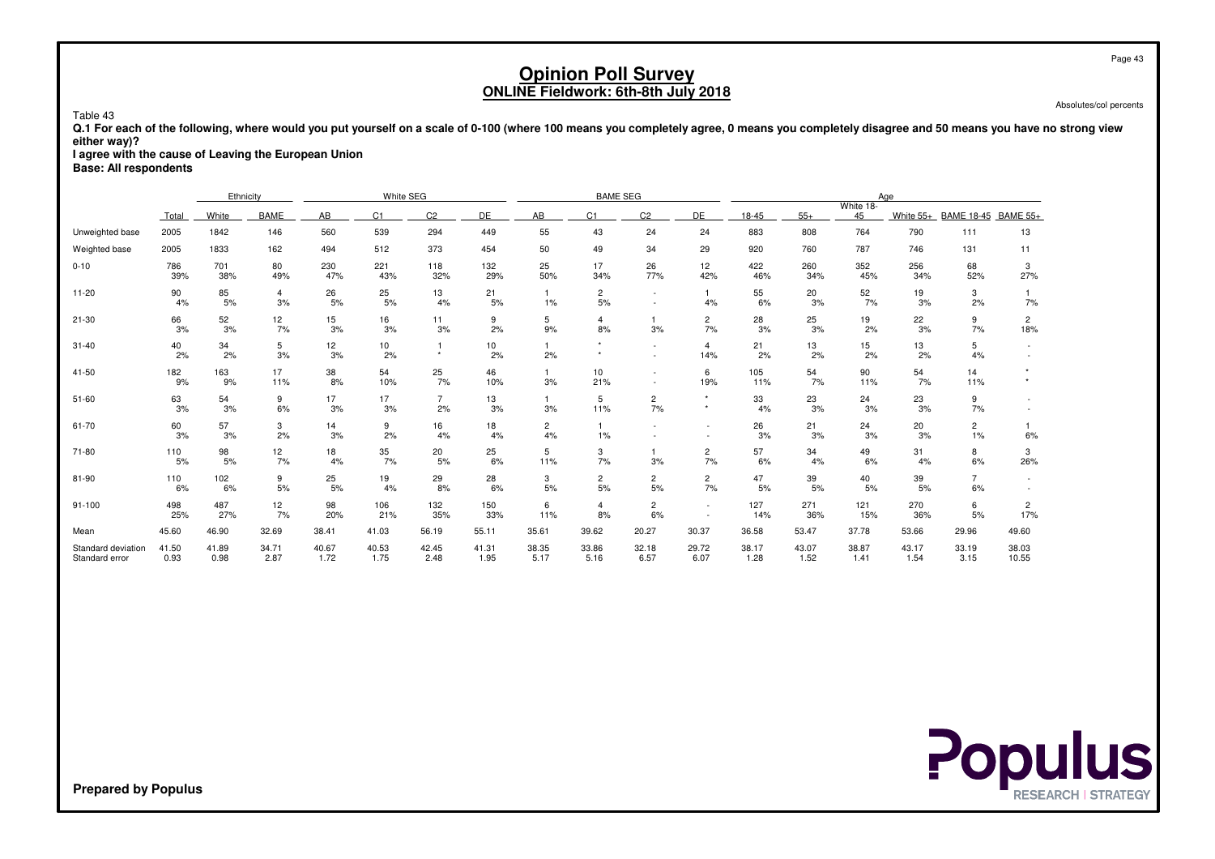Absolutes/col percents

 **Q.1 For each of the following, where would you put yourself on a scale of 0-100 (where 100 means you completely agree, 0 means you completely disagree and 50 means you have no strong vieweither way)?**

 **I agree with the cause of Leaving the European UnionBase: All respondents**

Table 43

|                                      |               | Ethnicity     |                      |               | White SEG      |                      |               |                      | <b>BAME SEG</b>      |                      |                                    |               |               |                 | Age           |                         |                       |
|--------------------------------------|---------------|---------------|----------------------|---------------|----------------|----------------------|---------------|----------------------|----------------------|----------------------|------------------------------------|---------------|---------------|-----------------|---------------|-------------------------|-----------------------|
|                                      | Total         | White         | <b>BAME</b>          | AB            | C <sub>1</sub> | C <sub>2</sub>       | DE            | AB                   | C1                   | C <sub>2</sub>       | DE                                 | 18-45         | $55+$         | White 18-<br>45 | White $55+$   | BAME 18-45 BAME 55+     |                       |
| Unweighted base                      | 2005          | 1842          | 146                  | 560           | 539            | 294                  | 449           | 55                   | 43                   | 24                   | 24                                 | 883           | 808           | 764             | 790           | 111                     | 13                    |
| Weighted base                        | 2005          | 1833          | 162                  | 494           | 512            | 373                  | 454           | 50                   | 49                   | 34                   | 29                                 | 920           | 760           | 787             | 746           | 131                     | 11                    |
| $0 - 10$                             | 786<br>39%    | 701<br>38%    | 80<br>49%            | 230<br>47%    | 221<br>43%     | 118<br>32%           | 132<br>29%    | 25<br>50%            | 17<br>34%            | 26<br>77%            | 12<br>42%                          | 422<br>46%    | 260<br>34%    | 352<br>45%      | 256<br>34%    | 68<br>52%               | 3<br>27%              |
| $11 - 20$                            | 90<br>4%      | 85<br>5%      | $\overline{4}$<br>3% | 26<br>5%      | 25<br>5%       | 13<br>4%             | 21<br>5%      | $1\%$                | $\overline{c}$<br>5% |                      | 4%                                 | 55<br>6%      | 20<br>3%      | 52<br>7%        | 19<br>3%      | 3<br>2%                 | 7%                    |
| $21 - 30$                            | 66<br>3%      | 52<br>3%      | 12<br>7%             | 15<br>3%      | 16<br>3%       | 11<br>3%             | 9<br>2%       | 5<br>9%              | $\overline{4}$<br>8% | 3%                   | $\overline{c}$<br>7%               | 28<br>3%      | 25<br>3%      | 19<br>2%        | 22<br>3%      | 9<br>7%                 | $\overline{2}$<br>18% |
| $31 - 40$                            | 40<br>2%      | 34<br>2%      | 5<br>3%              | 12<br>3%      | 10<br>2%       | $\star$              | 10<br>2%      | 2%                   |                      |                      | $\overline{4}$<br>14%              | 21<br>2%      | 13<br>2%      | 15<br>2%        | 13<br>2%      | 5<br>4%                 |                       |
| 41-50                                | 182<br>9%     | 163<br>9%     | 17<br>11%            | 38<br>8%      | 54<br>10%      | 25<br>7%             | 46<br>10%     | 3%                   | 10<br>21%            |                      | 6<br>19%                           | 105<br>11%    | 54<br>7%      | 90<br>11%       | 54<br>7%      | 14<br>11%               |                       |
| $51 - 60$                            | 63<br>3%      | 54<br>3%      | 9<br>6%              | 17<br>3%      | 17<br>3%       | $\overline{7}$<br>2% | 13<br>3%      | 3%                   | 5<br>11%             | $\overline{c}$<br>7% | $\star$<br>$\ddot{}$               | 33<br>4%      | 23<br>3%      | 24<br>3%        | 23<br>3%      | 9<br>7%                 |                       |
| 61-70                                | 60<br>3%      | 57<br>3%      | 3<br>2%              | 14<br>3%      | 9<br>2%        | 16<br>4%             | 18<br>4%      | $\overline{2}$<br>4% | $1\%$                |                      | $\overline{\phantom{a}}$           | 26<br>3%      | 21<br>3%      | 24<br>3%        | 20<br>3%      | $\overline{2}$<br>$1\%$ | 6%                    |
| 71-80                                | 110<br>5%     | 98<br>5%      | 12<br>7%             | 18<br>4%      | 35<br>7%       | 20<br>5%             | 25<br>6%      | 5<br>11%             | 3<br>7%              | 3%                   | $\overline{c}$<br>7%               | 57<br>6%      | 34<br>4%      | 49<br>6%        | 31<br>4%      | 8<br>6%                 | 3<br>26%              |
| 81-90                                | 110<br>6%     | 102<br>6%     | 9<br>5%              | 25<br>5%      | 19<br>4%       | 29<br>8%             | 28<br>6%      | 3<br>5%              | $\overline{c}$<br>5% | $\overline{c}$<br>5% | $\overline{c}$<br>7%               | 47<br>5%      | 39<br>5%      | 40<br>5%        | 39<br>5%      | $\overline{7}$<br>6%    |                       |
| $91 - 100$                           | 498<br>25%    | 487<br>27%    | 12<br>7%             | 98<br>20%     | 106<br>21%     | 132<br>35%           | 150<br>33%    | 6<br>11%             | $\overline{4}$<br>8% | $\overline{c}$<br>6% | $\sim$<br>$\overline{\phantom{a}}$ | 127<br>14%    | 271<br>36%    | 121<br>15%      | 270<br>36%    | 6<br>5%                 | $\overline{2}$<br>17% |
| Mean                                 | 45.60         | 46.90         | 32.69                | 38.41         | 41.03          | 56.19                | 55.11         | 35.61                | 39.62                | 20.27                | 30.37                              | 36.58         | 53.47         | 37.78           | 53.66         | 29.96                   | 49.60                 |
| Standard deviation<br>Standard error | 41.50<br>0.93 | 41.89<br>0.98 | 34.71<br>2.87        | 40.67<br>1.72 | 40.53<br>1.75  | 42.45<br>2.48        | 41.31<br>1.95 | 38.35<br>5.17        | 33.86<br>5.16        | 32.18<br>6.57        | 29.72<br>6.07                      | 38.17<br>1.28 | 43.07<br>1.52 | 38.87<br>1.41   | 43.17<br>1.54 | 33.19<br>3.15           | 38.03<br>10.55        |

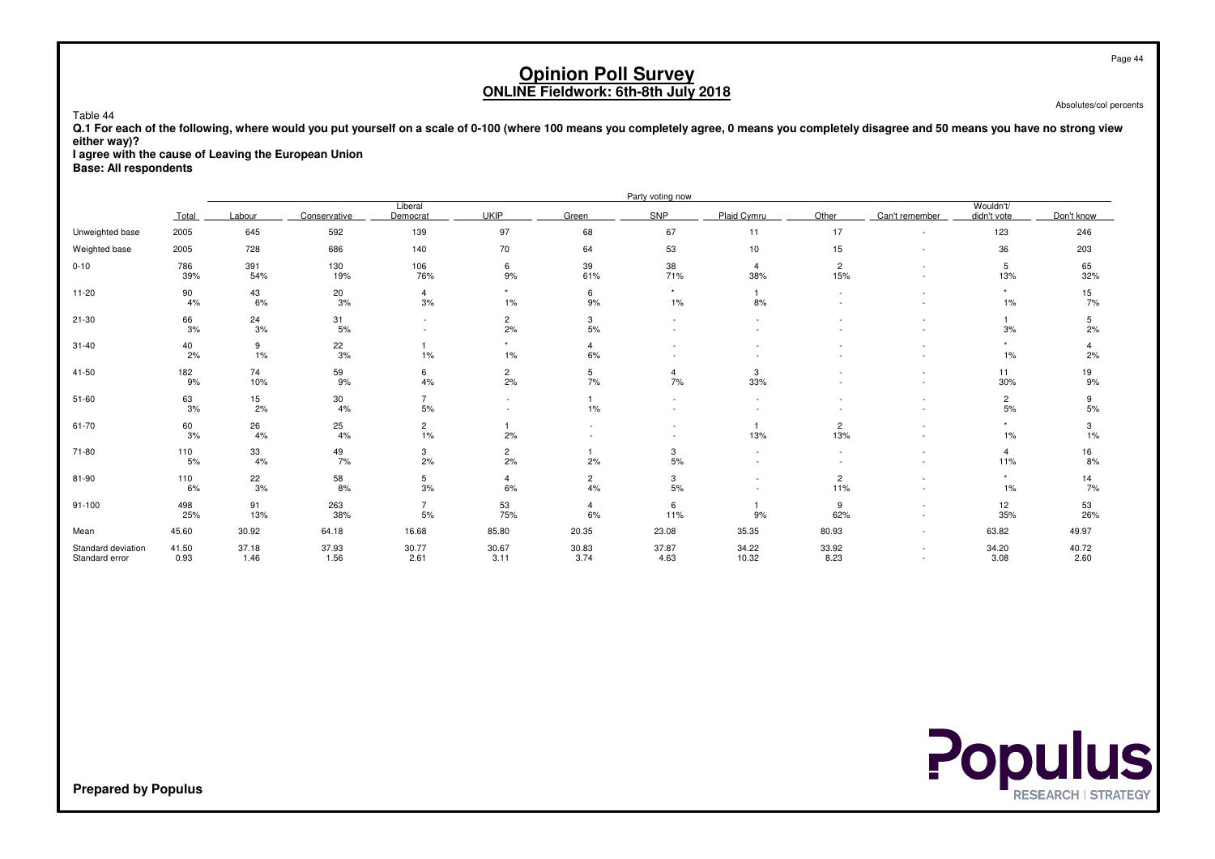Absolutes/col percents

 **Q.1 For each of the following, where would you put yourself on a scale of 0-100 (where 100 means you completely agree, 0 means you completely disagree and 50 means you have no strong vieweither way)?**

 **I agree with the cause of Leaving the European UnionBase: All respondents**

Table 44

|                                      |               |               |               |                          |                          |                          | Party voting now |                          |                          |                |                          |               |
|--------------------------------------|---------------|---------------|---------------|--------------------------|--------------------------|--------------------------|------------------|--------------------------|--------------------------|----------------|--------------------------|---------------|
|                                      | Total         | Labour        | Conservative  | Liberal<br>Democrat      | <b>UKIP</b>              | Green                    | SNP              | Plaid Cymru              | Other                    | Can't remember | Wouldn't/<br>didn't vote | Don't know    |
| Unweighted base                      | 2005          | 645           | 592           | 139                      | 97                       | 68                       | 67               | 11                       | 17                       |                | 123                      | 246           |
| Weighted base                        | 2005          | 728           | 686           | 140                      | 70                       | 64                       | 53               | 10                       | 15                       |                | 36                       | 203           |
| $0 - 10$                             | 786<br>39%    | 391<br>54%    | 130<br>19%    | 106<br>76%               | 6<br>9%                  | 39<br>61%                | 38<br>71%        | $\overline{4}$<br>38%    | $\overline{c}$<br>15%    |                | 5<br>13%                 | 65<br>32%     |
| $11 - 20$                            | 90<br>4%      | 43<br>6%      | 20<br>3%      | $\overline{4}$<br>3%     | $\star$<br>$1\%$         | 6<br>9%                  | $\star$<br>1%    | $\mathbf{1}$<br>8%       | $\overline{\phantom{a}}$ |                | $\star$<br>$1\%$         | 15<br>7%      |
| $21 - 30$                            | 66<br>3%      | 24<br>3%      | 31<br>5%      | $\overline{\phantom{a}}$ | $\overline{c}$<br>2%     | 3<br>5%                  |                  |                          |                          |                | 3%                       | 5<br>2%       |
| $31 - 40$                            | 40<br>2%      | 9<br>1%       | 22<br>3%      | $1\%$                    | $\star$<br>$1\%$         | $\overline{4}$<br>6%     |                  |                          |                          |                | $\star$<br>$1\%$         | 4<br>2%       |
| 41-50                                | 182<br>9%     | 74<br>10%     | 59<br>9%      | 6<br>4%                  | $\overline{c}$<br>2%     | 5<br>7%                  | 4<br>7%          | 3<br>33%                 |                          |                | 11<br>30%                | 19<br>9%      |
| 51-60                                | 63<br>3%      | 15<br>2%      | 30<br>4%      | $\overline{7}$<br>5%     | $\overline{\phantom{a}}$ | 1%                       | $\sim$           | $\overline{\phantom{a}}$ |                          |                | $\overline{2}$<br>5%     | 9<br>5%       |
| 61-70                                | 60<br>3%      | 26<br>4%      | 25<br>4%      | $\overline{c}$<br>$1\%$  | 2%                       | $\overline{\phantom{a}}$ |                  | $\mathbf{1}$<br>13%      | $\overline{c}$<br>13%    |                | $\star$<br>$1\%$         | 3<br>1%       |
| 71-80                                | 110<br>5%     | 33<br>4%      | 49<br>7%      | 3<br>2%                  | $\overline{c}$<br>2%     | 2%                       | 3<br>5%          |                          |                          |                | 4<br>11%                 | 16<br>8%      |
| 81-90                                | 110<br>6%     | 22<br>3%      | 58<br>8%      | 5<br>3%                  | $\overline{4}$<br>6%     | $\overline{2}$<br>4%     | 3<br>5%          |                          | $\overline{c}$<br>11%    |                | $\star$<br>$1\%$         | 14<br>7%      |
| $91 - 100$                           | 498<br>25%    | 91<br>13%     | 263<br>38%    | $\overline{7}$<br>5%     | 53<br>75%                | $\overline{4}$<br>6%     | 6<br>11%         | $\overline{1}$<br>9%     | 9<br>62%                 |                | 12<br>35%                | 53<br>26%     |
| Mean                                 | 45.60         | 30.92         | 64.18         | 16.68                    | 85.80                    | 20.35                    | 23.08            | 35.35                    | 80.93                    | $\sim$         | 63.82                    | 49.97         |
| Standard deviation<br>Standard error | 41.50<br>0.93 | 37.18<br>1.46 | 37.93<br>1.56 | 30.77<br>2.61            | 30.67<br>3.11            | 30.83<br>3.74            | 37.87<br>4.63    | 34.22<br>10.32           | 33.92<br>8.23            |                | 34.20<br>3.08            | 40.72<br>2.60 |

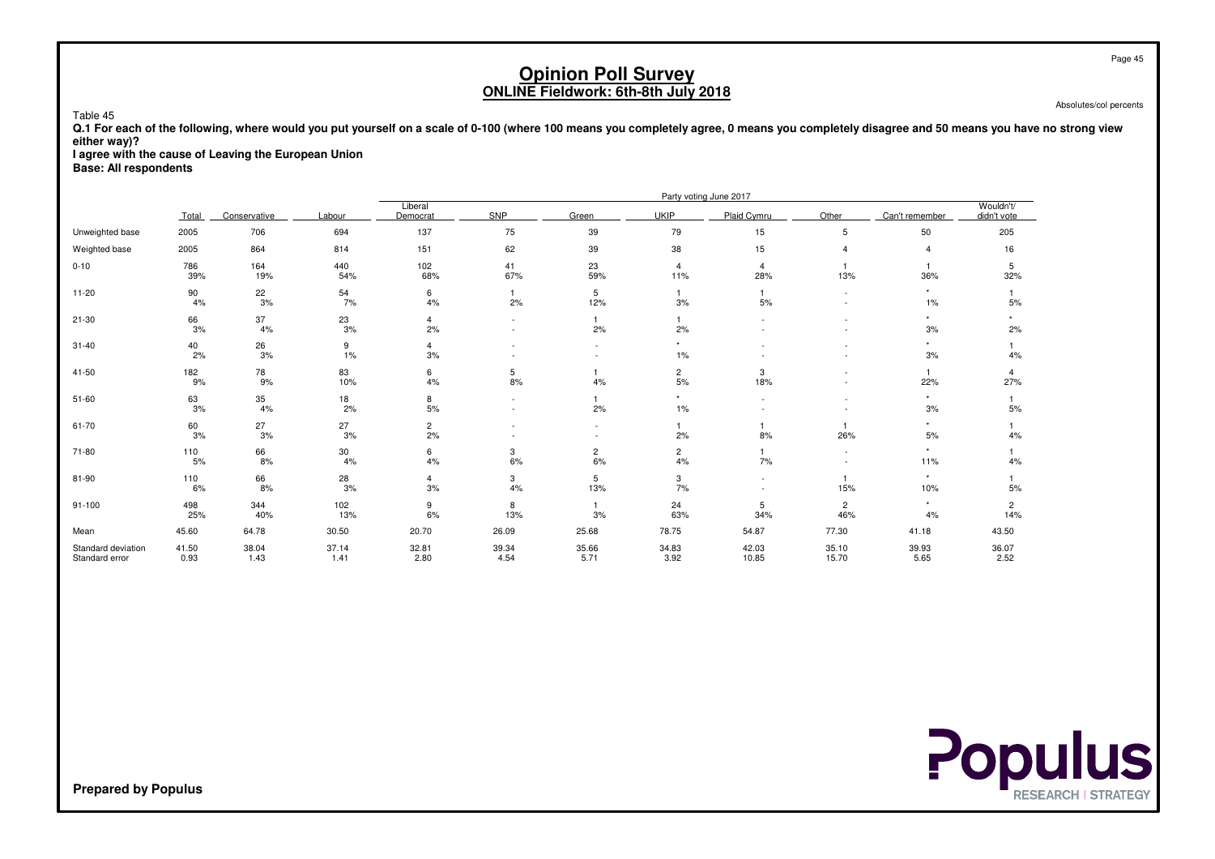Absolutes/col percents

Page 45

 **Q.1 For each of the following, where would you put yourself on a scale of 0-100 (where 100 means you completely agree, 0 means you completely disagree and 50 means you have no strong vieweither way)?**

 **I agree with the cause of Leaving the European UnionBase: All respondents**

Table 45

|                                      |               |               |               |                      |                    |                      |                       | Party voting June 2017 |                          |                       |                          |
|--------------------------------------|---------------|---------------|---------------|----------------------|--------------------|----------------------|-----------------------|------------------------|--------------------------|-----------------------|--------------------------|
|                                      | Total         | Conservative  | Labour        | Liberal<br>Democrat  | <b>SNP</b>         | Green                | <b>UKIP</b>           | Plaid Cymru            | Other                    | Can't remember        | Wouldn't/<br>didn't vote |
| Unweighted base                      | 2005          | 706           | 694           | 137                  | 75                 | 39                   | 79                    | 15                     | 5                        | 50                    | 205                      |
| Weighted base                        | 2005          | 864           | 814           | 151                  | 62                 | 39                   | 38                    | 15                     |                          | $\overline{4}$        | 16                       |
| $0 - 10$                             | 786<br>39%    | 164<br>19%    | 440<br>54%    | 102<br>68%           | 41<br>67%          | 23<br>59%            | $\overline{4}$<br>11% | $\overline{4}$<br>28%  | 13%                      | 36%                   | 5<br>32%                 |
| $11 - 20$                            | 90<br>4%      | 22<br>$3%$    | 54<br>7%      | 6<br>4%              | $\mathbf{1}$<br>2% | 5<br>12%             | $\mathbf{1}$<br>3%    | $5%$                   | $\sim$                   | $\star$<br>$1\%$      | 5%                       |
| $21 - 30$                            | 66<br>3%      | 37<br>4%      | 23<br>3%      | $\overline{4}$<br>2% |                    | 1<br>2%              | 2%                    |                        |                          | $^\star$<br>3%        | 2%                       |
| $31 - 40$                            | 40<br>2%      | 26<br>3%      | 9<br>1%       | $\overline{4}$<br>3% |                    | $\sim$               | $\star$<br>1%         |                        |                          | $\star$<br>3%         | 4%                       |
| 41-50                                | 182<br>9%     | 78<br>9%      | 83<br>10%     | 6<br>4%              | 5<br>8%            | 4%                   | $\overline{c}$<br>5%  | 3<br>18%               |                          | $\overline{1}$<br>22% | 4<br>27%                 |
| $51 - 60$                            | 63<br>3%      | 35<br>4%      | 18<br>2%      | 8<br>$5%$            |                    | 2%                   | $\star$<br>1%         |                        |                          | $^\star$<br>3%        | 5%                       |
| 61-70                                | 60<br>3%      | 27<br>3%      | 27<br>3%      | $\overline{c}$<br>2% |                    | $\sim$               | $\mathbf{1}$<br>2%    | 8%                     | 26%                      | $\star$<br>5%         | 4%                       |
| 71-80                                | 110<br>5%     | 66<br>8%      | 30<br>4%      | 6<br>4%              | 3<br>6%            | $\overline{a}$<br>6% | $\overline{c}$<br>4%  | 7%                     | $\overline{\phantom{a}}$ | $\star$<br>11%        | 4%                       |
| 81-90                                | 110<br>6%     | 66<br>8%      | 28<br>3%      | $\overline{4}$<br>3% | 3<br>4%            | 5<br>13%             | 3<br>7%               |                        | 15%                      | $\star$<br>10%        | $5%$                     |
| $91 - 100$                           | 498<br>25%    | 344<br>40%    | 102<br>13%    | 9<br>6%              | 8<br>13%           | 3%                   | 24<br>63%             | 5<br>34%               | $\overline{c}$<br>46%    | $^\star$<br>4%        | $\overline{2}$<br>14%    |
| Mean                                 | 45.60         | 64.78         | 30.50         | 20.70                | 26.09              | 25.68                | 78.75                 | 54.87                  | 77.30                    | 41.18                 | 43.50                    |
| Standard deviation<br>Standard error | 41.50<br>0.93 | 38.04<br>1.43 | 37.14<br>1.41 | 32.81<br>2.80        | 39.34<br>4.54      | 35.66<br>5.71        | 34.83<br>3.92         | 42.03<br>10.85         | 35.10<br>15.70           | 39.93<br>5.65         | 36.07<br>2.52            |

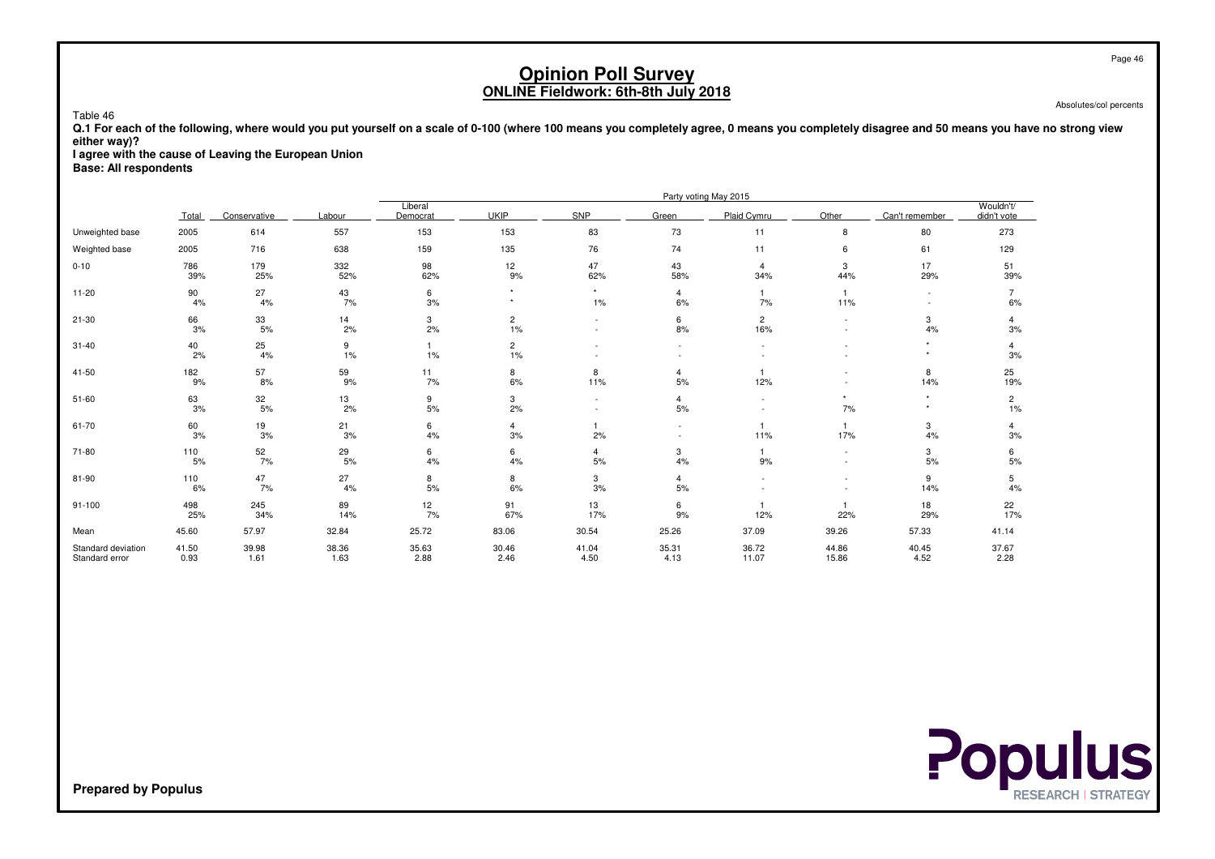Absolutes/col percents

 **Q.1 For each of the following, where would you put yourself on a scale of 0-100 (where 100 means you completely agree, 0 means you completely disagree and 50 means you have no strong vieweither way)?**

 **I agree with the cause of Leaving the European UnionBase: All respondents**

Table 46

|                                      |               |               |               |                     |                      |                  |                                    | Party voting May 2015 |                |                    |                          |
|--------------------------------------|---------------|---------------|---------------|---------------------|----------------------|------------------|------------------------------------|-----------------------|----------------|--------------------|--------------------------|
|                                      | Total         | Conservative  | Labour        | Liberal<br>Democrat | <b>UKIP</b>          | <b>SNP</b>       | Green                              | Plaid Cymru           | Other          | Can't remember     | Wouldn't/<br>didn't vote |
| Unweighted base                      | 2005          | 614           | 557           | 153                 | 153                  | 83               | 73                                 | 11                    | 8              | 80                 | 273                      |
| Weighted base                        | 2005          | 716           | 638           | 159                 | 135                  | 76               | 74                                 | 11                    | 6              | 61                 | 129                      |
| $0 - 10$                             | 786<br>39%    | 179<br>25%    | 332<br>52%    | 98<br>62%           | 12<br>9%             | 47<br>62%        | 43<br>58%                          | $\overline{4}$<br>34% | 3<br>44%       | 17<br>29%          | 51<br>39%                |
| $11 - 20$                            | 90<br>4%      | 27<br>4%      | 43<br>7%      | 6<br>$3%$           | $\star$              | $\star$<br>$1\%$ | $\overline{4}$<br>6%               | 7%                    | 11%            |                    | $6\%$                    |
| $21 - 30$                            | 66<br>3%      | 33<br>5%      | 14<br>2%      | 3<br>2%             | $\overline{c}$<br>1% | $\sim$<br>$\sim$ | 6<br>8%                            | $\overline{2}$<br>16% |                | 3<br>4%            | 4<br>3%                  |
| $31 - 40$                            | 40<br>2%      | 25<br>4%      | 9<br>1%       | $\mathbf{1}$<br>1%  | 2<br>1%              |                  |                                    |                       |                | $\star$<br>$\star$ | $\overline{4}$<br>3%     |
| $41 - 50$                            | 182<br>9%     | 57<br>8%      | 59<br>9%      | 11<br>7%            | 8<br>6%              | 8<br>11%         | 4<br>5%                            | 12%                   |                | 8<br>14%           | 25<br>19%                |
| $51 - 60$                            | 63<br>3%      | 32<br>$5\%$   | 13<br>2%      | 9<br>$5%$           | 3<br>2%              |                  | $\overline{4}$<br>5%               |                       | $\star$<br>7%  | $\star$<br>$\star$ | $\overline{c}$<br>1%     |
| 61-70                                | 60<br>3%      | 19<br>$3%$    | 21<br>3%      | 6<br>$4\%$          | 4<br>3%              | 2%               | $\overline{\phantom{a}}$<br>$\sim$ | 11%                   | 17%            | 3<br>4%            | 4<br>3%                  |
| 71-80                                | 110<br>5%     | 52<br>7%      | 29<br>5%      | 6<br>4%             | 6<br>4%              | 4<br>5%          | 3<br>4%                            | 9%                    |                | 3<br>5%            | 6<br>5%                  |
| 81-90                                | 110<br>6%     | 47<br>7%      | 27<br>4%      | 8<br>5%             | 8<br>6%              | 3<br>3%          | $\overline{4}$<br>5%               |                       |                | 9<br>14%           | 5<br>4%                  |
| $91 - 100$                           | 498<br>25%    | 245<br>34%    | 89<br>14%     | 12<br>7%            | 91<br>67%            | 13<br>17%        | 6<br>9%                            | 12%                   | 22%            | 18<br>29%          | 22<br>17%                |
| Mean                                 | 45.60         | 57.97         | 32.84         | 25.72               | 83.06                | 30.54            | 25.26                              | 37.09                 | 39.26          | 57.33              | 41.14                    |
| Standard deviation<br>Standard error | 41.50<br>0.93 | 39.98<br>1.61 | 38.36<br>1.63 | 35.63<br>2.88       | 30.46<br>2.46        | 41.04<br>4.50    | 35.31<br>4.13                      | 36.72<br>11.07        | 44.86<br>15.86 | 40.45<br>4.52      | 37.67<br>2.28            |

**Populus**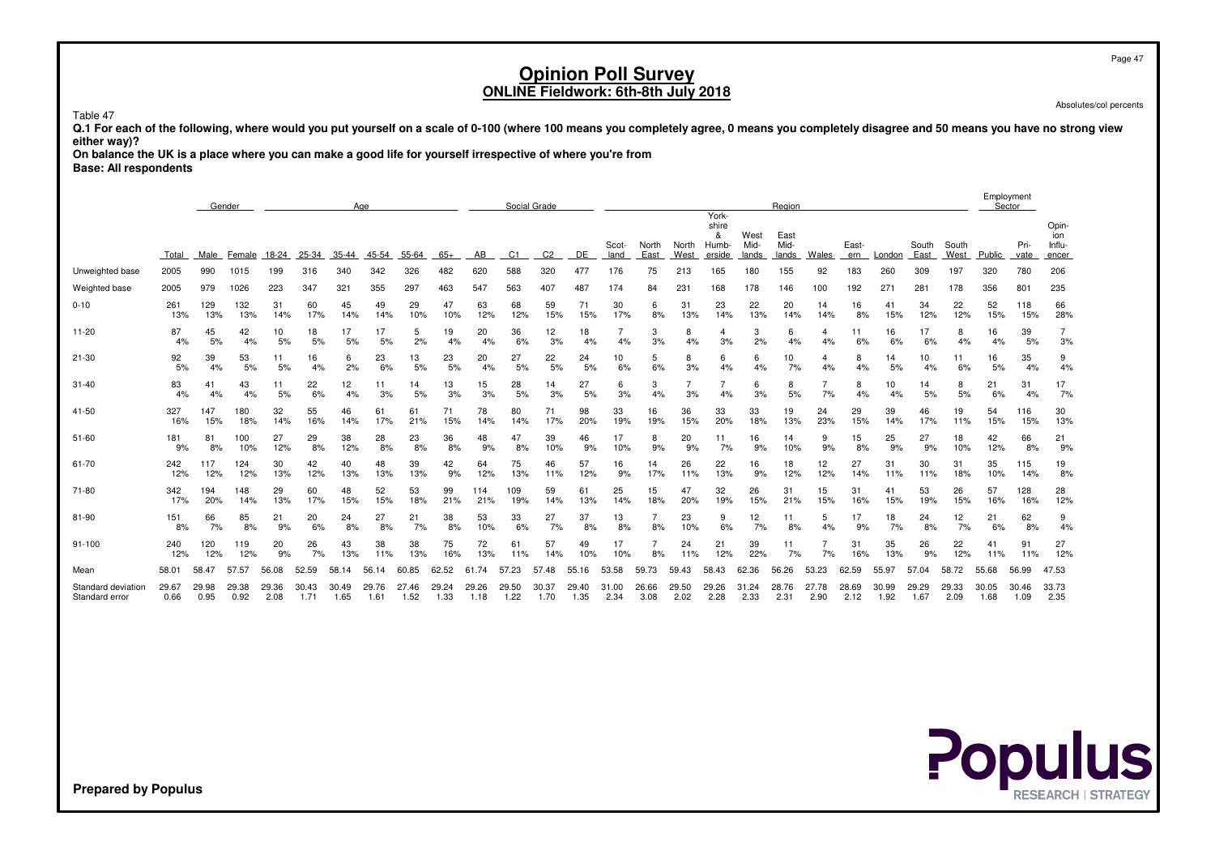Absolutes/col percents

Table 47

 **Q.1 For each of the following, where would you put yourself on a scale of 0-100 (where 100 means you completely agree, 0 means you completely disagree and 50 means you have no strong vieweither way)?**

 **On balance the UK is a place where you can make a good life for yourself irrespective of where you're fromBase: All respondents**

|                                      |               |               | Gender        |               |               |               | Age           |               |               |               |               | Social Grade   |               |               |               |               |                                       |                       | Region                |               |               |               |               |               |               | Employment<br>Sector |                                 |
|--------------------------------------|---------------|---------------|---------------|---------------|---------------|---------------|---------------|---------------|---------------|---------------|---------------|----------------|---------------|---------------|---------------|---------------|---------------------------------------|-----------------------|-----------------------|---------------|---------------|---------------|---------------|---------------|---------------|----------------------|---------------------------------|
|                                      | Total         | Male          | Female        | 18-24         | 25-34         | 35-44         | 45-54         | 55-64         | $65+$         | AB            | C1            | C <sub>2</sub> | DE            | Scot-<br>land | North<br>East | North<br>West | York-<br>shire<br>&<br>Humb<br>erside | West<br>Mid-<br>lands | East<br>Mid-<br>lands | Wales         | East-<br>ern  | London        | South<br>East | South<br>West | Public        | Pri-<br>vate         | Opin-<br>ion<br>Influ-<br>encer |
| Unweighted base                      | 2005          | 990           | 1015          | 199           | 316           | 340           | 342           | 326           | 482           | 620           | 588           | 320            | 477           | 176           | 75            | 213           | 165                                   | 180                   | 155                   | 92            | 183           | 260           | 309           | 197           | 320           | 780                  | 206                             |
| Weighted base                        | 2005          | 979           | 1026          | 223           | 347           | 321           | 355           | 297           | 463           | 547           | 563           | 407            | 487           | 174           | 84            | 231           | 168                                   | 178                   | 146                   | 100           | 192           | 271           | 281           | 178           | 356           | 801                  | 235                             |
| $0 - 10$                             | 261<br>13%    | 129<br>13%    | 132<br>13%    | 31<br>14%     | 60<br>17%     | 45<br>14%     | 49<br>14%     | 29<br>10%     | 47<br>10%     | 63<br>12%     | 68<br>12%     | 59<br>15%      | 71<br>15%     | 30<br>17%     | 6<br>8%       | 31<br>13%     | 23<br>14%                             | 22<br>13%             | 20<br>14%             | 14<br>14%     | 16<br>8%      | 41<br>15%     | 34<br>12%     | 22<br>12%     | 52<br>15%     | 118<br>15%           | 66<br>28%                       |
| 11-20                                | 87<br>4%      | 45<br>5%      | 42<br>4%      | 10<br>5%      | 18<br>5%      | 17<br>5%      | 17<br>5%      | 5<br>2%       | 19<br>4%      | 20<br>4%      | 36<br>6%      | 12<br>3%       | 18<br>4%      | 4%            | 3<br>3%       | 8<br>4%       | 3%                                    | 2%                    | 6<br>4%               | 4<br>4%       | 11<br>6%      | 16<br>6%      | 17<br>6%      | 8<br>4%       | 16<br>4%      | 39<br>5%             | 3%                              |
| 21-30                                | 92<br>5%      | 39<br>4%      | 53<br>5%      | 11<br>5%      | 16<br>4%      | 6<br>2%       | 23<br>6%      | 13<br>5%      | 23<br>5%      | 20<br>4%      | 27<br>5%      | 22<br>5%       | 24<br>5%      | 10<br>6%      | 5<br>6%       | 8<br>3%       | 6<br>4%                               | 6<br>4%               | 10<br>7%              | 4<br>4%       | 8<br>4%       | 14<br>5%      | 10<br>4%      | 11<br>6%      | 16<br>5%      | 35<br>4%             | 9<br>4%                         |
| 31-40                                | 83<br>4%      | 41<br>4%      | 43<br>4%      | 11<br>5%      | 22<br>6%      | 12<br>4%      | 11<br>3%      | 14<br>5%      | 13<br>3%      | 15<br>3%      | 28<br>5%      | 14<br>3%       | 27<br>5%      | 6<br>3%       | 3<br>4%       | 3%            | 4%                                    | 6<br>3%               | 8<br>5%               | 7<br>7%       | 8<br>4%       | 10<br>4%      | 14<br>5%      | 8<br>5%       | 21<br>6%      | 31<br>4%             | 17<br>7%                        |
| 41-50                                | 327<br>16%    | 147<br>15%    | 180<br>18%    | 32<br>14%     | 55<br>16%     | 46<br>14%     | 61<br>17%     | 61<br>21%     | 71<br>15%     | 78<br>14%     | 80<br>14%     | 71<br>17%      | 98<br>20%     | 33<br>19%     | 16<br>19%     | 36<br>15%     | 33<br>20%                             | 33<br>18%             | 19<br>13%             | 24<br>23%     | 29<br>15%     | 39<br>14%     | 46<br>17%     | 19<br>11%     | 54<br>15%     | 116<br>15%           | 30<br>13%                       |
| 51-60                                | 181<br>9%     | 81<br>8%      | 100<br>10%    | 27<br>12%     | 29<br>8%      | 38<br>12%     | 28<br>8%      | 23<br>8%      | 36<br>8%      | 48<br>9%      | 47<br>8%      | 39<br>10%      | 46<br>9%      | 17<br>10%     | 8<br>9%       | 20<br>9%      | 11<br>7%                              | 16<br>9%              | 14<br>10%             | 9<br>9%       | 15<br>8%      | 25<br>9%      | 27<br>9%      | 18<br>10%     | 42<br>12%     | 66<br>8%             | 21<br>9%                        |
| 61-70                                | 242<br>12%    | 117<br>12%    | 124<br>12%    | 30<br>13%     | 42<br>12%     | 40<br>13%     | 48<br>13%     | 39<br>13%     | 42<br>9%      | 64<br>12%     | 75<br>13%     | 46<br>11%      | 57<br>12%     | 16<br>9%      | 14<br>17%     | 26<br>11%     | 22<br>13%                             | 16<br>9%              | 18<br>12%             | 12<br>12%     | 27<br>14%     | 31<br>11%     | 30<br>11%     | 31<br>18%     | 35<br>10%     | 115<br>14%           | 19<br>8%                        |
| 71-80                                | 342<br>17%    | 194<br>20%    | 148<br>14%    | 29<br>13%     | 60<br>17%     | 48<br>15%     | 52<br>15%     | 53<br>18%     | 99<br>21%     | 114<br>21%    | 109<br>19%    | 59<br>14%      | 61<br>13%     | 25<br>14%     | 15<br>18%     | 47<br>20%     | 32<br>19%                             | 26<br>15%             | 31<br>21%             | 15<br>15%     | 31<br>16%     | 41<br>15%     | 53<br>19%     | 26<br>15%     | 57<br>16%     | 128<br>16%           | 28<br>12%                       |
| 81-90                                | 151<br>8%     | 66<br>7%      | 85<br>8%      | 21<br>9%      | 20<br>6%      | 24<br>8%      | 27<br>8%      | 21<br>7%      | 38<br>8%      | 53<br>10%     | 33<br>6%      | 27<br>7%       | 37<br>8%      | 13<br>8%      | 8%            | 23<br>10%     | 9<br>6%                               | 12<br>7%              | 11<br>8%              | 5<br>4%       | 17<br>9%      | 18<br>7%      | 24<br>8%      | 12<br>7%      | 21<br>6%      | 62<br>8%             | 9<br>4%                         |
| 91-100                               | 240<br>12%    | 120<br>12%    | 119<br>12%    | 20<br>9%      | 26<br>7%      | 43<br>13%     | 38<br>11%     | 38<br>13%     | 75<br>16%     | 72<br>13%     | 61<br>11%     | 57<br>14%      | 49<br>10%     | 17<br>10%     | 8%            | 24<br>11%     | 21<br>12%                             | 39<br>22%             | 11<br>7%              | 7%            | 31<br>16%     | 35<br>13%     | 26<br>9%      | 22<br>12%     | 41<br>11%     | 91<br>11%            | 27<br>12%                       |
| Mean                                 | 58.01         | 58.47         | 57.57         | 56.08         | 52.59         | 58.14         | 56.14         | 60.85         | 62.52         | 61.74         | 57.23         | 57.48          | 55.16         | 53.58         | 59.73         | 59.43         | 58.43                                 | 62.36                 | 56.26                 | 53.23         | 62.59         | 55.97         | 57.04         | 58.72         | 55.68         | 56.99                | 47.53                           |
| Standard deviation<br>Standard error | 29.67<br>0.66 | 29.98<br>0.95 | 29.38<br>0.92 | 29.36<br>2.08 | 30.43<br>1.71 | 30.49<br>1.65 | 29.76<br>1.61 | 27.46<br>1.52 | 29.24<br>1.33 | 29.26<br>1.18 | 29.50<br>1.22 | 30.37<br>1.70  | 29.40<br>1.35 | 31.00<br>2.34 | 26.66<br>3.08 | 29.50<br>2.02 | 29.26<br>2.28                         | 31.24<br>2.33         | 28.76<br>2.31         | 27.78<br>2.90 | 28.69<br>2.12 | 30.99<br>1.92 | 29.29<br>1.67 | 29.33<br>2.09 | 30.05<br>1.68 | 30.46<br>1.09        | 33.73<br>2.35                   |
|                                      |               |               |               |               |               |               |               |               |               |               |               |                |               |               |               |               |                                       |                       |                       |               |               |               |               |               |               |                      |                                 |



**Prepared by Populus**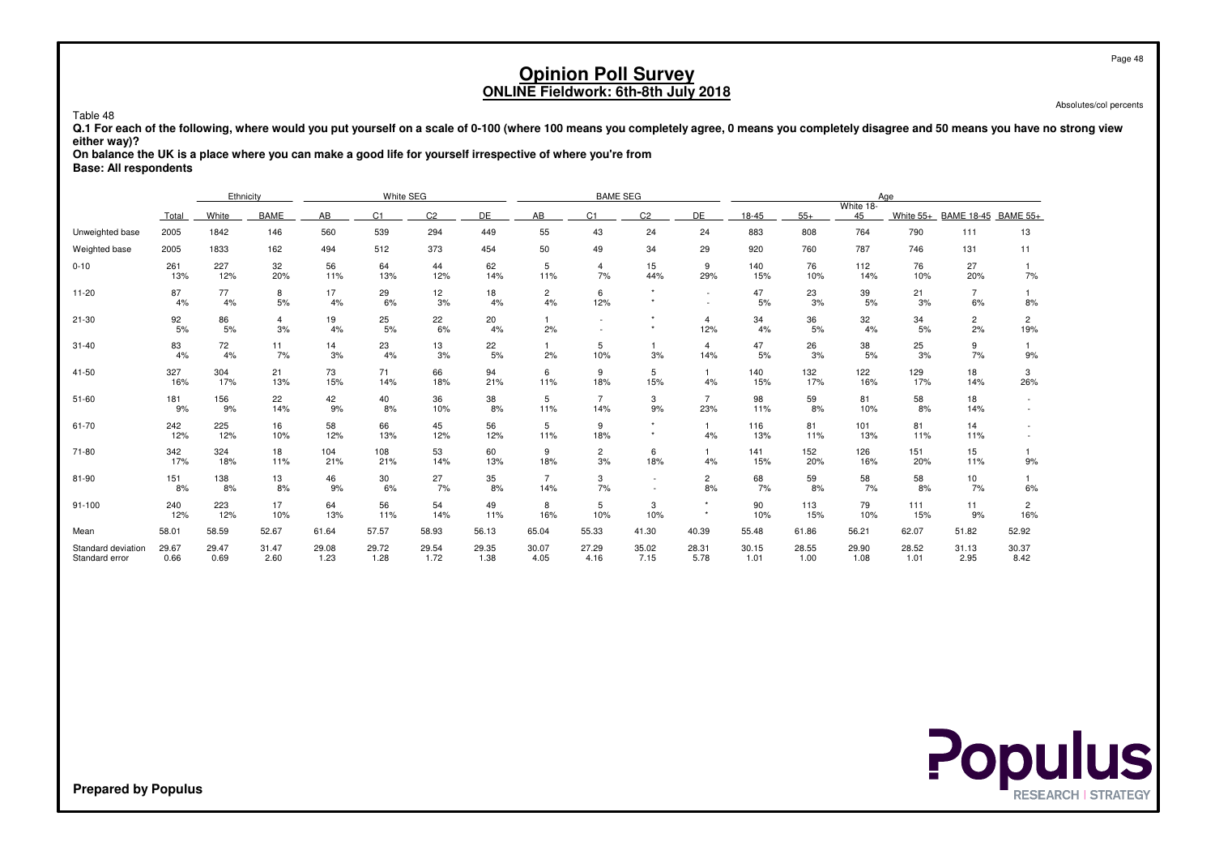Absolutes/col percents

Table 48

 **Q.1 For each of the following, where would you put yourself on a scale of 0-100 (where 100 means you completely agree, 0 means you completely disagree and 50 means you have no strong vieweither way)?**

 **On balance the UK is a place where you can make a good life for yourself irrespective of where you're fromBase: All respondents**

|                                      |               | Ethnicity     |               |               | White SEG     |                |               |                      | <b>BAME SEG</b>       |                    |                       |               |               | Age             |               |                      |                       |
|--------------------------------------|---------------|---------------|---------------|---------------|---------------|----------------|---------------|----------------------|-----------------------|--------------------|-----------------------|---------------|---------------|-----------------|---------------|----------------------|-----------------------|
|                                      | Total         | White         | <b>BAME</b>   | AB            | C1            | C <sub>2</sub> | DE            | AB                   | C <sub>1</sub>        | C <sub>2</sub>     | DE                    | 18-45         | $55+$         | White 18-<br>45 | White $55+$   | BAME 18-45 BAME 55+  |                       |
| Unweighted base                      | 2005          | 1842          | 146           | 560           | 539           | 294            | 449           | 55                   | 43                    | 24                 | 24                    | 883           | 808           | 764             | 790           | 111                  | 13                    |
| Weighted base                        | 2005          | 1833          | 162           | 494           | 512           | 373            | 454           | 50                   | 49                    | 34                 | 29                    | 920           | 760           | 787             | 746           | 131                  | 11                    |
| $0 - 10$                             | 261<br>13%    | 227<br>12%    | 32<br>20%     | 56<br>11%     | 64<br>13%     | 44<br>12%      | 62<br>14%     | 5<br>11%             | 4<br>7%               | 15<br>44%          | 9<br>29%              | 140<br>15%    | 76<br>10%     | 112<br>14%      | 76<br>10%     | 27<br>20%            | 7%                    |
| $11 - 20$                            | 87<br>4%      | 77<br>4%      | 8<br>5%       | 17<br>4%      | 29<br>6%      | 12<br>3%       | 18<br>4%      | $\overline{2}$<br>4% | 6<br>12%              | $\star$<br>$\star$ | $\sim$                | 47<br>5%      | 23<br>3%      | 39<br>5%        | 21<br>3%      | $\overline{7}$<br>6% | 8%                    |
| $21 - 30$                            | 92<br>5%      | 86<br>5%      | 4<br>3%       | 19<br>4%      | 25<br>5%      | 22<br>6%       | 20<br>4%      | 2%                   |                       | $\star$<br>$\star$ | $\overline{4}$<br>12% | 34<br>4%      | 36<br>5%      | 32<br>4%        | 34<br>5%      | $\overline{2}$<br>2% | $\overline{2}$<br>19% |
| $31 - 40$                            | 83<br>4%      | 72<br>4%      | 11<br>7%      | 14<br>3%      | 23<br>4%      | 13<br>3%       | 22<br>5%      | 2%                   | 5<br>10%              | 3%                 | 4<br>14%              | 47<br>5%      | 26<br>3%      | 38<br>5%        | 25<br>3%      | 9<br>7%              | 9%                    |
| 41-50                                | 327<br>16%    | 304<br>17%    | 21<br>13%     | 73<br>15%     | 71<br>14%     | 66<br>18%      | 94<br>21%     | 6<br>11%             | 9<br>18%              | 5<br>15%           | 1<br>4%               | 140<br>15%    | 132<br>17%    | 122<br>16%      | 129<br>17%    | 18<br>14%            | 3<br>26%              |
| $51 - 60$                            | 181<br>9%     | 156<br>9%     | 22<br>14%     | 42<br>9%      | 40<br>8%      | 36<br>10%      | 38<br>8%      | 5<br>11%             | $\overline{7}$<br>14% | 3<br>9%            | $\overline{7}$<br>23% | 98<br>11%     | 59<br>8%      | 81<br>10%       | 58<br>8%      | 18<br>14%            |                       |
| 61-70                                | 242<br>12%    | 225<br>12%    | 16<br>10%     | 58<br>12%     | 66<br>13%     | 45<br>12%      | 56<br>12%     | 5<br>11%             | 9<br>18%              | $\star$<br>$\star$ | $\mathbf{1}$<br>4%    | 116<br>13%    | 81<br>11%     | 101<br>13%      | 81<br>11%     | 14<br>11%            |                       |
| 71-80                                | 342<br>17%    | 324<br>18%    | 18<br>11%     | 104<br>21%    | 108<br>21%    | 53<br>14%      | 60<br>13%     | 9<br>18%             | $\overline{2}$<br>3%  | 6<br>18%           | $\mathbf{1}$<br>4%    | 141<br>15%    | 152<br>20%    | 126<br>16%      | 151<br>20%    | 15<br>11%            | 9%                    |
| 81-90                                | 151<br>8%     | 138<br>8%     | 13<br>8%      | 46<br>9%      | 30<br>6%      | 27<br>7%       | 35<br>8%      | 14%                  | 3<br>7%               |                    | $\overline{c}$<br>8%  | 68<br>7%      | 59<br>8%      | 58<br>7%        | 58<br>8%      | 10<br>7%             | 6%                    |
| $91 - 100$                           | 240<br>12%    | 223<br>12%    | 17<br>10%     | 64<br>13%     | 56<br>11%     | 54<br>14%      | 49<br>11%     | 8<br>16%             | 5<br>10%              | 3<br>10%           | $\star$<br>$\star$    | 90<br>10%     | 113<br>15%    | 79<br>10%       | 111<br>15%    | 11<br>9%             | $\overline{2}$<br>16% |
| Mean                                 | 58.01         | 58.59         | 52.67         | 61.64         | 57.57         | 58.93          | 56.13         | 65.04                | 55.33                 | 41.30              | 40.39                 | 55.48         | 61.86         | 56.21           | 62.07         | 51.82                | 52.92                 |
| Standard deviation<br>Standard error | 29.67<br>0.66 | 29.47<br>0.69 | 31.47<br>2.60 | 29.08<br>1.23 | 29.72<br>1.28 | 29.54<br>1.72  | 29.35<br>1.38 | 30.07<br>4.05        | 27.29<br>4.16         | 35.02<br>7.15      | 28.31<br>5.78         | 30.15<br>1.01 | 28.55<br>1.00 | 29.90<br>1.08   | 28.52<br>1.01 | 31.13<br>2.95        | 30.37<br>8.42         |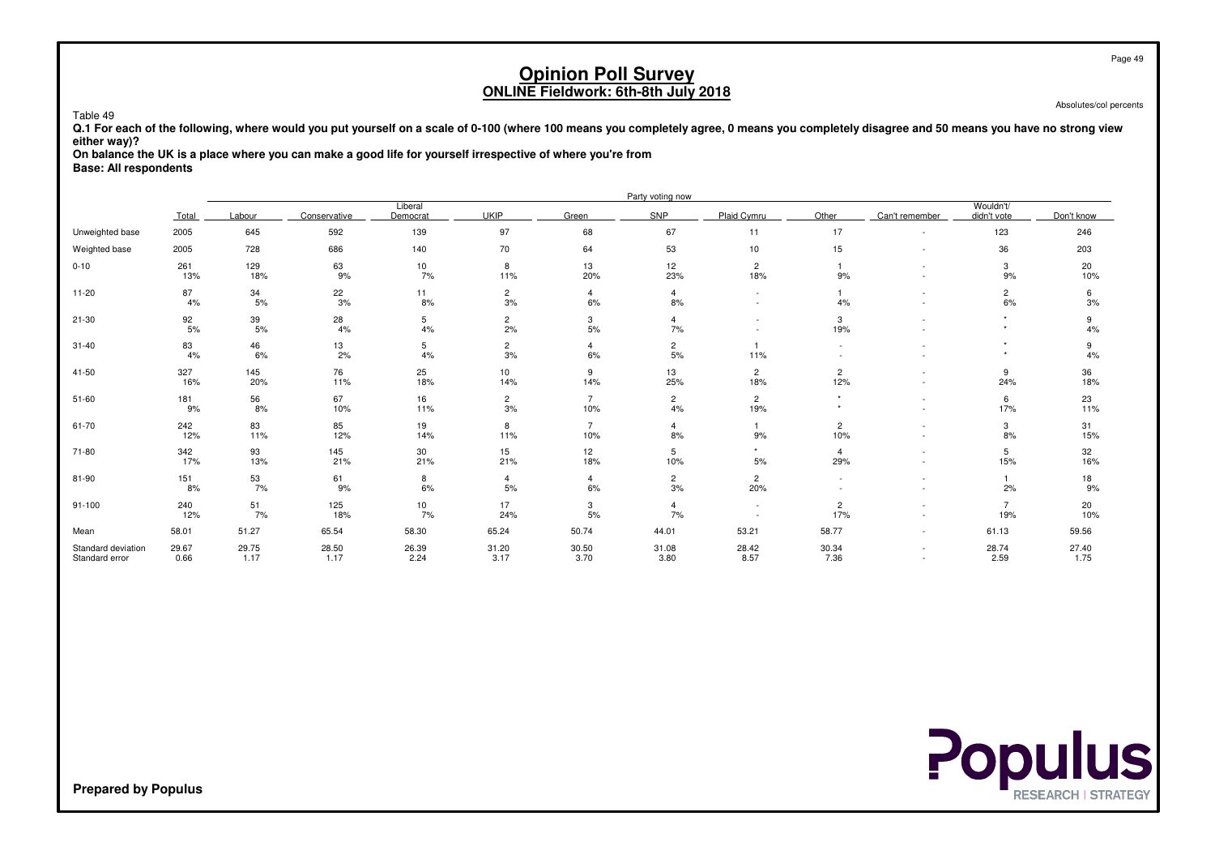Absolutes/col percents

Page 49

 **Q.1 For each of the following, where would you put yourself on a scale of 0-100 (where 100 means you completely agree, 0 means you completely disagree and 50 means you have no strong vieweither way)?**

 **On balance the UK is a place where you can make a good life for yourself irrespective of where you're fromBase: All respondents**

Table 49

|                                      |               |               |               |                     |                        |                       | Party voting now     |                                    |                       |                          |                          |               |
|--------------------------------------|---------------|---------------|---------------|---------------------|------------------------|-----------------------|----------------------|------------------------------------|-----------------------|--------------------------|--------------------------|---------------|
|                                      | Total         | Labour        | Conservative  | Liberal<br>Democrat | <b>UKIP</b>            | Green                 | SNP                  | Plaid Cvmru                        | Other                 | Can't remember           | Wouldn't/<br>didn't vote | Don't know    |
| Unweighted base                      | 2005          | 645           | 592           | 139                 | 97                     | 68                    | 67                   | 11                                 | 17                    | $\sim$                   | 123                      | 246           |
| Weighted base                        | 2005          | 728           | 686           | 140                 | 70                     | 64                    | 53                   | 10                                 | 15                    | $\sim$                   | 36                       | 203           |
| $0 - 10$                             | 261<br>13%    | 129<br>18%    | 63<br>9%      | 10<br>7%            | 8<br>11%               | 13<br>20%             | 12<br>23%            | $\mathbf{2}$<br>18%                | 9%                    | $\overline{\phantom{a}}$ | 3<br>9%                  | 20<br>10%     |
| $11 - 20$                            | 87<br>4%      | 34<br>5%      | 22<br>3%      | 11<br>8%            | $\overline{c}$<br>3%   | $\overline{4}$<br>6%  | $\overline{4}$<br>8% | $\sim$<br>$\overline{\phantom{a}}$ | 1.<br>4%              | $\sim$<br>$\sim$         | $\overline{c}$<br>6%     | 6<br>3%       |
| $21 - 30$                            | 92<br>5%      | 39<br>$5%$    | 28<br>4%      | 5<br>4%             | $\overline{c}$<br>2%   | 3<br>$5%$             | $\overline{4}$<br>7% |                                    | 3<br>19%              |                          | $\star$                  | 9<br>4%       |
| $31 - 40$                            | 83<br>4%      | 46<br>6%      | 13<br>2%      | 5<br>4%             | $\overline{c}$<br>3%   | 4<br>6%               | $\overline{2}$<br>5% | $\mathbf{1}$<br>11%                | $\sim$                |                          | $\star$<br>٠             | 9<br>4%       |
| 41-50                                | 327<br>16%    | 145<br>20%    | 76<br>11%     | 25<br>18%           | 10 <sup>1</sup><br>14% | 9<br>14%              | 13<br>25%            | $\overline{2}$<br>18%              | $\overline{c}$<br>12% | $\sim$<br>$\sim$         | 9<br>24%                 | 36<br>18%     |
| $51 - 60$                            | 181<br>9%     | 56<br>8%      | 67<br>10%     | 16<br>11%           | $\overline{c}$<br>3%   | $\overline{7}$<br>10% | $\overline{2}$<br>4% | $\overline{2}$<br>19%              | $\star$               | $\sim$<br>$\sim$         | 6<br>17%                 | 23<br>11%     |
| 61-70                                | 242<br>12%    | 83<br>11%     | 85<br>12%     | 19<br>14%           | 8<br>11%               | $\overline{7}$<br>10% | $\overline{4}$<br>8% | $\mathbf{1}$<br>9%                 | $\overline{c}$<br>10% | ٠                        | 3<br>8%                  | 31<br>15%     |
| 71-80                                | 342<br>17%    | 93<br>13%     | 145<br>21%    | 30<br>21%           | 15<br>21%              | 12<br>18%             | 5<br>10%             | $\star$<br>5%                      | $\overline{4}$<br>29% | $\overline{\phantom{a}}$ | 5<br>15%                 | 32<br>16%     |
| 81-90                                | 151<br>8%     | 53<br>7%      | 61<br>9%      | 8<br>6%             | $\overline{4}$<br>5%   | 4<br>$6\%$            | $\overline{c}$<br>3% | $\overline{2}$<br>20%              |                       |                          | 2%                       | 18<br>9%      |
| 91-100                               | 240<br>12%    | 51<br>7%      | 125<br>18%    | 10<br>7%            | 17<br>24%              | 3<br>5%               | $\overline{4}$<br>7% | $\sim$                             | $\overline{c}$<br>17% | ٠                        | $\overline{7}$<br>19%    | 20<br>10%     |
| Mean                                 | 58.01         | 51.27         | 65.54         | 58.30               | 65.24                  | 50.74                 | 44.01                | 53.21                              | 58.77                 | $\sim$                   | 61.13                    | 59.56         |
| Standard deviation<br>Standard error | 29.67<br>0.66 | 29.75<br>1.17 | 28.50<br>1.17 | 26.39<br>2.24       | 31.20<br>3.17          | 30.50<br>3.70         | 31.08<br>3.80        | 28.42<br>8.57                      | 30.34<br>7.36         | $\sim$                   | 28.74<br>2.59            | 27.40<br>1.75 |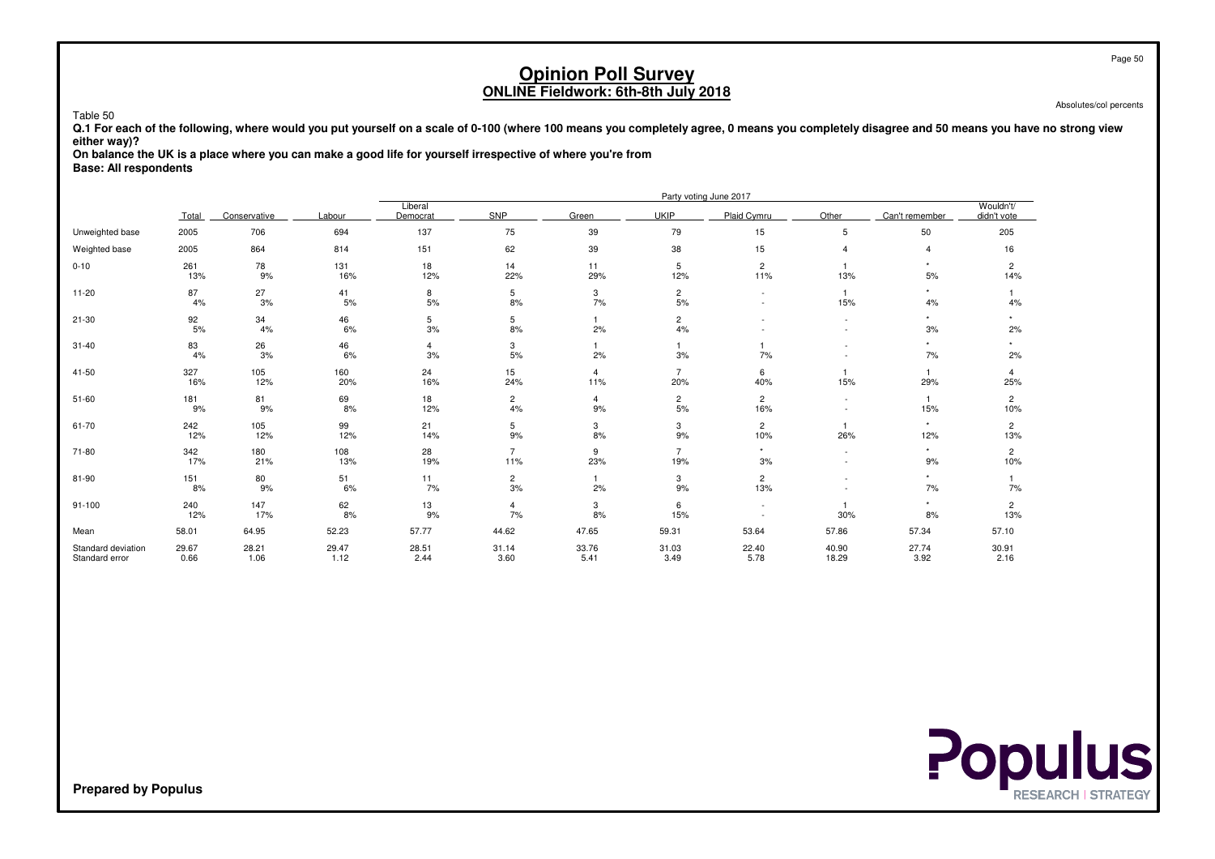Absolutes/col percents

 **Q.1 For each of the following, where would you put yourself on a scale of 0-100 (where 100 means you completely agree, 0 means you completely disagree and 50 means you have no strong vieweither way)?**

 **On balance the UK is a place where you can make a good life for yourself irrespective of where you're fromBase: All respondents**

|                                      |               |               |               |                      |                       |                       |                       | Party voting June 2017 |                          |                |                          |
|--------------------------------------|---------------|---------------|---------------|----------------------|-----------------------|-----------------------|-----------------------|------------------------|--------------------------|----------------|--------------------------|
|                                      | Total         | Conservative  | Labour        | Liberal<br>Democrat  | SNP                   | Green                 | <b>UKIP</b>           | Plaid Cymru            | Other                    | Can't remember | Wouldn't/<br>didn't vote |
| Unweighted base                      | 2005          | 706           | 694           | 137                  | 75                    | 39                    | 79                    | 15                     | 5                        | 50             | 205                      |
| Weighted base                        | 2005          | 864           | 814           | 151                  | 62                    | 39                    | 38                    | 15                     |                          | $\overline{4}$ | 16                       |
| $0 - 10$                             | 261<br>13%    | 78<br>9%      | 131<br>16%    | 18<br>12%            | 14<br>22%             | 11<br>29%             | 5<br>12%              | $\overline{2}$<br>11%  | 13%                      | $\star$<br>5%  | $\overline{2}$<br>14%    |
| $11 - 20$                            | 87<br>4%      | 27<br>3%      | 41<br>$5%$    | 8<br>$5%$            | 5<br>8%               | 3<br>7%               | $\overline{c}$<br>5%  |                        | $\mathbf{1}$<br>15%      | 4%             | 4%                       |
| $21 - 30$                            | 92<br>5%      | 34<br>4%      | 46<br>6%      | 5<br>3%              | 5<br>8%               | 1<br>2%               | $\overline{c}$<br>4%  |                        |                          | $\star$<br>3%  | $\star$<br>2%            |
| $31 - 40$                            | 83<br>4%      | 26<br>3%      | 46<br>6%      | $\overline{4}$<br>3% | 3<br>5%               | 2%                    | $\mathbf{1}$<br>3%    | 7%                     | $\overline{\phantom{a}}$ | $\star$<br>7%  | $\star$<br>2%            |
| 41-50                                | 327<br>16%    | 105<br>12%    | 160<br>20%    | 24<br>16%            | 15<br>24%             | $\overline{4}$<br>11% | $\overline{7}$<br>20% | 6<br>40%               | 15%                      | 1<br>29%       | 4<br>25%                 |
| $51 - 60$                            | 181<br>9%     | 81<br>9%      | 69<br>8%      | 18<br>12%            | $\overline{c}$<br>4%  | 4<br>9%               | $\overline{c}$<br>5%  | $\overline{c}$<br>16%  | $\sim$                   | 15%            | $\overline{2}$<br>10%    |
| 61-70                                | 242<br>12%    | 105<br>12%    | 99<br>12%     | 21<br>14%            | 5<br>9%               | 3<br>8%               | 3<br>9%               | $\overline{c}$<br>10%  | 26%                      | $\star$<br>12% | $\overline{2}$<br>13%    |
| 71-80                                | 342<br>17%    | 180<br>21%    | 108<br>13%    | 28<br>19%            | $\overline{7}$<br>11% | 9<br>23%              | $\overline{7}$<br>19% | $\star$<br>3%          |                          | $\star$<br>9%  | 2<br>10%                 |
| 81-90                                | 151<br>8%     | 80<br>9%      | 51<br>6%      | 11<br>7%             | $\overline{2}$<br>3%  | 1.<br>2%              | 3<br>9%               | $\overline{c}$<br>13%  |                          | 7%             | 7%                       |
| $91 - 100$                           | 240<br>12%    | 147<br>17%    | 62<br>8%      | 13<br>9%             | 4<br>7%               | 3<br>8%               | 6<br>15%              |                        | 30%                      | $\star$<br>8%  | $\overline{2}$<br>13%    |
| Mean                                 | 58.01         | 64.95         | 52.23         | 57.77                | 44.62                 | 47.65                 | 59.31                 | 53.64                  | 57.86                    | 57.34          | 57.10                    |
| Standard deviation<br>Standard error | 29.67<br>0.66 | 28.21<br>1.06 | 29.47<br>1.12 | 28.51<br>2.44        | 31.14<br>3.60         | 33.76<br>5.41         | 31.03<br>3.49         | 22.40<br>5.78          | 40.90<br>18.29           | 27.74<br>3.92  | 30.91<br>2.16            |



**Prepared by Populus**

Table 50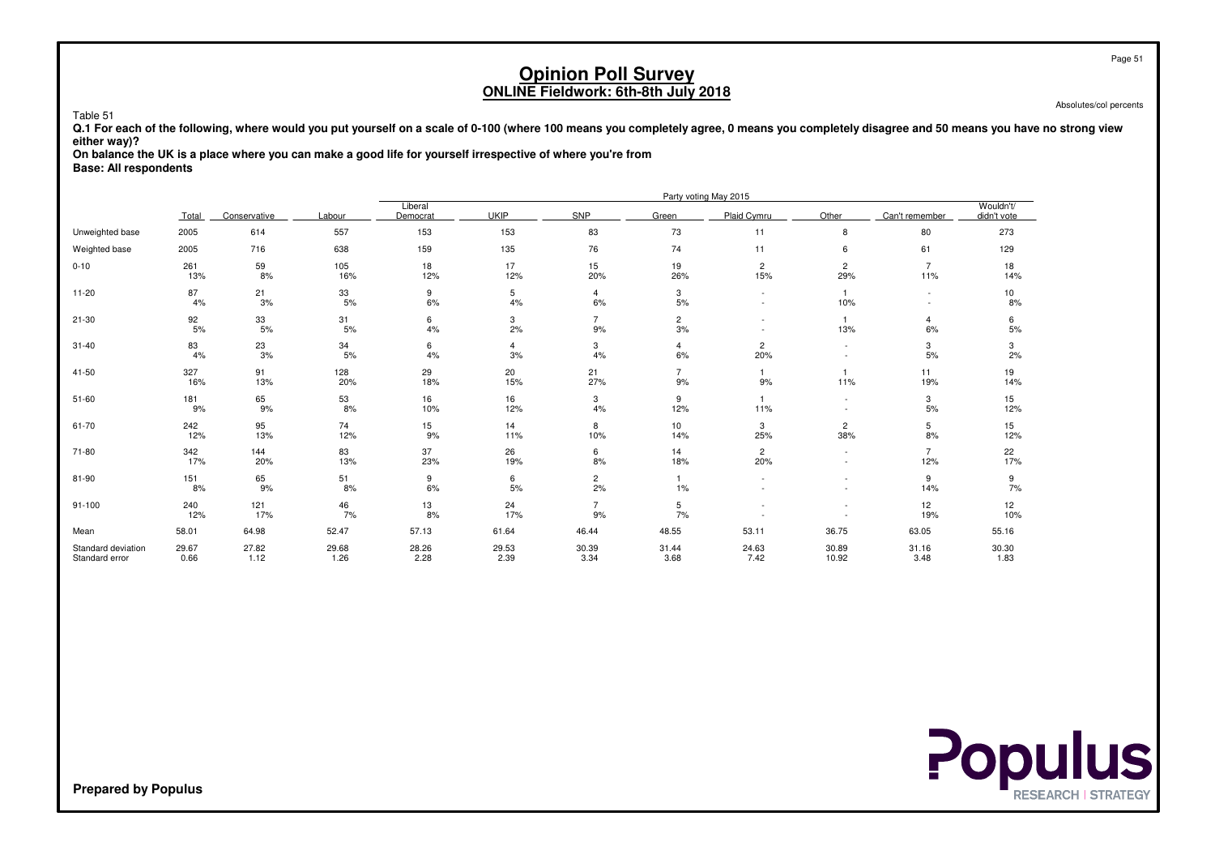Absolutes/col percents

 **Q.1 For each of the following, where would you put yourself on a scale of 0-100 (where 100 means you completely agree, 0 means you completely disagree and 50 means you have no strong vieweither way)?**

 **On balance the UK is a place where you can make a good life for yourself irrespective of where you're fromBase: All respondents**

|                                      |               |               |               |                     |               |                      |                        | Party voting May 2015    |                                                      |                          |                          |
|--------------------------------------|---------------|---------------|---------------|---------------------|---------------|----------------------|------------------------|--------------------------|------------------------------------------------------|--------------------------|--------------------------|
|                                      | Total         | Conservative  | Labour        | Liberal<br>Democrat | <b>UKIP</b>   | SNP                  | Green                  | Plaid Cymru              | Other                                                | Can't remember           | Wouldn't/<br>didn't vote |
| Unweighted base                      | 2005          | 614           | 557           | 153                 | 153           | 83                   | 73                     | 11                       | 8                                                    | 80                       | 273                      |
| Weighted base                        | 2005          | 716           | 638           | 159                 | 135           | 76                   | 74                     | 11                       | 6                                                    | 61                       | 129                      |
| $0 - 10$                             | 261<br>13%    | 59<br>8%      | 105<br>16%    | 18<br>12%           | 17<br>12%     | 15<br>20%            | 19<br>26%              | $\mathbf{2}$<br>15%      | $\overline{2}$<br>29%                                | $\overline{7}$<br>11%    | 18<br>14%                |
| $11 - 20$                            | 87<br>4%      | 21<br>3%      | 33<br>5%      | 9<br>6%             | 5<br>4%       | 4<br>$6\%$           | 3<br>5%                | $\overline{\phantom{a}}$ | $\mathbf{1}$<br>10%                                  | $\overline{\phantom{a}}$ | 10<br>8%                 |
| $21 - 30$                            | 92<br>5%      | 33<br>5%      | 31<br>5%      | 6<br>4%             | 3<br>2%       | $\overline{7}$<br>9% | $\overline{c}$<br>3%   |                          | $\overline{1}$<br>13%                                | 4<br>6%                  | 6<br>5%                  |
| $31 - 40$                            | 83<br>4%      | 23<br>3%      | 34<br>5%      | 6<br>4%             | 4<br>3%       | 3<br>4%              | 4<br>6%                | $\overline{c}$<br>20%    | $\overline{\phantom{a}}$                             | 3<br>5%                  | 3<br>2%                  |
| 41-50                                | 327<br>16%    | 91<br>13%     | 128<br>20%    | 29<br>18%           | 20<br>15%     | 21<br>27%            | $\overline{7}$<br>9%   | $9%$                     | 11%                                                  | 11<br>19%                | 19<br>14%                |
| $51 - 60$                            | 181<br>9%     | 65<br>9%      | 53<br>8%      | 16<br>10%           | 16<br>12%     | 3<br>4%              | 9<br>12%               | -1<br>11%                | $\sim$<br>$\sim$                                     | 3<br>5%                  | 15<br>12%                |
| 61-70                                | 242<br>12%    | 95<br>13%     | 74<br>12%     | 15<br>9%            | 14<br>11%     | 8<br>10%             | 10 <sup>1</sup><br>14% | 3<br>25%                 | $\overline{c}$<br>38%                                | 5<br>8%                  | 15<br>12%                |
| 71-80                                | 342<br>17%    | 144<br>20%    | 83<br>13%     | 37<br>23%           | 26<br>19%     | 6<br>8%              | 14<br>18%              | $\overline{c}$<br>20%    |                                                      | $\overline{7}$<br>12%    | 22<br>17%                |
| 81-90                                | 151<br>8%     | 65<br>9%      | 51<br>8%      | 9<br>6%             | 6<br>5%       | $\overline{2}$<br>2% | $\mathbf{1}$<br>$1\%$  |                          | $\overline{\phantom{a}}$<br>$\overline{\phantom{a}}$ | 9<br>14%                 | 9<br>7%                  |
| $91 - 100$                           | 240<br>12%    | 121<br>17%    | 46<br>7%      | 13<br>8%            | 24<br>17%     | $\overline{7}$<br>9% | 5<br>7%                |                          |                                                      | 12<br>19%                | 12<br>10%                |
| Mean                                 | 58.01         | 64.98         | 52.47         | 57.13               | 61.64         | 46.44                | 48.55                  | 53.11                    | 36.75                                                | 63.05                    | 55.16                    |
| Standard deviation<br>Standard error | 29.67<br>0.66 | 27.82<br>1.12 | 29.68<br>1.26 | 28.26<br>2.28       | 29.53<br>2.39 | 30.39<br>3.34        | 31.44<br>3.68          | 24.63<br>7.42            | 30.89<br>10.92                                       | 31.16<br>3.48            | 30.30<br>1.83            |



**Prepared by Populus**

Table 51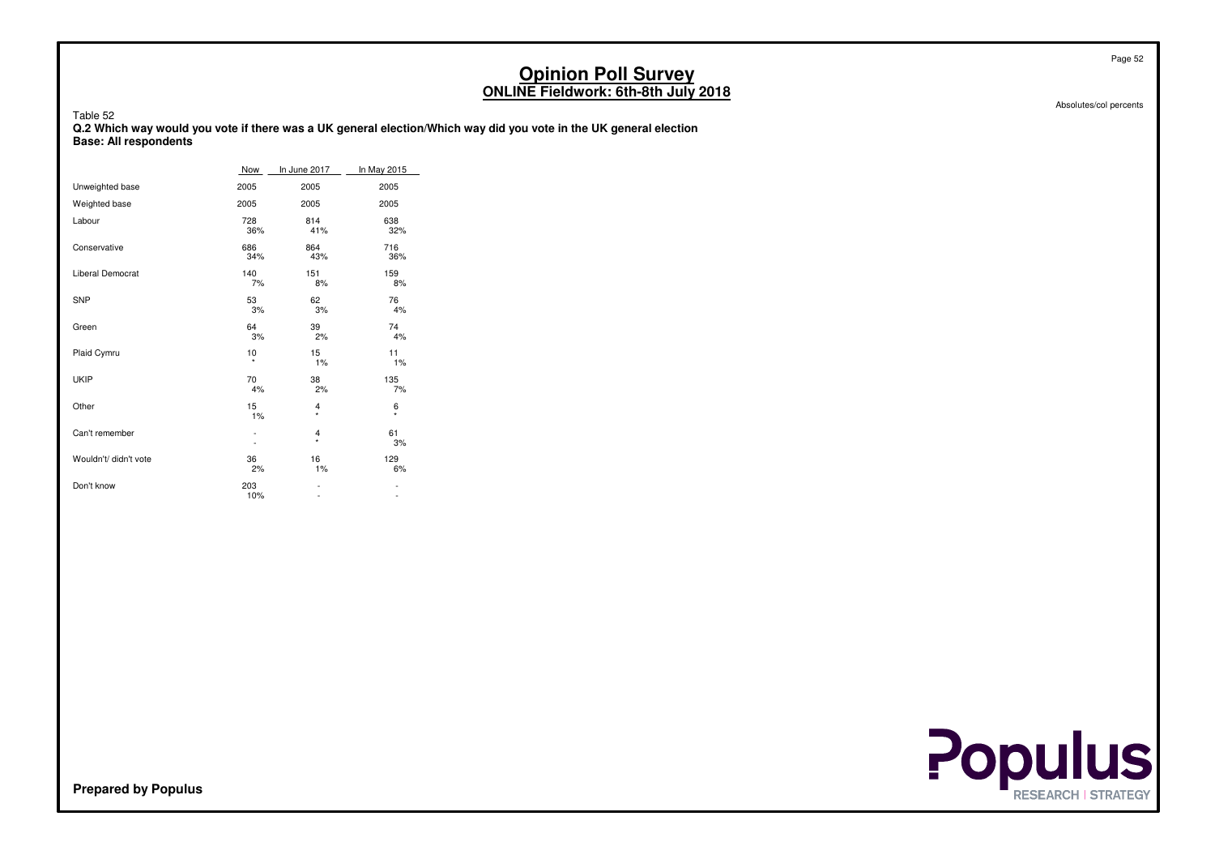| Table 52<br><b>Base: All respondents</b> |                  |                           |                  | Page 52<br><b>Opinion Poll Survey</b><br><b>ONLINE Fieldwork: 6th-8th July 2018</b><br>Absolutes/col percents<br>Q.2 Which way would you vote if there was a UK general election/Which way did you vote in the UK general election |
|------------------------------------------|------------------|---------------------------|------------------|------------------------------------------------------------------------------------------------------------------------------------------------------------------------------------------------------------------------------------|
|                                          | Now              | In June 2017              | In May 2015      |                                                                                                                                                                                                                                    |
| Unweighted base                          | 2005             | 2005                      | 2005             |                                                                                                                                                                                                                                    |
| Weighted base                            | 2005             | 2005                      | 2005             |                                                                                                                                                                                                                                    |
| Labour                                   | 728<br>36%       | 814<br>41%                | 638<br>32%       |                                                                                                                                                                                                                                    |
| Conservative                             | 686<br>34%       | 864<br>43%                | 716<br>36%       |                                                                                                                                                                                                                                    |
| Liberal Democrat                         | 140<br>7%        | 151<br>8%                 | 159<br>8%        |                                                                                                                                                                                                                                    |
| SNP                                      | 53<br>3%         | 62<br>3%                  | 76<br>4%         |                                                                                                                                                                                                                                    |
| Green                                    | 64<br>3%         | 39<br>2%                  | 74<br>4%         |                                                                                                                                                                                                                                    |
| Plaid Cymru                              | 10<br>$\star$    | 15<br>1%                  | 11<br>1%         |                                                                                                                                                                                                                                    |
| <b>UKIP</b>                              | 70<br>4%         | 38<br>2%                  | 135<br>7%        |                                                                                                                                                                                                                                    |
| Other                                    | 15<br>1%         | $\overline{4}$<br>$\star$ | 6<br>$\star$     |                                                                                                                                                                                                                                    |
| Can't remember                           | $\sim$<br>$\sim$ | $\overline{4}$<br>$\star$ | 61<br>3%         |                                                                                                                                                                                                                                    |
| Wouldn't/ didn't vote                    | 36<br>2%         | 16<br>1%                  | 129<br>6%        |                                                                                                                                                                                                                                    |
| Don't know                               | 203<br>10%       | $\sim$                    | $\sim$<br>$\sim$ |                                                                                                                                                                                                                                    |

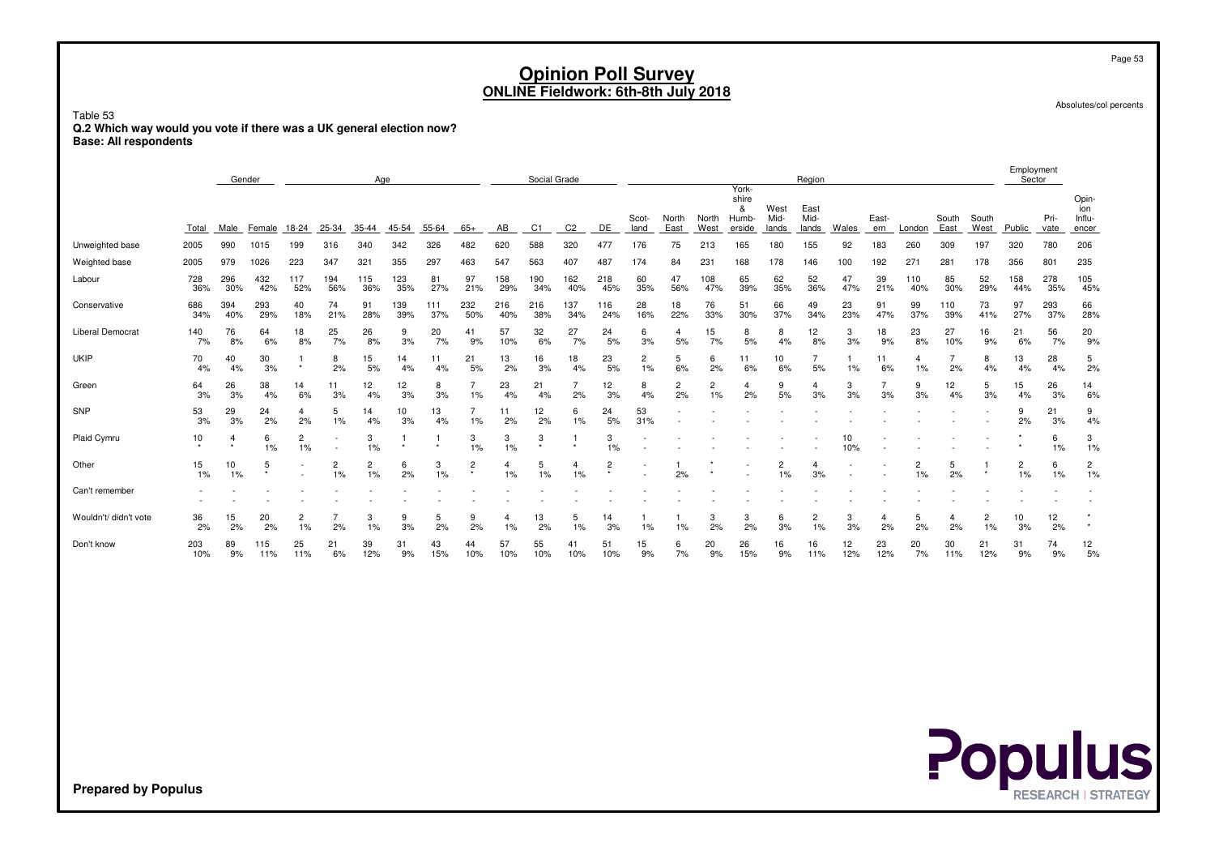Absolutes/col percents

Page 53

Employment

Table 53 **Q.2 Which way would you vote if there was a UK general election now?Base: All respondents**

|                         |            | Gender     |            |            |                         | Age        |            |            |                      |            | Social Grade |            |                           |               |               |               | York-                         |                       | Region                |           |              |                      |               |                      | Employment<br>Sector |              |                                 |
|-------------------------|------------|------------|------------|------------|-------------------------|------------|------------|------------|----------------------|------------|--------------|------------|---------------------------|---------------|---------------|---------------|-------------------------------|-----------------------|-----------------------|-----------|--------------|----------------------|---------------|----------------------|----------------------|--------------|---------------------------------|
|                         | Total      | Male       | Female     | 18-24      | 25-34                   | $35 - 44$  | 45-54      | 55-64      | $65+$                | AB         | C1           | C2         | DE                        | Scot-<br>land | North<br>East | North<br>West | shire<br>&<br>Humb-<br>erside | West<br>Mid-<br>lands | East<br>Mid-<br>lands | Wales     | East-<br>ern | London               | South<br>East | South<br>West        | Public               | Pri-<br>vate | Opin-<br>ion<br>Influ-<br>encer |
| Unweighted base         | 2005       | 990        | 1015       | 199        | 316                     | 340        | 342        | 326        | 482                  | 620        | 588          | 320        | 477                       | 176           | 75            | 213           | 165                           | 180                   | 155                   | 92        | 183          | 260                  | 309           | 197                  | 320                  | 780          | 206                             |
| Weighted base           | 2005       | 979        | 1026       | 223        | 347                     | 321        | 355        | 297        | 463                  | 547        | 563          | 407        | 487                       | 174           | 84            | 231           | 168                           | 178                   | 146                   | 100       | 192          | $27^{\circ}$         | 281           | 178                  | 356                  | 801          | 235                             |
| Labour                  | 728<br>36% | 296<br>30% | 432<br>42% | 117<br>52% | 194<br>56%              | 115<br>36% | 123<br>35% | 81<br>27%  | 97<br>21%            | 158<br>29% | 190<br>34%   | 162<br>40% | 218<br>45%                | 60<br>35%     | 47<br>56%     | 108<br>47%    | 65<br>39%                     | 62<br>35%             | 52<br>36%             | 47<br>47% | 39<br>21%    | 110<br>40%           | 85<br>30%     | 52<br>29%            | 158<br>44%           | 278<br>35%   | 105<br>45%                      |
| Conservative            | 686<br>34% | 394<br>40% | 293<br>29% | 40<br>18%  | 74<br>21%               | 91<br>28%  | 139<br>39% | 111<br>37% | 232<br>50%           | 216<br>40% | 216<br>38%   | 137<br>34% | 116<br>24%                | 28<br>16%     | 18<br>22%     | 76<br>33%     | 51<br>30%                     | 66<br>37%             | 49<br>34%             | 23<br>23% | 91<br>47%    | 99<br>37%            | 110<br>39%    | 73<br>41%            | 97<br>27%            | 293<br>37%   | 66<br>28%                       |
| <b>Liberal Democrat</b> | 140<br>7%  | 76<br>8%   | 64<br>6%   | 18<br>8%   | 25<br>7%                | 26<br>8%   | 9<br>3%    | 20<br>7%   | 41<br>9%             | 57<br>10%  | 32<br>6%     | 27<br>7%   | 24<br>5%                  | 6<br>3%       | 4<br>5%       | 15<br>7%      | 8<br>5%                       | 8<br>4%               | 12<br>8%              | 3<br>3%   | 18<br>9%     | 23<br>8%             | 27<br>10%     | 16<br>9%             | 21<br>6%             | 56<br>7%     | 20<br>9%                        |
| <b>UKIP</b>             | 70<br>4%   | 40<br>4%   | 30<br>3%   | $\star$    | 8<br>2%                 | 15<br>5%   | 14<br>4%   | 11<br>4%   | 21<br>5%             | 13<br>2%   | 16<br>3%     | 18<br>4%   | 23<br>5%                  | 2<br>$1\%$    | 5<br>6%       | 6<br>2%       | 11<br>6%                      | 10<br>6%              | 5%                    | 1%        | 11<br>6%     | 4<br>1%              | 2%            | 8<br>4%              | 13<br>4%             | 28<br>4%     | 5<br>2%                         |
| Green                   | 64<br>3%   | 26<br>3%   | 38<br>4%   | 14<br>6%   | 11<br>3%                | 12<br>4%   | 12<br>3%   | 8<br>3%    | 1%                   | 23<br>4%   | 21<br>4%     | 2%         | 12<br>3%                  | 8<br>4%       | 2<br>2%       | 2<br>1%       | 2%                            | 9<br>5%               | 3%                    | 3<br>3%   | 3%           | 9<br>3%              | 12<br>4%      | 5<br>3%              | 15<br>4%             | 26<br>3%     | 14<br>6%                        |
| SNP                     | 53<br>3%   | 29<br>3%   | 24<br>2%   | 4<br>2%    | 5<br>1%                 | 14<br>4%   | 10<br>3%   | 13<br>4%   | $\overline{7}$<br>1% | 11<br>2%   | 12<br>2%     | 6<br>1%    | 24<br>5%                  | 53<br>31%     |               |               |                               |                       |                       |           |              |                      |               |                      | 9<br>2%              | 21<br>3%     | 9<br>4%                         |
| Plaid Cymru             | 10         |            | 6<br>$1\%$ | 2<br>1%    |                         | 3<br>1%    |            |            | 3<br>1%              | 3<br>1%    | 3            | $\star$    | 3<br>1%                   |               |               |               |                               |                       |                       | 10<br>10% |              |                      |               |                      |                      | 6<br>1%      | 3<br>1%                         |
| Other                   | 15<br>1%   | 10<br>1%   | 5          |            | $\overline{c}$<br>$1\%$ | 2<br>1%    | 6<br>2%    | 3<br>1%    | $\overline{2}$       | 1%         | 5<br>1%      | 4<br>1%    | $\overline{2}$<br>$\star$ |               | 2%            |               |                               | 2<br>1%               | 3%                    |           |              | $\overline{2}$<br>1% | 5<br>2%       |                      | $\overline{c}$<br>1% | 6<br>$1\%$   | $\overline{c}$<br>1%            |
| Can't remember          |            |            |            |            |                         |            |            |            |                      |            |              |            |                           |               |               |               |                               |                       |                       |           |              |                      |               |                      |                      |              |                                 |
| Wouldn't/ didn't vote   | 36<br>2%   | 15<br>2%   | 20<br>2%   | 2<br>1%    | 2%                      | 3<br>1%    | 9<br>3%    | 5<br>2%    | 9<br>2%              | 4<br>1%    | 13<br>2%     | 5<br>1%    | 14<br>3%                  | 1%            | 1%            | 3<br>2%       | 3<br>2%                       | 6<br>3%               | 2<br>1%               | 3<br>3%   | 2%           | 5<br>2%              | 4<br>2%       | $\overline{c}$<br>1% | 10<br>3%             | 12<br>2%     |                                 |
| Don't know              | 203<br>10% | 89<br>9%   | 115<br>11% | 25<br>11%  | 21<br>6%                | 39<br>12%  | 31<br>9%   | 43<br>15%  | 44<br>10%            | 57<br>10%  | 55<br>10%    | 41<br>10%  | 51<br>10%                 | 15<br>9%      | 6<br>7%       | 20<br>9%      | 26<br>15%                     | 16<br>9%              | 16<br>11%             | 12<br>12% | 23<br>12%    | 20<br>7%             | 30<br>11%     | 21<br>12%            | 31<br>9%             | 74<br>9%     | 12<br>5%                        |

**Populus**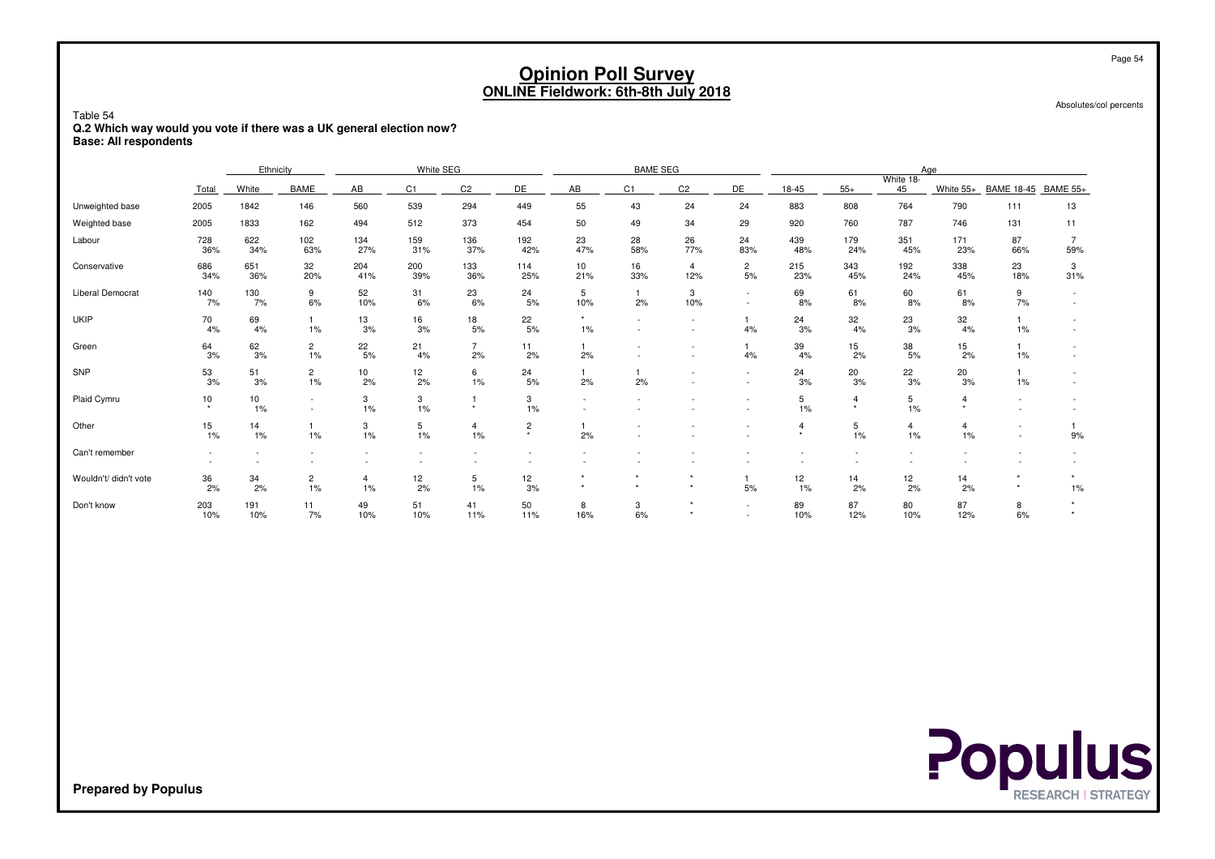Absolutes/col percents

Table 54 **Q.2 Which way would you vote if there was a UK general election now?Base: All respondents**

|                         |                          | Ethnicity  |                      |            | White SEG      |                      |                           |                      | <b>BAME SEG</b>      |                          |                                                      |                                  |                     |                         | Age            |                          |                       |
|-------------------------|--------------------------|------------|----------------------|------------|----------------|----------------------|---------------------------|----------------------|----------------------|--------------------------|------------------------------------------------------|----------------------------------|---------------------|-------------------------|----------------|--------------------------|-----------------------|
|                         | Total                    | White      | <b>BAME</b>          | AB         | C <sub>1</sub> | C <sub>2</sub>       | DE                        | AB                   | C1                   | C <sub>2</sub>           | DE                                                   | 18-45                            | $55+$               | White 18-<br>45         | White 55+      | <b>BAME 18-45</b>        | <b>BAME 55+</b>       |
| Unweighted base         | 2005                     | 1842       | 146                  | 560        | 539            | 294                  | 449                       | 55                   | 43                   | 24                       | 24                                                   | 883                              | 808                 | 764                     | 790            | 111                      | 13                    |
| Weighted base           | 2005                     | 1833       | 162                  | 494        | 512            | 373                  | 454                       | 50                   | 49                   | 34                       | 29                                                   | 920                              | 760                 | 787                     | 746            | 131                      | 11                    |
| Labour                  | 728<br>36%               | 622<br>34% | 102<br>63%           | 134<br>27% | 159<br>31%     | 136<br>37%           | 192<br>42%                | 23<br>47%            | 28<br>58%            | 26<br>77%                | 24<br>83%                                            | 439<br>48%                       | 179<br>24%          | 351<br>45%              | 171<br>23%     | 87<br>66%                | $\overline{7}$<br>59% |
| Conservative            | 686<br>34%               | 651<br>36% | 32<br>20%            | 204<br>41% | 200<br>39%     | 133<br>36%           | 114<br>25%                | 10<br>21%            | 16<br>33%            | $\overline{4}$<br>12%    | $\overline{c}$<br>5%                                 | 215<br>23%                       | 343<br>45%          | 192<br>24%              | 338<br>45%     | 23<br>18%                | 3<br>31%              |
| <b>Liberal Democrat</b> | 140<br>7%                | 130<br>7%  | 9<br>6%              | 52<br>10%  | 31<br>6%       | 23<br>6%             | 24<br>5%                  | 5<br>10%             | $\overline{1}$<br>2% | 3<br>10%                 | $\sim$<br>$\overline{\phantom{a}}$                   | 69<br>8%                         | 61<br>8%            | 60<br>8%                | 61<br>8%       | 9<br>7%                  |                       |
| <b>UKIP</b>             | 70<br>4%                 | 69<br>4%   | 1%                   | 13<br>3%   | 16<br>3%       | 18<br>5%             | 22<br>5%                  | $\star$<br>$1\%$     | $\sim$               | $\sim$                   | 4%                                                   | 24<br>3%                         | 32<br>4%            | 23<br>3%                | 32<br>4%       | 1%                       |                       |
| Green                   | 64<br>3%                 | 62<br>3%   | $\overline{c}$<br>1% | 22<br>5%   | 21<br>4%       | $\overline{7}$<br>2% | 11<br>2%                  | 2%                   |                      | $\overline{\phantom{a}}$ | 4%                                                   | 39<br>4%                         | 15<br>2%            | 38<br>5%                | 15<br>2%       | 1%                       |                       |
| SNP                     | 53<br>3%                 | 51<br>3%   | $\overline{2}$<br>1% | 10<br>2%   | 12<br>2%       | 6<br>1%              | 24<br>5%                  | 2%                   | 2%                   |                          | $\overline{\phantom{a}}$<br>$\overline{\phantom{a}}$ | 24<br>3%                         | 20<br>3%            | 22<br>3%                | 20<br>3%       | 1%                       |                       |
| Plaid Cymru             | 10<br>$\star$            | 10<br>1%   |                      | 3<br>1%    | 3<br>1%        | $\ddot{\phantom{1}}$ | 3<br>1%                   |                      |                      |                          | $\overline{\phantom{a}}$                             | 5<br>1%                          | $\overline{4}$<br>٠ | $\overline{5}$<br>$1\%$ | $\overline{4}$ | $\overline{\phantom{a}}$ |                       |
| Other                   | 15<br>1%                 | 14<br>1%   | 1%                   | 3<br>1%    | 5<br>1%        | $\overline{4}$<br>1% | $\overline{c}$<br>$\star$ | 2%                   |                      |                          |                                                      | $\boldsymbol{\Delta}$<br>$\star$ | 5<br>1%             | 4<br>1%                 | 4<br>1%        |                          | 9%                    |
| Can't remember          | $\overline{\phantom{a}}$ |            |                      |            |                |                      |                           |                      |                      |                          |                                                      |                                  |                     |                         |                |                          |                       |
| Wouldn't/ didn't vote   | 36<br>2%                 | 34<br>2%   | $\overline{c}$<br>1% | 4<br>1%    | 12<br>2%       | 5<br>1%              | 12<br>3%                  | $\star$<br>$\ddot{}$ | $\star$<br>٠         | $\rightarrow$            | 5%                                                   | 12<br>1%                         | 14<br>2%            | 12<br>2%                | 14<br>2%       |                          | $1\%$                 |
| Don't know              | 203<br>10%               | 191<br>10% | 11<br>7%             | 49<br>10%  | 51<br>10%      | 41<br>11%            | 50<br>11%                 | 8<br>16%             | 3<br>6%              |                          | $\sim$                                               | 89<br>10%                        | 87<br>12%           | 80<br>10%               | 87<br>12%      | 8<br>6%                  |                       |

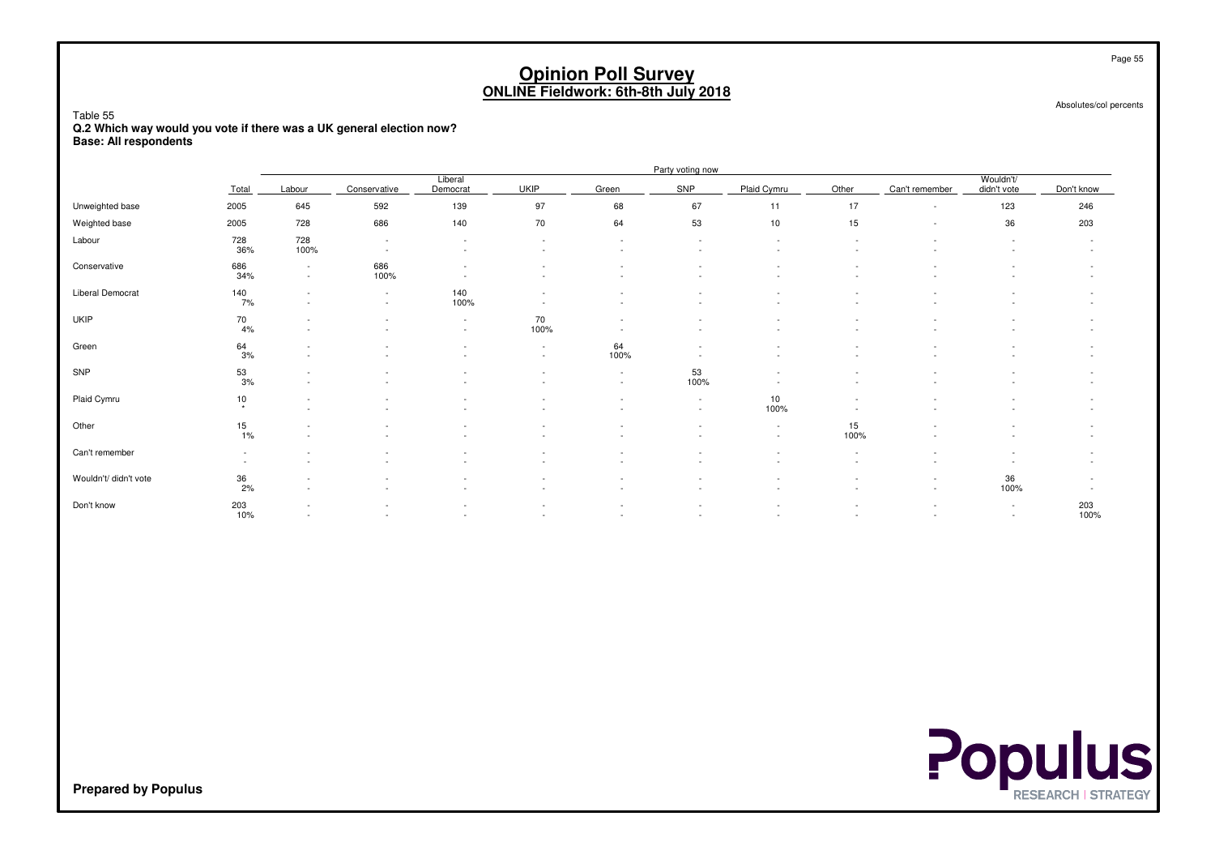Table 55

 **Q.2 Which way would you vote if there was a UK general election now?Base: All respondents**

|                         |                                                      |                                                      |                                    |                     |                                    |                                    | Party voting now                                     |                  |                                                      |                                                      |                          |                  |
|-------------------------|------------------------------------------------------|------------------------------------------------------|------------------------------------|---------------------|------------------------------------|------------------------------------|------------------------------------------------------|------------------|------------------------------------------------------|------------------------------------------------------|--------------------------|------------------|
|                         | Total                                                | Labour                                               | Conservative                       | Liberal<br>Democrat | <b>UKIP</b>                        | Green                              | SNP                                                  | Plaid Cymru      | Other                                                | Can't remember                                       | Wouldn't/<br>didn't vote | Don't know       |
| Unweighted base         | 2005                                                 | 645                                                  | 592                                | 139                 | 97                                 | 68                                 | 67                                                   | 11               | 17                                                   | $\sim$                                               | 123                      | 246              |
| Weighted base           | 2005                                                 | 728                                                  | 686                                | 140                 | 70                                 | 64                                 | 53                                                   | 10               | 15                                                   | $\overline{\phantom{a}}$                             | 36                       | 203              |
| Labour                  | 728<br>36%                                           | 728<br>100%                                          | $\sim$<br>$\sim$                   | $\sim$<br>$\sim$    | $\sim$<br>$\overline{\phantom{a}}$ | $\sim$<br>$\overline{\phantom{a}}$ | $\overline{\phantom{a}}$<br>$\overline{\phantom{a}}$ | $\sim$           | $\sim$                                               |                                                      | $\sim$                   | $\sim$           |
| Conservative            | 686<br>34%                                           | $\sim$<br>$\sim$                                     | 686<br>100%                        | $\sim$              | ٠                                  | $\overline{\phantom{a}}$           | $\overline{\phantom{a}}$                             |                  |                                                      |                                                      |                          |                  |
| <b>Liberal Democrat</b> | 140<br>7%                                            | $\overline{\phantom{a}}$<br>$\overline{\phantom{a}}$ | $\overline{\phantom{a}}$<br>$\sim$ | 140<br>100%         | ٠<br>$\overline{\phantom{a}}$      |                                    |                                                      |                  |                                                      |                                                      |                          |                  |
| <b>UKIP</b>             | $70\,$<br>4%                                         |                                                      |                                    | $\sim$<br>$\sim$    | 70<br>100%                         |                                    |                                                      |                  |                                                      |                                                      |                          |                  |
| Green                   | $\frac{64}{3\%}$                                     |                                                      |                                    |                     | $\sim$<br>$\overline{\phantom{a}}$ | 64<br>100%                         |                                                      |                  |                                                      |                                                      |                          |                  |
| SNP                     | $^{53}_{3\%}$                                        | $\overline{\phantom{a}}$                             |                                    |                     | $\sim$                             | $\sim$<br>$\overline{\phantom{a}}$ | 53<br>100%                                           |                  |                                                      |                                                      |                          |                  |
| Plaid Cymru             | $\frac{10}{x}$                                       | $\overline{\phantom{a}}$<br>$\overline{\phantom{a}}$ |                                    |                     | ٠<br>٠                             | $\sim$<br>$\overline{\phantom{a}}$ | $\sim$<br>$\sim$                                     | 10<br>100%       |                                                      |                                                      |                          |                  |
| Other                   | 15<br>1%                                             | $\overline{\phantom{a}}$                             |                                    |                     | ٠                                  |                                    |                                                      | $\sim$<br>$\sim$ | 15<br>100%                                           |                                                      |                          |                  |
| Can't remember          | $\overline{\phantom{a}}$<br>$\overline{\phantom{a}}$ | $\overline{\phantom{a}}$                             |                                    |                     | $\overline{\phantom{m}}$           | $\overline{\phantom{a}}$           |                                                      |                  | $\overline{\phantom{a}}$<br>$\overline{\phantom{a}}$ |                                                      |                          |                  |
| Wouldn't/ didn't vote   | 36<br>2%                                             |                                                      |                                    |                     |                                    | $\overline{\phantom{a}}$           |                                                      |                  |                                                      | $\overline{\phantom{a}}$<br>$\overline{\phantom{a}}$ | 36<br>100%               | $\sim$<br>$\sim$ |
| Don't know              | 203<br>10%                                           | $\overline{\phantom{a}}$<br>$\overline{\phantom{a}}$ | $\overline{\phantom{a}}$           |                     | ٠<br>$\overline{\phantom{a}}$      | $\overline{\phantom{a}}$<br>$\sim$ | $\overline{\phantom{a}}$<br>$\overline{\phantom{a}}$ |                  |                                                      | $\overline{\phantom{a}}$<br>٠                        | $\sim$<br>$\sim$         | 203<br>100%      |



Page 55

Absolutes/col percents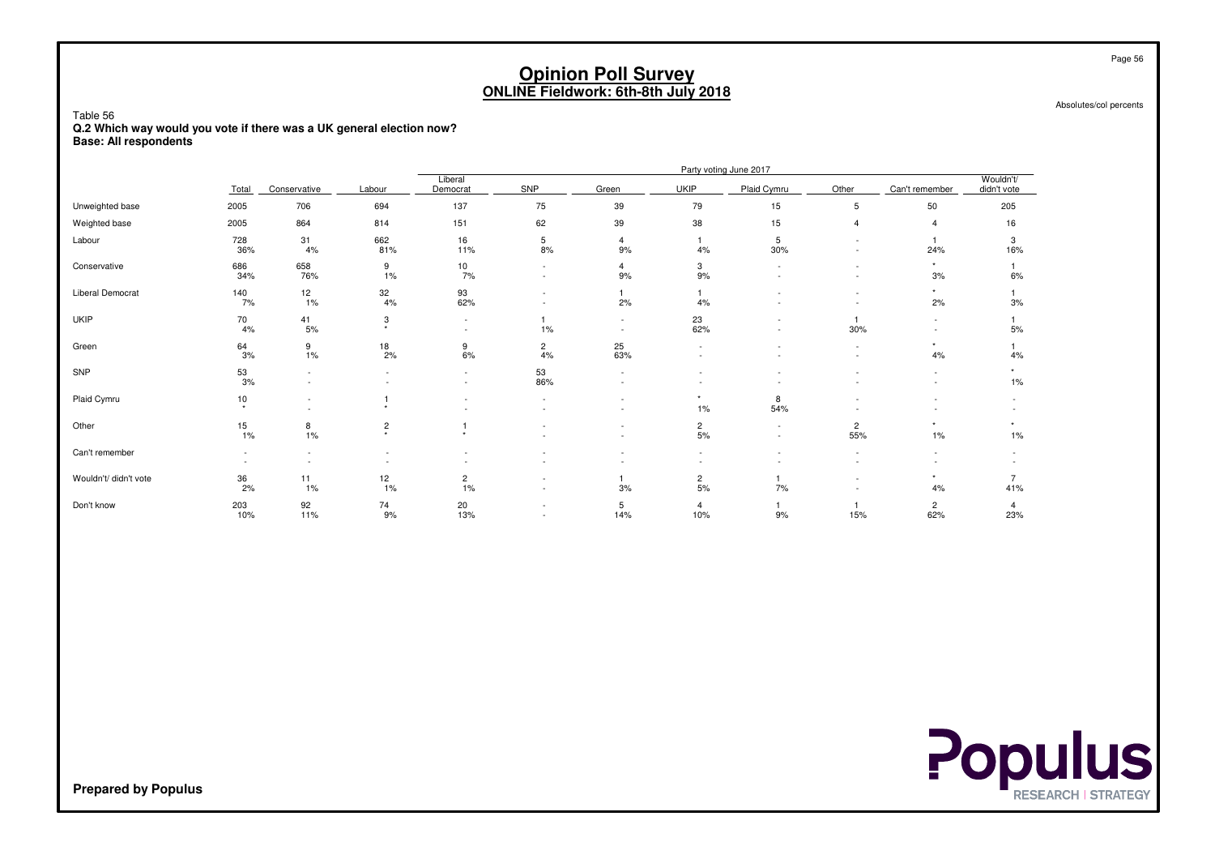Absolutes/col percents

Table 56 **Q.2 Which way would you vote if there was a UK general election now?Base: All respondents**

|                       |                 |                          |                           |                                                      |                      |                          |                       | Party voting June 2017 |                                                      |                       |                          |
|-----------------------|-----------------|--------------------------|---------------------------|------------------------------------------------------|----------------------|--------------------------|-----------------------|------------------------|------------------------------------------------------|-----------------------|--------------------------|
|                       | Total           | Conservative             | Labour                    | Liberal<br>Democrat                                  | SNP                  | Green                    | <b>UKIP</b>           | Plaid Cymru            | Other                                                | Can't remember        | Wouldn't/<br>didn't vote |
| Unweighted base       | 2005            | 706                      | 694                       | 137                                                  | 75                   | 39                       | 79                    | 15                     | 5                                                    | 50                    | 205                      |
| Weighted base         | 2005            | 864                      | 814                       | 151                                                  | 62                   | 39                       | 38                    | 15                     | $\overline{4}$                                       |                       | 16                       |
| Labour                | 728<br>36%      | 31<br>4%                 | 662<br>81%                | 16<br>11%                                            | 5<br>8%              | 4<br>9%                  | 4%                    | 5<br>30%               | $\overline{\phantom{a}}$<br>$\overline{\phantom{0}}$ | 24%                   | 3<br>16%                 |
| Conservative          | 686<br>34%      | 658<br>76%               | 9<br>1%                   | 10<br>7%                                             |                      | 4<br>9%                  | 3<br>9%               |                        | $\overline{\phantom{0}}$                             | $\star$<br>3%         | 6%                       |
| Liberal Democrat      | 140<br>7%       | 12<br>1%                 | 32<br>4%                  | 93<br>62%                                            |                      | 2%                       | 4%                    |                        | $\overline{\phantom{a}}$<br>$\overline{\phantom{a}}$ | 2%                    | 3%                       |
| <b>UKIP</b>           | 70<br>4%        | 41<br>5%                 | 3<br>$\star$              | $\overline{\phantom{a}}$<br>$\overline{\phantom{a}}$ | 1%                   | $\overline{\phantom{a}}$ | 23<br>62%             |                        | 30%                                                  | ٠                     | 5%                       |
| Green                 | 64<br>3%        | 9<br>1%                  | $\frac{18}{2\%}$          | 9<br>6%                                              | $\overline{c}$<br>4% | 25<br>63%                |                       |                        | $\sim$                                               | $\star$<br>4%         | 4%                       |
| SNP                   | $^{53}_{3\%}$   | ٠<br>$\sim$              | $\sim$                    | $\overline{\phantom{a}}$<br>$\overline{\phantom{a}}$ | 53<br>86%            |                          |                       |                        |                                                      | $\sim$<br>٠           | 1%                       |
| Plaid Cymru           | 10<br>$\ddot{}$ | $\overline{\phantom{a}}$ | $\ddot{\phantom{1}}$      |                                                      |                      |                          | $\star$<br>1%         | 8<br>54%               |                                                      |                       |                          |
| Other                 | 15<br>1%        | 8<br>1%                  | $\overline{c}$<br>$\star$ | $\star$                                              |                      |                          | $\overline{2}$<br>5%  | ٠                      | $\overline{c}$<br>55%                                | $1\%$                 | $1\%$                    |
| Can't remember        |                 | $\overline{\phantom{a}}$ |                           |                                                      |                      |                          |                       |                        |                                                      |                       |                          |
| Wouldn't/ didn't vote | 36<br>2%        | 11<br>1%                 | 12<br>$1\%$               | $\overline{c}$<br>1%                                 |                      | 3%                       | $\overline{c}$<br>5%  | 7%                     |                                                      | $\star$<br>4%         | 41%                      |
| Don't know            | 203<br>10%      | 92<br>11%                | 74<br>9%                  | 20<br>13%                                            |                      | 5<br>14%                 | $\overline{4}$<br>10% | 9%                     | 15%                                                  | $\overline{2}$<br>62% | 4<br>23%                 |

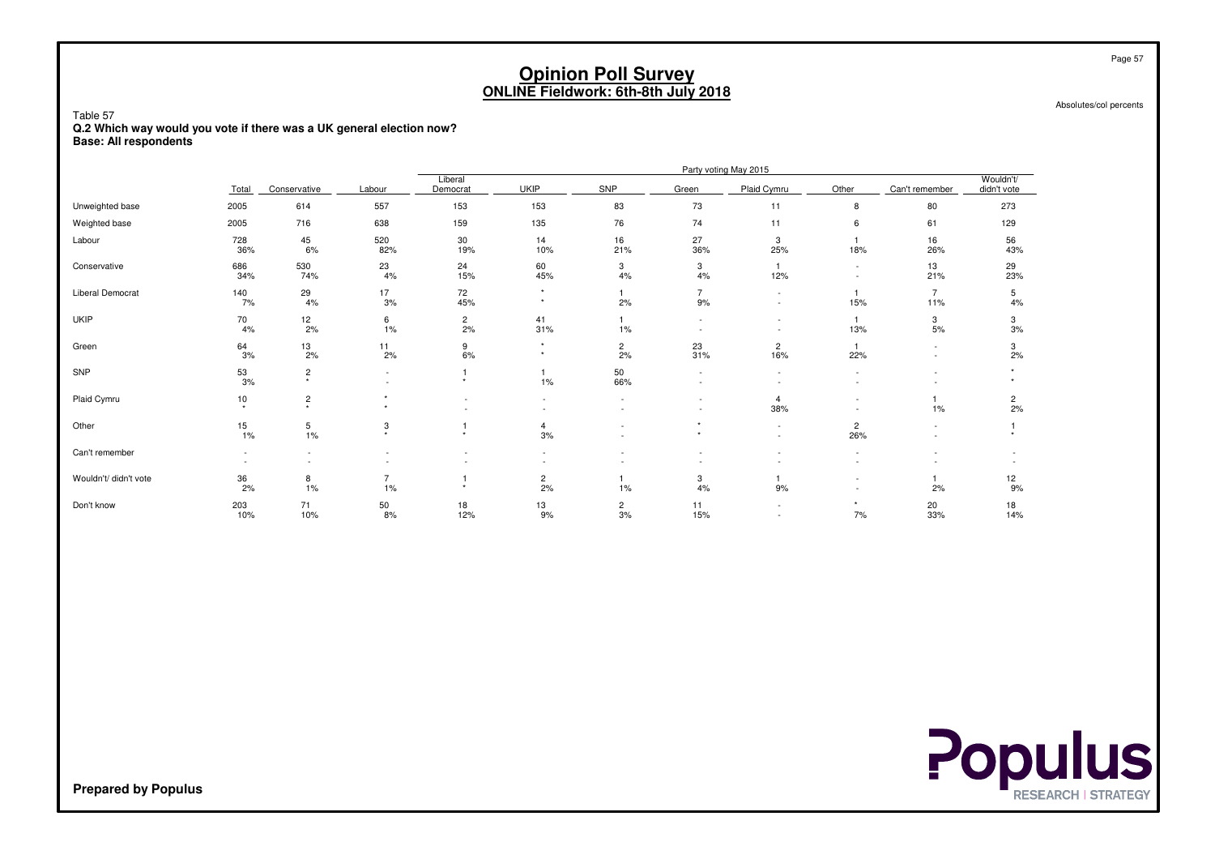Absolutes/col percents

Table 57 **Q.2 Which way would you vote if there was a UK general election now?Base: All respondents**

|                         |                  |                          |                      |                     |                    |                      |                      | Party voting May 2015              |                          |                                    |                          |
|-------------------------|------------------|--------------------------|----------------------|---------------------|--------------------|----------------------|----------------------|------------------------------------|--------------------------|------------------------------------|--------------------------|
|                         | Total            | Conservative             | Labour               | Liberal<br>Democrat | <b>UKIP</b>        | SNP                  | Green                | Plaid Cymru                        | Other                    | Can't remember                     | Wouldn't/<br>didn't vote |
| Unweighted base         | 2005             | 614                      | 557                  | 153                 | 153                | 83                   | 73                   | 11                                 | 8                        | 80                                 | 273                      |
| Weighted base           | 2005             | 716                      | 638                  | 159                 | 135                | 76                   | 74                   | 11                                 | 6                        | 61                                 | 129                      |
| Labour                  | 728<br>36%       | $45\,$<br>6%             | 520<br>82%           | 30<br>19%           | 14<br>10%          | 16<br>21%            | 27<br>36%            | 3<br>25%                           | 18%                      | 16<br>26%                          | 56<br>43%                |
| Conservative            | 686<br>34%       | 530<br>74%               | 23<br>4%             | 24<br>15%           | 60<br>45%          | 3<br>4%              | 3<br>4%              | 12%                                | $\overline{\phantom{0}}$ | 13<br>21%                          | 29<br>23%                |
| <b>Liberal Democrat</b> | 140<br>7%        | 29<br>4%                 | 17<br>3%             | 72<br>45%           | $\star$<br>$\star$ | 2%                   | $\overline{7}$<br>9% | $\overline{\phantom{a}}$<br>$\sim$ | 15%                      | $\overline{7}$<br>11%              | 5<br>4%                  |
| <b>UKIP</b>             | 70<br>4%         | $\frac{12}{2\%}$         | 6<br>1%              | $\frac{2}{2\%}$     | 41<br>31%          | $1\%$                |                      | $\overline{\phantom{a}}$<br>$\sim$ | 13%                      | 3<br>5%                            | 3<br>3%                  |
| Green                   | $\frac{64}{3\%}$ | $\frac{13}{2\%}$         | 11<br>2%             | 9<br>6%             | $\star$<br>$\star$ | $\overline{c}$<br>2% | 23<br>31%            | 2<br>16%                           | 22%                      | $\sim$<br>$\overline{\phantom{a}}$ | 3<br>2%                  |
| SNP                     | $^{53}_{3\%}$    | $_*^2$                   | $\sim$<br>$\sim$     | $\star$             | 1%                 | 50<br>66%            |                      | $\sim$<br>٠                        |                          | $\overline{\phantom{a}}$           |                          |
| Plaid Cymru             | 10<br>$\star$    | $\frac{2}{x}$            | $\star$              |                     |                    |                      |                      | $\overline{4}$<br>38%              |                          | 1%                                 | $\frac{2}{2\%}$          |
| Other                   | 15<br>1%         | $\,$ 5 $\,$<br>$1\%$     | 3<br>$\star$         | $\star$             | 4<br>3%            |                      | $\star$<br>$\star$   | $\overline{\phantom{a}}$<br>$\sim$ | $\overline{c}$<br>26%    |                                    |                          |
| Can't remember          |                  | $\overline{\phantom{a}}$ |                      |                     |                    |                      |                      |                                    |                          |                                    |                          |
| Wouldn't/ didn't vote   | 36<br>2%         | 8<br>1%                  | $\overline{7}$<br>1% | $\ddot{}$           | $\frac{2}{2\%}$    | 1%                   | 3<br>4%              | 9%                                 |                          | 2%                                 | 12<br>9%                 |
| Don't know              | 203<br>10%       | 71<br>10%                | $\frac{50}{8\%}$     | 18<br>12%           | 13<br>9%           | $\overline{c}$<br>3% | 11<br>15%            | $\sim$<br>$\sim$                   | 7%                       | 20<br>33%                          | 18<br>14%                |

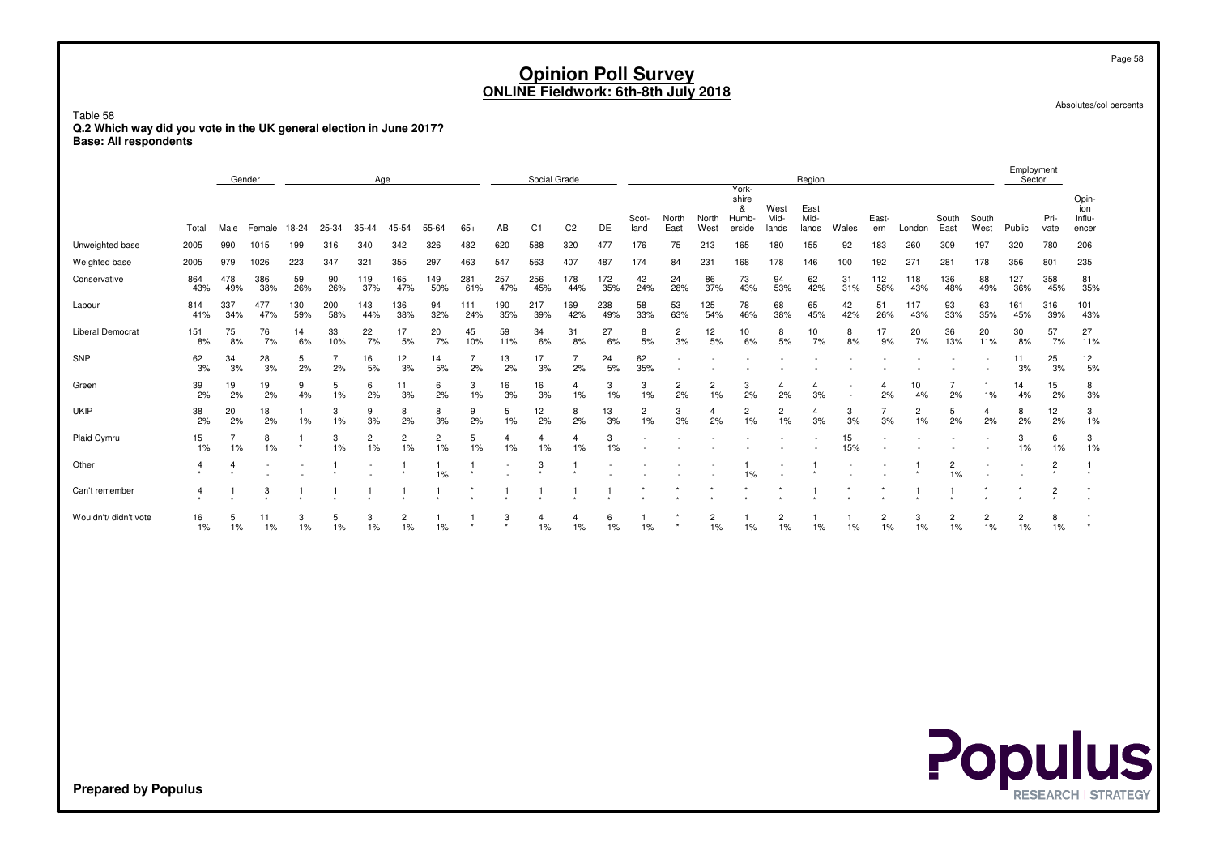Absolutes/col percents

Page 58

Employment

Table 58 **Q.2 Which way did you vote in the UK general election in June 2017?Base: All respondents**

|                         |             | Gender     |             |            |            | Age                  |                      |                      |            |                           | Social Grade         |            |            |               |                      |                         |                                               |                       | Region                |           |                      |                      |                      |                      | Employment<br>Sector |                |                                 |
|-------------------------|-------------|------------|-------------|------------|------------|----------------------|----------------------|----------------------|------------|---------------------------|----------------------|------------|------------|---------------|----------------------|-------------------------|-----------------------------------------------|-----------------------|-----------------------|-----------|----------------------|----------------------|----------------------|----------------------|----------------------|----------------|---------------------------------|
|                         | Total       | Male       | Female      | 18-24      | 25-34      | 35-44                | 45-54                | 55-64                | $65+$      | AB                        | C1                   | C2         | DE         | Scot-<br>land | North<br>East        | North<br>West           | York-<br>shire<br>&<br><b>Humb-</b><br>erside | West<br>Mid-<br>lands | East<br>Mid-<br>lands | Wales     | East-<br>ern         | London               | South<br>East        | South<br>West        | Public               | Pri-<br>vate   | Opin-<br>ion<br>Influ-<br>encer |
| Unweighted base         | 2005        | 990        | 1015        | 199        | 316        | 340                  | 342                  | 326                  | 482        | 620                       | 588                  | 320        | 477        | 176           | 75                   | 213                     | 165                                           | 180                   | 155                   | 92        | 183                  | 260                  | 309                  | 197                  | 320                  | 780            | 206                             |
| Weighted base           | 2005        | 979        | 1026        | 223        | 347        | 321                  | 355                  | 297                  | 463        | 547                       | 563                  | 407        | 487        | 174           | 84                   | 231                     | 168                                           | 178                   | 146                   | 100       | 192                  | $27 -$               | 281                  | 178                  | 356                  | 801            | 235                             |
| Conservative            | 864<br>43%  | 478<br>49% | 386<br>38%  | 59<br>26%  | 90<br>26%  | 119<br>37%           | 165<br>47%           | 149<br>50%           | 281<br>61% | 257<br>47%                | 256<br>45%           | 178<br>44% | 172<br>35% | 42<br>24%     | 24<br>28%            | 86<br>37%               | 73<br>43%                                     | 94<br>53%             | 62<br>42%             | 31<br>31% | 112<br>58%           | 118<br>43%           | 136<br>48%           | 88<br>49%            | 127<br>36%           | 358<br>45%     | 81<br>35%                       |
| Labour                  | 814<br>41%  | 337<br>34% | 477<br>47%  | 130<br>59% | 200<br>58% | 143<br>44%           | 136<br>38%           | 94<br>32%            | 111<br>24% | 190<br>35%                | 217<br>39%           | 169<br>42% | 238<br>49% | 58<br>33%     | 53<br>63%            | 125<br>54%              | 78<br>46%                                     | 68<br>38%             | 65<br>45%             | 42<br>42% | 51<br>26%            | 117<br>43%           | 93<br>33%            | 63<br>35%            | 161<br>45%           | 316<br>39%     | 101<br>43%                      |
| <b>Liberal Democrat</b> | 151<br>8%   | 75<br>8%   | 76<br>7%    | 14<br>6%   | 33<br>10%  | 22<br>7%             | 17<br>5%             | 20<br>7%             | 45<br>10%  | 59<br>11%                 | 34<br>6%             | 31<br>8%   | 27<br>6%   | 8<br>5%       | 2<br>3%              | 12<br>5%                | 10<br>6%                                      | 8<br>5%               | 10<br>7%              | 8<br>8%   | 17<br>9%             | 20<br>7%             | 36<br>13%            | 20<br>11%            | 30<br>8%             | 57<br>7%       | 27<br>11%                       |
| SNP                     | 62<br>3%    | 34<br>3%   | 28<br>3%    | 5<br>2%    | 2%         | 16<br>5%             | 12<br>3%             | 14<br>5%             | 2%         | 13<br>2%                  | 17<br>3%             | 2%         | 24<br>5%   | 62<br>35%     |                      |                         |                                               |                       |                       |           |                      |                      |                      |                      | 11<br>3%             | 25<br>3%       | 12<br>5%                        |
| Green                   | 39<br>2%    | 19<br>2%   | 19<br>2%    | 9<br>4%    | 5<br>1%    | 6<br>2%              | 11<br>3%             | 6<br>2%              | 3<br>1%    | 16<br>3%                  | 16<br>3%             | 1%         | 3<br>1%    | 3<br>1%       | $\overline{c}$<br>2% | $\overline{c}$<br>1%    | 3<br>2%                                       | 2%                    | 3%                    |           | 2%                   | 10<br>4%             | 2%                   | 1%                   | 14<br>4%             | 15<br>2%       | 8<br>3%                         |
| <b>UKIP</b>             | 38<br>2%    | 20<br>2%   | 18<br>2%    | 1%         | 3<br>1%    | 9<br>3%              | 8<br>2%              | 8<br>3%              | 9<br>2%    | 5<br>1%                   | 12<br>2%             | 8<br>2%    | 13<br>3%   | 2<br>1%       | 3<br>3%              | 4<br>2%                 | 2<br>1%                                       | 2<br>$1\%$            | 4<br>3%               | 3<br>3%   | 3%                   | $\overline{c}$<br>1% | 5<br>2%              | 4<br>2%              | 8<br>2%              | 12<br>2%       | 3<br>1%                         |
| Plaid Cymru             | 15<br>$1\%$ | 1%         | 8<br>1%     | $\star$    | 3<br>1%    | $\overline{2}$<br>1% | $\overline{2}$<br>1% | $\overline{2}$<br>1% | 5<br>1%    | 1%                        | $\overline{4}$<br>1% | 1%         | 3<br>1%    |               |                      |                         |                                               |                       |                       | 15<br>15% |                      |                      |                      |                      | 3<br>1%              | 6<br>1%        | 3<br>1%                         |
| Other                   | 4           |            |             |            |            |                      |                      | 1%                   |            |                           | 3                    |            |            |               |                      |                         | $1\%$                                         |                       |                       |           |                      |                      | 1%                   |                      |                      | $\overline{2}$ |                                 |
| Can't remember          | 4           |            | 3           |            |            |                      |                      |                      |            |                           |                      |            |            |               |                      |                         |                                               |                       |                       |           |                      |                      |                      |                      |                      | 2              |                                 |
| Wouldn't/ didn't vote   | 16<br>1%    | 1%         | 11<br>$1\%$ | 3<br>1%    | 5<br>$1\%$ | 3<br>1%              | $\overline{c}$<br>1% | 1%                   |            | 3<br>$\ddot{\phantom{1}}$ | 1%                   | 1%         | 6<br>1%    | 1%            |                      | $\overline{2}$<br>$1\%$ | 1%                                            | $\overline{c}$<br>1%  | 1%                    | 1%        | $\overline{2}$<br>1% | 3<br>1%              | $\overline{2}$<br>1% | $\overline{2}$<br>1% | $\overline{c}$<br>1% | 8<br>$1\%$     |                                 |

**Populus**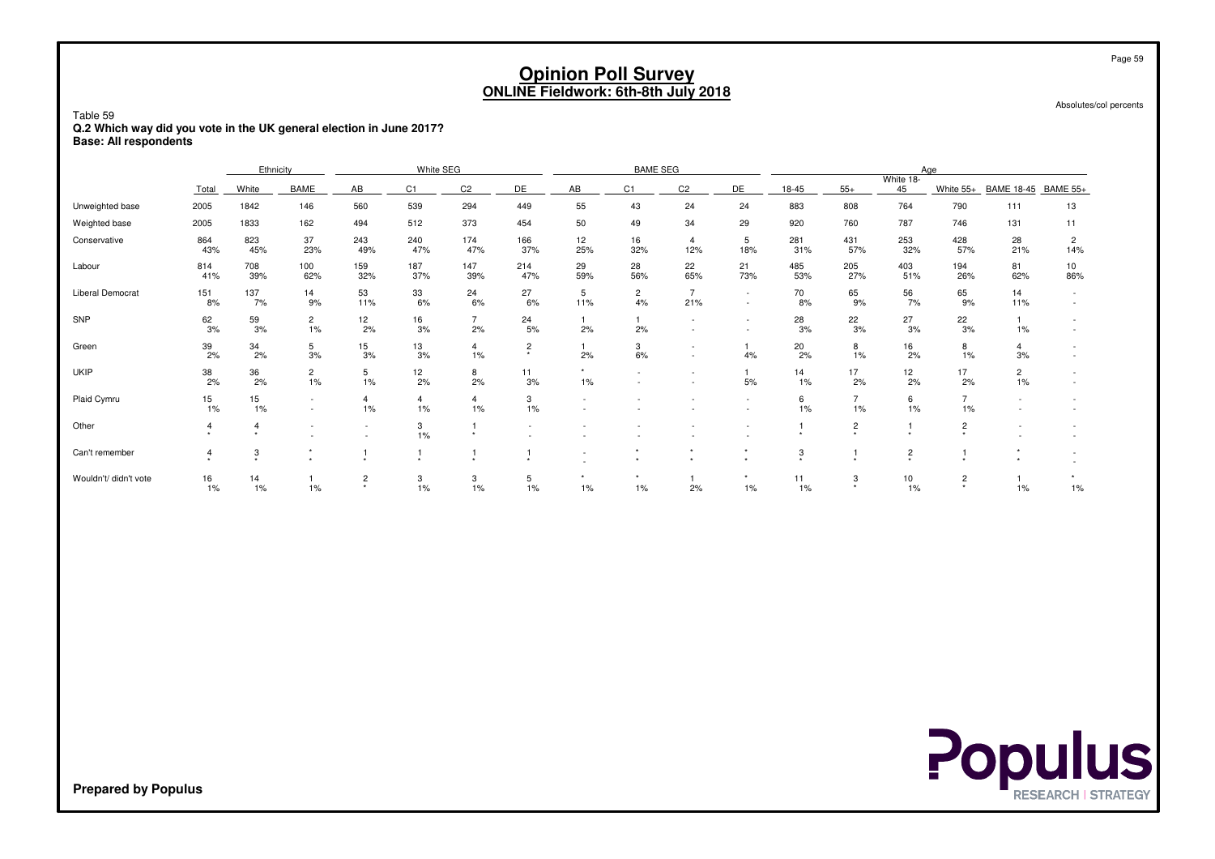Absolutes/col percents

#### Table 59 **Q.2 Which way did you vote in the UK general election in June 2017?Base: All respondents**

|                       |                         | Ethnicity   |                      |                         | White SEG            |                      |                                        |                  | <b>BAME SEG</b>      |                       |                          |                 |                      |                 | Age                     |                      |           |
|-----------------------|-------------------------|-------------|----------------------|-------------------------|----------------------|----------------------|----------------------------------------|------------------|----------------------|-----------------------|--------------------------|-----------------|----------------------|-----------------|-------------------------|----------------------|-----------|
|                       | Total                   | White       | <b>BAME</b>          | AB                      | C1.                  | C <sub>2</sub>       | DE                                     | AB               | C <sub>1</sub>       | C <sub>2</sub>        | DE                       | 18-45           | $55+$                | White 18-<br>45 | White 55+               | BAME 18-45 BAME 55+  |           |
| Unweighted base       | 2005                    | 1842        | 146                  | 560                     | 539                  | 294                  | 449                                    | 55               | 43                   | 24                    | 24                       | 883             | 808                  | 764             | 790                     | 111                  | 13        |
| Weighted base         | 2005                    | 1833        | 162                  | 494                     | 512                  | 373                  | 454                                    | 50               | 49                   | 34                    | 29                       | 920             | 760                  | 787             | 746                     | 131                  | 11        |
| Conservative          | 864<br>43%              | 823<br>45%  | 37<br>23%            | 243<br>49%              | 240<br>47%           | 174<br>47%           | 166<br>37%                             | 12<br>25%        | 16<br>32%            | $\overline{4}$<br>12% | 5<br>18%                 | 281<br>31%      | 431<br>57%           | 253<br>32%      | 428<br>57%              | 28<br>21%            | 2<br>14%  |
| Labour                | 814<br>41%              | 708<br>39%  | 100<br>62%           | 159<br>32%              | 187<br>37%           | 147<br>39%           | 214<br>47%                             | 29<br>59%        | 28<br>56%            | 22<br>65%             | 21<br>73%                | 485<br>53%      | 205<br>27%           | 403<br>51%      | 194<br>26%              | 81<br>62%            | 10<br>86% |
| Liberal Democrat      | 151<br>8%               | 137<br>7%   | 14<br>9%             | 53<br>11%               | 33<br>6%             | 24<br>6%             | 27<br>6%                               | 5<br>11%         | $\overline{c}$<br>4% | $\overline{7}$<br>21% | $\sim$                   | 70<br>8%        | 65<br>9%             | 56<br>7%        | 65<br>9%                | 14<br>11%            |           |
| SNP                   | $\frac{62}{3\%}$        | 59<br>3%    | $\overline{c}$<br>1% | 12<br>2%                | 16<br>3%             | $\overline{7}$<br>2% | 24<br>5%                               | 2%               | 2%                   |                       |                          | $\frac{28}{3%}$ | 22<br>3%             | 27<br>3%        | $\frac{22}{3%}$         | 1%                   |           |
| Green                 | $\frac{39}{2\%}$        | 34<br>2%    | 5<br>3%              | 15<br>3%                | 13<br>3%             | $\overline{4}$<br>1% | $\overline{c}$<br>$\ddot{\phantom{1}}$ | 2%               | 3<br>6%              |                       | 4%                       | 20<br>2%        | 8<br>1%              | 16<br>2%        | 8<br>1%                 | $\overline{4}$<br>3% |           |
| <b>UKIP</b>           | 38<br>2%                | 36<br>2%    | $\overline{2}$<br>1% | 5<br>1%                 | 12<br>2%             | 8<br>2%              | 11<br>3%                               | $1\%$            |                      |                       | $\overline{1}$<br>5%     | 14<br>1%        | 17<br>2%             | 12<br>2%        | 17<br>2%                | $\overline{2}$<br>1% |           |
| Plaid Cymru           | 15<br>1%                | 15<br>1%    |                      | $\overline{4}$<br>$1\%$ | $\overline{4}$<br>1% | $\overline{4}$<br>1% | 3<br>1%                                |                  |                      |                       |                          | 6<br>1%         | $\overline{7}$<br>1% | 6<br>1%         | $\overline{7}$<br>$1\%$ |                      |           |
| Other                 | 4                       |             |                      |                         | 3<br>1%              |                      | $\sim$                                 |                  |                      |                       | $\overline{\phantom{a}}$ |                 | $\overline{c}$       |                 | $\overline{2}$<br>٠     |                      |           |
| Can't remember        | $\overline{\mathbf{4}}$ | 3           |                      |                         |                      |                      |                                        | $\sim$           | $\star$              | $\star$<br>$\star$    | $\star$                  | 3               |                      | $\overline{2}$  |                         |                      |           |
| Wouldn't/ didn't vote | 16<br>$1\%$             | 14<br>$1\%$ | 1%                   | 2<br>$\star$            | 3<br>1%              | 3<br>1%              | 5<br>1%                                | $\star$<br>$1\%$ | $\star$<br>$1\%$     | 2%                    | $\star$<br>$1\%$         | 11<br>$1\%$     | 3                    | 10<br>1%        | $\overline{c}$          | 1%                   | $1\%$     |

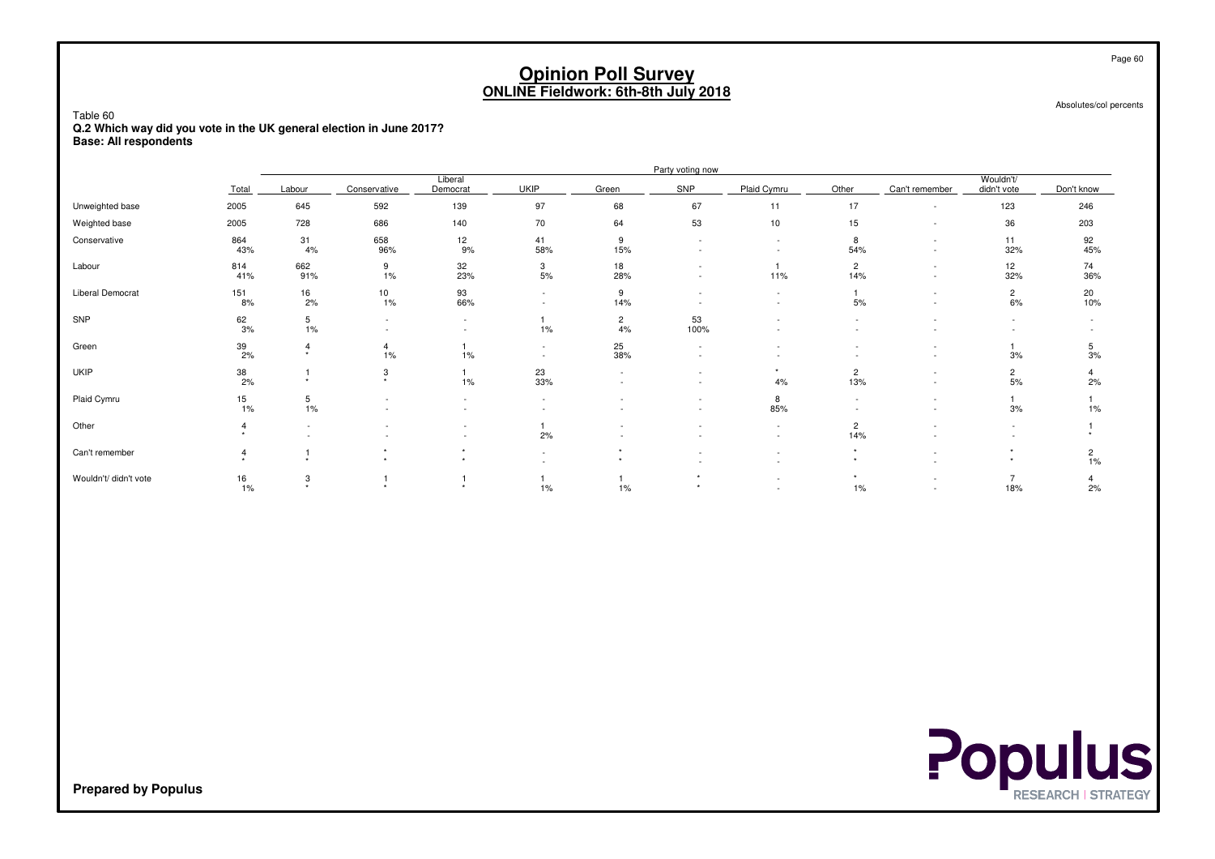Absolutes/col percents

Table 60 **Q.2 Which way did you vote in the UK general election in June 2017?Base: All respondents**

|                       |                  |                                 |                           |                     |                                                      |                          | Party voting now         |                                                      |                       |                                                      |                          |                      |
|-----------------------|------------------|---------------------------------|---------------------------|---------------------|------------------------------------------------------|--------------------------|--------------------------|------------------------------------------------------|-----------------------|------------------------------------------------------|--------------------------|----------------------|
|                       | Total            | Labour                          | Conservative              | Liberal<br>Democrat | <b>UKIP</b>                                          | Green                    | SNP                      | Plaid Cymru                                          | Other                 | Can't remember                                       | Wouldn't/<br>didn't vote | Don't know           |
| Unweighted base       | 2005             | 645                             | 592                       | 139                 | 97                                                   | 68                       | 67                       | 11                                                   | 17                    | ٠                                                    | 123                      | 246                  |
| Weighted base         | 2005             | 728                             | 686                       | 140                 | 70                                                   | 64                       | 53                       | 10                                                   | 15                    | $\overline{\phantom{a}}$                             | 36                       | 203                  |
| Conservative          | 864<br>43%       | 31<br>4%                        | 658<br>96%                | 12<br>9%            | 41<br>58%                                            | 9<br>15%                 | $\overline{\phantom{a}}$ | $\overline{\phantom{a}}$<br>$\overline{\phantom{a}}$ | 8<br>54%              | ٠<br>$\overline{\phantom{a}}$                        | 11<br>32%                | 92<br>45%            |
| Labour                | 814<br>41%       | 662<br>91%                      | 9<br>1%                   | 32<br>23%           | 3<br>$5%$                                            | 18<br>28%                | $\sim$                   | 11%                                                  | $\overline{2}$<br>14% | ٠<br>$\overline{\phantom{a}}$                        | 12<br>32%                | 74<br>36%            |
| Liberal Democrat      | 151<br>8%        | $\frac{16}{2\%}$                | 10<br>$1\%$               | 93<br>66%           | $\overline{\phantom{a}}$<br>$\overline{\phantom{a}}$ | 9<br>14%                 |                          | $\overline{\phantom{a}}$<br>$\overline{\phantom{a}}$ | 5%                    | ٠<br>$\overline{\phantom{a}}$                        | $\overline{2}$<br>6%     | 20<br>10%            |
| SNP                   | $\frac{62}{3\%}$ | 5<br>1%                         | $\overline{\phantom{a}}$  | $\sim$<br>$\sim$    | 1%                                                   | $\overline{2}$<br>4%     | 53<br>100%               |                                                      |                       |                                                      |                          |                      |
| Green                 | $\frac{39}{2\%}$ | $\overline{4}$<br>$\rightarrow$ | 4<br>1%                   | 1%                  | $\overline{\phantom{a}}$<br>$\sim$                   | 25<br>38%                | $\overline{\phantom{a}}$ |                                                      |                       | $\overline{\phantom{a}}$                             | 3%                       | 5<br>3%              |
| <b>UKIP</b>           | 38<br>2%         |                                 | 3<br>$\ddot{\phantom{1}}$ | 1%                  | 23<br>33%                                            | $\overline{\phantom{a}}$ | $\overline{\phantom{a}}$ | 4%                                                   | $\overline{2}$<br>13% | $\overline{\phantom{a}}$<br>$\sim$                   | $\overline{c}$<br>5%     | 2%                   |
| Plaid Cymru           | $\frac{15}{1\%}$ | 5<br>1%                         |                           |                     |                                                      |                          | $\sim$                   | 8<br>85%                                             |                       | $\overline{\phantom{a}}$<br>$\overline{\phantom{a}}$ | 3%                       | 1%                   |
| Other                 |                  | $\overline{\phantom{a}}$        |                           | $\sim$<br>$\sim$    | 2%                                                   |                          |                          | $\overline{\phantom{a}}$<br>$\overline{\phantom{a}}$ | $\overline{2}$<br>14% |                                                      |                          |                      |
| Can't remember        |                  |                                 | $\star$                   |                     | $\overline{\phantom{a}}$                             |                          | $\sim$                   | $\overline{\phantom{a}}$<br>$\overline{\phantom{a}}$ |                       |                                                      |                          | $\overline{c}$<br>1% |
| Wouldn't/ didn't vote | 16<br>1%         | 3                               |                           |                     | 1%                                                   | 1%                       |                          | $\sim$                                               | 1%                    | ٠                                                    | 18%                      | 2%                   |



**Prepared by Populus**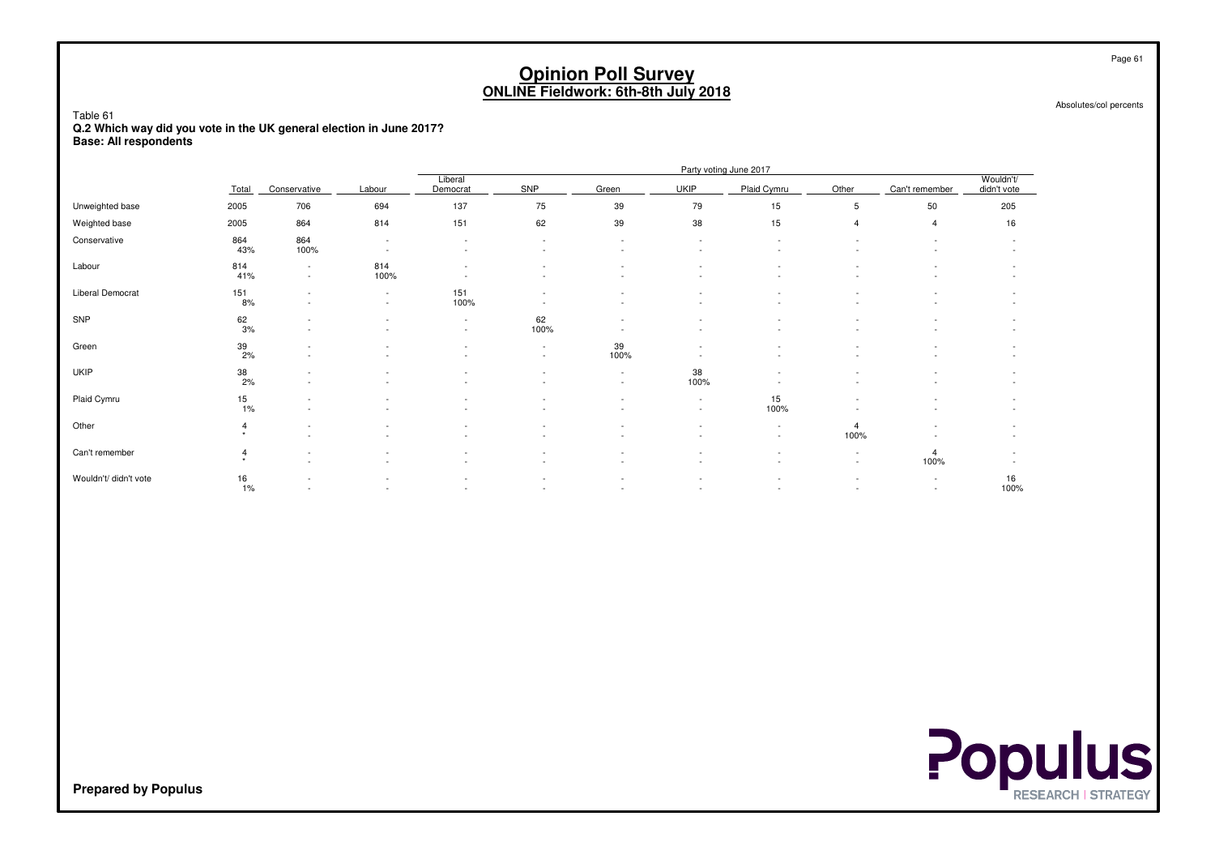Absolutes/col percents

Table 61 **Q.2 Which way did you vote in the UK general election in June 2017?Base: All respondents**

|                       |                           |                                                      |                                    |                                    |            |                          |                  | Party voting June 2017                               |                                                      |                                                      |                                                      |
|-----------------------|---------------------------|------------------------------------------------------|------------------------------------|------------------------------------|------------|--------------------------|------------------|------------------------------------------------------|------------------------------------------------------|------------------------------------------------------|------------------------------------------------------|
|                       | Total                     | Conservative                                         | Labour                             | Liberal<br>Democrat                | <b>SNP</b> | Green                    | <b>UKIP</b>      | Plaid Cymru                                          | Other                                                | Can't remember                                       | Wouldn't/<br>didn't vote                             |
| Unweighted base       | 2005                      | 706                                                  | 694                                | 137                                | 75         | 39                       | 79               | 15                                                   | 5                                                    | 50                                                   | 205                                                  |
| Weighted base         | 2005                      | 864                                                  | 814                                | 151                                | 62         | 39                       | 38               | 15                                                   | $\overline{4}$                                       | $\overline{4}$                                       | 16                                                   |
| Conservative          | 864<br>43%                | 864<br>100%                                          | .<br>.                             |                                    |            |                          |                  |                                                      |                                                      |                                                      | $\overline{\phantom{a}}$                             |
| Labour                | 814<br>41%                | $\overline{\phantom{a}}$<br>$\sim$                   | 814<br>100%                        |                                    |            | $\overline{\phantom{a}}$ | $\overline{a}$   | ٠                                                    | $\overline{\phantom{a}}$                             |                                                      | $\overline{\phantom{a}}$<br>$\overline{\phantom{a}}$ |
| Liberal Democrat      | 151<br>8%                 | $\overline{\phantom{a}}$                             | $\overline{\phantom{a}}$<br>$\sim$ | 151<br>100%                        |            |                          |                  |                                                      |                                                      |                                                      | $\overline{\phantom{a}}$                             |
| SNP                   | $\frac{62}{3\%}$          | $\sim$<br>$\sim$                                     | $\overline{\phantom{a}}$           | $\overline{\phantom{a}}$<br>$\sim$ | 62<br>100% |                          |                  | $\sim$                                               | $\overline{\phantom{a}}$                             | ٠                                                    | $\overline{\phantom{a}}$<br>$\overline{\phantom{a}}$ |
| Green                 | 39<br>2%                  | $\overline{\phantom{a}}$                             |                                    |                                    | $\sim$     | 39<br>100%               |                  |                                                      |                                                      |                                                      | $\overline{\phantom{a}}$                             |
| <b>UKIP</b>           | $\frac{38}{2\%}$          | $\overline{\phantom{a}}$                             |                                    |                                    |            | $\sim$<br>$\sim$         | 38<br>100%       |                                                      |                                                      |                                                      | $\overline{\phantom{a}}$<br>$\overline{\phantom{a}}$ |
| Plaid Cymru           | 15<br>1%                  | $\overline{\phantom{a}}$<br>$\sim$                   | $\overline{\phantom{a}}$           |                                    |            |                          | $\sim$<br>$\sim$ | 15<br>100%                                           |                                                      |                                                      | $\overline{\phantom{a}}$<br>$\overline{\phantom{a}}$ |
| Other                 | 4<br>$\ddot{\phantom{1}}$ | $\overline{\phantom{a}}$<br>$\overline{\phantom{a}}$ |                                    |                                    |            |                          |                  | $\overline{\phantom{a}}$<br>$\overline{\phantom{a}}$ | $\overline{4}$<br>100%                               |                                                      | $\overline{\phantom{a}}$                             |
| Can't remember        | $\overline{4}$<br>$\star$ | $\overline{\phantom{a}}$                             |                                    |                                    |            |                          |                  |                                                      | $\overline{\phantom{a}}$<br>$\overline{\phantom{a}}$ | 4<br>100%                                            |                                                      |
| Wouldn't/ didn't vote | 16<br>1%                  | $\overline{\phantom{a}}$<br>$\sim$                   | $\overline{\phantom{a}}$           |                                    |            |                          |                  | $\overline{\phantom{0}}$                             | $\overline{\phantom{a}}$<br>$\overline{\phantom{a}}$ | $\overline{\phantom{a}}$<br>$\overline{\phantom{a}}$ | 16<br>100%                                           |

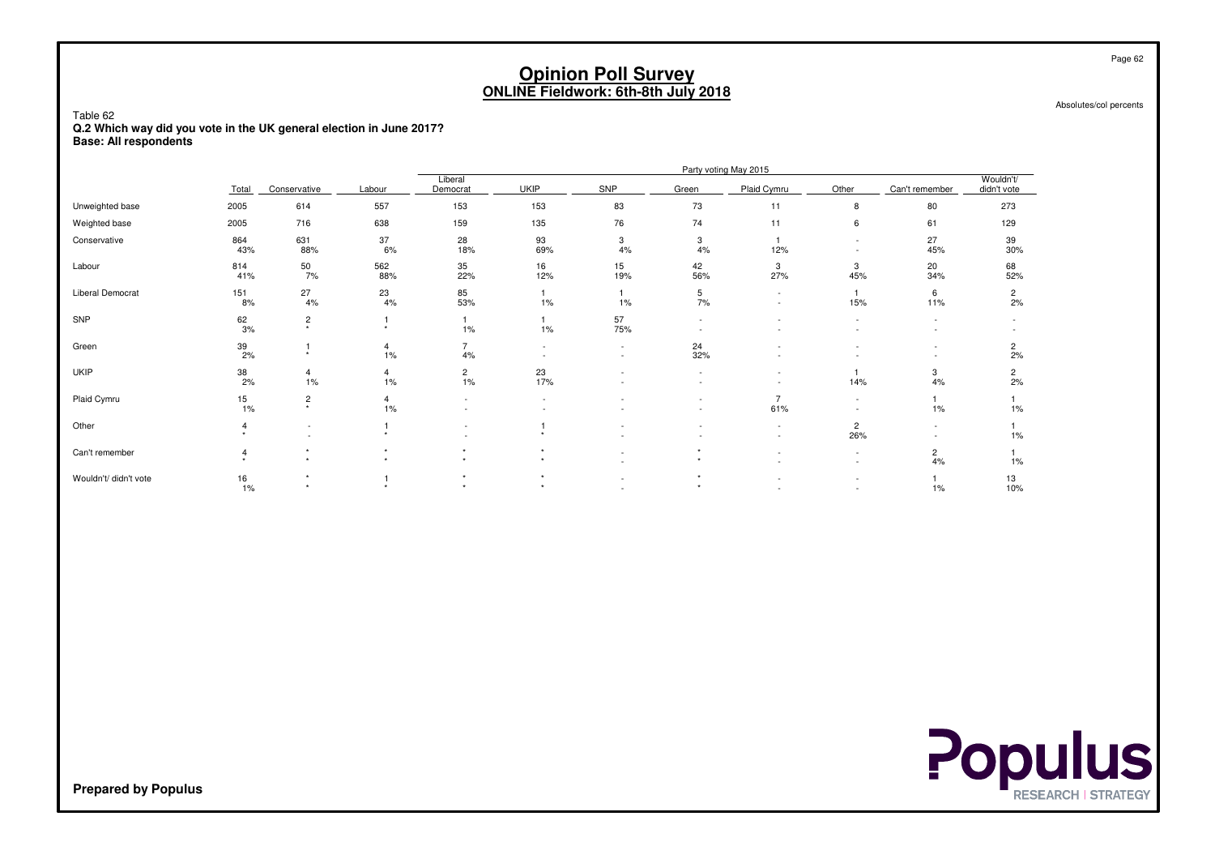Absolutes/col percents

Table 62 **Q.2 Which way did you vote in the UK general election in June 2017?Base: All respondents**

|                       |                  |                          |                      |                           |             |           |            | Party voting May 2015 |                          |                      |                          |
|-----------------------|------------------|--------------------------|----------------------|---------------------------|-------------|-----------|------------|-----------------------|--------------------------|----------------------|--------------------------|
|                       | Total            | Conservative             | Labour               | Liberal<br>Democrat       | <b>UKIP</b> | SNP       | Green      | Plaid Cymru           | Other                    | Can't remember       | Wouldn't/<br>didn't vote |
| Unweighted base       | 2005             | 614                      | 557                  | 153                       | 153         | 83        | 73         | 11                    | 8                        | 80                   | 273                      |
| Weighted base         | 2005             | 716                      | 638                  | 159                       | 135         | 76        | 74         | 11                    | 6                        | 61                   | 129                      |
| Conservative          | 864<br>43%       | 631<br>88%               | 37<br>6%             | 28<br>18%                 | 93<br>69%   | 3<br>4%   | 3<br>$4\%$ | 12%                   | $\overline{\phantom{a}}$ | 27<br>45%            | 39<br>30%                |
| Labour                | 814<br>41%       | $\frac{50}{7\%}$         | 562<br>88%           | 35<br>22%                 | 16<br>12%   | 15<br>19% | 42<br>56%  | 3<br>27%              | 3<br>45%                 | 20<br>34%            | 68<br>52%                |
| Liberal Democrat      | 151<br>8%        | 27<br>4%                 | 23<br>4%             | 85<br>53%                 | 1%          | 1%        | 5<br>7%    | $\sim$                | 15%                      | 6<br>11%             | $\overline{c}$<br>2%     |
| SNP                   | $\frac{62}{3\%}$ | $\frac{2}{x}$            | $\star$              | 1%                        | 1%          | 57<br>75% |            |                       |                          |                      |                          |
| Green                 | $\frac{39}{2\%}$ | $\star$                  | 4<br>1%              | 4%                        |             |           | 24<br>32%  |                       |                          | ۰                    | $\overline{c}$<br>2%     |
| <b>UKIP</b>           | 38<br>2%         | 4<br>1%                  | 4<br>$1\%$           | $^{2}_{1\%}$              | 23<br>17%   |           |            |                       | 14%                      | 3<br>4%              | $\overline{c}$<br>2%     |
| Plaid Cymru           | $\frac{15}{1\%}$ | $\frac{2}{x}$            | $\overline{4}$<br>1% | $\overline{\phantom{a}}$  |             |           |            | 61%                   |                          | 1%                   | 1%                       |
| Other                 |                  | $\overline{\phantom{a}}$ |                      |                           |             |           |            | ٠                     | $\overline{c}$<br>26%    | ۰                    | $1\%$                    |
| Can't remember        | 4                |                          |                      |                           |             |           |            |                       | $\overline{\phantom{a}}$ | $\overline{2}$<br>4% | 1%                       |
| Wouldn't/ didn't vote | 16<br>1%         | $\rightarrow$            |                      | ٠<br>$\ddot{\phantom{1}}$ | $\ddot{}$   |           |            |                       | $\overline{\phantom{a}}$ | $1\%$                | 13<br>10%                |

**Populus** 

**Prepared by Populus**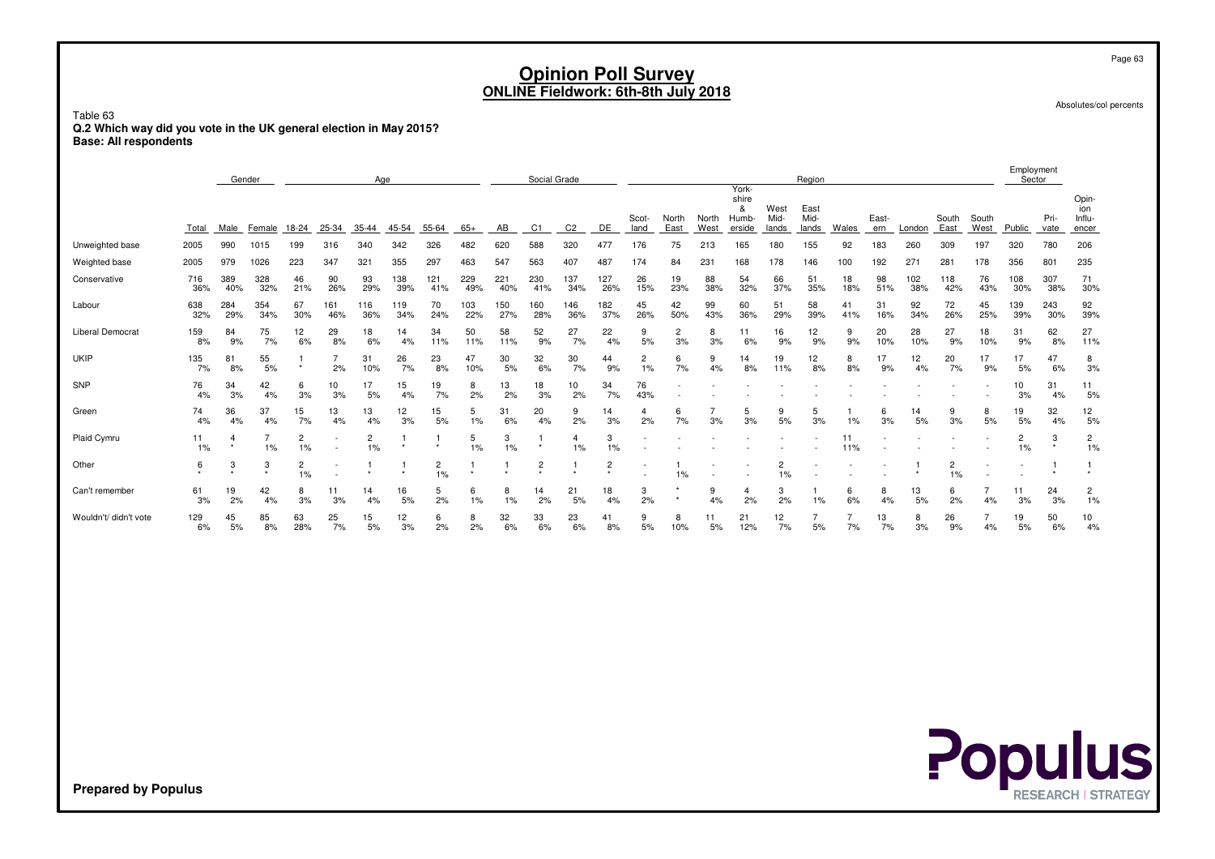Absolutes/col percents

Page 63

Table 63 **Q.2 Which way did you vote in the UK general election in May 2015?Base: All respondents**

|                         |            |            | Gender     | Age                  |            |                      |            |                      |            | Social Grade |                |                |                           |               |               | York-         |                               | Region                |                       |           |              |                 |               | Employment<br>Sector |                      |              |                                 |
|-------------------------|------------|------------|------------|----------------------|------------|----------------------|------------|----------------------|------------|--------------|----------------|----------------|---------------------------|---------------|---------------|---------------|-------------------------------|-----------------------|-----------------------|-----------|--------------|-----------------|---------------|----------------------|----------------------|--------------|---------------------------------|
|                         | Total      | Male       | Female     | 18-24                | 25-34      | $35 - 44$            | 45-54      | 55-64                | $65+$      | AB           | C <sub>1</sub> | C <sub>2</sub> | DE                        | Scot-<br>land | North<br>East | North<br>West | shire<br>&<br>Humb-<br>erside | West<br>Mid-<br>lands | East<br>Mid-<br>lands | Wales     | East-<br>ern | London          | South<br>East | South<br>West        | Public               | Pri-<br>vate | Opin-<br>ion<br>Influ-<br>encer |
| Unweighted base         | 2005       | 990        | 1015       | 199                  | 316        | 340                  | 342        | 326                  | 482        | 620          | 588            | 320            | 477                       | 176           | 75            | 213           | 165                           | 180                   | 155                   | 92        | 183          | 260             | 309           | 197                  | 320                  | 780          | 206                             |
| Weighted base           | 2005       | 979        | 1026       | 223                  | 347        | 321                  | 355        | 297                  | 463        | 547          | 563            | 407            | 487                       | 174           | 84            | 231           | 168                           | 178                   | 146                   | 100       | 192          | 27 <sup>°</sup> | 281           | 178                  | 356                  | 801          | 235                             |
| Conservative            | 716<br>36% | 389<br>40% | 328<br>32% | 46<br>21%            | 90<br>26%  | 93<br>29%            | 138<br>39% | 121<br>41%           | 229<br>49% | 221<br>40%   | 230<br>41%     | 137<br>34%     | 127<br>26%                | 26<br>15%     | 19<br>23%     | 88<br>38%     | 54<br>32%                     | 66<br>37%             | 51<br>35%             | 18<br>18% | 98<br>51%    | 102<br>38%      | 118<br>42%    | 76<br>43%            | 108<br>30%           | 307<br>38%   | 71<br>30%                       |
| Labour                  | 638<br>32% | 284<br>29% | 354<br>34% | 67<br>30%            | 161<br>46% | 116<br>36%           | 119<br>34% | 70<br>24%            | 103<br>22% | 150<br>27%   | 160<br>28%     | 146<br>36%     | 182<br>37%                | 45<br>26%     | 42<br>50%     | 99<br>43%     | 60<br>36%                     | 51<br>29%             | 58<br>39%             | 41<br>41% | 31<br>16%    | 92<br>34%       | 72<br>26%     | 45<br>25%            | 139<br>39%           | 243<br>30%   | 92<br>39%                       |
| <b>Liberal Democrat</b> | 159<br>8%  | 84<br>9%   | 75<br>7%   | 12<br>6%             | 29<br>8%   | 18<br>6%             | 14<br>4%   | 34<br>11%            | 50<br>11%  | 58<br>11%    | 52<br>9%       | 27<br>7%       | 22<br>4%                  | 9<br>5%       | 2<br>3%       | 8<br>3%       | 6%                            | 16<br>9%              | 12<br>9%              | 9<br>9%   | 20<br>10%    | 28<br>10%       | 27<br>9%      | 18<br>10%            | 31<br>9%             | 62<br>8%     | 27<br>11%                       |
| <b>UKIP</b>             | 135<br>7%  | 8<br>8%    | 55<br>5%   | $\star$              | 2%         | 31<br>10%            | 26<br>7%   | 23<br>8%             | 47<br>10%  | 30<br>5%     | 32<br>6%       | 30<br>7%       | 44<br>9%                  | 2<br>1%       | 6<br>7%       | 9<br>4%       | 14<br>8%                      | 19<br>11%             | 12<br>8%              | 8<br>8%   | 17<br>9%     | 12<br>4%        | 20<br>7%      | 17<br>9%             | 17<br>5%             | 47<br>6%     | 8<br>3%                         |
| SNP                     | 76<br>4%   | 34<br>3%   | 42<br>4%   | 6<br>3%              | 10<br>3%   | 17<br>5%             | 15<br>4%   | 19<br>7%             | 8<br>2%    | 13<br>2%     | 18<br>3%       | 10<br>2%       | 34<br>7%                  | 76<br>43%     |               |               |                               |                       |                       |           |              |                 |               |                      | 10<br>3%             | 31<br>4%     | 11<br>5%                        |
| Green                   | 74<br>4%   | 36<br>4%   | 37<br>4%   | 15<br>7%             | 13<br>4%   | 13<br>4%             | 12<br>3%   | 15<br>5%             | 5<br>1%    | 31<br>6%     | 20<br>4%       | 9<br>2%        | 14<br>3%                  | 4<br>2%       | 6<br>7%       | 3%            | 5<br>3%                       | 9<br>5%               | 5<br>3%               | 1%        | 6<br>3%      | 14<br>5%        | 9<br>3%       | 8<br>5%              | 19<br>5%             | 32<br>4%     | 12<br>5%                        |
| Plaid Cymru             | 11<br>1%   |            | 1%         | $\overline{c}$<br>1% |            | $\overline{2}$<br>1% | $\star$    | $\star$              | 5<br>1%    | 3<br>1%      |                | 4<br>1%        | 3<br>1%                   |               |               |               |                               |                       |                       | 11<br>11% |              |                 |               |                      | $\overline{2}$<br>1% | 3<br>$\star$ | $\overline{c}$<br>1%            |
| Other                   | 6          | 3          | 3          | 2<br>1%              | $\sim$     |                      |            | $\overline{c}$<br>1% | $\star$    |              | $\overline{c}$ |                | $\overline{c}$<br>$\star$ |               | $1\%$         |               |                               | 2<br>1%               |                       |           |              |                 | 2<br>1%       |                      |                      |              |                                 |
| Can't remember          | 61<br>3%   | 19<br>2%   | 42<br>4%   | 8<br>3%              | 11<br>3%   | 14<br>4%             | 16<br>5%   | 5<br>2%              | 6<br>1%    | 8<br>1%      | 14<br>2%       | 21<br>5%       | 18<br>4%                  | 3<br>2%       |               | 9<br>4%       | 4<br>2%                       | 3<br>2%               | 1%                    | 6<br>6%   | 8<br>4%      | 13<br>5%        | 6<br>2%       | 4%                   | 11<br>3%             | 24<br>3%     | $\overline{c}$<br>1%            |
| Wouldn't/ didn't vote   | 129<br>6%  | 45<br>5%   | 85<br>8%   | 63<br>28%            | 25<br>7%   | 15<br>5%             | 12<br>3%   | 6<br>2%              | 8<br>2%    | 32<br>6%     | 33<br>6%       | 23<br>6%       | 41<br>8%                  | 9<br>5%       | 8<br>10%      | 11<br>5%      | 21<br>12%                     | 12<br>7%              | 5%                    | 7%        | 13<br>7%     | 8<br>3%         | 26<br>9%      | 4%                   | 19<br>5%             | 50<br>6%     | 10<br>4%                        |

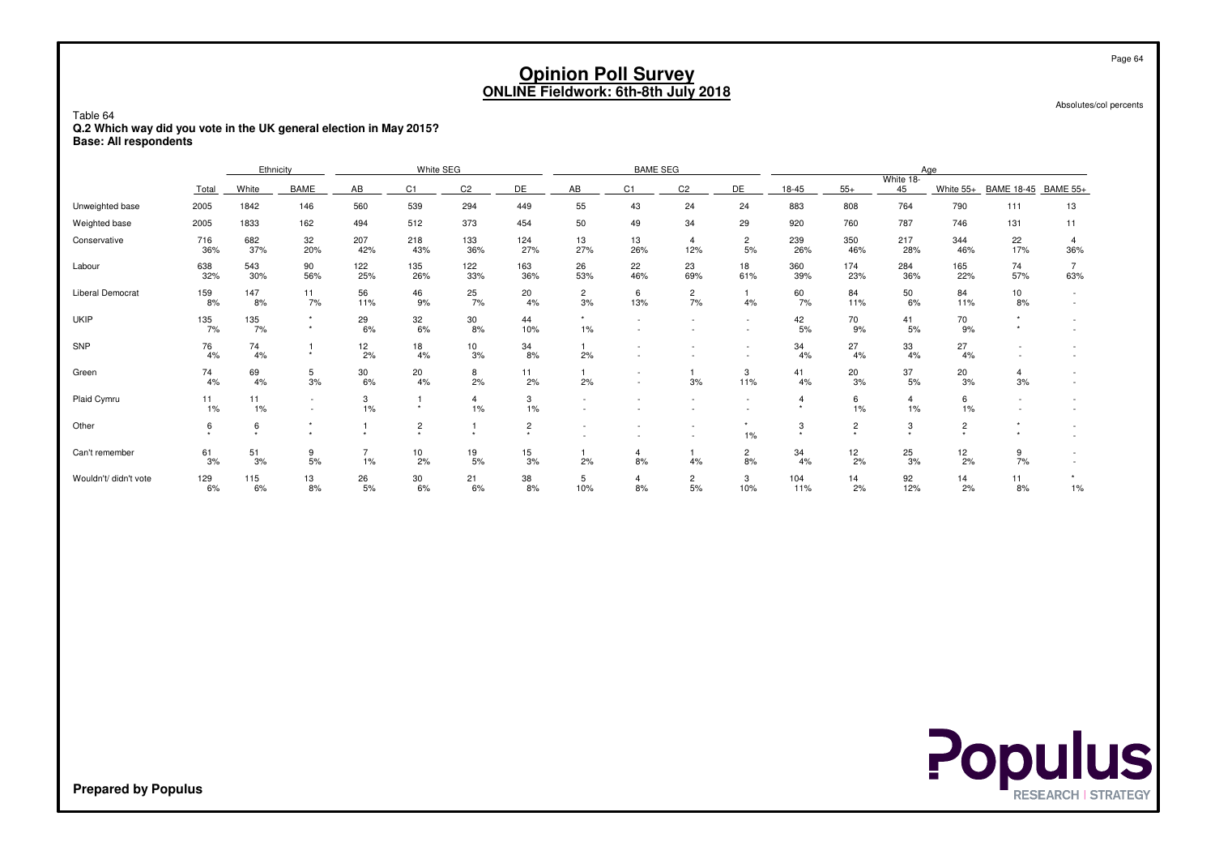Absolutes/col percents

Table 64 **Q.2 Which way did you vote in the UK general election in May 2015?Base: All respondents**

|                       |             | Ethnicity          |                                    |            | White SEG                   |                      |                                 |                          | <b>BAME SEG</b> |                       |                                                      |                  |                |                      | Age                 |                       |                 |
|-----------------------|-------------|--------------------|------------------------------------|------------|-----------------------------|----------------------|---------------------------------|--------------------------|-----------------|-----------------------|------------------------------------------------------|------------------|----------------|----------------------|---------------------|-----------------------|-----------------|
|                       |             |                    |                                    |            |                             |                      |                                 |                          |                 |                       |                                                      |                  |                | White 18-            |                     |                       |                 |
|                       | Total       | White              | <b>BAME</b>                        | AB         | C1                          | C <sub>2</sub>       | DE                              | AB                       | C <sub>1</sub>  | C <sub>2</sub>        | DE                                                   | $18-45$          | $55+$          | 45                   | White 55+           | <b>BAME 18-45</b>     | <b>BAME 55+</b> |
| Unweighted base       | 2005        | 1842               | 146                                | 560        | 539                         | 294                  | 449                             | 55                       | 43              | 24                    | 24                                                   | 883              | 808            | 764                  | 790                 | 111                   | 13              |
| Weighted base         | 2005        | 1833               | 162                                | 494        | 512                         | 373                  | 454                             | 50                       | 49              | 34                    | 29                                                   | 920              | 760            | 787                  | 746                 | 131                   | 11              |
| Conservative          | 716<br>36%  | 682<br>37%         | 32<br>20%                          | 207<br>42% | 218<br>43%                  | 133<br>36%           | 124<br>27%                      | 13<br>27%                | 13<br>26%       | $\overline{4}$<br>12% | $\overline{2}$<br>5%                                 | 239<br>26%       | 350<br>46%     | 217<br>28%           | 344<br>46%          | 22<br>17%             | 36%             |
| Labour                | 638<br>32%  | 543<br>30%         | 90<br>56%                          | 122<br>25% | 135<br>26%                  | 122<br>33%           | 163<br>36%                      | 26<br>53%                | 22<br>46%       | 23<br>69%             | 18<br>61%                                            | 360<br>39%       | 174<br>23%     | 284<br>36%           | 165<br>22%          | 74<br>57%             | 63%             |
| Liberal Democrat      | 159<br>8%   | 147<br>8%          | 11<br>7%                           | 56<br>11%  | 46<br>9%                    | 25<br>7%             | 20<br>4%                        | $\overline{c}$<br>3%     | 6<br>13%        | $\overline{c}$<br>7%  | 4%                                                   | 60<br>7%         | 84<br>11%      | 50<br>6%             | 84<br>11%           | 10 <sup>1</sup><br>8% |                 |
| <b>UKIP</b>           | 135<br>7%   | 135<br>7%          | $\star$<br>$\ddot{}$               | 29<br>6%   | 32<br>6%                    | 30<br>8%             | 44<br>10%                       | $\star$<br>1%            |                 |                       | $\overline{\phantom{a}}$<br>$\overline{\phantom{a}}$ | 42<br>5%         | 70<br>9%       | 41<br>5%             | 70<br>9%            |                       |                 |
| SNP                   | 76<br>4%    | 74<br>4%           | $\ddot{}$                          | 12<br>2%   | 18<br>4%                    | 10<br>3%             | 34<br>8%                        | 2%                       |                 |                       | $\overline{\phantom{a}}$                             | 34<br>4%         | 27<br>4%       | 33<br>4%             | 27<br>4%            |                       |                 |
| Green                 | 74<br>4%    | 69<br>4%           | 5<br>3%                            | 30<br>6%   | 20<br>4%                    | 8<br>2%              | 11<br>2%                        | 2%                       |                 | 3%                    | 3<br>11%                                             | 41<br>4%         | 20<br>3%       | 37<br>5%             | 20<br>3%            | $\overline{4}$<br>3%  |                 |
| Plaid Cymru           | 11<br>$1\%$ | 11<br>1%           | $\sim$<br>$\overline{\phantom{a}}$ | 3<br>1%    | $\star$                     | $\overline{4}$<br>1% | 3<br>1%                         |                          |                 |                       | $\overline{\phantom{a}}$                             | $\boldsymbol{4}$ | 6<br>1%        | $\overline{4}$<br>1% | 6<br>$1\%$          |                       |                 |
| Other                 | 6<br>٠      | 6<br>$\rightarrow$ |                                    |            | $\overline{c}$<br>$\ddot{}$ |                      | $\overline{c}$<br>$\rightarrow$ | $\overline{\phantom{a}}$ |                 |                       | $1\%$                                                | 3                | $\overline{2}$ | 3<br>$\ddot{}$       | $\overline{2}$<br>٠ |                       |                 |
| Can't remember        | 61<br>3%    | 51<br>3%           | 9<br>5%                            | 1%         | 10<br>2%                    | 19<br>5%             | 15<br>3%                        | 2%                       | 4<br>8%         | 4%                    | $\overline{c}$<br>8%                                 | 34<br>4%         | 12<br>2%       | 25<br>3%             | 12<br>2%            | 9<br>7%               |                 |
| Wouldn't/ didn't vote | 129<br>6%   | 115<br>6%          | 13<br>8%                           | 26<br>5%   | 30<br>6%                    | 21<br>6%             | 38<br>8%                        | 5<br>10%                 | 4<br>8%         | $\overline{c}$<br>5%  | 3<br>10%                                             | 104<br>11%       | 14<br>2%       | 92<br>12%            | 14<br>2%            | 11<br>8%              | $1\%$           |

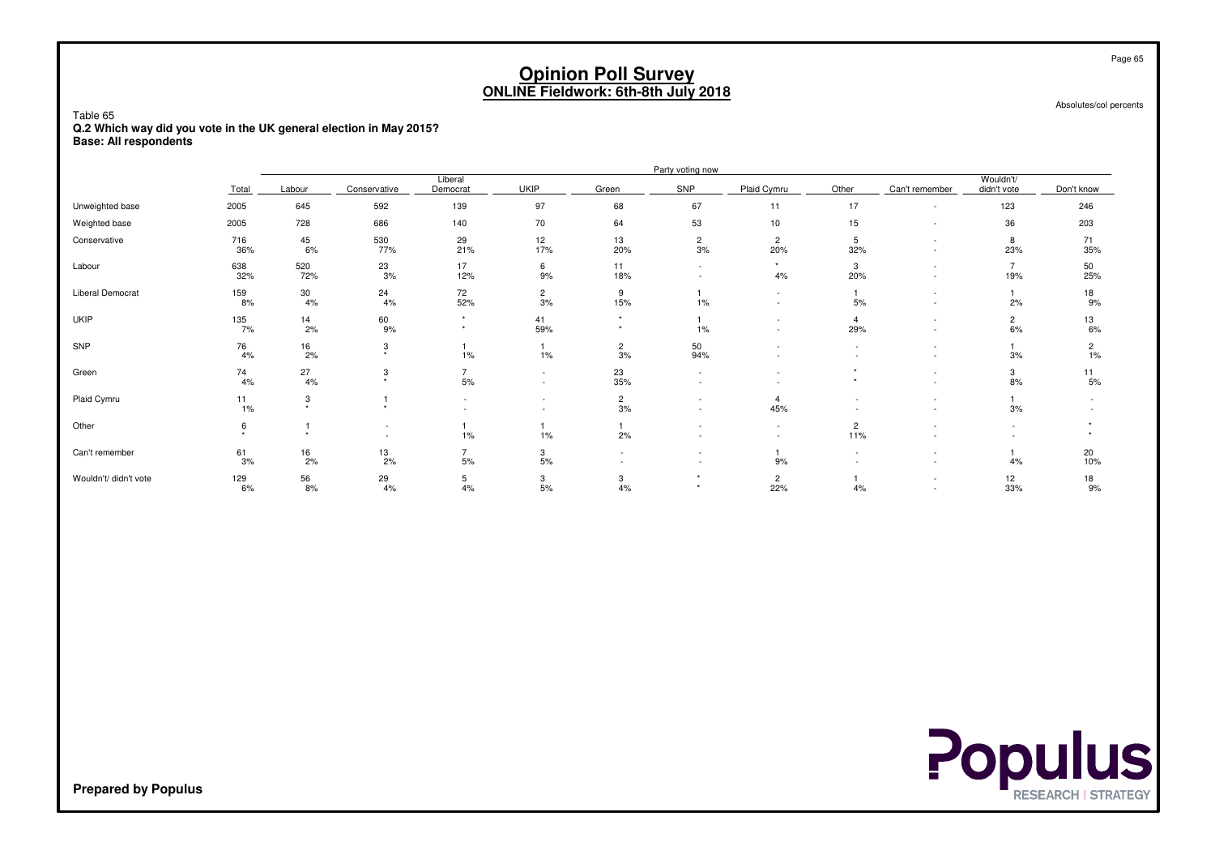Absolutes/col percents

Table 65 **Q.2 Which way did you vote in the UK general election in May 2015?Base: All respondents**

|                       |                  | Party voting now          |                           |                        |                                                      |                      |                        |                                                      |                       |                          |                          |            |  |  |
|-----------------------|------------------|---------------------------|---------------------------|------------------------|------------------------------------------------------|----------------------|------------------------|------------------------------------------------------|-----------------------|--------------------------|--------------------------|------------|--|--|
|                       | Total            | Labour                    | Conservative              | Liberal<br>Democrat    | <b>UKIP</b>                                          | Green                | SNP                    | Plaid Cymru                                          | Other                 | Can't remember           | Wouldn't/<br>didn't vote | Don't know |  |  |
| Unweighted base       | 2005             | 645                       | 592                       | 139                    | 97                                                   | 68                   | 67                     | 11                                                   | 17                    |                          | 123                      | 246        |  |  |
| Weighted base         | 2005             | 728                       | 686                       | 140                    | 70                                                   | 64                   | 53                     | 10                                                   | 15                    | $\overline{\phantom{a}}$ | 36                       | 203        |  |  |
| Conservative          | 716<br>36%       | 45<br>6%                  | 530<br>77%                | 29<br>21%              | 12<br>17%                                            | 13<br>20%            | $\overline{c}$<br>$3%$ | $\overline{c}$<br>20%                                | 5<br>32%              |                          | 8<br>23%                 | 71<br>35%  |  |  |
| Labour                | 638<br>32%       | 520<br>72%                | 23<br>3%                  | 17<br>12%              | 6<br>9%                                              | 11<br>18%            |                        | 4%                                                   | 3<br>20%              | $\overline{\phantom{a}}$ | $\overline{7}$<br>19%    | 50<br>25%  |  |  |
| Liberal Democrat      | 159<br>8%        | 30<br>4%                  | 24<br>4%                  | 72<br>52%              | $\overline{2}$<br>3%                                 | 9<br>15%             | $1\%$                  | $\sim$                                               | 5%                    | $\overline{\phantom{a}}$ | 2%                       | 18<br>9%   |  |  |
| <b>UKIP</b>           | 135<br>7%        | $\frac{14}{2\%}$          | 60<br>9%                  | $\star$                | 41<br>59%                                            |                      | $1\%$                  |                                                      | $\overline{4}$<br>29% | $\overline{\phantom{a}}$ | $\overline{c}$<br>6%     | 13<br>6%   |  |  |
| SNP                   | 76<br>4%         | $\frac{16}{2\%}$          | 3<br>$\ddot{}$            | 1%                     | 1%                                                   | $\overline{2}$<br>3% | 50<br>94%              |                                                      |                       | $\overline{\phantom{a}}$ | 3%                       | 2<br>1%    |  |  |
| Green                 | 74<br>4%         | 27<br>4%                  | 3<br>$\ddot{\phantom{1}}$ | $\overline{7}$<br>$5%$ | $\overline{\phantom{a}}$<br>$\overline{\phantom{a}}$ | 23<br>35%            |                        |                                                      |                       |                          | 3<br>8%                  | 11<br>5%   |  |  |
| Plaid Cymru           | $\frac{11}{1\%}$ | 3<br>$\ddot{\phantom{1}}$ | $\star$                   | $\sim$                 | $\overline{\phantom{a}}$                             | $\overline{2}$<br>3% |                        | 4<br>45%                                             |                       |                          | 3%                       |            |  |  |
| Other                 | 6                |                           |                           | $1\%$                  | 1%                                                   | 2%                   |                        | $\overline{\phantom{a}}$<br>$\overline{\phantom{a}}$ | $\overline{c}$<br>11% |                          |                          |            |  |  |
| Can't remember        | 61<br>3%         | 16<br>2%                  | $\frac{13}{2\%}$          | $\overline{7}$<br>5%   | 3<br>5%                                              |                      |                        | 9%                                                   |                       | $\overline{\phantom{a}}$ | 4%                       | 20<br>10%  |  |  |
| Wouldn't/ didn't vote | 129<br>6%        | 56<br>8%                  | 29<br>4%                  | 5<br>4%                | 3<br>5%                                              | 3<br>4%              |                        | $\overline{c}$<br>22%                                | 4%                    | $\overline{\phantom{a}}$ | 12<br>33%                | 18<br>9%   |  |  |

# **Populus**

**Prepared by Populus**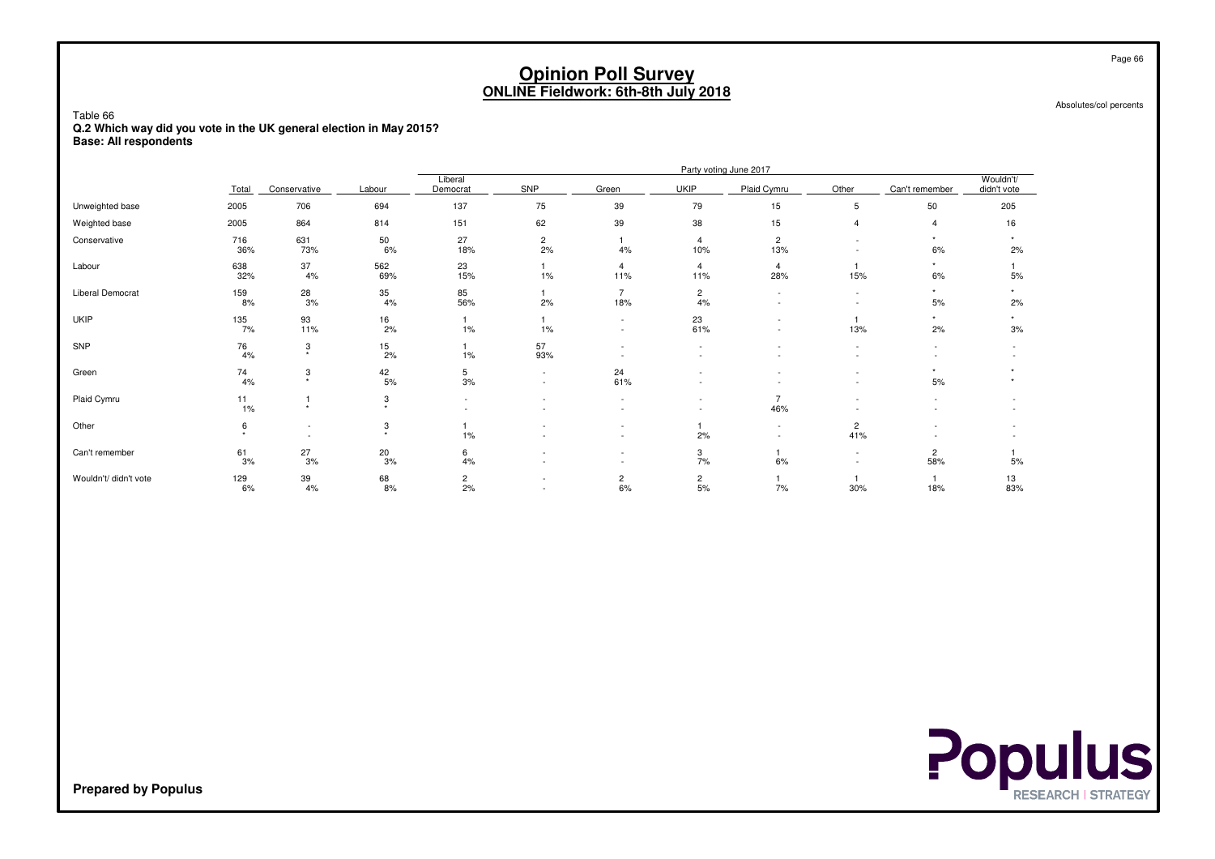Absolutes/col percents

Page 66

Table 66 **Q.2 Which way did you vote in the UK general election in May 2015?Base: All respondents**

|                       |            |                                                      |                  |                      |                      |                          |                               | Party voting June 2017                               |                                                      |                |                          |
|-----------------------|------------|------------------------------------------------------|------------------|----------------------|----------------------|--------------------------|-------------------------------|------------------------------------------------------|------------------------------------------------------|----------------|--------------------------|
|                       | Total      | Conservative                                         | Labour           | Liberal<br>Democrat  | SNP                  | Green                    | <b>UKIP</b>                   | Plaid Cymru                                          | Other                                                | Can't remember | Wouldn't/<br>didn't vote |
| Unweighted base       | 2005       | 706                                                  | 694              | 137                  | 75                   | 39                       | 79                            | 15                                                   | 5                                                    | 50             | 205                      |
| Weighted base         | 2005       | 864                                                  | 814              | 151                  | 62                   | 39                       | 38                            | 15                                                   | 4                                                    |                | 16                       |
| Conservative          | 716<br>36% | 631<br>73%                                           | 50<br>6%         | 27<br>18%            | $\overline{c}$<br>2% | 4%                       | $\overline{4}$<br>10%         | $\overline{2}$<br>13%                                | $\overline{\phantom{a}}$                             | ٠<br>6%        | $\star$<br>2%            |
| Labour                | 638<br>32% | 37<br>4%                                             | 562<br>69%       | 23<br>15%            | 1%                   | $\overline{4}$<br>11%    | $\overline{4}$<br>11%         | 4<br>28%                                             | 15%                                                  | $\star$<br>6%  | 5%                       |
| Liberal Democrat      | 159<br>8%  | 28<br>3%                                             | 35<br>4%         | 85<br>56%            | 2%                   | $\overline{7}$<br>18%    | $\overline{c}$<br>4%          |                                                      | $\overline{\phantom{a}}$                             | $\star$<br>5%  | $\star$<br>2%            |
| <b>UKIP</b>           | 135<br>7%  | 93<br>11%                                            | 16<br>2%         | $1\%$                | 1%                   | $\sim$<br>$\sim$         | 23<br>61%                     | $\overline{\phantom{0}}$                             | 13%                                                  | $\star$<br>2%  | $\star$<br>3%            |
| SNP                   | 76<br>4%   | $\frac{3}{\ast}$                                     | $\frac{15}{2\%}$ | $1\%$                | 57<br>93%            |                          |                               |                                                      |                                                      |                |                          |
| Green                 | 74<br>4%   | 3<br>$\star$                                         | $\frac{42}{5\%}$ | 5<br>3%              | $\sim$<br>$\sim$     | 24<br>61%                |                               |                                                      | $\overline{\phantom{a}}$<br>$\overline{\phantom{a}}$ | $\star$<br>5%  |                          |
| Plaid Cymru           | 11<br>1%   | $\star$                                              | 3<br>$\star$     |                      |                      |                          | -<br>$\overline{\phantom{a}}$ | 46%                                                  |                                                      |                |                          |
| Other                 | 6<br>٠     | $\overline{\phantom{a}}$<br>$\overline{\phantom{a}}$ | 3<br>$\star$     | 1%                   |                      |                          | 2%                            | $\overline{\phantom{a}}$<br>$\overline{\phantom{a}}$ | $\overline{2}$<br>41%                                |                |                          |
| Can't remember        | 61<br>3%   | 27<br>3%                                             | $\frac{20}{3%}$  | 6<br>4%              |                      | $\overline{\phantom{a}}$ | 3<br>7%                       | 6%                                                   | $\overline{\phantom{a}}$<br>$\overline{\phantom{a}}$ | 2<br>58%       | $5%$                     |
| Wouldn't/ didn't vote | 129<br>6%  | 39<br>4%                                             | 68<br>8%         | $\overline{c}$<br>2% |                      | $\overline{c}$<br>6%     | $\overline{c}$<br>5%          | 7%                                                   | 30%                                                  | 18%            | 13<br>83%                |

**Populus**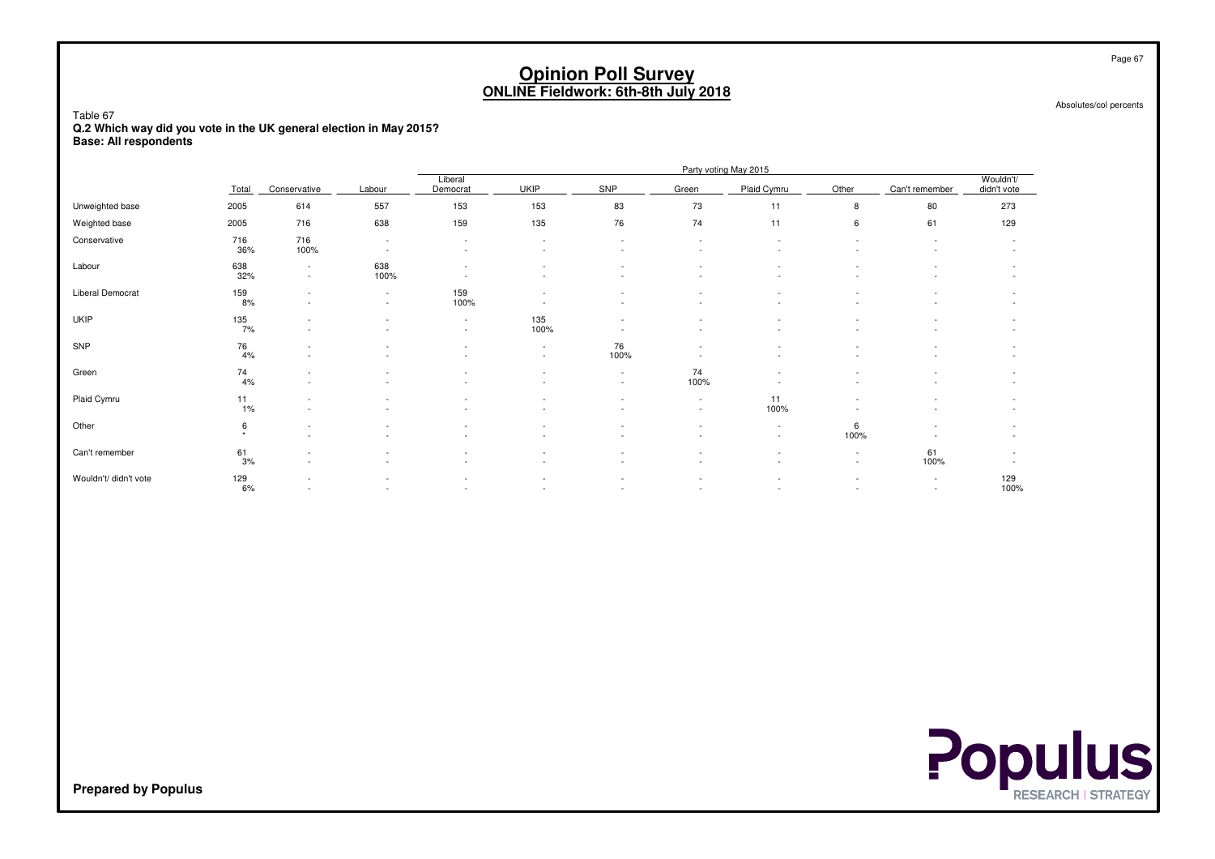Absolutes/col percents

Page 67

Table 67 **Q.2 Which way did you vote in the UK general election in May 2015?Base: All respondents**

|                         |              |                                                      |                                                      |                                    |             |                          |                          | Party voting May 2015                                |                                                      |                          |                                    |
|-------------------------|--------------|------------------------------------------------------|------------------------------------------------------|------------------------------------|-------------|--------------------------|--------------------------|------------------------------------------------------|------------------------------------------------------|--------------------------|------------------------------------|
|                         | Total        | Conservative                                         | Labour                                               | Liberal<br>Democrat                | <b>UKIP</b> | SNP                      | Green                    | Plaid Cymru                                          | Other                                                | Can't remember           | Wouldn't/<br>didn't vote           |
| Unweighted base         | 2005         | 614                                                  | 557                                                  | 153                                | 153         | 83                       | 73                       | 11                                                   | 8                                                    | 80                       | 273                                |
| Weighted base           | 2005         | 716                                                  | 638                                                  | 159                                | 135         | 76                       | 74                       | 11                                                   | 6                                                    | 61                       | 129                                |
| Conservative            | 716<br>36%   | 716<br>100%                                          | $\overline{\phantom{a}}$<br>$\overline{\phantom{a}}$ | $\overline{\phantom{a}}$           |             |                          |                          |                                                      |                                                      |                          | $\overline{\phantom{a}}$           |
| Labour                  | 638<br>32%   | $\overline{\phantom{a}}$<br>$\sim$                   | 638<br>100%                                          |                                    |             | $\overline{\phantom{a}}$ | $\overline{\phantom{a}}$ | $\overline{\phantom{a}}$                             | ٠                                                    |                          | $\overline{\phantom{a}}$<br>$\sim$ |
| <b>Liberal Democrat</b> | 159<br>8%    | $\overline{\phantom{a}}$<br>$\overline{\phantom{a}}$ | $\overline{\phantom{a}}$<br>$\sim$                   | 159<br>100%                        |             |                          |                          |                                                      |                                                      |                          | $\overline{\phantom{a}}$           |
| <b>UKIP</b>             | 135<br>7%    | $\overline{\phantom{a}}$<br>$\sim$                   | $\sim$                                               | $\overline{\phantom{a}}$<br>$\sim$ | 135<br>100% |                          | н.                       | ٠<br>$\overline{\phantom{a}}$                        | ٠                                                    | $\overline{\phantom{a}}$ | $\overline{\phantom{a}}$<br>$\sim$ |
| SNP                     | 76<br>4%     | $\sim$                                               |                                                      |                                    | $\sim$      | 76<br>100%               |                          |                                                      |                                                      |                          | $\sim$                             |
| Green                   | 74<br>4%     | $\overline{\phantom{a}}$<br>٠                        |                                                      |                                    |             | $\sim$<br>$\sim$         | 74<br>100%               |                                                      |                                                      |                          | $\overline{\phantom{a}}$           |
| Plaid Cymru             | 11<br>1%     | $\overline{\phantom{a}}$<br>$\sim$                   |                                                      |                                    |             |                          | $\sim$<br>$\sim$         | 11<br>100%                                           |                                                      |                          | $\sim$                             |
| Other                   | 6<br>$\star$ | $\overline{\phantom{a}}$<br>$\overline{\phantom{a}}$ |                                                      |                                    |             |                          |                          | $\overline{\phantom{a}}$<br>$\overline{\phantom{a}}$ | 6<br>100%                                            |                          | $\overline{\phantom{a}}$           |
| Can't remember          | 61<br>3%     | $\overline{\phantom{a}}$                             |                                                      |                                    |             |                          |                          |                                                      | $\overline{\phantom{a}}$<br>$\overline{\phantom{a}}$ | 61<br>100%               |                                    |
| Wouldn't/ didn't vote   | 129<br>6%    | $\overline{\phantom{a}}$<br>$\overline{\phantom{a}}$ |                                                      |                                    |             | $\overline{\phantom{a}}$ |                          | $\overline{\phantom{a}}$<br>$\overline{\phantom{a}}$ | $\overline{\phantom{m}}$<br>٠                        | $\sim$<br>$\sim$         | 129<br>100%                        |

**Populus**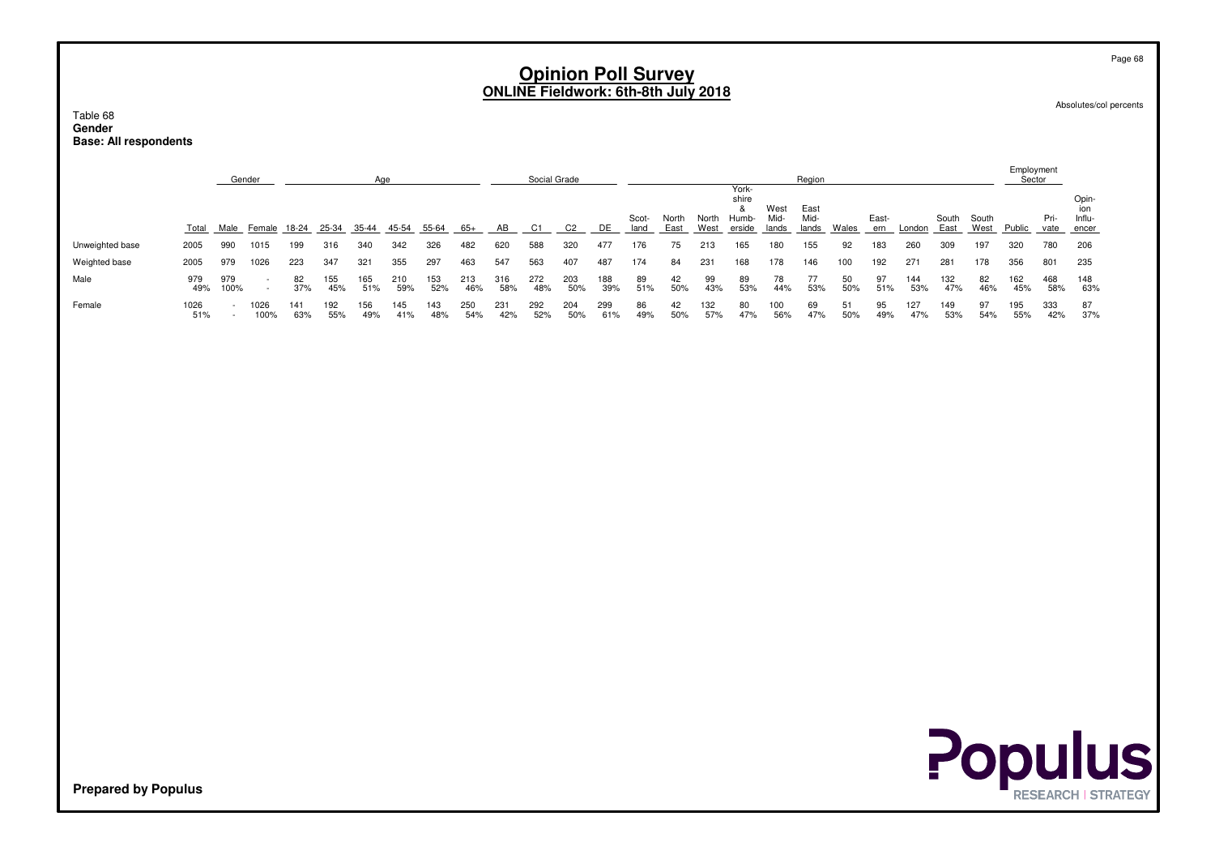Absolutes/col percents

Table 68 **GenderBase: All respondents**

|                            |              |                  | Gender            |            |            | Age         |            |            |            |            | Social Grade |                |            |               |               |               |                                                     |                       | Region                |              |              |            |               |               | Employment<br>Sector |              |                                 |
|----------------------------|--------------|------------------|-------------------|------------|------------|-------------|------------|------------|------------|------------|--------------|----------------|------------|---------------|---------------|---------------|-----------------------------------------------------|-----------------------|-----------------------|--------------|--------------|------------|---------------|---------------|----------------------|--------------|---------------------------------|
|                            | <b>Total</b> |                  | Male Female 18-24 |            | $25 - 34$  | 35-44 45-54 |            | $55 - 64$  | $-65+$     | AB         | C1           | C <sub>2</sub> | DE         | Scot-<br>land | North<br>East | North<br>West | York-<br>shire<br>8 <sub>1</sub><br>Humb-<br>erside | West<br>Mid-<br>lands | East<br>Mid-<br>lands | <b>Wales</b> | East-<br>ern | London     | South<br>East | South<br>West | Public               | Pri-<br>vate | Opin-<br>ion<br>Influ-<br>encer |
| Unweighted base            | 2005         | 990              | 1015              | 199        | 316        | 340         | 342        | 326        | 482        | 620        | 588          | 320            | 477        | 176           | 75            | 213           | 165                                                 | 180                   | 155                   | 92           | 183          | 260        | 309           | 197           | 320                  | 780          | 206                             |
| Weighted base              | 2005         | 979              | 1026              | 223        | 347        | 321         | 355        | 297        | 463        | 547        | 563          | 407            | 487        | 174           | 84            | 231           | 168                                                 | 178                   | 146                   | 100          | 192          | 271        | 281           | 178           | 356                  | 801          | 235                             |
| Male                       | 979<br>49%   | 979<br>100%      | $\sim$<br>$\sim$  | 82<br>37%  | 155<br>45% | 165<br>51%  | 210<br>59% | 153<br>52% | 213<br>46% | 316<br>58% | 272<br>48%   | 203<br>50%     | 188<br>39% | 89<br>51%     | 42<br>50%     | 99<br>43%     | 89<br>53%                                           | 78<br>44%             | 77<br>53%             | 50<br>50%    | 97<br>51%    | 144<br>53% | 132<br>47%    | 82<br>46%     | 162<br>45%           | 468<br>58%   | 148<br>63%                      |
| Female                     | 1026<br>51%  | $\sim$<br>$\sim$ | 1026<br>100%      | 141<br>63% | 192<br>55% | 156<br>49%  | 145<br>41% | 143<br>48% | 250<br>54% | 231<br>42% | 292<br>52%   | 204<br>50%     | 299<br>61% | 86<br>49%     | 42<br>50%     | 132<br>57%    | 80<br>47%                                           | 100<br>56%            | 69<br>47%             | 51<br>50%    | 95<br>49%    | 127<br>47% | 149<br>53%    | 97<br>54%     | 195<br>55%           | 333<br>42%   | 87<br>37%                       |
|                            |              |                  |                   |            |            |             |            |            |            |            |              |                |            |               |               |               |                                                     |                       |                       |              |              |            |               |               |                      |              |                                 |
|                            |              |                  |                   |            |            |             |            |            |            |            |              |                |            |               |               |               |                                                     |                       |                       |              |              |            |               |               |                      |              |                                 |
|                            |              |                  |                   |            |            |             |            |            |            |            |              |                |            |               |               |               |                                                     |                       |                       |              |              |            |               |               |                      |              |                                 |
|                            |              |                  |                   |            |            |             |            |            |            |            |              |                |            |               |               |               |                                                     |                       |                       |              |              |            |               |               |                      |              |                                 |
|                            |              |                  |                   |            |            |             |            |            |            |            |              |                |            |               |               |               |                                                     |                       |                       |              |              |            |               |               |                      |              |                                 |
|                            |              |                  |                   |            |            |             |            |            |            |            |              |                |            |               |               |               |                                                     |                       |                       |              |              |            |               |               |                      |              |                                 |
|                            |              |                  |                   |            |            |             |            |            |            |            |              |                |            |               |               |               |                                                     |                       |                       |              |              |            |               |               |                      |              | <b>Populus</b>                  |
| <b>Prepared by Populus</b> |              |                  |                   |            |            |             |            |            |            |            |              |                |            |               |               |               |                                                     |                       |                       |              |              |            |               |               |                      |              | <b>RESEARCH   STRATEGY</b>      |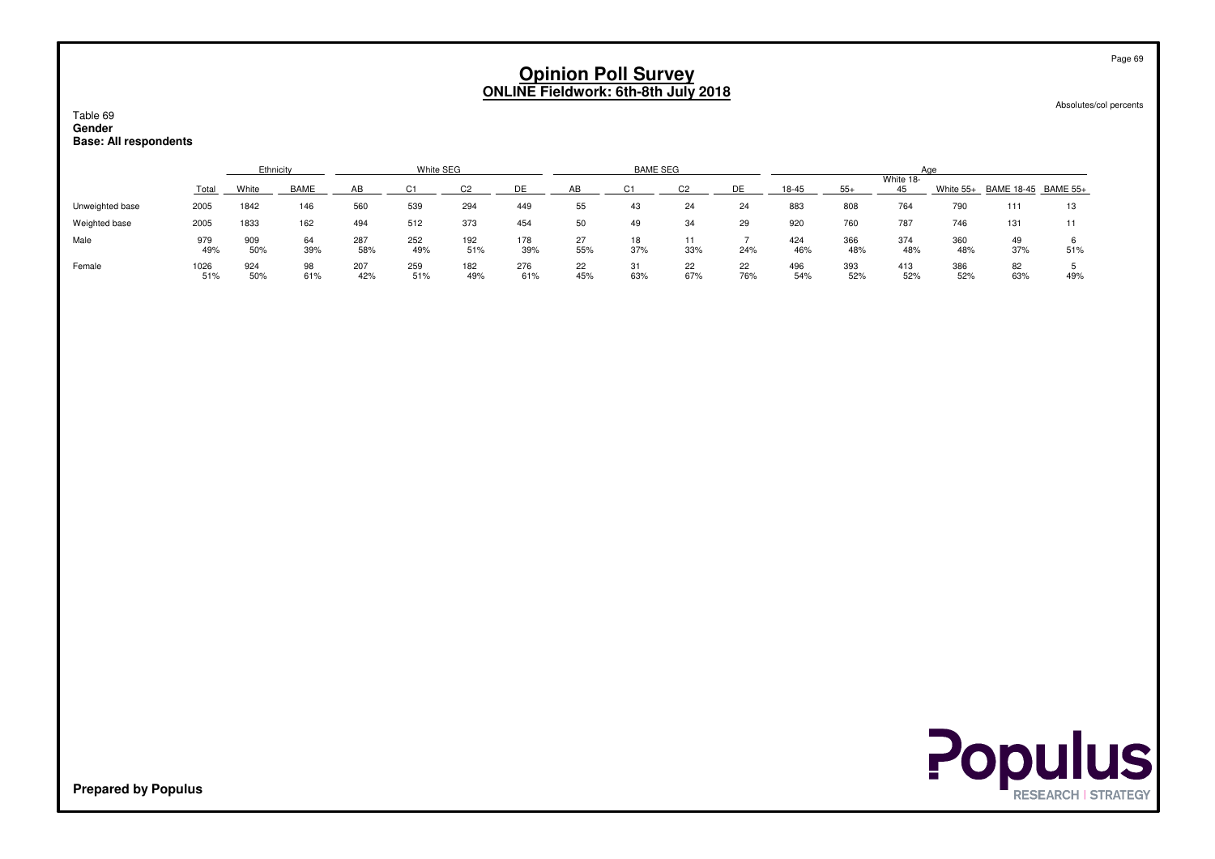Absolutes/col percents

#### Table 69**Gender**

#### **Base: All respondents**

|                 |             | Ethnicity<br>White SEG |             |            |            |            |            |           | <b>BAME SEG</b> |           |           |            |            | Aae             |            |                               |     |
|-----------------|-------------|------------------------|-------------|------------|------------|------------|------------|-----------|-----------------|-----------|-----------|------------|------------|-----------------|------------|-------------------------------|-----|
|                 | Total       | White                  | <b>BAME</b> |            |            |            | <b>DE</b>  |           |                 |           |           | $18 - 45$  |            | White 18-<br>45 |            | White 55+ BAME 18-45 BAME 55+ |     |
| Unweighted base | 2005        | 1842                   | 146         | 560        | 539        | 294        | 449        | 55        | 43              | 24        | 24        | 883        | 808        | 764             | 790        | 111                           | 13  |
| Weighted base   | 2005        | 1833                   | 162         | 494        | 512        | 373        | 454        | 50        | 49              | 34        | 29        | 920        | 760        | 787             | 746        | 131                           |     |
| Male            | 979<br>49%  | 909<br>50%             | 64<br>39%   | 287<br>58% | 252<br>49% | 192<br>51% | 178<br>39% | 27<br>55% | 18<br>37%       | 11<br>33% | 24%       | 424<br>46% | 366<br>48% | 374<br>48%      | 360<br>48% | 49<br>37%                     | 51% |
| Female          | 1026<br>51% | 924<br>50%             | 98<br>61%   | 207<br>42% | 259<br>51% | 182<br>49% | 276<br>61% | 22<br>45% | 31<br>63%       | 22<br>67% | 22<br>76% | 496<br>54% | 393<br>52% | 413<br>52%      | 386<br>52% | 82<br>63%                     | 49% |



**Prepared by Populus**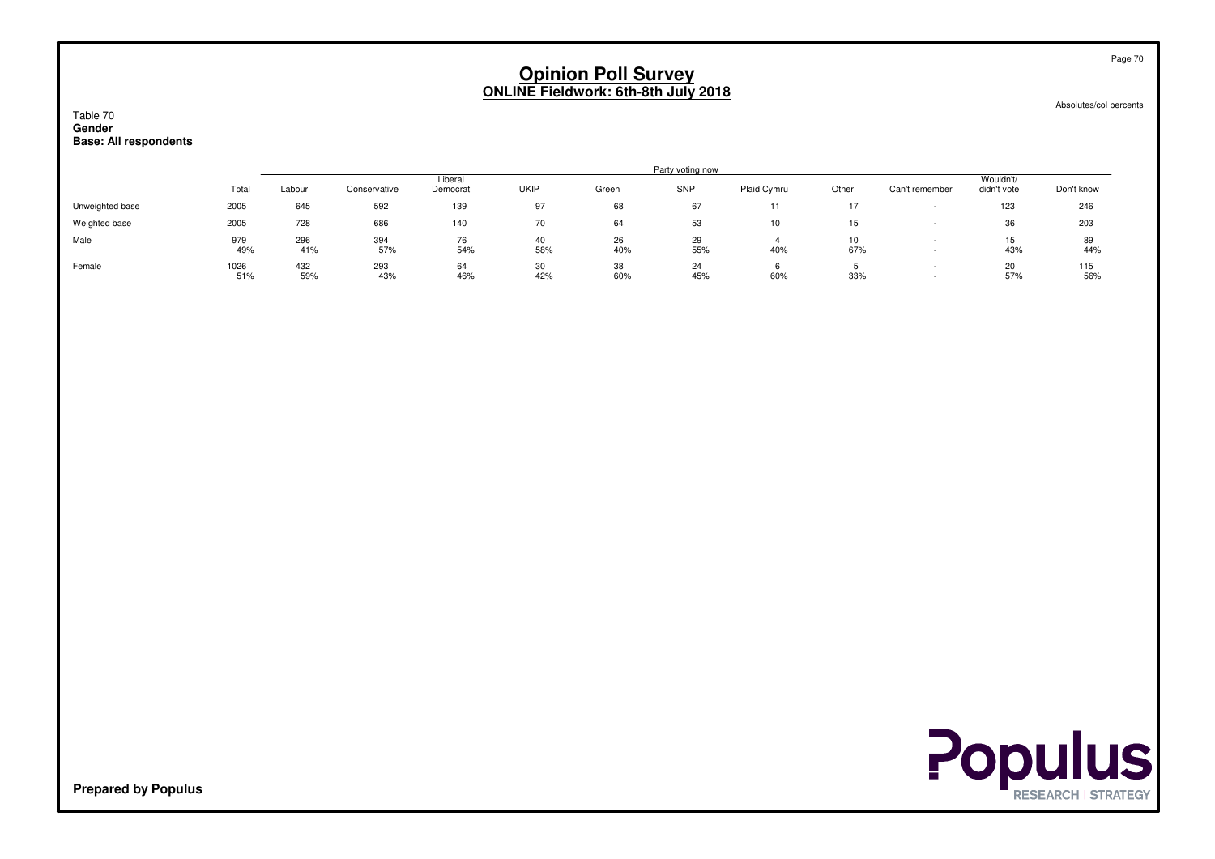#### Absolutes/col percents

#### Table 70 **GenderBase: All respondents**

|                 |             | Party voting now |              |                     |           |           |           |             |           |                |                          |            |  |  |  |
|-----------------|-------------|------------------|--------------|---------------------|-----------|-----------|-----------|-------------|-----------|----------------|--------------------------|------------|--|--|--|
|                 | Total       | Labour           | Conservative | Liberal<br>Democrat | UKIF      | Green     | SNP       | Plaid Cymru | Other     | Can't remember | Wouldn't/<br>didn't vote | Don't know |  |  |  |
| Unweighted base | 2005        | 645              | 592          | 139                 | 97        | 68        | 67        | .           |           |                | 123                      | 246        |  |  |  |
| Weighted base   | 2005        | 728              | 686          | 140                 | 70        | 64        | 53        | 10          | 15        |                | 36                       | 203        |  |  |  |
| Male            | 979<br>49%  | 296<br>41%       | 394<br>57%   | 76<br>54%           | 40<br>58% | 26<br>40% | 29<br>55% | 40%         | 10<br>67% |                | 15<br>43%                | 89<br>44%  |  |  |  |
| Female          | 1026<br>51% | 432<br>59%       | 293<br>43%   | 64<br>46%           | 30<br>42% | 38<br>60% | 24<br>45% | 60%         | 33%       |                | 20<br>57%                | 115<br>56% |  |  |  |

**Populus** 

**Prepared by Populus**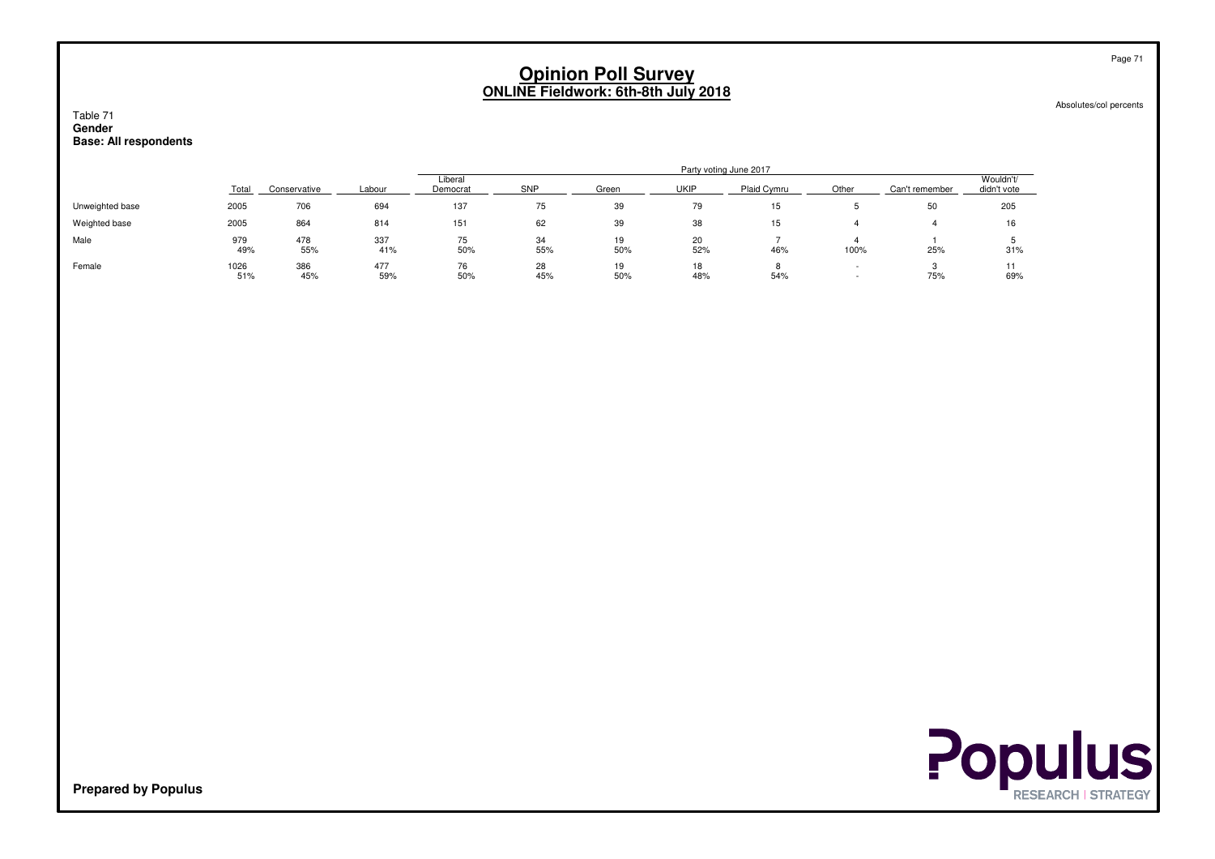Absolutes/col percents

#### Table 71 **GenderBase: All respondents**

|                 | Party voting June 2017 |              |            |                     |            |           |             |             |       |                |                          |
|-----------------|------------------------|--------------|------------|---------------------|------------|-----------|-------------|-------------|-------|----------------|--------------------------|
|                 | Total                  | Conservative | Labour     | Liberal<br>Democrat | <b>SNP</b> | Green     | <b>UKIP</b> | Plaid Cymru | Other | Can't remember | Wouldn't/<br>didn't vote |
| Unweighted base | 2005                   | 706          | 694        | 137                 | 75         | 39        | 79          | 15          |       | 50             | 205                      |
| Weighted base   | 2005                   | 864          | 814        | 151                 | 62         | 39        | 38          | 15          |       |                | 16                       |
| Male            | 979<br>49%             | 478<br>55%   | 337<br>41% | 75<br>50%           | 34<br>55%  | 19<br>50% | 20<br>52%   | 46%         | 100%  | 25%            | 31%                      |
| Female          | 1026<br>51%            | 386<br>45%   | 477<br>59% | 76<br>50%           | 28<br>45%  | 19<br>50% | 18<br>48%   | 54%         |       | 75%            | 69%                      |



**Prepared by Populus**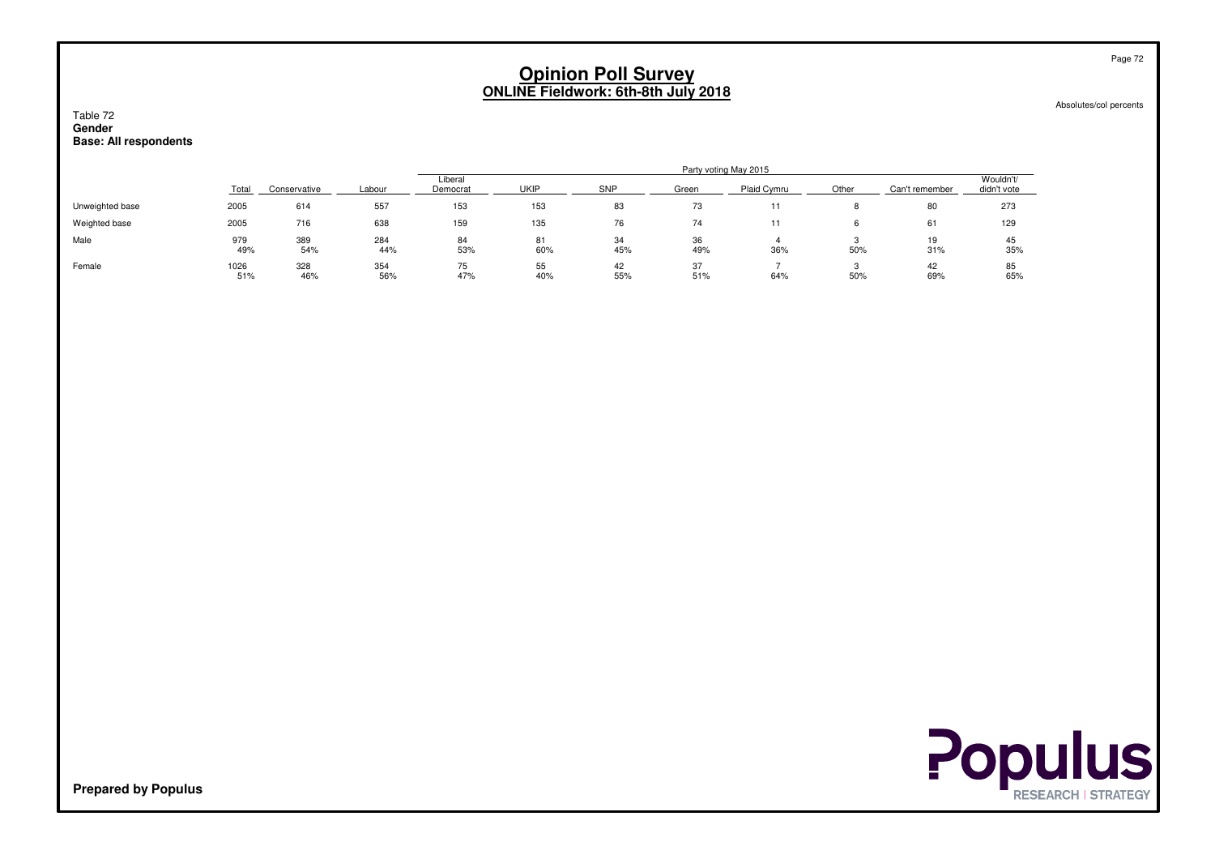Absolutes/col percents

#### Table 72 **GenderBase: All respondents**

|                 |             |              |            | Party voting May 2015 |             |            |           |             |       |                |                          |  |  |  |  |
|-----------------|-------------|--------------|------------|-----------------------|-------------|------------|-----------|-------------|-------|----------------|--------------------------|--|--|--|--|
|                 | Total       | Conservative | Labour     | Liberal<br>Democrat   | <b>UKIP</b> | <b>SNP</b> | Green     | Plaid Cymru | Other | Can't remember | Wouldn't/<br>didn't vote |  |  |  |  |
| Unweighted base | 2005        | 614          | 557        | 153                   | 153         | 83         | 73        |             |       | 80             | 273                      |  |  |  |  |
| Weighted base   | 2005        | 716          | 638        | 159                   | 135         | 76         | 74        |             |       | 61             | 129                      |  |  |  |  |
| Male            | 979<br>49%  | 389<br>54%   | 284<br>44% | 84<br>53%             | 81<br>60%   | 34<br>45%  | 36<br>49% | 36%         | 50%   | 19<br>31%      | 45<br>35%                |  |  |  |  |
| Female          | 1026<br>51% | 328<br>46%   | 354<br>56% | 75<br>47%             | 55<br>40%   | 42<br>55%  | 37<br>51% | 64%         | 50%   | 42<br>69%      | 85<br>65%                |  |  |  |  |



**Prepared by Populus**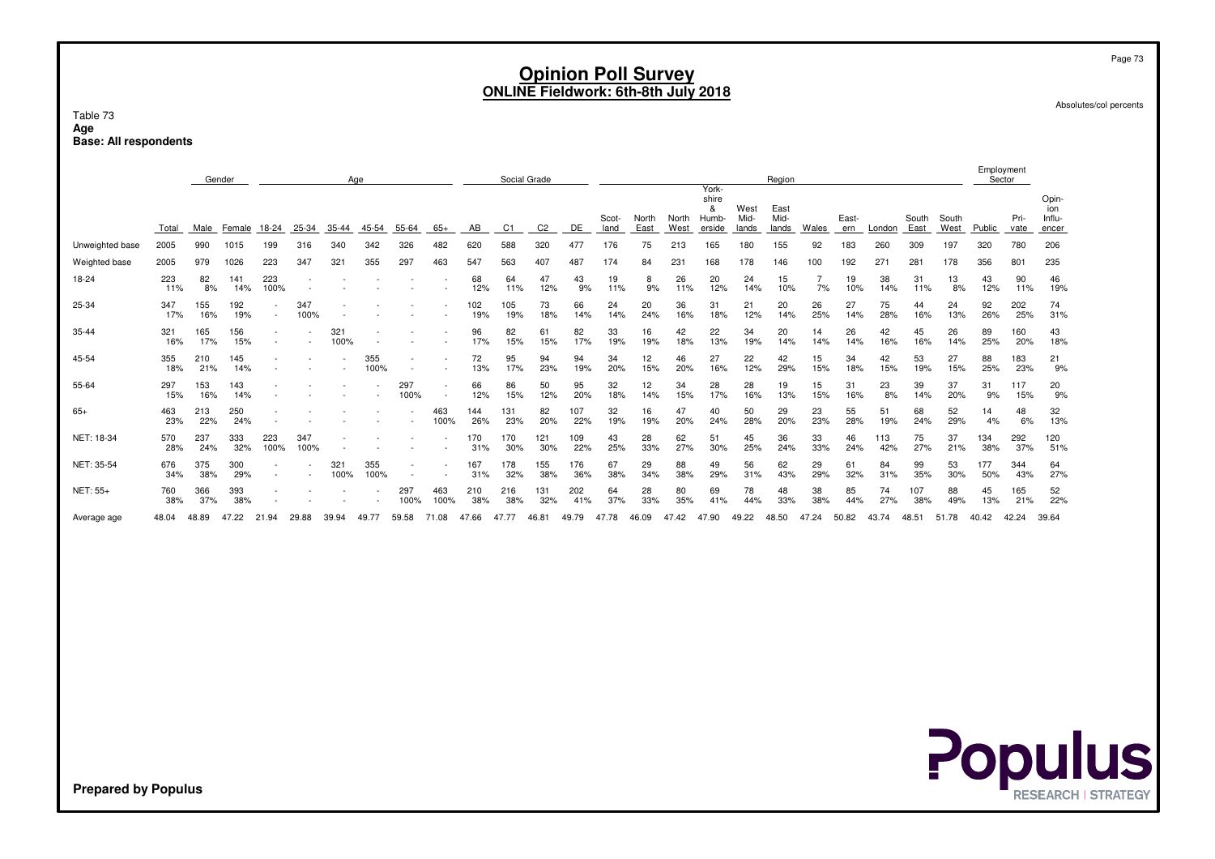Absolutes/col percents

Table 73**AgeBase: All respondents**

|                 |            |            | Gender     |             |             |             | Age         |             |             |            | Social Grade |                |            |               |               |               | York-                         |                       | Region                |           |              |            |               |               | Employment<br>Sector |              |                                 |
|-----------------|------------|------------|------------|-------------|-------------|-------------|-------------|-------------|-------------|------------|--------------|----------------|------------|---------------|---------------|---------------|-------------------------------|-----------------------|-----------------------|-----------|--------------|------------|---------------|---------------|----------------------|--------------|---------------------------------|
|                 | Total      | Male       | Female     | 18-24       | 25-34       | $35 - 44$   | 45-54       | 55-64       | $65+$       | AВ         | C1           | C <sub>2</sub> | DE         | Scot-<br>land | North<br>East | North<br>West | shire<br>&<br>Humb-<br>erside | West<br>Mid-<br>lands | East<br>Mid-<br>lands | Wales     | East-<br>ern | London     | South<br>East | South<br>West | Public               | Pri-<br>vate | Opin-<br>ion<br>Influ-<br>encer |
| Unweighted base | 2005       | 990        | 1015       | 199         | 316         | 340         | 342         | 326         | 482         | 620        | 588          | 320            | 477        | 176           | 75            | 213           | 165                           | 180                   | 155                   | 92        | 183          | 260        | 309           | 197           | 320                  | 780          | 206                             |
| Weighted base   | 2005       | 979        | 1026       | 223         | 347         | 321         | 355         | 297         | 463         | 547        | 563          | 407            | 487        | 174           | 84            | 231           | 168                           | 178                   | 146                   | 100       | 192          | 271        | 281           | 178           | 356                  | 801          | 235                             |
| 18-24           | 223<br>11% | 82<br>8%   | 141<br>14% | 223<br>100% |             |             |             |             |             | 68<br>12%  | 64<br>11%    | 47<br>12%      | 43<br>9%   | 19<br>11%     | 8<br>9%       | 26<br>11%     | 20<br>12%                     | 24<br>14%             | 15<br>10%             | 7%        | 19<br>10%    | 38<br>14%  | 31<br>11%     | 13<br>8%      | 43<br>12%            | 90<br>11%    | 46<br>19%                       |
| 25-34           | 347<br>17% | 155<br>16% | 192<br>19% |             | 347<br>100% |             |             |             |             | 102<br>19% | 105<br>19%   | 73<br>18%      | 66<br>14%  | 24<br>14%     | 20<br>24%     | 36<br>16%     | 31<br>18%                     | 21<br>12%             | 20<br>14%             | 26<br>25% | 27<br>14%    | 75<br>28%  | 44<br>16%     | 24<br>13%     | 92<br>26%            | 202<br>25%   | 74<br>31%                       |
| 35-44           | 321<br>16% | 165<br>17% | 156<br>15% |             |             | 321<br>100% |             |             |             | 96<br>17%  | 82<br>15%    | 61<br>15%      | 82<br>17%  | 33<br>19%     | 16<br>19%     | 42<br>18%     | 22<br>13%                     | 34<br>19%             | 20<br>14%             | 14<br>14% | 26<br>14%    | 42<br>16%  | 45<br>16%     | 26<br>14%     | 89<br>25%            | 160<br>20%   | 43<br>18%                       |
| 45-54           | 355<br>18% | 210<br>21% | 145<br>14% |             |             |             | 355<br>100% |             |             | 72<br>13%  | 95<br>17%    | 94<br>23%      | 94<br>19%  | 34<br>20%     | 12<br>15%     | 46<br>20%     | 27<br>16%                     | 22<br>12%             | 42<br>29%             | 15<br>15% | 34<br>18%    | 42<br>15%  | 53<br>19%     | 27<br>15%     | 88<br>25%            | 183<br>23%   | 21<br>9%                        |
| 55-64           | 297<br>15% | 153<br>16% | 143<br>14% |             |             |             |             | 297<br>100% |             | 66<br>12%  | 86<br>15%    | 50<br>12%      | 95<br>20%  | 32<br>18%     | 12<br>14%     | 34<br>15%     | 28<br>17%                     | 28<br>16%             | 19<br>13%             | 15<br>15% | 31<br>16%    | 23<br>8%   | 39<br>14%     | 37<br>20%     | 31<br>9%             | 117<br>15%   | 20<br>9%                        |
| $65+$           | 463<br>23% | 213<br>22% | 250<br>24% |             |             |             |             |             | 463<br>100% | 144<br>26% | 131<br>23%   | 82<br>20%      | 107<br>22% | 32<br>19%     | 16<br>19%     | 47<br>20%     | 40<br>24%                     | 50<br>28%             | 29<br>20%             | 23<br>23% | 55<br>28%    | 51<br>19%  | 68<br>24%     | 52<br>29%     | 14<br>4%             | 48<br>6%     | 32<br>13%                       |
| NET: 18-34      | 570<br>28% | 237<br>24% | 333<br>32% | 223<br>100% | 347<br>100% |             |             |             |             | 170<br>31% | 170<br>30%   | 121<br>30%     | 109<br>22% | 43<br>25%     | 28<br>33%     | 62<br>27%     | 51<br>30%                     | 45<br>25%             | 36<br>24%             | 33<br>33% | 46<br>24%    | 113<br>42% | 75<br>27%     | 37<br>21%     | 134<br>38%           | 292<br>37%   | 120<br>51%                      |
| NET: 35-54      | 676<br>34% | 375<br>38% | 300<br>29% |             |             | 321<br>100% | 355<br>100% |             |             | 167<br>31% | 178<br>32%   | 155<br>38%     | 176<br>36% | 67<br>38%     | 29<br>34%     | 88<br>38%     | 49<br>29%                     | 56<br>31%             | 62<br>43%             | 29<br>29% | 61<br>32%    | 84<br>31%  | 99<br>35%     | 53<br>30%     | 177<br>50%           | 344<br>43%   | 64<br>27%                       |
| NET: 55+        | 760<br>38% | 366<br>37% | 393<br>38% |             |             |             |             | 297<br>100% | 463<br>100% | 210<br>38% | 216<br>38%   | 131<br>32%     | 202<br>41% | 64<br>37%     | 28<br>33%     | 80<br>35%     | 69<br>41%                     | 78<br>44%             | 48<br>33%             | 38<br>38% | 85<br>44%    | 74<br>27%  | 107<br>38%    | 88<br>49%     | 45<br>13%            | 165<br>21%   | 52<br>22%                       |
| Average age     | 48.04      | 48.89      | 7.22<br>47 | 21.94       | 29.88       | 39.94       | 49.77       | 59.58       | 71.08       | 47.66      | 47.77        | 46.81          | 49.79      | 47.78         | 46.09         | 47.42         | 47.90                         | 49.22                 | 48.50                 | 47.24     | 50.82        | 43.74      | 48.51         | 51.78         | 40.42                | 42.24        | 39.64                           |

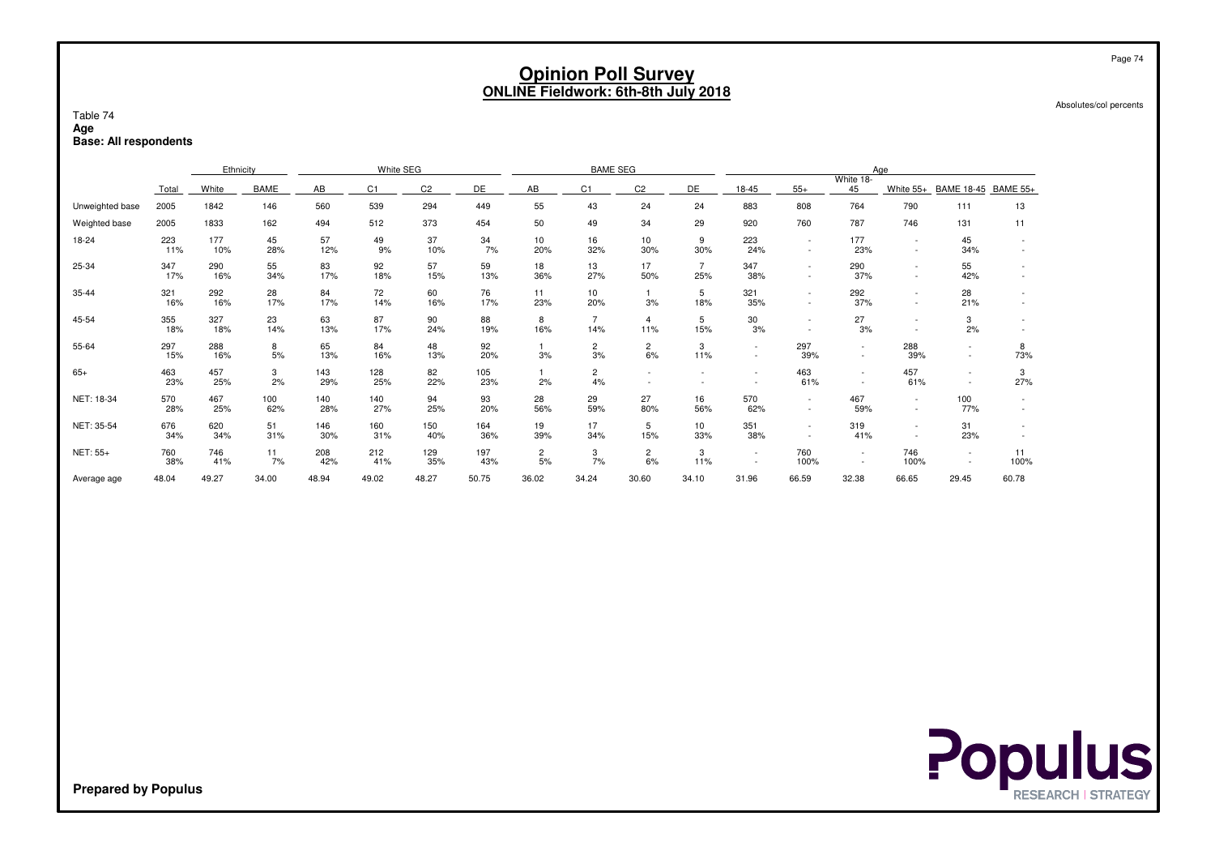Absolutes/col percents

#### Table 74**AgeBase: All respondents**

|                 |            | Ethnicity  |            |            | White SEG      |                |            |                      | <b>BAME SEG</b>       |                       |                       |                  |             |                                    | Age                                                  |                                    |            |
|-----------------|------------|------------|------------|------------|----------------|----------------|------------|----------------------|-----------------------|-----------------------|-----------------------|------------------|-------------|------------------------------------|------------------------------------------------------|------------------------------------|------------|
|                 | Total      | White      | BAME       | AB         | C <sub>1</sub> | C <sub>2</sub> | DE         | AB                   | C <sub>1</sub>        | C <sub>2</sub>        | DE                    | 18-45            | $55+$       | White 18-<br>45                    | White 55+                                            | BAME 18-45 BAME 55+                |            |
| Unweighted base | 2005       | 1842       | 146        | 560        | 539            | 294            | 449        | 55                   | 43                    | 24                    | 24                    | 883              | 808         | 764                                | 790                                                  | 111                                | 13         |
| Weighted base   | 2005       | 1833       | 162        | 494        | 512            | 373            | 454        | 50                   | 49                    | 34                    | 29                    | 920              | 760         | 787                                | 746                                                  | 131                                | 11         |
| 18-24           | 223<br>11% | 177<br>10% | 45<br>28%  | 57<br>12%  | 49<br>9%       | 37<br>10%      | 34<br>7%   | 10<br>20%            | 16<br>32%             | 10<br>30%             | 9<br>30%              | 223<br>24%       | $\sim$      | 177<br>23%                         | $\overline{\phantom{a}}$                             | 45<br>34%                          |            |
| 25-34           | 347<br>17% | 290<br>16% | 55<br>34%  | 83<br>17%  | 92<br>18%      | 57<br>15%      | 59<br>13%  | 18<br>36%            | 13<br>27%             | 17<br>50%             | $\overline{7}$<br>25% | 347<br>38%       |             | 290<br>37%                         |                                                      | 55<br>42%                          |            |
| 35-44           | 321<br>16% | 292<br>16% | 28<br>17%  | 84<br>17%  | 72<br>14%      | 60<br>16%      | 76<br>17%  | 11<br>23%            | 10<br>20%             | 3%                    | 5<br>18%              | 321<br>35%       |             | 292<br>37%                         | $\sim$                                               | 28<br>21%                          |            |
| 45-54           | 355<br>18% | 327<br>18% | 23<br>14%  | 63<br>13%  | 87<br>17%      | 90<br>24%      | 88<br>19%  | 8<br>16%             | $\overline{7}$<br>14% | $\overline{4}$<br>11% | 5<br>15%              | 30<br>3%         |             | 27<br>3%                           |                                                      | 3<br>2%                            |            |
| 55-64           | 297<br>15% | 288<br>16% | 8<br>5%    | 65<br>13%  | 84<br>16%      | 48<br>13%      | 92<br>20%  | 3%                   | $\overline{c}$<br>3%  | $\overline{c}$<br>6%  | 3<br>11%              | $\sim$<br>$\sim$ | 297<br>39%  | $\sim$<br>$\overline{\phantom{a}}$ | 288<br>39%                                           | $\blacksquare$<br>$\blacksquare$   | 8<br>73%   |
| $65+$           | 463<br>23% | 457<br>25% | 3<br>2%    | 143<br>29% | 128<br>25%     | 82<br>22%      | 105<br>23% | 2%                   | $\overline{c}$<br>4%  |                       |                       |                  | 463<br>61%  | $\sim$                             | 457<br>61%                                           | $\sim$<br>$\overline{\phantom{a}}$ | 3<br>27%   |
| NET: 18-34      | 570<br>28% | 467<br>25% | 100<br>62% | 140<br>28% | 140<br>27%     | 94<br>25%      | 93<br>20%  | 28<br>56%            | 29<br>59%             | 27<br>80%             | 16<br>56%             | 570<br>62%       |             | 467<br>59%                         | $\overline{\phantom{a}}$<br>$\overline{\phantom{a}}$ | 100<br>77%                         |            |
| NET: 35-54      | 676<br>34% | 620<br>34% | 51<br>31%  | 146<br>30% | 160<br>31%     | 150<br>40%     | 164<br>36% | 19<br>39%            | 17<br>34%             | 5<br>15%              | 10<br>33%             | 351<br>38%       |             | 319<br>41%                         |                                                      | 31<br>23%                          |            |
| NET: 55+        | 760<br>38% | 746<br>41% | 11<br>7%   | 208<br>42% | 212<br>41%     | 129<br>35%     | 197<br>43% | $\overline{c}$<br>5% | 3<br>7%               | $\mathbf{2}$<br>6%    | 3<br>11%              | $\sim$           | 760<br>100% | $\sim$<br>$\sim$                   | 746<br>100%                                          | $\sim$                             | 11<br>100% |
| Average age     | 48.04      | 49.27      | 34.00      | 48.94      | 49.02          | 48.27          | 50.75      | 36.02                | 34.24                 | 30.60                 | 34.10                 | 31.96            | 66.59       | 32.38                              | 66.65                                                | 29.45                              | 60.78      |

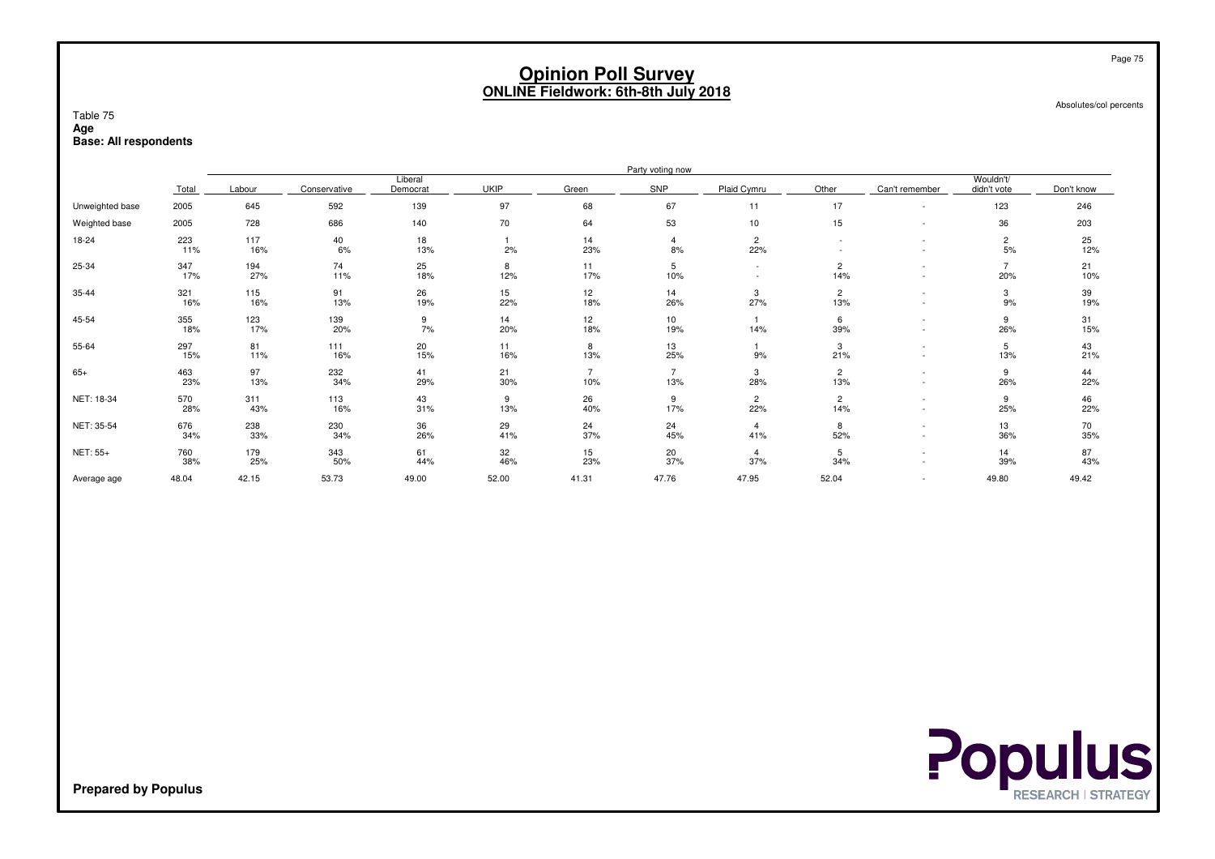Absolutes/col percents

### Table 75**Age**

**Base: All respondents**

|                 |            |            |              |                     |             |                       | Party voting now      |                                    |                       |                                                      |                          |            |
|-----------------|------------|------------|--------------|---------------------|-------------|-----------------------|-----------------------|------------------------------------|-----------------------|------------------------------------------------------|--------------------------|------------|
|                 | Total      | Labour     | Conservative | Liberal<br>Democrat | <b>UKIP</b> | Green                 | SNP                   | Plaid Cymru                        | Other                 | Can't remember                                       | Wouldn't/<br>didn't vote | Don't know |
| Unweighted base | 2005       | 645        | 592          | 139                 | 97          | 68                    | 67                    | 11                                 | 17                    | $\overline{\phantom{a}}$                             | 123                      | 246        |
| Weighted base   | 2005       | 728        | 686          | 140                 | 70          | 64                    | 53                    | 10                                 | 15                    | $\overline{\phantom{a}}$                             | 36                       | 203        |
| 18-24           | 223<br>11% | 117<br>16% | 40<br>6%     | 18<br>13%           | 2%          | 14<br>23%             | $\overline{4}$<br>8%  | $\overline{2}$<br>22%              |                       |                                                      | $\overline{2}$<br>5%     | 25<br>12%  |
| 25-34           | 347<br>17% | 194<br>27% | 74<br>11%    | 25<br>18%           | 8<br>12%    | 11<br>17%             | 5<br>10%              | $\sim$<br>$\overline{\phantom{a}}$ | $\overline{2}$<br>14% | $\overline{\phantom{a}}$                             | $\overline{7}$<br>20%    | 21<br>10%  |
| 35-44           | 321<br>16% | 115<br>16% | 91<br>13%    | 26<br>19%           | 15<br>22%   | 12<br>18%             | 14<br>26%             | 3<br>27%                           | $\overline{2}$<br>13% |                                                      | 3<br>9%                  | 39<br>19%  |
| 45-54           | 355<br>18% | 123<br>17% | 139<br>20%   | 9<br>7%             | 14<br>20%   | 12<br>18%             | 10<br>19%             | $\mathbf{1}$<br>14%                | 6<br>39%              | $\overline{\phantom{a}}$                             | 9<br>26%                 | 31<br>15%  |
| 55-64           | 297<br>15% | 81<br>11%  | 111<br>16%   | $^{20}_{15\%}$      | 11<br>16%   | 8<br>13%              | 13<br>25%             | 9%                                 | 3<br>21%              | $\overline{\phantom{a}}$                             | 5<br>13%                 | 43<br>21%  |
| $65+$           | 463<br>23% | 97<br>13%  | 232<br>34%   | 41<br>29%           | 21<br>30%   | $\overline{7}$<br>10% | $\overline{7}$<br>13% | 3<br>28%                           | $\overline{2}$<br>13% | $\overline{\phantom{a}}$                             | 9<br>26%                 | 44<br>22%  |
| NET: 18-34      | 570<br>28% | 311<br>43% | 113<br>16%   | 43<br>31%           | 9<br>13%    | 26<br>40%             | 9<br>17%              | $\overline{2}$<br>22%              | $\overline{c}$<br>14% | $\overline{\phantom{a}}$<br>$\overline{\phantom{a}}$ | 9<br>25%                 | 46<br>22%  |
| NET: 35-54      | 676<br>34% | 238<br>33% | 230<br>34%   | 36<br>26%           | 29<br>41%   | 24<br>37%             | 24<br>45%             | $\overline{4}$<br>41%              | 8<br>52%              | $\overline{\phantom{a}}$                             | 13<br>36%                | 70<br>35%  |
| NET: 55+        | 760<br>38% | 179<br>25% | 343<br>50%   | 61<br>44%           | 32<br>46%   | 15<br>23%             | 20<br>37%             | $\overline{4}$<br>37%              | 5<br>34%              |                                                      | 14<br>39%                | 87<br>43%  |
| Average age     | 48.04      | 42.15      | 53.73        | 49.00               | 52.00       | 41.31                 | 47.76                 | 47.95                              | 52.04                 |                                                      | 49.80                    | 49.42      |

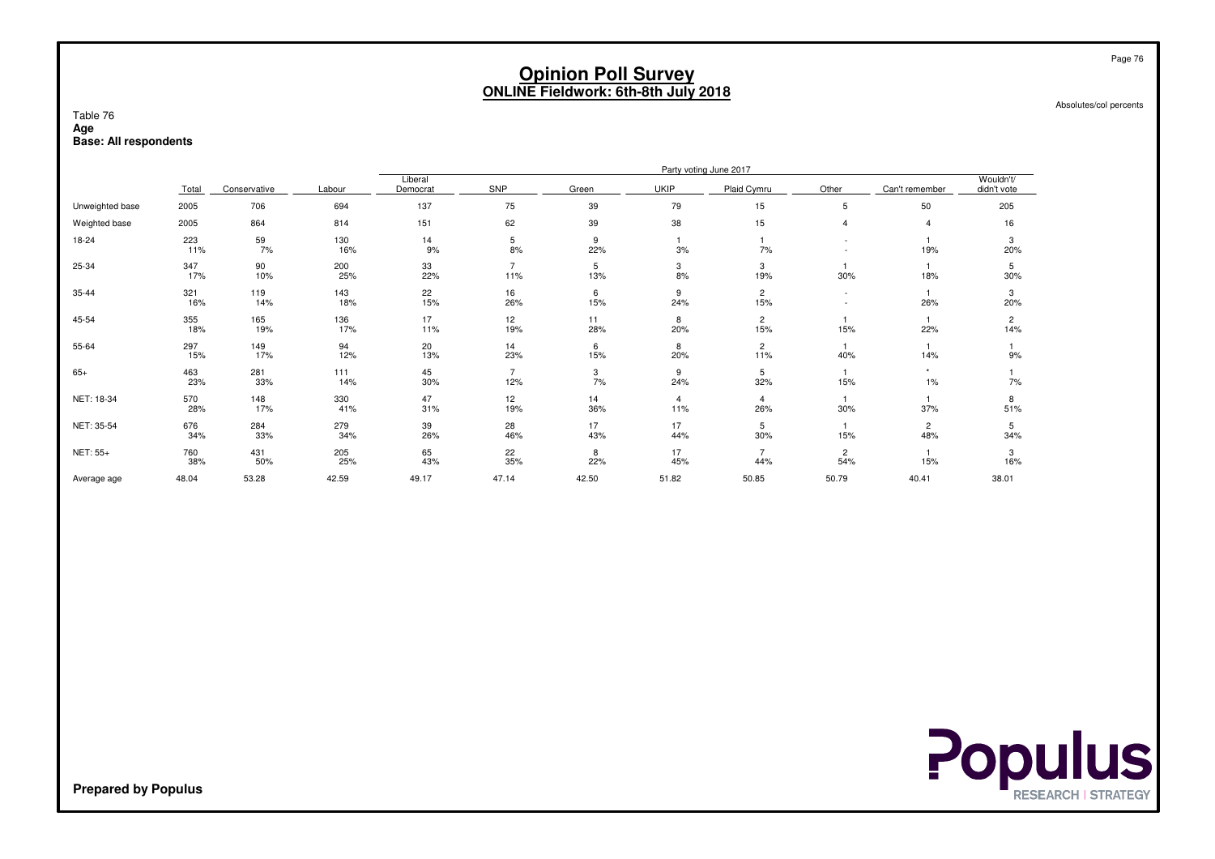Absolutes/col percents

### Table 76**Age**

**Base: All respondents**

|                 |            |              |            |                     |                       |           |                       | Party voting June 2017 |                                    |                       |                          |
|-----------------|------------|--------------|------------|---------------------|-----------------------|-----------|-----------------------|------------------------|------------------------------------|-----------------------|--------------------------|
|                 | Total      | Conservative | Labour     | Liberal<br>Democrat | SNP                   | Green     | <b>UKIP</b>           | Plaid Cymru            | Other                              | Can't remember        | Wouldn't/<br>didn't vote |
| Unweighted base | 2005       | 706          | 694        | 137                 | 75                    | 39        | 79                    | 15                     | 5                                  | 50                    | 205                      |
| Weighted base   | 2005       | 864          | 814        | 151                 | 62                    | 39        | 38                    | 15                     | $\overline{\mathbf{4}}$            | $\overline{4}$        | 16                       |
| 18-24           | 223<br>11% | 59<br>7%     | 130<br>16% | 14<br>9%            | $\,$ 5 $\,$<br>8%     | 9<br>22%  | 3%                    | 7%                     | $\overline{\phantom{a}}$           | 19%                   | 3<br>20%                 |
| 25-34           | 347<br>17% | 90<br>10%    | 200<br>25% | 33<br>22%           | $\overline{7}$<br>11% | 5<br>13%  | 3<br>8%               | 3<br>19%               | 30%                                | 18%                   | 5<br>30%                 |
| 35-44           | 321<br>16% | 119<br>14%   | 143<br>18% | 22<br>15%           | 16<br>26%             | 6<br>15%  | 9<br>24%              | $\overline{2}$<br>15%  | $\overline{\phantom{a}}$<br>$\sim$ | 26%                   | 3<br>20%                 |
| 45-54           | 355<br>18% | 165<br>19%   | 136<br>17% | 17<br>11%           | 12<br>19%             | 11<br>28% | 8<br>20%              | $\overline{2}$<br>15%  | 15%                                | 22%                   | $\overline{2}$<br>14%    |
| 55-64           | 297<br>15% | 149<br>17%   | 94<br>12%  | 20<br>13%           | 14<br>23%             | 6<br>15%  | 8<br>20%              | $\overline{2}$<br>11%  | 1<br>40%                           | 14%                   | 9%                       |
| $65+$           | 463<br>23% | 281<br>33%   | 111<br>14% | 45<br>30%           | $\overline{7}$<br>12% | 3<br>7%   | 9<br>24%              | 5<br>32%               | $\mathbf{1}$<br>15%                | $1\%$                 | 7%                       |
| NET: 18-34      | 570<br>28% | 148<br>17%   | 330<br>41% | 47<br>31%           | 12<br>19%             | 14<br>36% | $\overline{4}$<br>11% | 4<br>26%               | $\mathbf{1}$<br>30%                | 37%                   | 8<br>51%                 |
| NET: 35-54      | 676<br>34% | 284<br>33%   | 279<br>34% | 39<br>26%           | 28<br>46%             | 17<br>43% | 17<br>44%             | 5<br>30%               | $\overline{1}$<br>15%              | $\overline{c}$<br>48% | 5<br>34%                 |
| NET: 55+        | 760<br>38% | 431<br>50%   | 205<br>25% | 65<br>43%           | 22<br>35%             | 8<br>22%  | 17<br>45%             | $\overline{7}$<br>44%  | $\overline{c}$<br>54%              | 15%                   | 3<br>16%                 |
| Average age     | 48.04      | 53.28        | 42.59      | 49.17               | 47.14                 | 42.50     | 51.82                 | 50.85                  | 50.79                              | 40.41                 | 38.01                    |

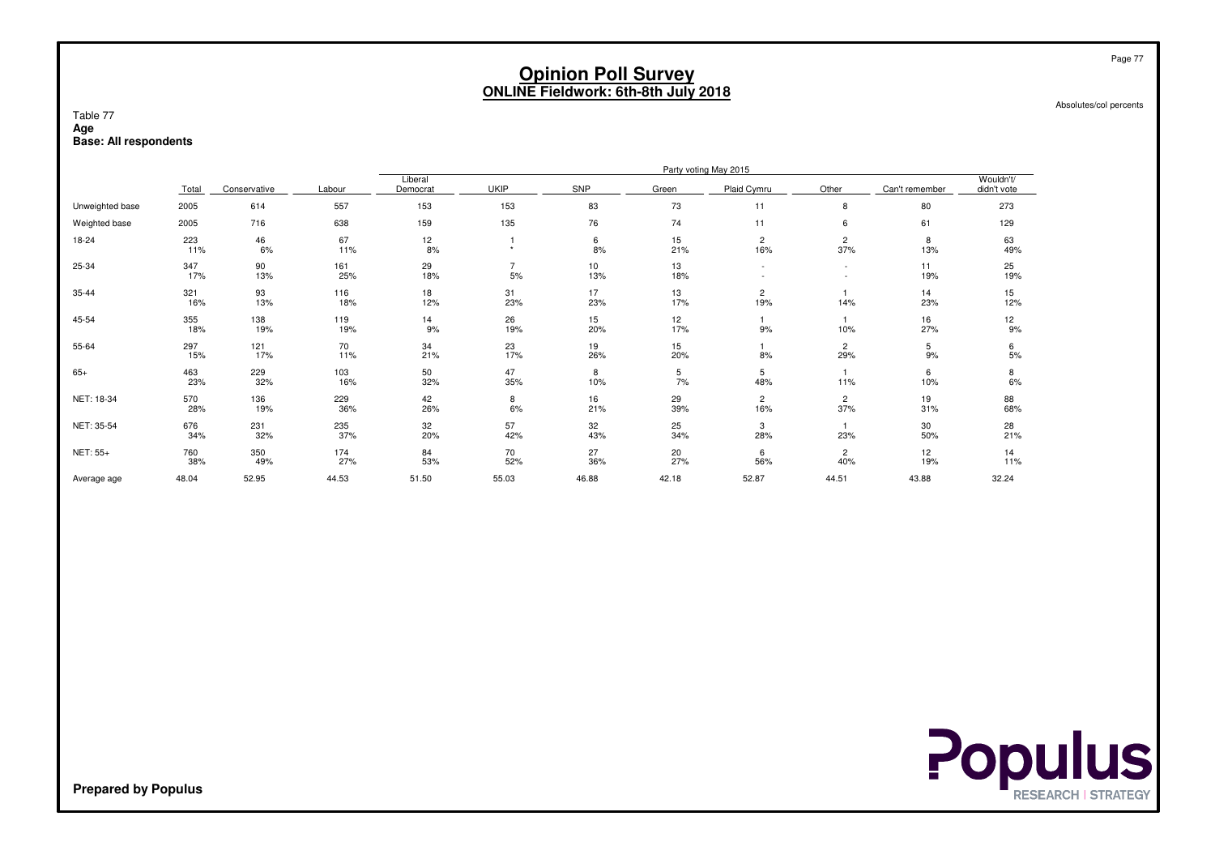Absolutes/col percents

#### Table 77**Age**

**Base: All respondents**

|                 |            |              |            |                     |             |            |           | Party voting May 2015 |                          |                |                          |
|-----------------|------------|--------------|------------|---------------------|-------------|------------|-----------|-----------------------|--------------------------|----------------|--------------------------|
|                 | Total      | Conservative | Labour     | Liberal<br>Democrat | <b>UKIP</b> | <b>SNP</b> | Green     | Plaid Cymru           | Other                    | Can't remember | Wouldn't/<br>didn't vote |
| Unweighted base | 2005       | 614          | 557        | 153                 | 153         | 83         | 73        | 11                    | 8                        | 80             | 273                      |
| Weighted base   | 2005       | 716          | 638        | 159                 | 135         | 76         | 74        | 11                    | 6                        | 61             | 129                      |
| 18-24           | 223<br>11% | 46<br>6%     | 67<br>11%  | 12<br>8%            | $\ddot{}$   | 6<br>8%    | 15<br>21% | $\overline{c}$<br>16% | $\overline{c}$<br>37%    | 8<br>13%       | 63<br>49%                |
| 25-34           | 347<br>17% | 90<br>13%    | 161<br>25% | 29<br>18%           | 7<br>5%     | 10<br>13%  | 13<br>18% |                       | $\overline{\phantom{a}}$ | 11<br>19%      | 25<br>19%                |
| 35-44           | 321<br>16% | 93<br>13%    | 116<br>18% | 18<br>12%           | 31<br>23%   | 17<br>23%  | 13<br>17% | $\overline{c}$<br>19% | 14%                      | 14<br>23%      | 15<br>12%                |
| 45-54           | 355<br>18% | 138<br>19%   | 119<br>19% | 14<br>9%            | 26<br>19%   | 15<br>20%  | 12<br>17% | 9%                    | 10%                      | 16<br>27%      | $\frac{12}{9\%}$         |
| 55-64           | 297<br>15% | 121<br>17%   | 70<br>11%  | 34<br>21%           | 23<br>17%   | 19<br>26%  | 15<br>20% | 8%                    | $\overline{c}$<br>29%    | 5<br>9%        | 6<br>5%                  |
| $65+$           | 463<br>23% | 229<br>32%   | 103<br>16% | 50<br>32%           | 47<br>35%   | 8<br>10%   | 5<br>7%   | 5<br>48%              | 11%                      | 6<br>10%       | 8<br>6%                  |
| NET: 18-34      | 570<br>28% | 136<br>19%   | 229<br>36% | 42<br>26%           | 8<br>6%     | 16<br>21%  | 29<br>39% | $\overline{c}$<br>16% | $\overline{2}$<br>37%    | 19<br>31%      | 88<br>68%                |
| NET: 35-54      | 676<br>34% | 231<br>32%   | 235<br>37% | 32<br>20%           | 57<br>42%   | 32<br>43%  | 25<br>34% | 3<br>28%              | 23%                      | 30<br>50%      | 28<br>21%                |
| NET: 55+        | 760<br>38% | 350<br>49%   | 174<br>27% | 84<br>53%           | 70<br>52%   | 27<br>36%  | 20<br>27% | 6<br>56%              | $\overline{c}$<br>40%    | 12<br>19%      | 14<br>11%                |
| Average age     | 48.04      | 52.95        | 44.53      | 51.50               | 55.03       | 46.88      | 42.18     | 52.87                 | 44.51                    | 43.88          | 32.24                    |



**Prepared by Populus**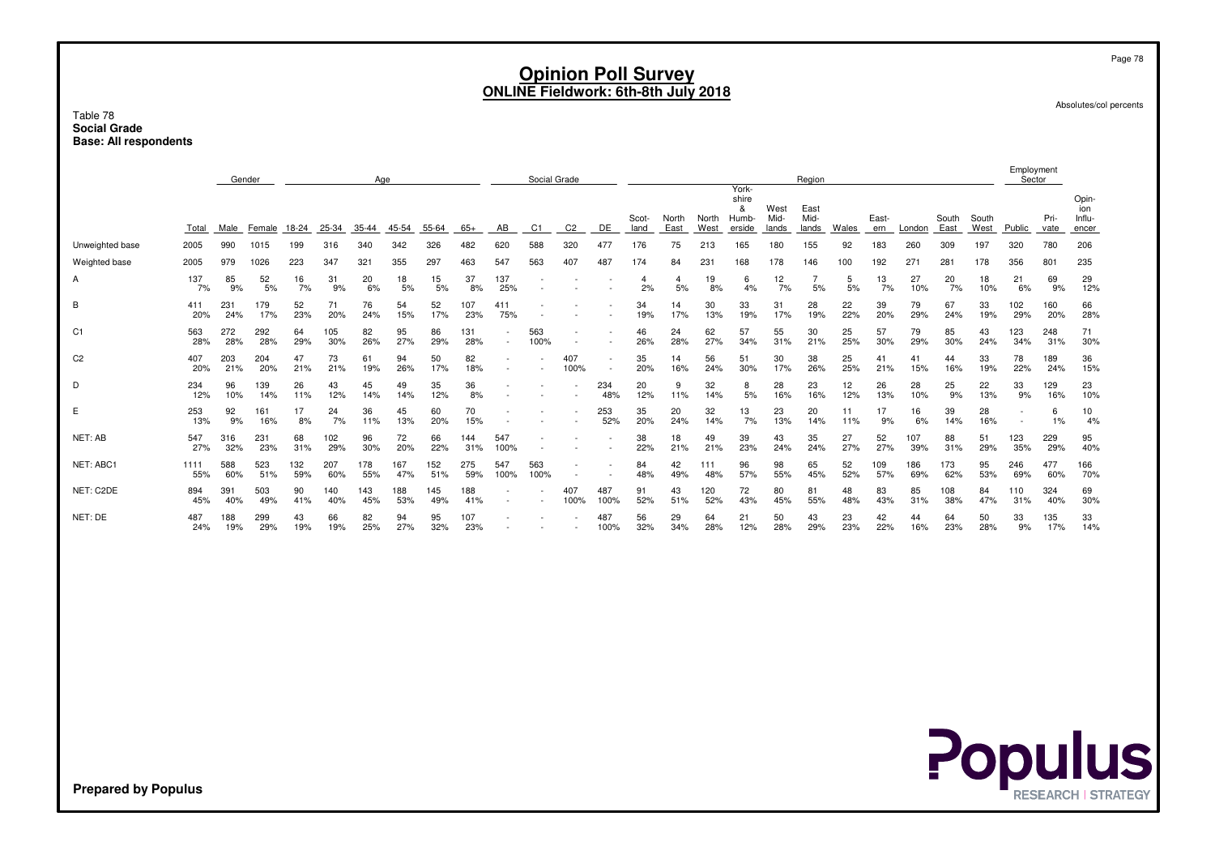#### Table 78 **Social GradeBase: All respondents**

|                 |             |            | Gender     |            |            | Age        |            |            |            |             | Social Grade   |                |             |               |               |               | York-                         |                       | Region                |           |              |            |               |               | Employment<br>Sector |              |                                 |
|-----------------|-------------|------------|------------|------------|------------|------------|------------|------------|------------|-------------|----------------|----------------|-------------|---------------|---------------|---------------|-------------------------------|-----------------------|-----------------------|-----------|--------------|------------|---------------|---------------|----------------------|--------------|---------------------------------|
|                 | Total       | Male       | Female     | 18-24      | 25-34      | $35 - 44$  | 45-54      | 55-64      | $65+$      | AB          | C <sub>1</sub> | C <sub>2</sub> | DE          | Scot-<br>land | North<br>East | North<br>West | shire<br>&<br>Humb-<br>erside | West<br>Mid-<br>lands | East<br>Mid-<br>lands | Wales     | East-<br>ern | London     | South<br>East | South<br>West | Public               | Pri-<br>vate | Opin-<br>ion<br>Influ-<br>encer |
| Unweighted base | 2005        | 990        | 1015       | 199        | 316        | 340        | 342        | 326        | 482        | 620         | 588            | 320            | 477         | 176           | 75            | 213           | 165                           | 180                   | 155                   | 92        | 183          | 260        | 309           | 197           | 320                  | 780          | 206                             |
| Weighted base   | 2005        | 979        | 1026       | 223        | 347        | 321        | 355        | 297        | 463        | 547         | 563            | 407            | 487         | 174           | 84            | 231           | 168                           | 178                   | 146                   | 100       | 192          | 271        | 281           | 178           | 356                  | 801          | 235                             |
| Α               | 137<br>7%   | 85<br>9%   | 52<br>5%   | 16<br>7%   | 31<br>9%   | 20<br>6%   | 18<br>5%   | 15<br>5%   | 37<br>8%   | 137<br>25%  |                |                |             | 4<br>2%       | 4<br>5%       | 19<br>8%      | 6<br>4%                       | 12<br>7%              | 5%                    | 5<br>5%   | 13<br>7%     | 27<br>10%  | 20<br>7%      | 18<br>10%     | 21<br>6%             | 69<br>9%     | 29<br>12%                       |
| В               | 411<br>20%  | 231<br>24% | 179<br>17% | 52<br>23%  | 71<br>20%  | 76<br>24%  | 54<br>15%  | 52<br>17%  | 107<br>23% | 411<br>75%  |                |                |             | 34<br>19%     | 14<br>17%     | 30<br>13%     | 33<br>19%                     | 31<br>17%             | 28<br>19%             | 22<br>22% | 39<br>20%    | 79<br>29%  | 67<br>24%     | 33<br>19%     | 102<br>29%           | 160<br>20%   | 66<br>28%                       |
| C <sub>1</sub>  | 563<br>28%  | 272<br>28% | 292<br>28% | 64<br>29%  | 105<br>30% | 82<br>26%  | 95<br>27%  | 86<br>29%  | 131<br>28% | ٠           | 563<br>100%    |                |             | 46<br>26%     | 24<br>28%     | 62<br>27%     | 57<br>34%                     | 55<br>31%             | 30<br>21%             | 25<br>25% | 57<br>30%    | 79<br>29%  | 85<br>30%     | 43<br>24%     | 123<br>34%           | 248<br>31%   | 71<br>30%                       |
| C <sub>2</sub>  | 407<br>20%  | 203<br>21% | 204<br>20% | 47<br>21%  | 73<br>21%  | 61<br>19%  | 94<br>26%  | 50<br>17%  | 82<br>18%  |             |                | 407<br>100%    |             | 35<br>20%     | 14<br>16%     | 56<br>24%     | 51<br>30%                     | 30<br>17%             | 38<br>26%             | 25<br>25% | 41<br>21%    | 41<br>15%  | 44<br>16%     | 33<br>19%     | 78<br>22%            | 189<br>24%   | 36<br>15%                       |
| D               | 234<br>12%  | 96<br>10%  | 139<br>14% | 26<br>11%  | 43<br>12%  | 45<br>14%  | 49<br>14%  | 35<br>12%  | 36<br>8%   |             |                |                | 234<br>48%  | 20<br>12%     | 9<br>11%      | 32<br>14%     | 8<br>5%                       | 28<br>16%             | 23<br>16%             | 12<br>12% | 26<br>13%    | 28<br>10%  | 25<br>9%      | 22<br>13%     | 33<br>9%             | 129<br>16%   | 23<br>10%                       |
| E               | 253<br>13%  | 92<br>9%   | 161<br>16% | 17<br>8%   | 24<br>7%   | 36<br>11%  | 45<br>13%  | 60<br>20%  | 70<br>15%  |             |                |                | 253<br>52%  | 35<br>20%     | 20<br>24%     | 32<br>14%     | 13<br>7%                      | 23<br>13%             | 20<br>14%             | 11<br>11% | 17<br>9%     | 16<br>6%   | 39<br>14%     | 28<br>16%     |                      | 6<br>1%      | 10<br>4%                        |
| NET: AB         | 547<br>27%  | 316<br>32% | 231<br>23% | 68<br>31%  | 102<br>29% | 96<br>30%  | 72<br>20%  | 66<br>22%  | 144<br>31% | 547<br>100% |                |                |             | 38<br>22%     | 18<br>21%     | 49<br>21%     | 39<br>23%                     | 43<br>24%             | 35<br>24%             | 27<br>27% | 52<br>27%    | 107<br>39% | 88<br>31%     | 51<br>29%     | 123<br>35%           | 229<br>29%   | 95<br>40%                       |
| NET: ABC1       | 1111<br>55% | 588<br>60% | 523<br>51% | 132<br>59% | 207<br>60% | 178<br>55% | 167<br>47% | 152<br>51% | 275<br>59% | 547<br>100% | 563<br>100%    |                |             | 84<br>48%     | 42<br>49%     | 111<br>48%    | 96<br>57%                     | 98<br>55%             | 65<br>45%             | 52<br>52% | 109<br>57%   | 186<br>69% | 173<br>62%    | 95<br>53%     | 246<br>69%           | 477<br>60%   | 166<br>70%                      |
| NET: C2DE       | 894<br>45%  | 391<br>40% | 503<br>49% | 90<br>41%  | 140<br>40% | 143<br>45% | 188<br>53% | 145<br>49% | 188<br>41% |             |                | 407<br>100%    | 487<br>100% | 91<br>52%     | 43<br>51%     | 120<br>52%    | 72<br>43%                     | 80<br>45%             | 81<br>55%             | 48<br>48% | 83<br>43%    | 85<br>31%  | 108<br>38%    | 84<br>47%     | 110<br>31%           | 324<br>40%   | 69<br>30%                       |
| NET: DE         | 487<br>24%  | 188<br>19% | 299<br>29% | 43<br>19%  | 66<br>19%  | 82<br>25%  | 94<br>27%  | 95<br>32%  | 107<br>23% |             |                |                | 487<br>100% | 56<br>32%     | 29<br>34%     | 64<br>28%     | 21<br>12%                     | 50<br>28%             | 43<br>29%             | 23<br>23% | 42<br>22%    | 44<br>16%  | 64<br>23%     | 50<br>28%     | 33<br>9%             | 135<br>17%   | 33<br>14%                       |



Page 78

Absolutes/col percents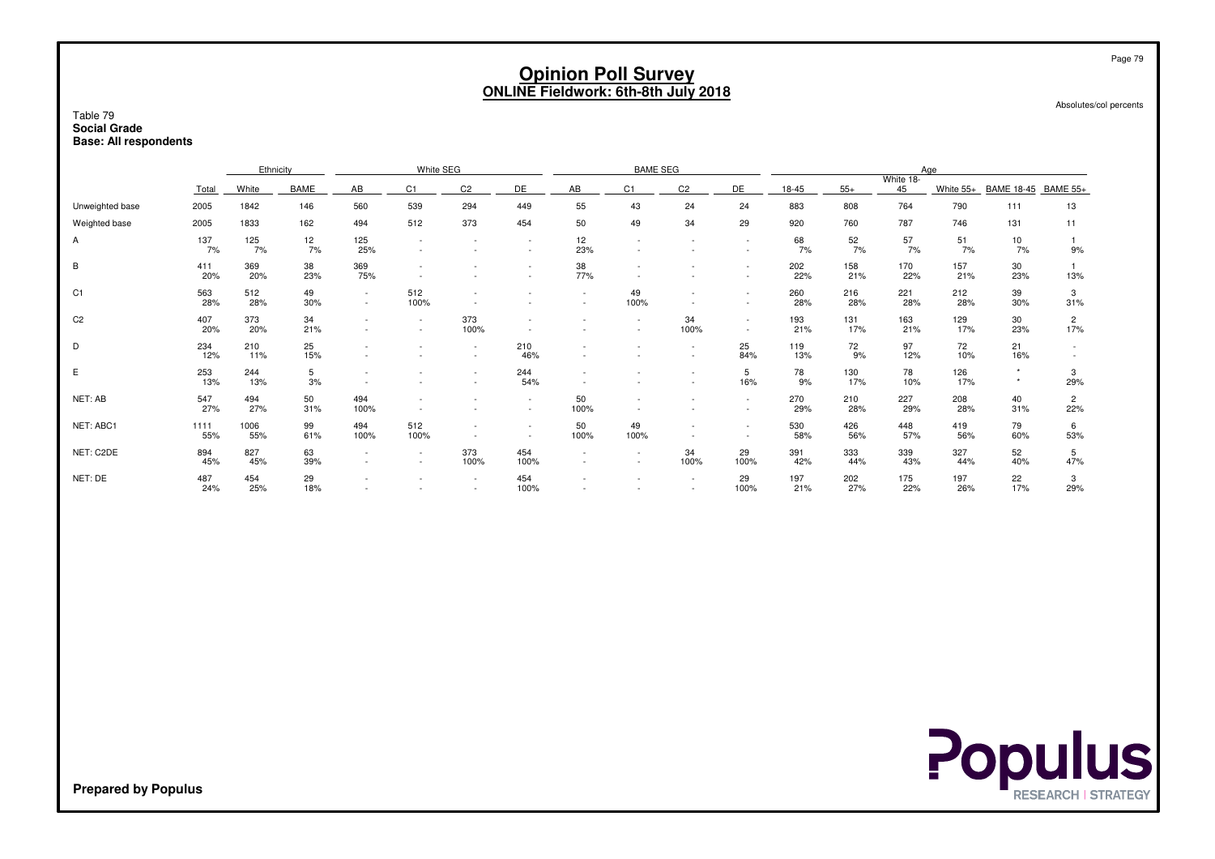Absolutes/col percents

#### Table 79 **Social GradeBase: All respondents**

|                 |             | Ethnicity   |           |                               | White SEG        |                |                          |                          | <b>BAME SEG</b>                    |                                                      |                  |            |            | Age             |            |                     |                       |
|-----------------|-------------|-------------|-----------|-------------------------------|------------------|----------------|--------------------------|--------------------------|------------------------------------|------------------------------------------------------|------------------|------------|------------|-----------------|------------|---------------------|-----------------------|
|                 | Total       | White       | BAME      | AB                            | C1               | C <sub>2</sub> | DE                       | AB                       | C <sub>1</sub>                     | C <sub>2</sub>                                       | DE               | 18-45      | $55+$      | White 18-<br>45 | White 55+  | BAME 18-45 BAME 55+ |                       |
| Unweighted base | 2005        | 1842        | 146       | 560                           | 539              | 294            | 449                      | 55                       | 43                                 | 24                                                   | 24               | 883        | 808        | 764             | 790        | 111                 | 13                    |
| Weighted base   | 2005        | 1833        | 162       | 494                           | 512              | 373            | 454                      | 50                       | 49                                 | 34                                                   | 29               | 920        | 760        | 787             | 746        | 131                 | 11                    |
| Α               | 137<br>7%   | 125<br>7%   | 12<br>7%  | 125<br>25%                    |                  |                |                          | 12<br>23%                |                                    |                                                      | $\sim$           | 68<br>7%   | 52<br>7%   | 57<br>7%        | 51<br>7%   | 10<br>7%            | 9%                    |
| B               | 411<br>20%  | 369<br>20%  | 38<br>23% | 369<br>75%                    |                  |                |                          | 38<br>77%                |                                    |                                                      | $\sim$           | 202<br>22% | 158<br>21% | 170<br>22%      | 157<br>21% | 30<br>23%           | 13%                   |
| C <sub>1</sub>  | 563<br>28%  | 512<br>28%  | 49<br>30% | $\sim$<br>$\sim$              | 512<br>100%      |                |                          | $\overline{\phantom{a}}$ | 49<br>100%                         | $\overline{\phantom{a}}$                             | $\sim$<br>$\sim$ | 260<br>28% | 216<br>28% | 221<br>28%      | 212<br>28% | 39<br>30%           | 3<br>31%              |
| C <sub>2</sub>  | 407<br>20%  | 373<br>20%  | 34<br>21% | $\overline{\phantom{a}}$<br>٠ | $\sim$<br>$\sim$ | 373<br>100%    |                          |                          | $\overline{\phantom{a}}$<br>$\sim$ | 34<br>100%                                           | $\sim$           | 193<br>21% | 131<br>17% | 163<br>21%      | 129<br>17% | 30<br>23%           | $\overline{2}$<br>17% |
| D               | 234<br>12%  | 210<br>11%  | 25<br>15% |                               |                  |                | 210<br>46%               |                          | $\overline{\phantom{a}}$           | $\overline{\phantom{a}}$<br>$\overline{\phantom{a}}$ | 25<br>84%        | 119<br>13% | 72<br>9%   | 97<br>12%       | 72<br>10%  | 21<br>16%           |                       |
| Ε               | 253<br>13%  | 244<br>13%  | 5<br>3%   |                               |                  |                | 244<br>54%               |                          |                                    | $\overline{\phantom{a}}$                             | 5<br>16%         | 78<br>9%   | 130<br>17% | 78<br>10%       | 126<br>17% | $\star$             | 3<br>29%              |
| NET: AB         | 547<br>27%  | 494<br>27%  | 50<br>31% | 494<br>100%                   |                  |                |                          | 50<br>100%               |                                    |                                                      | $\sim$           | 270<br>29% | 210<br>28% | 227<br>29%      | 208<br>28% | 40<br>31%           | $\overline{2}$<br>22% |
| NET: ABC1       | 1111<br>55% | 1006<br>55% | 99<br>61% | 494<br>100%                   | 512<br>100%      |                | $\overline{\phantom{a}}$ | 50<br>100%               | 49<br>100%                         | $\overline{\phantom{a}}$<br>$\overline{\phantom{a}}$ | $\sim$<br>$\sim$ | 530<br>58% | 426<br>56% | 448<br>57%      | 419<br>56% | 79<br>60%           | 6<br>53%              |
| NET: C2DE       | 894<br>45%  | 827<br>45%  | 63<br>39% | $\overline{\phantom{a}}$      | $\sim$<br>$\sim$ | 373<br>100%    | 454<br>100%              | $\overline{\phantom{a}}$ | $\overline{\phantom{a}}$<br>$\sim$ | 34<br>100%                                           | 29<br>100%       | 391<br>42% | 333<br>44% | 339<br>43%      | 327<br>44% | 52<br>40%           | 5<br>47%              |
| NET: DE         | 487<br>24%  | 454<br>25%  | 29<br>18% |                               |                  |                | 454<br>100%              |                          |                                    | $\overline{\phantom{a}}$                             | 29<br>100%       | 197<br>21% | 202<br>27% | 175<br>22%      | 197<br>26% | 22<br>17%           | 3<br>29%              |

**Populus**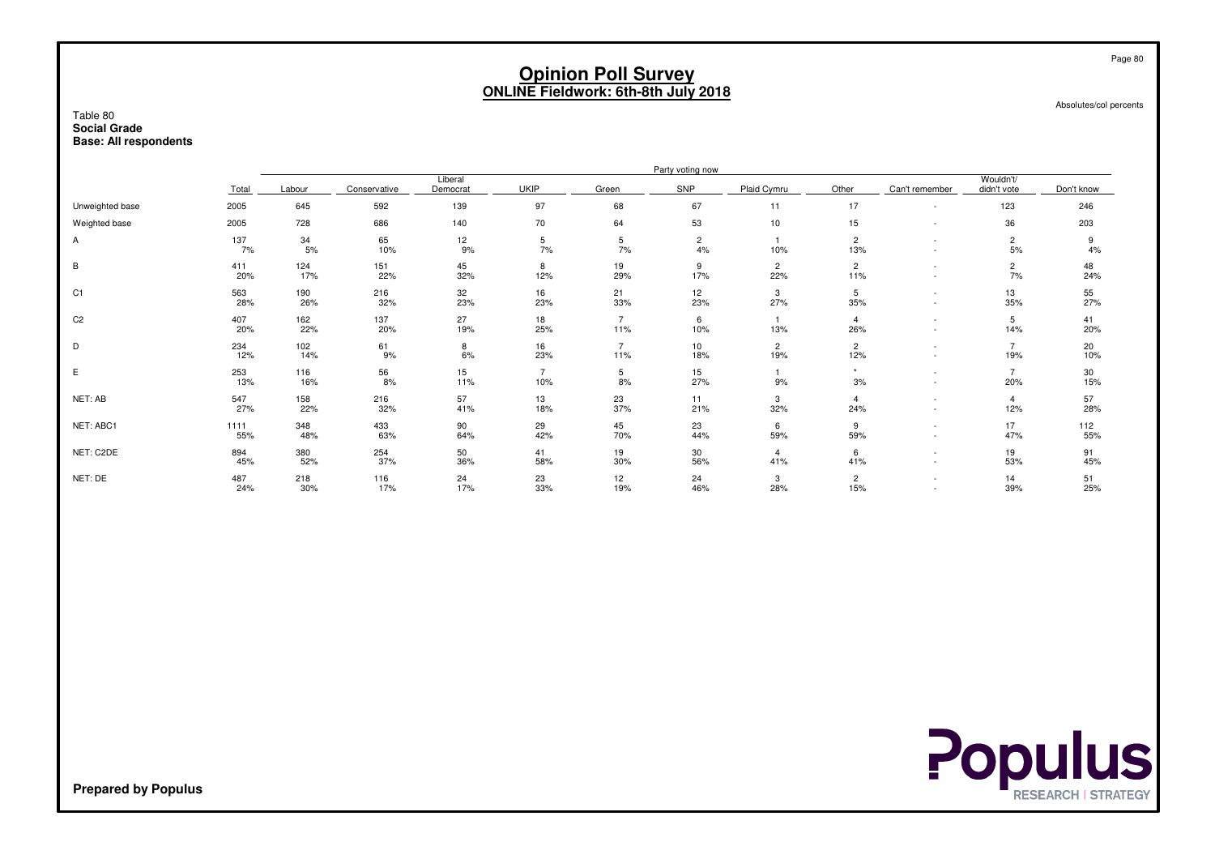Absolutes/col percents

#### Table 80 **Social GradeBase: All respondents**

|                 |             |            |              |                     |             |                       | Party voting now     |                       |                           |                |                          |            |
|-----------------|-------------|------------|--------------|---------------------|-------------|-----------------------|----------------------|-----------------------|---------------------------|----------------|--------------------------|------------|
|                 | Total       | Labour     | Conservative | Liberal<br>Democrat | <b>UKIP</b> | Green                 | SNP                  | Plaid Cymru           | Other                     | Can't remember | Wouldn't/<br>didn't vote | Don't know |
| Unweighted base | 2005        | 645        | 592          | 139                 | 97          | 68                    | 67                   | 11                    | 17                        |                | 123                      | 246        |
| Weighted base   | 2005        | 728        | 686          | 140                 | 70          | 64                    | 53                   | 10                    | 15                        |                | 36                       | 203        |
| A               | 137<br>7%   | 34<br>5%   | 65<br>10%    | 12<br>9%            | 5<br>7%     | 5<br>7%               | $\overline{c}$<br>4% | 10%                   | $\overline{c}$<br>13%     |                | 2<br>5%                  | 4%         |
| B               | 411<br>20%  | 124<br>17% | 151<br>22%   | 45<br>32%           | 8<br>12%    | 19<br>29%             | 9<br>17%             | $\overline{c}$<br>22% | $\overline{c}$<br>11%     |                | 2<br>7%                  | 48<br>24%  |
| C <sub>1</sub>  | 563<br>28%  | 190<br>26% | 216<br>32%   | 32<br>23%           | 16<br>23%   | 21<br>33%             | 12<br>23%            | 3<br>27%              | 5<br>35%                  |                | 13<br>35%                | 55<br>27%  |
| C <sub>2</sub>  | 407<br>20%  | 162<br>22% | 137<br>20%   | 27<br>19%           | 18<br>25%   | $\overline{7}$<br>11% | 6<br>10%             | 13%                   | $\overline{\bf 4}$<br>26% |                | 5<br>14%                 | 41<br>20%  |
| D               | 234<br>12%  | 102<br>14% | 61<br>9%     | 8<br>6%             | 16<br>23%   | $\overline{7}$<br>11% | 10<br>18%            | $\overline{c}$<br>19% | $\overline{2}$<br>12%     |                | 19%                      | 20<br>10%  |
| E               | 253<br>13%  | 116<br>16% | 56<br>8%     | 15<br>11%           | 10%         | 5<br>8%               | 15<br>27%            | 9%                    | $\star$<br>3%             |                | 20%                      | 30<br>15%  |
| NET: AB         | 547<br>27%  | 158<br>22% | 216<br>32%   | 57<br>41%           | 13<br>18%   | 23<br>37%             | 11<br>21%            | 3<br>32%              | 4<br>24%                  |                | 4<br>12%                 | 57<br>28%  |
| NET: ABC1       | 1111<br>55% | 348<br>48% | 433<br>63%   | 90<br>64%           | 29<br>42%   | 45<br>70%             | 23<br>44%            | 6<br>59%              | 9<br>59%                  |                | 17<br>47%                | 112<br>55% |
| NET: C2DE       | 894<br>45%  | 380<br>52% | 254<br>37%   | 50<br>36%           | 41<br>58%   | 19<br>30%             | 30<br>56%            | 4<br>41%              | 6<br>41%                  |                | 19<br>53%                | 91<br>45%  |
| NET: DE         | 487<br>24%  | 218<br>30% | 116<br>17%   | 24<br>17%           | 23<br>33%   | 12<br>19%             | 24<br>46%            | 3<br>28%              | $\overline{2}$<br>15%     |                | 14<br>39%                | 51<br>25%  |



**Prepared by Populus**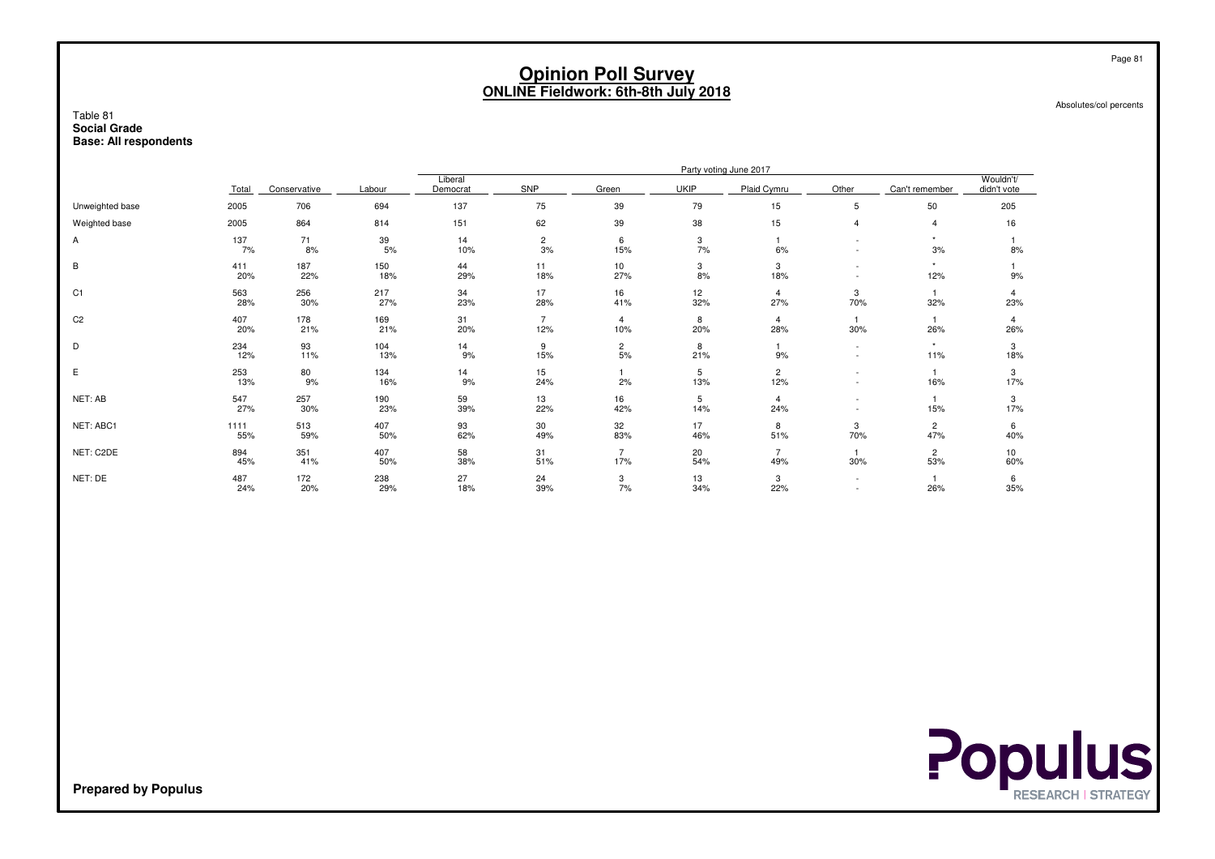Absolutes/col percents

#### Table 81 **Social GradeBase: All respondents**

| Total       | Conservative | Labour     | Democrat  | SNP                  | Green                 | <b>UKIP</b> | Plaid Cymru           | Other                  | Can't remember        | Wouldn't/<br>didn't vote |
|-------------|--------------|------------|-----------|----------------------|-----------------------|-------------|-----------------------|------------------------|-----------------------|--------------------------|
| 2005        | 706          | 694        | 137       | 75                   | 39                    | 79          | 15                    | 5                      | 50                    | 205                      |
| 2005        | 864          | 814        | 151       | 62                   | 39                    | 38          | 15                    | 4                      | 4                     | 16                       |
| 137<br>7%   | 71<br>8%     | 39<br>5%   | 14<br>10% | $\overline{c}$<br>3% | 6<br>15%              | 3<br>7%     | 6%                    |                        | $\star$<br>3%         | 8%                       |
| 411<br>20%  | 187<br>22%   | 150<br>18% | 44<br>29% | 11<br>18%            | 10<br>27%             | 3<br>8%     | 3<br>18%              |                        | $\star$<br>12%        | 9%                       |
| 563<br>28%  | 256<br>30%   | 217<br>27% | 34<br>23% | 17<br>28%            | 16<br>41%             | 12<br>32%   | 4<br>27%              | 3<br>70%               | 32%                   | 4<br>23%                 |
| 407<br>20%  | 178<br>21%   | 169<br>21% | 31<br>20% | 12%                  | $\overline{4}$<br>10% | 8<br>20%    | 4<br>28%              | 30%                    | 26%                   | 4<br>26%                 |
| 234<br>12%  | 93<br>11%    | 104<br>13% | 14<br>9%  | 9<br>15%             | $\overline{c}$<br>5%  | 8<br>21%    | 9%                    | $\sim$                 | $\star$<br>11%        | 3<br>18%                 |
| 253<br>13%  | 80<br>9%     | 134<br>16% | 14<br>9%  | 15<br>24%            | 2%                    | 5<br>13%    | $\overline{2}$<br>12% |                        | 16%                   | 3<br>17%                 |
| 547<br>27%  | 257<br>30%   | 190<br>23% | 59<br>39% | 13<br>22%            | 16<br>42%             | 5<br>14%    | 4<br>24%              |                        | 15%                   | 3<br>17%                 |
| 1111<br>55% | 513<br>59%   | 407<br>50% | 93<br>62% | 30<br>49%            | 32<br>83%             | 17<br>46%   | 8<br>51%              | 3<br>70%               | $\overline{2}$<br>47% | 6<br>40%                 |
| 894<br>45%  | 351<br>41%   | 407<br>50% | 58<br>38% | 31<br>51%            | 17%                   | 20<br>54%   | 49%                   | 30%                    | $\overline{2}$<br>53% | 10<br>60%                |
| 487<br>24%  | 172<br>20%   | 238<br>29% | 27<br>18% | 24<br>39%            | 3<br>7%               | 13<br>34%   | 3<br>22%              | $\sim$                 | 26%                   | 6<br>35%                 |
|             |              |            |           | Liberal              |                       |             |                       | Party voting June 2017 |                       |                          |



**Prepared by Populus**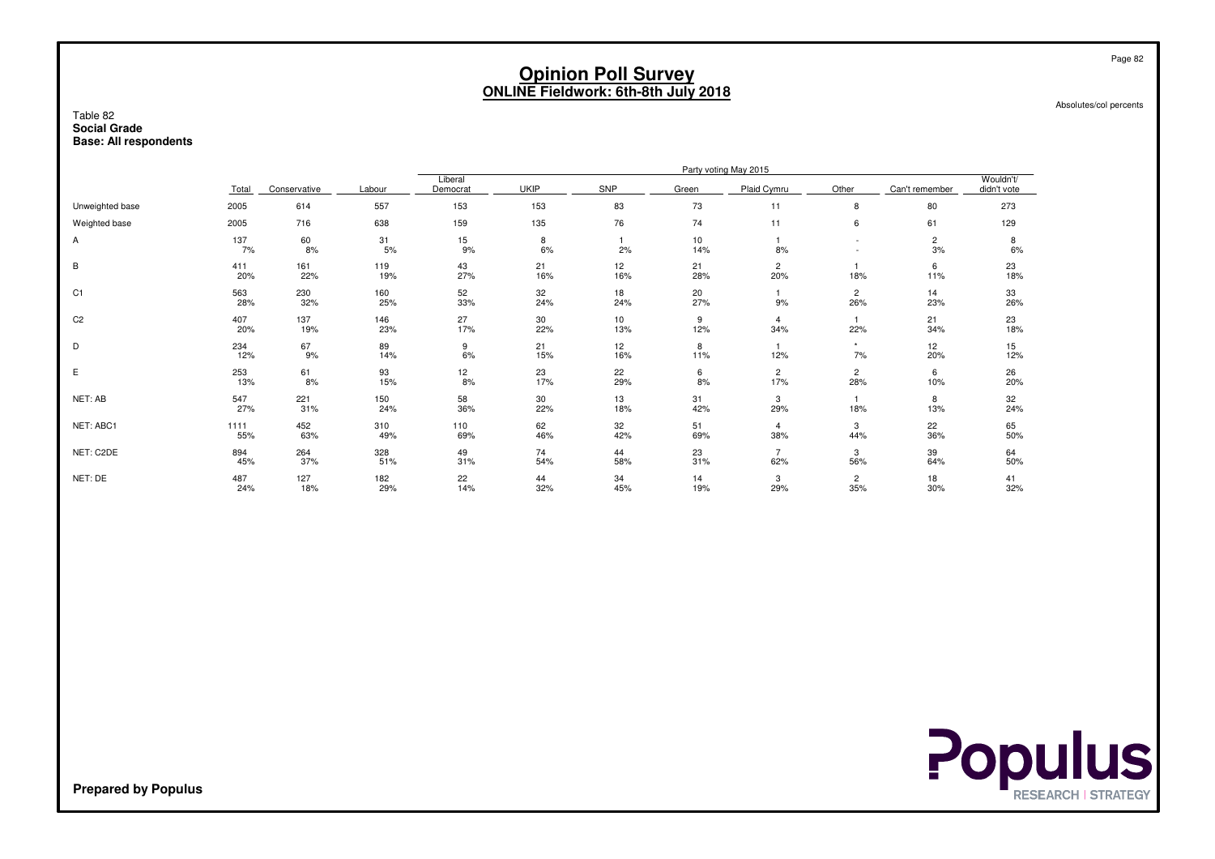Absolutes/col percents

#### Table 82 **Social GradeBase: All respondents**

| Total       |                  | Labour       | Liberal<br>Democrat | <b>UKIP</b> | <b>SNP</b> | Green     | Plaid Cymru           | Other                 | Can't remember       | Wouldn't/<br>didn't vote |
|-------------|------------------|--------------|---------------------|-------------|------------|-----------|-----------------------|-----------------------|----------------------|--------------------------|
| 2005        | 614              | 557          | 153                 | 153         | 83         | 73        | 11                    | 8                     | 80                   | 273                      |
| 2005        | 716              | 638          | 159                 | 135         | 76         | 74        | 11                    | 6                     | 61                   | 129                      |
| 137<br>7%   | 60<br>8%         | 31<br>5%     | 15<br>9%            | 8<br>6%     | 2%         | 10<br>14% | 8%                    |                       | $\overline{c}$<br>3% | 8<br>6%                  |
| 411<br>20%  | 161<br>22%       | 119<br>19%   | 43<br>27%           | 21<br>16%   | 12<br>16%  | 21<br>28% | $\overline{2}$<br>20% | 18%                   | 6<br>11%             | 23<br>18%                |
| 563<br>28%  | 230<br>32%       | 160<br>25%   | 52<br>33%           | 32<br>24%   | 18<br>24%  | 20<br>27% | 9%                    | $\mathbf{2}$<br>26%   | 14<br>23%            | 33<br>26%                |
| 407<br>20%  | 137<br>19%       | 146<br>23%   | 27<br>17%           | 30<br>22%   | 10<br>13%  | 9<br>12%  | 4<br>34%              | 22%                   | 21<br>34%            | 23<br>18%                |
| 234<br>12%  | 67<br>9%         | 89<br>14%    | 9<br>6%             | 21<br>15%   | 12<br>16%  | 8<br>11%  | 12%                   | $\star$<br>7%         | 12<br>20%            | 15<br>12%                |
| 253<br>13%  | $\frac{61}{8\%}$ | 93<br>15%    | 12<br>8%            | 23<br>17%   | 22<br>29%  | 6<br>8%   | $\overline{2}$<br>17% | $\mathbf{2}$<br>28%   | 6<br>10%             | 26<br>20%                |
| 547<br>27%  | 221<br>31%       | 150<br>24%   | 58<br>36%           | 30<br>22%   | 13<br>18%  | 31<br>42% | 3<br>29%              | 18%                   | 8<br>13%             | 32<br>24%                |
| 1111<br>55% | 452<br>63%       | 310<br>49%   | 110<br>69%          | 62<br>46%   | 32<br>42%  | 51<br>69% | 4<br>38%              | 3<br>44%              | 22<br>36%            | 65<br>50%                |
| 894<br>45%  | 264<br>37%       | 328<br>51%   | 49<br>31%           | 74<br>54%   | 44<br>58%  | 23<br>31% | 62%                   | 3<br>56%              | 39<br>64%            | 64<br>50%                |
| 487<br>24%  | 127<br>18%       | 182<br>29%   | 22<br>14%           | 44<br>32%   | 34<br>45%  | 14<br>19% | 3<br>29%              | $\mathbf{2}$<br>35%   | 18<br>30%            | 41<br>32%                |
|             |                  | Conservative |                     |             |            |           |                       | Party voting May 2015 |                      |                          |

**Populus** 

**Prepared by Populus**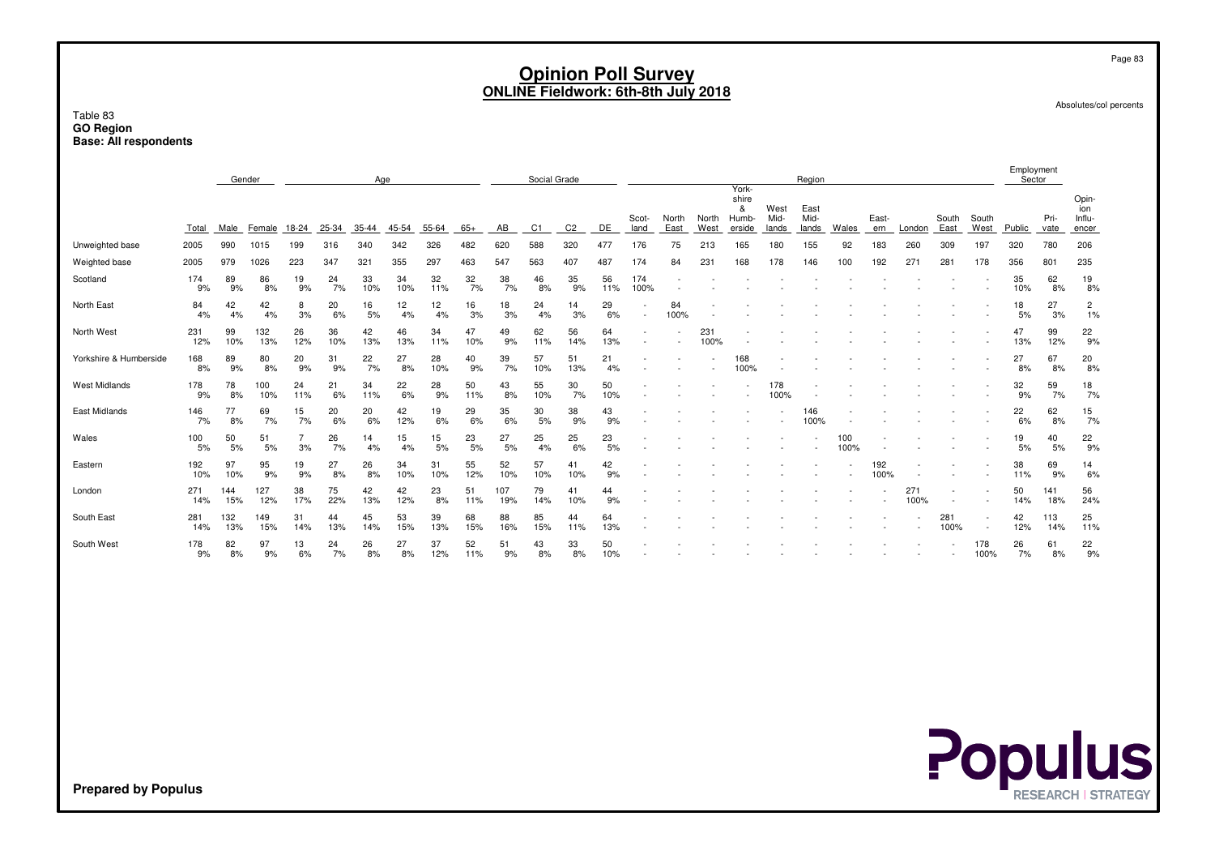Table 83 **GO RegionBase: All respondents**

|                        |            |            | Gender     |           |           | Age       |           |           |           |            | Social Grade |                |           |                          |               |               | York-                         |                       | Region                |             |              |             |               |                          | Employment<br>Sector |              |                                 |
|------------------------|------------|------------|------------|-----------|-----------|-----------|-----------|-----------|-----------|------------|--------------|----------------|-----------|--------------------------|---------------|---------------|-------------------------------|-----------------------|-----------------------|-------------|--------------|-------------|---------------|--------------------------|----------------------|--------------|---------------------------------|
|                        | Total      | Male       | Female     | 18-24     | 25-34     | 35-44     | 45-54     | 55-64     | 65+       | AB         | C1           | C <sub>2</sub> | DE        | Scot-<br>land            | North<br>East | North<br>West | shire<br>&<br>Humb-<br>erside | West<br>Mid-<br>lands | East<br>Mid-<br>lands | Wales       | East-<br>ern | London      | South<br>East | South<br>West            | Public               | Pri-<br>vate | Opin-<br>ion<br>Influ-<br>encer |
| Unweighted base        | 2005       | 990        | 1015       | 199       | 316       | 340       | 342       | 326       | 482       | 620        | 588          | 320            | 477       | 176                      | 75            | 213           | 165                           | 180                   | 155                   | 92          | 183          | 260         | 309           | 197                      | 320                  | 780          | 206                             |
| Weighted base          | 2005       | 979        | 1026       | 223       | 347       | 321       | 355       | 297       | 463       | 547        | 563          | 407            | 487       | 174                      | 84            | 231           | 168                           | 178                   | 146                   | 100         | 192          | 271         | 281           | 178                      | 356                  | 801          | 235                             |
| Scotland               | 174<br>9%  | 89<br>9%   | 86<br>8%   | 19<br>9%  | 24<br>7%  | 33<br>10% | 34<br>10% | 32<br>11% | 32<br>7%  | 38<br>7%   | 46<br>8%     | 35<br>9%       | 56<br>11% | 174<br>100%              |               |               |                               |                       |                       |             |              |             |               |                          | 35<br>10%            | 62<br>8%     | 19<br>8%                        |
| North East             | 84<br>4%   | 42<br>4%   | 42<br>4%   | 8<br>3%   | 20<br>6%  | 16<br>5%  | 12<br>4%  | 12<br>4%  | 16<br>3%  | 18<br>3%   | 24<br>4%     | 14<br>3%       | 29<br>6%  | $\overline{\phantom{a}}$ | 84<br>100%    |               |                               |                       |                       |             |              |             |               |                          | 18<br>5%             | 27<br>3%     | $\overline{c}$<br>1%            |
| North West             | 231<br>12% | 99<br>10%  | 132<br>13% | 26<br>12% | 36<br>10% | 42<br>13% | 46<br>13% | 34<br>11% | 47<br>10% | 49<br>9%   | 62<br>11%    | 56<br>14%      | 64<br>13% |                          |               | 231<br>100%   |                               |                       |                       |             |              |             |               |                          | 47<br>13%            | 99<br>12%    | 22<br>9%                        |
| Yorkshire & Humberside | 168<br>8%  | 89<br>9%   | 80<br>8%   | 20<br>9%  | 31<br>9%  | 22<br>7%  | 27<br>8%  | 28<br>10% | 40<br>9%  | 39<br>7%   | 57<br>10%    | 51<br>13%      | 21<br>4%  |                          |               |               | 168<br>100%                   |                       |                       |             |              |             |               |                          | 27<br>8%             | 67<br>8%     | 20<br>8%                        |
| <b>West Midlands</b>   | 178<br>9%  | 78<br>8%   | 100<br>10% | 24<br>11% | 21<br>6%  | 34<br>11% | 22<br>6%  | 28<br>9%  | 50<br>11% | 43<br>8%   | 55<br>10%    | 30<br>7%       | 50<br>10% |                          |               |               |                               | 178<br>100%           |                       |             |              |             |               |                          | 32<br>9%             | 59<br>7%     | 18<br>7%                        |
| East Midlands          | 146<br>7%  | 77<br>8%   | 69<br>7%   | 15<br>7%  | 20<br>6%  | 20<br>6%  | 42<br>12% | 19<br>6%  | 29<br>6%  | 35<br>6%   | 30<br>5%     | 38<br>9%       | 43<br>9%  |                          |               |               |                               |                       | 146<br>100%           |             |              |             |               |                          | 22<br>6%             | 62<br>8%     | 15<br>7%                        |
| Wales                  | 100<br>5%  | 50<br>5%   | 51<br>5%   | 3%        | 26<br>7%  | 14<br>4%  | 15<br>4%  | 15<br>5%  | 23<br>5%  | 27<br>5%   | 25<br>4%     | 25<br>6%       | 23<br>5%  |                          |               |               |                               |                       |                       | 100<br>100% |              |             |               |                          | 19<br>5%             | 40<br>5%     | 22<br>9%                        |
| Eastern                | 192<br>10% | 97<br>10%  | 95<br>9%   | 19<br>9%  | 27<br>8%  | 26<br>8%  | 34<br>10% | 31<br>10% | 55<br>12% | 52<br>10%  | 57<br>10%    | 41<br>10%      | 42<br>9%  |                          |               |               |                               |                       |                       |             | 192<br>100%  |             |               |                          | 38<br>11%            | 69<br>9%     | 14<br>6%                        |
| London                 | 271<br>14% | 144<br>15% | 127<br>12% | 38<br>17% | 75<br>22% | 42<br>13% | 42<br>12% | 23<br>8%  | 51<br>11% | 107<br>19% | 79<br>14%    | 41<br>10%      | 44<br>9%  |                          |               |               |                               |                       |                       |             |              | 271<br>100% |               |                          | 50<br>14%            | 141<br>18%   | 56<br>24%                       |
| South East             | 281<br>14% | 132<br>13% | 149<br>15% | 31<br>14% | 44<br>13% | 45<br>14% | 53<br>15% | 39<br>13% | 68<br>15% | 88<br>16%  | 85<br>15%    | 44<br>11%      | 64<br>13% |                          |               |               |                               |                       |                       |             |              |             | 281<br>100%   | $\overline{\phantom{a}}$ | 42<br>12%            | 113<br>14%   | 25<br>11%                       |
| South West             | 178<br>9%  | 82<br>8%   | 97<br>9%   | 13<br>6%  | 24<br>7%  | 26<br>8%  | 27<br>8%  | 37<br>12% | 52<br>11% | 51<br>9%   | 43<br>8%     | 33<br>8%       | 50<br>10% |                          |               |               |                               |                       |                       |             |              |             |               | 178<br>100%              | 26<br>7%             | 61<br>8%     | 22<br>9%                        |
|                        |            |            |            |           |           |           |           |           |           |            |              |                |           |                          |               |               |                               |                       |                       |             |              |             |               |                          |                      |              |                                 |

**Populus** 

Absolutes/col percents

Page 83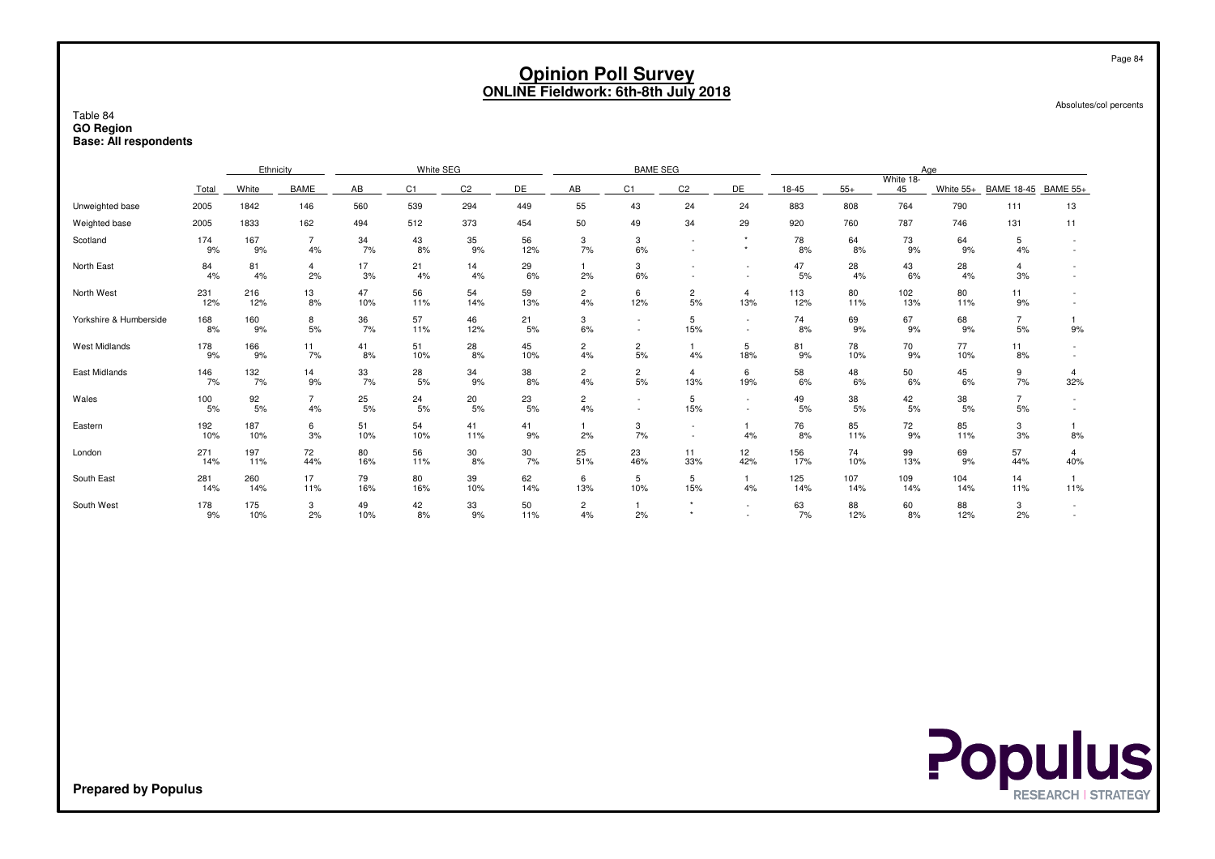|                                                              |                                                               |                                                                                                                                                                                                                                                                              |                      |           |                |                |           | <b>Opinion Poll Survey</b> |                    | <b>ONLINE Fieldwork: 6th-8th July 2018</b> |                       |            |            |            |            |                      | Absolutes/col percents | Page 84 |
|--------------------------------------------------------------|---------------------------------------------------------------|------------------------------------------------------------------------------------------------------------------------------------------------------------------------------------------------------------------------------------------------------------------------------|----------------------|-----------|----------------|----------------|-----------|----------------------------|--------------------|--------------------------------------------|-----------------------|------------|------------|------------|------------|----------------------|------------------------|---------|
| Table 84<br><b>GO Region</b><br><b>Base: All respondents</b> | White SEG<br>Ethnicity<br><b>BAME SEG</b><br>Age<br>White 18- |                                                                                                                                                                                                                                                                              |                      |           |                |                |           |                            |                    |                                            |                       |            |            |            |            |                      |                        |         |
|                                                              |                                                               |                                                                                                                                                                                                                                                                              |                      |           |                |                |           |                            |                    |                                            |                       |            |            |            |            |                      |                        |         |
|                                                              | Total                                                         | White                                                                                                                                                                                                                                                                        | <b>BAME</b>          | AB        | C <sub>1</sub> | C <sub>2</sub> | DE        | AB                         | C <sub>1</sub>     | C <sub>2</sub>                             | DE                    | 18-45      | $55+$      | 45         | White 55+  | <b>BAME 18-45</b>    | <b>BAME 55+</b>        |         |
| Unweighted base                                              | 2005                                                          | 1842                                                                                                                                                                                                                                                                         | 146                  | 560       | 539            | 294            | 449       | 55                         | 43                 | 24                                         | 24                    | 883        | 808        | 764        | 790        | 111                  | 13                     |         |
| Weighted base                                                | 2005                                                          | 1833                                                                                                                                                                                                                                                                         | 162                  | 494       | 787            | 746            | 131       | 11                         |                    |                                            |                       |            |            |            |            |                      |                        |         |
| Scotland                                                     | 174<br>9%                                                     | 50<br>512<br>373<br>454<br>49<br>34<br>29<br>920<br>760<br>43<br>35<br>56<br>73<br>64<br>167<br>$\overline{7}$<br>34<br>3<br>3<br>78<br>5<br>64<br>$\sim$<br>7%<br>7%<br>9%<br>12%<br>6%<br>4%<br>8%<br>8%<br>8%<br>9%<br>9%<br>4%<br>9%<br>$\star$<br>$\sim$<br>1<br>$\sim$ |                      |           |                |                |           |                            |                    |                                            |                       |            |            |            |            |                      |                        |         |
| North East                                                   | 84<br>4%                                                      | 29<br>17<br>14<br>47<br>43<br>28<br>81<br>4<br>21<br>3<br>28<br>$\overline{4}$<br>6%<br>4%<br>2%<br>3%<br>4%<br>4%<br>6%<br>2%<br>5%<br>4%<br>6%<br>4%<br>3%<br>$\sim$                                                                                                       |                      |           |                |                |           |                            |                    |                                            |                       |            |            |            |            |                      |                        |         |
| North West                                                   | 231<br>12%                                                    | 216<br>12%                                                                                                                                                                                                                                                                   | 13<br>8%             | 47<br>10% | 56<br>11%      | 54<br>14%      | 59<br>13% | $\overline{c}$<br>4%       | 6<br>12%           | $\overline{c}$<br>5%                       | $\overline{4}$<br>13% | 113<br>12% | 80<br>11%  | 102<br>13% | 80<br>11%  | 11<br>9%             |                        |         |
| Yorkshire & Humberside                                       | 168<br>8%                                                     | 160<br>9%                                                                                                                                                                                                                                                                    | 8<br>5%              | 36<br>7%  | 57<br>11%      | 46<br>12%      | 21<br>5%  | 3<br>6%                    |                    | 5<br>15%                                   | $\sim$<br>$\sim$      | 74<br>8%   | 69<br>9%   | 67<br>9%   | 68<br>9%   | $\overline{7}$<br>5% | 1<br>9%                |         |
| <b>West Midlands</b>                                         | 178<br>9%                                                     | 166<br>9%                                                                                                                                                                                                                                                                    | 11<br>7%             | 41<br>8%  | 51<br>10%      | 28<br>8%       | 45<br>10% | $\overline{c}$<br>4%       | $\mathbf{2}$<br>5% | $\mathbf{1}$<br>4%                         | 5<br>18%              | 81<br>9%   | 78<br>10%  | 70<br>9%   | 77<br>10%  | 11<br>8%             |                        |         |
| <b>East Midlands</b>                                         | 146<br>7%                                                     | 132<br>7%                                                                                                                                                                                                                                                                    | 14<br>9%             | 33<br>7%  | 28<br>5%       | 34<br>9%       | 38<br>8%  | $\overline{c}$<br>4%       | 2<br>5%            | $\overline{4}$<br>13%                      | 6<br>19%              | 58<br>6%   | 48<br>6%   | 50<br>6%   | 45<br>6%   | 9<br>7%              | $\overline{4}$<br>32%  |         |
| Wales                                                        | 100<br>5%                                                     | 92<br>5%                                                                                                                                                                                                                                                                     | $\overline{7}$<br>4% | 25<br>5%  | 24<br>5%       | 20<br>5%       | 23<br>5%  | $\mathbf{2}$<br>4%         | $\sim$             | 5<br>15%                                   | $\sim$<br>$\sim$      | 49<br>5%   | 38<br>5%   | 42<br>5%   | 38<br>5%   | $\overline{7}$<br>5% | $\sim$                 |         |
| Eastern                                                      | 192<br>10%                                                    | 187<br>10%                                                                                                                                                                                                                                                                   | 6<br>3%              | 51<br>10% | 54<br>10%      | 41<br>11%      | 41<br>9%  | 1<br>2%                    | 3<br>7%            | $\overline{\phantom{a}}$<br>$\sim$         | 4%                    | 76<br>8%   | 85<br>11%  | 72<br>9%   | 85<br>11%  | 3<br>3%              | 1<br>8%                |         |
| London                                                       | 271<br>14%                                                    | 197<br>11%                                                                                                                                                                                                                                                                   | 72<br>44%            | 80<br>16% | 56<br>11%      | 30<br>8%       | 30<br>7%  | 25<br>51%                  | 23<br>46%          | 11<br>33%                                  | 12<br>42%             | 156<br>17% | 74<br>10%  | 99<br>13%  | 69<br>9%   | 57<br>44%            | 4<br>40%               |         |
| South East                                                   | 281<br>14%                                                    | 260<br>14%                                                                                                                                                                                                                                                                   | 17<br>11%            | 79<br>16% | 80<br>16%      | 39<br>10%      | 62<br>14% | 6<br>13%                   | 5<br>10%           | 5<br>15%                                   | 4%                    | 125<br>14% | 107<br>14% | 109<br>14% | 104<br>14% | 14<br>11%            | 1<br>11%               |         |
| South West                                                   | 178<br>9%                                                     | 175<br>10%                                                                                                                                                                                                                                                                   | 3<br>2%              | 49<br>10% | 42<br>8%       | 33<br>9%       | 50<br>11% | 2<br>4%                    | -1<br>2%           | $\star$<br>$\star$                         |                       | 63<br>7%   | 88<br>12%  | 60<br>8%   | 88<br>12%  | 3<br>2%              |                        |         |

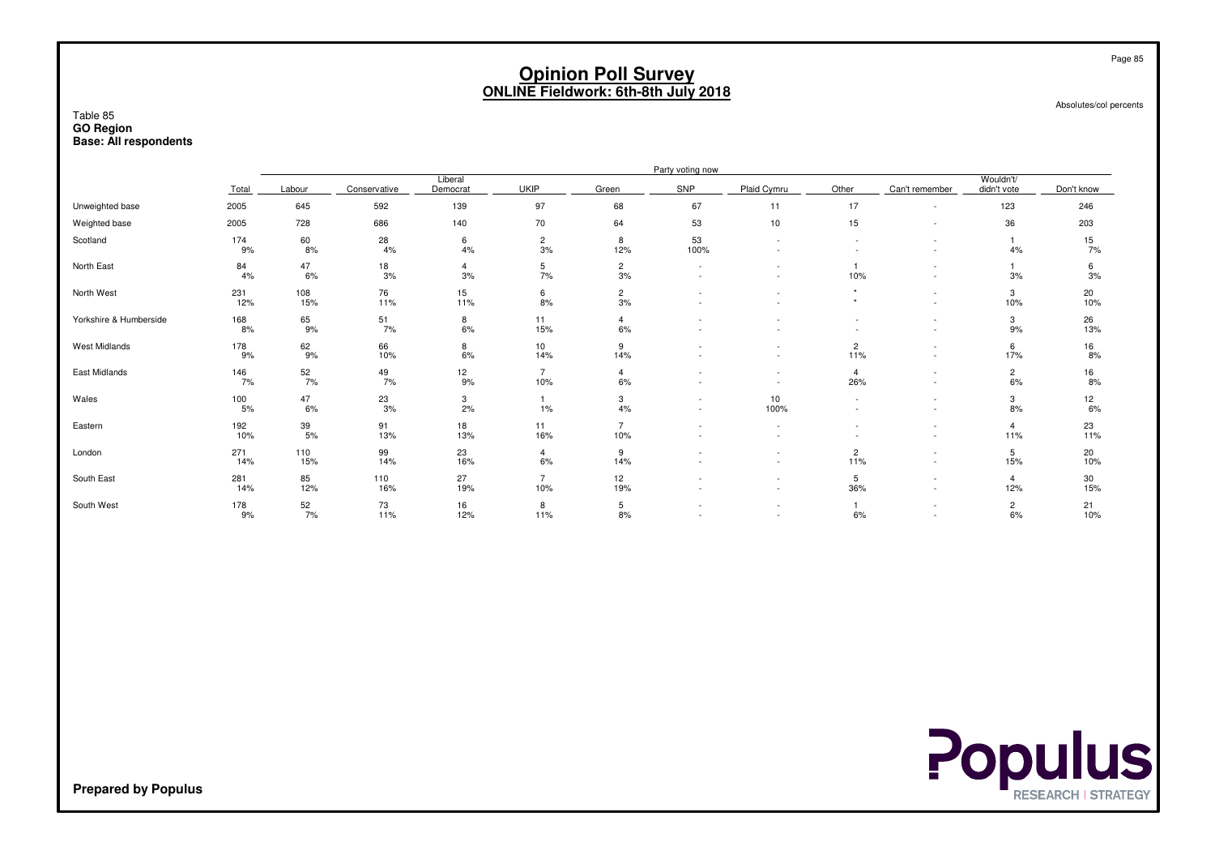#### Absolutes/col percents

Page 85

#### Table 85 **GO RegionBase: All respondents**

|                        |                              |                  |                  |                     |                       |                       | Party voting now         |                                                      |                       |                                                      |                          |                  |
|------------------------|------------------------------|------------------|------------------|---------------------|-----------------------|-----------------------|--------------------------|------------------------------------------------------|-----------------------|------------------------------------------------------|--------------------------|------------------|
|                        | Total                        | Labour           | Conservative     | Liberal<br>Democrat | <b>UKIP</b>           | Green                 | SNP                      | Plaid Cymru                                          | Other                 | Can't remember                                       | Wouldn't/<br>didn't vote | Don't know       |
| Unweighted base        | 2005                         | 645              | 592              | 139                 | 97                    | 68                    | 67                       | 11                                                   | 17                    | $\overline{\phantom{a}}$                             | 123                      | 246              |
| Weighted base          | 2005                         | 728              | 686              | 140                 | 70                    | 64                    | 53                       | 10                                                   | 15                    | $\overline{\phantom{a}}$                             | 36                       | 203              |
| Scotland               | 174<br>9%                    | 60<br>8%         | 28<br>4%         | 6<br>4%             | $\frac{2}{3\%}$       | 8<br>12%              | 53<br>100%               | $\overline{\phantom{a}}$                             |                       | ٠                                                    | 4%                       | 15<br>7%         |
| North East             | 84<br>4%                     | 47<br>6%         | 18<br>3%         | 4<br>3%             | 5<br>7%               | $\overline{2}$<br>3%  | $\sim$                   |                                                      | 10%                   | $\overline{\phantom{a}}$<br>$\overline{\phantom{a}}$ | 3%                       | 6<br>3%          |
| North West             | 231<br>12%                   | 108<br>15%       | 76<br>11%        | 15<br>11%           | 6<br>8%               | $\overline{c}$<br>3%  |                          |                                                      |                       | ٠<br>$\overline{\phantom{a}}$                        | 3<br>10%                 | 20<br>10%        |
| Yorkshire & Humberside | 168<br>8%                    | 65<br>9%         | $\frac{51}{7\%}$ | 8<br>6%             | 11<br>15%             | $\overline{4}$<br>6%  |                          |                                                      |                       | $\overline{\phantom{a}}$<br>$\sim$                   | 3<br>9%                  | 26<br>13%        |
| West Midlands          | 178<br>9%                    | 62<br>9%         | 66<br>10%        | $8\over 6\%$        | 10<br>14%             | 9<br>14%              |                          | $\overline{\phantom{a}}$                             | $\overline{c}$<br>11% | $\overline{\phantom{a}}$<br>$\sim$                   | 6<br>17%                 | $\frac{16}{8\%}$ |
| East Midlands          | 146<br>7%                    | $\frac{52}{7\%}$ | $^{49}_{7\%}$    | 12<br>9%            | $\overline{7}$<br>10% | 4<br>6%               |                          | $\sim$                                               | $\overline{4}$<br>26% | $\overline{\phantom{a}}$<br>٠                        | $\overline{c}$<br>6%     | 16<br>8%         |
| Wales                  | $^\mathrm{100}_\mathrm{5\%}$ | $^{47}_{6\%}$    | $\frac{23}{3\%}$ | $\frac{3}{2\%}$     | 1%                    | 3<br>4%               | $\sim$                   | 10<br>100%                                           |                       | ٠<br>$\sim$                                          | 3<br>8%                  | 12<br>6%         |
| Eastern                | 192<br>10%                   | 39<br>5%         | 91<br>13%        | 18<br>13%           | 11<br>16%             | $\overline{7}$<br>10% | $\overline{\phantom{a}}$ | $\overline{\phantom{a}}$<br>$\overline{\phantom{a}}$ |                       | $\overline{\phantom{a}}$<br>$\overline{\phantom{a}}$ | $\overline{4}$<br>11%    | 23<br>11%        |
| London                 | 271<br>14%                   | 110<br>15%       | 99<br>14%        | 23<br>16%           | $\overline{4}$<br>6%  | 9<br>14%              |                          | $\overline{\phantom{a}}$                             | $\overline{2}$<br>11% | $\overline{\phantom{a}}$<br>$\overline{\phantom{a}}$ | 5<br>15%                 | 20<br>10%        |
| South East             | 281<br>14%                   | 85<br>12%        | 110<br>16%       | 27<br>19%           | $\overline{7}$<br>10% | 12<br>19%             |                          | $\overline{\phantom{a}}$<br>$\overline{\phantom{a}}$ | 5<br>36%              | $\overline{\phantom{a}}$<br>$\overline{\phantom{a}}$ | $\overline{4}$<br>12%    | 30<br>15%        |
| South West             | 178<br>9%                    | $\frac{52}{7\%}$ | 73<br>11%        | 16<br>12%           | 8<br>11%              | 5<br>8%               |                          | $\overline{\phantom{a}}$                             | 6%                    | ٠<br>٠                                               | $\overline{c}$<br>6%     | 21<br>10%        |

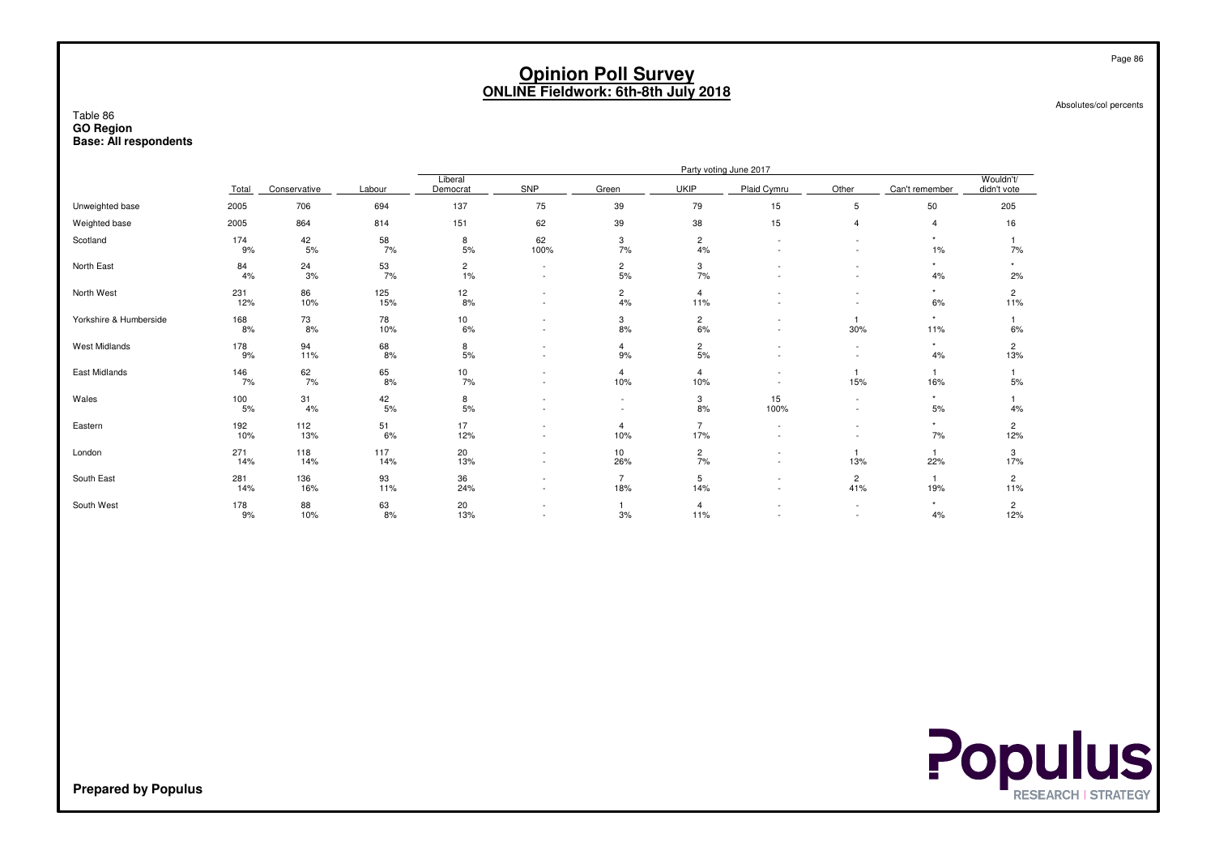Absolutes/col percents

#### Table 86 **GO RegionBase: All respondents**

|                        |            |              |                 |                      |                                |                                    |                       | Party voting June 2017   |                     |                 |                          |
|------------------------|------------|--------------|-----------------|----------------------|--------------------------------|------------------------------------|-----------------------|--------------------------|---------------------|-----------------|--------------------------|
|                        | Total      | Conservative | Labour          | Liberal<br>Democrat  | SNP                            | Green                              | <b>UKIP</b>           | Plaid Cymru              | Other               | Can't remember  | Wouldn't/<br>didn't vote |
| Unweighted base        | 2005       | 706          | 694             | 137                  | 75                             | 39                                 | 79                    | 15                       | 5                   | 50              | 205                      |
| Weighted base          | 2005       | 864          | 814             | 151                  | 62                             | 39                                 | 38                    | 15                       | $\overline{4}$      | 4               | 16                       |
| Scotland               | 174<br>9%  | 42<br>$5%$   | 58<br>7%        | 8<br>5%              | 62<br>100%                     | 3<br>7%                            | $\overline{c}$<br>4%  |                          |                     | $\star$<br>1%   | 7%                       |
| North East             | 84<br>4%   | 24<br>3%     | 53<br>7%        | $\overline{c}$<br>1% | ٠<br>÷,                        | $\overline{a}$<br>5%               | 3<br>7%               |                          |                     | $\star$<br>4%   | $\star$<br>2%            |
| North West             | 231<br>12% | 86<br>10%    | 125<br>15%      | 12<br>8%             | ÷,<br>$\overline{\phantom{0}}$ | $\overline{c}$<br>4%               | $\overline{4}$<br>11% |                          |                     | $\star$<br>6%   | $\overline{2}$<br>11%    |
| Yorkshire & Humberside | 168<br>8%  | 73<br>8%     | 78<br>10%       | 10<br>6%             | ٠<br>÷,                        | 3<br>8%                            | $\frac{2}{6\%}$       |                          | 30%                 | $\star$<br>11%  | 6%                       |
| West Midlands          | 178<br>9%  | 94<br>11%    | 68<br>8%        | 8<br>5%              | $\overline{\phantom{0}}$<br>٠  | 4<br>9%                            | $\frac{2}{5\%}$       |                          |                     | $\star$<br>4%   | $\overline{c}$<br>13%    |
| East Midlands          | 146<br>7%  | $62$<br>$7%$ | 65<br>8%        | $\frac{10}{7\%}$     | ٠                              | $\overline{4}$<br>10%              | $\overline{4}$<br>10% | $\overline{\phantom{a}}$ | 15%                 | 16%             | 5%                       |
| Wales                  | 100<br>5%  | 31<br>4%     | $^{42}_{\ 5\%}$ | 8<br>5%              | ٠<br>÷,                        | $\overline{\phantom{a}}$<br>$\sim$ | 3<br>8%               | 15<br>100%               | $\sim$<br>$\sim$    | $\star$<br>$5%$ | 4%                       |
| Eastern                | 192<br>10% | 112<br>13%   | 51<br>6%        | 17<br>12%            | ٠                              | $\overline{4}$<br>10%              | $\overline{7}$<br>17% |                          | $\sim$              | $\star$<br>7%   | $\overline{2}$<br>12%    |
| London                 | 271<br>14% | 118<br>14%   | 117<br>14%      | 20<br>13%            | $\overline{\phantom{0}}$<br>٠  | 10<br>26%                          | $\overline{c}$<br>7%  | $\overline{\phantom{a}}$ | 13%                 | 22%             | 3<br>17%                 |
| South East             | 281<br>14% | 136<br>16%   | 93<br>11%       | 36<br>24%            | $\overline{\phantom{0}}$       | $\overline{7}$<br>18%              | 5<br>14%              |                          | $\mathbf{2}$<br>41% | 19%             | $\overline{2}$<br>11%    |
| South West             | 178<br>9%  | 88<br>10%    | 63<br>8%        | 20<br>13%            | ٠<br>٠                         | 3%                                 | $\overline{4}$<br>11% |                          | $\sim$<br>$\sim$    | $\star$<br>4%   | $\overline{c}$<br>12%    |



**Prepared by Populus**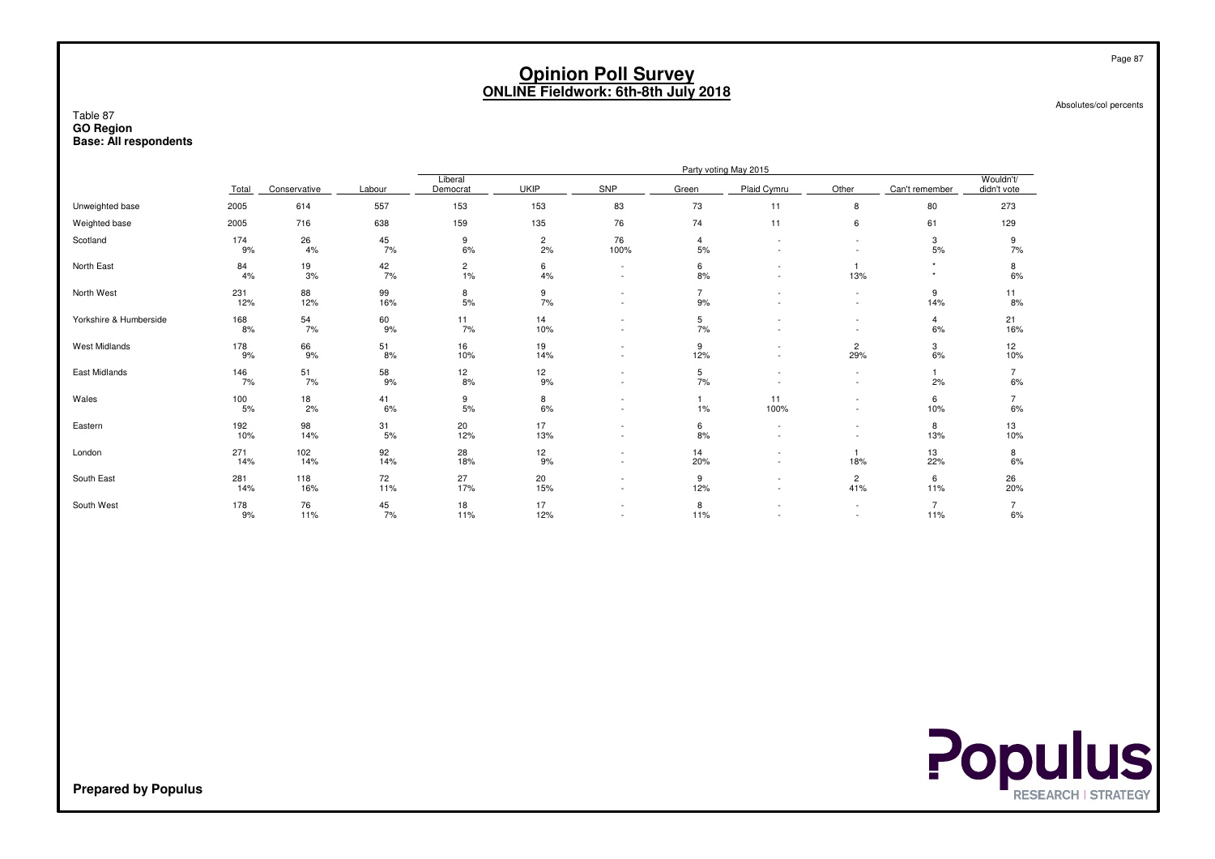Absolutes/col percents

#### Table 87 **GO RegionBase: All respondents**

|                        |            |                  |                  |                      |                      |                               |                      | Party voting May 2015 |                                    |                       |                          |
|------------------------|------------|------------------|------------------|----------------------|----------------------|-------------------------------|----------------------|-----------------------|------------------------------------|-----------------------|--------------------------|
|                        | Total      | Conservative     | Labour           | Liberal<br>Democrat  | <b>UKIP</b>          | SNP                           | Green                | Plaid Cymru           | Other                              | Can't remember        | Wouldn't/<br>didn't vote |
| Unweighted base        | 2005       | 614              | 557              | 153                  | 153                  | 83                            | 73                   | 11                    | 8                                  | 80                    | 273                      |
| Weighted base          | 2005       | 716              | 638              | 159                  | 135                  | 76                            | 74                   | 11                    | 6                                  | 61                    | 129                      |
| Scotland               | 174<br>9%  | 26<br>4%         | 45<br>7%         | 9<br>6%              | $\overline{c}$<br>2% | 76<br>100%                    | 4<br>5%              |                       |                                    | 3<br>5%               | 9<br>7%                  |
| North East             | 84<br>4%   | 19<br>3%         | 42<br>7%         | $\overline{c}$<br>1% | 6<br>4%              | $\overline{\phantom{a}}$<br>٠ | 6<br>8%              |                       | 13%                                | $\star$<br>٠          | 8<br>6%                  |
| North West             | 231<br>12% | 88<br>12%        | 99<br>16%        | 8<br>5%              | 9<br>7%              | ٠<br>٠                        | $\overline{7}$<br>9% |                       | $\sim$<br>$\sim$                   | 9<br>14%              | 11<br>8%                 |
| Yorkshire & Humberside | 168<br>8%  | $\frac{54}{7\%}$ | $^{60}_{9\%}$    | 11<br>7%             | 14<br>10%            | ۰                             | 5<br>7%              |                       | $\overline{\phantom{a}}$           | $\overline{4}$<br>6%  | 21<br>16%                |
| West Midlands          | 178<br>9%  | 66<br>9%         | $\frac{51}{8\%}$ | 16<br>10%            | 19<br>14%            | ٠<br>$\sim$                   | 9<br>12%             | $\sim$                | $\overline{c}$<br>29%              | 3<br>6%               | 12<br>10%                |
| East Midlands          | 146<br>7%  | $\frac{51}{7\%}$ | 58<br>9%         | $\frac{12}{8\%}$     | $\frac{12}{9\%}$     | $\sim$<br>٠                   | 5<br>7%              |                       | $\sim$                             | 2%                    | $\overline{7}$<br>6%     |
| Wales                  | 100<br>5%  | $\frac{18}{2\%}$ | 41<br>6%         | 9<br>5%              | 8<br>6%              | ٠<br>٠                        | $1\%$                | 11<br>100%            | $\sim$<br>$\overline{\phantom{a}}$ | 6<br>10%              | $\overline{7}$<br>6%     |
| Eastern                | 192<br>10% | 98<br>14%        | 31<br>5%         | 20<br>12%            | 17<br>13%            | ٠<br>٠                        | 6<br>8%              | $\sim$                | $\sim$                             | 8<br>13%              | 13<br>10%                |
| London                 | 271<br>14% | 102<br>14%       | 92<br>14%        | 28<br>18%            | 12<br>9%             | ٠<br>$\sim$                   | 14<br>20%            | $\sim$                | 18%                                | 13<br>22%             | 8<br>6%                  |
| South East             | 281<br>14% | 118<br>16%       | 72<br>11%        | 27<br>17%            | 20<br>15%            | ٠<br>٠                        | 9<br>12%             |                       | $\overline{2}$<br>41%              | 6<br>11%              | 26<br>20%                |
| South West             | 178<br>9%  | 76<br>11%        | 45<br>7%         | 18<br>11%            | 17<br>12%            | ٠<br>$\sim$                   | 8<br>11%             |                       | $\sim$<br>$\sim$                   | $\overline{7}$<br>11% | $\overline{7}$<br>6%     |



**Prepared by Populus**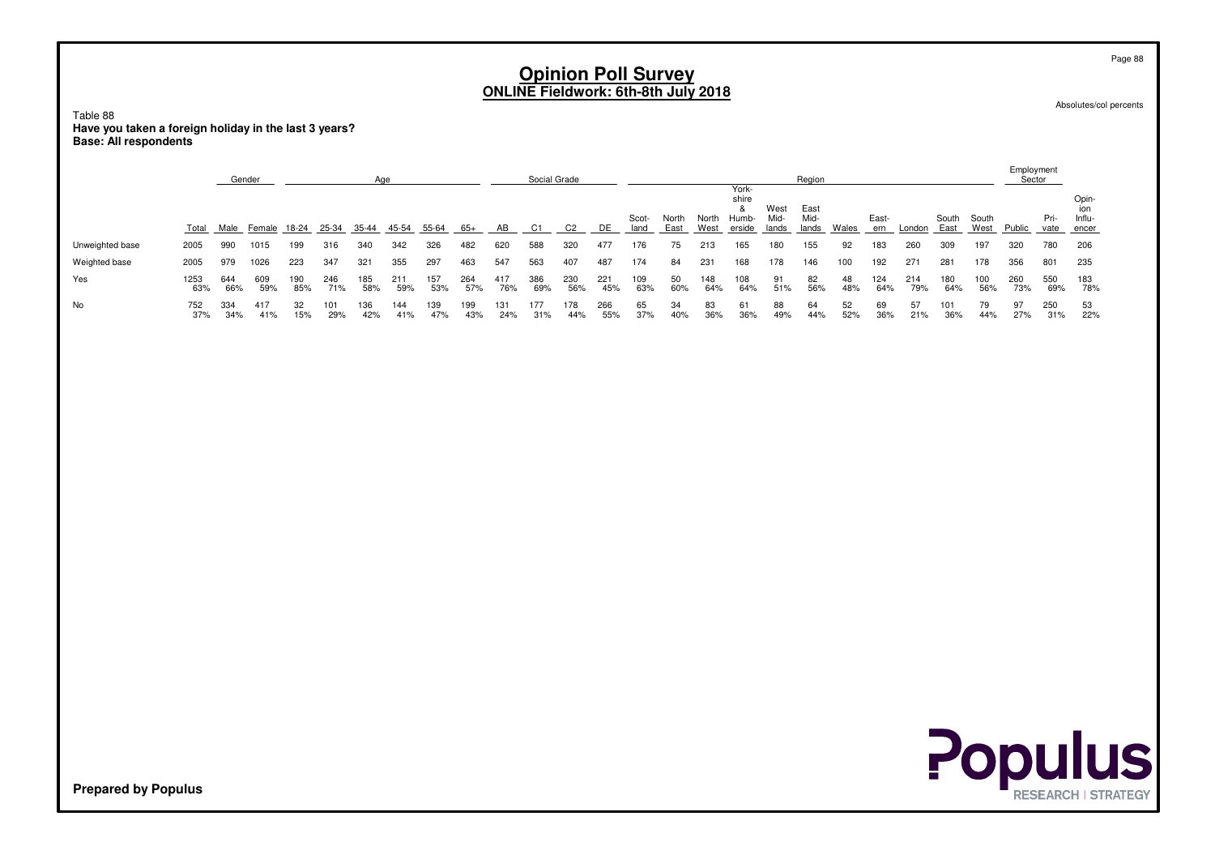Absolutes/col percents

Table 88 **Have you taken a foreign holiday in the last 3 years?Base: All respondents**

|                 |             | Gender     |            |            |            |            | Age                                  |            |            |            | Social Grade |                |            |               |               |               | York-                         |                       | Region                |              |              |            |               |            | Employment<br>Sector |              |                                 |
|-----------------|-------------|------------|------------|------------|------------|------------|--------------------------------------|------------|------------|------------|--------------|----------------|------------|---------------|---------------|---------------|-------------------------------|-----------------------|-----------------------|--------------|--------------|------------|---------------|------------|----------------------|--------------|---------------------------------|
|                 | Total       | Male       |            |            |            |            | Female 18-24 25-34 35-44 45-54 55-64 |            | $65+$      | AB         | C1           | C <sub>2</sub> | DE         | Scot-<br>land | North<br>East | North<br>West | shire<br>&<br>Humb-<br>erside | West<br>Mid-<br>lands | East<br>Mid-<br>lands | <b>Wales</b> | East-<br>ern | London     | South<br>East | South      | West Public          | Pri-<br>vate | Opin-<br>ion<br>Influ-<br>encer |
| Unweighted base | 2005        | 990        | 1015       | 199        | 316        | 340        | 342                                  | 326        | 482        | 620        | 588          | 320            | 477        | 176           | 75            | 213           | 165                           | 180                   | 155                   | 92           | 183          | 260        | 309           | 197        | 320                  | 780          | 206                             |
| Weighted base   | 2005        | 979        | 1026       | 223        | 347        | 321        | 355                                  | 297        | 463        | 547        | 563          | 407            | 487        | 174           | 84            | 231           | 168                           | 178                   | 146                   | 100          | 192          | 271        | 281           | 178        | 356                  | 801          | 235                             |
| Yes             | 1253<br>63% | 644<br>66% | 609<br>59% | 190<br>85% | 246<br>71% | 185<br>58% | 211<br>59%                           | 157<br>53% | 264<br>57% | 417<br>76% | 386<br>69%   | 230<br>56%     | 221<br>45% | 109<br>63%    | 50<br>60%     | 148<br>64%    | 108<br>64%                    | $91$<br>$51%$         | 82<br>56%             | 48<br>48%    | 124<br>64%   | 214<br>79% | 180<br>64%    | 100<br>56% | 260<br>73%           | 550<br>69%   | 183<br>78%                      |
| No              | 752<br>37%  | 334<br>34% | 417<br>41% | 32<br>15%  | 101<br>29% | 136<br>42% | 144<br>41%                           | 139<br>47% | 199<br>43% | 131<br>24% | 177<br>31%   | 178<br>44%     | 266<br>55% | 65<br>37%     | 34<br>40%     | 83<br>36%     | 61<br>36%                     | 88<br>49%             | 64<br>44%             | 52<br>52%    | 69<br>36%    | 57<br>21%  | 101<br>36%    | 79<br>44%  | 97<br>27%            | 250<br>31%   | 53<br>22%                       |
|                 |             |            |            |            |            |            |                                      |            |            |            |              |                |            |               |               |               |                               |                       |                       |              |              |            |               |            |                      |              |                                 |
|                 |             |            |            |            |            |            |                                      |            |            |            |              |                |            |               |               |               |                               |                       |                       |              |              |            |               |            |                      |              |                                 |
|                 |             |            |            |            |            |            |                                      |            |            |            |              |                |            |               |               |               |                               |                       |                       |              |              |            |               |            |                      |              |                                 |
|                 |             |            |            |            |            |            |                                      |            |            |            |              |                |            |               |               |               |                               |                       |                       |              |              |            |               |            |                      |              |                                 |
|                 |             |            |            |            |            |            |                                      |            |            |            |              |                |            |               |               |               |                               |                       |                       |              |              |            |               |            |                      |              |                                 |
|                 |             |            |            |            |            |            |                                      |            |            |            |              |                |            |               |               |               |                               |                       |                       |              |              |            |               |            |                      |              |                                 |
|                 |             |            |            |            |            |            |                                      |            |            |            |              |                |            |               |               |               |                               |                       |                       |              |              |            |               |            |                      |              |                                 |



**Prepared by Populus**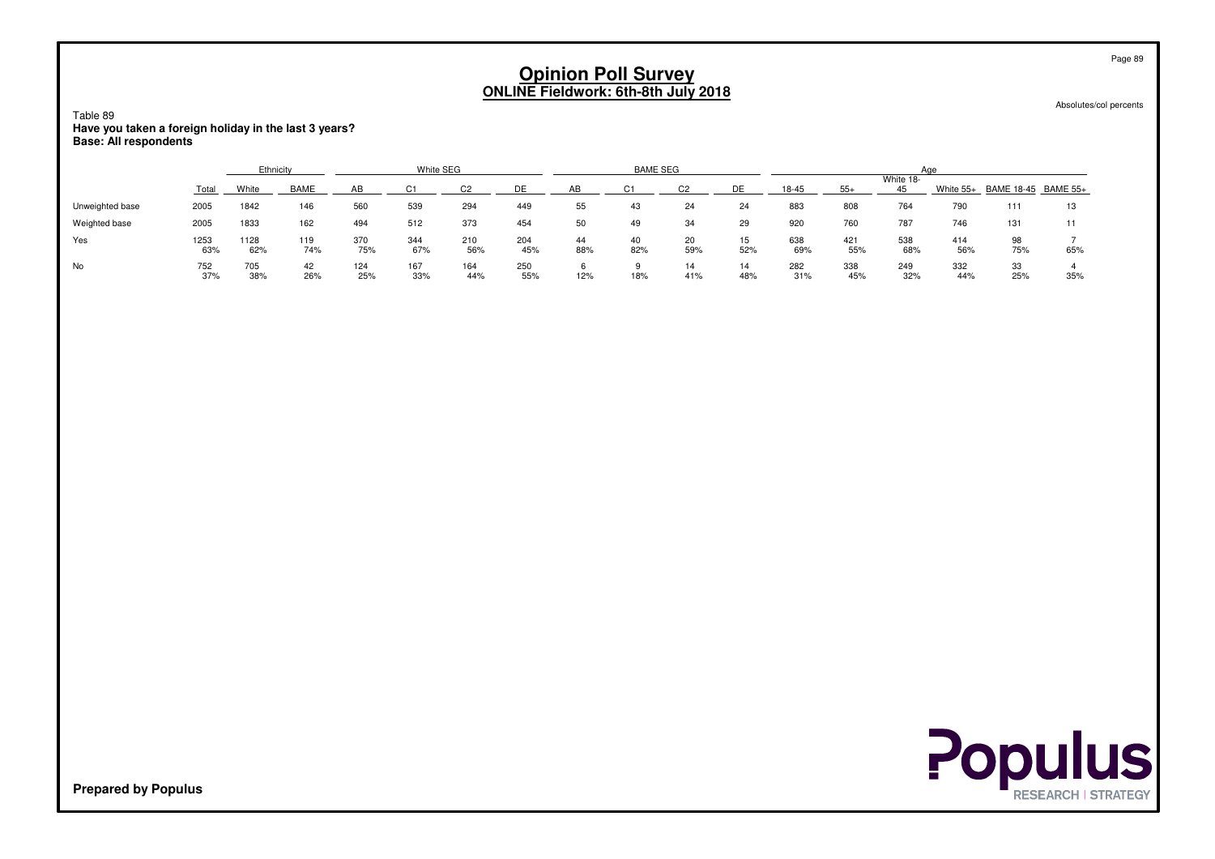Table 89 **Have you taken a foreign holiday in the last 3 years?Base: All respondents**

|                 |             | Ethnicity   |             |            | White SEG  |            |            |           | <b>BAME SEG</b> |           |           |            |            | Aae        |            |                               |     |
|-----------------|-------------|-------------|-------------|------------|------------|------------|------------|-----------|-----------------|-----------|-----------|------------|------------|------------|------------|-------------------------------|-----|
|                 |             |             |             |            |            |            | <b>DE</b>  | AR        |                 |           | ⊐רי       |            |            | White 18-  |            |                               |     |
|                 | Total       | White       | <b>BAME</b> |            |            |            |            |           |                 |           |           | $18 - 45$  |            | 45         |            | White 55+ BAME 18-45 BAME 55+ |     |
| Unweighted base | 2005        | 1842        | 146         | 560        | 539        | 294        | 449        | 55        | 43              | 24        | 24        | 883        | 808        | 764        | 790        | 111                           | 13  |
| Weighted base   | 2005        | 1833        | 162         | 494        | 512        | 373        | 454        | 50        | 49              | 34        | 29        | 920        | 760        | 787        | 746        | 131                           |     |
| Yes             | 1253<br>63% | 1128<br>62% | 119<br>74%  | 370<br>75% | 344<br>67% | 210<br>56% | 204<br>45% | 44<br>88% | 40<br>82%       | 20<br>59% | 15<br>52% | 638<br>69% | 421<br>55% | 538<br>68% | 414<br>56% | 98<br>75%                     | 65% |
| No              | 752<br>37%  | 705<br>38%  | 42<br>26%   | 124<br>25% | 167<br>33% | 164<br>44% | 250<br>55% | 12%       | 18%             | 14<br>41% | 14<br>48% | 282<br>31% | 338<br>45% | 249<br>32% | 332<br>44% | 33<br>25%                     | 35% |

Absolutes/col percents

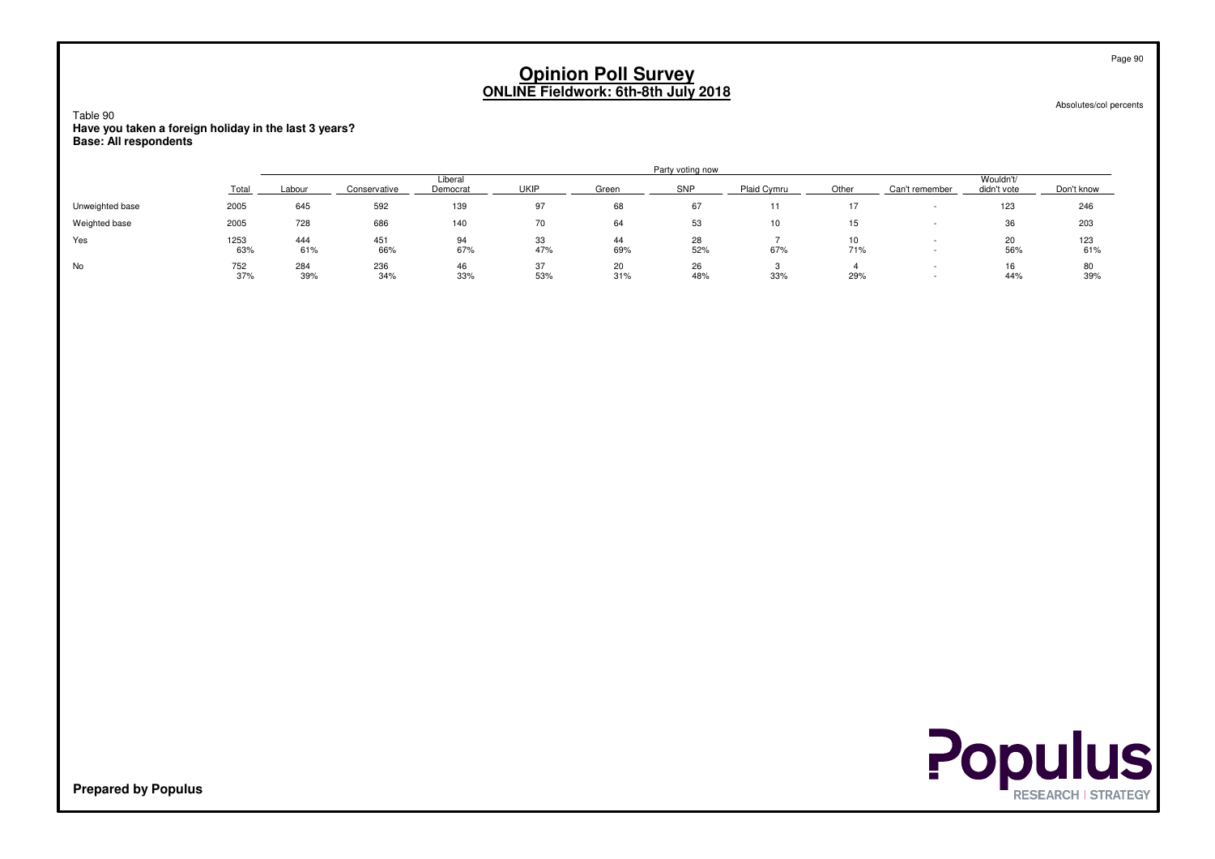Absolutes/col percents

Table 90 **Have you taken a foreign holiday in the last 3 years?Base: All respondents**

|                 |             |            |              |                     |             |           | Party voting now |             |           |                |                          |            |
|-----------------|-------------|------------|--------------|---------------------|-------------|-----------|------------------|-------------|-----------|----------------|--------------------------|------------|
|                 | Total       | ∟abour     | Conservative | Liberal<br>Democrat | <b>UKIP</b> | Green     | SNP              | Plaid Cymru | Other     | Can't remember | Wouldn't/<br>didn't vote | Don't know |
| Unweighted base | 2005        | 645        | 592          | 139                 | 97          | 68        | 67               | 11          |           |                | 123                      | 246        |
| Weighted base   | 2005        | 728        | 686          | 140                 | 70          | 64        | 53               | 10          | 15        |                | 36                       | 203        |
| Yes             | 1253<br>63% | 444<br>61% | 451<br>66%   | 94<br>67%           | 33<br>47%   | 44<br>69% | 28<br>52%        | 67%         | 10<br>71% |                | 56%                      | 123<br>61% |
| No              | 752<br>37%  | 284<br>39% | 236<br>34%   | 46<br>33%           | 37<br>53%   | 20<br>31% | 26<br>48%        | 33%         | 29%       |                | 44%                      | 80<br>39%  |



**Prepared by Populus**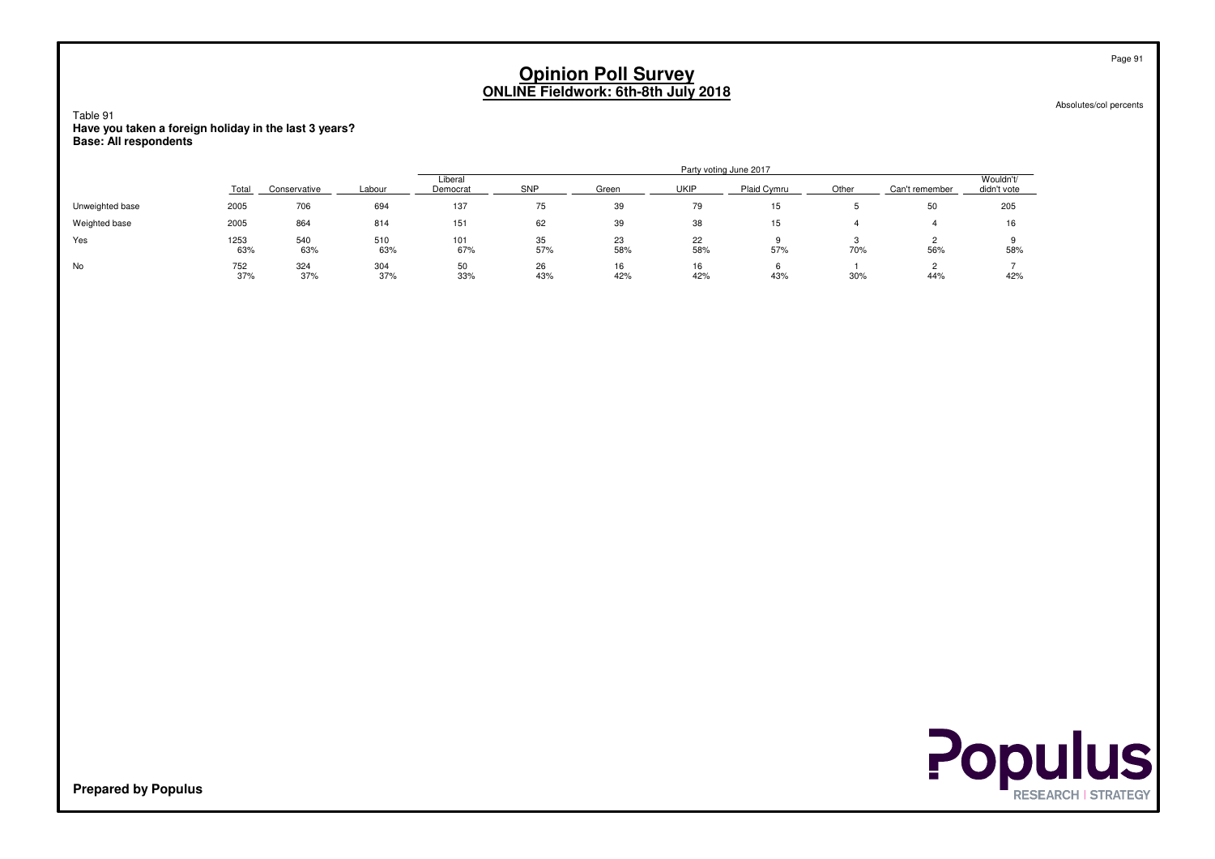Absolutes/col percents

Table 91 **Have you taken a foreign holiday in the last 3 years?Base: All respondents**

|                 |             |              |            |                     |           |           | Party voting June 2017 |             |       |                |                          |
|-----------------|-------------|--------------|------------|---------------------|-----------|-----------|------------------------|-------------|-------|----------------|--------------------------|
|                 | Total       | Conservative | Labour     | Liberal<br>Democrat | SNP       | Green     | <b>UKIP</b>            | Plaid Cymru | Other | Can't remember | Wouldn't/<br>didn't vote |
| Unweighted base | 2005        | 706          | 694        | 137                 | 75        | 39        | 79                     | 15          |       | 50             | 205                      |
| Weighted base   | 2005        | 864          | 814        | 151                 | 62        | 39        | 38                     | 15          |       |                | 16                       |
| Yes             | 1253<br>63% | 540<br>63%   | 510<br>63% | 101<br>67%          | 35<br>57% | 23<br>58% | 22<br>58%              | 57%         | 70%   | 56%            | 58%                      |
| No              | 752<br>37%  | 324<br>37%   | 304<br>37% | 50<br>33%           | 26<br>43% | 16<br>42% | 16<br>42%              | 43%         | 30%   | 44%            | 42%                      |



**Prepared by Populus**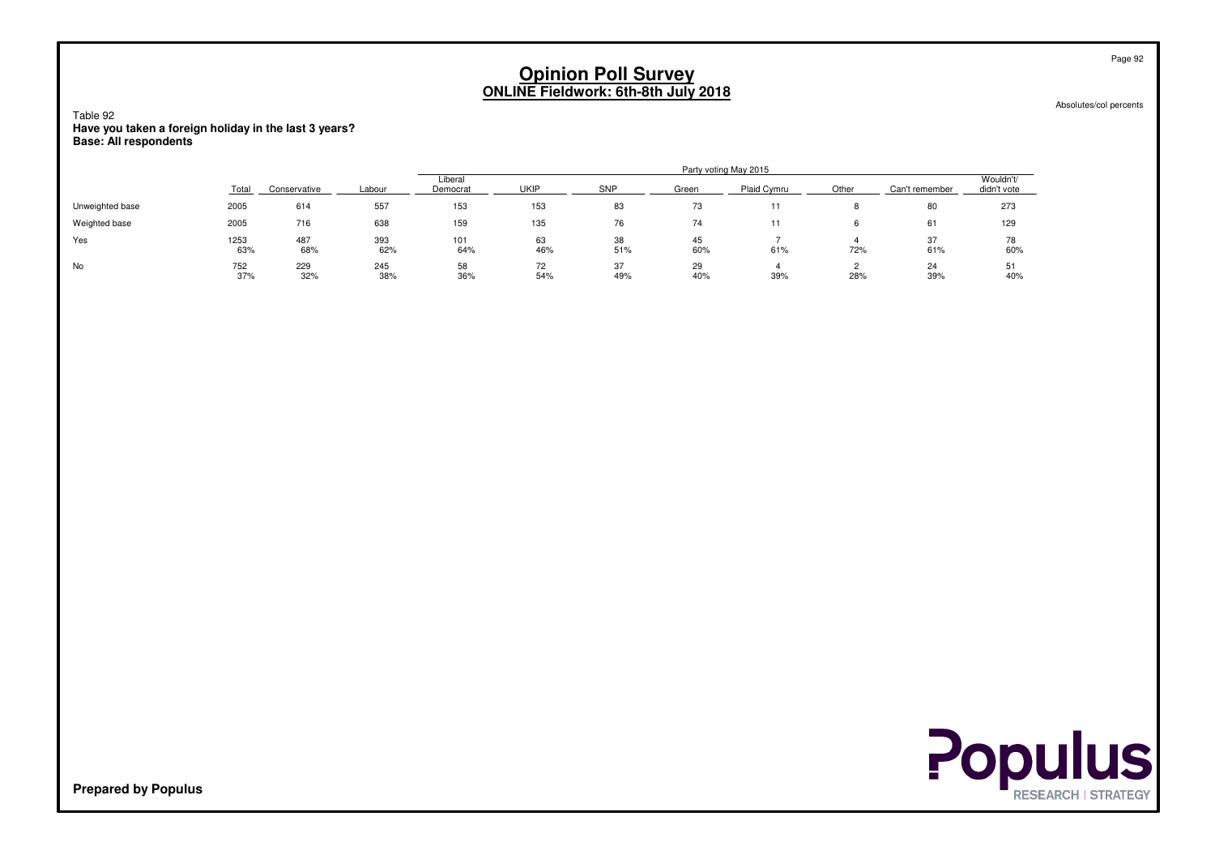Absolutes/col percents

Table 92 **Have you taken a foreign holiday in the last 3 years?Base: All respondents**

|                 |             |              |            |                     |             |            |           | Party voting May 2015 |       |                |                          |
|-----------------|-------------|--------------|------------|---------------------|-------------|------------|-----------|-----------------------|-------|----------------|--------------------------|
|                 | Total       | Conservative | Labour     | Liberal<br>Democrat | <b>UKIP</b> | <b>SNP</b> | Green     | Plaid Cymru           | Other | Can't remember | Wouldn't/<br>didn't vote |
| Unweighted base | 2005        | 614          | 557        | 153                 | 153         | 83         | 73        |                       |       | 80             | 273                      |
| Weighted base   | 2005        | 716          | 638        | 159                 | 135         | 76         | 74        |                       |       | 61             | 129                      |
| Yes             | 1253<br>63% | 487<br>68%   | 393<br>62% | 101<br>64%          | 63<br>46%   | 38<br>51%  | 45<br>60% | 61%                   | 72%   | 37<br>61%      | 78<br>60%                |
| No              | 752<br>37%  | 229<br>32%   | 245<br>38% | 58<br>36%           | 72<br>54%   | 37<br>49%  | 29<br>40% | 39%                   | 28%   | 24<br>39%      | 51<br>40%                |



**Prepared by Populus**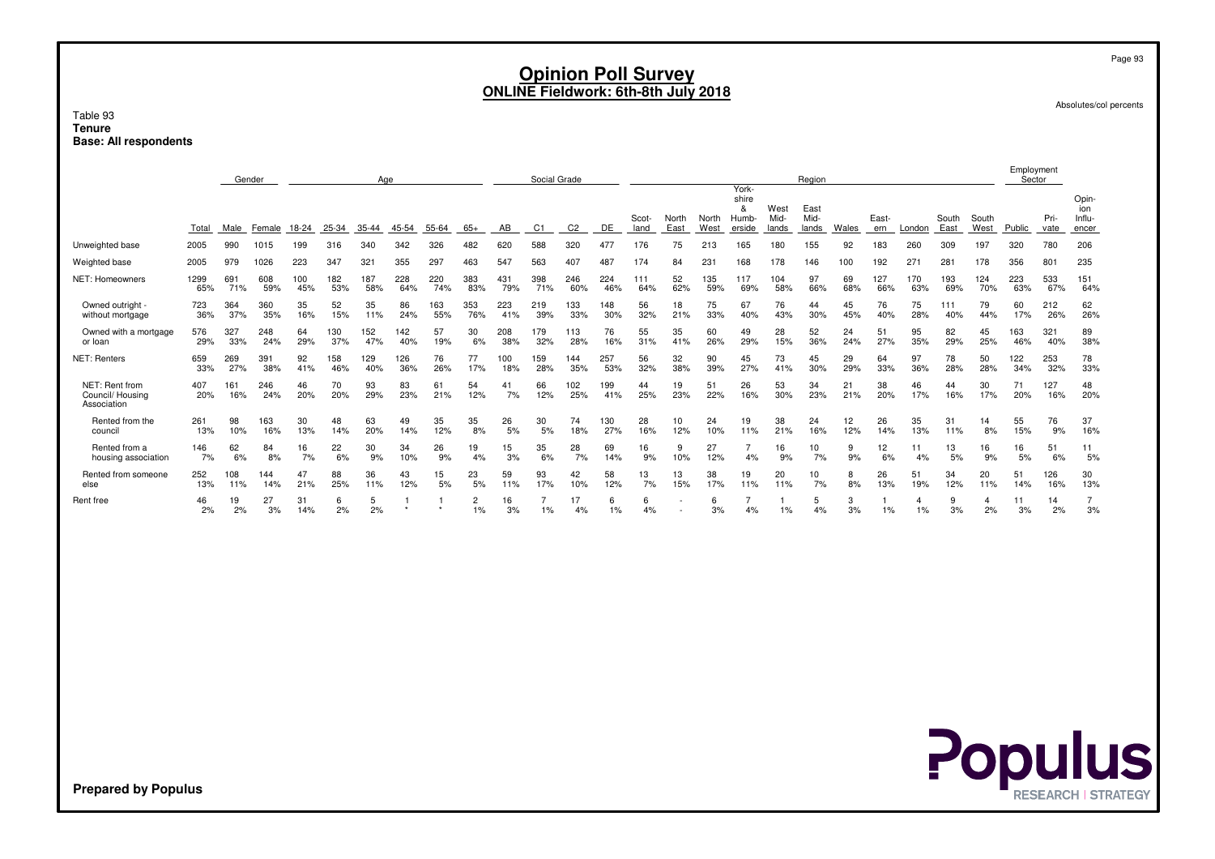Absolutes/col percents

#### Table 93 **TenureBase: All respondents**

|                                                   |            |            | Gender     |           |           | Aae       |           |           |                      |          | Social Grade   |            |            |               |               |               | York-                         |                       | Region                |           |              |           |               |               | Employment<br>Sector |              |                                 |
|---------------------------------------------------|------------|------------|------------|-----------|-----------|-----------|-----------|-----------|----------------------|----------|----------------|------------|------------|---------------|---------------|---------------|-------------------------------|-----------------------|-----------------------|-----------|--------------|-----------|---------------|---------------|----------------------|--------------|---------------------------------|
|                                                   | Total      | Male       | Female     | 18-24     | 25-34     | $35 - 44$ | 45-54     | 55-64     | $65+$                | AB       | C <sub>1</sub> | C2         | DE         | Scot-<br>land | North<br>East | North<br>West | shire<br>&<br>Humb-<br>erside | West<br>Mid-<br>lands | East<br>Mid-<br>lands | Wales     | East-<br>ern | London    | South<br>East | South<br>West | Public               | Pri-<br>vate | Opin-<br>ion<br>Influ-<br>encer |
| Unweighted base                                   | 2005       | 990        | 1015       | 199       | 316       | 340       | 342       | 326       | 482                  | 620      | 588            | 320        | 477        | 176           | 75            | 213           | 165                           | 180                   | 155                   | 92        | 183          | 260       | 309           | 197           | 320                  | 780          | 206                             |
| Weighted base                                     | 2005       | 979        | 1026       | 223       | 347       | 321       | 355       | 297       | 463                  | 547      | 563            | 407        | 487        | 174           | 84            | 231           | 168                           | 178                   | 146                   | 100       | 192          | 271       | 281           | 178           | 356                  | 801          | 235                             |
| NET: Homeowners                                   | 1299       | 691        | 608        | 100       | 182       | 187       | 228       | 220       | 383                  | 431      | 398            | 246        | 224        | 111           | 52            | 135           | 117                           | 104                   | 97                    | 69        | 127          | 170       | 193           | 124           | 223                  | 533          | 151                             |
|                                                   | 65%        | 71%        | 59%        | 45%       | 53%       | 58%       | 64%       | 74%       | 83%                  | 79%      | 71%            | 60%        | 46%        | 64%           | 62%           | 59%           | 69%                           | 58%                   | 66%                   | 68%       | 66%          | 63%       | 69%           | 70%           | 63%                  | 67%          | 64%                             |
| Owned outright -                                  | 723        | 364        | 360        | 35        | 52        | 35        | 86        | 163       | 353                  | 223      | 219            | 133        | 148        | 56            | 18            | 75            | 67                            | 76                    | 44                    | 45        | 76           | 75        | 111           | 79            | 60                   | 212          | 62                              |
| without mortgage                                  | 36%        | 37%        | 35%        | 16%       | 15%       | 11%       | 24%       | 55%       | 76%                  | 41%      | 39%            | 33%        | 30%        | 32%           | 21%           | 33%           | 40%                           | 43%                   | 30%                   | 45%       | 40%          | 28%       | 40%           | 44%           | 17%                  | 26%          | 26%                             |
| Owned with a mortgage                             | 576        | 327        | 248        | 64        | 130       | 152       | 142       | 57        | 30                   | 208      | 179            | 113        | 76         | 55            | 35            | 60            | 49                            | 28                    | 52                    | 24        | 51           | 95        | 82            | 45            | 163                  | 321          | 89                              |
| or loan                                           | 29%        | 33%        | 24%        | 29%       | 37%       | 47%       | 40%       | 19%       | 6%                   | 38%      | 32%            | 28%        | 16%        | 31%           | 41%           | 26%           | 29%                           | 15%                   | 36%                   | 24%       | 27%          | 35%       | 29%           | 25%           | 46%                  | 40%          | 38%                             |
| <b>NET: Renters</b>                               | 659        | 269        | 391        | 92        | 158       | 129       | 126       | 76        | 77                   | 100      | 159            | 144        | 257        | 56            | 32            | 90            | 45                            | 73                    | 45                    | 29        | 64           | 97        | 78            | 50            | 122                  | 253          | 78                              |
|                                                   | 33%        | 27%        | 38%        | 41%       | 46%       | 40%       | 36%       | 26%       | 17%                  | 18%      | 28%            | 35%        | 53%        | 32%           | 38%           | 39%           | 27%                           | 41%                   | 30%                   | 29%       | 33%          | 36%       | 28%           | 28%           | 34%                  | 32%          | 33%                             |
| NET: Rent from<br>Council/ Housing<br>Association | 407<br>20% | 161<br>16% | 246<br>24% | 46<br>20% | 70<br>20% | 93<br>29% | 83<br>23% | 61<br>21% | 54<br>12%            | 41<br>7% | 66<br>12%      | 102<br>25% | 199<br>41% | 44<br>25%     | 19<br>23%     | 51<br>22%     | 26<br>16%                     | 53<br>30%             | 34<br>23%             | 21<br>21% | 38<br>20%    | 46<br>17% | 44<br>16%     | 30<br>17%     | 71<br>20%            | 127<br>16%   | 48<br>20%                       |
| Rented from the                                   | 261        | 98         | 163        | 30        | 48        | 63        | 49        | 35        | 35                   | 26       | 30             | 74         | 130        | 28            | 10            | 24            | 19                            | 38                    | 24                    | 12        | 26           | 35        | 31            | 14            | 55                   | 76           | 37                              |
| council                                           | 13%        | 10%        | 16%        | 13%       | 14%       | 20%       | 14%       | 12%       | 8%                   | 5%       | 5%             | 18%        | 27%        | 16%           | 12%           | 10%           | 11%                           | 21%                   | 16%                   | 12%       | 14%          | 13%       | 11%           | 8%            | 15%                  | 9%           | 16%                             |
| Rented from a                                     | 146        | 62         | 84         | 16        | 22        | 30        | 34        | 26        | 19                   | 15       | 35             | 28         | 69         | 16            | 9             | 27            | $\overline{7}$                | 16                    | 10                    | 9         | 12           | 11        | 13            | 16            | 16                   | 51           | 11                              |
| housing association                               | 7%         | 6%         | 8%         | 7%        | 6%        | 9%        | 10%       | 9%        | 4%                   | 3%       | 6%             | 7%         | 14%        | 9%            | 10%           | 12%           | 4%                            | 9%                    | 7%                    | 9%        | 6%           | 4%        | 5%            | 9%            | 5%                   | 6%           | 5%                              |
| Rented from someone                               | 252        | 108        | 144        | 47        | 88        | 36        | 43        | 15        | 23                   | 59       | 93             | 42         | 58         | 13            | 13            | 38            | 19                            | 20                    | 10                    | 8         | 26           | 51        | 34            | 20            | 51                   | 126          | 30                              |
| else                                              | 13%        | 11%        | 14%        | 21%       | 25%       | 11%       | 12%       | 5%        | 5%                   | 11%      | 17%            | 10%        | 12%        | 7%            | 15%           | 17%           | 11%                           | 11%                   | 7%                    | 8%        | 13%          | 19%       | 12%           | 11%           | 14%                  | 16%          | 13%                             |
| Rent free                                         | 46<br>2%   | 19<br>2%   | 27<br>3%   | 31<br>14% | 6<br>2%   | 5<br>2%   |           |           | $\overline{c}$<br>1% | 16<br>3% | 1%             | 17<br>4%   | 1%         | 4%            |               | 6<br>3%       | 4%                            | 1%                    | 5<br>4%               | 3<br>3%   | 1%           | 1%        | 9<br>3%       | 2%            | 3%                   | 14<br>2%     | 3%                              |



**Prepared by Populus**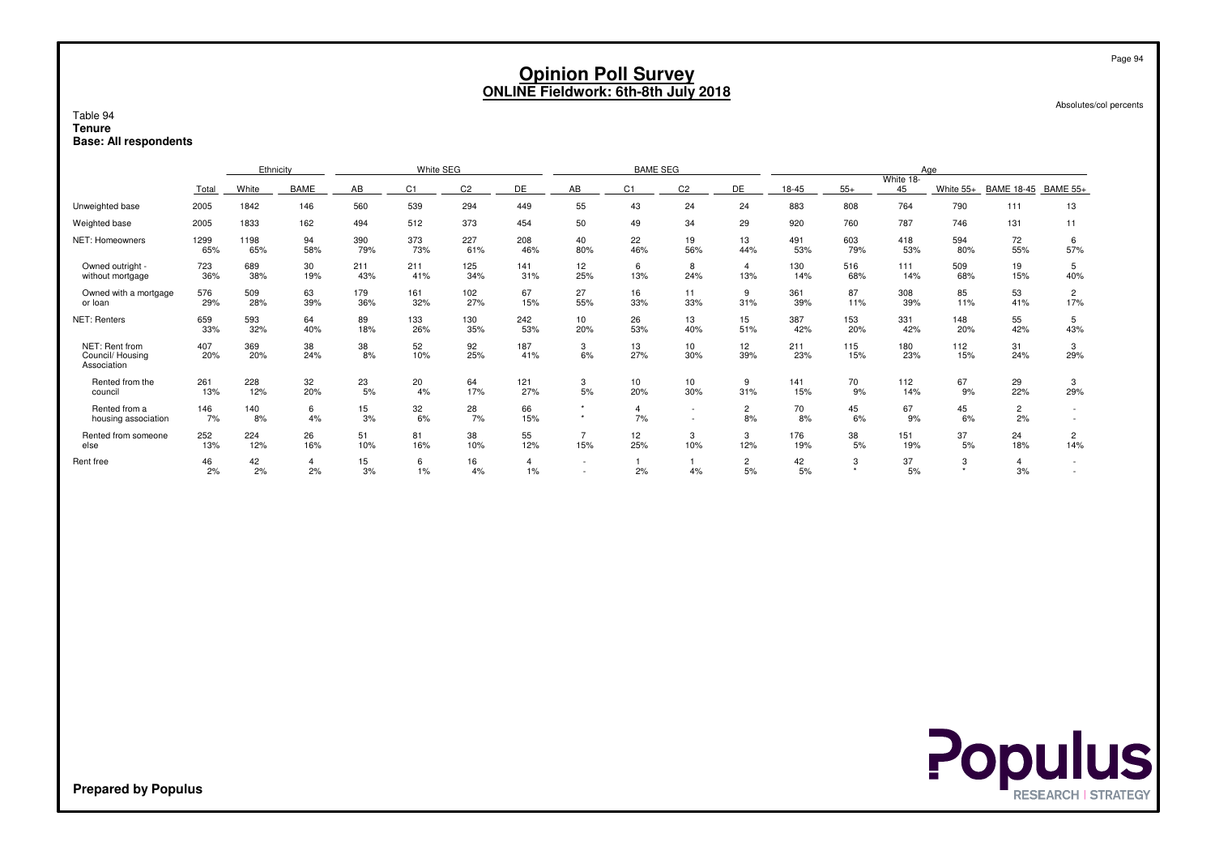| Table 94<br><b>Tenure</b>                        | <b>Opinion Poll Survey</b><br><b>ONLINE Fieldwork: 6th-8th July 2018</b> |                                                                                                          |                                                                                                                                                                                                                               |            |                |                |                      |                          |                      |                      |                      |                 |             |                     |              | Page 94<br>Absolutes/col percents |                       |  |
|--------------------------------------------------|--------------------------------------------------------------------------|----------------------------------------------------------------------------------------------------------|-------------------------------------------------------------------------------------------------------------------------------------------------------------------------------------------------------------------------------|------------|----------------|----------------|----------------------|--------------------------|----------------------|----------------------|----------------------|-----------------|-------------|---------------------|--------------|-----------------------------------|-----------------------|--|
| <b>Base: All respondents</b>                     |                                                                          |                                                                                                          |                                                                                                                                                                                                                               |            |                |                |                      |                          |                      |                      |                      |                 |             |                     |              |                                   |                       |  |
|                                                  |                                                                          | Ethnicity                                                                                                |                                                                                                                                                                                                                               |            | White SEG      |                |                      |                          | <b>BAME SEG</b>      |                      |                      |                 |             |                     | Age          |                                   |                       |  |
|                                                  | Total                                                                    | White                                                                                                    | <b>BAME</b>                                                                                                                                                                                                                   | AB         | C <sub>1</sub> | C <sub>2</sub> | DE                   | AB                       | DE                   | 18-45                | $55+$                | White 18-<br>45 | White $55+$ | BAME 18-45 BAME 55+ |              |                                   |                       |  |
| Unweighted base                                  | 2005                                                                     | 55<br>764<br>560<br>539<br>294<br>24<br>790<br>1842<br>449<br>43<br>24<br>883<br>808<br>13<br>146<br>111 |                                                                                                                                                                                                                               |            |                |                |                      |                          |                      |                      |                      |                 |             |                     |              |                                   |                       |  |
| Weighted base                                    | 2005                                                                     | 1833                                                                                                     | 162<br>494<br>512<br>373<br>454<br>50<br>34<br>29<br>920<br>760<br>787<br>746<br>131<br>49<br>11                                                                                                                              |            |                |                |                      |                          |                      |                      |                      |                 |             |                     |              |                                   |                       |  |
| NET: Homeowners                                  | 1299<br>65%                                                              | 1198<br>65%                                                                                              | 390<br>373<br>227<br>94<br>208<br>40<br>22<br>19<br>13<br>491<br>603<br>418<br>594<br>72<br>6<br>55%<br>57%<br>58%<br>79%<br>73%<br>61%<br>46%<br>80%<br>46%<br>56%<br>44%<br>53%<br>79%<br>53%<br>80%<br>$\overline{\bf{4}}$ |            |                |                |                      |                          |                      |                      |                      |                 |             |                     |              |                                   |                       |  |
| Owned outright -<br>without mortgage             | 723<br>36%                                                               | 689<br>38%                                                                                               | 30<br>19%                                                                                                                                                                                                                     | 211<br>43% | 211<br>41%     | 125<br>34%     | 141<br>31%           | 12<br>25%                | 6<br>13%             | 8<br>24%             | 13%                  | 130<br>14%      | 516<br>68%  | 111<br>14%          | 509<br>68%   | 19<br>15%                         | 5<br>40%              |  |
| Owned with a mortgage<br>or loan                 | 576<br>29%                                                               | 509<br>28%                                                                                               | 63<br>39%                                                                                                                                                                                                                     | 179<br>36% | 161<br>32%     | 102<br>27%     | 67<br>15%            | 27<br>55%                | 16<br>33%            | 11<br>33%            | 9<br>31%             | 361<br>39%      | 87<br>11%   | 308<br>39%          | 85<br>11%    | 53<br>41%                         | $\overline{2}$<br>17% |  |
| NET: Renters                                     | 659<br>33%                                                               | 593<br>32%                                                                                               | 64<br>40%                                                                                                                                                                                                                     | 89<br>18%  | 133<br>26%     | 130<br>35%     | 242<br>53%           | 10<br>20%                | 26<br>53%            | 13<br>40%            | 15<br>51%            | 387<br>42%      | 153<br>20%  | 331<br>42%          | 148<br>20%   | 55<br>42%                         | 5<br>43%              |  |
| NET: Rent from<br>Council/Housing<br>Association | 407<br>20%                                                               | 369<br>20%                                                                                               | 38<br>24%                                                                                                                                                                                                                     | 38<br>8%   | 52<br>10%      | 92<br>25%      | 187<br>41%           | 3<br>6%                  | 13<br>27%            | 10<br>30%            | 12<br>39%            | 211<br>23%      | 115<br>15%  | 180<br>23%          | 112<br>15%   | 31<br>24%                         | 3<br>29%              |  |
| Rented from the<br>council                       | 261<br>13%                                                               | 228<br>12%                                                                                               | 32<br>20%                                                                                                                                                                                                                     | 23<br>5%   | 20<br>4%       | 64<br>17%      | 121<br>27%           | 3<br>5%                  | 10<br>20%            | 10<br>30%            | 9<br>31%             | 141<br>15%      | 70<br>9%    | 112<br>14%          | 67<br>9%     | 29<br>22%                         | 3<br>29%              |  |
| Rented from a<br>housing association             | 146<br>7%                                                                | 140<br>8%                                                                                                | 6<br>4%                                                                                                                                                                                                                       | 15<br>3%   | 32<br>6%       | 28<br>7%       | 66<br>15%            | $\star$<br>$\star$       | $\overline{4}$<br>7% | $\sim$               | $\overline{2}$<br>8% | 70<br>8%        | 45<br>6%    | 67<br>9%            | 45<br>6%     | $\overline{c}$<br>2%              | $\sim$<br>$\sim$      |  |
| Rented from someone<br>else                      | 252<br>13%                                                               | 224<br>12%                                                                                               | 26<br>16%                                                                                                                                                                                                                     | 51<br>10%  | 81<br>16%      | 38<br>10%      | 55<br>12%            | $\overline{7}$<br>15%    | 12<br>25%            | 3<br>10%             | 3<br>12%             | 176<br>19%      | 38<br>5%    | 151<br>19%          | 37<br>5%     | 24<br>18%                         | $\overline{2}$<br>14% |  |
| Rent free                                        | 46<br>2%                                                                 | 42<br>2%                                                                                                 | $\overline{4}$<br>2%                                                                                                                                                                                                          | 15<br>3%   | 6<br>1%        | 16<br>4%       | $\overline{4}$<br>1% | $\overline{\phantom{a}}$ | 2%                   | $\overline{1}$<br>4% | $\overline{2}$<br>5% | 42<br>5%        | 3           | 37<br>5%            | 3<br>$\star$ | $\overline{4}$<br>3%              | $\sim$                |  |

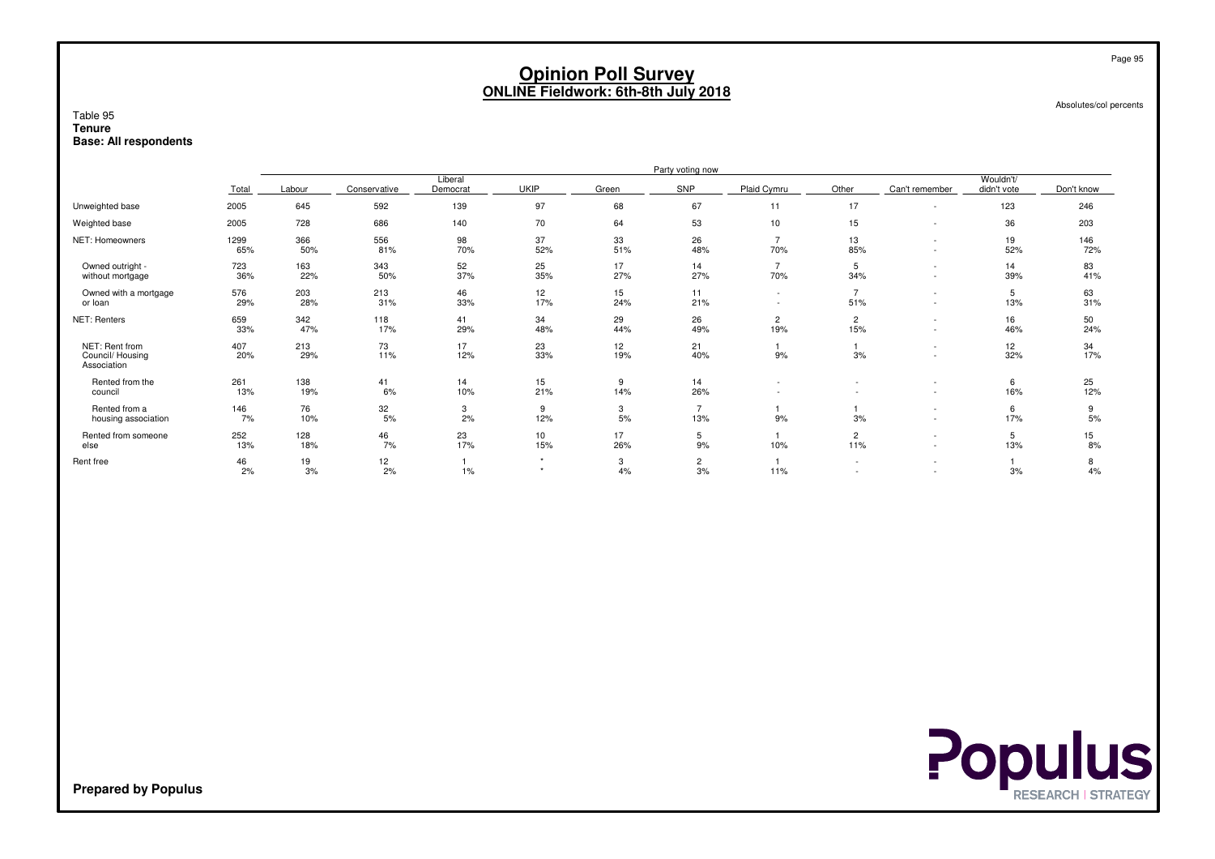Absolutes/col percents

#### Table 95 **TenureBase: All respondents**

|                                                  |             |            |              |                     |             |           | Party voting now      |                       |                          |                                                      |                          |            |
|--------------------------------------------------|-------------|------------|--------------|---------------------|-------------|-----------|-----------------------|-----------------------|--------------------------|------------------------------------------------------|--------------------------|------------|
|                                                  | Total       | Labour     | Conservative | Liberal<br>Democrat | <b>UKIP</b> | Green     | SNP                   | Plaid Cymru           | Other                    | Can't remember                                       | Wouldn't/<br>didn't vote | Don't know |
| Unweighted base                                  | 2005        | 645        | 592          | 139                 | 97          | 68        | 67                    | 11                    | 17                       |                                                      | 123                      | 246        |
| Weighted base                                    | 2005        | 728        | 686          | 140                 | 70          | 64        | 53                    | 10                    | 15                       |                                                      | 36                       | 203        |
| NET: Homeowners                                  | 1299<br>65% | 366<br>50% | 556<br>81%   | 98<br>70%           | 37<br>52%   | 33<br>51% | 26<br>48%             | $\overline{7}$<br>70% | 13<br>85%                |                                                      | 19<br>52%                | 146<br>72% |
| Owned outright -<br>without mortgage             | 723<br>36%  | 163<br>22% | 343<br>50%   | 52<br>37%           | 25<br>35%   | 17<br>27% | 14<br>27%             | $\overline{7}$<br>70% | 5<br>34%                 | $\overline{\phantom{a}}$                             | 14<br>39%                | 83<br>41%  |
| Owned with a mortgage<br>or loan                 | 576<br>29%  | 203<br>28% | 213<br>31%   | 46<br>33%           | 12<br>17%   | 15<br>24% | 11<br>21%             | $\sim$<br>$\sim$      | $\overline{7}$<br>51%    |                                                      | 5<br>13%                 | 63<br>31%  |
| NET: Renters                                     | 659<br>33%  | 342<br>47% | 118<br>17%   | 41<br>29%           | 34<br>48%   | 29<br>44% | 26<br>49%             | $\overline{c}$<br>19% | $\overline{c}$<br>15%    |                                                      | 16<br>46%                | 50<br>24%  |
| NET: Rent from<br>Council/Housing<br>Association | 407<br>20%  | 213<br>29% | 73<br>11%    | 17<br>12%           | 23<br>33%   | 12<br>19% | 21<br>40%             | 9%                    | 3%                       |                                                      | 12<br>32%                | 34<br>17%  |
| Rented from the<br>council                       | 261<br>13%  | 138<br>19% | 41<br>6%     | 14<br>10%           | 15<br>21%   | 9<br>14%  | 14<br>26%             |                       |                          |                                                      | 6<br>16%                 | 25<br>12%  |
| Rented from a<br>housing association             | 146<br>7%   | 76<br>10%  | 32<br>5%     | 3<br>2%             | 9<br>12%    | 3<br>5%   | $\overline{7}$<br>13% | 9%                    | 3%                       | $\overline{\phantom{a}}$<br>$\overline{\phantom{a}}$ | 6<br>17%                 | 9<br>5%    |
| Rented from someone<br>else                      | 252<br>13%  | 128<br>18% | 46<br>7%     | 23<br>17%           | 10<br>15%   | 17<br>26% | 5<br>9%               | 10%                   | $\overline{2}$<br>11%    | $\overline{\phantom{a}}$                             | 5<br>13%                 | 15<br>8%   |
| Rent free                                        | 46<br>2%    | 19<br>3%   | 12<br>2%     | 1%                  |             | 3<br>4%   | $\overline{c}$<br>3%  | 11%                   | $\overline{\phantom{a}}$ |                                                      | 3%                       | 8<br>4%    |



**Prepared by Populus**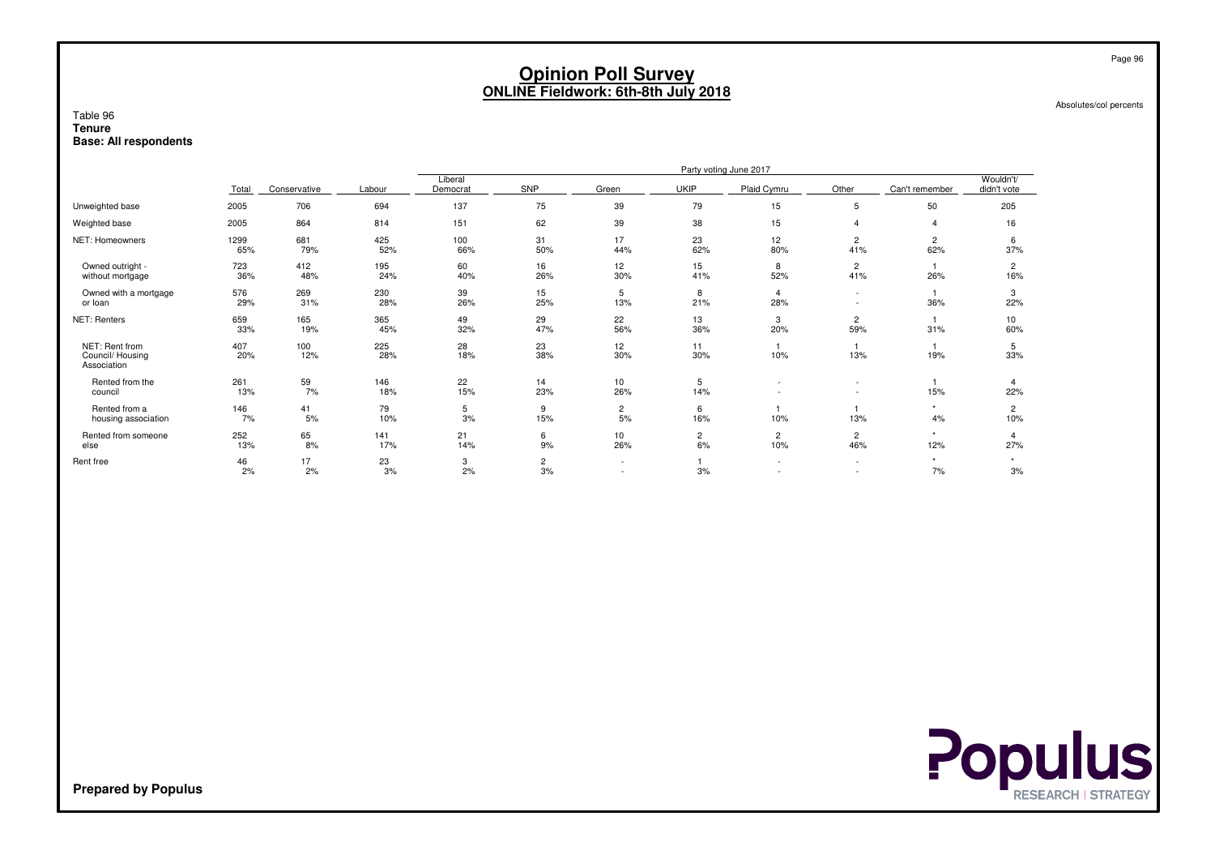Absolutes/col percents

#### Table 96 **TenureBase: All respondents**

|                                                   |             | Party voting June 2017<br>Liberal |            |            |                      |                                                      |                      |                          |                          |                       |                          |
|---------------------------------------------------|-------------|-----------------------------------|------------|------------|----------------------|------------------------------------------------------|----------------------|--------------------------|--------------------------|-----------------------|--------------------------|
|                                                   | Total       | Conservative                      | Labour     | Democrat   | SNP                  | Green                                                | UKIP                 | Plaid Cymru              | Other                    | Can't remember        | Wouldn't/<br>didn't vote |
| Unweighted base                                   | 2005        | 706                               | 694        | 137        | 75                   | 39                                                   | 79                   | 15                       | 5                        | 50                    | 205                      |
| Weighted base                                     | 2005        | 864                               | 814        | 151        | 62                   | 39                                                   | 38                   | 15                       |                          | $\Delta$              | 16                       |
| NET: Homeowners                                   | 1299<br>65% | 681<br>79%                        | 425<br>52% | 100<br>66% | 31<br>50%            | 17<br>44%                                            | 23<br>62%            | 12<br>80%                | $\overline{c}$<br>41%    | $\overline{2}$<br>62% | 6<br>37%                 |
| Owned outright -<br>without mortgage              | 723<br>36%  | 412<br>48%                        | 195<br>24% | 60<br>40%  | 16<br>26%            | 12<br>30%                                            | 15<br>41%            | 8<br>52%                 | $\overline{c}$<br>41%    | 26%                   | $\overline{2}$<br>16%    |
| Owned with a mortgage<br>or loan                  | 576<br>29%  | 269<br>31%                        | 230<br>28% | 39<br>26%  | 15<br>25%            | 5<br>13%                                             | 8<br>21%             | 28%                      | $\overline{\phantom{a}}$ | 36%                   | 3<br>22%                 |
| NET: Renters                                      | 659<br>33%  | 165<br>19%                        | 365<br>45% | 49<br>32%  | 29<br>47%            | 22<br>56%                                            | 13<br>36%            | 3<br>20%                 | $\overline{c}$<br>59%    | 31%                   | 10<br>60%                |
| NET: Rent from<br>Council/ Housing<br>Association | 407<br>20%  | 100<br>12%                        | 225<br>28% | 28<br>18%  | 23<br>38%            | 12<br>30%                                            | 11<br>30%            | 10%                      | 13%                      | 19%                   | 5<br>33%                 |
| Rented from the<br>council                        | 261<br>13%  | 59<br>7%                          | 146<br>18% | 22<br>15%  | 14<br>23%            | 10<br>26%                                            | 5<br>14%             |                          |                          | 15%                   | $\overline{4}$<br>22%    |
| Rented from a<br>housing association              | 146<br>7%   | 41<br>5%                          | 79<br>10%  | 5<br>3%    | 9<br>15%             | $\overline{c}$<br>5%                                 | 6<br>16%             | 10%                      | 13%                      | $\star$<br>4%         | $\overline{2}$<br>10%    |
| Rented from someone<br>else                       | 252<br>13%  | 65<br>8%                          | 141<br>17% | 21<br>14%  | 6<br>9%              | 10<br>26%                                            | $\overline{c}$<br>6% | $\overline{c}$<br>10%    | $\overline{c}$<br>46%    | $\star$<br>12%        | 27%                      |
| Rent free                                         | 46<br>2%    | 17<br>2%                          | 23<br>3%   | 3<br>2%    | $\overline{c}$<br>3% | $\overline{\phantom{a}}$<br>$\overline{\phantom{a}}$ | 3%                   | $\overline{\phantom{a}}$ | $\sim$<br>$\overline{a}$ | $\star$<br>7%         | 3%                       |

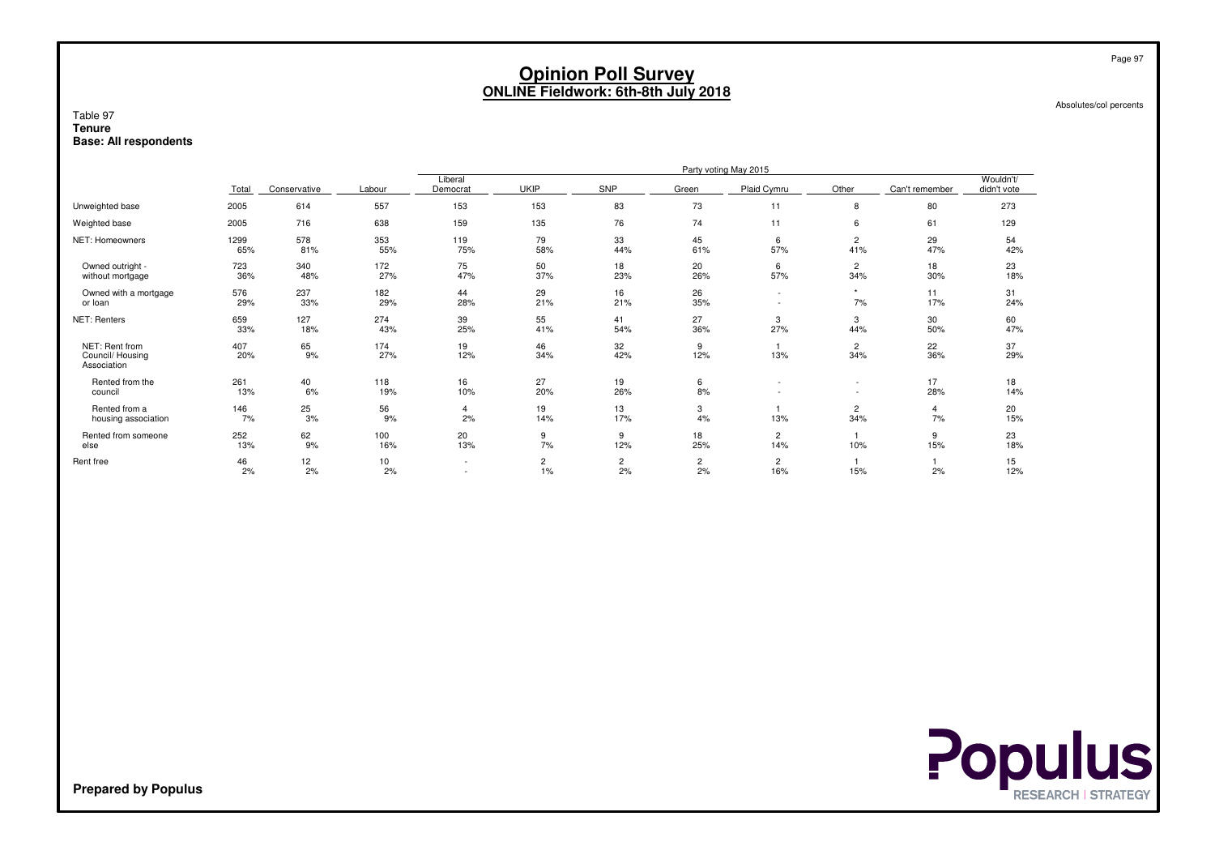Absolutes/col percents

#### Table 97 **TenureBase: All respondents**

|                                                  |             |              |            |                          |                      |                      |                      | Party voting May 2015    |                       |                |                          |
|--------------------------------------------------|-------------|--------------|------------|--------------------------|----------------------|----------------------|----------------------|--------------------------|-----------------------|----------------|--------------------------|
|                                                  | Total       | Conservative | Labour     | Liberal<br>Democrat      | <b>UKIP</b>          | SNP                  | Green                | Plaid Cymru              | Other                 | Can't remember | Wouldn't/<br>didn't vote |
| Unweighted base                                  | 2005        | 614          | 557        | 153                      | 153                  | 83                   | 73                   | 11                       | 8                     | 80             | 273                      |
| Weighted base                                    | 2005        | 716          | 638        | 159                      | 135                  | 76                   | 74                   | 11                       | 6                     | 61             | 129                      |
| NET: Homeowners                                  | 1299<br>65% | 578<br>81%   | 353<br>55% | 119<br>75%               | 79<br>58%            | 33<br>44%            | 45<br>61%            | 6<br>57%                 | 2<br>41%              | 29<br>47%      | 54<br>42%                |
| Owned outright -<br>without mortgage             | 723<br>36%  | 340<br>48%   | 172<br>27% | 75<br>47%                | 50<br>37%            | 18<br>23%            | 20<br>26%            | 6<br>57%                 | 2<br>34%              | 18<br>30%      | 23<br>18%                |
| Owned with a mortgage<br>or loan                 | 576<br>29%  | 237<br>33%   | 182<br>29% | 44<br>28%                | 29<br>21%            | 16<br>21%            | 26<br>35%            | $\overline{\phantom{a}}$ | $\star$<br>7%         | 11<br>17%      | 31<br>24%                |
| NET: Renters                                     | 659<br>33%  | 127<br>18%   | 274<br>43% | 39<br>25%                | 55<br>41%            | 41<br>54%            | 27<br>36%            | 3<br>27%                 | 3<br>44%              | 30<br>50%      | 60<br>47%                |
| NET: Rent from<br>Council/Housing<br>Association | 407<br>20%  | 65<br>9%     | 174<br>27% | 19<br>12%                | 46<br>34%            | 32<br>42%            | 9<br>12%             | 13%                      | 2<br>34%              | 22<br>36%      | 37<br>29%                |
| Rented from the<br>council                       | 261<br>13%  | 40<br>6%     | 118<br>19% | 16<br>10%                | 27<br>20%            | 19<br>26%            | 6<br>8%              |                          |                       | 17<br>28%      | 18<br>14%                |
| Rented from a<br>housing association             | 146<br>7%   | 25<br>3%     | 56<br>9%   | 4<br>2%                  | 19<br>14%            | 13<br>17%            | 3<br>4%              | 13%                      | $\overline{2}$<br>34% | 4<br>7%        | 20<br>15%                |
| Rented from someone<br>else                      | 252<br>13%  | 62<br>9%     | 100<br>16% | 20<br>13%                | 9<br>7%              | 9<br>12%             | 18<br>25%            | $\overline{2}$<br>14%    | 10%                   | 9<br>15%       | 23<br>18%                |
| Rent free                                        | 46<br>2%    | 12<br>2%     | 10<br>2%   | $\sim$<br>$\overline{a}$ | $\overline{2}$<br>1% | $\overline{c}$<br>2% | $\overline{2}$<br>2% | $\mathbf{2}$<br>16%      | 15%                   | 2%             | 15<br>12%                |



**Prepared by Populus**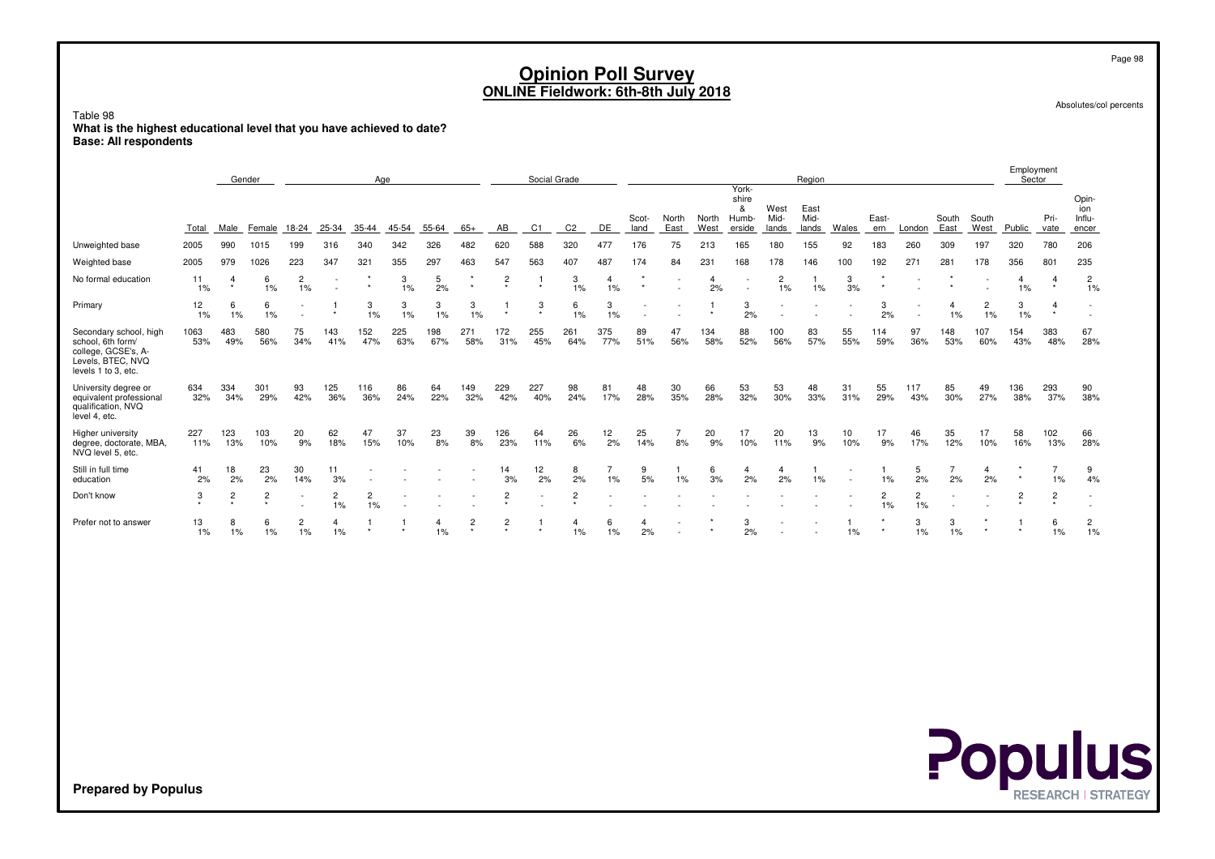Absolutes/col percents

#### Table 98 **What is the highest educational level that you have achieved to date?Base: All respondents**

|                                                                                                                |             | Age<br>Gender |                             |                      |                          |                      |            |            |                           |                           | Social Grade |                |            |               |               |               | York-                         |                       | Region                |                          |                      |                                                      |               |                               | Employment<br>Sector |                     |                                 |
|----------------------------------------------------------------------------------------------------------------|-------------|---------------|-----------------------------|----------------------|--------------------------|----------------------|------------|------------|---------------------------|---------------------------|--------------|----------------|------------|---------------|---------------|---------------|-------------------------------|-----------------------|-----------------------|--------------------------|----------------------|------------------------------------------------------|---------------|-------------------------------|----------------------|---------------------|---------------------------------|
|                                                                                                                | Total       | Male          | Female                      | 18-24                | 25-34                    | 35-44                | 45-54      | 55-64      | $65+$                     | AB                        | C1           |                | DE         | Scot-<br>land | North<br>East | North<br>West | shire<br>&<br>Humb-<br>erside | West<br>Mid-<br>lands | East<br>Mid-<br>lands | Wales                    | East-<br>ern         | London                                               | South<br>East | South<br>West                 | Public               | Pri-<br>vate        | Opin-<br>ion<br>Influ-<br>encer |
| Unweighted base                                                                                                | 2005        | 990           | 1015                        | 199                  | 316                      | 340                  | 342        | 326        | 482                       | 620                       | 588          | 320            | 477        | 176           | 75            | 213           | 165                           | 180                   | 155                   | 92                       | 183                  | 260                                                  | 309           | 197                           | 320                  | 780                 | 206                             |
| Weighted base                                                                                                  | 2005        | 979           | 1026                        | 223                  | 347                      | 321                  | 355        | 297        | 463                       | 547                       | 563          | 407            | 487        | 174           | 84            | 231           | 168                           | 178                   | 146                   | 100                      | 192                  | 271                                                  | 281           | 178                           | 356                  | 801                 | 235                             |
| No formal education                                                                                            | 11<br>1%    | 4<br>$\star$  | 6<br>$1\%$                  | $\overline{2}$<br>1% | $\overline{\phantom{a}}$ |                      | 3<br>1%    | 5<br>2%    | $\star$                   | $\overline{c}$<br>$\star$ | $\star$      | 3<br>1%        | 4<br>1%    |               |               | 2%            | $\sim$                        | $\overline{2}$<br>1%  | $1\%$                 | 3<br>3%                  |                      |                                                      |               |                               | 4<br>$1\%$           | $\star$             | $\overline{c}$<br>1%            |
| Primary                                                                                                        | 12<br>1%    | 6<br>1%       | 6<br>1%                     |                      |                          | 3<br>1%              | 3<br>1%    | 3<br>1%    | 3<br>1%                   | $\ddot{\phantom{1}}$      | 3<br>٠       | 6<br>1%        | 3<br>1%    |               |               |               | 3<br>2%                       |                       |                       |                          | 3<br>2%              | $\overline{\phantom{a}}$<br>$\overline{\phantom{a}}$ | 4<br>1%       | $\overline{\mathbf{c}}$<br>1% | 3<br>1%              | 4<br>$\star$        |                                 |
| Secondary school, high<br>school, 6th form/<br>college, GCSE's, A-<br>Levels, BTEC, NVQ<br>levels 1 to 3, etc. | 1063<br>53% | 483<br>49%    | 580<br>56%                  | 75<br>34%            | 143<br>41%               | 152<br>47%           | 225<br>63% | 198<br>67% | $27 -$<br>58%             | 172<br>31%                | 255<br>45%   | 261<br>64%     | 375<br>77% | 89<br>51%     | 47<br>56%     | 134<br>58%    | 88<br>52%                     | 100<br>56%            | 83<br>57%             | 55<br>55%                | 114<br>59%           | 97<br>36%                                            | 148<br>53%    | 107<br>60%                    | 154<br>43%           | 383<br>48%          | 67<br>28%                       |
| University degree or<br>equivalent professional<br>qualification, NVQ<br>level 4, etc.                         | 634<br>32%  | 334<br>34%    | 301<br>29%                  | 93<br>42%            | 125<br>36%               | 116<br>36%           | 86<br>24%  | 64<br>22%  | 149<br>32%                | 229<br>42%                | 227<br>40%   | 98<br>24%      | 81<br>17%  | 48<br>28%     | 30<br>35%     | 66<br>28%     | 53<br>32%                     | 53<br>30%             | 48<br>33%             | 31<br>31%                | 55<br>29%            | 117<br>43%                                           | 85<br>30%     | 49<br>27%                     | 136<br>38%           | 293<br>37%          | 90<br>38%                       |
| Higher university<br>degree, doctorate, MBA.<br>NVQ level 5, etc.                                              | 227<br>11%  | 123<br>13%    | 103<br>10%                  | 20<br>9%             | 62<br>18%                | 47<br>15%            | 37<br>10%  | 23<br>8%   | 39<br>8%                  | 126<br>23%                | 64<br>11%    | 26<br>6%       | 12<br>2%   | 25<br>14%     | 8%            | 20<br>9%      | 17<br>10%                     | 20<br>11%             | 13<br>9%              | 10<br>10%                | 17<br>9%             | 46<br>17%                                            | 35<br>12%     | 17<br>10%                     | 58<br>16%            | 102<br>13%          | 66<br>28%                       |
| Still in full time<br>education                                                                                | 41<br>2%    | 18<br>2%      | 23<br>2%                    | 30<br>14%            | 11<br>3%                 |                      |            |            |                           | 14<br>3%                  | 12<br>2%     | 8<br>2%        | 1%         | 9<br>5%       | 1%            | 6<br>3%       | 4<br>2%                       | 4<br>2%               | 1%                    | $\overline{\phantom{a}}$ | 1%                   | 5<br>2%                                              | 2%            | 2%                            | $\star$              | 1%                  | 9<br>4%                         |
| Don't know                                                                                                     | 3           | 2             | $\overline{c}$<br>$\ddot{}$ |                      | $\overline{c}$<br>1%     | $\overline{2}$<br>1% |            |            |                           | $\overline{c}$<br>٠       | $\sim$       | $\overline{c}$ |            |               |               |               |                               |                       |                       |                          | $\overline{c}$<br>1% | $\overline{2}$<br>1%                                 |               |                               | $\overline{c}$<br>٠  | $\overline{c}$<br>٠ |                                 |
| Prefer not to answer                                                                                           | 13<br>1%    | 1%            | 6<br>1%                     | $\overline{2}$<br>1% | 4<br>1%                  | $\star$              | $\star$    | 4<br>1%    | $\overline{c}$<br>$\star$ | $\overline{c}$<br>$\star$ | $\star$      | $1\%$          | 6<br>1%    | 2%            |               |               | 3<br>2%                       |                       |                       | 1%                       |                      | 3<br>1%                                              | 3<br>1%       |                               | $\star$              | 6<br>1%             | $\overline{c}$<br>1%            |



**Prepared by Populus**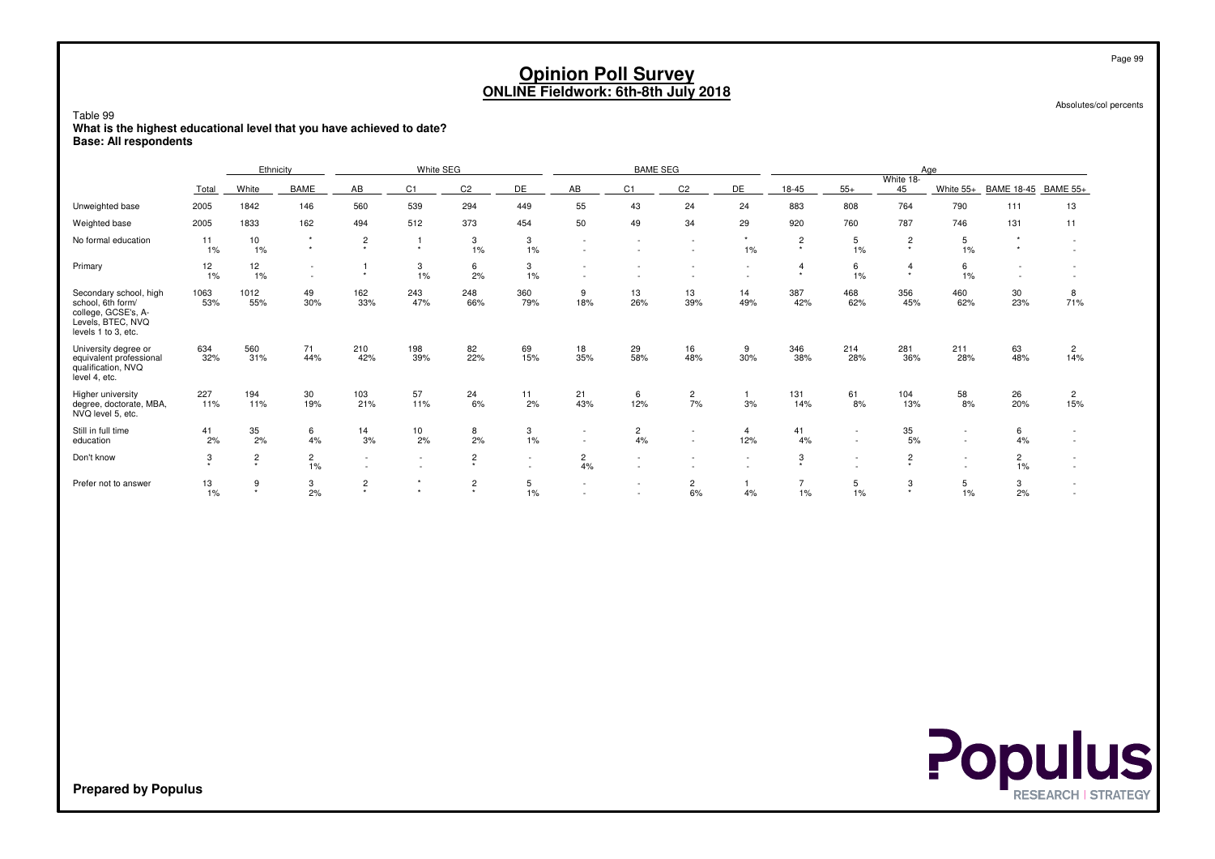| Table 99<br>What is the highest educational level that you have achieved to date?<br><b>Base: All respondents</b> |                                                                                                                                                                                                                                                                                                                                                                              |                             |                      |                           |                               |                                    |                  | <b>Opinion Poll Survey</b><br><b>ONLINE Fieldwork: 6th-8th July 2018</b> |                      |                          |                          |              |                          |                           |                  |                      | Page 99<br>Absolutes/col percents |
|-------------------------------------------------------------------------------------------------------------------|------------------------------------------------------------------------------------------------------------------------------------------------------------------------------------------------------------------------------------------------------------------------------------------------------------------------------------------------------------------------------|-----------------------------|----------------------|---------------------------|-------------------------------|------------------------------------|------------------|--------------------------------------------------------------------------|----------------------|--------------------------|--------------------------|--------------|--------------------------|---------------------------|------------------|----------------------|-----------------------------------|
|                                                                                                                   |                                                                                                                                                                                                                                                                                                                                                                              | Ethnicity                   |                      |                           | White SEG                     |                                    |                  |                                                                          | <b>BAME SEG</b>      |                          |                          |              |                          |                           | Age              |                      |                                   |
|                                                                                                                   | Total                                                                                                                                                                                                                                                                                                                                                                        | White                       | <b>BAME</b>          | AB                        | C1                            | C <sub>2</sub>                     | DE               | AB                                                                       | C1                   | C <sub>2</sub>           | DE                       | 18-45        | $55+$                    | White 18-<br>45           | White 55+        | <b>BAME 18-45</b>    | <b>BAME 55+</b>                   |
| Unweighted base                                                                                                   | 2005                                                                                                                                                                                                                                                                                                                                                                         | 1842                        | 146                  | 560                       | 539                           | 24                                 | 883              | 808                                                                      | 764                  | 790                      | 111                      | 13           |                          |                           |                  |                      |                                   |
| Weighted base                                                                                                     | 2005                                                                                                                                                                                                                                                                                                                                                                         | 1833                        | 162                  | 494                       | 512                           | 29                                 | 920              | 760                                                                      | 787                  | 746                      | 131                      | 11           |                          |                           |                  |                      |                                   |
| No formal education                                                                                               | 294<br>55<br>449<br>43<br>24<br>50<br>373<br>454<br>34<br>49<br>$\star$<br>11<br>10<br>$\star$<br>$\overline{c}$<br>3<br>3<br>$\overline{1}$<br>$\overline{\phantom{a}}$<br>$\overline{\phantom{a}}$<br>$\overline{\phantom{a}}$<br>$\star$<br>$\star$<br>$\star$<br>1%<br>$1\%$<br>$1\%$<br>1%<br>1%<br>$\sim$<br>$\overline{\phantom{a}}$<br>12<br>6<br>3<br>12<br>3<br>-1 |                             |                      |                           |                               |                                    |                  |                                                                          |                      |                          |                          |              |                          |                           |                  | $\star$<br>$\star$   | $\sim$<br>$\sim$                  |
| Primary                                                                                                           | $\overline{2}$<br>$\star$<br>$\overline{4}$<br>2%<br>$1\%$<br>1%<br>$\star$<br>1%<br>1%<br>$\star$<br>$\sim$<br>$\overline{\phantom{a}}$<br>$\sim$<br>$\sim$                                                                                                                                                                                                                 |                             |                      |                           |                               |                                    |                  |                                                                          |                      |                          |                          |              |                          |                           |                  | $\sim$<br>$\sim$     | $\sim$                            |
| Secondary school, high<br>school, 6th form/<br>college, GCSE's, A-<br>Levels, BTEC, NVQ<br>levels 1 to 3, etc.    | 1063<br>1012<br>162<br>243<br>248<br>360<br>13<br>14<br>387<br>49<br>9<br>13<br>468<br>33%<br>47%<br>53%<br>55%<br>30%<br>66%<br>79%<br>18%<br>26%<br>39%<br>49%<br>42%                                                                                                                                                                                                      |                             |                      |                           |                               |                                    |                  |                                                                          |                      |                          |                          |              |                          |                           |                  | 30<br>23%            | 8<br>71%                          |
| University degree or<br>equivalent professional<br>qualification, NVQ<br>level 4, etc.                            | 634<br>32%                                                                                                                                                                                                                                                                                                                                                                   | 560<br>31%                  | 71<br>44%            | 210<br>42%                | 198<br>39%                    | 82<br>22%                          | 69<br>15%        | 18<br>35%                                                                | 29<br>58%            | 16<br>48%                | 9<br>30%                 | 346<br>38%   | 214<br>28%               | 281<br>36%                | 211<br>28%       | 63<br>48%            | $\overline{2}$<br>14%             |
| Higher university<br>degree, doctorate, MBA,<br>NVQ level 5, etc.                                                 | 227<br>11%                                                                                                                                                                                                                                                                                                                                                                   | 194<br>11%                  | 30<br>19%            | 103<br>21%                | 57<br>11%                     | 24<br>6%                           | 11<br>2%         | 21<br>43%                                                                | 6<br>12%             | $\overline{c}$<br>7%     | $\mathbf{1}$<br>3%       | 131<br>14%   | 61<br>8%                 | 104<br>13%                | 58<br>8%         | 26<br>20%            | $\overline{c}$<br>15%             |
| Still in full time<br>education                                                                                   | 41<br>2%                                                                                                                                                                                                                                                                                                                                                                     | 35<br>2%                    | 6<br>4%              | 14<br>3%                  | 10<br>2%                      | 8<br>2%                            | 3<br>1%          | $\sim$<br>$\overline{\phantom{a}}$                                       | $\overline{c}$<br>4% | $\overline{\phantom{a}}$ | $\overline{4}$<br>12%    | 41<br>4%     | $\sim$                   | 35<br>5%                  | $\sim$<br>$\sim$ | 6<br>4%              |                                   |
| Don't know                                                                                                        | 3<br>٠                                                                                                                                                                                                                                                                                                                                                                       | $\overline{c}$<br>$\ddot{}$ | $\overline{c}$<br>1% | $\sim$                    | $\overline{\phantom{a}}$<br>٠ | $\overline{c}$<br>$\star$          | $\sim$<br>$\sim$ | $\overline{2}$<br>4%                                                     |                      | $\overline{\phantom{a}}$ | $\overline{\phantom{a}}$ | 3<br>$\star$ | $\overline{\phantom{a}}$ | $\overline{c}$<br>$\star$ | $\sim$<br>$\sim$ | $\overline{2}$<br>1% | $\sim$                            |
| Prefer not to answer                                                                                              | 13<br>1%                                                                                                                                                                                                                                                                                                                                                                     | 9<br>$\star$                | 3<br>2%              | $\overline{c}$<br>$\star$ |                               | $\overline{\mathbf{c}}$<br>$\star$ | 5<br>1%          |                                                                          |                      | $\overline{c}$<br>6%     | $\mathbf{1}$<br>4%       | 1%           | 5<br>1%                  | 3<br>$\star$              | 5<br>1%          | 3<br>2%              | $\sim$                            |

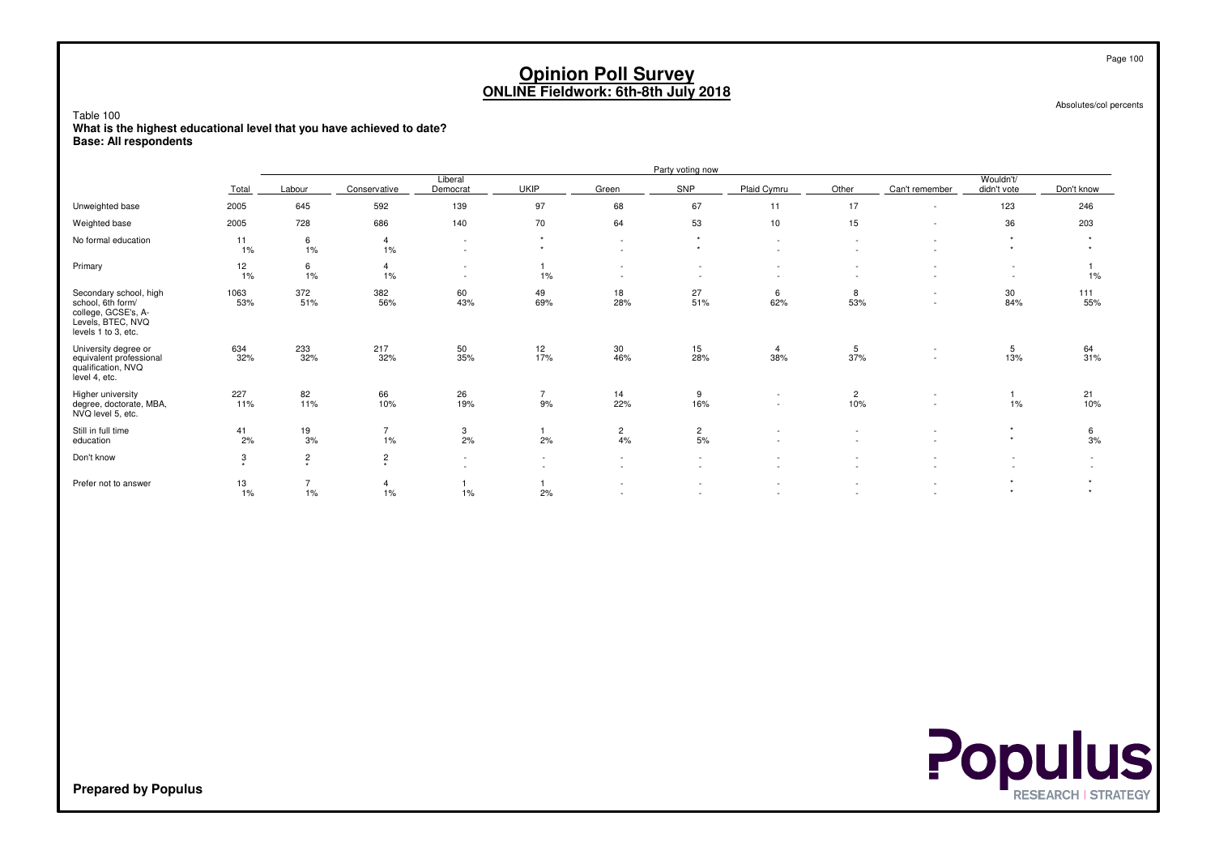Absolutes/col percents

Page 100

Table 100 **What is the highest educational level that you have achieved to date?Base: All respondents**

|                                                                                                                |              |                                        |                           |                     |                                    |                                                      | Party voting now     |                                                      |                                                      |                                                      |                          |                                       |
|----------------------------------------------------------------------------------------------------------------|--------------|----------------------------------------|---------------------------|---------------------|------------------------------------|------------------------------------------------------|----------------------|------------------------------------------------------|------------------------------------------------------|------------------------------------------------------|--------------------------|---------------------------------------|
|                                                                                                                | Total        | Labour                                 | Conservative              | Liberal<br>Democrat | <b>UKIP</b>                        | Green                                                | SNP                  | Plaid Cymru                                          | Other                                                | Can't remember                                       | Wouldn't/<br>didn't vote | Don't know                            |
| Unweighted base                                                                                                | 2005         | 645                                    | 592                       | 139                 | 97                                 | 68                                                   | 67                   | 11                                                   | 17                                                   | $\overline{\phantom{a}}$                             | 123                      | 246                                   |
| Weighted base                                                                                                  | 2005         | 728                                    | 686                       | 140                 | 70                                 | 64                                                   | 53                   | 10                                                   | 15                                                   | $\overline{\phantom{a}}$                             | 36                       | 203                                   |
| No formal education                                                                                            | 11<br>1%     | 6<br>1%                                | $\overline{4}$<br>$1\%$   | $\sim$<br>$\sim$    | $\rightarrow$                      | $\overline{\phantom{a}}$<br>$\overline{\phantom{a}}$ | $\star$<br>$\star$   | $\sim$<br>$\overline{\phantom{a}}$                   | $\overline{\phantom{a}}$<br>$\overline{\phantom{a}}$ | $\sim$                                               | ٠<br>$\star$             | $\star$<br>$\ddot{}$                  |
| Primary                                                                                                        | 12<br>1%     | 6<br>1%                                | $\overline{4}$<br>$1\%$   | $\sim$<br>$\sim$    | 1%                                 | $\overline{\phantom{a}}$                             | $\sim$               | $\overline{\phantom{a}}$<br>$\overline{\phantom{a}}$ | $\overline{\phantom{a}}$                             |                                                      | $\sim$                   | $1\%$                                 |
| Secondary school, high<br>school, 6th form/<br>college, GCSE's, A-<br>Levels, BTEC, NVQ<br>levels 1 to 3, etc. | 1063<br>53%  | 372<br>51%                             | 382<br>56%                | 60<br>43%           | 49<br>69%                          | 18<br>28%                                            | 27<br>51%            | 6<br>62%                                             | 8<br>53%                                             | $\overline{\phantom{a}}$<br>$\overline{\phantom{a}}$ | 30<br>84%                | 111<br>55%                            |
| University degree or<br>equivalent professional<br>qualification, NVQ<br>level 4, etc.                         | 634<br>32%   | 233<br>32%                             | 217<br>32%                | 50<br>35%           | 12<br>17%                          | 30<br>46%                                            | 15<br>28%            | 4<br>38%                                             | 5<br>37%                                             | $\overline{\phantom{a}}$                             | 5<br>13%                 | 64<br>31%                             |
| Higher university<br>degree, doctorate, MBA,<br>NVQ level 5, etc.                                              | 227<br>11%   | 82<br>11%                              | 66<br>10%                 | 26<br>19%           | $\overline{7}$<br>9%               | 14<br>22%                                            | 9<br>16%             | $\sim$<br>$\sim$                                     | $\overline{2}$<br>10%                                | $\overline{\phantom{a}}$                             | 1%                       | 21<br>10%                             |
| Still in full time<br>education                                                                                | 41<br>2%     | 19<br>3%                               | $\overline{7}$<br>1%      | 3<br>2%             | 2%                                 | $\overline{2}$<br>4%                                 | $\overline{c}$<br>5% |                                                      | $\overline{\phantom{a}}$                             |                                                      | $\star$<br>$\star$       | 6<br>3%                               |
| Don't know                                                                                                     | 3<br>$\star$ | $\overline{c}$<br>$\ddot{\phantom{1}}$ | $\overline{c}$<br>$\star$ | $\sim$<br>$\sim$    | $\sim$<br>$\overline{\phantom{a}}$ | $\sim$<br>$\sim$                                     | $\sim$<br>$\sim$     | $\overline{a}$<br>$\overline{\phantom{a}}$           | $\overline{\phantom{a}}$<br>$\overline{\phantom{a}}$ |                                                      | $\sim$                   | $\overline{\phantom{a}}$              |
| Prefer not to answer                                                                                           | 13<br>1%     | 7<br>1%                                | $\overline{4}$<br>1%      | 1%                  | 2%                                 | $\sim$<br>$\sim$                                     | $\sim$               | $\overline{\phantom{a}}$<br>$\overline{a}$           | $\overline{\phantom{a}}$<br>$\overline{\phantom{a}}$ |                                                      | ٠<br>$\star$             | $\ddot{}$<br>$\overline{\phantom{a}}$ |

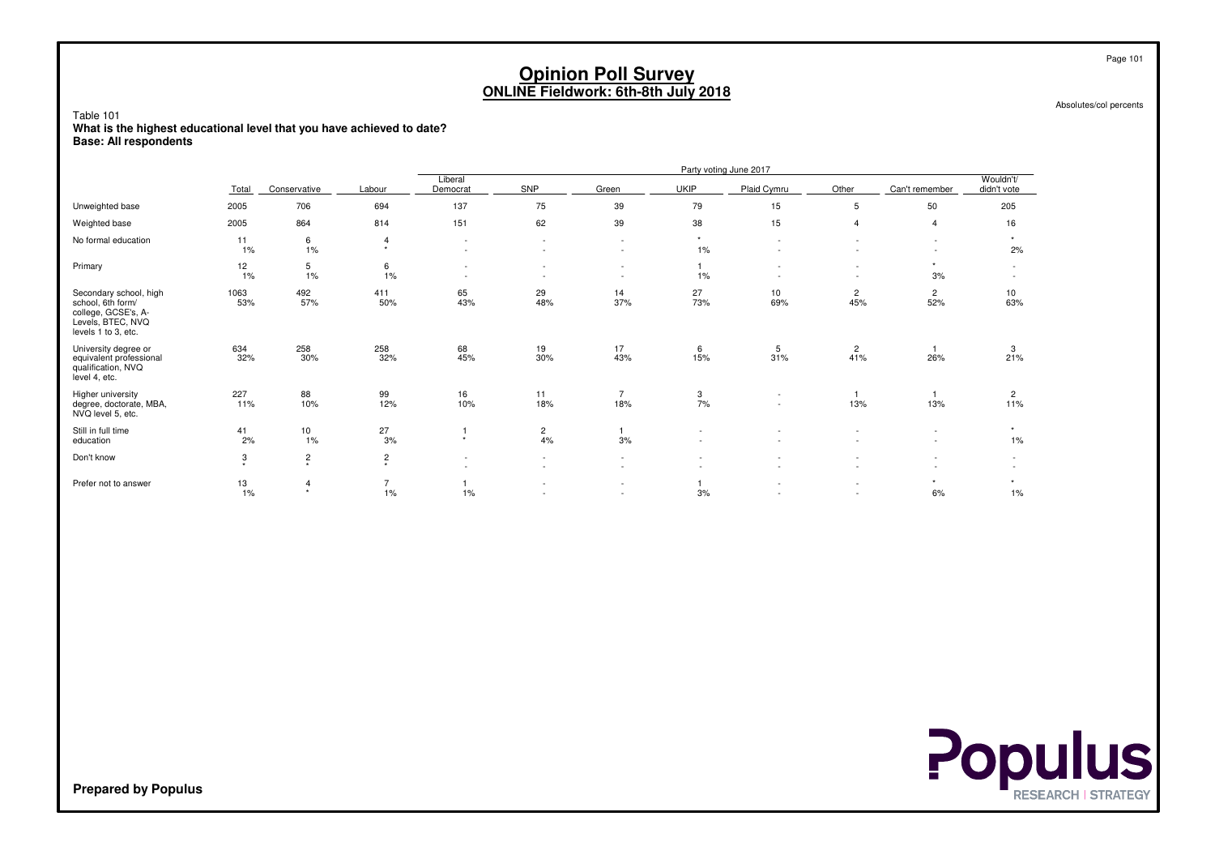Absolutes/col percents

Table 101 **What is the highest educational level that you have achieved to date?Base: All respondents**

|                                                                                                                |                    |                           |                           |                                                      |                                                      |                                                      |                                                      | Party voting June 2017                               |                                                      |                                                      |                                                      |
|----------------------------------------------------------------------------------------------------------------|--------------------|---------------------------|---------------------------|------------------------------------------------------|------------------------------------------------------|------------------------------------------------------|------------------------------------------------------|------------------------------------------------------|------------------------------------------------------|------------------------------------------------------|------------------------------------------------------|
|                                                                                                                | Total              | Conservative              | Labour                    | Liberal<br>Democrat                                  | SNP                                                  | Green                                                | <b>UKIP</b>                                          | Plaid Cymru                                          | Other                                                | Can't remember                                       | Wouldn't/<br>didn't vote                             |
| Unweighted base                                                                                                | 2005               | 706                       | 694                       | 137                                                  | 75                                                   | 39                                                   | 79                                                   | 15                                                   | 5                                                    | 50                                                   | 205                                                  |
| Weighted base                                                                                                  | 2005               | 864                       | 814                       | 151                                                  | 62                                                   | 39                                                   | 38                                                   | 15                                                   | $\overline{4}$                                       | $\overline{4}$                                       | 16                                                   |
| No formal education                                                                                            | 11<br>1%           | 6<br>1%                   | $\overline{4}$<br>$\star$ | $\overline{\phantom{a}}$<br>$\overline{\phantom{a}}$ | $\overline{\phantom{a}}$<br>$\sim$                   | $\overline{\phantom{a}}$<br>$\overline{\phantom{a}}$ | $\star$<br>$1\%$                                     |                                                      |                                                      | $\overline{\phantom{a}}$                             | $\star$<br>2%                                        |
| Primary                                                                                                        | 12<br>1%           | 5<br>1%                   | 6<br>1%                   | $\overline{\phantom{a}}$<br>$\overline{\phantom{a}}$ | $\overline{\phantom{a}}$<br>$\overline{\phantom{a}}$ | $\sim$<br>$\overline{\phantom{a}}$                   | 1%                                                   |                                                      | $\overline{\phantom{a}}$<br>$\overline{\phantom{a}}$ | $\star$<br>3%                                        | $\sim$<br>$\overline{\phantom{a}}$                   |
| Secondary school, high<br>school, 6th form/<br>college, GCSE's, A-<br>Levels, BTEC, NVQ<br>levels 1 to 3, etc. | 1063<br>53%        | 492<br>57%                | 411<br>50%                | 65<br>43%                                            | 29<br>48%                                            | 14<br>37%                                            | 27<br>73%                                            | 10<br>69%                                            | $\overline{2}$<br>45%                                | $\overline{c}$<br>52%                                | 10<br>63%                                            |
| University degree or<br>equivalent professional<br>qualification, NVQ<br>level 4, etc.                         | 634<br>32%         | 258<br>30%                | 258<br>32%                | 68<br>45%                                            | 19<br>30%                                            | 17<br>43%                                            | 6<br>15%                                             | 5<br>31%                                             | $\overline{c}$<br>41%                                | 26%                                                  | 3<br>21%                                             |
| Higher university<br>degree, doctorate, MBA,<br>NVQ level 5, etc.                                              | 227<br>11%         | 88<br>10%                 | 99<br>12%                 | 16<br>10%                                            | 11<br>18%                                            | $\overline{7}$<br>18%                                | 3<br>7%                                              | $\overline{\phantom{a}}$<br>$\overline{\phantom{a}}$ | -1<br>13%                                            | 13%                                                  | $\overline{c}$<br>11%                                |
| Still in full time<br>education                                                                                | 41<br>2%           | 10<br>1%                  | 27<br>3%                  | $\star$                                              | $\overline{c}$<br>4%                                 | 3%                                                   | $\overline{\phantom{a}}$<br>$\overline{\phantom{a}}$ |                                                      |                                                      | $\overline{\phantom{a}}$<br>$\overline{\phantom{a}}$ | $\star$<br>1%                                        |
| Don't know                                                                                                     | 3<br>$\rightarrow$ | $\overline{c}$<br>$\star$ | $\overline{c}$<br>$\star$ | $\overline{\phantom{a}}$<br>٠                        | $\overline{\phantom{a}}$<br>٠                        | $\overline{\phantom{a}}$<br>$\overline{\phantom{a}}$ |                                                      |                                                      |                                                      |                                                      | $\overline{\phantom{0}}$<br>$\overline{\phantom{a}}$ |
| Prefer not to answer                                                                                           | 13<br>1%           | 4<br>$\star$              | $\overline{7}$<br>1%      | 1%                                                   | $\overline{\phantom{a}}$<br>$\overline{\phantom{a}}$ | $\overline{\phantom{a}}$<br>$\overline{\phantom{a}}$ | 3%                                                   |                                                      | $\overline{\phantom{a}}$<br>$\overline{\phantom{a}}$ | $\star$<br>6%                                        | $\star$<br>1%                                        |

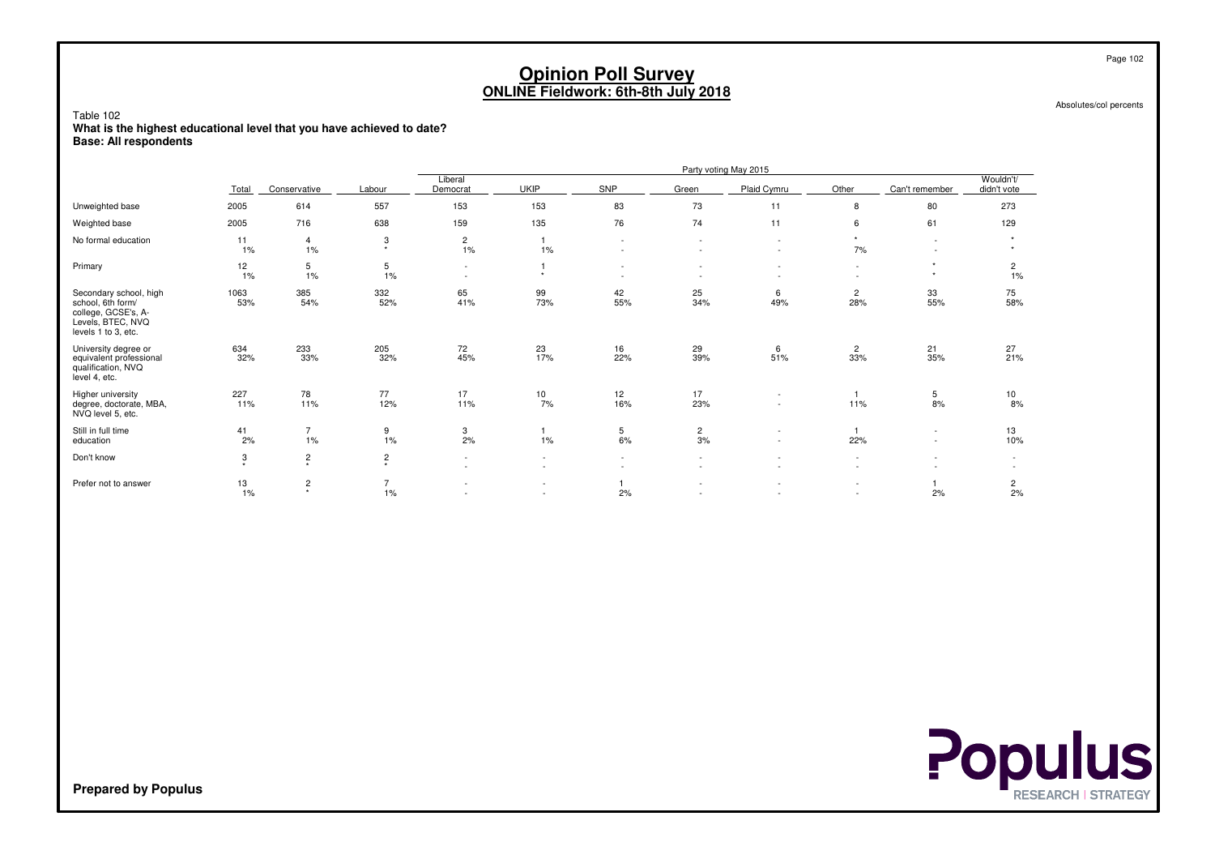Absolutes/col percents

Table 102 **What is the highest educational level that you have achieved to date?Base: All respondents**

|                                                                                                                |             |                           |                                    |                                    |                  |                                                      |                          | Party voting May 2015                                |                                                      |                                                      |                          |
|----------------------------------------------------------------------------------------------------------------|-------------|---------------------------|------------------------------------|------------------------------------|------------------|------------------------------------------------------|--------------------------|------------------------------------------------------|------------------------------------------------------|------------------------------------------------------|--------------------------|
|                                                                                                                | Total       | Conservative              | Labour                             | Liberal<br>Democrat                | <b>UKIP</b>      | SNP                                                  | Green                    | Plaid Cymru                                          | Other                                                | Can't remember                                       | Wouldn't/<br>didn't vote |
| Unweighted base                                                                                                | 2005        | 614                       | 557                                | 153                                | 153              | 83                                                   | 73                       | 11                                                   | 8                                                    | 80                                                   | 273                      |
| Weighted base                                                                                                  | 2005        | 716                       | 638                                | 159                                | 135              | 76                                                   | 74                       | 11                                                   | 6                                                    | 61                                                   | 129                      |
| No formal education                                                                                            | 11<br>1%    | 4<br>1%                   | 3<br>$\star$                       | $\overline{c}$<br>1%               | 1%               | $\overline{\phantom{a}}$<br>$\overline{\phantom{a}}$ | $\sim$                   | $\sim$<br>$\sim$                                     | 7%                                                   | $\overline{\phantom{a}}$<br>٠                        | $\star$                  |
| Primary                                                                                                        | 12<br>1%    | 5<br>1%                   | 5<br>1%                            | $\overline{\phantom{a}}$<br>$\sim$ | $\star$          | $\overline{\phantom{a}}$                             |                          | $\sim$<br>$\overline{\phantom{a}}$                   | $\sim$<br>$\overline{\phantom{0}}$                   |                                                      | $\overline{2}$<br>1%     |
| Secondary school, high<br>school, 6th form/<br>college, GCSE's, A-<br>Levels, BTEC, NVQ<br>levels 1 to 3, etc. | 1063<br>53% | 385<br>54%                | 332<br>52%                         | 65<br>41%                          | 99<br>73%        | 42<br>55%                                            | 25<br>34%                | 6<br>49%                                             | 2<br>28%                                             | 33<br>55%                                            | 75<br>58%                |
| University degree or<br>equivalent professional<br>qualification, NVQ<br>level 4, etc.                         | 634<br>32%  | 233<br>33%                | 205<br>32%                         | 72<br>45%                          | 23<br>17%        | 16<br>22%                                            | 29<br>39%                | 6<br>51%                                             | $\overline{2}$<br>33%                                | 21<br>35%                                            | 27<br>21%                |
| Higher university<br>degree, doctorate, MBA,<br>NVQ level 5, etc.                                              | 227<br>11%  | 78<br>11%                 | 77<br>12%                          | 17<br>11%                          | 10<br>7%         | 12<br>16%                                            | 17<br>23%                | $\overline{\phantom{a}}$<br>$\sim$                   | 11%                                                  | 5<br>8%                                              | 10<br>8%                 |
| Still in full time<br>education                                                                                | 41<br>2%    | $\overline{7}$<br>1%      | 9<br>$1\%$                         | 3<br>2%                            | $1\%$            | 5<br>6%                                              | $\overline{2}$<br>3%     | $\overline{\phantom{a}}$<br>$\sim$                   | 22%                                                  | $\overline{\phantom{a}}$<br>$\overline{\phantom{a}}$ | 13<br>10%                |
| Don't know                                                                                                     | 3<br>٠      | $\sqrt{2}$<br>$\star$     | $\overline{\mathbf{c}}$<br>$\star$ | $\sim$                             |                  | $\overline{\phantom{a}}$                             | ÷.                       | $\sim$                                               | $\sim$                                               |                                                      | $\sim$                   |
| Prefer not to answer                                                                                           | 13<br>1%    | $\overline{c}$<br>$\star$ | $\overline{7}$<br>1%               |                                    | $\sim$<br>$\sim$ | 2%                                                   | $\overline{\phantom{a}}$ | $\overline{\phantom{a}}$<br>$\overline{\phantom{a}}$ | $\overline{\phantom{0}}$<br>$\overline{\phantom{a}}$ | 2%                                                   | 2<br>2%                  |

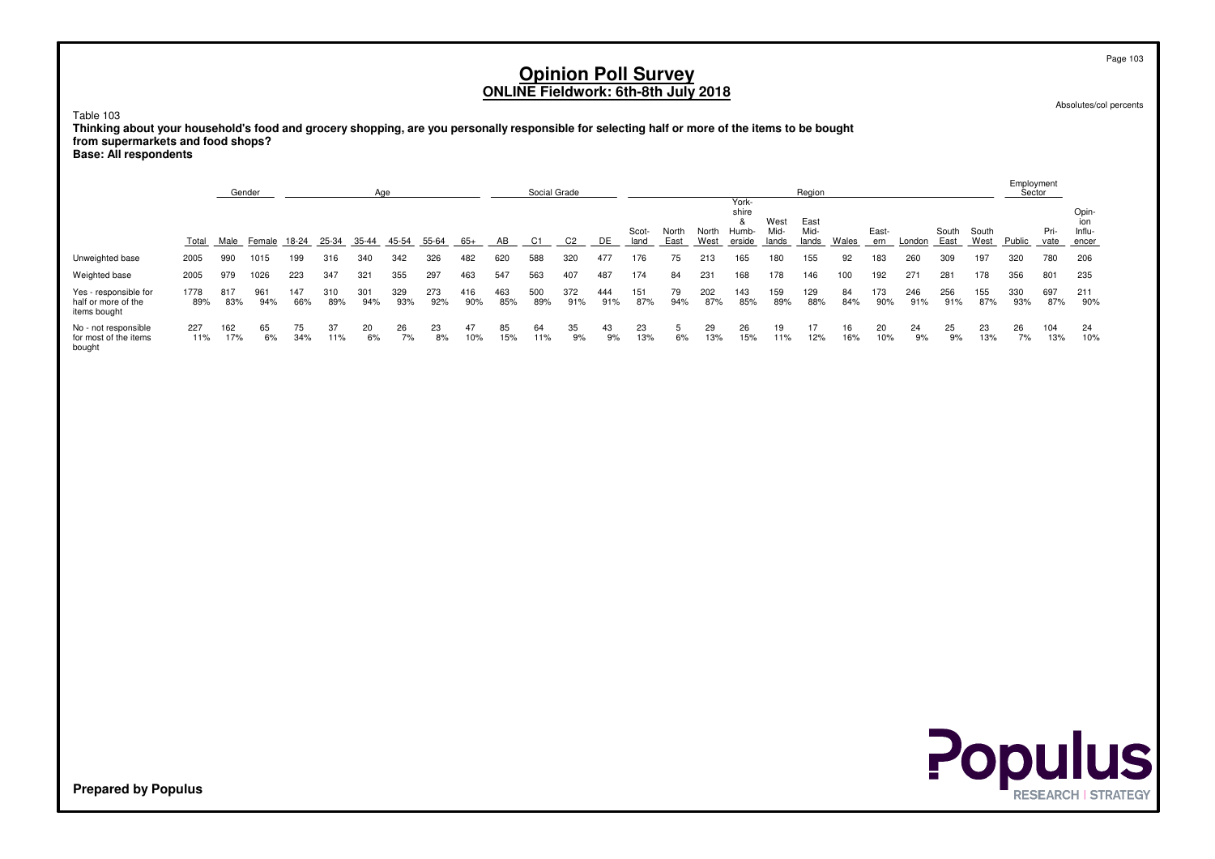Absolutes/col percents

Table 103

 **Thinking about your household's food and grocery shopping, are you personally responsible for selecting half or more of the items to be boughtfrom supermarkets and food shops?**

**Base: All respondents**

|                                                              |             |            | Gender     |            |            | Age        |            |            |            |            | Social Grade |            |            |               |               |               |                                         |                       | Region                |           |              |            |               |               | Employment<br>Sector |              |                                 |
|--------------------------------------------------------------|-------------|------------|------------|------------|------------|------------|------------|------------|------------|------------|--------------|------------|------------|---------------|---------------|---------------|-----------------------------------------|-----------------------|-----------------------|-----------|--------------|------------|---------------|---------------|----------------------|--------------|---------------------------------|
|                                                              | Total       | Male       | Female     | 18-24      | 25-34      | 35-44      | 45-54      | 55-64      | 65+        | AB         | C1           | C2         | DE         | Scot-<br>land | North<br>East | North<br>West | York-<br>shire<br>8.<br>Humb-<br>erside | West<br>Mid-<br>lands | East<br>Mid-<br>lands | Wales     | East-<br>ern | London     | South<br>East | South<br>West | Public               | Pri-<br>vate | Opin-<br>ion<br>Influ-<br>encer |
| Unweighted base                                              | 2005        | 990        | 1015       | 199        | 316        | 340        | 342        | 326        | 482        | 620        | 588          | 320        | 477        | 176           | 75            | 213           | 165                                     | 180                   | 155                   | 92        | 183          | 260        | 309           | 197           | 320                  | 780          | 206                             |
| Weighted base                                                | 2005        | 979        | 1026       | 223        | 347        | 321        | 355        | 297        | 463        | 547        | 563          | 407        | 487        | 174           | 84            | 231           | 168                                     | 178                   | 146                   | 100       | 192          | 271        | 281           | 178           | 356                  | 801          | 235                             |
| Yes - responsible for<br>half or more of the<br>items bought | 1778<br>89% | 817<br>83% | 961<br>94% | 147<br>66% | 310<br>89% | 301<br>94% | 329<br>93% | 273<br>92% | 416<br>90% | 463<br>85% | 500<br>89%   | 372<br>91% | 444<br>91% | 151<br>87%    | 79<br>94%     | 202<br>87%    | 143<br>85%                              | 159<br>89%            | 129<br>88%            | 84<br>84% | 173<br>90%   | 246<br>91% | 256<br>91%    | 155<br>87%    | 330<br>93%           | 697<br>87%   | 211<br>90%                      |
| No - not responsible<br>for most of the items<br>bought      | 227<br>11%  | 162<br>17% | 65<br>6%   | 75<br>34%  | 37<br>11%  | 20<br>6%   | 26<br>7%   | 23<br>8%   | 47<br>10%  | 85<br>15%  | 64<br>11%    | 35<br>9%   | 43<br>9%   | 23<br>13%     | 5<br>6%       | 29<br>13%     | 26<br>15%                               | 19<br>11%             | 12%                   | 16<br>16% | 20<br>10%    | 24<br>9%   | 25<br>9%      | 23<br>13%     | 26<br>7%             | 104<br>13%   | 24<br>10%                       |



**Prepared by Populus**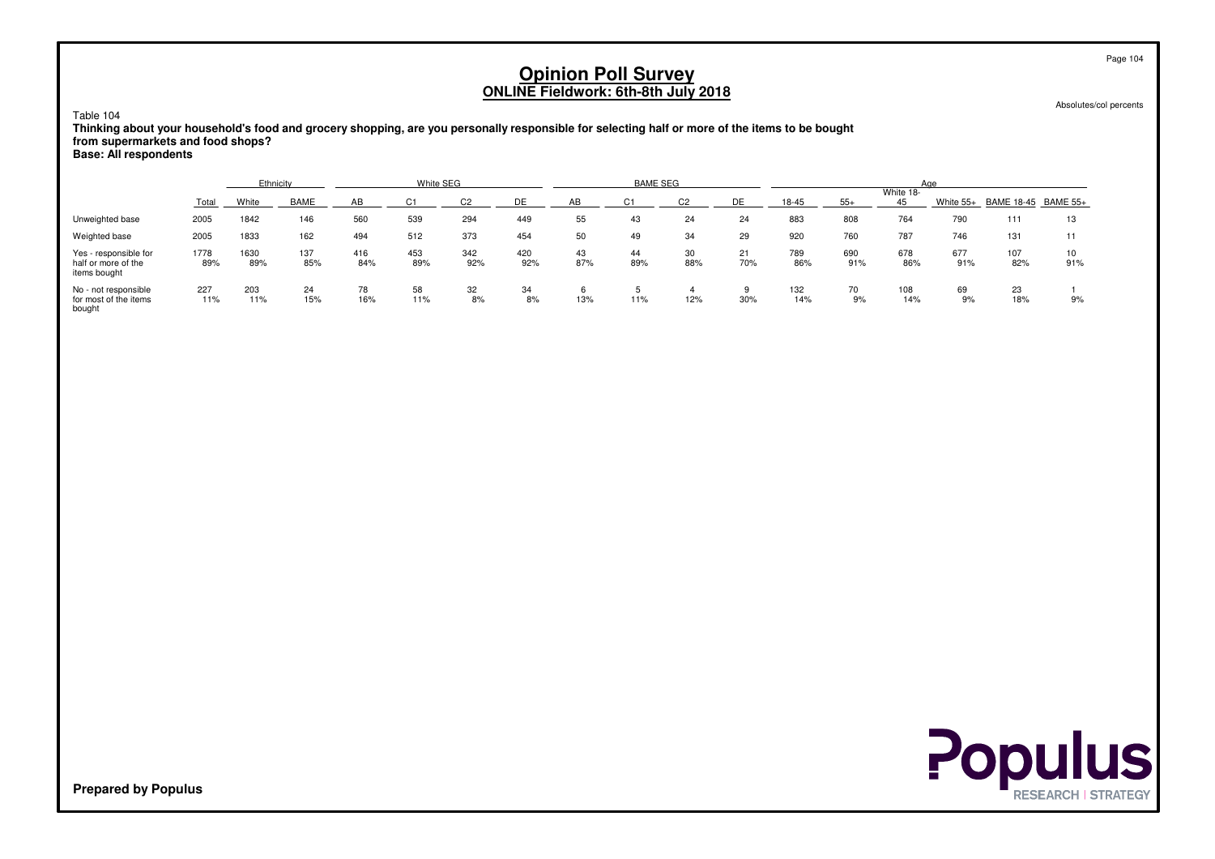Absolutes/col percents

#### Table 104

 **Thinking about your household's food and grocery shopping, are you personally responsible for selecting half or more of the items to be boughtfrom supermarkets and food shops?**

**Base: All respondents**

|                                                              |             | Ethnicity   |             |            | White SEG  |            |            |           | <b>BAME SEG</b> |           |           |            |            |                 | Aae        |                     |           |
|--------------------------------------------------------------|-------------|-------------|-------------|------------|------------|------------|------------|-----------|-----------------|-----------|-----------|------------|------------|-----------------|------------|---------------------|-----------|
|                                                              | Total       | White       | <b>BAME</b> | AB         |            |            | DE         | AB        |                 |           | DE        | 18-45      | $55+$      | White 18-<br>45 | White 55+  | BAME 18-45 BAME 55+ |           |
| Unweighted base                                              | 2005        | 1842        | 146         | 560        | 539        | 294        | 449        | 55        | 43              | 24        | 24        | 883        | 808        | 764             | 790        | 111                 | 13        |
| Weighted base                                                | 2005        | 1833        | 162         | 494        | 512        | 373        | 454        | 50        | 49              | 34        | 29        | 920        | 760        | 787             | 746        | 131                 | 11        |
| Yes - responsible for<br>half or more of the<br>items bought | 1778<br>89% | 1630<br>89% | 137<br>85%  | 416<br>84% | 453<br>89% | 342<br>92% | 420<br>92% | 43<br>87% | 44<br>89%       | 30<br>88% | 21<br>70% | 789<br>86% | 690<br>91% | 678<br>86%      | 677<br>91% | 107<br>82%          | 10<br>91% |
| No - not responsible<br>for most of the items<br>bough       | 227<br>11%  | 203<br>11%  | 24<br>15%   | 78<br>16%  | 58<br>11%  | 32<br>8%   | 34<br>8%   | 13%       | 11%             | 12%       | 30%       | 132<br>14% | 70<br>9%   | 108<br>14%      | 69<br>9%   | 23<br>18%           | 9%        |



**Prepared by Populus**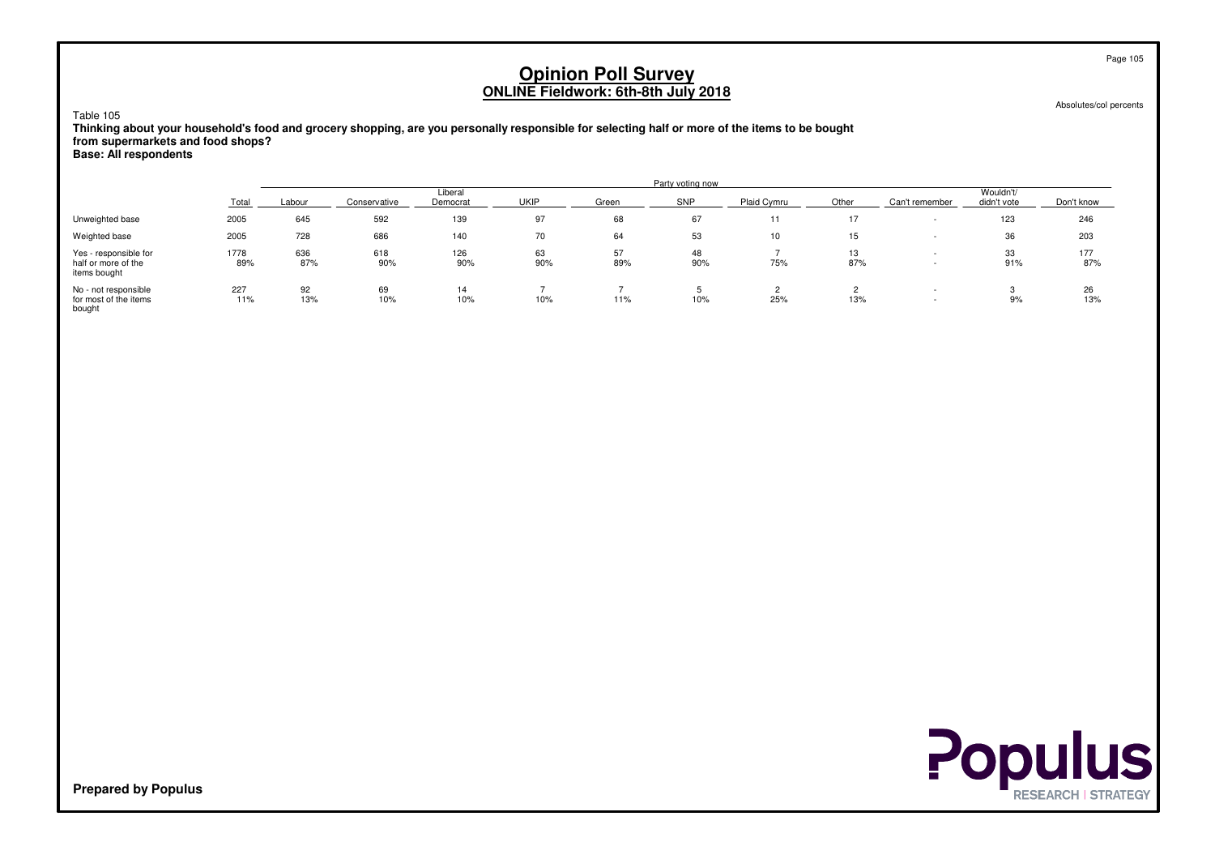Absolutes/col percents

### Table 105

 **Thinking about your household's food and grocery shopping, are you personally responsible for selecting half or more of the items to be boughtfrom supermarkets and food shops?Base: All respondents**

|                                                              |             |            |              |                     |           |           | Party voting now |             |           |                |                          |            |
|--------------------------------------------------------------|-------------|------------|--------------|---------------------|-----------|-----------|------------------|-------------|-----------|----------------|--------------------------|------------|
|                                                              | Total       | Labour     | Conservative | Liberal<br>Democrat | UKIP      | Green     | <b>SNP</b>       | Plaid Cymru | Other     | Can't remember | Wouldn't/<br>didn't vote | Don't know |
| Unweighted base                                              | 2005        | 645        | 592          | 139                 | 97        | 68        | 67               | 11          | 17        |                | 123                      | 246        |
| Weighted base                                                | 2005        | 728        | 686          | 140                 | 70        | 64        | 53               | 10          | 15        |                | 36                       | 203        |
| Yes - responsible for<br>half or more of the<br>items bought | 1778<br>89% | 636<br>87% | 618<br>90%   | 126<br>90%          | 63<br>90% | 57<br>89% | 48<br>90%        | 75%         | 13<br>87% |                | 33<br>91%                | 177<br>87% |
| No - not responsible<br>for most of the items<br>bought      | 227<br>11%  | 92<br>13%  | 69<br>10%    | 14<br>10%           | 10%       | 11%       | 10%              | 25%         | 13%       |                | 9%                       | 26<br>13%  |

**Populus**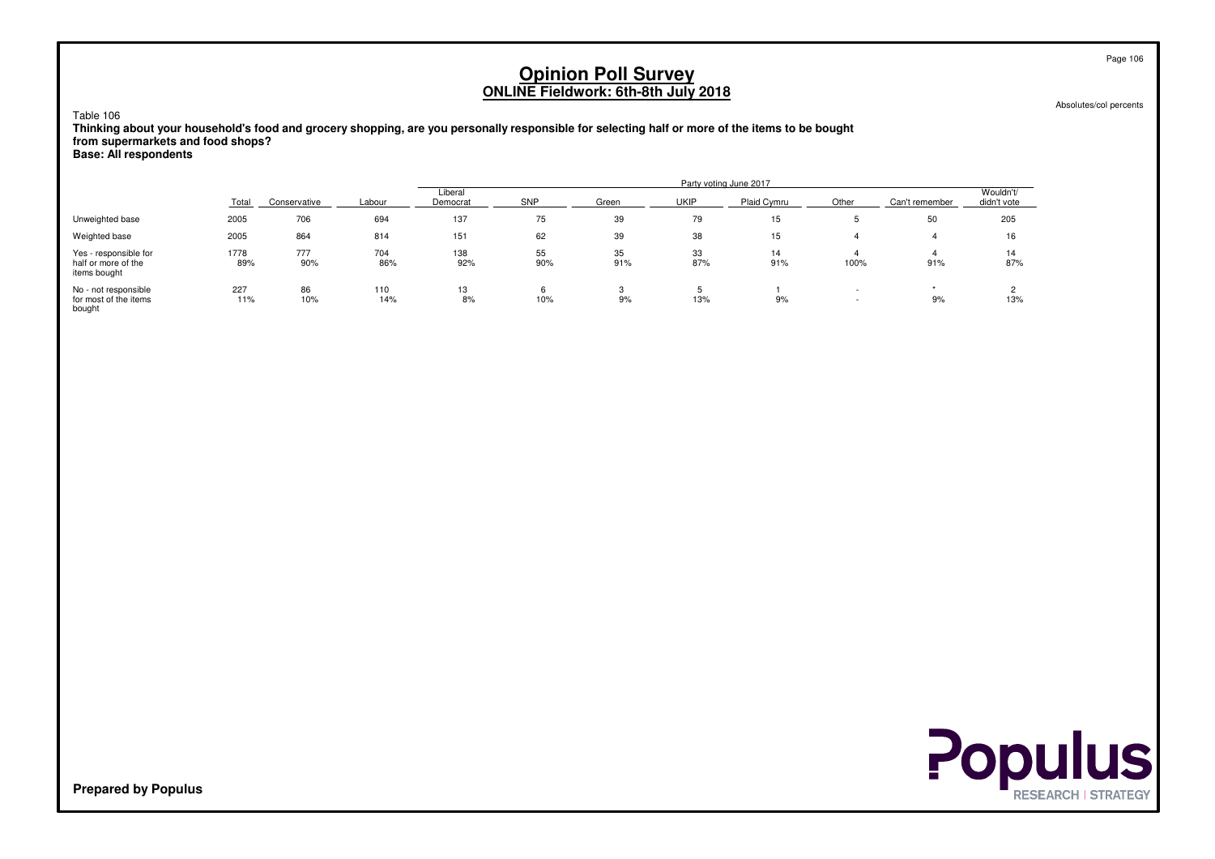Absolutes/col percents

Table 106

 **Thinking about your household's food and grocery shopping, are you personally responsible for selecting half or more of the items to be boughtfrom supermarkets and food shops?Base: All respondents**

Party voting June 2017**Liberal** wouldn't/wouldn't/health and the control of the control of the control of the control of the control of the control of the control of the control of the control of the control of the control of the control of the control o didn't vote Total Conservative Labour Democrat SNPP \_\_\_\_\_ Green \_\_\_ \_\_\_\_UKIP \_\_\_\_ Plaid Cymru \_\_ \_\_\_Other \_\_\_\_ Can't remember \_\_ didn't vote Unweighted base <sup>2005</sup> <sup>706</sup> <sup>694</sup> <sup>137</sup> <sup>75</sup> <sup>39</sup> <sup>79</sup> <sup>15</sup> <sup>5</sup> <sup>50</sup> <sup>205</sup> Weighted base <sup>2005</sup> <sup>864</sup> <sup>814</sup> <sup>151</sup> <sup>62</sup> <sup>39</sup> <sup>38</sup> <sup>15</sup> <sup>4</sup> <sup>4</sup> <sup>16</sup> Yes - responsible for 17788 777 704 138 55 35 33 14 4 4 1<u>4</u> half or more of the 89% $\%$  90% 86% 92% 90% 91% 87% 91% 91% 100% 91% 91% 87% items boughtNo - not responsiblee 227 86 110 13 6 3 5 1 - 1 for most of the items $-11\%$ % 10% 14% 8% 10% 9% 13% 9% 9% - 9% 9% 9% 13% bought

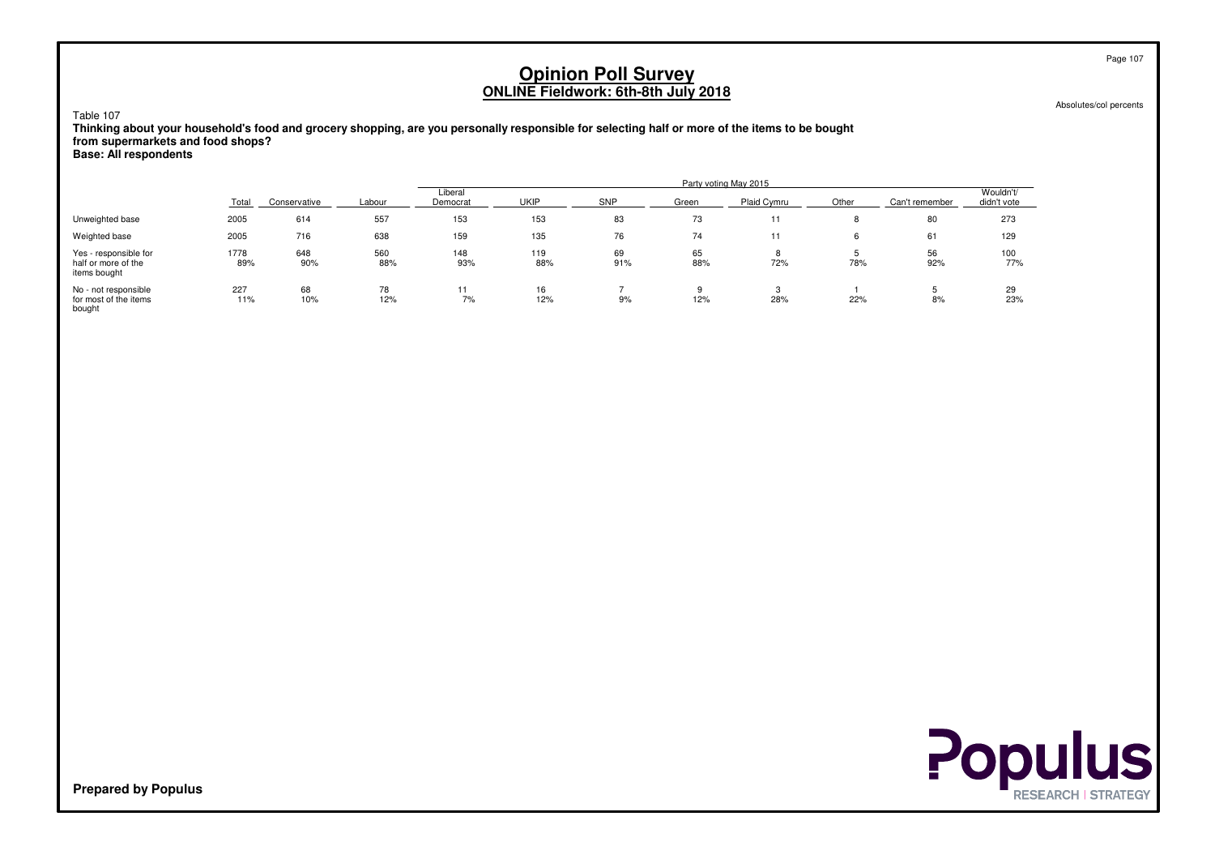Absolutes/col percents

Table 107

 **Thinking about your household's food and grocery shopping, are you personally responsible for selecting half or more of the items to be boughtfrom supermarkets and food shops?Base: All respondents**

Party voting May 2015**Liberal** wouldn't/wouldn't/health and the control of the control of the control of the control of the control of the control of the control of the control of the control of the control of the control of the control of the control o didn't vote Total Conservative Labour Democrat UKIPP \_\_\_\_ \_\_\_\_\_SNP \_\_\_\_\_\_\_\_Green \_\_\_\_\_\_Plaid Cymru \_\_\_\_\_\_\_Other \_\_\_\_\_Can't remember \_\_\_\_didn't vote Unweighted base <sup>2005</sup> <sup>614</sup> <sup>557</sup> <sup>153</sup> <sup>153</sup> <sup>83</sup> <sup>73</sup> <sup>11</sup> <sup>8</sup> <sup>80</sup> <sup>273</sup> Weighted base <sup>2005</sup> <sup>716</sup> <sup>638</sup> <sup>159</sup> <sup>135</sup> <sup>76</sup> <sup>74</sup> <sup>11</sup> <sup>6</sup> <sup>61</sup> <sup>129</sup> Yes - responsible for 17788 648 560 148 119 69 65 8 5 56 100 half or more of the 89%% 90% 88% 93% 88% 91% 88% 72% 72% 78% 92% 92% 77% items boughtNo - not responsiblee 227 68 78 11 16 7 9 3 1 5 29 for most of the items $-11\%$ % 10% 12% 7% 12% 9% 12% 28% 28% 22% 8% 8% 23% bought

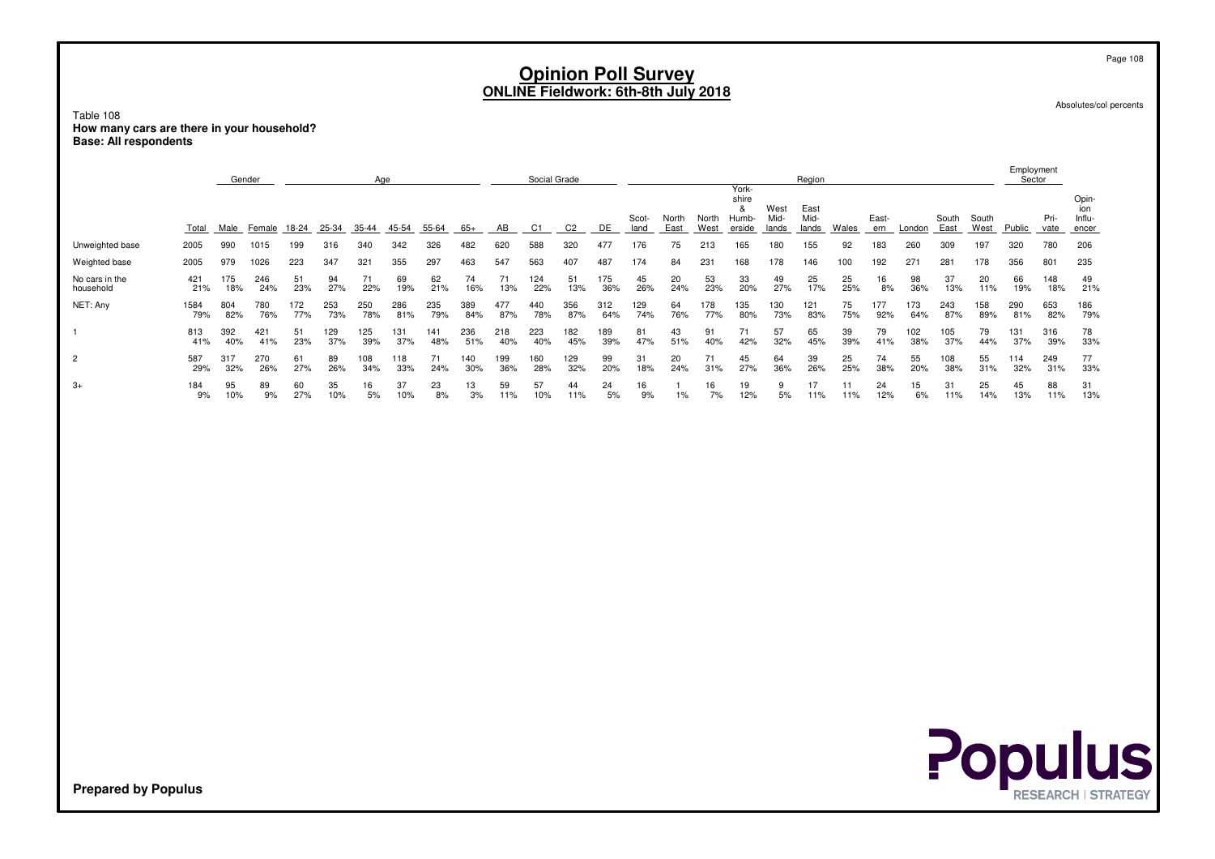Absolutes/col percents

Page 108

Table 108 **How many cars are there in your household?Base: All respondents**

|                             |             |            | Gender     |            |            | Age        |            |            |            |            | Social Grade |            |            |               |               |               | York-                         |                       | Region                |           |              |            |               |               | Employment<br>Sector |              |                                 |
|-----------------------------|-------------|------------|------------|------------|------------|------------|------------|------------|------------|------------|--------------|------------|------------|---------------|---------------|---------------|-------------------------------|-----------------------|-----------------------|-----------|--------------|------------|---------------|---------------|----------------------|--------------|---------------------------------|
|                             | Total       | Male       | Female     | 18-24      | 25-34      | 35-44      | 45-54      | 55-64      | 65+        | AВ         | С1           |            | DE         | Scot-<br>land | North<br>East | North<br>West | shire<br>&<br>Humb-<br>erside | West<br>Mid-<br>lands | East<br>Mid-<br>lands | Wales     | East-<br>ern | London     | South<br>East | South<br>West | Public               | Pri-<br>vate | Opin-<br>ion<br>Influ-<br>encer |
| Unweighted base             | 2005        | 990        | 1015       | 199        | 316        | 340        | 342        | 326        | 482        | 620        | 588          | 320        | 477        | 176           | 75            | 213           | 165                           | 180                   | 155                   | 92        | 183          | 260        | 309           | 197           | 320                  | 780          | 206                             |
| Weighted base               | 2005        | 979        | 1026       | 223        | 347        | 321        | 355        | 297        | 463        | 547        | 563          | 407        | 487        | 174           | 84            | 231           | 168                           | 178                   | 146                   | 100       | 192          | 271        | 281           | 178           | 356                  | 801          | 235                             |
| No cars in the<br>household | 421<br>21%  | 175<br>18% | 246<br>24% | 51<br>23%  | 94<br>27%  | 71<br>22%  | 69<br>19%  | 62<br>21%  | 74<br>16%  | 71<br>13%  | 124<br>22%   | 51<br>13%  | 175<br>36% | 45<br>26%     | 20<br>24%     | 53<br>23%     | 33<br>20%                     | 49<br>27%             | 25<br>17%             | 25<br>25% | 16<br>8%     | 98<br>36%  | 37<br>13%     | 20<br>11%     | 66<br>19%            | 148<br>18%   | 49<br>21%                       |
| NET: Any                    | 1584<br>79% | 804<br>82% | 780<br>76% | 172<br>77% | 253<br>73% | 250<br>78% | 286<br>81% | 235<br>79% | 389<br>84% | 477<br>87% | 440<br>78%   | 356<br>87% | 312<br>64% | 129<br>74%    | 64<br>76%     | 178<br>77%    | 135<br>80%                    | 130<br>73%            | 121<br>83%            | 75<br>75% | 177<br>92%   | 173<br>64% | 243<br>87%    | 158<br>89%    | 290<br>81%           | 653<br>82%   | 186<br>79%                      |
|                             | 813<br>41%  | 392<br>40% | 421<br>41% | 51<br>23%  | 29<br>37%  | 125<br>39% | 131<br>37% | 141<br>48% | 236<br>51% | 218<br>40% | 223<br>40%   | 182<br>45% | 189<br>39% | 81<br>47%     | 43<br>51%     | 91<br>40%     | 42%                           | 57<br>32%             | 65<br>45%             | 39<br>39% | 79<br>41%    | 102<br>38% | 105<br>37%    | 79<br>44%     | 131<br>37%           | 316<br>39%   | 78<br>33%                       |
| $\overline{2}$              | 587<br>29%  | 317<br>32% | 270<br>26% | 61<br>27%  | 89<br>26%  | 108<br>34% | 118<br>33% | 71<br>24%  | 140<br>30% | 199<br>36% | 160<br>28%   | 129<br>32% | 99<br>20%  | 31<br>18%     | 20<br>24%     | 71<br>31%     | 45<br>27%                     | 64<br>36%             | 39<br>26%             | 25<br>25% | 74<br>38%    | 55<br>20%  | 108<br>38%    | 55<br>31%     | 114<br>32%           | 249<br>31%   | 77<br>33%                       |
| $3+$                        | 184<br>9%   | 95<br>10%  | 89<br>9%   | 60<br>27%  | 35<br>10%  | 16<br>5%   | 37<br>10%  | 23<br>8%   | 13<br>3%   | 59<br>11%  | 57<br>10%    | 44<br>11%  | 24<br>5%   | 16<br>9%      | $1\%$         | 16<br>7%      | 19<br>12%                     | 9<br>5%               | 11%                   | 11%       | 24<br>12%    | 15<br>6%   | 31<br>11%     | 25<br>14%     | 45<br>13%            | 88<br>11%    | 31<br>13%                       |

**Populus**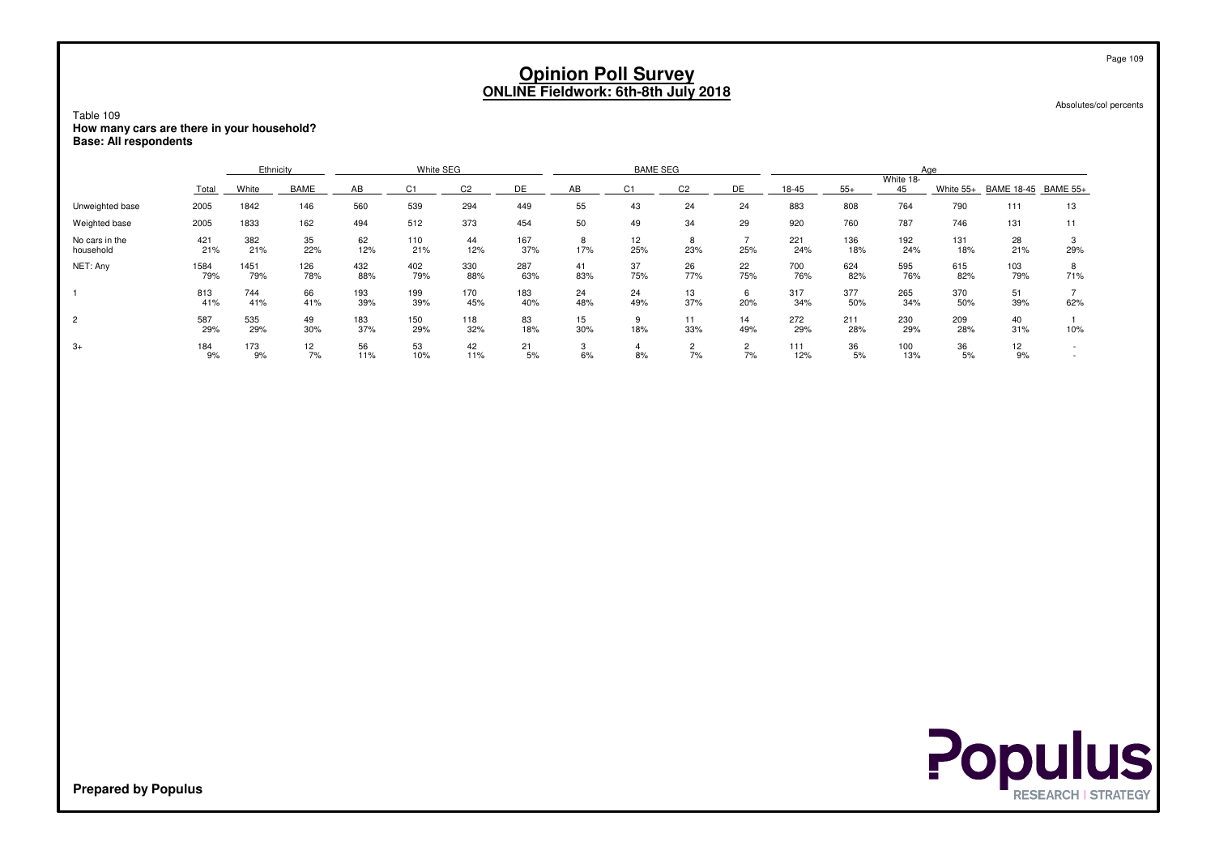| Table 109<br>How many cars are there in your household?<br><b>Base: All respondents</b> |                                                                                                                                                                                         |             |            |            |            |            |            | <b>Opinion Poll Survey</b> |           | <b>ONLINE Fieldwork: 6th-8th July 2018</b> |                      |            |            |            |            |                 | Absolutes/col percents | Page 109 |
|-----------------------------------------------------------------------------------------|-----------------------------------------------------------------------------------------------------------------------------------------------------------------------------------------|-------------|------------|------------|------------|------------|------------|----------------------------|-----------|--------------------------------------------|----------------------|------------|------------|------------|------------|-----------------|------------------------|----------|
|                                                                                         | White SEG<br><b>BAME SEG</b><br>Ethnicity<br>Age<br>White 18-                                                                                                                           |             |            |            |            |            |            |                            |           |                                            |                      |            |            |            |            |                 |                        |          |
|                                                                                         | BAME<br>AB<br>DE<br>DE<br>$55+$<br>White<br>C <sub>2</sub><br>AB<br>C <sub>2</sub><br>18-45<br>45<br>White 55+<br>Total<br>C <sub>1</sub><br>C <sub>1</sub><br><b>BAME 18-45</b><br>111 |             |            |            |            |            |            |                            |           |                                            |                      |            |            |            |            | <b>BAME 55+</b> |                        |          |
| Unweighted base                                                                         | 2005                                                                                                                                                                                    | 1842        | 146        | 560        | 539        | 294        | 449        | 55                         | 43        | 24                                         | 24                   | 883        | 808        | 764        | 790        |                 | 13                     |          |
| Weighted base                                                                           | 2005                                                                                                                                                                                    | 1833        | 162        | 494        | 512        | 373        | 454        | 50                         | 49        | 34                                         | 29                   | 920        | 760        | 787        | 746        | 131             | 11                     |          |
| No cars in the<br>household                                                             | 421<br>21%                                                                                                                                                                              | 382<br>21%  | 35<br>22%  | 62<br>12%  | 110<br>21% | 44<br>12%  | 167<br>37% | 8<br>17%                   | 12<br>25% | 8<br>23%                                   | 25%                  | 221<br>24% | 136<br>18% | 192<br>24% | 131<br>18% | 28<br>21%       | 3<br>29%               |          |
| NET: Any                                                                                | 1584<br>79%                                                                                                                                                                             | 1451<br>79% | 126<br>78% | 432<br>88% | 402<br>79% | 330<br>88% | 287<br>63% | 41<br>83%                  | 37<br>75% | 26<br>77%                                  | 22<br>75%            | 700<br>76% | 624<br>82% | 595<br>76% | 615<br>82% | 103<br>79%      | 8<br>71%               |          |
|                                                                                         | 813<br>41%                                                                                                                                                                              | 744<br>41%  | 66<br>41%  | 193<br>39% | 199<br>39% | 170<br>45% | 183<br>40% | 24<br>48%                  | 24<br>49% | 13<br>37%                                  | 6<br>20%             | 317<br>34% | 377<br>50% | 265<br>34% | 370<br>50% | 51<br>39%       | $\overline{7}$<br>62%  |          |
| $\overline{2}$                                                                          | 587<br>29%                                                                                                                                                                              | 535<br>29%  | 49<br>30%  | 183<br>37% | 150<br>29% | 118<br>32% | 83<br>18%  | 15<br>30%                  | 9<br>18%  | 11<br>33%                                  | 14<br>49%            | 272<br>29% | 211<br>28% | 230<br>29% | 209<br>28% | 40<br>31%       | 10%                    |          |
| $3+$                                                                                    | 184<br>9%                                                                                                                                                                               | 173<br>9%   | 12<br>7%   | 56<br>11%  | 53<br>10%  | 42<br>11%  | 21<br>5%   | 3<br>6%                    | 4<br>8%   | $\overline{c}$<br>7%                       | $\overline{c}$<br>7% | 111<br>12% | 36<br>5%   | 100<br>13% | 36<br>5%   | 12<br>9%        | $\sim$                 |          |

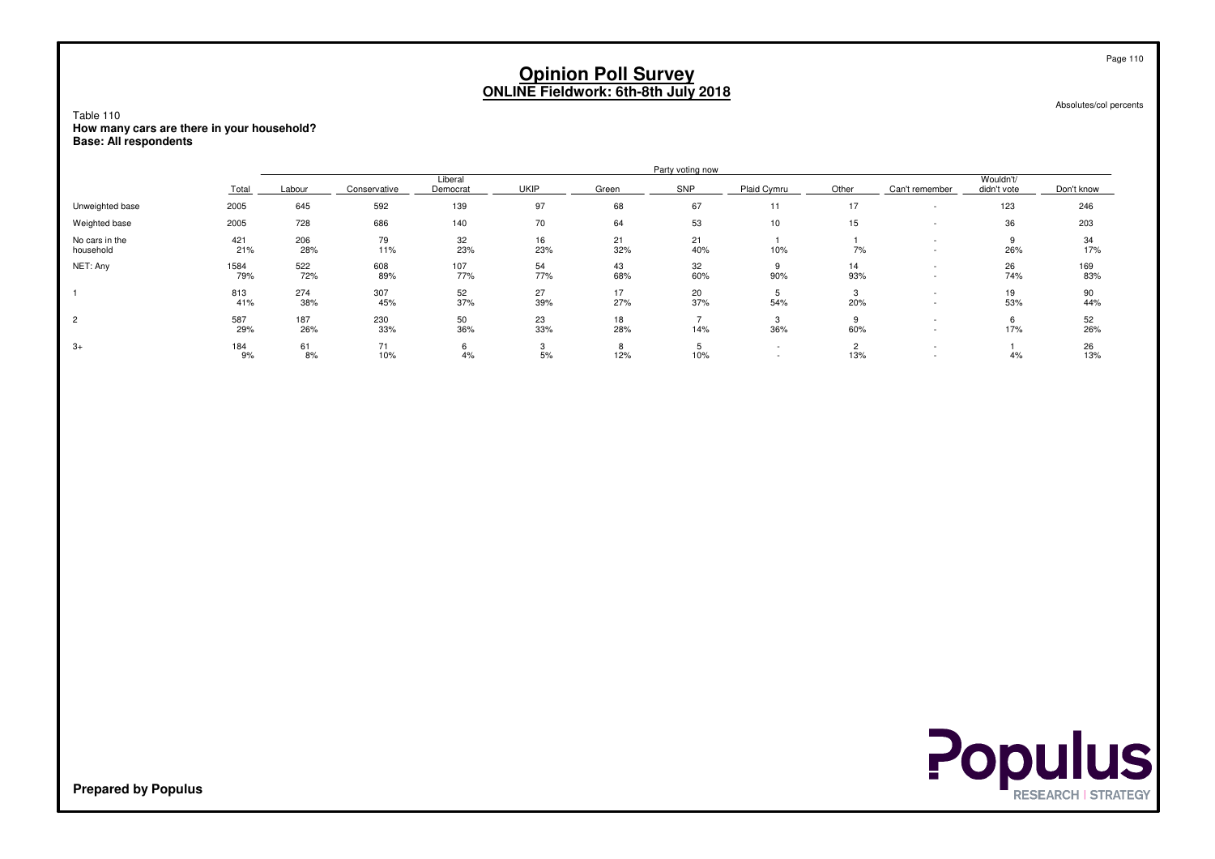Absolutes/col percents

Table 110 **How many cars are there in your household?Base: All respondents**

|                             |             |            |              |                     |             |           | Party voting now |             |                 |                                                      |                          |            |
|-----------------------------|-------------|------------|--------------|---------------------|-------------|-----------|------------------|-------------|-----------------|------------------------------------------------------|--------------------------|------------|
|                             | Total       | Labour     | Conservative | Liberal<br>Democrat | <b>UKIP</b> | Green     | SNP              | Plaid Cymru | Other           | Can't remember                                       | Wouldn't/<br>didn't vote | Don't know |
| Unweighted base             | 2005        | 645        | 592          | 139                 | 97          | 68        | 67               | 11          | 17              | $\overline{\phantom{a}}$                             | 123                      | 246        |
| Weighted base               | 2005        | 728        | 686          | 140                 | 70          | 64        | 53               | 10          | 15              |                                                      | 36                       | 203        |
| No cars in the<br>household | 421<br>21%  | 206<br>28% | 79<br>11%    | 32<br>23%           | 16<br>23%   | 21<br>32% | 21<br>40%        | 10%         | 7%              |                                                      | 9<br>26%                 | 34<br>17%  |
| NET: Any                    | 1584<br>79% | 522<br>72% | 608<br>89%   | 107<br>77%          | 54<br>77%   | 43<br>68% | 32<br>60%        | 90%         | 14<br>93%       | $\overline{\phantom{a}}$<br>$\overline{\phantom{a}}$ | 26<br>74%                | 169<br>83% |
|                             | 813<br>41%  | 274<br>38% | 307<br>45%   | 52<br>37%           | 27<br>39%   | 17<br>27% | 20<br>37%        | Ð<br>54%    | 3<br>20%        | $\overline{\phantom{a}}$                             | 19<br>53%                | 90<br>44%  |
| $\overline{2}$              | 587<br>29%  | 187<br>26% | 230<br>33%   | 50<br>36%           | 23<br>33%   | 18<br>28% | 14%              | ა<br>36%    | 60%             |                                                      | 17%                      | 52<br>26%  |
| $3+$                        | 184<br>9%   | 61<br>8%   | 71<br>10%    | 6<br>4%             | 5%          | 12%       | 10%              | $\sim$      | $\Omega$<br>13% |                                                      | 4%                       | 26<br>13%  |



Page 110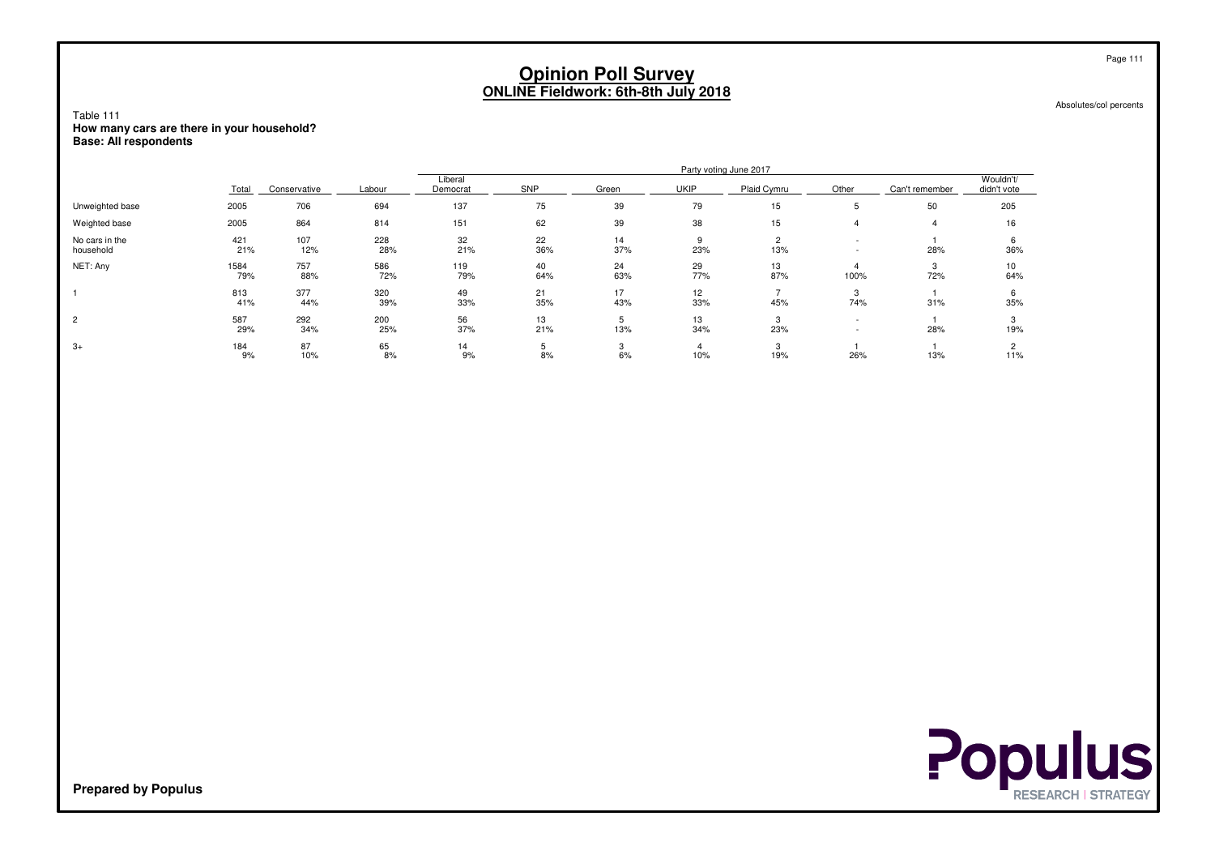Absolutes/col percents

Table 111 **How many cars are there in your household?Base: All respondents**

|                             |             |              |            |                     |           |           | Party voting June 2017 |             |       |                |                          |
|-----------------------------|-------------|--------------|------------|---------------------|-----------|-----------|------------------------|-------------|-------|----------------|--------------------------|
|                             | Total       | Conservative | Labour     | Liberal<br>Democrat | SNP       | Green     | <b>UKIP</b>            | Plaid Cymru | Other | Can't remember | Wouldn't/<br>didn't vote |
| Unweighted base             | 2005        | 706          | 694        | 137                 | 75        | 39        | 79                     | 15          | 5     | 50             | 205                      |
| Weighted base               | 2005        | 864          | 814        | 151                 | 62        | 39        | 38                     | 15          |       |                | 16                       |
| No cars in the<br>household | 421<br>21%  | 107<br>12%   | 228<br>28% | 32<br>21%           | 22<br>36% | 14<br>37% | 23%                    | 2<br>13%    |       | 28%            | 6<br>36%                 |
| NET: Any                    | 1584<br>79% | 757<br>88%   | 586<br>72% | 119<br>79%          | 40<br>64% | 24<br>63% | 29<br>77%              | 13<br>87%   | 100%  | 3<br>72%       | 10<br>64%                |
|                             | 813<br>41%  | 377<br>44%   | 320<br>39% | 49<br>33%           | 21<br>35% | 17<br>43% | 12<br>33%              | 45%         | 74%   | 31%            | 35%                      |
| $\overline{c}$              | 587<br>29%  | 292<br>34%   | 200<br>25% | 56<br>37%           | 13<br>21% | b<br>13%  | 13<br>34%              | 23%         |       | 28%            | 3<br>19%                 |
| $3+$                        | 184<br>9%   | 87<br>10%    | 65<br>8%   | 14<br>9%            | b<br>8%   | 3<br>6%   | 10%                    | 19%         | 26%   | 13%            | 11%                      |

**Populus**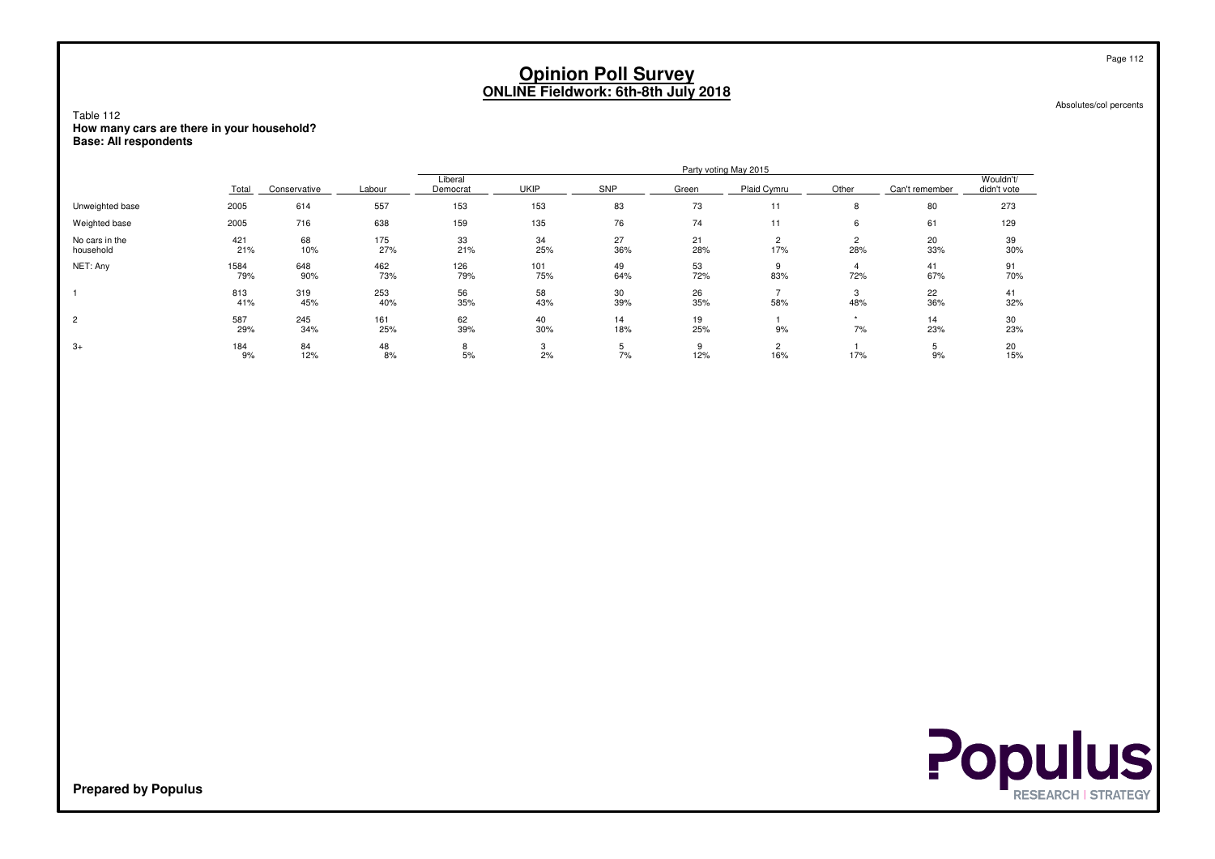Absolutes/col percents

Table 112 **How many cars are there in your household?Base: All respondents**

|                             |             |              |            |                     |             |           |           | Party voting May 2015 |          |                |                          |
|-----------------------------|-------------|--------------|------------|---------------------|-------------|-----------|-----------|-----------------------|----------|----------------|--------------------------|
|                             | Total       | Conservative | Labour     | Liberal<br>Democrat | <b>UKIP</b> | SNP       | Green     | Plaid Cymru           | Other    | Can't remember | Wouldn't/<br>didn't vote |
| Unweighted base             | 2005        | 614          | 557        | 153                 | 153         | 83        | 73        | 11                    | 8        | 80             | 273                      |
| Weighted base               | 2005        | 716          | 638        | 159                 | 135         | 76        | 74        | 11                    | 6        | 61             | 129                      |
| No cars in the<br>household | 421<br>21%  | 68<br>10%    | 175<br>27% | 33<br>21%           | 34<br>25%   | 27<br>36% | 21<br>28% | 2<br>17%              | 28%      | 20<br>33%      | 39<br>30%                |
| NET: Any                    | 1584<br>79% | 648<br>90%   | 462<br>73% | 126<br>79%          | 101<br>75%  | 49<br>64% | 53<br>72% | 83%                   | 72%      | 41<br>67%      | 91<br>70%                |
|                             | 813<br>41%  | 319<br>45%   | 253<br>40% | 56<br>35%           | 58<br>43%   | 30<br>39% | 26<br>35% | 58%                   | 3<br>48% | 22<br>36%      | 41<br>32%                |
| $\overline{c}$              | 587<br>29%  | 245<br>34%   | 161<br>25% | 62<br>39%           | 40<br>30%   | 14<br>18% | 19<br>25% | 9%                    | 7%       | 14<br>23%      | 30<br>23%                |
| $3+$                        | 184<br>9%   | 84<br>12%    | 48<br>8%   | 8<br>5%             | 2%          | 7%        | 12%       | 2<br>16%              | 17%      | 9%             | 20<br>15%                |



**Prepared by Populus**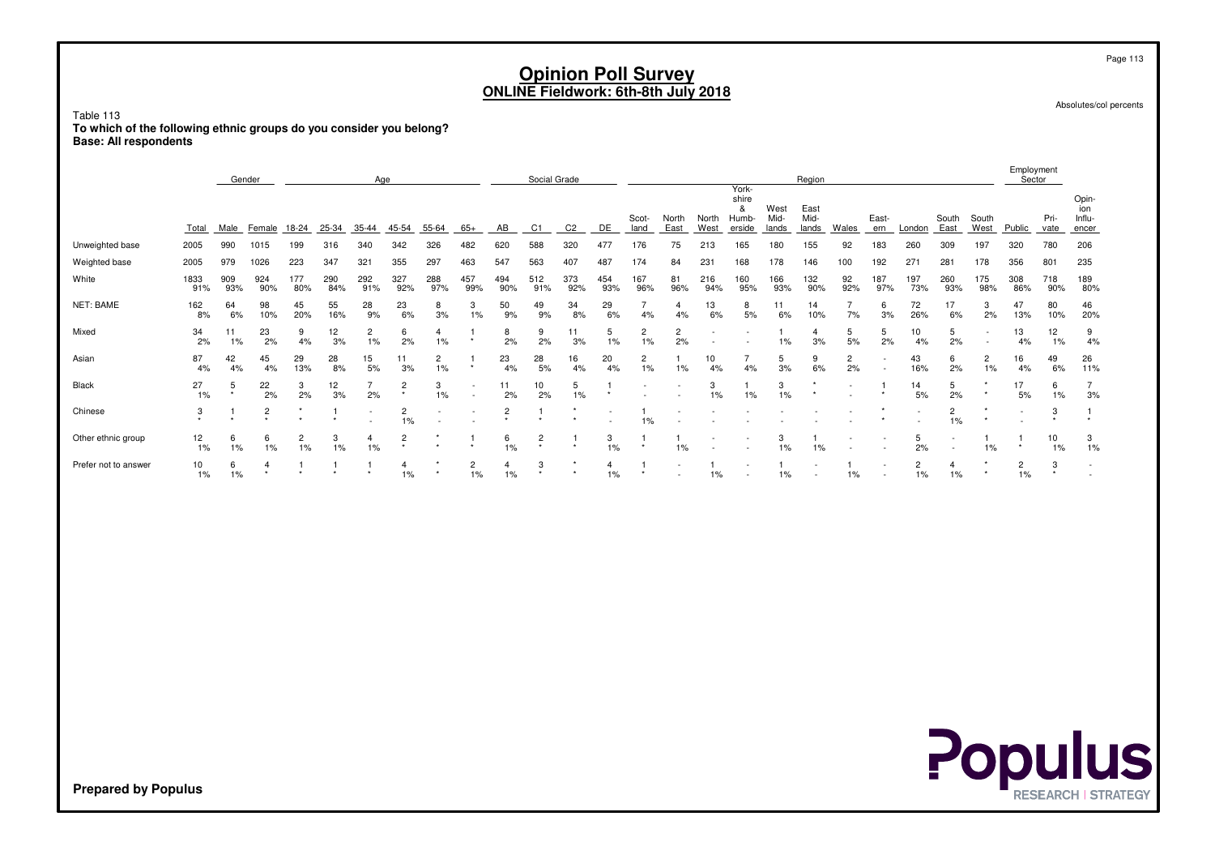| Table 113<br>To which of the following ethnic groups do you consider you belong?<br><b>Base: All respondents</b> |                                                                                                                                                                                                                                                                                                                                                                                                                                                                                                          |             |                |                      |              |                      |                         |                      |                         |                         |                |                |                      | <b>Opinion Poll Survey</b><br><b>ONLINE Fieldwork: 6th-8th July 2018</b> |                      |                        |                               |                       |                       |                      |              |                      |                         |                                            |                         |              | Page 113<br>Absolutes/col percents |
|------------------------------------------------------------------------------------------------------------------|----------------------------------------------------------------------------------------------------------------------------------------------------------------------------------------------------------------------------------------------------------------------------------------------------------------------------------------------------------------------------------------------------------------------------------------------------------------------------------------------------------|-------------|----------------|----------------------|--------------|----------------------|-------------------------|----------------------|-------------------------|-------------------------|----------------|----------------|----------------------|--------------------------------------------------------------------------|----------------------|------------------------|-------------------------------|-----------------------|-----------------------|----------------------|--------------|----------------------|-------------------------|--------------------------------------------|-------------------------|--------------|------------------------------------|
|                                                                                                                  |                                                                                                                                                                                                                                                                                                                                                                                                                                                                                                          | Gender      |                |                      |              | Age                  |                         |                      |                         |                         | Social Grade   |                |                      |                                                                          |                      |                        | York-                         |                       | Region                |                      |              |                      |                         |                                            | Employment<br>Sector    |              |                                    |
|                                                                                                                  | <b>Total</b>                                                                                                                                                                                                                                                                                                                                                                                                                                                                                             | Male        | Female 18-24   |                      | $25 - 34$    | $35 - 44$            | 45-54                   | $55 - 64$            | $65+$                   | AB                      | C1             | C <sub>2</sub> | DE                   | Scot-<br>land                                                            | North<br>East        | North<br>West          | shire<br>&<br>Humb-<br>erside | West<br>Mid-<br>lands | East<br>Mid-<br>lands | <b>Wales</b>         | East-<br>ern | London               | South<br>East           | South<br>West                              | Public                  | Pri-<br>vate | Opin-<br>ion<br>Influ-<br>encer    |
| Unweighted base                                                                                                  | 2005                                                                                                                                                                                                                                                                                                                                                                                                                                                                                                     | 990         | 1015           | 199                  | 316          | 340                  | 342                     | 326                  | 482                     | 620                     | 588            | 320            | 477                  | 176                                                                      | 75                   | 213                    | 165                           | 180                   | 155                   | 92                   | 183          | 260                  | 309                     | 197                                        | 320                     | 780          | 206                                |
| Weighted base                                                                                                    | 2005                                                                                                                                                                                                                                                                                                                                                                                                                                                                                                     | 979         | 1026           | 223                  | 347          | 321                  | 355                     | 297                  | 463                     | 547                     | 563            | 407            | 487                  | 174                                                                      | 84                   | 231                    | 168                           | 178                   | 146                   | 100                  | 192          | 271                  | 281                     | 178                                        | 356                     | 801          | 235                                |
| White                                                                                                            | 1833<br>91%                                                                                                                                                                                                                                                                                                                                                                                                                                                                                              | 909<br>93%  | 924<br>90%     | 177<br>80%           | 290<br>84%   | 292<br>91%           | 327<br>92%              | 288<br>97%           | 457<br>99%              | 494<br>90%              | 512<br>91%     | 373<br>92%     | 454<br>93%           | 167<br>96%                                                               | 81<br>96%            | 216<br>94%             | 160<br>95%                    | 166<br>93%            | 132<br>90%            | 92<br>92%            | 187<br>97%   | 197<br>73%           | 260<br>93%              | 175<br>98%                                 | 308<br>86%              | 718<br>90%   | 189<br>80%                         |
| NET: BAME                                                                                                        | 162<br>8%                                                                                                                                                                                                                                                                                                                                                                                                                                                                                                | 64<br>6%    | 98<br>10%      | 45<br>20%            | 55<br>16%    | 28<br>9%             | 23<br>6%                | 8<br>3%              | 3<br>1%                 | 50<br>9%                | 49<br>9%       | 34<br>8%       | 29<br>6%             | $\overline{7}$<br>4%                                                     | $\overline{4}$<br>4% | 13<br>6%               | 8<br>5%                       | 11<br>6%              | 14<br>10%             | $\overline{7}$<br>7% | 6<br>3%      | 72<br>26%            | 17<br>6%                | 3<br>2%                                    | 47<br>13%               | 80<br>10%    | 46<br>20%                          |
| Mixed                                                                                                            | 34<br>2%                                                                                                                                                                                                                                                                                                                                                                                                                                                                                                 | 11<br>$1\%$ | 23<br>2%       | 9<br>4%              | 12<br>3%     | $\overline{c}$<br>1% | 6<br>2%                 | 4<br>$1\%$           |                         | 8<br>2%                 | 9<br>2%        | 11<br>3%       | 5<br>1%              | $\overline{c}$<br>1%                                                     | $\overline{c}$<br>2% |                        |                               | $\mathbf{1}$<br>1%    | $\overline{4}$<br>3%  | 5<br>5%              | 5<br>2%      | 10<br>4%             | 5<br>2%                 | $\overline{a}$<br>$\overline{\phantom{a}}$ | 13<br>4%                | 12<br>1%     | 9<br>4%                            |
| Asian                                                                                                            | 87<br>4%                                                                                                                                                                                                                                                                                                                                                                                                                                                                                                 | 42<br>4%    | 45<br>4%       | 29<br>13%            | 28<br>8%     | 15<br>5%             | 11<br>3%                | $\overline{c}$<br>1% | -1                      | 23<br>4%                | 28<br>5%       | 16<br>4%       | 20<br>4%             | $\overline{2}$<br>1%                                                     | $\mathbf{1}$<br>1%   | 10 <sup>10</sup><br>4% | $\overline{7}$<br>4%          | 5<br>3%               | 9<br>6%               | $\overline{2}$<br>2% | $\sim$       | 43<br>16%            | 6<br>2%                 | $\overline{c}$<br>1%                       | 16<br>4%                | 49<br>6%     | 26<br>11%                          |
| Black                                                                                                            | 27<br>$\overline{7}$<br>5<br>$\overline{7}$<br>5<br>22<br>3<br>12<br>$\overline{c}$<br>3<br>11<br>10<br>3<br>3<br>14<br>5<br>17<br>6<br>$\mathbf{1}$<br>-1<br>$\mathbf{1}$<br>$\sim$<br>2%<br>$\star$<br>$1\%$<br>$\star$<br>2%<br>2%<br>3%<br>$1\%$<br>2%<br>2%<br>$1\%$<br>1%<br>$1\%$<br>1%<br>5%<br>2%<br>5%<br>1%<br>3%<br>$\sim$<br>3<br>$\overline{2}$<br>$\overline{2}$<br>$\overline{c}$<br>$\overline{2}$<br>3<br>$\overline{1}$<br>$\mathbf{1}$<br>$\overline{1}$<br>$\overline{1}$<br>1<br>÷ |             |                |                      |              |                      |                         |                      |                         |                         |                |                |                      |                                                                          |                      |                        |                               |                       |                       |                      |              |                      |                         |                                            |                         |              |                                    |
| Chinese                                                                                                          | 1%<br>$1\%$<br>1%<br>$\sim$                                                                                                                                                                                                                                                                                                                                                                                                                                                                              |             |                |                      |              |                      |                         |                      |                         |                         |                |                |                      |                                                                          |                      |                        |                               |                       |                       |                      |              |                      |                         |                                            |                         |              |                                    |
| Other ethnic group                                                                                               | 12<br>1%                                                                                                                                                                                                                                                                                                                                                                                                                                                                                                 | 6           | 6<br>1%        | $\overline{2}$<br>1% | 3<br>1%      | $\overline{4}$<br>1% | $\overline{c}$          |                      | -1                      | 6<br>$1\%$              | $\overline{c}$ | -1             | 3<br>1%              | -1                                                                       | -1<br>1%             |                        |                               | 3<br>1%               | -1<br>1%              |                      |              | 5<br>2%              |                         | $\overline{1}$<br>1%                       | $\mathbf{1}$<br>$\star$ | 10<br>1%     | 3<br>1%                            |
| Prefer not to answer                                                                                             | 10<br>$1\%$                                                                                                                                                                                                                                                                                                                                                                                                                                                                                              | 6           | $\overline{4}$ | -1                   | $\mathbf{1}$ | $\mathbf{1}$         | $\overline{4}$<br>$1\%$ |                      | $\overline{c}$<br>$1\%$ | $\overline{4}$<br>$1\%$ | 3              | $\star$        | $\overline{4}$<br>1% | $\mathbf{1}$                                                             |                      | $\mathbf{1}$<br>$1\%$  |                               | $\mathbf{1}$<br>$1\%$ | ÷,<br>$\sim$          | $\overline{1}$<br>1% |              | $\overline{c}$<br>1% | $\overline{4}$<br>$1\%$ |                                            | $\overline{c}$<br>$1\%$ | 3            | $\sim$<br>$\sim$                   |
|                                                                                                                  | $1\%$<br>1%<br>Populus                                                                                                                                                                                                                                                                                                                                                                                                                                                                                   |             |                |                      |              |                      |                         |                      |                         |                         |                |                |                      |                                                                          |                      |                        |                               |                       |                       |                      |              |                      |                         |                                            |                         |              |                                    |
| <b>Prepared by Populus</b>                                                                                       |                                                                                                                                                                                                                                                                                                                                                                                                                                                                                                          |             |                |                      |              |                      |                         |                      |                         |                         |                |                |                      |                                                                          |                      |                        |                               |                       |                       |                      |              |                      |                         |                                            |                         |              | <b>RESEARCH   STRATEGY</b>         |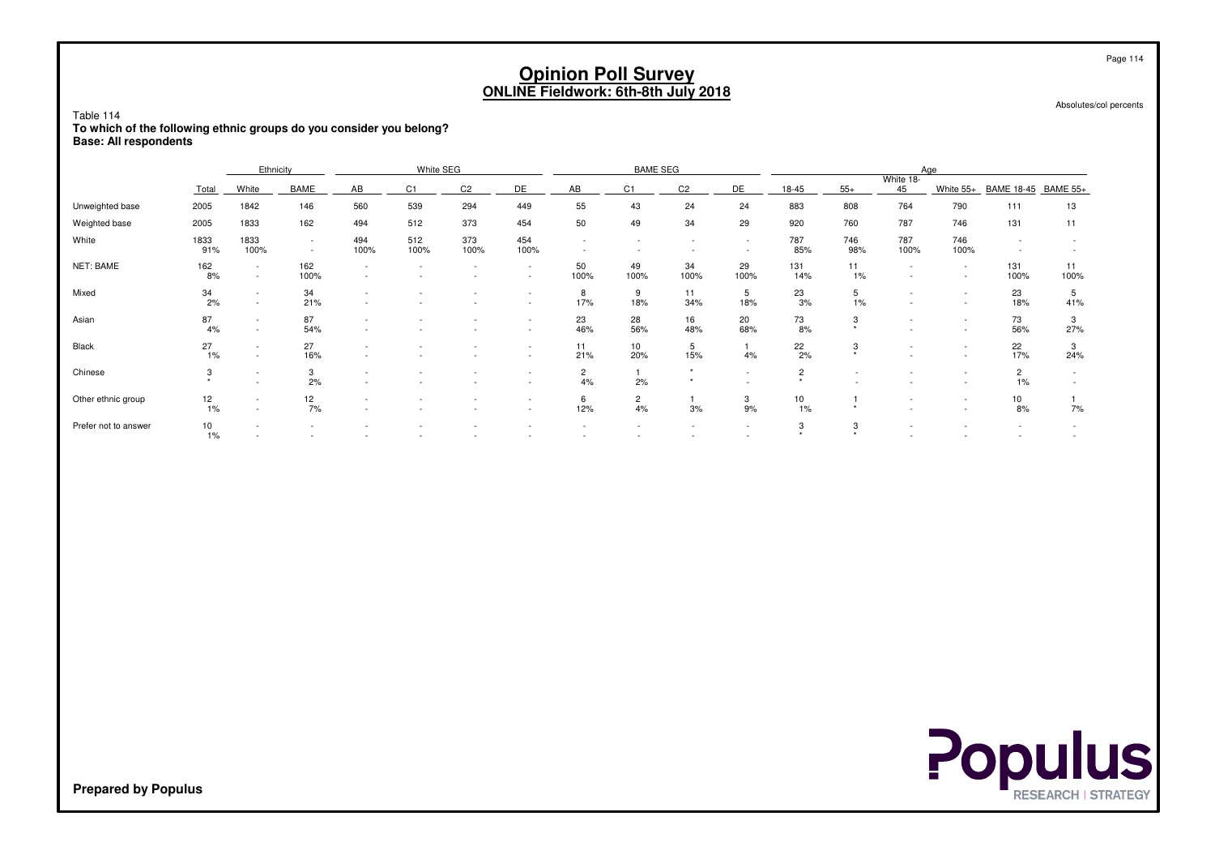| Table 114<br>To which of the following ethnic groups do you consider you belong? |              |                  |                  |             |             |                |                                                      | <b>Opinion Poll Survey</b><br><b>ONLINE Fieldwork: 6th-8th July 2018</b> |                      |                    |                          |                           |                          |                          |                                    |                                    | Page 114<br>Absolutes/col percents |
|----------------------------------------------------------------------------------|--------------|------------------|------------------|-------------|-------------|----------------|------------------------------------------------------|--------------------------------------------------------------------------|----------------------|--------------------|--------------------------|---------------------------|--------------------------|--------------------------|------------------------------------|------------------------------------|------------------------------------|
| <b>Base: All respondents</b>                                                     |              | Ethnicity        |                  |             |             |                |                                                      |                                                                          | Aae                  |                    |                          |                           |                          |                          |                                    |                                    |                                    |
|                                                                                  | Total        | White            | <b>BAME</b>      | AB          | C1          | C <sub>2</sub> | DE                                                   | AB                                                                       | C1                   | C <sub>2</sub>     | DE                       | 18-45                     | $55+$                    | White 18-<br>45          | White 55+                          | BAME 18-45 BAME 55+                |                                    |
| Unweighted base                                                                  | 2005         | 1842             | 146              | 560         | 539         | 294            | 449                                                  | 55                                                                       | 43                   | 24                 | 24                       | 883                       | 808                      | 764                      | 790                                | 111                                | 13                                 |
| Weighted base                                                                    | 2005         | 1833             | 162              | 494         | 29          | 920            | 760                                                  | 787                                                                      | 746                  | 131                | 11                       |                           |                          |                          |                                    |                                    |                                    |
| White                                                                            | 1833<br>91%  | 1833<br>100%     | $\sim$<br>$\sim$ | 494<br>100% | 512<br>100% | 373<br>100%    | 454<br>100%                                          | $\sim$<br>$\overline{\phantom{a}}$                                       |                      | $\sim$             | $\sim$<br>$\sim$         | 787<br>85%                | 746<br>98%               | 787<br>100%              | 746<br>100%                        | $\sim$<br>$\overline{\phantom{a}}$ | $\overline{\phantom{a}}$           |
| <b>NET: BAME</b>                                                                 | 162<br>8%    | $\sim$<br>$\sim$ | 162<br>100%      |             |             | $\sim$         | $\sim$<br>$\overline{\phantom{a}}$                   | 50<br>100%                                                               | 49<br>100%           | 34<br>100%         | 29<br>100%               | 131<br>14%                | 11<br>1%                 | $\sim$                   | $\sim$<br>$\sim$                   | 131<br>100%                        | 11<br>100%                         |
| Mixed                                                                            | 34<br>2%     | $\sim$           | 34<br>21%        |             |             | ٠              | $\overline{\phantom{a}}$<br>$\overline{\phantom{a}}$ | 8<br>17%                                                                 | 9<br>18%             | 11<br>34%          | 5<br>18%                 | 23<br>3%                  | 5<br>1%                  | $\overline{\phantom{a}}$ | $\sim$<br>$\sim$                   | 23<br>18%                          | 5<br>41%                           |
| Asian                                                                            | 87<br>4%     | $\sim$<br>$\sim$ | 87<br>54%        |             |             |                | $\overline{\phantom{a}}$<br>$\overline{\phantom{a}}$ | 23<br>46%                                                                | 28<br>56%            | 16<br>48%          | 20<br>68%                | 73<br>8%                  | 3                        |                          | $\overline{\phantom{a}}$<br>$\sim$ | 73<br>56%                          | 3<br>27%                           |
| Black                                                                            | 27<br>1%     | $\sim$           | 27<br>16%        |             |             |                | $\overline{\phantom{a}}$<br>$\overline{\phantom{a}}$ | 11<br>21%                                                                | 10<br>20%            | 5<br>15%           | $\mathbf{1}$<br>4%       | $\frac{22}{2\%}$          | 3<br>$\rightarrow$       |                          | $\sim$<br>$\sim$                   | 22<br>17%                          | 3<br>24%                           |
| Chinese                                                                          | 3<br>$\star$ |                  | 3<br>2%          |             |             |                | $\overline{\phantom{a}}$                             | $\overline{2}$<br>4%                                                     | 2%                   | $\star$<br>$\star$ | $\sim$                   | $\overline{2}$<br>$\star$ | $\overline{\phantom{a}}$ |                          | $\sim$<br>$\overline{\phantom{a}}$ | $\overline{2}$<br>1%               | $\sim$<br>$\sim$                   |
| Other ethnic group                                                               | 12<br>1%     | $\sim$<br>$\sim$ | 12<br>7%         |             |             |                | $\overline{\phantom{a}}$<br>$\sim$                   | 6<br>12%                                                                 | $\overline{c}$<br>4% | 3%                 | 3<br>9%                  | 10<br>1%                  | $\star$                  |                          | $\sim$<br>$\sim$                   | 10<br>8%                           | 7%                                 |
| Prefer not to answer                                                             | 10<br>1%     |                  |                  |             |             |                |                                                      |                                                                          |                      |                    | $\overline{\phantom{a}}$ | 3<br>$\star$              | 3<br>$\rightarrow$       |                          |                                    |                                    |                                    |

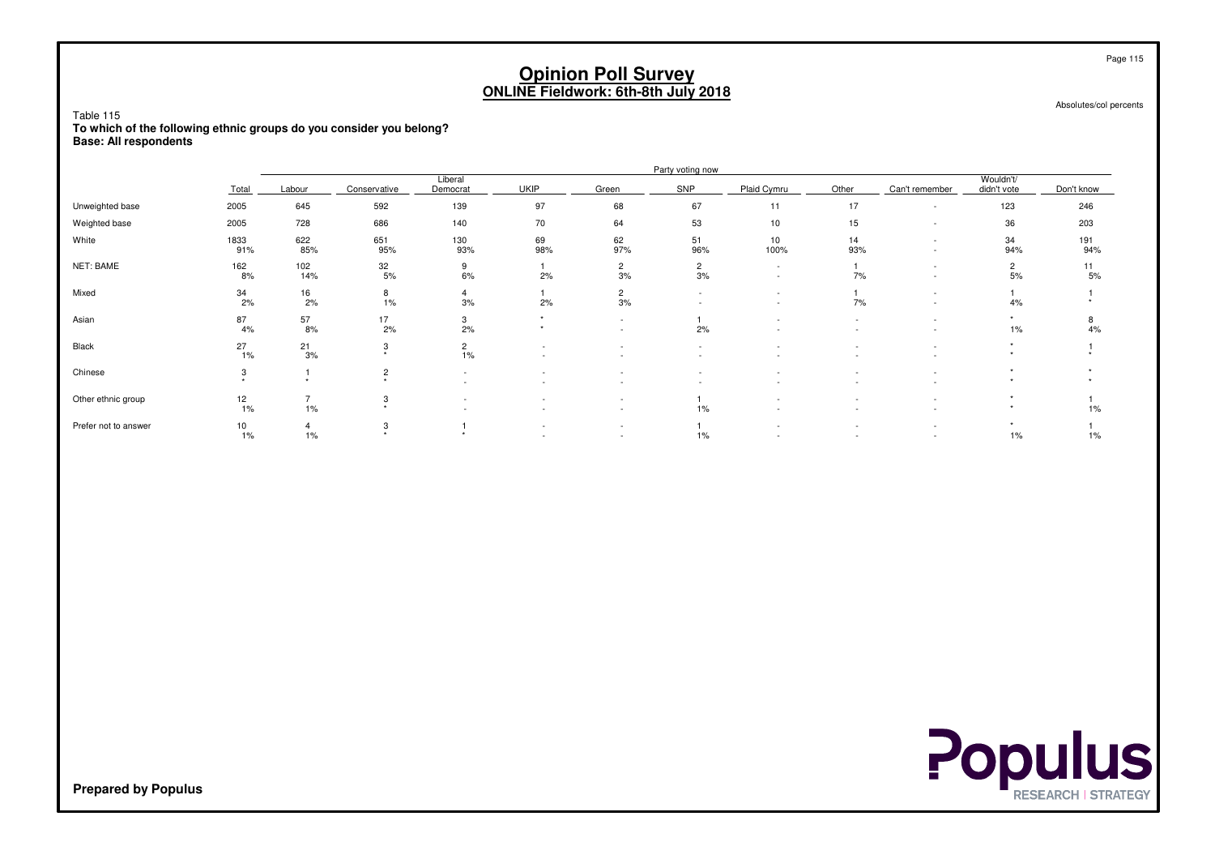Table 115

 **To which of the following ethnic groups do you consider you belong?Base: All respondents**

|                      |                     |                         |                                        |                          |                          |                                                      | Party voting now     |                                                      |                          |                          |                      |            |
|----------------------|---------------------|-------------------------|----------------------------------------|--------------------------|--------------------------|------------------------------------------------------|----------------------|------------------------------------------------------|--------------------------|--------------------------|----------------------|------------|
|                      |                     |                         |                                        | Liberal                  |                          |                                                      | SNP                  | Plaid Cymru                                          |                          |                          | Wouldn't/            |            |
|                      | Total               | Labour                  | Conservative                           | Democrat                 | <b>UKIP</b>              | Green                                                |                      |                                                      | Other                    | Can't remember           | didn't vote          | Don't know |
| Unweighted base      | 2005                | 645                     | 592                                    | 139                      | 97                       | 68                                                   | 67                   | 11                                                   | 17                       | $\overline{\phantom{a}}$ | 123                  | 246        |
| Weighted base        | 2005                | 728                     | 686                                    | 140                      | 70                       | 64                                                   | 53                   | 10                                                   | 15                       |                          | 36                   | 203        |
| White                | 1833<br>91%         | 622<br>85%              | 651<br>95%                             | 130<br>93%               | 69<br>98%                | 62<br>97%                                            | 51<br>96%            | 10<br>100%                                           | 14<br>93%                | $\overline{\phantom{a}}$ | 34<br>94%            | 191<br>94% |
| NET: BAME            | 162<br>8%           | 102<br>14%              | 32<br>5%                               | 9<br>6%                  | 2%                       | $\overline{2}$<br>3%                                 | $\overline{c}$<br>3% | $\overline{\phantom{a}}$<br>$\overline{\phantom{a}}$ | 7%                       |                          | $\overline{2}$<br>5% | 11<br>5%   |
| Mixed                | $\frac{34}{2\%}$    | $\frac{16}{2\%}$        | 8<br>$1\%$                             | $\overline{4}$<br>3%     | 2%                       | $\overline{2}$<br>3%                                 |                      |                                                      | 7%                       | $\overline{\phantom{a}}$ | 4%                   |            |
| Asian                | 87<br>4%            | $\frac{57}{8\%}$        | 17<br>2%                               | 3<br>2%                  |                          | $\sim$<br>$\overline{\phantom{a}}$                   | 2%                   |                                                      |                          |                          | $1\%$                | 8<br>4%    |
| Black                | 27<br>1%            | $\frac{21}{3\%}$        | 3<br>$\ddot{\phantom{1}}$              | $\overline{2}$<br>1%     | $\overline{\phantom{a}}$ | $\overline{\phantom{a}}$                             |                      |                                                      |                          |                          | ٠                    |            |
| Chinese              | 3<br>$\overline{a}$ | $\Delta$                | $\overline{c}$<br>$\ddot{\phantom{1}}$ | $\overline{\phantom{a}}$ | $\overline{\phantom{a}}$ | $\overline{\phantom{a}}$                             | $\sim$               |                                                      | $\overline{\phantom{a}}$ |                          |                      |            |
| Other ethnic group   | $\frac{12}{1\%}$    | 1%                      | 3<br>$\rightarrow$                     |                          |                          | $\overline{\phantom{a}}$<br>$\overline{\phantom{a}}$ | $1\%$                |                                                      |                          |                          |                      | 1%         |
| Prefer not to answer | 10<br>1%            | $\overline{4}$<br>$1\%$ | 3<br>$\ddot{}$                         |                          |                          | $\overline{\phantom{a}}$<br>$\overline{\phantom{a}}$ | $1\%$                |                                                      | $\overline{\phantom{a}}$ | $\overline{\phantom{a}}$ | ۰<br>$1\%$           | 1%         |





**Prepared by Populus**

Page 115

Absolutes/col percents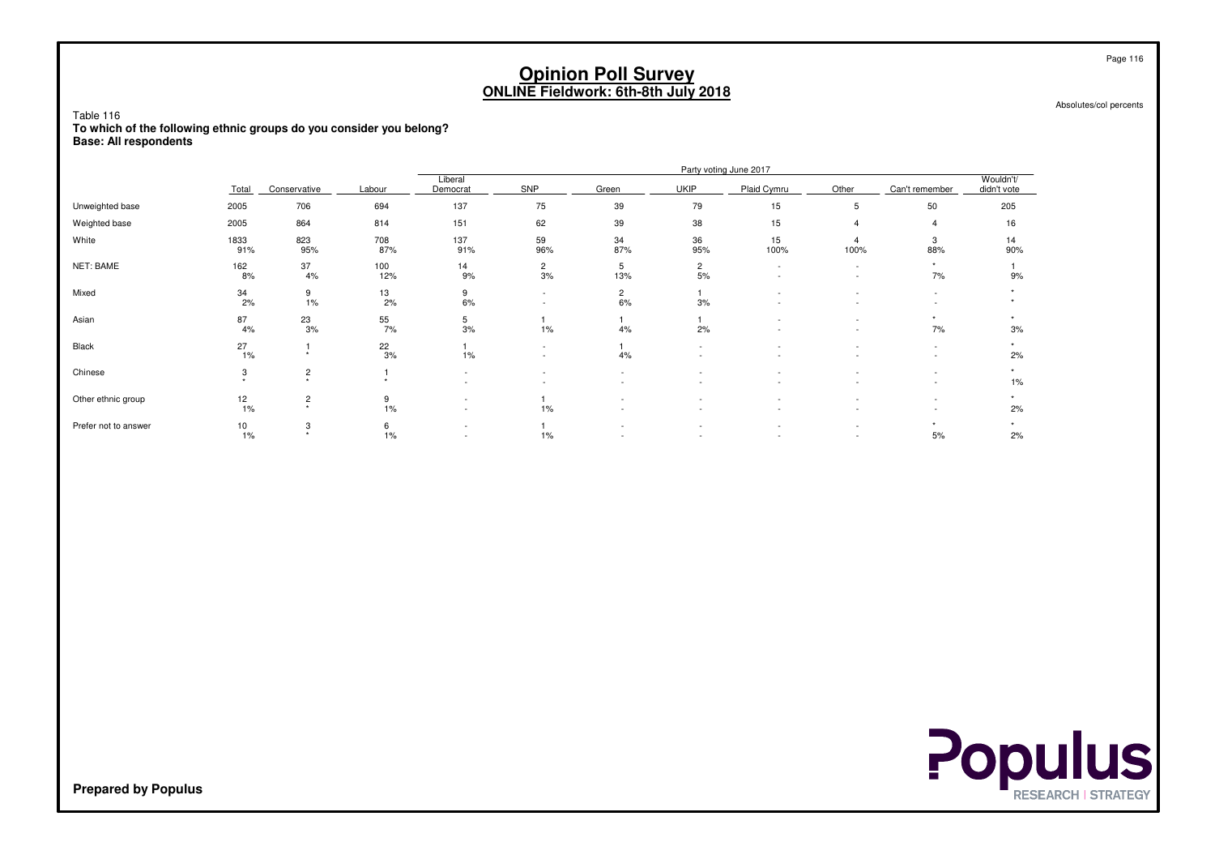Absolutes/col percents

Table 116 **To which of the following ethnic groups do you consider you belong?Base: All respondents**

|                      |                    | Party voting June 2017    |                  |                          |                          |                      |                          |             |                               |                                    |                          |
|----------------------|--------------------|---------------------------|------------------|--------------------------|--------------------------|----------------------|--------------------------|-------------|-------------------------------|------------------------------------|--------------------------|
|                      | Total              | Conservative              | Labour           | Liberal<br>Democrat      | SNP                      | Green                | <b>UKIP</b>              | Plaid Cymru | Other                         | Can't remember                     | Wouldn't/<br>didn't vote |
| Unweighted base      | 2005               | 706                       | 694              | 137                      | 75                       | 39                   | 79                       | 15          | 5                             | 50                                 | 205                      |
| Weighted base        | 2005               | 864                       | 814              | 151                      | 62                       | 39                   | 38                       | 15          |                               | 4                                  | 16                       |
| White                | 1833<br>91%        | 823<br>95%                | 708<br>87%       | 137<br>91%               | 59<br>96%                | 34<br>87%            | 36<br>95%                | 15<br>100%  | 100%                          | 3<br>88%                           | 14<br>90%                |
| NET: BAME            | 162<br>8%          | 37<br>4%                  | 100<br>12%       | 14<br>9%                 | $\frac{2}{3\%}$          | 5<br>13%             | $\overline{c}$<br>5%     | ٠           | $\overline{\phantom{a}}$<br>٠ | $\ddot{}$<br>7%                    | 9%                       |
| Mixed                | 34<br>2%           | 9<br>1%                   | 13<br>2%         | 9<br>6%                  | $\sim$                   | $\overline{c}$<br>6% | 3%                       |             |                               |                                    |                          |
| Asian                | 87<br>4%           | $\frac{23}{3\%}$          | $\frac{55}{7\%}$ | $\frac{5}{3\%}$          | 1%                       | 4%                   | 2%                       |             | $\overline{\phantom{0}}$      | 7%                                 | 3%                       |
| Black                | $^{27}_{1\%}$      | $\ddot{\phantom{1}}$      | $\frac{22}{3\%}$ | 1%                       | $\overline{\phantom{0}}$ | 4%                   | $\overline{\phantom{a}}$ | ٠           | $\overline{\phantom{a}}$      | $\overline{\phantom{a}}$<br>$\sim$ | 2%                       |
| Chinese              | 3<br>$\rightarrow$ | $\frac{2}{x}$             | <b>A</b>         |                          |                          |                      |                          | ٠           | $\overline{\phantom{0}}$      | $\overline{\phantom{a}}$           | ٠<br>1%                  |
| Other ethnic group   | 12<br>1%           | $\frac{2}{x}$             | 9<br>$1\%$       | $\overline{\phantom{a}}$ | 1%                       |                      |                          |             |                               |                                    | 2%                       |
| Prefer not to answer | 10<br>1%           | 3<br>$\ddot{\phantom{1}}$ | 6<br>$1\%$       | $\overline{\phantom{a}}$ | 1%                       |                      |                          |             | $\overline{\phantom{a}}$      | 5%                                 | 2%                       |



**Prepared by Populus**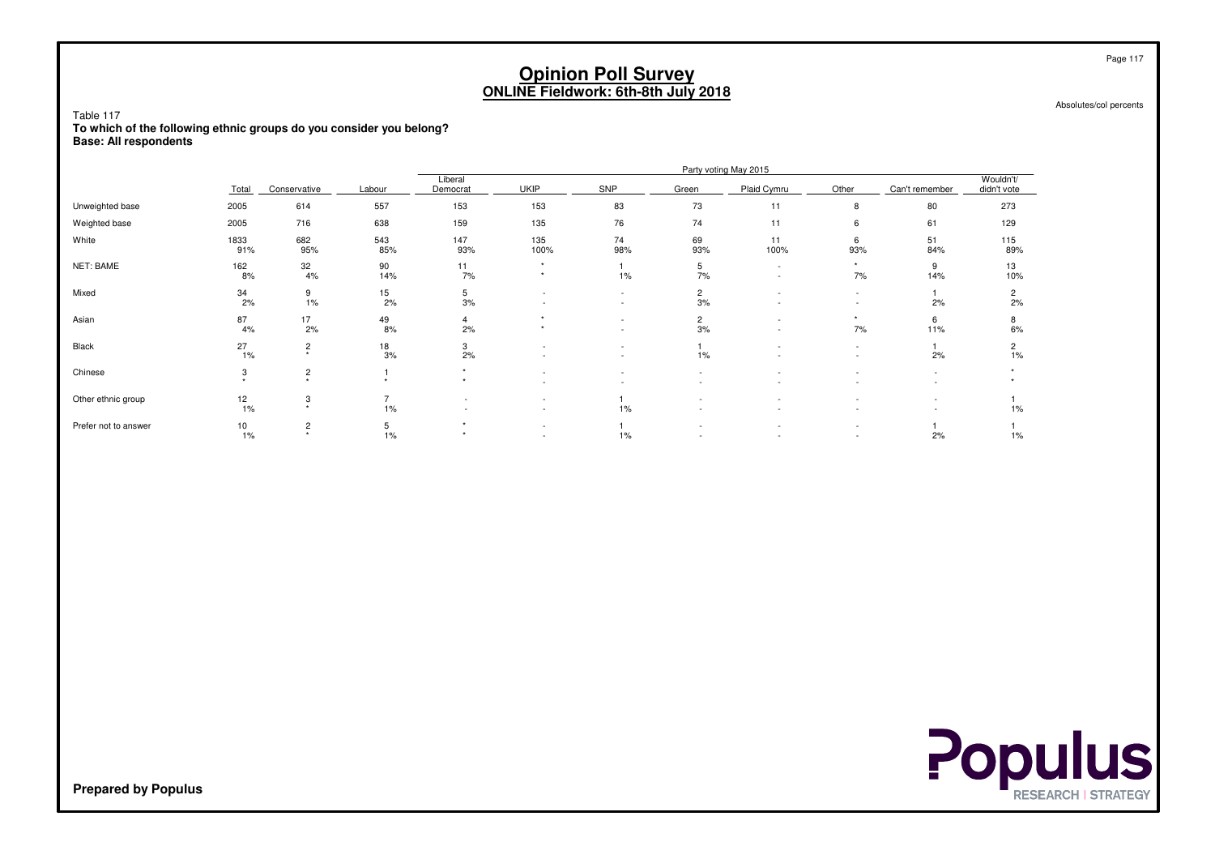Absolutes/col percents

Table 117 **To which of the following ethnic groups do you consider you belong?Base: All respondents**

|                      |                    |               |                  |                        |              |           |                      | Party voting May 2015    |                                    |                |                          |
|----------------------|--------------------|---------------|------------------|------------------------|--------------|-----------|----------------------|--------------------------|------------------------------------|----------------|--------------------------|
|                      | Total              | Conservative  | Labour           | Liberal<br>Democrat    | <b>UKIP</b>  | SNP       | Green                | Plaid Cymru              | Other                              | Can't remember | Wouldn't/<br>didn't vote |
| Unweighted base      | 2005               | 614           | 557              | 153                    | 153          | 83        | 73                   | 11                       | 8                                  | 80             | 273                      |
| Weighted base        | 2005               | 716           | 638              | 159                    | 135          | 76        | 74                   | 11                       | 6                                  | 61             | 129                      |
| White                | 1833<br>91%        | 682<br>95%    | 543<br>85%       | 147<br>93%             | 135<br>100%  | 74<br>98% | 69<br>93%            | 11<br>100%               | 6<br>93%                           | 51<br>84%      | 115<br>89%               |
| NET: BAME            | 162<br>8%          | 32<br>4%      | 90<br>14%        | 11<br>7%               | $\star$<br>٠ | 1%        | 5<br>7%              | $\overline{\phantom{a}}$ | $\star$<br>7%                      | 9<br>14%       | 13<br>10%                |
| Mixed                | 34<br>2%           | 9<br>1%       | $\frac{15}{2\%}$ | 5<br>3%                |              | ٠         | $\overline{2}$<br>3% |                          | $\overline{\phantom{a}}$           | 2%             | $\overline{2}$<br>2%     |
| Asian                | 87<br>4%           | 17<br>2%      | $\frac{49}{8%}$  | 4<br>2%                |              | $\sim$    | $\mathbf{2}$<br>3%   |                          | ٠<br>7%                            | 6<br>11%       | 8<br>6%                  |
| Black                | 27<br>1%           | $\frac{2}{x}$ | $\frac{18}{3%}$  | $\frac{3}{2\%}$        |              | ٠         | 1%                   | $\overline{\phantom{0}}$ | $\overline{\phantom{a}}$<br>$\sim$ | 2%             | $\frac{2}{1\%}$          |
| Chinese              | 3<br>$\Delta \tau$ | $\frac{2}{x}$ | $\Delta$         | $\ddot{}$<br>$\ddot{}$ |              |           | ٠                    |                          |                                    |                |                          |
| Other ethnic group   | 12<br>1%           | 3<br>$\star$  | ÷,<br>$1\%$      |                        |              | $1\%$     |                      |                          |                                    |                | 1%                       |
| Prefer not to answer | 10<br>1%           | $\frac{2}{x}$ | 5<br>$1\%$       | ۰<br>$\ddot{}$         | $\sim$       | $1\%$     |                      |                          | $\overline{\phantom{a}}$           | 2%             | $1\%$                    |



**Prepared by Populus**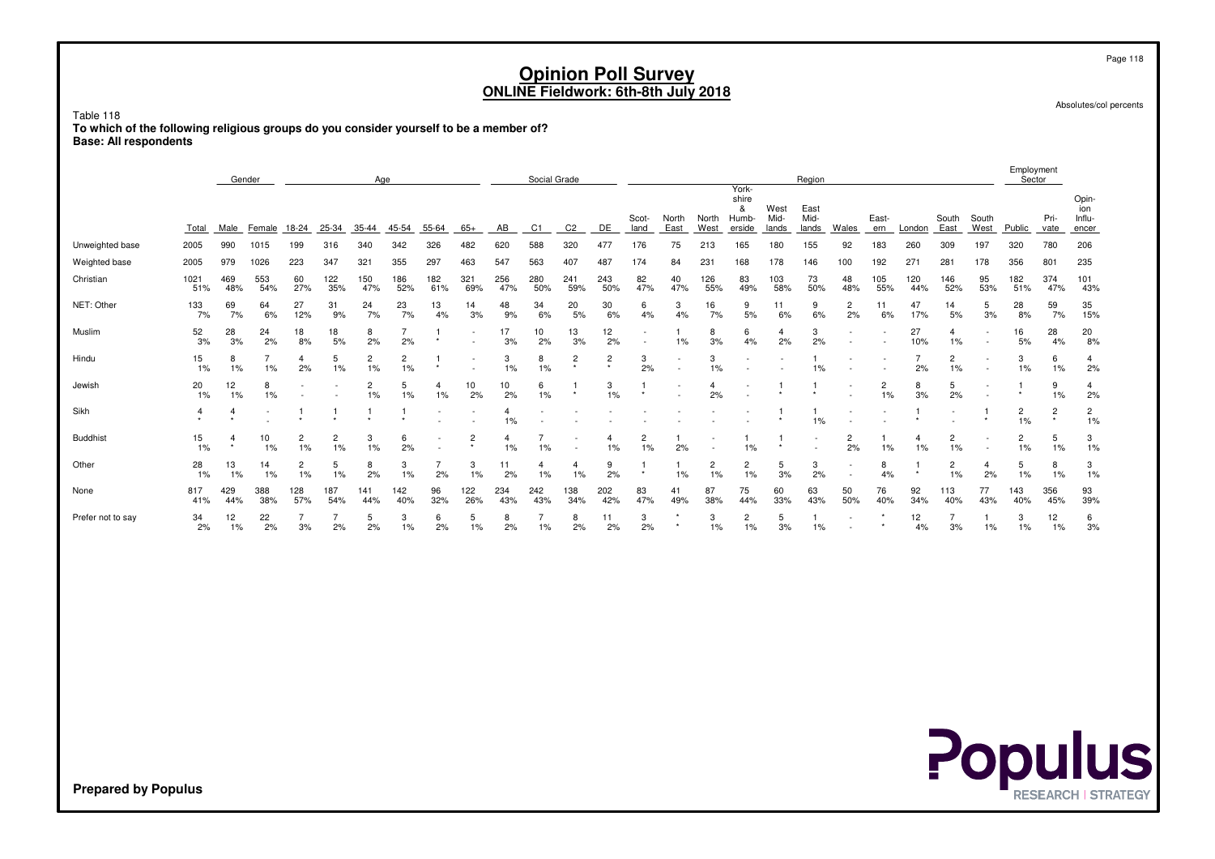Table 118 **To which of the following religious groups do you consider yourself to be a member of?Base: All respondents**

|                   |             | Gender     |            |                      |            | Age        |                      |                          |                          |            | Social Grade   |                           |                           |               |                          |               | York-                         |                       | Region                |                          |              |            |               |               | Employment<br>Sector |                           |                                 |
|-------------------|-------------|------------|------------|----------------------|------------|------------|----------------------|--------------------------|--------------------------|------------|----------------|---------------------------|---------------------------|---------------|--------------------------|---------------|-------------------------------|-----------------------|-----------------------|--------------------------|--------------|------------|---------------|---------------|----------------------|---------------------------|---------------------------------|
|                   | Total       | Male       | Female     | 18-24                | 25-34      | 35-44      | 45-54                | 55-64                    | $65+$                    | AB         | C <sub>1</sub> |                           | DE                        | Scot-<br>land | North<br>East            | North<br>West | shire<br>&<br>Humb-<br>erside | West<br>Mid-<br>lands | East<br>Mid-<br>lands | Wales                    | East-<br>ern | London     | South<br>East | South<br>West | Public               | Pri-<br>vate              | Opin-<br>ion<br>Influ-<br>encer |
| Unweighted base   | 2005        | 990        | 1015       | 199                  | 316        | 340        | 342                  | 326                      | 482                      | 620        | 588            | 320                       | 477                       | 176           | 75                       | 213           | 165                           | 180                   | 155                   | 92                       | 183          | 260        | 309           | 197           | 320                  | 780                       | 206                             |
| Weighted base     | 2005        | 979        | 1026       | 223                  | 347        | 321        | 355                  | 297                      | 463                      | 547        | 563            | 407                       | 487                       | 174           | 84                       | 231           | 168                           | 178                   | 146                   | 100                      | 192          | 271        | 281           | 178           | 356                  | 801                       | 235                             |
| Christian         | 1021<br>51% | 469<br>48% | 553<br>54% | 60<br>27%            | 122<br>35% | 150<br>47% | 186<br>52%           | 182<br>61%               | 321<br>69%               | 256<br>47% | 280<br>50%     | 241<br>59%                | 243<br>50%                | 82<br>47%     | 40<br>47%                | 126<br>55%    | 83<br>49%                     | 103<br>58%            | 73<br>50%             | 48<br>48%                | 105<br>55%   | 120<br>44% | 146<br>52%    | 95<br>53%     | 182<br>51%           | 374<br>47%                | 101<br>43%                      |
| NET: Other        | 133<br>7%   | 69<br>7%   | 64<br>6%   | 27<br>12%            | 31<br>9%   | 24<br>7%   | 23<br>7%             | 13<br>4%                 | 14<br>3%                 | 48<br>9%   | 34<br>6%       | 20<br>5%                  | 30<br>6%                  | 6<br>4%       | 3<br>4%                  | 16<br>7%      | 9<br>5%                       | 11<br>6%              | 9<br>6%               | $\overline{2}$<br>2%     | 11<br>6%     | 47<br>17%  | 14<br>5%      | 5<br>3%       | 28<br>8%             | 59<br>7%                  | 35<br>15%                       |
| Muslim            | 52<br>3%    | 28<br>3%   | 24<br>2%   | 18<br>8%             | 18<br>5%   | 8<br>2%    | 2%                   |                          | $\overline{\phantom{a}}$ | 17<br>3%   | 10<br>2%       | 13<br>3%                  | 12<br>2%                  |               | 1%                       | 8<br>3%       | 6<br>4%                       | 2%                    | 3<br>2%               |                          |              | 27<br>10%  | 1%            |               | 16<br>5%             | 28<br>4%                  | 20<br>8%                        |
| Hindu             | 15<br>1%    | 8<br>1%    | 1%         | 4<br>2%              | 5<br>1%    | 2<br>1%    | $\overline{c}$<br>1% | $\star$                  | $\overline{\phantom{a}}$ | 3<br>1%    | 8<br>1%        | $\overline{c}$<br>$\star$ | $\overline{c}$<br>$\star$ | 3<br>2%       |                          | 3<br>1%       |                               |                       | 1%                    |                          |              | 2%         | 2<br>1%       |               | 3<br>1%              | 6<br>1%                   | $\overline{4}$<br>2%            |
| Jewish            | 20<br>$1\%$ | 12<br>1%   | 8<br>1%    |                      |            | 2<br>1%    | 5<br>1%              | 4<br>1%                  | 10<br>2%                 | 10<br>2%   | 6<br>1%        | $\star$                   | 3<br>1%                   | $\star$       | $\overline{\phantom{a}}$ | 4<br>2%       |                               |                       |                       |                          | 2<br>1%      | 8<br>3%    | 5<br>2%       |               |                      | 9<br>1%                   | 4<br>2%                         |
| Sikh              | 4           |            |            |                      |            |            |                      | $\overline{\phantom{a}}$ | $\overline{\phantom{a}}$ | 1%         |                |                           |                           |               |                          |               |                               |                       | 1%                    |                          |              |            |               |               | $\overline{c}$<br>1% | $\overline{c}$<br>$\star$ | $\overline{c}$<br>1%            |
| <b>Buddhist</b>   | 15<br>$1\%$ | $\star$    | 10<br>1%   | $\overline{c}$<br>1% | 2<br>$1\%$ | 3<br>1%    | 6<br>2%              |                          | $\overline{c}$           | 1%         | 1%             |                           | 1%                        | 2<br>$1\%$    | 2%                       |               | 1%                            |                       |                       | 2<br>2%                  | 1%           | 4<br>1%    | 2<br>1%       |               | $\overline{2}$<br>1% | 5<br>1%                   | 3<br>1%                         |
| Other             | 28<br>1%    | 13<br>1%   | 14<br>1%   | $\overline{c}$<br>1% | 5<br>$1\%$ | 8<br>2%    | 3<br>1%              | 2%                       | 3<br>1%                  | 11<br>2%   | 4<br>1%        | 4<br>$1\%$                | 9<br>2%                   | $\star$       | 1%                       | 2<br>1%       | 2<br>1%                       | 5<br>3%               | 3<br>2%               | $\overline{\phantom{a}}$ | 8<br>4%      | $\star$    | 2<br>1%       | 4<br>2%       | 5<br>1%              | 8<br>1%                   | 3<br>1%                         |
| None              | 817<br>41%  | 429<br>44% | 388<br>38% | 128<br>57%           | 187<br>54% | 141<br>44% | 142<br>40%           | 96<br>32%                | 122<br>26%               | 234<br>43% | 242<br>43%     | 138<br>34%                | 202<br>42%                | 83<br>47%     | 41<br>49%                | 87<br>38%     | 75<br>44%                     | 60<br>33%             | 63<br>43%             | 50<br>50%                | 76<br>40%    | 92<br>34%  | 113<br>40%    | 77<br>43%     | 143<br>40%           | 356<br>45%                | 93<br>39%                       |
| Prefer not to say | 34<br>2%    | 12<br>1%   | 22<br>2%   | 3%                   | 7<br>2%    | 5<br>2%    | 3<br>1%              | 6<br>2%                  | 5<br>1%                  | 8<br>2%    | 1%             | 8<br>2%                   | 11<br>2%                  | 3<br>2%       |                          | 3<br>1%       | $\overline{2}$<br>1%          | 5<br>3%               | 1%                    |                          |              | 12<br>4%   | 3%            | 1%            | 3<br>1%              | 12<br>1%                  | 6<br>3%                         |

**Prepared by Populus**



**Populus** 

Page 118

Absolutes/col percents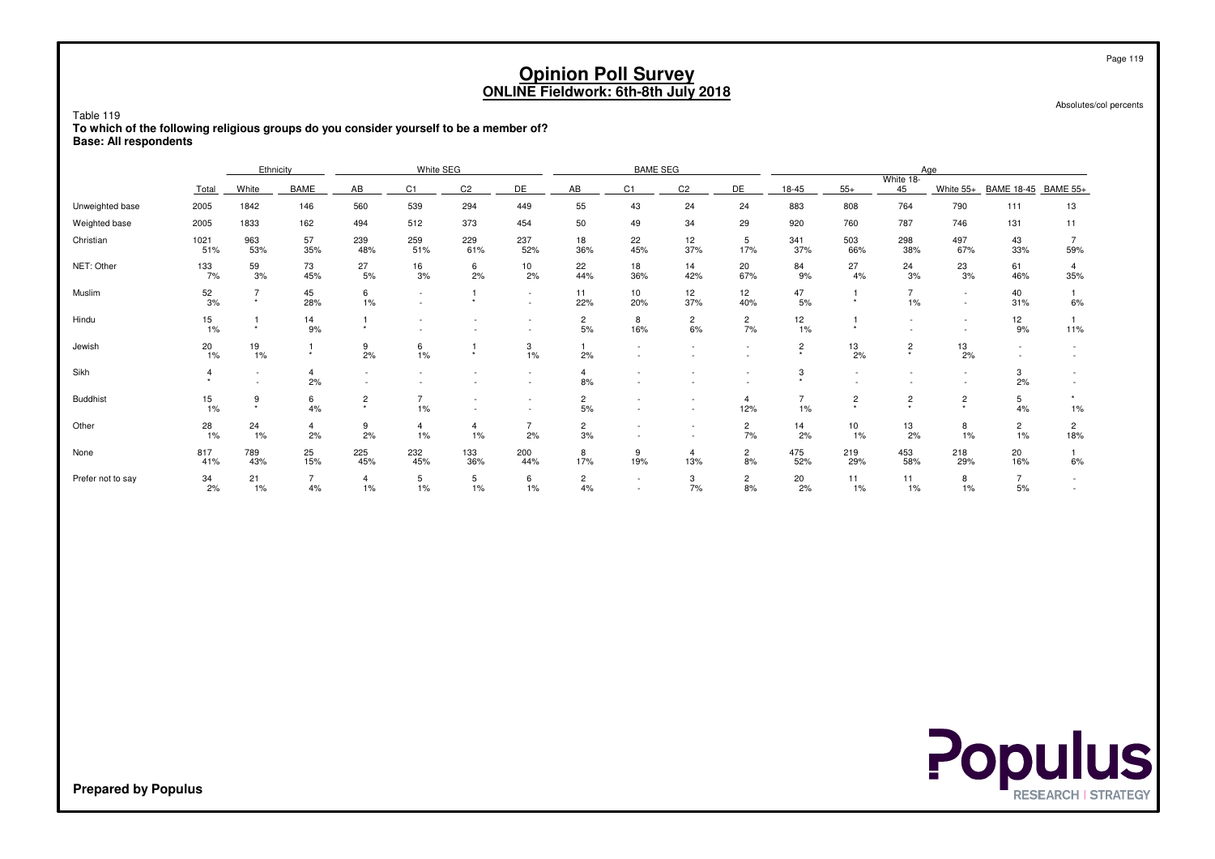|                   | <b>Opinion Poll Survey</b><br><b>ONLINE Fieldwork: 6th-8th July 2018</b>                                                                                                   |                           |                                                                     |                      |                                                      |                          |                          |                      |            |                          |                          |                                        |                |                                        |                                                      | Page 119<br>Absolutes/col percents |                       |  |
|-------------------|----------------------------------------------------------------------------------------------------------------------------------------------------------------------------|---------------------------|---------------------------------------------------------------------|----------------------|------------------------------------------------------|--------------------------|--------------------------|----------------------|------------|--------------------------|--------------------------|----------------------------------------|----------------|----------------------------------------|------------------------------------------------------|------------------------------------|-----------------------|--|
| Table 119         | To which of the following religious groups do you consider yourself to be a member of?<br><b>Base: All respondents</b><br>White SEG<br>Ethnicity<br><b>BAME SEG</b><br>Age |                           |                                                                     |                      |                                                      |                          |                          |                      |            |                          |                          |                                        |                |                                        |                                                      |                                    |                       |  |
|                   |                                                                                                                                                                            |                           |                                                                     |                      |                                                      |                          |                          |                      |            |                          |                          |                                        |                |                                        |                                                      |                                    |                       |  |
|                   | Total                                                                                                                                                                      | White                     | <b>BAME</b>                                                         | AB                   | C1                                                   | C <sub>2</sub>           | DE                       | AB                   | C1         | C <sub>2</sub>           | DE                       | 18-45                                  | $55+$          | White 18-<br>45                        | White 55+                                            | <b>BAME 18-45</b>                  | <b>BAME 55+</b>       |  |
| Unweighted base   | 2005                                                                                                                                                                       | 1842                      | 55<br>560<br>539<br>294<br>43<br>24<br>24<br>146<br>449<br>49<br>34 |                      |                                                      |                          |                          |                      |            |                          |                          |                                        | 808            | 764                                    | 790                                                  | 111                                | 13                    |  |
| Weighted base     | 2005                                                                                                                                                                       | 1833                      | 162                                                                 | 494                  | 512                                                  | 373                      | 454                      | 50                   | 29         | 920                      | 760                      | 787                                    | 746            | 131                                    | 11                                                   |                                    |                       |  |
| Christian         | 1021<br>51%                                                                                                                                                                | 963<br>53%                | 57<br>35%                                                           | 239<br>48%           | 259<br>51%                                           | 229<br>61%               | 503<br>66%               | 298<br>38%           | 497<br>67% | 43<br>33%                | $\overline{7}$<br>59%    |                                        |                |                                        |                                                      |                                    |                       |  |
| NET: Other        | 133<br>7%                                                                                                                                                                  | 59<br>3%                  | 73<br>45%                                                           | 27<br>5%             | 16<br>3%                                             | 6<br>2%                  | 10<br>2%                 | 22<br>44%            | 18<br>36%  | 14<br>42%                | 20<br>67%                | 84<br>9%                               | 27<br>4%       | 24<br>3%                               | 23<br>3%                                             | 61<br>46%                          | 4<br>35%              |  |
| Muslim            | 52<br>3%                                                                                                                                                                   | $\overline{7}$<br>$\star$ | 45<br>28%                                                           | 6<br>1%              | $\overline{\phantom{a}}$<br>$\overline{\phantom{a}}$ | $\star$                  | $\sim$<br>$\sim$         | 11<br>22%            | 10<br>20%  | 12<br>37%                | 12<br>40%                | 47<br>5%                               | $\star$        | $\overline{7}$<br>1%                   | $\sim$<br>$\sim$                                     | 40<br>31%                          | 1<br>6%               |  |
| Hindu             | 15 <sub>15</sub><br>1%                                                                                                                                                     | -1<br>$\star$             | 14<br>9%                                                            | $\star$              |                                                      |                          |                          | $\overline{c}$<br>5% | 8<br>16%   | $\overline{2}$<br>6%     | $\overline{2}$<br>7%     | 12<br>1%                               | $\star$        |                                        | $\overline{\phantom{a}}$<br>$\overline{\phantom{a}}$ | 12<br>9%                           | 1<br>11%              |  |
| Jewish            | 20<br>1%                                                                                                                                                                   | 19<br>1%                  | $\star$                                                             | 9<br>2%              | 6<br>1%                                              | $\star$                  | 3<br>1%                  | 2%                   |            |                          | $\overline{\phantom{a}}$ | $\overline{c}$<br>$\ddot{\phantom{1}}$ | 13<br>2%       | $\overline{c}$<br>$\star$              | 13<br>2%                                             | $\sim$                             | $\sim$                |  |
| Sikh              | 4<br>$\star$                                                                                                                                                               | $\sim$                    | 4<br>2%                                                             | $\sim$               |                                                      | $\overline{\phantom{a}}$ | $\sim$                   | 4<br>8%              |            |                          |                          | 3<br>$\star$                           | $\sim$         |                                        | $\sim$<br>$\sim$                                     | 3<br>2%                            |                       |  |
| <b>Buddhist</b>   | 15 <sub>15</sub><br>1%                                                                                                                                                     | 9<br>$\star$              | 6<br>4%                                                             | $\overline{c}$       | $\overline{7}$<br>1%                                 | $\sim$<br>$\sim$         | $\overline{\phantom{a}}$ | $\mathbf{2}$<br>5%   |            |                          | $\overline{4}$<br>12%    | $\overline{7}$<br>1%                   | $\overline{c}$ | $\overline{c}$<br>$\ddot{\phantom{1}}$ | $\overline{\mathbf{c}}$<br>$\star$                   | 5<br>4%                            | $\star$<br>$1\%$      |  |
| Other             | 28<br>1%                                                                                                                                                                   | 24<br>1%                  | $\overline{4}$<br>2%                                                | 9<br>2%              | 4<br>1%                                              | $\overline{4}$<br>1%     | $\overline{7}$<br>2%     | $\overline{c}$<br>3% |            | $\overline{\phantom{a}}$ | $\overline{2}$<br>7%     | 14<br>2%                               | 10<br>1%       | 13<br>2%                               | 8<br>1%                                              | $\overline{c}$<br>1%               | $\overline{2}$<br>18% |  |
| None              | 817<br>41%                                                                                                                                                                 | 789<br>43%                | 25<br>15%                                                           | 225<br>45%           | 232<br>45%                                           | 133<br>36%               | 200<br>44%               | 8<br>17%             | 9<br>19%   | $\overline{4}$<br>13%    | $\overline{2}$<br>8%     | 475<br>52%                             | 219<br>29%     | 453<br>58%                             | 218<br>29%                                           | 20<br>16%                          | 1<br>6%               |  |
| Prefer not to say | 34<br>2%                                                                                                                                                                   | 21<br>$1\%$               | $\overline{7}$<br>4%                                                | $\overline{4}$<br>1% | 5<br>1%                                              | 5<br>1%                  | 6<br>1%                  | $\overline{c}$<br>4% |            | 3<br>7%                  | $\overline{2}$<br>8%     | 20<br>2%                               | 11<br>1%       | 11<br>1%                               | 8<br>$1\%$                                           | $\overline{7}$<br>5%               |                       |  |

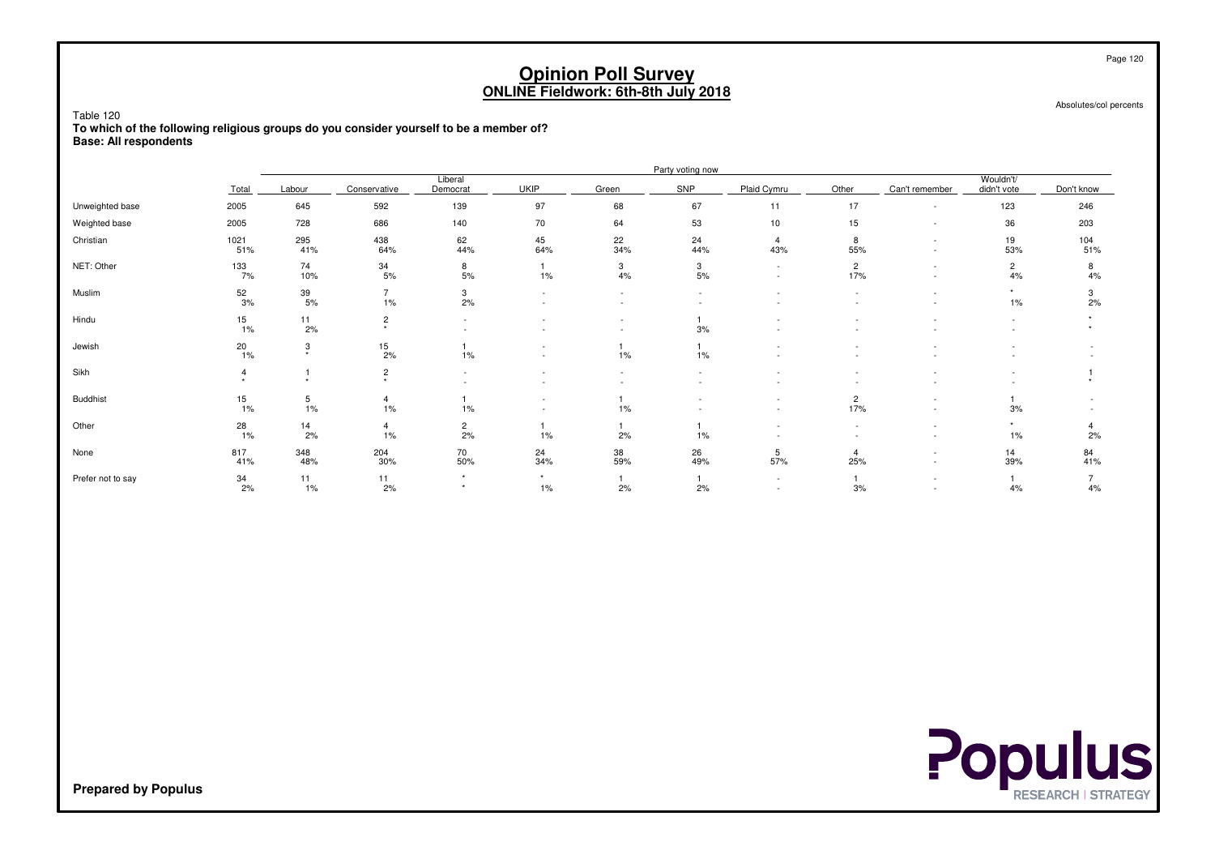Table 120

 **To which of the following religious groups do you consider yourself to be a member of?Base: All respondents**

|                   |             |                  |                           |                      |                  |           | Party voting now |                                                      |                       |                |                          |            |
|-------------------|-------------|------------------|---------------------------|----------------------|------------------|-----------|------------------|------------------------------------------------------|-----------------------|----------------|--------------------------|------------|
|                   | Total       | Labour           | Conservative              | Liberal<br>Democrat  | <b>UKIP</b>      | Green     | SNP              | Plaid Cymru                                          | Other                 | Can't remember | Wouldn't/<br>didn't vote | Don't know |
| Unweighted base   | 2005        | 645              | 592                       | 139                  | 97               | 68        | 67               | 11                                                   | 17                    |                | 123                      | 246        |
| Weighted base     | 2005        | 728              | 686                       | 140                  | 70               | 64        | 53               | 10                                                   | 15                    |                | 36                       | 203        |
| Christian         | 1021<br>51% | 295<br>41%       | 438<br>64%                | 62<br>44%            | 45<br>64%        | 22<br>34% | 24<br>44%        | $\overline{4}$<br>43%                                | 8<br>55%              |                | 19<br>53%                | 104<br>51% |
| NET: Other        | 133<br>7%   | 74<br>10%        | 34<br>5%                  | 8<br>5%              | $1\%$            | 3<br>4%   | 3<br>5%          | $\sim$<br>$\sim$                                     | $\overline{2}$<br>17% |                | $\overline{2}$<br>4%     | 8<br>4%    |
| Muslim            | 52<br>3%    | 39<br>5%         | $\overline{7}$<br>1%      | 3<br>2%              | $\sim$           |           | $\sim$           |                                                      |                       |                | $\rightarrow$<br>$1\%$   | 3<br>2%    |
| Hindu             | 15<br>1%    | $\frac{11}{2\%}$ | $\overline{c}$<br>$\star$ | $\sim$<br>$\sim$     |                  |           | 3%               |                                                      |                       |                | $\sim$                   |            |
| Jewish            | 20<br>1%    | 3<br>$\ddot{}$   | $\frac{15}{2\%}$          | 1%                   |                  | $1\%$     | $1\%$            |                                                      |                       |                |                          |            |
| Sikh              | <b>A</b>    | $\Delta$         | $\overline{c}$<br>$\star$ | $\sim$               |                  |           | ٠                |                                                      |                       |                |                          |            |
| <b>Buddhist</b>   | 15<br>1%    | 5<br>1%          | $\overline{4}$<br>1%      | 1%                   |                  | 1%        |                  | $\overline{\phantom{a}}$<br>$\overline{\phantom{a}}$ | $\overline{c}$<br>17% |                | 3%                       |            |
| Other             | 28<br>1%    | $\frac{14}{2\%}$ | $\overline{4}$<br>1%      | $\overline{c}$<br>2% | 1%               | 2%        | $1\%$            | $\overline{\phantom{a}}$                             |                       |                | $1\%$                    | 2%         |
| None              | 817<br>41%  | 348<br>48%       | 204<br>30%                | 70<br>50%            | 24<br>34%        | 38<br>59% | 26<br>49%        | 5<br>57%                                             | $\overline{4}$<br>25% |                | 14<br>39%                | 84<br>41%  |
| Prefer not to say | 34<br>2%    | 11<br>1%         | 11<br>2%                  | $\star$<br>$\star$   | $\star$<br>$1\%$ | 2%        | 2%               | $\overline{\phantom{a}}$<br>$\overline{\phantom{a}}$ | 3%                    |                | 4%                       | 4%         |

Absolutes/col percents

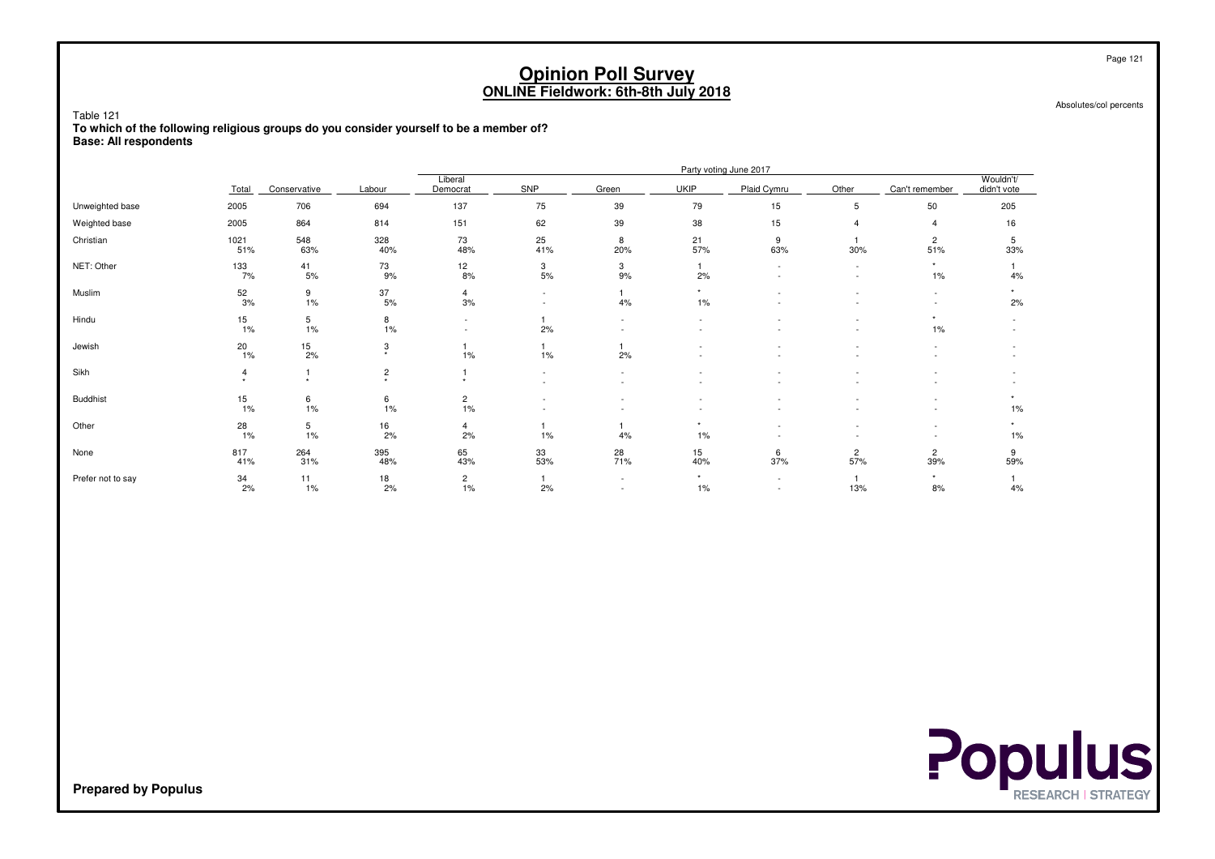Table 121

 **To which of the following religious groups do you consider yourself to be a member of?Base: All respondents**

|                   |             |                      |                           |                               |                  |                          |                  | Party voting June 2017                               |                                                      |                          |                            |
|-------------------|-------------|----------------------|---------------------------|-------------------------------|------------------|--------------------------|------------------|------------------------------------------------------|------------------------------------------------------|--------------------------|----------------------------|
|                   | Total       | Conservative         | Labour                    | Liberal<br>Democrat           | SNP              | Green                    | <b>UKIP</b>      | Plaid Cymru                                          | Other                                                | Can't remember           | Wouldn't/<br>didn't vote   |
| Unweighted base   | 2005        | 706                  | 694                       | 137                           | 75               | 39                       | 79               | 15                                                   | 5                                                    | 50                       | 205                        |
| Weighted base     | 2005        | 864                  | 814                       | 151                           | 62               | 39                       | 38               | 15                                                   | $\overline{4}$                                       | $\overline{4}$           | 16                         |
| Christian         | 1021<br>51% | 548<br>63%           | 328<br>40%                | 73<br>48%                     | 25<br>41%        | 8<br>20%                 | 21<br>57%        | 9<br>63%                                             | 30%                                                  | $\overline{2}$<br>51%    | 5<br>33%                   |
| NET: Other        | 133<br>7%   | 41<br>5%             | 73<br>9%                  | 12<br>8%                      | 3<br>5%          | 3<br>9%                  | 2%               |                                                      | $\sim$<br>$\overline{\phantom{a}}$                   | $\star$<br>1%            | 4%                         |
| Muslim            | 52<br>3%    | 9<br>1%              | 37<br>5%                  | $\overline{4}$<br>3%          | $\sim$<br>$\sim$ | 4%                       | $\star$<br>$1\%$ |                                                      | $\overline{\phantom{a}}$<br>$\overline{\phantom{a}}$ | $\sim$<br>$\sim$         | $\ddot{\phantom{1}}$<br>2% |
| Hindu             | 15<br>1%    | 5<br>1%              | 8<br>1%                   | ٠<br>$\overline{\phantom{0}}$ | 2%               | $\overline{\phantom{a}}$ |                  |                                                      |                                                      | $\star$<br>1%            |                            |
| Jewish            | 20<br>1%    | $\frac{15}{2\%}$     | 3<br>$\star$              | 1%                            | 1%               | 2%                       |                  |                                                      | $\overline{\phantom{a}}$                             | ٠                        |                            |
| Sikh              |             | $\ddot{\phantom{1}}$ | $\overline{c}$<br>$\star$ | $\ddot{\phantom{1}}$          | $\sim$<br>$\sim$ | $\sim$                   |                  |                                                      |                                                      |                          |                            |
| <b>Buddhist</b>   | 15<br>1%    | 6<br>1%              | 6<br>1%                   | $\overline{c}$<br>$1\%$       |                  |                          |                  |                                                      |                                                      | $\overline{\phantom{a}}$ | $1\%$                      |
| Other             | 28<br>1%    | 5<br>1%              | 16<br>2%                  | 4<br>2%                       | 1%               | 4%                       | $\star$<br>$1\%$ |                                                      |                                                      | $\overline{\phantom{a}}$ | ۰<br>1%                    |
| None              | 817<br>41%  | 264<br>31%           | 395<br>48%                | 65<br>43%                     | 33<br>53%        | 28<br>71%                | 15<br>40%        | 6<br>37%                                             | 2<br>57%                                             | $\overline{2}$<br>39%    | 9<br>59%                   |
| Prefer not to say | 34<br>2%    | 11<br>1%             | 18<br>2%                  | $\overline{c}$<br>1%          | 2%               | $\sim$<br>$\sim$         | $\star$<br>$1\%$ | $\overline{\phantom{a}}$<br>$\overline{\phantom{a}}$ | 13%                                                  | $\star$<br>8%            | 4%                         |

**Populus** 

Page 121

Absolutes/col percents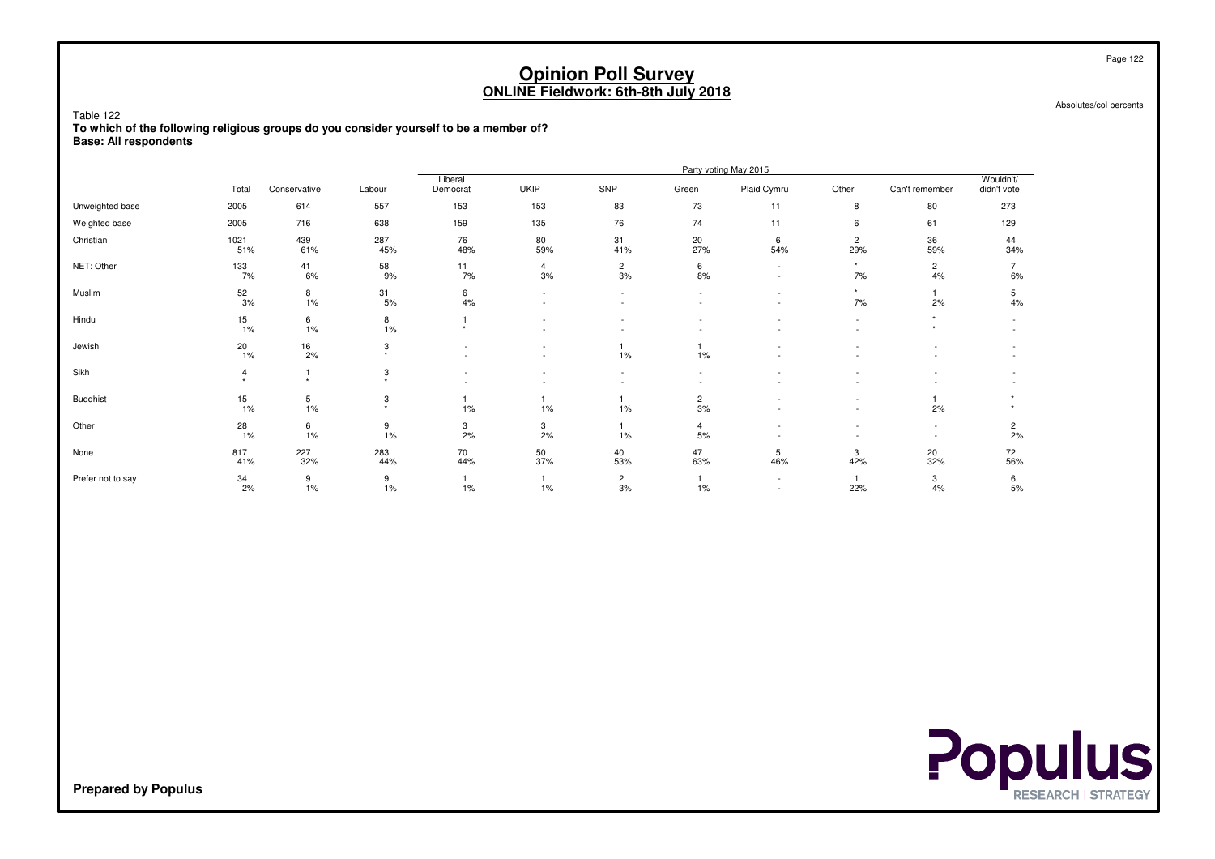Table 122

 **To which of the following religious groups do you consider yourself to be a member of?Base: All respondents**

|                   |             |                      |                           |                     |             |                      |                 | Party voting May 2015                                |                          |                                                      |                          |
|-------------------|-------------|----------------------|---------------------------|---------------------|-------------|----------------------|-----------------|------------------------------------------------------|--------------------------|------------------------------------------------------|--------------------------|
|                   | Total       | Conservative         | Labour                    | Liberal<br>Democrat | <b>UKIP</b> | SNP                  | Green           | Plaid Cymru                                          | Other                    | Can't remember                                       | Wouldn't/<br>didn't vote |
| Unweighted base   | 2005        | 614                  | 557                       | 153                 | 153         | 83                   | 73              | 11                                                   | 8                        | 80                                                   | 273                      |
| Weighted base     | 2005        | 716                  | 638                       | 159                 | 135         | 76                   | 74              | 11                                                   | 6                        | 61                                                   | 129                      |
| Christian         | 1021<br>51% | 439<br>61%           | 287<br>45%                | 76<br>48%           | 80<br>59%   | 31<br>41%            | 20<br>27%       | 6<br>54%                                             | $\overline{c}$<br>29%    | 36<br>59%                                            | 44<br>34%                |
| NET: Other        | 133<br>7%   | 41<br>6%             | 58<br>9%                  | 11<br>7%            | 4<br>3%     | $\overline{a}$<br>3% | 6<br>8%         | $\sim$                                               | $\star$<br>7%            | $\overline{c}$<br>4%                                 | 6%                       |
| Muslim            | 52<br>3%    | 8<br>1%              | 31<br>5%                  | 6<br>4%             | $\sim$      | $\sim$               |                 | $\sim$                                               | $\star$<br>7%            | 2%                                                   | 5<br>4%                  |
| Hindu             | 15<br>1%    | 6<br>1%              | 8<br>1%                   | $\star$             |             |                      |                 |                                                      | $\sim$<br>$\sim$         |                                                      |                          |
| Jewish            | 20<br>1%    | $\frac{16}{2\%}$     | 3<br>$\star$              |                     |             | $1\%$                | 1%              |                                                      |                          |                                                      |                          |
| Sikh              |             | $\ddot{\phantom{1}}$ | 3<br>$\ddot{\phantom{1}}$ |                     |             | $\sim$               | $\sim$          |                                                      | $\overline{\phantom{a}}$ |                                                      |                          |
| <b>Buddhist</b>   | 15<br>1%    | $\frac{5}{1\%}$      | 3<br>$\star$              | 1%                  | 1%          | $1\%$                | $\frac{2}{3\%}$ |                                                      | $\overline{\phantom{a}}$ | 2%                                                   |                          |
| Other             | 28<br>1%    | 6<br>1%              | 9<br>1%                   | 3<br>2%             | 3<br>2%     | $1\%$                | 4<br>5%         |                                                      |                          | $\overline{\phantom{a}}$<br>$\overline{\phantom{a}}$ | $\overline{c}$<br>2%     |
| None              | 817<br>41%  | 227<br>32%           | 283<br>44%                | 70<br>44%           | 50<br>37%   | 40<br>53%            | 47<br>63%       | 5<br>46%                                             | 3<br>42%                 | 20<br>32%                                            | 72<br>56%                |
| Prefer not to say | 34<br>2%    | 9<br>1%              | 9<br>1%                   | $1\%$               | 1%          | $\overline{a}$<br>3% | 1%              | $\overline{\phantom{a}}$<br>$\overline{\phantom{a}}$ | 22%                      | 3<br>4%                                              | 6<br>5%                  |

Absolutes/col percents



**Prepared by Populus**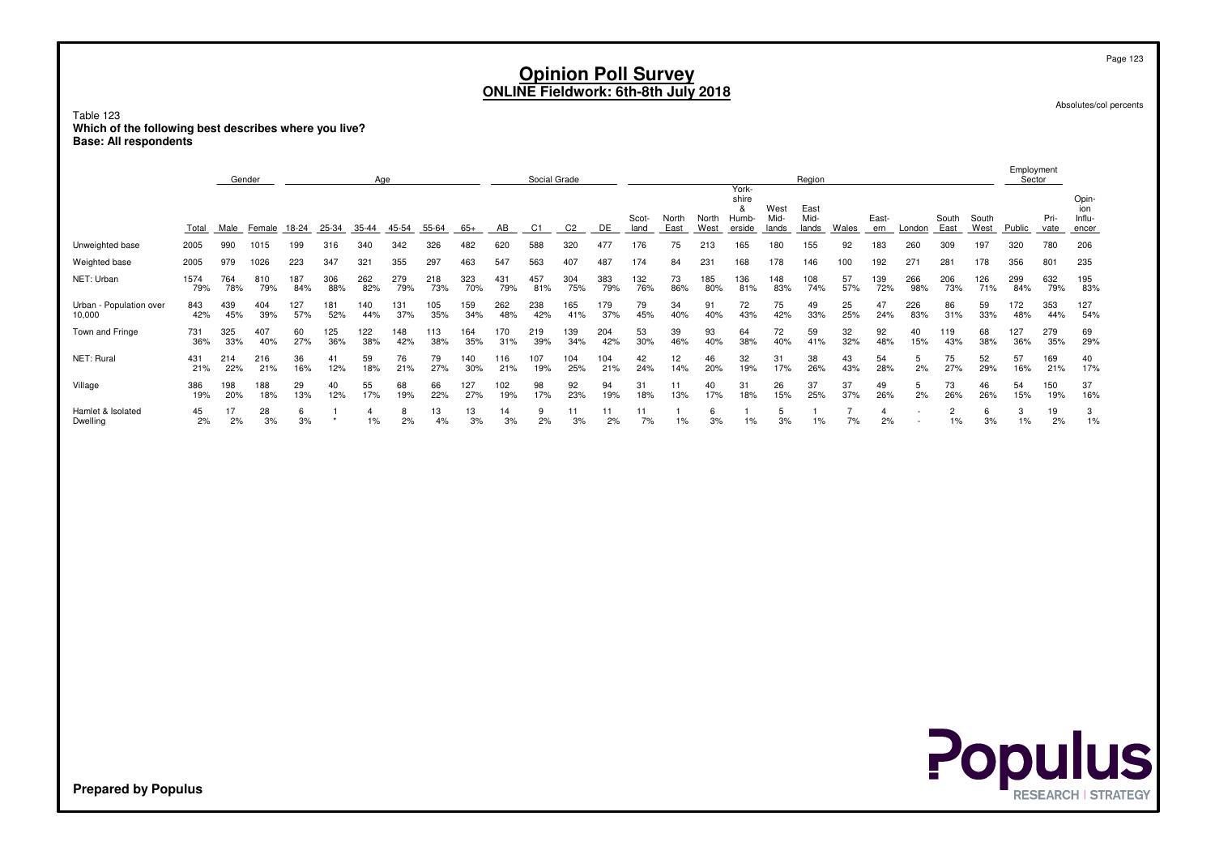Absolutes/col percents

Table 123 **Which of the following best describes where you live?Base: All respondents**

|                                   |             | Social Grade<br>Gender<br>Age |            |            |            |                      |            |            |            |            |            |                |            | Region        |                      |               |                                        |                       |                       | Employment<br>Sector |                      |            |                      |                      |            |              |                                 |
|-----------------------------------|-------------|-------------------------------|------------|------------|------------|----------------------|------------|------------|------------|------------|------------|----------------|------------|---------------|----------------------|---------------|----------------------------------------|-----------------------|-----------------------|----------------------|----------------------|------------|----------------------|----------------------|------------|--------------|---------------------------------|
|                                   | Total       | Male                          | Female     | $18-24$    | $25 - 34$  | $35 - 44$            | $45 - 54$  | $55 - 64$  | $65+$      | AB         | C1         | C <sub>2</sub> | DE         | Scot-<br>land | North<br><b>East</b> | North<br>West | York-<br>shire<br>&<br>Humb-<br>erside | West<br>Mid-<br>lands | East<br>Mid-<br>lands | <b>Wales</b>         | East-<br>ern         | London     | South<br><b>East</b> | South<br><b>West</b> | Public     | Pri-<br>vate | Opin-<br>ion<br>Influ-<br>encer |
| Unweighted base                   | 2005        | 990                           | 1015       | 199        | 316        | 340                  | 342        | 326        | 482        | 620        | 588        | 320            | 477        | 176           | 75                   | 213           | 165                                    | 180                   | 155                   | 92                   | 183                  | 260        | 309                  | 197                  | 320        | 780          | 206                             |
| Weighted base                     | 2005        | 979                           | 1026       | 223        | 347        | 321                  | 355        | 297        | 463        | 547        | 563        | 407            | 487        | 174           | 84                   | 231           | 168                                    | 178                   | 146                   | 100                  | 192                  | 271        | 281                  | 178                  | 356        | 801          | 235                             |
| NET: Urban                        | 1574<br>79% | 764<br>78%                    | 810<br>79% | 187<br>84% | 306<br>88% | 262<br>82%           | 279<br>79% | 218<br>73% | 323<br>70% | 431<br>79% | 457<br>81% | 304<br>75%     | 383<br>79% | 132<br>76%    | 73<br>86%            | 185<br>80%    | 136<br>81%                             | 148<br>83%            | 108<br>74%            | 57<br>57%            | 139<br>72%           | 266<br>98% | 206<br>73%           | 126<br>71%           | 299<br>84% | 632<br>79%   | 195<br>83%                      |
| Urban - Population over<br>10,000 | 843<br>42%  | 439<br>45%                    | 404<br>39% | 127<br>57% | 181<br>52% | 140<br>44%           | 131<br>37% | 105<br>35% | 159<br>34% | 262<br>48% | 238<br>42% | 165<br>41%     | 179<br>37% | 79<br>45%     | 34<br>40%            | 91<br>40%     | 72<br>43%                              | 75<br>42%             | 49<br>33%             | 25<br>25%            | 47<br>24%            | 226<br>83% | 86<br>31%            | 59<br>33%            | 172<br>48% | 353<br>44%   | 127<br>54%                      |
| Town and Fringe                   | 731<br>36%  | 325<br>33%                    | 407<br>40% | 60<br>27%  | 125<br>36% | 122<br>38%           | 148<br>42% | 113<br>38% | 164<br>35% | 170<br>31% | 219<br>39% | 139<br>34%     | 204<br>42% | 53<br>30%     | 39<br>46%            | 93<br>40%     | 64<br>38%                              | 72<br>40%             | 59<br>41%             | 32<br>32%            | 92<br>48%            | 40<br>15%  | 119<br>43%           | 68<br>38%            | 127<br>36% | 279<br>35%   | 69<br>29%                       |
| NET: Rural                        | 431<br>21%  | 214<br>22%                    | 216<br>21% | 36<br>16%  | 41<br>12%  | 59<br>18%            | 76<br>21%  | 79<br>27%  | 140<br>30% | 116<br>21% | 107<br>19% | 104<br>25%     | 104<br>21% | 42<br>24%     | 12<br>14%            | 46<br>20%     | 32<br>19%                              | 31<br>17%             | 38<br>26%             | 43<br>43%            | 54<br>28%            | 5<br>2%    | 75<br>27%            | 52<br>29%            | 57<br>16%  | 169<br>21%   | 40<br>17%                       |
| Village                           | 386<br>19%  | 198<br>20%                    | 188<br>18% | 29<br>13%  | 40<br>12%  | 55<br>17%            | 68<br>19%  | 66<br>22%  | 127<br>27% | 102<br>19% | 98<br>17%  | 92<br>23%      | 94<br>19%  | 31<br>18%     | 11<br>13%            | 40<br>17%     | 31<br>18%                              | 26<br>15%             | 37<br>25%             | 37<br>37%            | 49<br>26%            | 5<br>2%    | 73<br>26%            | 46<br>26%            | 54<br>15%  | 150<br>19%   | 37<br>16%                       |
| Hamlet & Isolated<br>Dwelling     | 45<br>2%    | 17<br>2%                      | 28<br>3%   | 6<br>3%    | -1         | $\overline{4}$<br>1% | 8<br>2%    | 13<br>4%   | 13<br>3%   | 14<br>3%   | 9<br>2%    | 11<br>3%       | 11<br>2%   | 11<br>7%      | -1<br>$1\%$          | 6<br>3%       | 1<br>1%                                | 5<br>3%               | 1<br>1%               | 7<br>7%              | $\overline{4}$<br>2% |            | $\overline{c}$<br>1% | 6<br>3%              | 3<br>1%    | 19<br>2%     | 3<br>1%                         |
|                                   |             |                               |            |            |            |                      |            |            |            |            |            |                |            |               |                      |               |                                        |                       |                       |                      |                      |            |                      |                      |            |              | Populus                         |
| <b>Prepared by Populus</b>        |             |                               |            |            |            |                      |            |            |            |            |            |                |            |               |                      |               |                                        |                       |                       |                      |                      |            |                      |                      |            |              | <b>RESEARCH   STRATEGY</b>      |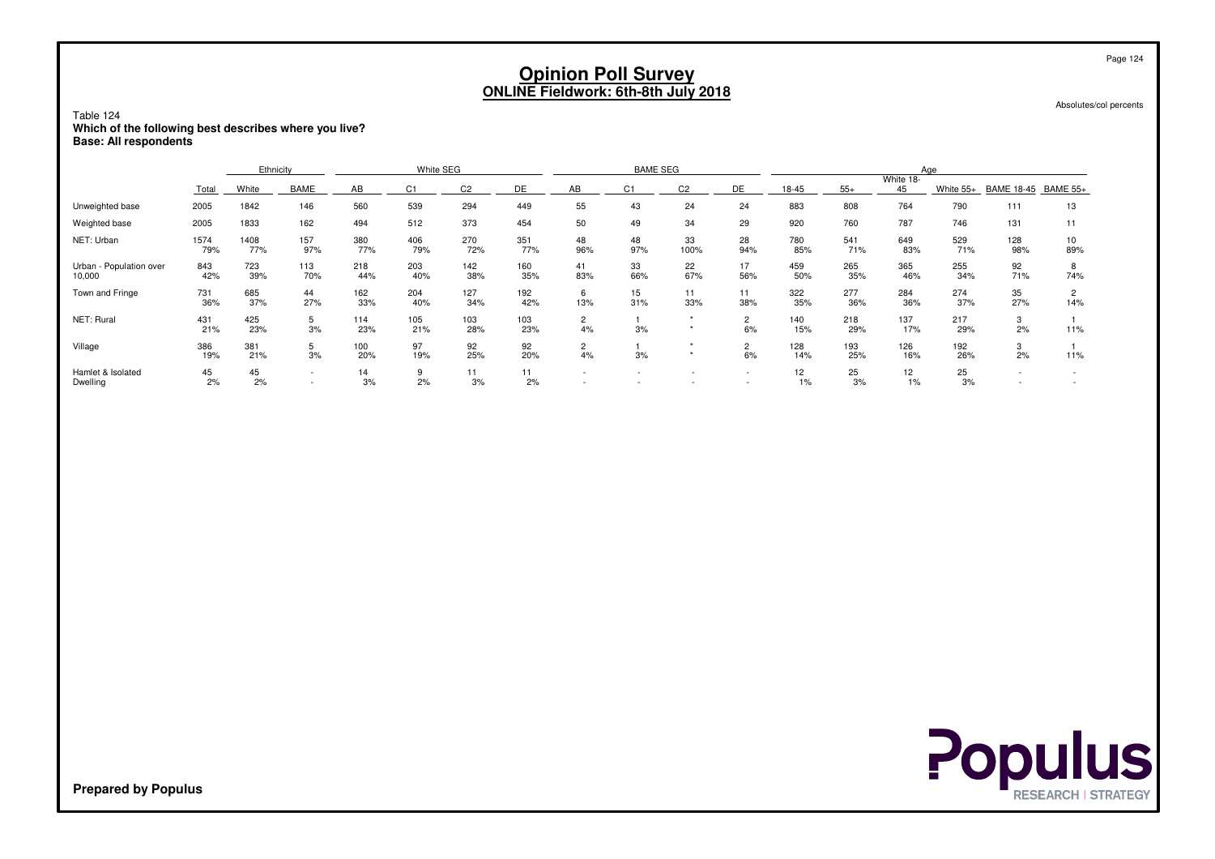| Table 124<br>Which of the following best describes where you live?<br><b>Base: All respondents</b> |             |             |            |            |                |                |            | <b>Opinion Poll Survey</b><br><b>ONLINE Fieldwork: 6th-8th July 2018</b> |           |                    |                          |            |            |                 |            |                   | Absolutes/col percents  | Page 124 |
|----------------------------------------------------------------------------------------------------|-------------|-------------|------------|------------|----------------|----------------|------------|--------------------------------------------------------------------------|-----------|--------------------|--------------------------|------------|------------|-----------------|------------|-------------------|-------------------------|----------|
|                                                                                                    |             | Ethnicity   |            |            | White SEG      |                |            |                                                                          | Aae       |                    |                          |            |            |                 |            |                   |                         |          |
|                                                                                                    | Total       | White       | BAME       | AB         | C <sub>1</sub> | C <sub>2</sub> | DE         | AB                                                                       | C1        | C <sub>2</sub>     | DE                       | 18-45      | $55+$      | White 18-<br>45 | White 55+  | <b>BAME 18-45</b> | <b>BAME 55+</b>         |          |
| Unweighted base                                                                                    | 2005        | 1842        | 146        | 560        | 539            | 294            | 449        | 55                                                                       | 43        | 24                 | 24                       | 883        | 808        | 764             | 790        | 111               | 13                      |          |
| Weighted base                                                                                      | 2005        | 1833        | 162        | 494        | 512            | 373            | 454        | 50                                                                       | 49        | 34                 | 29                       | 920        | 760        | 787             | 746        | 131               | 11                      |          |
| NET: Urban                                                                                         | 1574<br>79% | 1408<br>77% | 157<br>97% | 380<br>77% | 406<br>79%     | 270<br>72%     | 351<br>77% | 48<br>96%                                                                | 48<br>97% | 33<br>100%         | 28<br>94%                | 780<br>85% | 541<br>71% | 649<br>83%      | 529<br>71% | 128<br>98%        | 10 <sup>10</sup><br>89% |          |
| Urban - Population over<br>10,000                                                                  | 843<br>42%  | 723<br>39%  | 113<br>70% | 218<br>44% | 203<br>40%     | 142<br>38%     | 160<br>35% | 41<br>83%                                                                | 33<br>66% | 22<br>67%          | 17<br>56%                | 459<br>50% | 265<br>35% | 365<br>46%      | 255<br>34% | 92<br>71%         | 8<br>74%                |          |
| Town and Fringe                                                                                    | 731<br>36%  | 685<br>37%  | 44<br>27%  | 162<br>33% | 204<br>40%     | 127<br>34%     | 192<br>42% | 6<br>13%                                                                 | 15<br>31% | 11<br>33%          | 11<br>38%                | 322<br>35% | 277<br>36% | 284<br>36%      | 274<br>37% | 35<br>27%         | $\overline{2}$<br>14%   |          |
| NET: Rural                                                                                         | 431<br>21%  | 425<br>23%  | 5<br>3%    | 114<br>23% | 105<br>21%     | 103<br>28%     | 103<br>23% | $\overline{2}$<br>4%                                                     | 3%        | $\star$<br>$\star$ | 2<br>6%                  | 140<br>15% | 218<br>29% | 137<br>17%      | 217<br>29% | 3<br>2%           | 11%                     |          |
| Village                                                                                            | 386<br>19%  | 381<br>21%  | 5<br>3%    | 100<br>20% | 97<br>19%      | 92<br>25%      | 92<br>20%  | $\overline{2}$<br>4%                                                     | 3%        | $\star$<br>$\star$ | $\overline{2}$<br>6%     | 128<br>14% | 193<br>25% | 126<br>16%      | 192<br>26% | 3<br>2%           | 11%                     |          |
| Hamlet & Isolated<br>Dwelling                                                                      | 45<br>2%    | 45<br>2%    |            | 14<br>3%   | 9<br>2%        | 11<br>3%       | 11<br>2%   | $\sim$                                                                   |           |                    | $\overline{\phantom{a}}$ | 12<br>1%   | 25<br>3%   | 12<br>1%        | 25<br>3%   |                   | $\sim$                  |          |

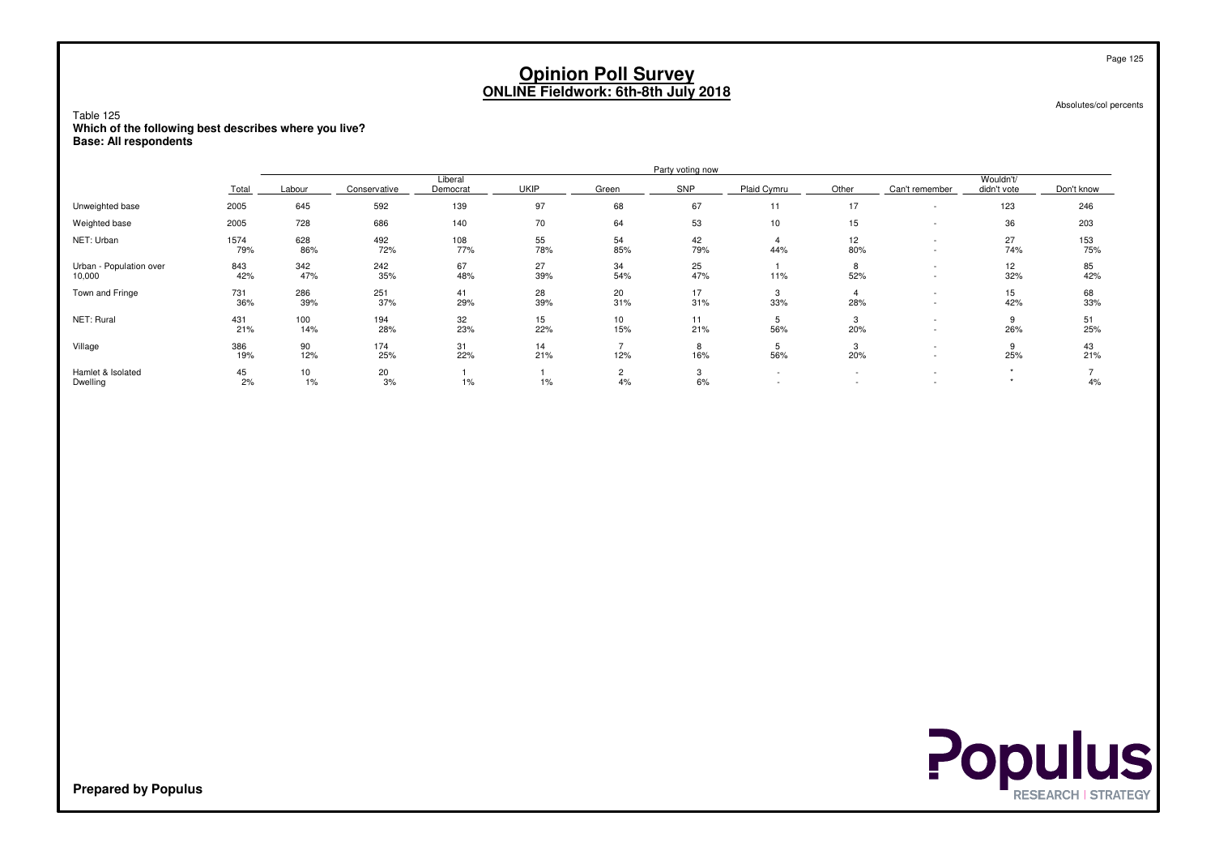Absolutes/col percents

Table 125 **Which of the following best describes where you live?Base: All respondents**

|                                   |             | Party voting now |              |                     |             |           |                   |             |           |                          |                          |            |  |  |  |
|-----------------------------------|-------------|------------------|--------------|---------------------|-------------|-----------|-------------------|-------------|-----------|--------------------------|--------------------------|------------|--|--|--|
|                                   | Total       | Labour           | Conservative | Liberal<br>Democrat | <b>UKIP</b> | Green     | SNP               | Plaid Cymru | Other     | Can't remember           | Wouldn't/<br>didn't vote | Don't know |  |  |  |
| Unweighted base                   | 2005        | 645              | 592          | 139                 | 97          | 68        | 67                | 11          | 17        | $\overline{\phantom{a}}$ | 123                      | 246        |  |  |  |
| Weighted base                     | 2005        | 728              | 686          | 140                 | 70          | 64        | 53                | 10          | 15        |                          | 36                       | 203        |  |  |  |
| NET: Urban                        | 1574<br>79% | 628<br>86%       | 492<br>72%   | 108<br>77%          | 55<br>78%   | 54<br>85% | 42<br>79%         | 44%         | 12<br>80% | $\overline{\phantom{a}}$ | 27<br>74%                | 153<br>75% |  |  |  |
| Urban - Population over<br>10,000 | 843<br>42%  | 342<br>47%       | 242<br>35%   | 67<br>48%           | 27<br>39%   | 34<br>54% | 25<br>47%         | 11%         | 8<br>52%  |                          | 12<br>32%                | 85<br>42%  |  |  |  |
| Town and Fringe                   | 731<br>36%  | 286<br>39%       | 251<br>37%   | 41<br>29%           | 28<br>39%   | 20<br>31% | 17<br>31%         | 3<br>33%    | 4<br>28%  |                          | 15<br>42%                | 68<br>33%  |  |  |  |
| NET: Rural                        | 431<br>21%  | 100<br>14%       | 194<br>28%   | 32<br>23%           | 15<br>22%   | 10<br>15% | 11<br>21%         | 5<br>56%    | 3<br>20%  |                          | 9<br>26%                 | 51<br>25%  |  |  |  |
| Village                           | 386<br>19%  | 90<br>12%        | 174<br>25%   | 31<br>22%           | 14<br>21%   | 12%       | 8<br>16%          | 56%         | 3<br>20%  |                          | 9<br>25%                 | 43<br>21%  |  |  |  |
| Hamlet & Isolated<br>Dwelling     | 45<br>2%    | 10<br>1%         | 20<br>3%     | $1\%$               | $1\%$       | 4%        | $\sim$<br>ى<br>6% | $\sim$      |           |                          |                          | 4%         |  |  |  |

**Populus**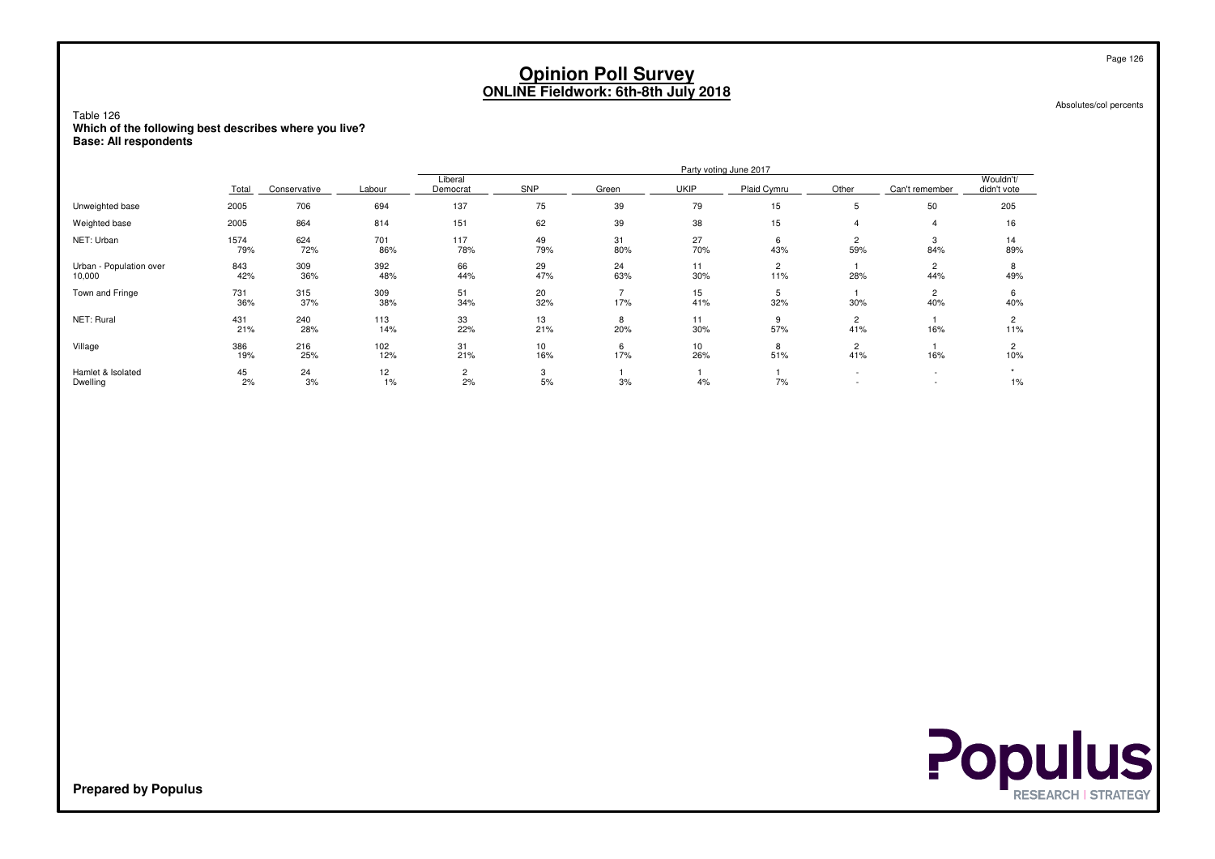Absolutes/col percents

Table 126 **Which of the following best describes where you live?Base: All respondents**

|                                   |             |              |             |                     |                   |           |             | Party voting June 2017 |          |                                                      |                          |
|-----------------------------------|-------------|--------------|-------------|---------------------|-------------------|-----------|-------------|------------------------|----------|------------------------------------------------------|--------------------------|
|                                   | Total       | Conservative | Labour      | Liberal<br>Democrat | SNP               | Green     | <b>UKIP</b> | Plaid Cymru            | Other    | Can't remember                                       | Wouldn't/<br>didn't vote |
| Unweighted base                   | 2005        | 706          | 694         | 137                 | 75                | 39        | 79          | 15                     | 5        | 50                                                   | 205                      |
| Weighted base                     | 2005        | 864          | 814         | 151                 | 62                | 39        | 38          | 15                     |          | 4                                                    | 16                       |
| NET: Urban                        | 1574<br>79% | 624<br>72%   | 701<br>86%  | 117<br>78%          | 49<br>79%         | 31<br>80% | 27<br>70%   | 6<br>43%               | 2<br>59% | 3<br>84%                                             | 14<br>89%                |
| Urban - Population over<br>10,000 | 843<br>42%  | 309<br>36%   | 392<br>48%  | 66<br>44%           | 29<br>47%         | 24<br>63% | 11<br>30%   | $\overline{2}$<br>11%  | 28%      | $\overline{c}$<br>44%                                | 8<br>49%                 |
| Town and Fringe                   | 731<br>36%  | 315<br>37%   | 309<br>38%  | 51<br>34%           | 20<br>32%         | 17%       | 15<br>41%   | ь<br>32%               | 30%      | $\overline{c}$<br>40%                                | 6<br>40%                 |
| NET: Rural                        | 431<br>21%  | 240<br>28%   | 113<br>14%  | 33<br>22%           | 13<br>21%         | 8<br>20%  | 11<br>30%   | 57%                    | 2<br>41% | 16%                                                  | 11%                      |
| Village                           | 386<br>19%  | 216<br>25%   | 102<br>12%  | 31<br>21%           | 10<br>16%         | 6<br>17%  | 10<br>26%   | 8<br>51%               | 2<br>41% | 16%                                                  | $\overline{c}$<br>10%    |
| Hamlet & Isolated<br>Dwelling     | 45<br>2%    | 24<br>3%     | 12<br>$1\%$ | 2<br>2%             | $\sim$<br>3<br>5% | 3%        | 4%          | 7%                     |          | $\overline{\phantom{a}}$<br>$\overline{\phantom{a}}$ | $1\%$                    |



**Prepared by Populus**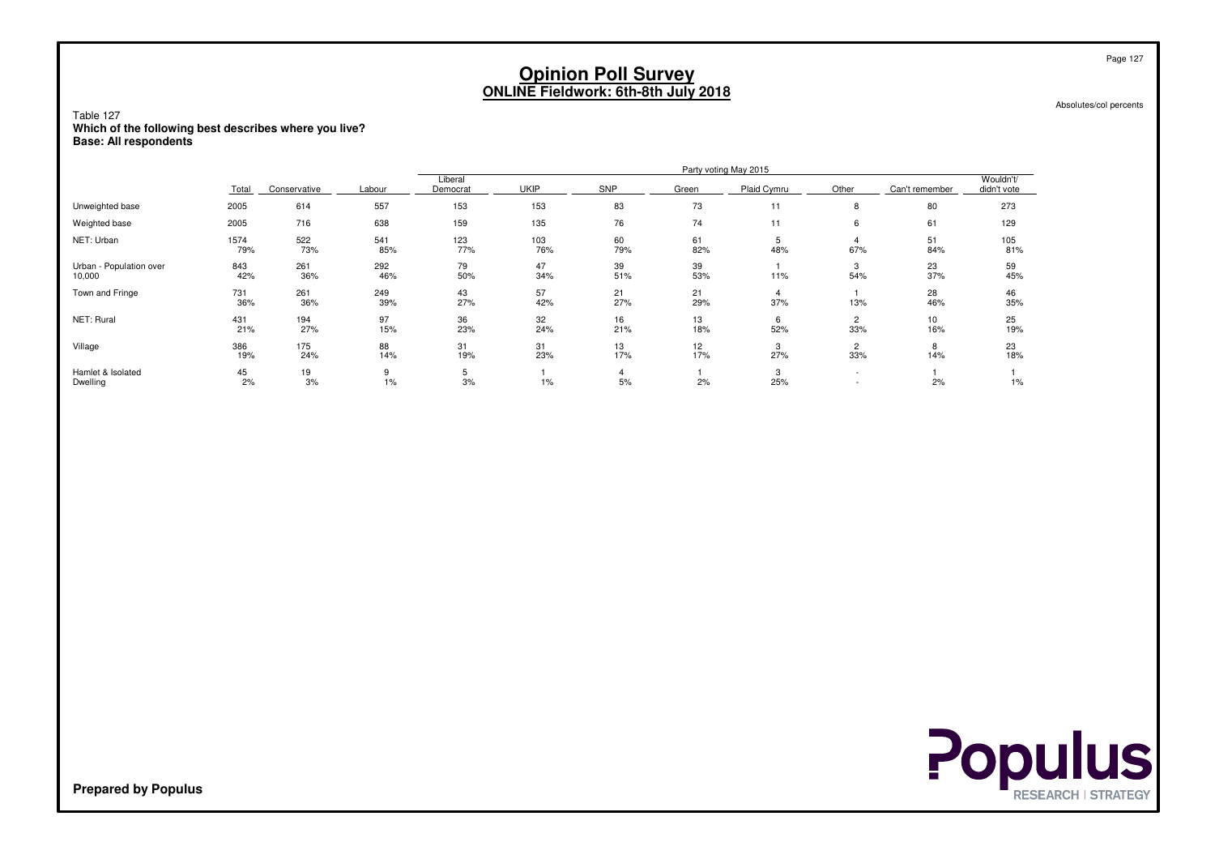Absolutes/col percents

Table 127 **Which of the following best describes where you live?Base: All respondents**

|                                   |             |              |            |                     |             |            |           | Party voting May 2015 |                          |                |                          |
|-----------------------------------|-------------|--------------|------------|---------------------|-------------|------------|-----------|-----------------------|--------------------------|----------------|--------------------------|
|                                   | Total       | Conservative | Labour     | Liberal<br>Democrat | <b>UKIP</b> | <b>SNP</b> | Green     | Plaid Cymru           | Other                    | Can't remember | Wouldn't/<br>didn't vote |
| Unweighted base                   | 2005        | 614          | 557        | 153                 | 153         | 83         | 73        | 11                    | 8                        | 80             | 273                      |
| Weighted base                     | 2005        | 716          | 638        | 159                 | 135         | 76         | 74        | 11                    | 6                        | 61             | 129                      |
| NET: Urban                        | 1574<br>79% | 522<br>73%   | 541<br>85% | 123<br>77%          | 103<br>76%  | 60<br>79%  | 61<br>82% | 5<br>48%              | 67%                      | 51<br>84%      | 105<br>81%               |
| Urban - Population over<br>10,000 | 843<br>42%  | 261<br>36%   | 292<br>46% | 79<br>50%           | 47<br>34%   | 39<br>51%  | 39<br>53% | 11%                   | 3<br>54%                 | 23<br>37%      | 59<br>45%                |
| Town and Fringe                   | 731<br>36%  | 261<br>36%   | 249<br>39% | 43<br>27%           | 57<br>42%   | 21<br>27%  | 21<br>29% | 4<br>37%              | 13%                      | 28<br>46%      | 46<br>35%                |
| NET: Rural                        | 431<br>21%  | 194<br>27%   | 97<br>15%  | 36<br>23%           | 32<br>24%   | 16<br>21%  | 13<br>18% | 6<br>52%              | 2<br>33%                 | 10<br>16%      | 25<br>19%                |
| Village                           | 386<br>19%  | 175<br>24%   | 88<br>14%  | 31<br>19%           | 31<br>23%   | 13<br>17%  | 12<br>17% | 3<br>27%              | 2<br>33%                 | 8<br>14%       | 23<br>18%                |
| Hamlet & Isolated<br>Dwelling     | 45<br>2%    | 19<br>3%     | 9<br>$1\%$ | 5<br>3%             | 1%          | 5%         | 2%        | 3<br>25%              | $\overline{\phantom{0}}$ | 2%             | 1%                       |



**Prepared by Populus**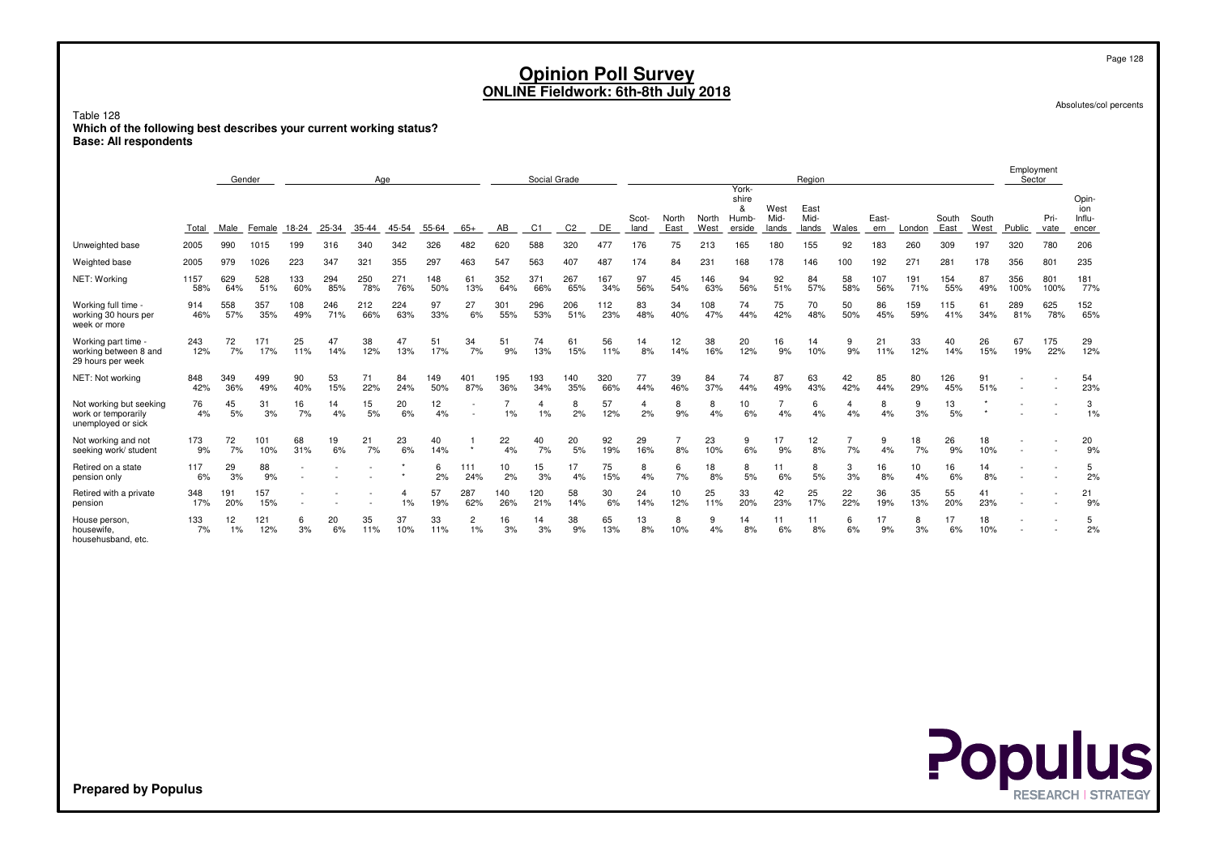Absolutes/col percents

Employment

Table 128 **Which of the following best describes your current working status?Base: All respondents**

|                                                                      |             |            | Gender<br>Age |            |            |            | Social Grade |            |                          |            |                |                |            |               | Region        |               |                                        |                       |                       |           | Employment<br>Sector |                 |               |               |             |              |                                 |
|----------------------------------------------------------------------|-------------|------------|---------------|------------|------------|------------|--------------|------------|--------------------------|------------|----------------|----------------|------------|---------------|---------------|---------------|----------------------------------------|-----------------------|-----------------------|-----------|----------------------|-----------------|---------------|---------------|-------------|--------------|---------------------------------|
|                                                                      | Total       | Male       | Female        | 18-24      | 25-34      | 35-44      | 45-54        | 55-64      | $65+$                    | AB         | C <sub>1</sub> | C <sub>2</sub> | DE         | Scot-<br>land | North<br>East | North<br>West | York-<br>shire<br>&<br>Humb-<br>erside | West<br>Mid-<br>lands | East<br>Mid-<br>lands | Wales     | East-<br>ern         | London          | South<br>East | South<br>West | Public      | Pri-<br>vate | Opin-<br>ion<br>Influ-<br>encer |
| Unweighted base                                                      | 2005        | 990        | 1015          | 199        | 316        | 340        | 342          | 326        | 482                      | 620        | 588            | 320            | 477        | 176           | 75            | 213           | 165                                    | 180                   | 155                   | 92        | 183                  | 260             | 309           | 197           | 320         | 780          | 206                             |
| Weighted base                                                        | 2005        | 979        | 1026          | 223        | 347        | 321        | 355          | 297        | 463                      | 547        | 563            | 407            | 487        | 174           | 84            | 231           | 168                                    | 178                   | 146                   | 100       | 192                  | 27 <sup>°</sup> | 281           | 178           | 356         | 801          | 235                             |
| NET: Working                                                         | 1157<br>58% | 629<br>64% | 528<br>51%    | 133<br>60% | 294<br>85% | 250<br>78% | 271<br>76%   | 148<br>50% | 61<br>13%                | 352<br>64% | 371<br>66%     | 267<br>65%     | 167<br>34% | 97<br>56%     | 45<br>54%     | 146<br>63%    | 94<br>56%                              | 92<br>51%             | 84<br>57%             | 58<br>58% | 107<br>56%           | 191<br>71%      | 154<br>55%    | 87<br>49%     | 356<br>100% | 801<br>100%  | 181<br>77%                      |
| Working full time -<br>working 30 hours per<br>week or more          | 914<br>46%  | 558<br>57% | 357<br>35%    | 108<br>49% | 246<br>71% | 212<br>66% | 224<br>63%   | 97<br>33%  | 27<br>6%                 | 301<br>55% | 296<br>53%     | 206<br>51%     | 112<br>23% | 83<br>48%     | 34<br>40%     | 108<br>47%    | 74<br>44%                              | 75<br>42%             | 70<br>48%             | 50<br>50% | 86<br>45%            | 159<br>59%      | 115<br>41%    | 61<br>34%     | 289<br>81%  | 625<br>78%   | 152<br>65%                      |
| Working part time -<br>working between 8 and<br>29 hours per week    | 243<br>12%  | 72<br>7%   | 171<br>17%    | 25<br>11%  | 47<br>14%  | 38<br>12%  | 47<br>13%    | 51<br>17%  | 34<br>7%                 | 51<br>9%   | 74<br>13%      | 61<br>15%      | 56<br>11%  | 14<br>8%      | 12<br>14%     | 38<br>16%     | 20<br>12%                              | 16<br>9%              | 14<br>10%             | 9<br>9%   | 21<br>11%            | 33<br>12%       | 40<br>14%     | 26<br>15%     | 67<br>19%   | 175<br>22%   | 29<br>12%                       |
| NET: Not working                                                     | 848<br>42%  | 349<br>36% | 499<br>49%    | 90<br>40%  | 53<br>15%  | 71<br>22%  | 84<br>24%    | 149<br>50% | 401<br>87%               | 195<br>36% | 193<br>34%     | 140<br>35%     | 320<br>66% | 77<br>44%     | 39<br>46%     | 84<br>37%     | 74<br>44%                              | 87<br>49%             | 63<br>43%             | 42<br>42% | 85<br>44%            | 80<br>29%       | 126<br>45%    | 91<br>51%     |             |              | 54<br>23%                       |
| Not working but seeking<br>work or temporarily<br>unemployed or sick | 76<br>4%    | 45<br>5%   | 31<br>3%      | 16<br>7%   | 14<br>4%   | 15<br>5%   | 20<br>6%     | 12<br>4%   | $\overline{\phantom{a}}$ | 1%         | 4<br>1%        | 8<br>2%        | 57<br>12%  | 4<br>2%       | 8<br>9%       | 8<br>4%       | 10<br>6%                               | 4%                    | 6<br>4%               | 4%        | 8<br>4%              | 9<br>3%         | 13<br>5%      |               |             |              | 3<br>1%                         |
| Not working and not<br>seeking work/ student                         | 173<br>9%   | 72<br>7%   | 101<br>10%    | 68<br>31%  | 19<br>6%   | 21<br>7%   | 23<br>6%     | 40<br>14%  |                          | 22<br>4%   | 40<br>7%       | 20<br>5%       | 92<br>19%  | 29<br>16%     | 8%            | 23<br>10%     | 9<br>6%                                | 17<br>9%              | 12<br>8%              | 7%        | 9<br>4%              | 18<br>7%        | 26<br>9%      | 18<br>10%     |             |              | 20<br>9%                        |
| Retired on a state<br>pension only                                   | 117<br>6%   | 29<br>3%   | 88<br>9%      |            |            |            |              | 6<br>2%    | 111<br>24%               | 10<br>2%   | 15<br>3%       | 17<br>4%       | 75<br>15%  | 8<br>4%       | 6<br>7%       | 18<br>8%      | 8<br>5%                                | 11<br>6%              | 8<br>5%               | 3<br>3%   | 16<br>8%             | 10<br>4%        | 16<br>6%      | 14<br>8%      |             |              | 5<br>2%                         |
| Retired with a private<br>pension                                    | 348<br>17%  | 191<br>20% | 157<br>15%    |            |            |            | 1%           | 57<br>19%  | 287<br>62%               | 140<br>26% | 120<br>21%     | 58<br>14%      | 30<br>6%   | 24<br>14%     | 10<br>12%     | 25<br>11%     | 33<br>20%                              | 42<br>23%             | 25<br>17%             | 22<br>22% | 36<br>19%            | 35<br>13%       | 55<br>20%     | 41<br>23%     |             |              | 21<br>9%                        |
| House person,<br>housewife.<br>househusband, etc.                    | 133<br>7%   | 12<br>1%   | 121<br>12%    | 6<br>3%    | 20<br>6%   | 35<br>11%  | 37<br>10%    | 33<br>11%  | $\overline{2}$<br>1%     | 16<br>3%   | 14<br>3%       | 38<br>9%       | 65<br>13%  | 13<br>8%      | 8<br>10%      | 9<br>4%       | 14<br>8%                               | 11<br>6%              | 11<br>8%              | 6<br>6%   | 17<br>9%             | 8<br>3%         | 17<br>6%      | 18<br>10%     |             |              | 5<br>2%                         |



**Prepared by Populus**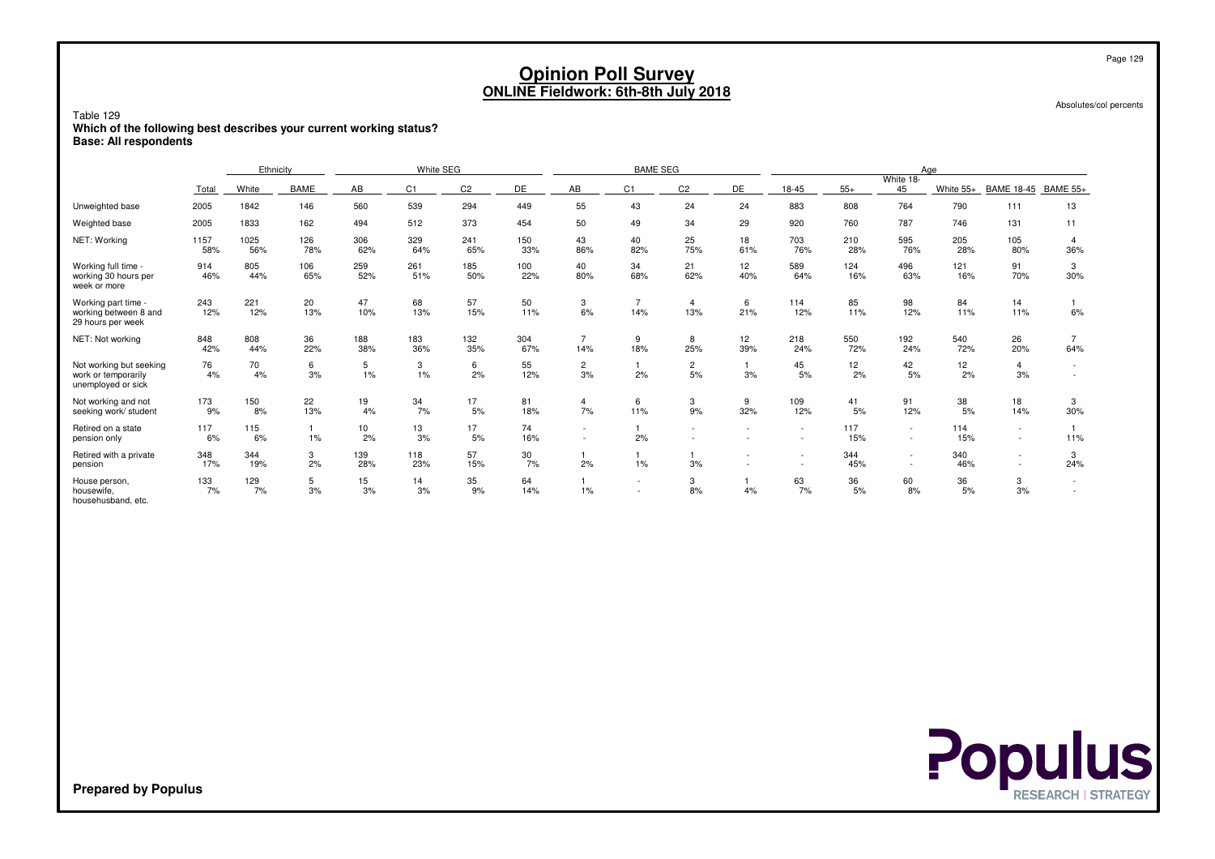Absolutes/col percents

### Table 129 **Which of the following best describes your current working status?Base: All respondents**

|                                                                      |             | Ethnicity   |             |            | White SEG      |                |            |                          | <b>BAME SEG</b> |                       |                        |                          |            |                 | Age        |                      |          |
|----------------------------------------------------------------------|-------------|-------------|-------------|------------|----------------|----------------|------------|--------------------------|-----------------|-----------------------|------------------------|--------------------------|------------|-----------------|------------|----------------------|----------|
|                                                                      | Total       | White       | <b>BAME</b> | AB         | C <sub>1</sub> | C <sub>2</sub> | DE         | AB                       | C <sub>1</sub>  | C <sub>2</sub>        | DE                     | 18-45                    | $55+$      | White 18-<br>45 | White 55+  | BAME 18-45 BAME 55+  |          |
| Unweighted base                                                      | 2005        | 1842        | 146         | 560        | 539            | 294            | 449        | 55                       | 43              | 24                    | 24                     | 883                      | 808        | 764             | 790        | 111                  | 13       |
| Weighted base                                                        | 2005        | 1833        | 162         | 494        | 512            | 373            | 454        | 50                       | 49              | 34                    | 29                     | 920                      | 760        | 787             | 746        | 131                  | 11       |
| NET: Working                                                         | 1157<br>58% | 1025<br>56% | 126<br>78%  | 306<br>62% | 329<br>64%     | 241<br>65%     | 150<br>33% | 43<br>86%                | 40<br>82%       | 25<br>75%             | 18<br>61%              | 703<br>76%               | 210<br>28% | 595<br>76%      | 205<br>28% | 105<br>80%           | 36%      |
| Working full time -<br>working 30 hours per<br>week or more          | 914<br>46%  | 805<br>44%  | 106<br>65%  | 259<br>52% | 261<br>51%     | 185<br>50%     | 100<br>22% | 40<br>80%                | 34<br>68%       | 21<br>62%             | 12 <sup>2</sup><br>40% | 589<br>64%               | 124<br>16% | 496<br>63%      | 121<br>16% | 91<br>70%            | 3<br>30% |
| Working part time -<br>working between 8 and<br>29 hours per week    | 243<br>12%  | 221<br>12%  | 20<br>13%   | 47<br>10%  | 68<br>13%      | 57<br>15%      | 50<br>11%  | 3<br>6%                  | 14%             | $\overline{4}$<br>13% | 6<br>21%               | 114<br>12%               | 85<br>11%  | 98<br>12%       | 84<br>11%  | 14<br>11%            | 6%       |
| NET: Not working                                                     | 848<br>42%  | 808<br>44%  | 36<br>22%   | 188<br>38% | 183<br>36%     | 132<br>35%     | 304<br>67% | 14%                      | 9<br>18%        | 8<br>25%              | 12<br>39%              | 218<br>24%               | 550<br>72% | 192<br>24%      | 540<br>72% | 26<br>20%            | 64%      |
| Not working but seeking<br>work or temporarily<br>unemployed or sick | 76<br>4%    | 70<br>4%    | 6<br>3%     | 5<br>$1\%$ | 3<br>$1\%$     | 6<br>2%        | 55<br>12%  | 2<br>3%                  | 2%              | 2<br>5%               | 3%                     | 45<br>5%                 | 12<br>2%   | 42<br>5%        | 12<br>2%   | $\overline{4}$<br>3% |          |
| Not working and not<br>seeking work/ student                         | 173<br>9%   | 150<br>8%   | 22<br>13%   | 19<br>4%   | 34<br>7%       | 17<br>5%       | 81<br>18%  | 4<br>7%                  | 6<br>11%        | 3<br>9%               | 9<br>32%               | 109<br>12%               | 41<br>5%   | 91<br>12%       | 38<br>5%   | 18<br>14%            | 3<br>30% |
| Retired on a state<br>pension only                                   | 117<br>6%   | 115<br>6%   | 1%          | 10<br>2%   | 13<br>3%       | 17<br>5%       | 74<br>16%  | $\overline{\phantom{a}}$ | 2%              |                       |                        | $\overline{\phantom{a}}$ | 117<br>15% | $\sim$          | 114<br>15% | $\sim$               | 11%      |
| Retired with a private<br>pension                                    | 348<br>17%  | 344<br>19%  | 3<br>2%     | 139<br>28% | 118<br>23%     | 57<br>15%      | 30<br>7%   | 2%                       | 1%              | 3%                    |                        |                          | 344<br>45% |                 | 340<br>46% |                      | 3<br>24% |
| House person,<br>housewife,<br>househusband, etc.                    | 133<br>7%   | 129<br>7%   | 5<br>3%     | 15<br>3%   | 14<br>3%       | 35<br>9%       | 64<br>14%  | $1\%$                    | $\sim$          | 3<br>8%               | 4%                     | 63<br>7%                 | 36<br>5%   | 60<br>8%        | 36<br>5%   | 3<br>3%              |          |



**Prepared by Populus**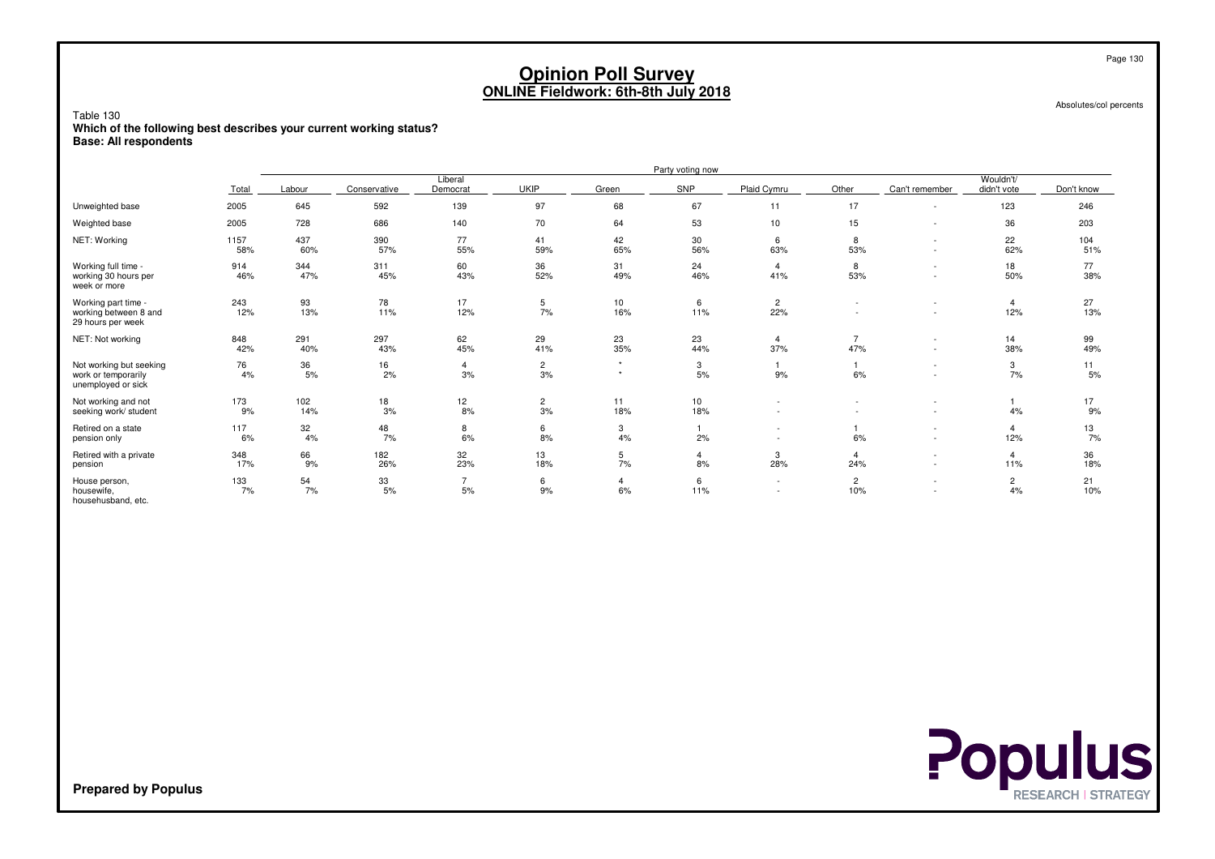Absolutes/col percents

 **Which of the following best describes your current working status?Base: All respondents**

|                                                                      |             |            |              |                      |                      |              | Party voting now       |                                    |                       |                          |                          |            |
|----------------------------------------------------------------------|-------------|------------|--------------|----------------------|----------------------|--------------|------------------------|------------------------------------|-----------------------|--------------------------|--------------------------|------------|
|                                                                      | Total       | Labour     | Conservative | Liberal<br>Democrat  | <b>UKIP</b>          | Green        | SNP                    | Plaid Cymru                        | Other                 | Can't remember           | Wouldn't/<br>didn't vote | Don't know |
| Unweighted base                                                      | 2005        | 645        | 592          | 139                  | 97                   | 68           | 67                     | 11                                 | 17                    |                          | 123                      | 246        |
| Weighted base                                                        | 2005        | 728        | 686          | 140                  | 70                   | 64           | 53                     | 10                                 | 15                    |                          | 36                       | 203        |
| NET: Working                                                         | 1157<br>58% | 437<br>60% | 390<br>57%   | 77<br>55%            | 41<br>59%            | 42<br>65%    | 30<br>56%              | 6<br>63%                           | 8<br>53%              | $\overline{\phantom{a}}$ | 22<br>62%                | 104<br>51% |
| Working full time -<br>working 30 hours per<br>week or more          | 914<br>46%  | 344<br>47% | 311<br>45%   | 60<br>43%            | 36<br>52%            | 31<br>49%    | 24<br>46%              | $\overline{4}$<br>41%              | 8<br>53%              |                          | 18<br>50%                | 77<br>38%  |
| Working part time -<br>working between 8 and<br>29 hours per week    | 243<br>12%  | 93<br>13%  | 78<br>11%    | 17<br>12%            | 5<br>7%              | 10<br>16%    | 6<br>11%               | $\overline{2}$<br>22%              |                       |                          | 4<br>12%                 | 27<br>13%  |
| NET: Not working                                                     | 848<br>42%  | 291<br>40% | 297<br>43%   | 62<br>45%            | 29<br>41%            | 23<br>35%    | 23<br>44%              | 4<br>37%                           | $\overline{7}$<br>47% |                          | 14<br>38%                | 99<br>49%  |
| Not working but seeking<br>work or temporarily<br>unemployed or sick | 76<br>4%    | 36<br>5%   | 16<br>2%     | $\overline{4}$<br>3% | $\overline{2}$<br>3% | $\star$<br>٠ | 3<br>5%                | 9%                                 | 6%                    |                          | 3<br>7%                  | 11<br>5%   |
| Not working and not<br>seeking work/ student                         | 173<br>9%   | 102<br>14% | 18<br>3%     | 12<br>8%             | $\overline{2}$<br>3% | 11<br>18%    | 10 <sup>1</sup><br>18% |                                    |                       |                          | 4%                       | 17<br>9%   |
| Retired on a state<br>pension only                                   | 117<br>6%   | 32<br>4%   | 48<br>7%     | 8<br>6%              | 6<br>8%              | 3<br>4%      | 2%                     | $\overline{\phantom{a}}$           | 6%                    |                          | 4<br>12%                 | 13<br>7%   |
| Retired with a private<br>pension                                    | 348<br>17%  | 66<br>9%   | 182<br>26%   | 32<br>23%            | 13<br>18%            | 5<br>7%      | 4<br>8%                | 3<br>28%                           | $\overline{4}$<br>24% | $\sim$                   | $\overline{4}$<br>11%    | 36<br>18%  |
| House person,<br>housewife,<br>househusband, etc.                    | 133<br>7%   | 54<br>7%   | 33<br>5%     | $\overline{7}$<br>5% | 6<br>9%              | 6%           | 6<br>11%               | $\sim$<br>$\overline{\phantom{a}}$ | $\overline{2}$<br>10% |                          | $\overline{2}$<br>4%     | 21<br>10%  |

Table 130

**Prepared by Populus**

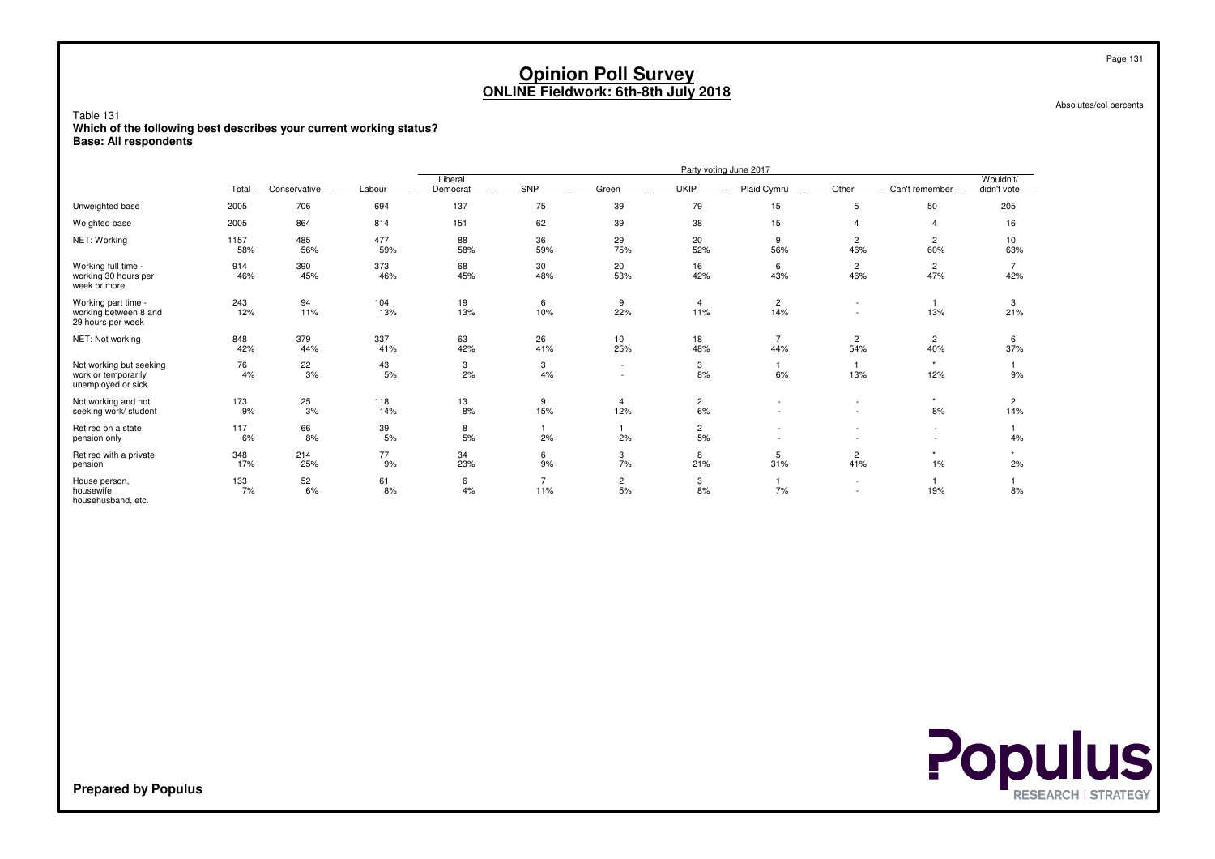Absolutes/col percents

Table 131 **Which of the following best describes your current working status?Base: All respondents**

|                                                                      |             |              |            |                     |           |                       |                      | Party voting June 2017 |                               |                          |                          |
|----------------------------------------------------------------------|-------------|--------------|------------|---------------------|-----------|-----------------------|----------------------|------------------------|-------------------------------|--------------------------|--------------------------|
|                                                                      | Total       | Conservative | Labour     | Liberal<br>Democrat | SNP       | Green                 | <b>UKIP</b>          | Plaid Cymru            | Other                         | Can't remember           | Wouldn't/<br>didn't vote |
| Unweighted base                                                      | 2005        | 706          | 694        | 137                 | 75        | 39                    | 79                   | 15                     | 5                             | 50                       | 205                      |
| Weighted base                                                        | 2005        | 864          | 814        | 151                 | 62        | 39                    | 38                   | 15                     |                               |                          | 16                       |
| NET: Working                                                         | 1157<br>58% | 485<br>56%   | 477<br>59% | 88<br>58%           | 36<br>59% | 29<br>75%             | 20<br>52%            | 9<br>56%               | 2<br>46%                      | 2<br>60%                 | 10<br>63%                |
| Working full time -<br>working 30 hours per<br>week or more          | 914<br>46%  | 390<br>45%   | 373<br>46% | 68<br>45%           | 30<br>48% | 20<br>53%             | 16<br>42%            | 6<br>43%               | 2<br>46%                      | 2<br>47%                 | 42%                      |
| Working part time -<br>working between 8 and<br>29 hours per week    | 243<br>12%  | 94<br>11%    | 104<br>13% | 19<br>13%           | 6<br>10%  | 9<br>22%              | 4<br>11%             | $\overline{2}$<br>14%  | $\overline{\phantom{a}}$<br>٠ | 13%                      | 3<br>21%                 |
| NET: Not working                                                     | 848<br>42%  | 379<br>44%   | 337<br>41% | 63<br>42%           | 26<br>41% | 10<br>25%             | 18<br>48%            | 44%                    | 2<br>54%                      | 2<br>40%                 | 6<br>37%                 |
| Not working but seeking<br>work or temporarily<br>unemployed or sick | 76<br>4%    | 22<br>3%     | 43<br>5%   | 3<br>2%             | 3<br>4%   |                       | 3<br>8%              | 6%                     | 13%                           | 12%                      | 9%                       |
| Not working and not<br>seeking work/ student                         | 173<br>9%   | 25<br>3%     | 118<br>14% | 13<br>8%            | 9<br>15%  | $\overline{4}$<br>12% | $\overline{c}$<br>6% |                        | $\overline{\phantom{0}}$      | 8%                       | 2<br>14%                 |
| Retired on a state<br>pension only                                   | 117<br>6%   | 66<br>8%     | 39<br>5%   | 8<br>5%             | 2%        | 2%                    | $\overline{c}$<br>5% |                        |                               | $\overline{\phantom{a}}$ | 4%                       |
| Retired with a private<br>pension                                    | 348<br>17%  | 214<br>25%   | 77<br>9%   | 34<br>23%           | 6<br>9%   | 3<br>7%               | 8<br>21%             | 5<br>31%               | 2<br>41%                      | $1\%$                    | 2%                       |
| House person,<br>housewife,<br>househusband, etc.                    | 133<br>7%   | 52<br>6%     | 61<br>8%   | 6<br>4%             | 7<br>11%  | $\overline{c}$<br>5%  | 3<br>8%              | 7%                     | $\overline{\phantom{0}}$      | 19%                      | 8%                       |

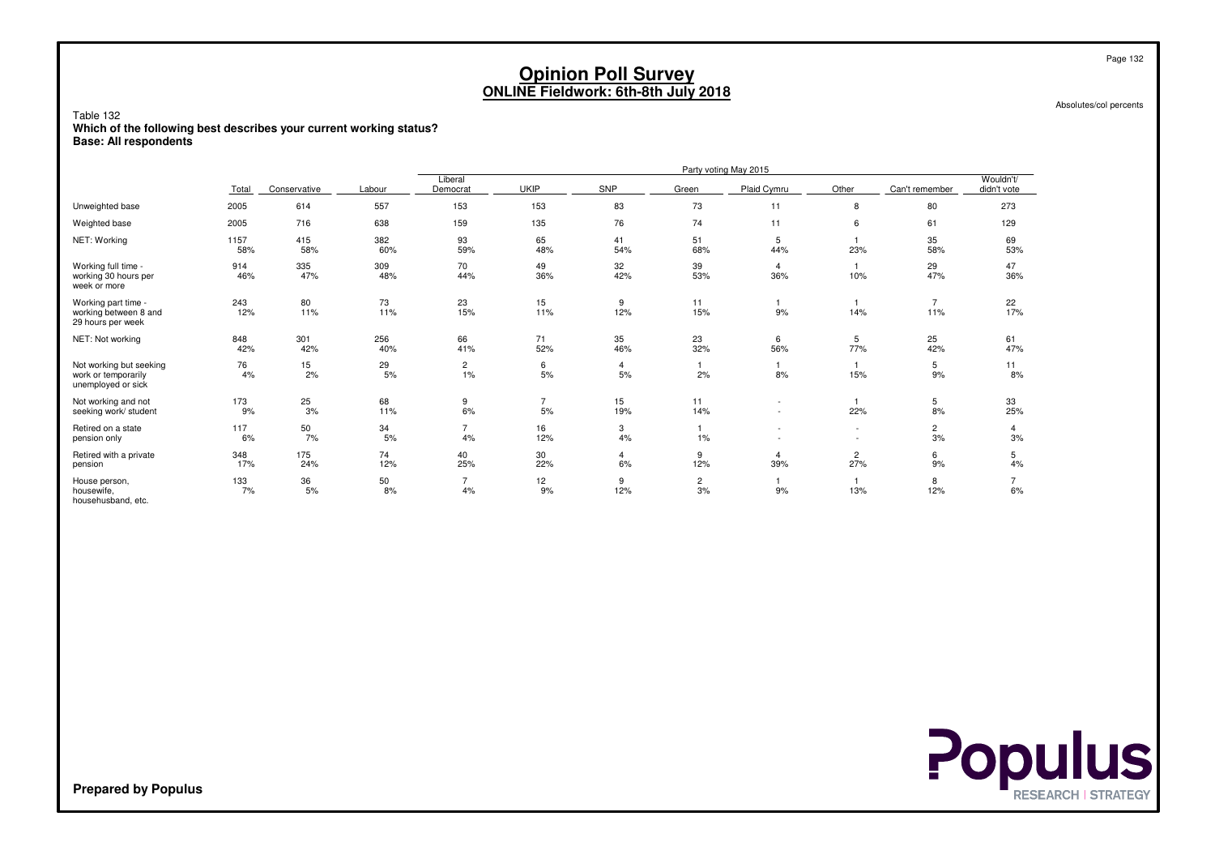Absolutes/col percents

Table 132 **Which of the following best describes your current working status?Base: All respondents**

|                                                                      |             |              |            |                         |                      |                      |                      | Party voting May 2015         |                          |                      |                          |
|----------------------------------------------------------------------|-------------|--------------|------------|-------------------------|----------------------|----------------------|----------------------|-------------------------------|--------------------------|----------------------|--------------------------|
|                                                                      | Total       | Conservative | Labour     | Liberal<br>Democrat     | <b>UKIP</b>          | SNP                  | Green                | Plaid Cymru                   | Other                    | Can't remember       | Wouldn't/<br>didn't vote |
| Unweighted base                                                      | 2005        | 614          | 557        | 153                     | 153                  | 83                   | 73                   | 11                            | 8                        | 80                   | 273                      |
| Weighted base                                                        | 2005        | 716          | 638        | 159                     | 135                  | 76                   | 74                   | 11                            | 6                        | 61                   | 129                      |
| NET: Working                                                         | 1157<br>58% | 415<br>58%   | 382<br>60% | 93<br>59%               | 65<br>48%            | 41<br>54%            | 51<br>68%            | 5<br>44%                      | 23%                      | 35<br>58%            | 69<br>53%                |
| Working full time -<br>working 30 hours per<br>week or more          | 914<br>46%  | 335<br>47%   | 309<br>48% | 70<br>44%               | 49<br>36%            | 32<br>42%            | 39<br>53%            | 4<br>36%                      | 10%                      | 29<br>47%            | 47<br>36%                |
| Working part time -<br>working between 8 and<br>29 hours per week    | 243<br>12%  | 80<br>11%    | 73<br>11%  | 23<br>15%               | 15<br>11%            | 9<br>12%             | 11<br>15%            | 9%                            | 14%                      | 11%                  | 22<br>17%                |
| NET: Not working                                                     | 848<br>42%  | 301<br>42%   | 256<br>40% | 66<br>41%               | 71<br>52%            | 35<br>46%            | 23<br>32%            | 6<br>56%                      | 5<br>77%                 | 25<br>42%            | 61<br>47%                |
| Not working but seeking<br>work or temporarily<br>unemployed or sick | 76<br>4%    | 15<br>2%     | 29<br>5%   | $\overline{c}$<br>$1\%$ | 6<br>5%              | 4<br>5%              | 2%                   | 8%                            | 15%                      | 5<br>9%              | 11<br>8%                 |
| Not working and not<br>seeking work/ student                         | 173<br>9%   | 25<br>3%     | 68<br>11%  | 9<br>6%                 | $\overline{7}$<br>5% | 15<br>19%            | 11<br>14%            | $\overline{\phantom{a}}$<br>- | 22%                      | 5<br>8%              | 33<br>25%                |
| Retired on a state<br>pension only                                   | 117<br>6%   | 50<br>7%     | 34<br>5%   | $\overline{7}$<br>4%    | 16<br>12%            | 3<br>4%              | $1\%$                | ٠                             | $\overline{\phantom{a}}$ | $\overline{2}$<br>3% | 4<br>3%                  |
| Retired with a private<br>pension                                    | 348<br>17%  | 175<br>24%   | 74<br>12%  | 40<br>25%               | 30<br>22%            | $\overline{4}$<br>6% | 9<br>12%             | 4<br>39%                      | 2<br>27%                 | 6<br>9%              | 5<br>4%                  |
| House person,<br>housewife,<br>househusband, etc.                    | 133<br>7%   | 36<br>5%     | 50<br>8%   | $\overline{7}$<br>4%    | 12<br>9%             | 9<br>12%             | $\overline{2}$<br>3% | 9%                            | 13%                      | 8<br>12%             | 6%                       |

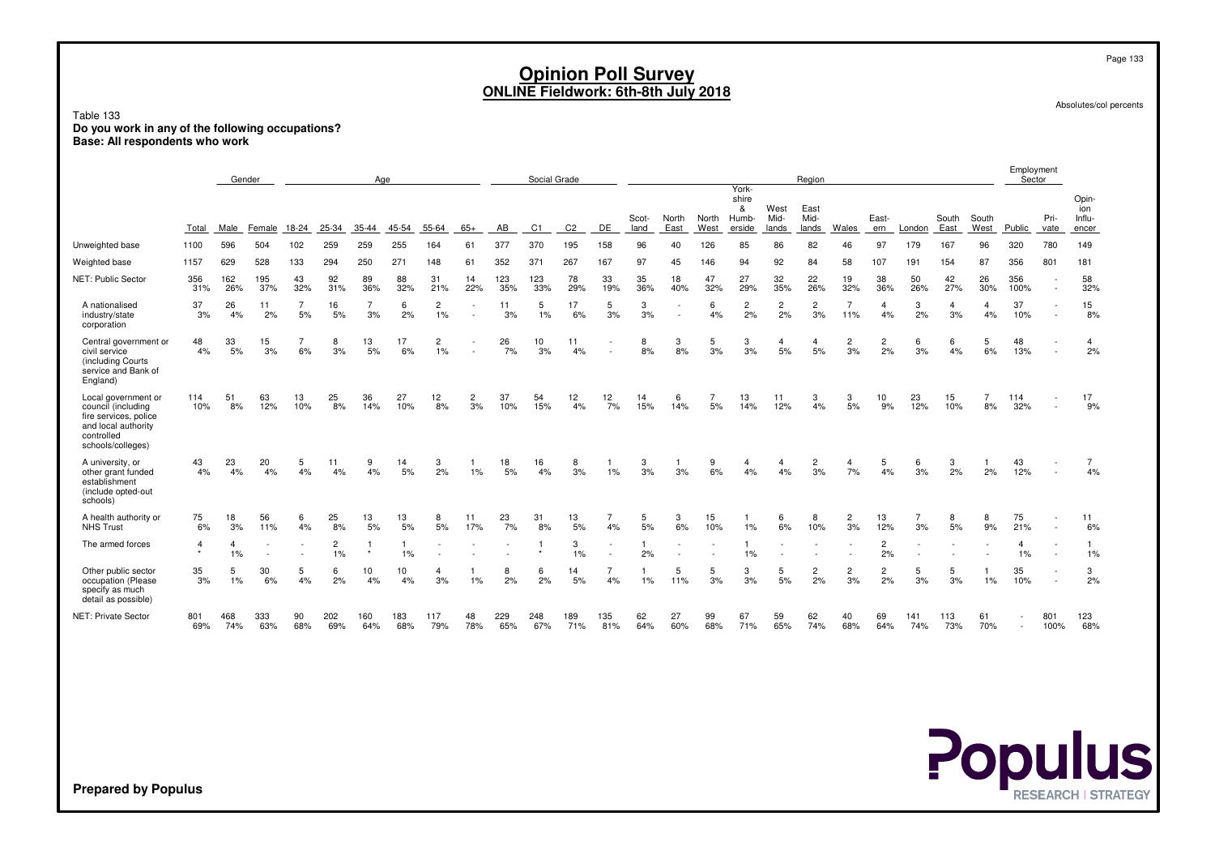Page 133

Absolutes/col percents

**Populus** 

Table 133 **Do you work in any of the following occupations?Base: All respondents who work**

|                                                                                                                              |                           |            | Gender     |                      |                      | Age        |            |                      |           |            | Social Grade   |                |                |               |               |               | York-                         |                       | Region                |                       |                      |            |               |               | Employment<br>Sector |                          |                                 |
|------------------------------------------------------------------------------------------------------------------------------|---------------------------|------------|------------|----------------------|----------------------|------------|------------|----------------------|-----------|------------|----------------|----------------|----------------|---------------|---------------|---------------|-------------------------------|-----------------------|-----------------------|-----------------------|----------------------|------------|---------------|---------------|----------------------|--------------------------|---------------------------------|
|                                                                                                                              | Total                     | Male       | Female     | 18-24                | 25-34                | 35-44      | 45-54      | 55-64                | 65+       | AB         | C <sub>1</sub> | C <sub>2</sub> | DE             | Scot-<br>land | North<br>East | North<br>West | shire<br>&<br>Humb-<br>erside | West<br>Mid-<br>lands | East<br>Mid-<br>lands | Wales                 | East-<br>ern         | London     | South<br>East | South<br>West | <b>Public</b>        | Pri-<br>vate             | Opin-<br>ion<br>Influ-<br>encer |
| Unweighted base                                                                                                              | 1100                      | 596        | 504        | 102                  | 259                  | 259        | 255        | 164                  | 61        | 377        | 370            | 195            | 158            | 96            | 40            | 126           | 85                            | 86                    | 82                    | 46                    | 97                   | 179        | 167           | 96            | 320                  | 780                      | 149                             |
| Weighted base                                                                                                                | 1157                      | 629        | 528        | 133                  | 294                  | 250        | 271        | 148                  | 61        | 352        | 371            | 267            | 167            | 97            | 45            | 146           | 94                            | 92                    | 84                    | 58                    | 107                  | 191        | 154           | 87            | 356                  | 801                      | 181                             |
| NET: Public Sector                                                                                                           | 356<br>31%                | 162<br>26% | 195<br>37% | 43<br>32%            | 92<br>31%            | 89<br>36%  | 88<br>32%  | 31<br>21%            | 14<br>22% | 123<br>35% | 123<br>33%     | 78<br>29%      | 33<br>19%      | 35<br>36%     | 18<br>40%     | 47<br>32%     | 27<br>29%                     | 32<br>35%             | 22<br>26%             | 19<br>32%             | 38<br>36%            | 50<br>26%  | 42<br>27%     | 26<br>30%     | 356<br>100%          |                          | 58<br>32%                       |
| A nationalised<br>industry/state<br>corporation                                                                              | 37<br>3%                  | 26<br>4%   | 11<br>2%   | $\overline{7}$<br>5% | 16<br>5%             | 3%         | 6<br>2%    | $\overline{2}$<br>1% |           | 11<br>3%   | 5<br>1%        | 17<br>6%       | 5<br>3%        | 3<br>3%       |               | 6<br>4%       | $\overline{2}$<br>2%          | $\overline{c}$<br>2%  | $\overline{2}$<br>3%  | $\overline{7}$<br>11% | $\overline{4}$<br>4% | 3<br>2%    | 4<br>3%       | 4<br>4%       | 37<br>10%            |                          | 15<br>8%                        |
| Central government or<br>civil service<br>(including Courts)<br>service and Bank of<br>England)                              | 48<br>4%                  | 33<br>5%   | 15<br>3%   | 6%                   | 8<br>3%              | 13<br>5%   | 17<br>6%   | 2<br>1%              |           | 26<br>7%   | 10<br>3%       | 11<br>4%       |                | 8<br>8%       | 3<br>8%       | 5<br>3%       | 3<br>3%                       | $\overline{4}$<br>5%  | $\overline{4}$<br>5%  | $\overline{c}$<br>3%  | 2<br>2%              | 6<br>3%    | 6<br>4%       | 5<br>6%       | 48<br>13%            |                          | $\overline{4}$<br>2%            |
| Local government or<br>council (including<br>fire services, police<br>and local authority<br>controlled<br>schools/colleges) | 114<br>10%                | 51<br>8%   | 63<br>12%  | 13<br>10%            | 25<br>8%             | 36<br>14%  | 27<br>10%  | 12<br>8%             | 2<br>3%   | 37<br>10%  | 54<br>15%      | 12<br>4%       | 12<br>7%       | 14<br>15%     | 6<br>14%      | 5%            | 13<br>14%                     | 11<br>12%             | 3<br>4%               | 3<br>5%               | 10<br>9%             | 23<br>12%  | 15<br>10%     | 8%            | 114<br>32%           |                          | 17<br>9%                        |
| A university, or<br>other grant funded<br>establishment<br>(include opted-out<br>schools)                                    | 43<br>4%                  | 23<br>4%   | 20<br>4%   | 5<br>4%              | 11<br>4%             | 9<br>4%    | 14<br>5%   | 3<br>2%              | $1\%$     | 18<br>5%   | 16<br>4%       | 8<br>3%        | 1%             | 3<br>3%       | 3%            | 9<br>6%       | 4%                            | 4%                    | 2<br>3%               | 4<br>7%               | 5<br>4%              | 6<br>3%    | 3<br>2%       | 2%            | 43<br>12%            | $\overline{\phantom{a}}$ | 4%                              |
| A health authority or<br><b>NHS Trust</b>                                                                                    | 75<br>6%                  | 18<br>3%   | 56<br>11%  | 6<br>4%              | 25<br>8%             | 13<br>5%   | 13<br>5%   | 8<br>5%              | 11<br>17% | 23<br>7%   | 31<br>8%       | 13<br>5%       | 4%             | 5<br>5%       | 3<br>6%       | 15<br>10%     | 1%                            | 6<br>6%               | 8<br>10%              | $\overline{c}$<br>3%  | 13<br>12%            | 7<br>3%    | 8<br>5%       | 8<br>9%       | 75<br>21%            |                          | 11<br>6%                        |
| The armed forces                                                                                                             | $\overline{4}$<br>$\star$ | 1%         |            |                      | $\overline{2}$<br>1% | $\star$    | -1<br>1%   |                      |           |            |                | 3<br>1%        | $\overline{a}$ | 2%            |               |               | 1%                            |                       |                       |                       | $\overline{2}$<br>2% |            |               |               | $\overline{4}$<br>1% | $\overline{\phantom{a}}$ | 1%                              |
| Other public sector<br>occupation (Please<br>specify as much<br>detail as possible)                                          | 35<br>3%                  | 5<br>$1\%$ | 30<br>6%   | 5<br>4%              | 6<br>2%              | 10<br>4%   | 10<br>4%   | 3%                   | $1\%$     | 8<br>2%    | 6<br>2%        | 14<br>5%       | 4%             | 1%            | 5<br>11%      | 5<br>3%       | 3<br>3%                       | 5<br>5%               | $\overline{2}$<br>2%  | $\overline{c}$<br>3%  | 2<br>2%              | 5<br>3%    | 5<br>3%       | $1\%$         | 35<br>10%            | $\overline{\phantom{a}}$ | 3<br>2%                         |
| NET: Private Sector                                                                                                          | 801<br>69%                | 468<br>74% | 333<br>63% | 90<br>68%            | 202<br>69%           | 160<br>64% | 183<br>68% | 117<br>79%           | 48<br>78% | 229<br>65% | 248<br>67%     | 189<br>71%     | 135<br>81%     | 62<br>64%     | 27<br>60%     | 99<br>68%     | 67<br>71%                     | 59<br>65%             | 62<br>74%             | 40<br>68%             | 69<br>64%            | 141<br>74% | 113<br>73%    | 61<br>70%     |                      | 801<br>100%              | 123<br>68%                      |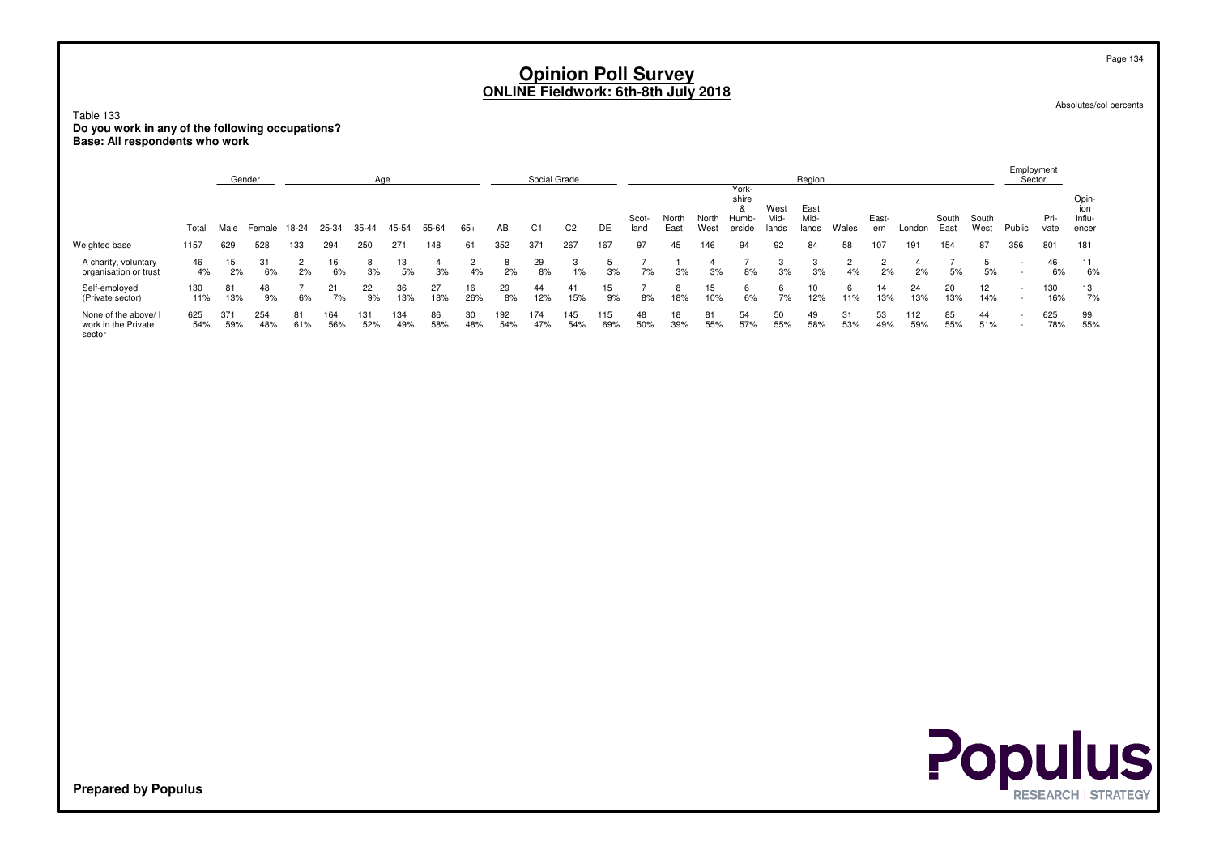Absolutes/col percents

Page 134

Table 133 **Do you work in any of the following occupations?Base: All respondents who work**

|                                                     |            |            | Gender     |           |            | Age        |            |           |           |            | Social Grade |            |            |               |               |               |                                         |                       | Region                |           |              |            |               |               | Employment<br>Sector               |              |                                 |
|-----------------------------------------------------|------------|------------|------------|-----------|------------|------------|------------|-----------|-----------|------------|--------------|------------|------------|---------------|---------------|---------------|-----------------------------------------|-----------------------|-----------------------|-----------|--------------|------------|---------------|---------------|------------------------------------|--------------|---------------------------------|
|                                                     | Total      | Male       | Female     | 18-24     | 25-34      | 35-44      | 45-54      | 55-64     | 65+       | AB         | C1           | C2         | DE         | Scot-<br>land | North<br>East | North<br>West | York-<br>shire<br>×.<br>Humb-<br>erside | West<br>Mid-<br>lands | East<br>Mid-<br>lands | Wales     | East-<br>ern | London     | South<br>East | South<br>West | Public                             | Pri-<br>vate | Opin-<br>ion<br>Influ-<br>encer |
| Weighted base                                       | 1157       | 629        | 528        | 133       | 294        | 250        | 271        | 148       | 61        | 352        | 371          | 267        | 167        | 97            | 45            | 146           | 94                                      | 92                    | 84                    | 58        |              | 191        | 154           | 87            | 356                                | 801          | 181                             |
| A charity, voluntary<br>organisation or trust       | 46<br>4%   | 15<br>2%   | 31<br>6%   | 2%        | 16<br>6%   | 3%         | 13<br>5%   | 3%        | 4%        | 8<br>2%    | 29<br>8%     | 3<br>1%    | 3%         | 7%            | 3%            | 3%            | 8%                                      | 3<br>3%               | 3%                    | 4%        | 2%           | 2%         | 5%            | 5<br>5%       | $\overline{\phantom{0}}$<br>$\sim$ | 46<br>6%     | 11<br>6%                        |
| Self-employed<br>(Private sector)                   | 130<br>11% | 81<br>13%  | 48<br>9%   | 6%        | 7%         | 22<br>9%   | 36<br>13%  | 27<br>18% | 16<br>26% | 29<br>8%   | 44<br>12%    | 41<br>15%  | 15<br>9%   | 8%            | 18%           | 15<br>10%     | 6%                                      | 6<br>7%               | 12%                   | 11%       | 14<br>13%    | 24<br>13%  | 20<br>13%     | 12<br>14%     |                                    | 130<br>16%   | 13<br>7%                        |
| None of the above/<br>work in the Private<br>sector | 625<br>54% | 371<br>59% | 254<br>48% | 81<br>61% | 164<br>56% | 131<br>52% | 134<br>49% | 86<br>58% | 30<br>48% | 192<br>54% | 174<br>47%   | 145<br>54% | 115<br>69% | 48<br>50%     | 18<br>39%     | 81<br>55%     | 54<br>57%                               | 50<br>55%             | 49<br>58%             | 31<br>53% | 53<br>49%    | 112<br>59% | 85<br>55%     | 44<br>51%     |                                    | 625<br>78%   | 99<br>55%                       |



**Populus**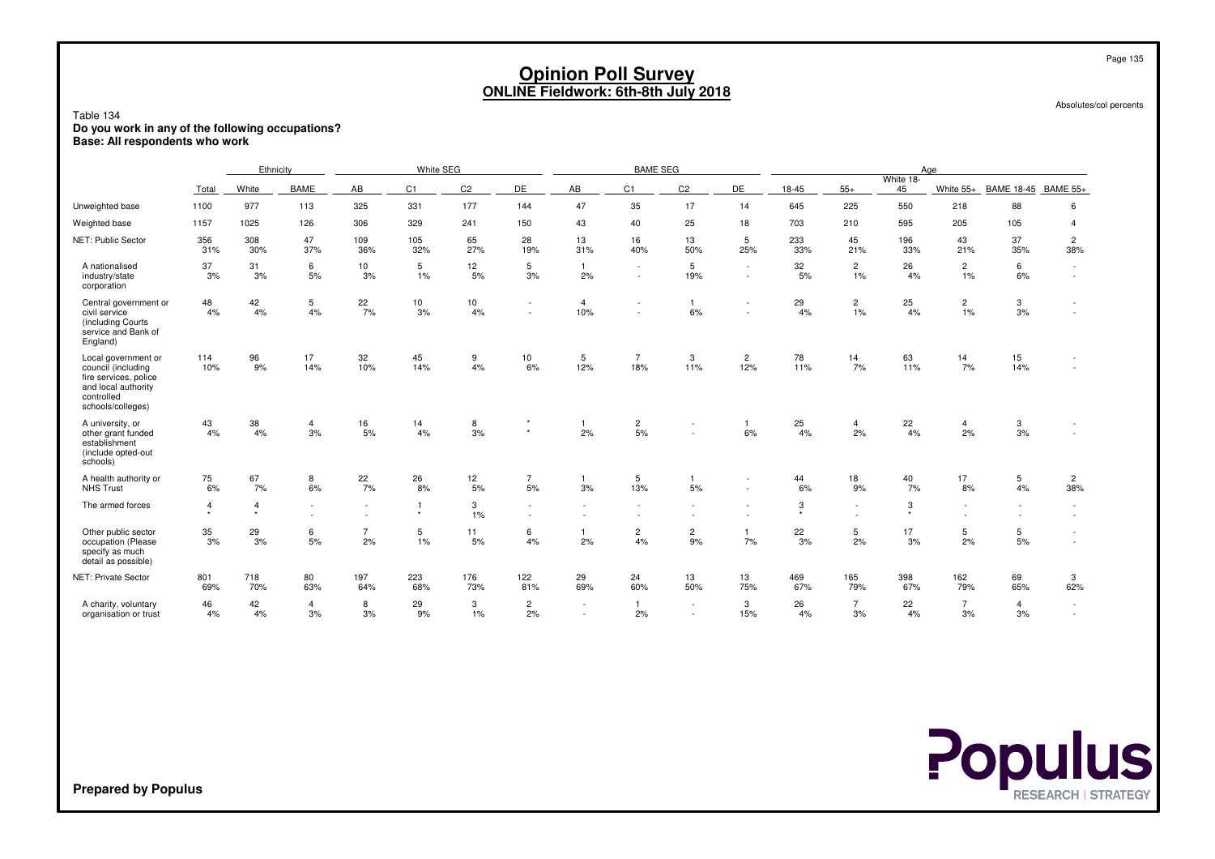|                                                                                                                              |                |                           |                      |                      |                         |                |                      |                       | <b>Opinion Poll Survey</b><br><b>ONLINE Fieldwork: 6th-8th July 2018</b> |                          |                                    |              |                      |              |                                    |                      | Page 135                 |  |
|------------------------------------------------------------------------------------------------------------------------------|----------------|---------------------------|----------------------|----------------------|-------------------------|----------------|----------------------|-----------------------|--------------------------------------------------------------------------|--------------------------|------------------------------------|--------------|----------------------|--------------|------------------------------------|----------------------|--------------------------|--|
| Table 134<br>Do you work in any of the following occupations?<br>Base: All respondents who work                              |                |                           |                      |                      |                         |                |                      |                       |                                                                          |                          |                                    |              |                      |              |                                    |                      | Absolutes/col percents   |  |
|                                                                                                                              |                | Ethnicity                 |                      |                      | White SEG               |                |                      |                       | <b>BAME SEG</b>                                                          |                          |                                    |              |                      | White 18-    | Age                                |                      |                          |  |
|                                                                                                                              | Total          | White                     | <b>BAME</b>          | AB                   | C1                      | C <sub>2</sub> | DE                   | AB                    | C1                                                                       | C <sub>2</sub>           | DE                                 | 18-45        | $55+$                | 45           | White $55+$                        | BAME 18-45 BAME 55+  |                          |  |
| Unweighted base                                                                                                              | 1100           | 977                       | 113                  | 325                  | 331                     | 177            | 144                  | 47                    | 35                                                                       | 17                       | 14                                 | 645          | 225                  | 550          | 218                                | 88                   | 6                        |  |
| Weighted base                                                                                                                | 1157           | 1025                      | 126                  | 306                  | 329                     | 241            | 150                  | 43                    | 40                                                                       | 25                       | 18                                 | 703          | 210                  | 595          | 205                                | 105                  | $\overline{4}$           |  |
| NET: Public Sector                                                                                                           | 356<br>31%     | 308<br>30%                | 47<br>37%            | 109<br>36%           | 105<br>32%              | 65<br>27%      | 28<br>19%            | 13<br>31%             | 16<br>40%                                                                | 13<br>50%                | 5<br>25%                           | 233<br>33%   | 45<br>21%            | 196<br>33%   | 43<br>21%                          | 37<br>35%            | $\overline{c}$<br>38%    |  |
| A nationalised<br>industry/state<br>corporation                                                                              | 37<br>3%       | 31<br>3%                  | 6<br>5%              | 10<br>3%             | 5<br>1%                 | 12<br>5%       | 5<br>3%              | $\overline{1}$<br>2%  | $\sim$<br>$\sim$                                                         | 5<br>19%                 | $\sim$<br>$\overline{\phantom{a}}$ | 32<br>5%     | $\overline{2}$<br>1% | 26<br>4%     | $\overline{2}$<br>1%               | 6<br>6%              | $\sim$<br><b>Section</b> |  |
| Central government or<br>civil service<br>(including Courts)<br>service and Bank of<br>England)                              | 48<br>4%       | 42<br>4%                  | 5<br>4%              | 22<br>7%             | 10 <sup>1</sup><br>3%   | 10<br>4%       | $\sim$<br>$\sim$     | $\overline{4}$<br>10% | $\overline{\phantom{a}}$<br>$\overline{\phantom{a}}$                     | $\mathbf{1}$<br>6%       | $\overline{\phantom{a}}$           | 29<br>4%     | $\overline{2}$<br>1% | 25<br>4%     | $\overline{c}$<br>1%               | 3<br>3%              | $\sim$<br>$\sim$         |  |
| Local government or<br>council (including<br>fire services, police<br>and local authority<br>controlled<br>schools/colleges) | 114<br>10%     | 96<br>9%                  | 17<br>14%            | 32<br>10%            | 45<br>14%               | 9<br>4%        | 10<br>6%             | 5<br>12%              | $\overline{7}$<br>18%                                                    | 3<br>11%                 | $\overline{2}$<br>12%              | 78<br>11%    | 14<br>7%             | 63<br>11%    | 14<br>7%                           | 15<br>14%            |                          |  |
| A university, or<br>other grant funded<br>establishment<br>(include opted-out<br>schools)                                    | 43<br>4%       | 38<br>4%                  | $\overline{4}$<br>3% | 16<br>5%             | 14<br>4%                | 8<br>3%        | $^\star$             | $\overline{1}$<br>2%  | $\overline{c}$<br>5%                                                     | $\overline{\phantom{a}}$ | $\mathbf{1}$<br>6%                 | 25<br>4%     | 4<br>2%              | 22<br>4%     | $\overline{4}$<br>2%               | 3<br>3%              |                          |  |
| A health authority or<br><b>NHS Trust</b>                                                                                    | 75<br>6%       | 67<br>7%                  | 8<br>6%              | 22<br>7%             | 26<br>8%                | 12<br>5%       | $\overline{7}$<br>5% | $\overline{1}$<br>3%  | 5<br>13%                                                                 | $\mathbf{1}$<br>5%       |                                    | 44<br>6%     | 18<br>9%             | 40<br>7%     | 17<br>8%                           | 5<br>4%              | $\overline{c}$<br>38%    |  |
| The armed forces                                                                                                             | $\overline{4}$ | $\overline{4}$<br>$\star$ | $\blacksquare$       |                      | $\mathbf{1}$<br>$\star$ | 3<br>1%        | $\sim$<br>$\sim$     | ٠                     |                                                                          | $\overline{\phantom{a}}$ |                                    | 3<br>$\star$ | ٠                    | 3<br>$\star$ | $\sim$<br>$\overline{\phantom{a}}$ |                      | $\sim$<br>$\sim$         |  |
| Other public sector<br>occupation (Please<br>specify as much<br>detail as possible)                                          | 35<br>3%       | 29<br>3%                  | 6<br>5%              | $\overline{7}$<br>2% | 5<br>1%                 | 11<br>5%       | 6<br>4%              | $\overline{1}$<br>2%  | $\overline{c}$<br>4%                                                     | $\overline{c}$<br>9%     | $\mathbf{1}$<br>7%                 | 22<br>3%     | 5<br>2%              | 17<br>3%     | 5<br>2%                            | 5<br>5%              | $\sim$<br>$\sim$         |  |
| NET: Private Sector                                                                                                          | 801<br>69%     | 718<br>70%                | 80<br>63%            | 197<br>64%           | 223<br>68%              | 176<br>73%     | 122<br>81%           | 29<br>69%             | 24<br>60%                                                                | 13<br>50%                | 13<br>75%                          | 469<br>67%   | 165<br>79%           | 398<br>67%   | 162<br>79%                         | 69<br>65%            | 3<br>62%                 |  |
| A charity, voluntary<br>organisation or trust                                                                                | 46<br>4%       | 42<br>4%                  | 4<br>3%              | 8<br>3%              | 29<br>9%                | 3<br>$1\%$     | $\overline{2}$<br>2% | ٠<br>$\sim$           | $\overline{1}$<br>2%                                                     | $\sim$<br>$\sim$         | 3<br>15%                           | 26<br>4%     | $\overline{7}$<br>3% | 22<br>4%     | $\overline{7}$<br>3%               | $\overline{4}$<br>3% | $\sim$<br>$\sim$         |  |

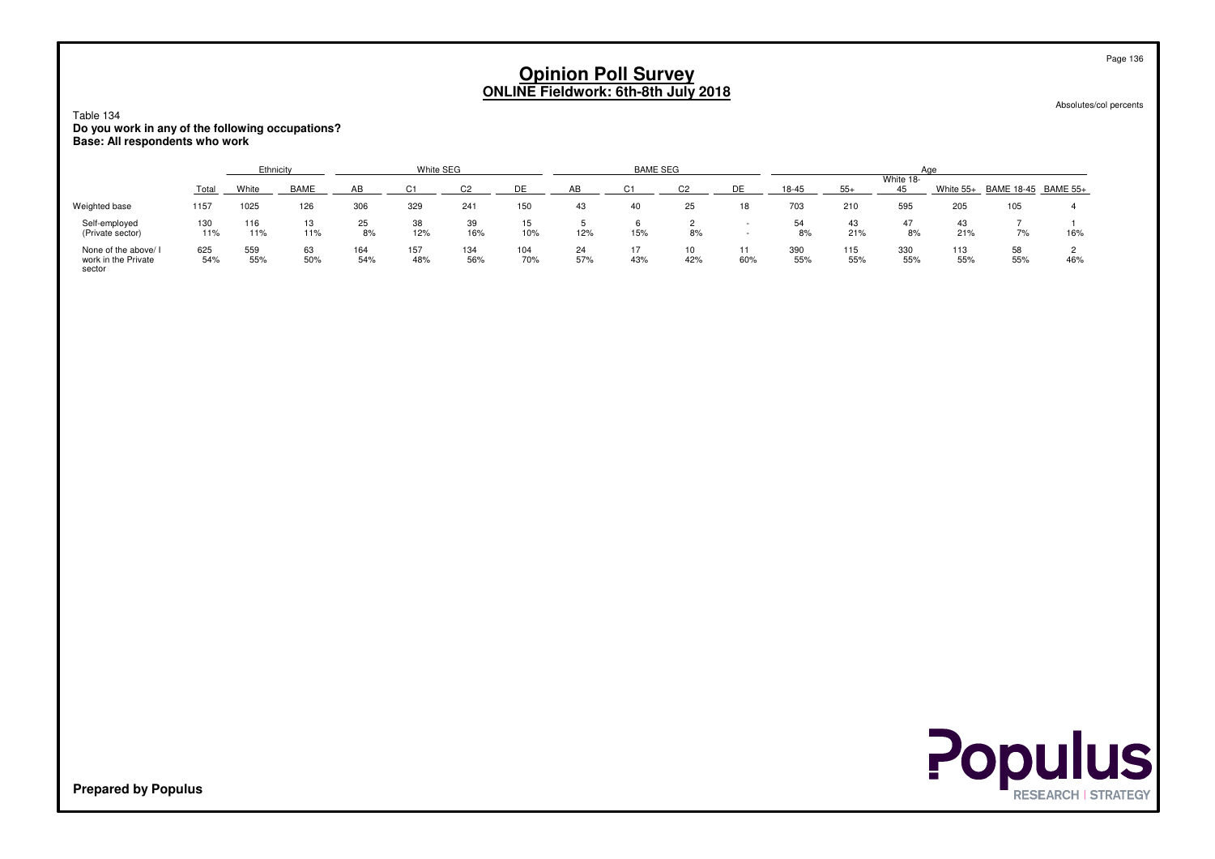Absolutes/col percents

### Table 134 **Do you work in any of the following occupations?Base: All respondents who work**

|                                                       |            | Ethnicity  |             |            | White SEG  |            |            |           | <b>BAME SEG</b> |           |     |            |            |                 | Aae        |                     |     |
|-------------------------------------------------------|------------|------------|-------------|------------|------------|------------|------------|-----------|-----------------|-----------|-----|------------|------------|-----------------|------------|---------------------|-----|
|                                                       | Total      | White      | <b>BAME</b> |            |            |            |            |           | $\sim$          | $\sim$    | ηF  | $18 - 45$  | $55+$      | White 18-<br>45 | White 55+  | BAME 18-45 BAME 55+ |     |
| Weighted base                                         | 1157       | 1025       | 126         | 306        | 329        | 241        | 150        | 43        | 40              | 25        | 18  | 703        | 210        | 595             | 205        | 105                 |     |
| Self-employed<br>(Private sector)                     | 130<br>11% | 116<br>11% | 13<br>11%   | 25<br>8%   | 38<br>12%  | 39<br>16%  | 15<br>10%  | 12%       | 15%             | 8%        |     | 54<br>8%   | 43<br>21%  | 47<br>8%        | 43<br>21%  | 7%                  | 16% |
| None of the above/ I<br>work in the Private<br>sector | 625<br>54% | 559<br>55% | 63<br>50%   | 164<br>54% | 157<br>48% | 134<br>56% | 104<br>70% | 24<br>57% | 43%             | 10<br>42% | 60% | 390<br>55% | 115<br>55% | 330<br>55%      | 113<br>55% | 58<br>55%           | 46% |



**Prepared by Populus**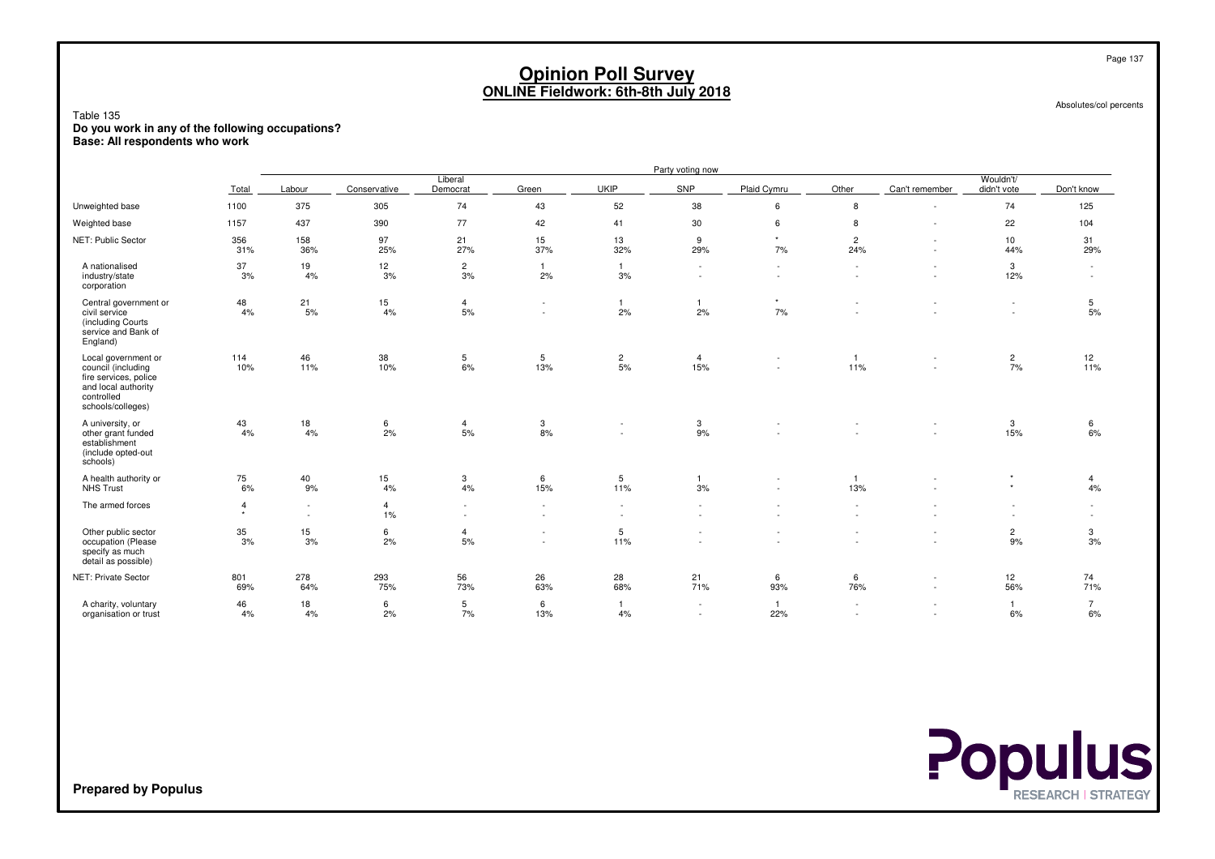Absolutes/col percents

Table 135 **Do you work in any of the following occupations?Base: All respondents who work**

|                                                                                                                              |                           |                  |                      |                                    |                                                      |                                    | Party voting now                |                     |                          |                               |                          |                               |
|------------------------------------------------------------------------------------------------------------------------------|---------------------------|------------------|----------------------|------------------------------------|------------------------------------------------------|------------------------------------|---------------------------------|---------------------|--------------------------|-------------------------------|--------------------------|-------------------------------|
|                                                                                                                              | Total                     | Labour           | Conservative         | Liberal<br>Democrat                | Green                                                | UKIP                               | SNP                             | Plaid Cymru         | Other                    | Can't remember                | Wouldn't/<br>didn't vote | Don't know                    |
| Unweighted base                                                                                                              | 1100                      | 375              | 305                  | 74                                 | 43                                                   | 52                                 | 38                              | 6                   | 8                        | $\overline{\phantom{a}}$      | 74                       | 125                           |
| Weighted base                                                                                                                | 1157                      | 437              | 390                  | 77                                 | 42                                                   | 41                                 | 30                              | 6                   | 8                        |                               | 22                       | 104                           |
| NET: Public Sector                                                                                                           | 356<br>31%                | 158<br>36%       | 97<br>25%            | 21<br>27%                          | 15<br>37%                                            | 13<br>32%                          | 9<br>29%                        | $\star$<br>7%       | $\overline{c}$<br>24%    | $\overline{\phantom{a}}$<br>٠ | 10 <sup>1</sup><br>44%   | 31<br>29%                     |
| A nationalised<br>industry/state<br>corporation                                                                              | 37<br>3%                  | 19<br>4%         | 12<br>3%             | $\overline{2}$<br>3%               | $\overline{1}$<br>2%                                 | $\mathbf{1}$<br>3%                 | $\sim$<br>$\sim$                | $\sim$<br>$\sim$    | $\blacksquare$<br>$\sim$ | ٠                             | 3<br>12%                 | $\sim$<br>$\sim$              |
| Central government or<br>civil service<br>(including Courts<br>service and Bank of<br>England)                               | 48<br>4%                  | 21<br>5%         | 15<br>4%             | $\overline{4}$<br>5%               | $\sim$                                               | $\mathbf{1}$<br>2%                 | 2%                              | $\star$<br>7%       | $\sim$                   |                               | $\sim$                   | 5<br>5%                       |
| Local government or<br>council (including<br>fire services, police<br>and local authority<br>controlled<br>schools/colleges) | 114<br>10%                | 46<br>11%        | 38<br>10%            | $\sqrt{5}$<br>6%                   | 5<br>13%                                             | $\overline{c}$<br>5%               | $\overline{4}$<br>15%           | $\sim$              | $\mathbf{1}$<br>11%      |                               | $\overline{c}$<br>7%     | $\frac{12}{11\%}$             |
| A university, or<br>other grant funded<br>establishment<br>(include opted-out<br>schools)                                    | 43<br>4%                  | 18<br>4%         | 6<br>2%              | $\overline{4}$<br>5%               | 3<br>8%                                              | ٠<br>$\sim$                        | 3<br>9%                         |                     |                          | $\sim$                        | 3<br>15%                 | 6<br>6%                       |
| A health authority or<br><b>NHS Trust</b>                                                                                    | 75<br>6%                  | 40<br>9%         | 15<br>4%             | 3<br>4%                            | 6<br>15%                                             | $5\phantom{.0}$<br>11%             | 3%                              | $\sim$              | $\mathbf{1}$<br>13%      |                               | $\star$                  | 4<br>4%                       |
| The armed forces                                                                                                             | $\overline{4}$<br>$\star$ | $\sim$<br>$\sim$ | $\overline{4}$<br>1% | $\sim$<br>$\overline{\phantom{a}}$ | $\overline{\phantom{a}}$                             | $\sim$<br>$\overline{\phantom{a}}$ | $\sim$                          |                     | $\sim$                   |                               |                          | $\overline{\phantom{a}}$<br>٠ |
| Other public sector<br>occupation (Please<br>specify as much<br>detail as possible)                                          | 35<br>3%                  | 15<br>3%         | 6<br>2%              | $\overline{4}$<br>5%               | $\overline{\phantom{a}}$<br>$\overline{\phantom{a}}$ | 5<br>11%                           |                                 |                     |                          |                               | $\mathbf{2}$<br>9%       | 3<br>3%                       |
| NET: Private Sector                                                                                                          | 801<br>69%                | 278<br>64%       | 293<br>75%           | 56<br>73%                          | 26<br>63%                                            | 28<br>68%                          | 21<br>71%                       | 6<br>93%            | 6<br>76%                 | $\overline{\phantom{a}}$<br>٠ | 12<br>56%                | 74<br>71%                     |
| A charity, voluntary<br>organisation or trust                                                                                | 46<br>4%                  | 18<br>4%         | 6<br>2%              | $\,$ 5<br>7%                       | 6<br>13%                                             | $\mathbf{1}$<br>4%                 | $\sim$<br>$\tilde{\phantom{a}}$ | $\mathbf{1}$<br>22% |                          |                               | $\mathbf{1}$<br>6%       | $\overline{7}$<br>6%          |



**Prepared by Populus**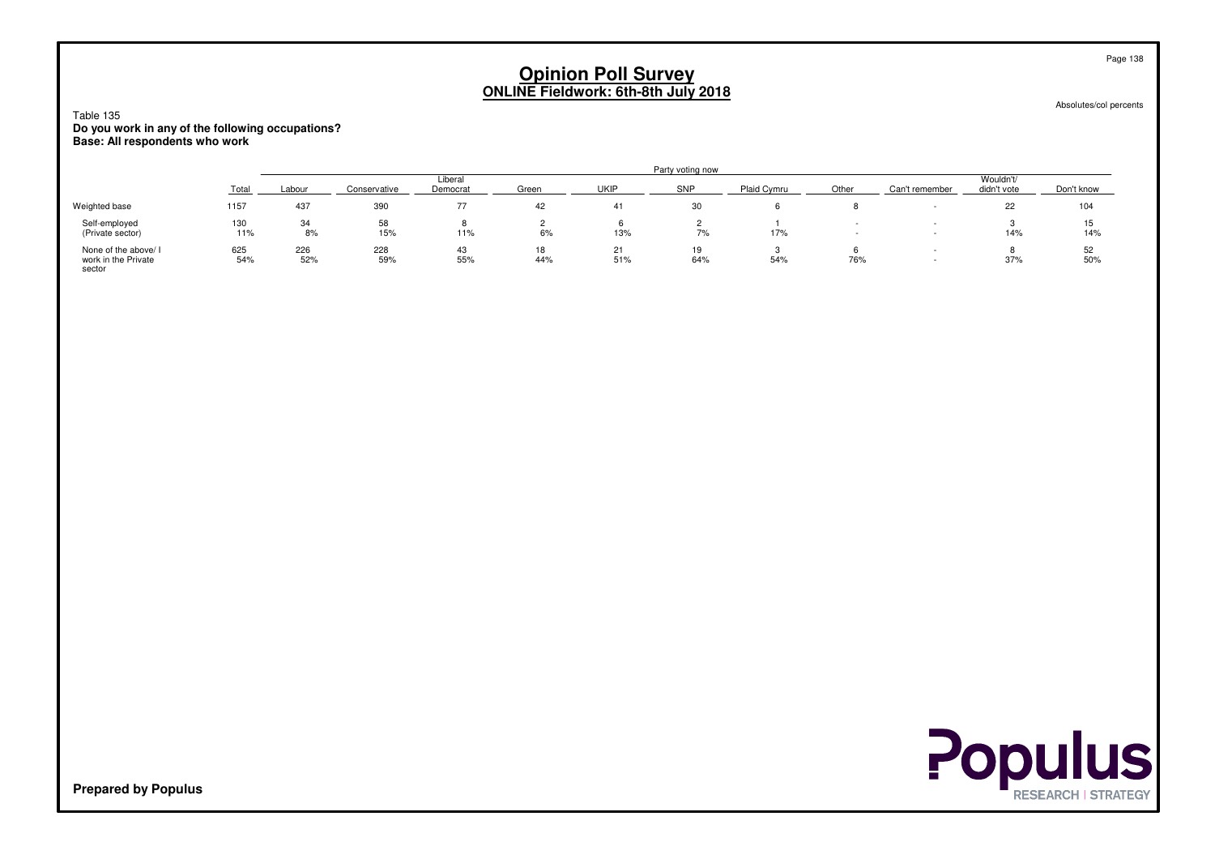Absolutes/col percents

Table 135 **Do you work in any of the following occupations?Base: All respondents who work**

|                                                       |            |            |              |                     |           |           | Party voting now |             |       |                |                          |            |
|-------------------------------------------------------|------------|------------|--------------|---------------------|-----------|-----------|------------------|-------------|-------|----------------|--------------------------|------------|
|                                                       | Total      | Labour     | Conservative | Liberal<br>Democrat | Green     | UKIF      | SNP              | Plaid Cymru | Other | Can't remember | Wouldn't/<br>didn't vote | Don't know |
| Weighted base                                         | 1157       | 437        | 390          |                     | 42        | 41        | 30               |             |       |                | ے                        | 104        |
| Self-employed<br>(Private sector)                     | 130<br>11% | 34<br>8%   | 58<br>15%    | 8<br>11%            | 6%        | 13%       | 7%               | 17%         |       |                | 14%                      | 14%        |
| None of the above/ I<br>work in the Private<br>sector | 625<br>54% | 226<br>52% | 228<br>59%   | 43<br>55%           | 18<br>44% | 21<br>51% | 64%              | 54%         | 76%   | -              | 37%                      | 52<br>50%  |



**Prepared by Populus**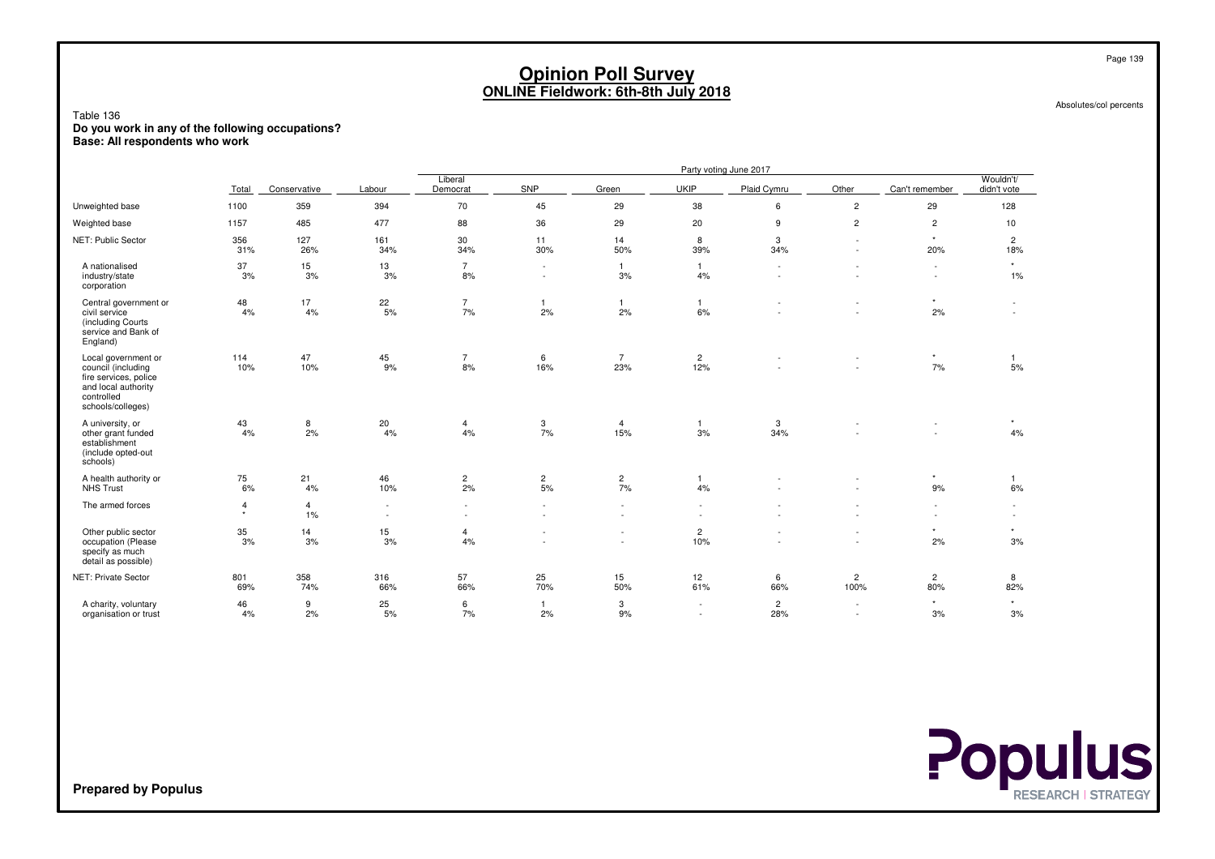Absolutes/col percents

Table 136 **Do you work in any of the following occupations?Base: All respondents who work**

|                                                                                                                              |              |                      |                  |                      |                                    |                               |                                | Party voting June 2017 |                                    |                       |                               |
|------------------------------------------------------------------------------------------------------------------------------|--------------|----------------------|------------------|----------------------|------------------------------------|-------------------------------|--------------------------------|------------------------|------------------------------------|-----------------------|-------------------------------|
|                                                                                                                              | Total        | Conservative         | Labour           | Liberal<br>Democrat  | SNP                                | Green                         | <b>UKIP</b>                    | Plaid Cymru            | Other                              | Can't remember        | Wouldn't/<br>didn't vote      |
| Unweighted base                                                                                                              | 1100         | 359                  | 394              | 70                   | 45                                 | 29                            | 38                             | 6                      | $\overline{c}$                     | 29                    | 128                           |
| Weighted base                                                                                                                | 1157         | 485                  | 477              | 88                   | 36                                 | 29                            | 20                             | 9                      | $\overline{c}$                     | $\overline{c}$        | 10                            |
| NET: Public Sector                                                                                                           | 356<br>31%   | 127<br>26%           | 161<br>34%       | 30<br>34%            | 11<br>30%                          | 14<br>50%                     | 8<br>39%                       | 3<br>34%               | $\sim$<br>$\sim$                   | $\star$<br>20%        | $\overline{c}$<br>18%         |
| A nationalised<br>industry/state<br>corporation                                                                              | 37<br>3%     | 15<br>3%             | 13<br>3%         | $\overline{7}$<br>8% | $\sim$<br>$\sim$                   | $\mathbf{1}$<br>3%            | $\mathbf{1}$<br>4%             | $\sim$                 | $\sim$                             | $\sim$<br>$\sim$      | $\star$<br>$1\%$              |
| Central government or<br>civil service<br>(including Courts<br>service and Bank of<br>England)                               | 48<br>4%     | 17<br>4%             | 22<br>5%         | $\overline{7}$<br>7% | $\mathbf{1}$<br>2%                 | $\mathbf{1}$<br>2%            | $\mathbf{1}$<br>6%             |                        | $\sim$<br>$\sim$                   | $\star$<br>2%         | $\sim$<br>٠                   |
| Local government or<br>council (including<br>fire services, police<br>and local authority<br>controlled<br>schools/colleges) | 114<br>10%   | 47<br>10%            | 45<br>9%         | $\overline{7}$<br>8% | 6<br>16%                           | $\overline{7}$<br>23%         | $\overline{c}$<br>12%          |                        |                                    | $\star$<br>7%         | $\mathbf{1}$<br>5%            |
| A university, or<br>other grant funded<br>establishment<br>(include opted-out<br>schools)                                    | 43<br>4%     | 8<br>2%              | 20<br>4%         | $\overline{4}$<br>4% | $\frac{3}{7\%}$                    | 4<br>15%                      | $\mathbf{1}$<br>3%             | 3<br>34%               |                                    |                       | $\star$<br>4%                 |
| A health authority or<br><b>NHS Trust</b>                                                                                    | 75<br>6%     | 21<br>4%             | 46<br>10%        | $\overline{c}$<br>2% | $\frac{2}{5\%}$                    | $\overline{\mathbf{c}}$<br>7% | $\mathbf{1}$<br>4%             |                        |                                    | $\star$<br>9%         | $\mathbf{1}$<br>6%            |
| The armed forces                                                                                                             | 4<br>$\star$ | $\overline{4}$<br>1% | $\sim$<br>$\sim$ | $\sim$<br>$\sim$     | $\sim$<br>$\sim$                   | $\sim$<br>$\sim$              |                                |                        |                                    | $\sim$<br>$\sim$      | $\overline{\phantom{a}}$<br>٠ |
| Other public sector<br>occupation (Please<br>specify as much<br>detail as possible)                                          | 35<br>3%     | 14<br>3%             | 15<br>3%         | $\overline{4}$<br>4% | $\overline{\phantom{a}}$<br>$\sim$ | $\sim$<br>$\sim$              | $\overline{\mathbf{c}}$<br>10% |                        | $\sim$<br>$\overline{\phantom{a}}$ | $^\star$<br>2%        | $\star$<br>3%                 |
| NET: Private Sector                                                                                                          | 801<br>69%   | 358<br>74%           | 316<br>66%       | 57<br>66%            | 25<br>70%                          | 15<br>50%                     | 12<br>61%                      | 6<br>66%               | $\overline{c}$<br>100%             | $\overline{2}$<br>80% | 8<br>82%                      |
| A charity, voluntary<br>organisation or trust                                                                                | 46<br>4%     | 9<br>2%              | 25<br>5%         | 6<br>7%              | $\overline{1}$<br>2%               | 3<br>9%                       |                                | $\overline{c}$<br>28%  | $\sim$<br>$\overline{\phantom{a}}$ | $^\star$<br>3%        | $\star$<br>3%                 |

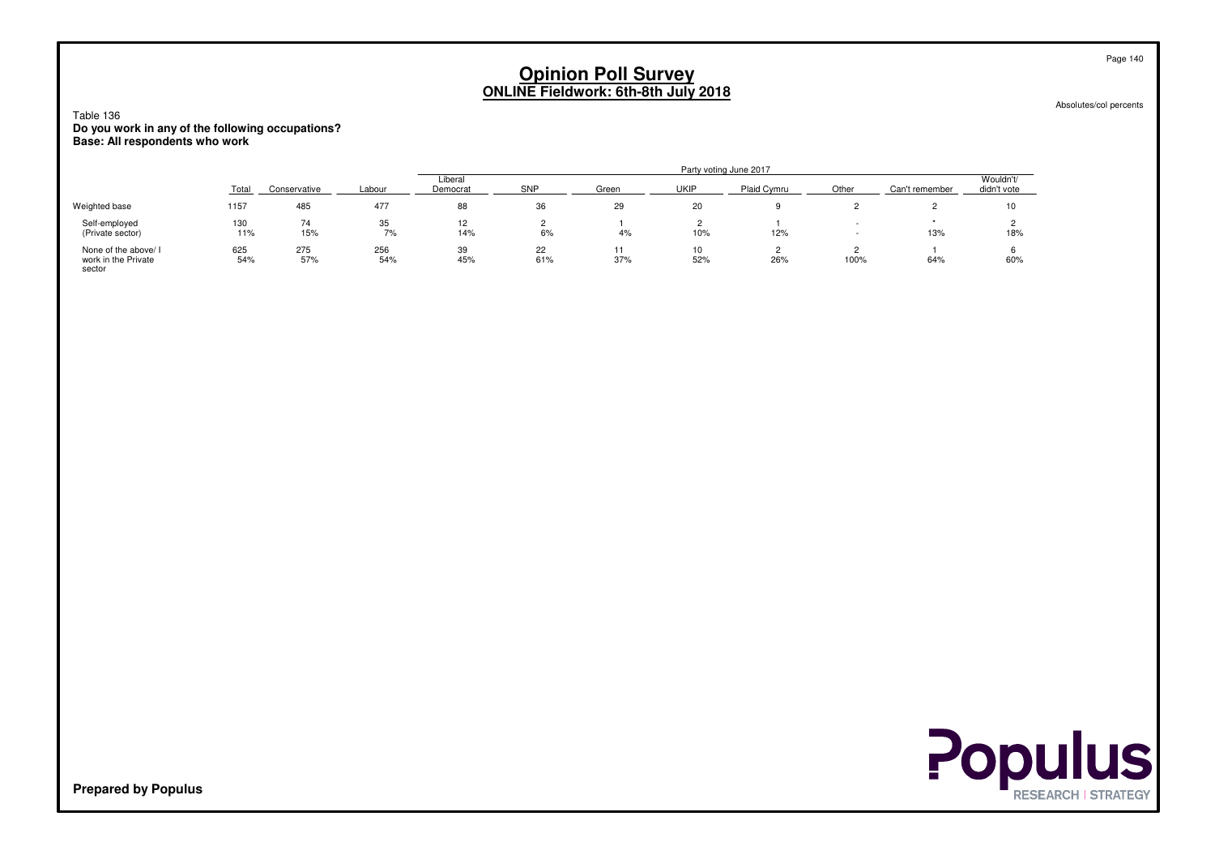Absolutes/col percents

Table 136 **Do you work in any of the following occupations?Base: All respondents who work**

|                                                       |            |              |            |                     |           |       |           | Party voting June 2017 |       |                |                          |
|-------------------------------------------------------|------------|--------------|------------|---------------------|-----------|-------|-----------|------------------------|-------|----------------|--------------------------|
|                                                       | Total      | Conservative | Labour     | Liberal<br>Democrat | SNP       | Green | UKIP      | Plaid Cymru            | Other | Can't remember | Wouldn't/<br>didn't vote |
| Weighted base                                         | 1157       | 485          | 477        | 88                  | 36        | 29    | 20        |                        |       |                | 10                       |
| Self-employed<br>(Private sector)                     | 130<br>11% | 74<br>15%    | 35<br>7%   | 12<br>14%           | 6%        | 4%    | 10%       | 12%                    |       | 13%            | 18%                      |
| None of the above/ I<br>work in the Private<br>sector | 625<br>54% | 275<br>57%   | 256<br>54% | 39<br>45%           | 22<br>61% | 37%   | 10<br>52% | 26%                    | 100%  | 64%            | 60%                      |

**Populus**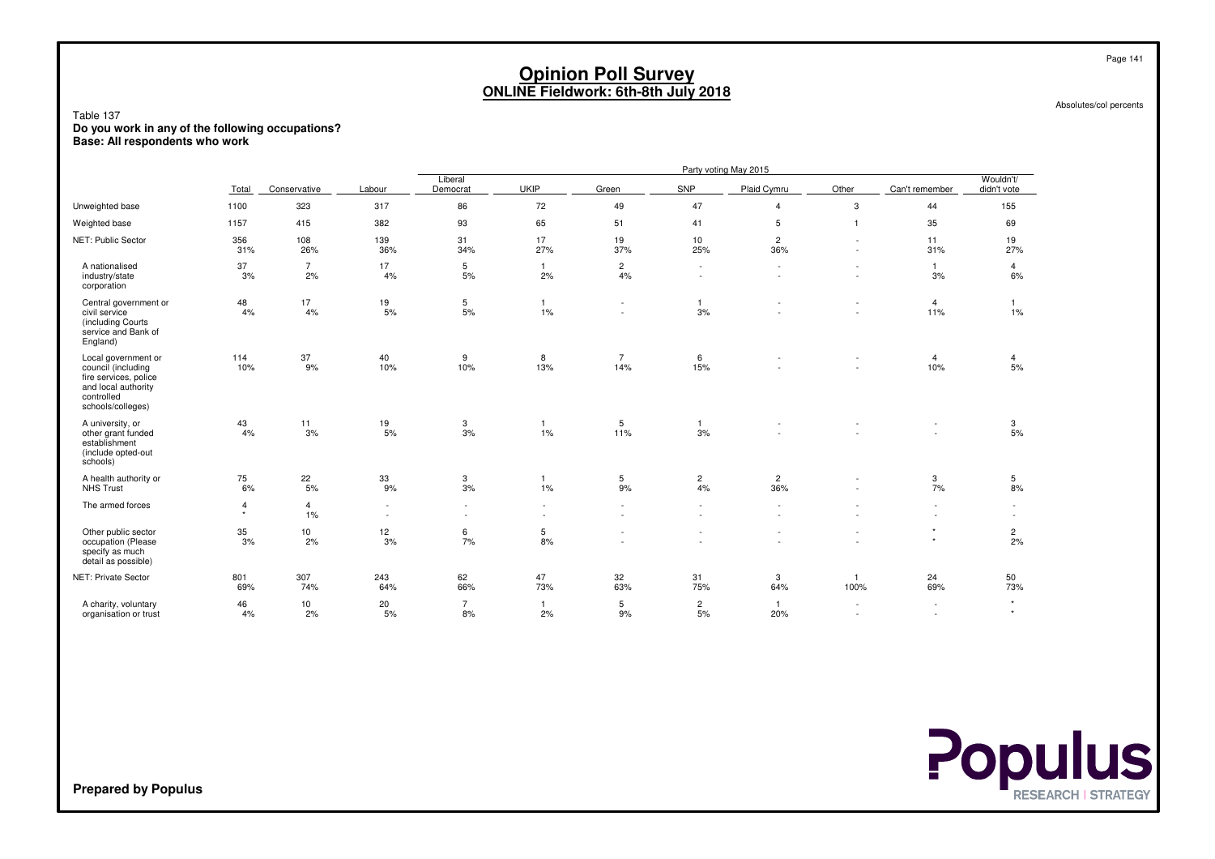Absolutes/col percents

Table 137 **Do you work in any of the following occupations?Base: All respondents who work**

|                                                                                                                              |              |                      |                                          |                      |                      |                          |                               | Party voting May 2015    |                                    |                          |                                                      |
|------------------------------------------------------------------------------------------------------------------------------|--------------|----------------------|------------------------------------------|----------------------|----------------------|--------------------------|-------------------------------|--------------------------|------------------------------------|--------------------------|------------------------------------------------------|
|                                                                                                                              | Total        | Conservative         | Labour                                   | Liberal<br>Democrat  | <b>UKIP</b>          | Green                    | SNP                           | Plaid Cymru              | Other                              | Can't remember           | Wouldn't/<br>didn't vote                             |
| Unweighted base                                                                                                              | 1100         | 323                  | 317                                      | 86                   | 72                   | 49                       | 47                            | $\overline{4}$           | 3                                  | 44                       | 155                                                  |
| Weighted base                                                                                                                | 1157         | 415                  | 382                                      | 93                   | 65                   | 51                       | 41                            | 5                        | $\overline{1}$                     | 35                       | 69                                                   |
| NET: Public Sector                                                                                                           | 356<br>31%   | 108<br>26%           | 139<br>36%                               | 31<br>34%            | 17<br>27%            | 19<br>37%                | 10<br>25%                     | $\overline{c}$<br>36%    | $\sim$<br>$\overline{\phantom{a}}$ | 11<br>31%                | 19<br>27%                                            |
| A nationalised<br>industry/state<br>corporation                                                                              | 37<br>3%     | $\overline{7}$<br>2% | 17<br>4%                                 | 5<br>5%              | $\overline{1}$<br>2% | $\overline{c}$<br>4%     | $\sim$                        | $\sim$                   | $\sim$                             | $\mathbf{1}$<br>3%       | 4<br>6%                                              |
| Central government or<br>civil service<br>(including Courts<br>service and Bank of<br>England)                               | 48<br>4%     | 17<br>4%             | 19<br>5%                                 | 5<br>$5%$            | $\mathbf{1}$<br>1%   | $\overline{\phantom{a}}$ | 1<br>3%                       | $\overline{\phantom{a}}$ | $\sim$<br>$\overline{a}$           | $\overline{4}$<br>11%    | $\overline{1}$<br>1%                                 |
| Local government or<br>council (including<br>fire services, police<br>and local authority<br>controlled<br>schools/colleges) | 114<br>10%   | 37<br>9%             | 40<br>10%                                | 9<br>10%             | 8<br>13%             | $\overline{7}$<br>14%    | 6<br>15%                      |                          | ٠                                  | $\overline{4}$<br>10%    | 4<br>5%                                              |
| A university, or<br>other grant funded<br>establishment<br>(include opted-out<br>schools)                                    | 43<br>4%     | 11<br>3%             | $\begin{array}{c} 19 \\ 5\% \end{array}$ | 3<br>3%              | $\mathbf{1}$<br>1%   | 5<br>11%                 | $\overline{1}$<br>3%          |                          |                                    |                          | 3<br>5%                                              |
| A health authority or<br><b>NHS Trust</b>                                                                                    | 75<br>6%     | $^{22}_{\ 5\%}$      | 33<br>9%                                 | 3<br>3%              | $\overline{1}$<br>1% | 5<br>9%                  | $\overline{\mathbf{c}}$<br>4% | $\overline{c}$<br>36%    |                                    | 3<br>7%                  | 5<br>8%                                              |
| The armed forces                                                                                                             | 4<br>$\star$ | 4<br>1%              | $\sim$<br>$\sim$                         | $\sim$<br>$\sim$     | $\sim$<br>$\sim$     |                          |                               |                          |                                    | ٠<br>$\sim$              | $\overline{\phantom{a}}$<br>$\overline{\phantom{a}}$ |
| Other public sector<br>occupation (Please<br>specify as much<br>detail as possible)                                          | 35<br>3%     | 10<br>2%             | 12<br>3%                                 | 6<br>7%              | 5<br>8%              |                          |                               | $\sim$<br>$\sim$         | $\sim$<br>$\ddot{\phantom{1}}$     | $\star$<br>$\star$       | $\frac{2}{2\%}$                                      |
| NET: Private Sector                                                                                                          | 801<br>69%   | 307<br>74%           | 243<br>64%                               | 62<br>66%            | 47<br>73%            | 32<br>63%                | 31<br>75%                     | 3<br>64%                 | $\overline{1}$<br>100%             | 24<br>69%                | 50<br>73%                                            |
| A charity, voluntary<br>organisation or trust                                                                                | 46<br>4%     | 10<br>2%             | 20<br>5%                                 | $\overline{7}$<br>8% | $\overline{1}$<br>2% | 5<br>9%                  | $\overline{c}$<br>5%          | $\mathbf{1}$<br>20%      |                                    | $\overline{\phantom{a}}$ | $^\star$<br>$\star$                                  |

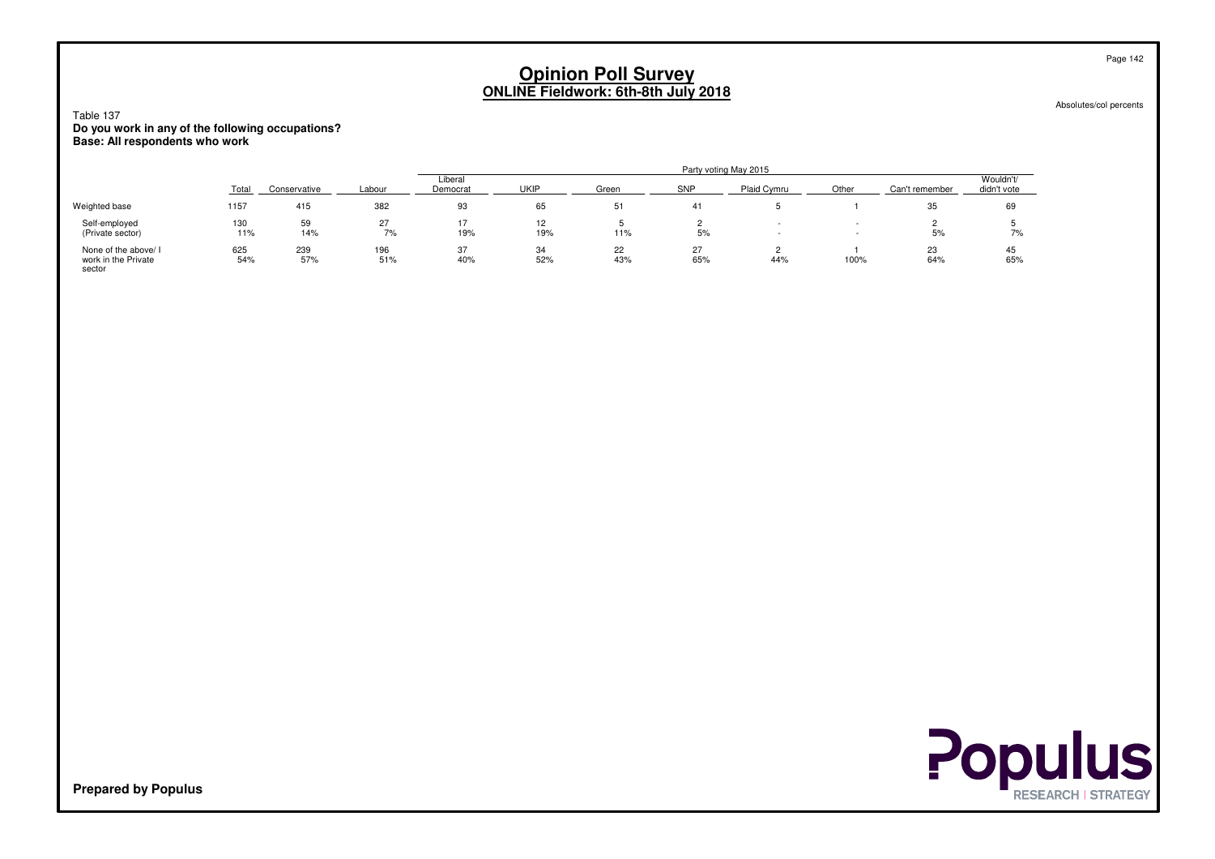Absolutes/col percents

Table 137 **Do you work in any of the following occupations?Base: All respondents who work**

|                                                       |            |              |            |                     |             |           |            | Party voting May 2015 |       |                |                          |
|-------------------------------------------------------|------------|--------------|------------|---------------------|-------------|-----------|------------|-----------------------|-------|----------------|--------------------------|
|                                                       | Total      | Conservative | Labour     | Liberal<br>Democrat | <b>UKIP</b> | Green     | <b>SNP</b> | Plaid Cymru           | Other | Can't remember | Wouldn't/<br>didn't vote |
| Weighted base                                         | 1157       | 415          | 382        | 93                  | 65          | 51        | 41         |                       |       | 35             | 69                       |
| Self-employed<br>(Private sector)                     | 130<br>11% | 59<br>14%    | 27<br>7%   | 19%                 | 19%         | 11%       | 5%         |                       |       | 5%             | 7%                       |
| None of the above/ I<br>work in the Private<br>sector | 625<br>54% | 239<br>57%   | 196<br>51% | 37<br>40%           | 34<br>52%   | 22<br>43% | 27<br>65%  | 44%                   | 100%  | 23<br>64%      | 45<br>65%                |

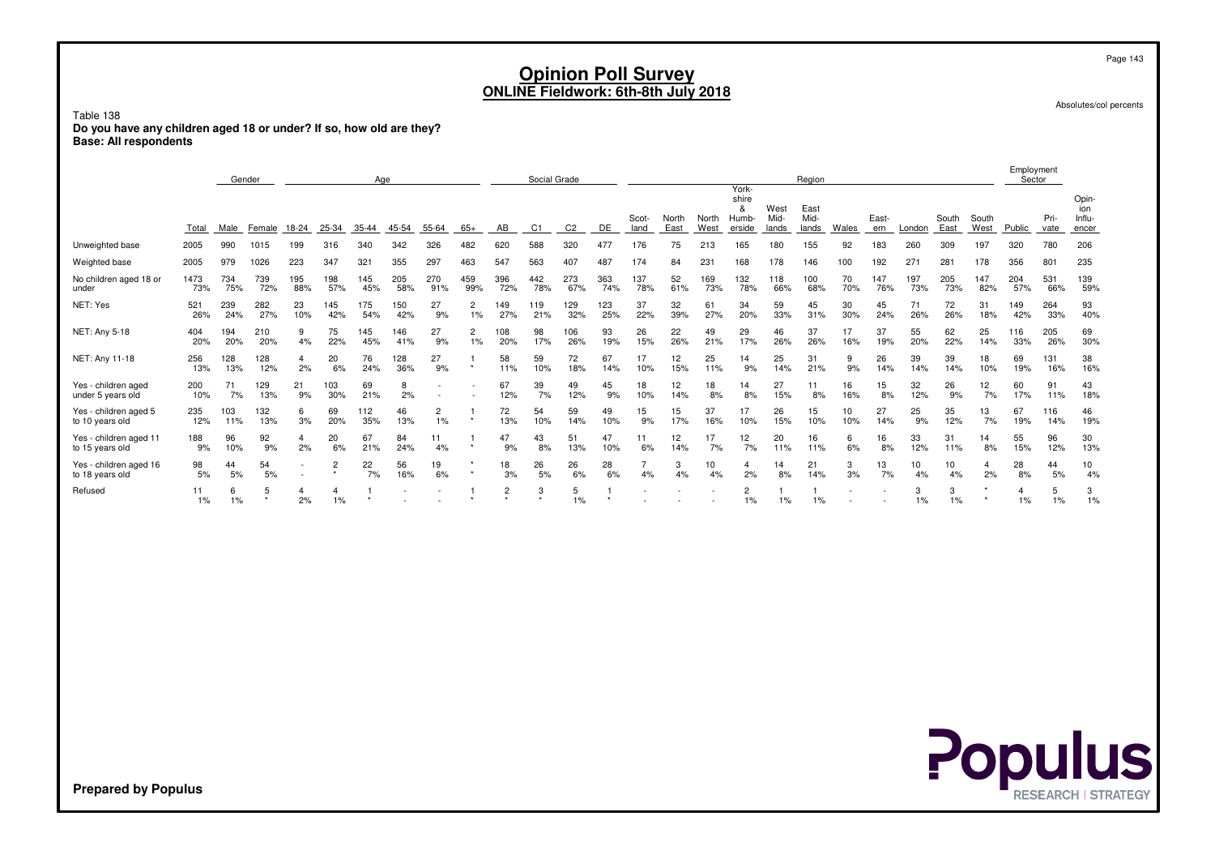Absolutes/col percents

Table 138 **Do you have any children aged 18 or under? If so, how old are they?Base: All respondents**

|                                           |             |            | Gender     |            |                      | Age        |            |                      |                      |                             | Social Grade |            |            |               |               |               | York-                         |                       | Region                |              |              |            |               |               | Employment<br>Sector |                 |                                 |
|-------------------------------------------|-------------|------------|------------|------------|----------------------|------------|------------|----------------------|----------------------|-----------------------------|--------------|------------|------------|---------------|---------------|---------------|-------------------------------|-----------------------|-----------------------|--------------|--------------|------------|---------------|---------------|----------------------|-----------------|---------------------------------|
|                                           | Total       | Male       | Female     | 18-24      | 25-34                | 35-44      | 45-54      | 55-64                | $65+$                | AB                          | C1           | C2         | DE         | Scot-<br>land | North<br>East | North<br>West | shire<br>&<br>Humb-<br>erside | West<br>Mid-<br>lands | East<br>Mid-<br>lands | <b>Wales</b> | East-<br>ern | London     | South<br>East | South<br>West | Public               | Pri-<br>vate    | Opin-<br>ion<br>Influ-<br>encer |
| Unweighted base                           | 2005        | 990        | 1015       | 199        | 316                  | 340        | 342        | 326                  | 482                  | 620                         | 588          | 320        | 477        | 176           | 75            | 213           | 165                           | 180                   | 155                   | 92           | 183          | 260        | 309           | 197           | 320                  | 780             | 206                             |
| Weighted base                             | 2005        | 979        | 1026       | 223        | 347                  | 321        | 355        | 297                  | 463                  | 547                         | 563          | 407        | 487        | 174           | 84            | 231           | 168                           | 178                   | 146                   | 100          | 192          | $27 -$     | 281           | 178           | 356                  | 80 <sup>1</sup> | 235                             |
| No children aged 18 or<br>under           | 1473<br>73% | 734<br>75% | 739<br>72% | 195<br>88% | 198<br>57%           | 145<br>45% | 205<br>58% | 270<br>91%           | 459<br>99%           | 396<br>72%                  | 442<br>78%   | 273<br>67% | 363<br>74% | 137<br>78%    | 52<br>61%     | 169<br>73%    | 132<br>78%                    | 118<br>66%            | 100<br>68%            | 70<br>70%    | 147<br>76%   | 197<br>73% | 205<br>73%    | 147<br>82%    | 204<br>57%           | 531<br>66%      | 139<br>59%                      |
| NET: Yes                                  | 521<br>26%  | 239<br>24% | 282<br>27% | 23<br>10%  | 145<br>42%           | 175<br>54% | 150<br>42% | 27<br>9%             | $\overline{c}$<br>1% | 149<br>27%                  | 119<br>21%   | 129<br>32% | 123<br>25% | 37<br>22%     | 32<br>39%     | 61<br>27%     | 34<br>20%                     | 59<br>33%             | 45<br>31%             | 30<br>30%    | 45<br>24%    | 71<br>26%  | 72<br>26%     | 31<br>18%     | 149<br>42%           | 264<br>33%      | 93<br>40%                       |
| NET: Any 5-18                             | 404<br>20%  | 194<br>20% | 210<br>20% | 4%         | 75<br>22%            | 145<br>45% | 146<br>41% | 27<br>9%             | $\overline{c}$<br>1% | 108<br>20%                  | 98<br>17%    | 106<br>26% | 93<br>19%  | 26<br>15%     | 22<br>26%     | 49<br>21%     | 29<br>17%                     | 46<br>26%             | 37<br>26%             | 17<br>16%    | 37<br>19%    | 55<br>20%  | 62<br>22%     | 25<br>14%     | 116<br>33%           | 205<br>26%      | 69<br>30%                       |
| NET: Any 11-18                            | 256<br>13%  | 128<br>13% | 128<br>12% | 2%         | 20<br>6%             | 76<br>24%  | 128<br>36% | 27<br>9%             | $\star$              | 58<br>11%                   | 59<br>10%    | 72<br>18%  | 67<br>14%  | 17<br>10%     | 12<br>15%     | 25<br>11%     | 14<br>9%                      | 25<br>14%             | 31<br>21%             | 9<br>9%      | 26<br>14%    | 39<br>14%  | 39<br>14%     | 18<br>10%     | 69<br>19%            | 131<br>16%      | 38<br>16%                       |
| Yes - children aged<br>under 5 years old  | 200<br>10%  | 71<br>7%   | 129<br>13% | 21<br>9%   | 103<br>30%           | 69<br>21%  | 8<br>2%    |                      |                      | 67<br>12%                   | 39<br>7%     | 49<br>12%  | 45<br>9%   | 18<br>10%     | 12<br>14%     | 18<br>8%      | 14<br>8%                      | 27<br>15%             | 11<br>8%              | 16<br>16%    | 15<br>8%     | 32<br>12%  | 26<br>9%      | 12<br>7%      | 60<br>17%            | 91<br>11%       | 43<br>18%                       |
| Yes - children aged 5<br>to 10 years old  | 235<br>12%  | 103<br>11% | 132<br>13% | 6<br>3%    | 69<br>20%            | 112<br>35% | 46<br>13%  | $\overline{2}$<br>1% |                      | 72<br>13%                   | 54<br>10%    | 59<br>14%  | 49<br>10%  | 15<br>9%      | 15<br>17%     | 37<br>16%     | 17<br>10%                     | 26<br>15%             | 15<br>10%             | 10<br>10%    | 27<br>14%    | 25<br>9%   | 35<br>12%     | 13<br>7%      | 67<br>19%            | 116<br>14%      | 46<br>19%                       |
| Yes - children aged 11<br>to 15 years old | 188<br>9%   | 96<br>10%  | 92<br>9%   | 4<br>2%    | 20<br>6%             | 67<br>21%  | 84<br>24%  | 11<br>4%             | $\star$              | 47<br>9%                    | 43<br>8%     | 51<br>13%  | 47<br>10%  | 11<br>6%      | 12<br>14%     | 17<br>7%      | 12<br>7%                      | 20<br>11%             | 16<br>11%             | 6<br>6%      | 16<br>8%     | 33<br>12%  | 31<br>11%     | 14<br>8%      | 55<br>15%            | 96<br>12%       | 30<br>13%                       |
| Yes - children aged 16<br>to 18 years old | 98<br>5%    | 44<br>5%   | 54<br>5%   |            | $\overline{2}$       | 22<br>7%   | 56<br>16%  | 19<br>6%             |                      | 18<br>3%                    | 26<br>5%     | 26<br>6%   | 28<br>6%   | 4%            | 3<br>4%       | 10<br>4%      | 2%                            | 14<br>8%              | 21<br>14%             | 3<br>3%      | 13<br>7%     | 10<br>4%   | 10<br>4%      | 4<br>2%       | 28<br>8%             | 44<br>5%        | 10<br>4%                        |
| Refused                                   | 11<br>1%    | 6<br>1%    |            | 2%         | $\overline{4}$<br>1% |            |            |                      |                      | $\overline{2}$<br>$\ddot{}$ | 3<br>٠       | 5<br>$1\%$ | $\star$    |               |               |               | 2<br>1%                       | 1%                    | 1%                    |              |              | 3<br>1%    | 3<br>1%       |               | $1\%$                | 5<br>1%         | 3<br>1%                         |



**Prepared by Populus**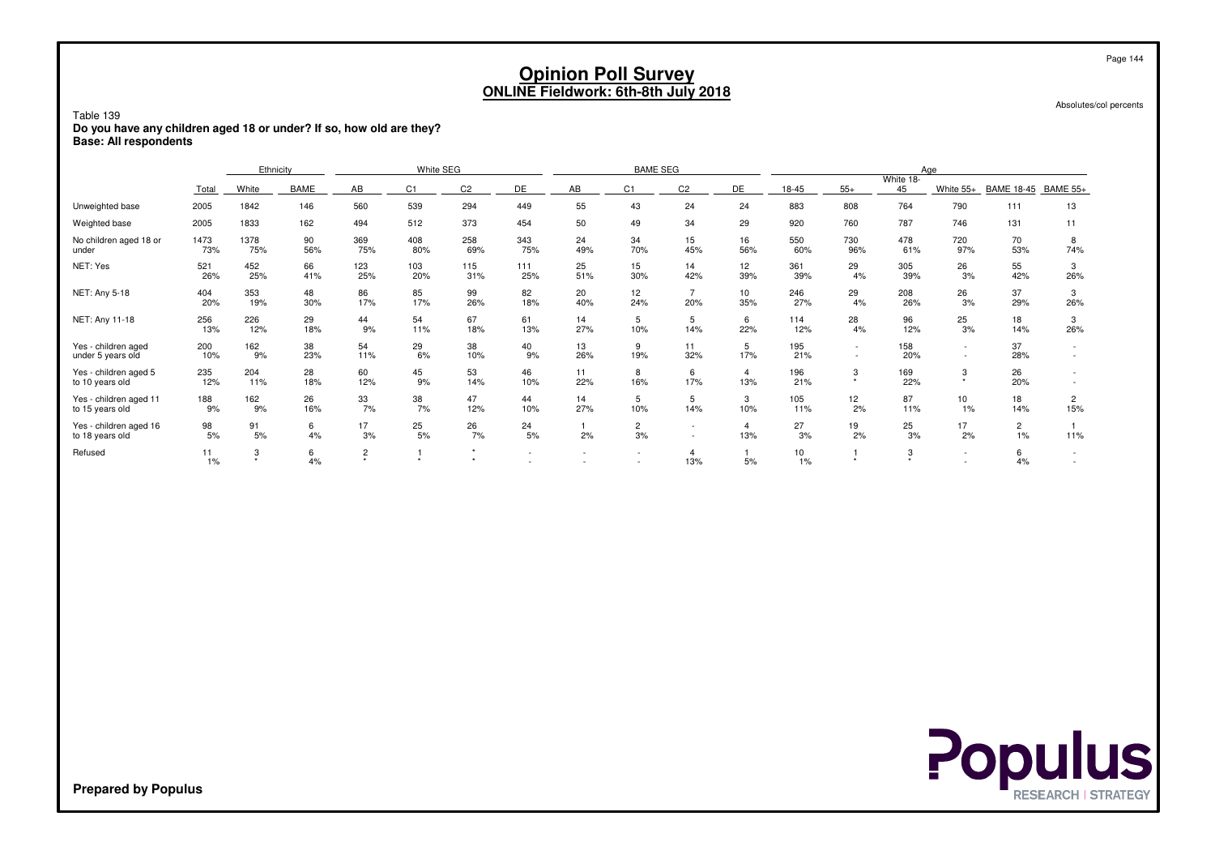| Table 139<br>Do you have any children aged 18 or under? If so, how old are they?<br><b>Base: All respondents</b> |             |             |           |                     |            |                      |            | <b>Opinion Poll Survey</b><br><b>ONLINE Fieldwork: 6th-8th July 2018</b> |                    |                       |                        |            |                  |                    |                          |                      | Page 144<br>Absolutes/col percents |
|------------------------------------------------------------------------------------------------------------------|-------------|-------------|-----------|---------------------|------------|----------------------|------------|--------------------------------------------------------------------------|--------------------|-----------------------|------------------------|------------|------------------|--------------------|--------------------------|----------------------|------------------------------------|
|                                                                                                                  |             | Ethnicity   |           |                     | White SEG  |                      |            |                                                                          | <b>BAME SEG</b>    |                       |                        |            |                  |                    | Aae                      |                      |                                    |
|                                                                                                                  | Total       | White       | BAME      | AB                  | C1         | C <sub>2</sub>       | DE         | AB                                                                       | C <sub>1</sub>     | C <sub>2</sub>        | DE                     | 18-45      | $55+$            | White 18-<br>45    | White 55+                | <b>BAME 18-45</b>    | <b>BAME 55+</b>                    |
| Unweighted base                                                                                                  | 2005        | 1842        | 146       | 560                 | 539        | 294                  | 449        | 55                                                                       | 43                 | 24                    | 24                     | 883        | 808              | 764                | 790                      | 111                  | 13                                 |
| Weighted base                                                                                                    | 2005        | 1833        | 162       | 494                 | 512        | 373                  | 454        | 50                                                                       | 49                 | 34                    | 29                     | 920        | 760              | 787                | 746                      | 131                  | 11                                 |
| No children aged 18 or<br>under                                                                                  | 1473<br>73% | 1378<br>75% | 90<br>56% | 369<br>75%          | 408<br>80% | 258<br>69%           | 343<br>75% | 24<br>49%                                                                | 34<br>70%          | 15<br>45%             | 16<br>56%              | 550<br>60% | 730<br>96%       | 478<br>61%         | 720<br>97%               | 70<br>53%            | 8<br>74%                           |
| NET: Yes                                                                                                         | 521<br>26%  | 452<br>25%  | 66<br>41% | 123<br>25%          | 103<br>20% | 115<br>31%           | 111<br>25% | 25<br>51%                                                                | 15<br>30%          | 14<br>42%             | 12 <sup>2</sup><br>39% | 361<br>39% | 29<br>4%         | 305<br>39%         | 26<br>3%                 | 55<br>42%            | 3<br>26%                           |
| NET: Any 5-18                                                                                                    | 404<br>20%  | 353<br>19%  | 48<br>30% | 86<br>17%           | 85<br>17%  | 99<br>26%            | 82<br>18%  | 20<br>40%                                                                | 12<br>24%          | $\overline{7}$<br>20% | 10<br>35%              | 246<br>27% | 29<br>4%         | 208<br>26%         | 26<br>3%                 | 37<br>29%            | 3<br>26%                           |
| NET: Any 11-18                                                                                                   | 256<br>13%  | 226<br>12%  | 29<br>18% | 44<br>9%            | 54<br>11%  | 67<br>18%            | 61<br>13%  | 14<br>27%                                                                | 5<br>10%           | 5<br>14%              | 6<br>22%               | 114<br>12% | 28<br>4%         | 96<br>12%          | 25<br>3%                 | 18<br>14%            | 3<br>26%                           |
| Yes - children aged<br>under 5 years old                                                                         | 200<br>10%  | 162<br>9%   | 38<br>23% | 54<br>11%           | 29<br>6%   | 38<br>10%            | 40<br>9%   | 13<br>26%                                                                | 9<br>19%           | 11<br>32%             | 5<br>17%               | 195<br>21% | $\sim$<br>$\sim$ | 158<br>20%         | $\sim$<br>$\sim$         | 37<br>28%            | $\sim$                             |
| Yes - children aged 5<br>to 10 years old                                                                         | 235<br>12%  | 204<br>11%  | 28<br>18% | 60<br>12%           | 45<br>9%   | 53<br>14%            | 46<br>10%  | 11<br>22%                                                                | 8<br>16%           | 6<br>17%              | 4<br>13%               | 196<br>21% | 3                | 169<br>22%         | 3<br>$\star$             | 26<br>20%            |                                    |
| Yes - children aged 11<br>to 15 years old                                                                        | 188<br>9%   | 162<br>9%   | 26<br>16% | 33<br>7%            | 38<br>7%   | 47<br>12%            | 44<br>10%  | 14<br>27%                                                                | 5<br>10%           | 5<br>14%              | 3<br>10%               | 105<br>11% | 12<br>2%         | 87<br>11%          | 10<br>1%                 | 18<br>14%            | 2<br>15%                           |
| Yes - children aged 16<br>to 18 years old                                                                        | 98<br>5%    | 91<br>5%    | 6<br>4%   | 17<br>3%            | 25<br>5%   | 26<br>7%             | 24<br>5%   | 2%                                                                       | $\mathbf{2}$<br>3% | $\sim$                | 4<br>13%               | 27<br>3%   | 19<br>2%         | 25<br>3%           | 17<br>2%                 | $\overline{2}$<br>1% | 11%                                |
| Refused                                                                                                          | 11<br>1%    | 3<br>٠      | 6<br>4%   | $\overline{c}$<br>٠ | $\star$    | $\star$<br>$\ddot{}$ | $\sim$     |                                                                          |                    | $\overline{4}$<br>13% | $\mathbf{1}$<br>5%     | 10<br>1%   |                  | 3<br>$\rightarrow$ | $\overline{\phantom{a}}$ | 6<br>4%              |                                    |

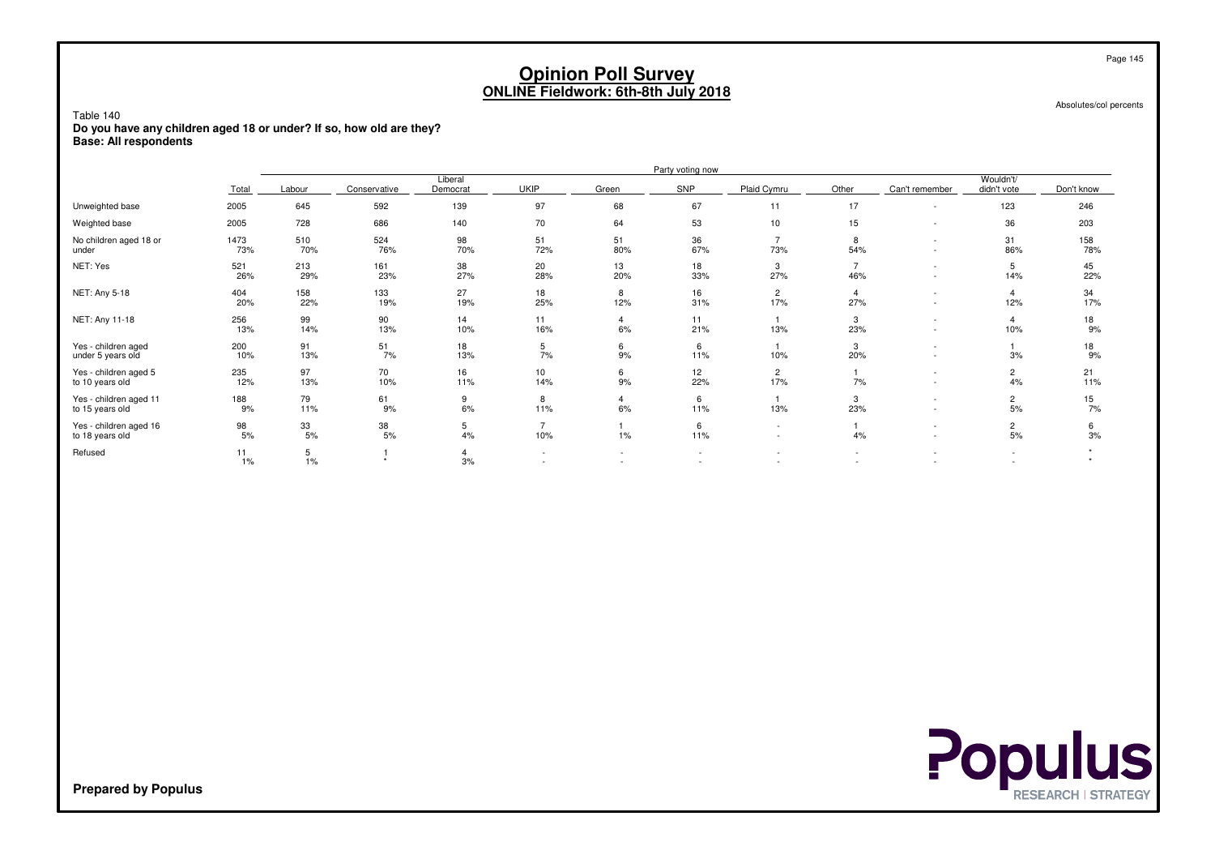Absolutes/col percents

Table 140 **Do you have any children aged 18 or under? If so, how old are they?Base: All respondents**

|                                           |             | Party voting now |              |                      |             |                                                      |                                    |                                                      |                       |                               |                          |            |  |  |
|-------------------------------------------|-------------|------------------|--------------|----------------------|-------------|------------------------------------------------------|------------------------------------|------------------------------------------------------|-----------------------|-------------------------------|--------------------------|------------|--|--|
|                                           | Total       | Labour           | Conservative | Liberal<br>Democrat  | <b>UKIP</b> | Green                                                | SNP                                | Plaid Cymru                                          | Other                 | Can't remember                | Wouldn't/<br>didn't vote | Don't know |  |  |
| Unweighted base                           | 2005        | 645              | 592          | 139                  | 97          | 68                                                   | 67                                 | 11                                                   | 17                    |                               | 123                      | 246        |  |  |
| Weighted base                             | 2005        | 728              | 686          | 140                  | 70          | 64                                                   | 53                                 | 10                                                   | 15                    | ٠                             | 36                       | 203        |  |  |
| No children aged 18 or<br>under           | 1473<br>73% | 510<br>70%       | 524<br>76%   | 98<br>70%            | 51<br>72%   | 51<br>80%                                            | 36<br>67%                          | $\overline{7}$<br>73%                                | 8<br>54%              | $\overline{\phantom{a}}$<br>٠ | 31<br>86%                | 158<br>78% |  |  |
| NET: Yes                                  | 521<br>26%  | 213<br>29%       | 161<br>23%   | 38<br>27%            | 20<br>28%   | 13<br>20%                                            | 18<br>33%                          | 3<br>27%                                             | 46%                   | $\overline{\phantom{a}}$<br>٠ | 5<br>14%                 | 45<br>22%  |  |  |
| NET: Any 5-18                             | 404<br>20%  | 158<br>22%       | 133<br>19%   | 27<br>19%            | 18<br>25%   | 8<br>12%                                             | 16<br>31%                          | $\overline{c}$<br>17%                                | $\overline{4}$<br>27% | ٠<br>٠                        | 12%                      | 34<br>17%  |  |  |
| NET: Any 11-18                            | 256<br>13%  | 99<br>14%        | 90<br>13%    | 14<br>10%            | 11<br>16%   | 6%                                                   | 11<br>21%                          | 13%                                                  | 3<br>23%              | $\overline{\phantom{a}}$<br>٠ | 10%                      | 18<br>9%   |  |  |
| Yes - children aged<br>under 5 years old  | 200<br>10%  | 91<br>13%        | 51<br>7%     | 18<br>13%            | 5<br>7%     | 6<br>9%                                              | 6<br>11%                           | 10%                                                  | 3<br>20%              | $\overline{\phantom{a}}$      | 3%                       | 18<br>9%   |  |  |
| Yes - children aged 5<br>to 10 years old  | 235<br>12%  | 97<br>13%        | 70<br>10%    | 16<br>11%            | 10<br>14%   | 6<br>9%                                              | 12 <sup>2</sup><br>22%             | $\overline{c}$<br>17%                                | 7%                    | ٠<br>٠                        | $\overline{2}$<br>4%     | 21<br>11%  |  |  |
| Yes - children aged 11<br>to 15 years old | 188<br>9%   | 79<br>11%        | 61<br>9%     | 9<br>6%              | 8<br>11%    | 4<br>6%                                              | 6<br>11%                           | 13%                                                  | 3<br>23%              | ٠<br>٠                        | $\overline{2}$<br>5%     | 15<br>7%   |  |  |
| Yes - children aged 16<br>to 18 years old | 98<br>5%    | 33<br>5%         | 38<br>5%     | 5<br>4%              | 10%         | 1%                                                   | 6<br>11%                           | $\overline{\phantom{a}}$<br>$\overline{\phantom{a}}$ | 4%                    | ٠<br>$\overline{\phantom{a}}$ | $\overline{2}$<br>5%     | 6<br>3%    |  |  |
| Refused                                   | 11<br>1%    | 5<br>1%          |              | $\overline{4}$<br>3% |             | $\overline{\phantom{a}}$<br>$\overline{\phantom{a}}$ | $\sim$<br>$\overline{\phantom{a}}$ | $\overline{\phantom{a}}$<br>$\overline{\phantom{a}}$ |                       |                               | $\overline{\phantom{a}}$ |            |  |  |

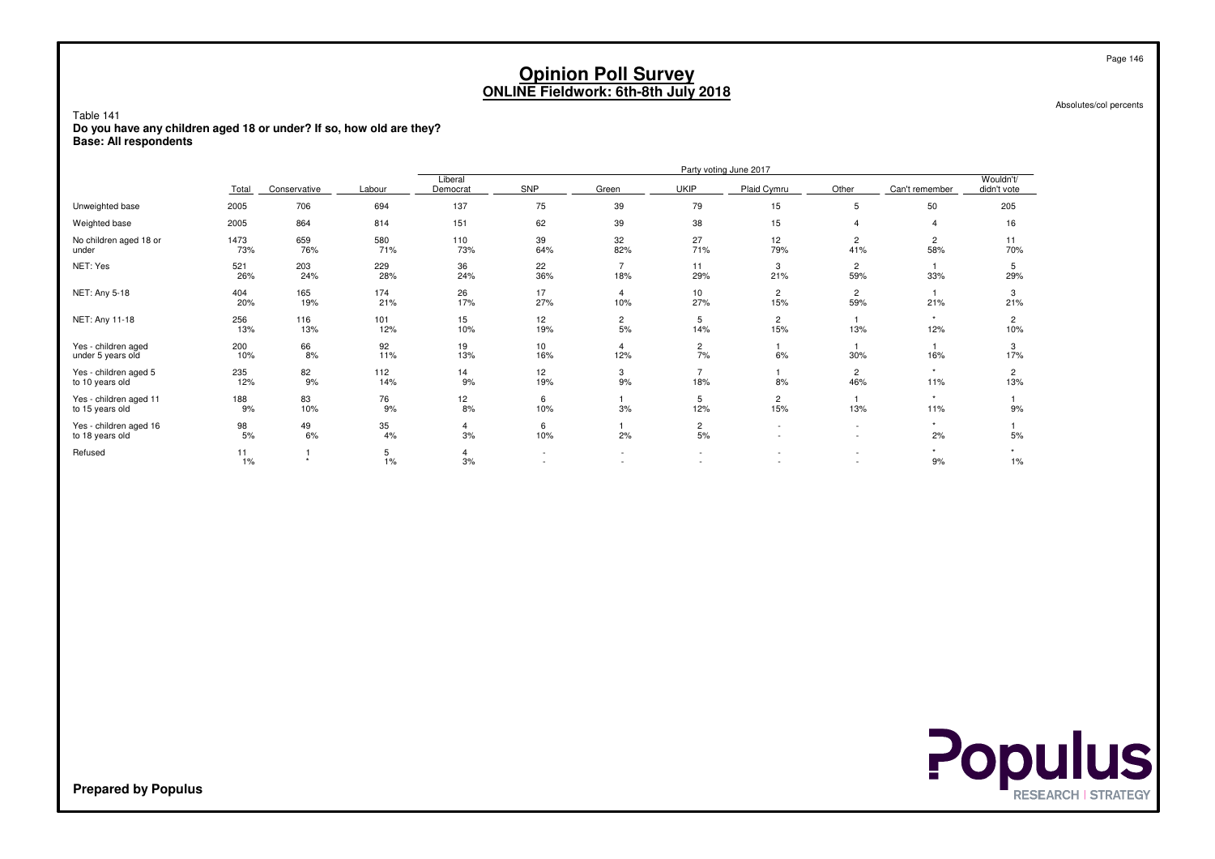Absolutes/col percents

Table 141 **Do you have any children aged 18 or under? If so, how old are they?Base: All respondents**

|                                           |             |                      |            | Party voting June 2017 |           |                      |                                                      |                                                      |                                                      |                |                          |  |  |  |
|-------------------------------------------|-------------|----------------------|------------|------------------------|-----------|----------------------|------------------------------------------------------|------------------------------------------------------|------------------------------------------------------|----------------|--------------------------|--|--|--|
|                                           | Total       | Conservative         | Labour     | Liberal<br>Democrat    | SNP       | Green                | <b>UKIP</b>                                          | Plaid Cymru                                          | Other                                                | Can't remember | Wouldn't/<br>didn't vote |  |  |  |
| Unweighted base                           | 2005        | 706                  | 694        | 137                    | 75        | 39                   | 79                                                   | 15                                                   | 5                                                    | 50             | 205                      |  |  |  |
| Weighted base                             | 2005        | 864                  | 814        | 151                    | 62        | 39                   | 38                                                   | 15                                                   |                                                      | 4              | 16                       |  |  |  |
| No children aged 18 or<br>under           | 1473<br>73% | 659<br>76%           | 580<br>71% | 110<br>73%             | 39<br>64% | 32<br>82%            | 27<br>71%                                            | 12<br>79%                                            | 2<br>41%                                             | 2<br>58%       | 11<br>70%                |  |  |  |
| NET: Yes                                  | 521<br>26%  | 203<br>24%           | 229<br>28% | 36<br>24%              | 22<br>36% | 18%                  | 11<br>29%                                            | 3<br>21%                                             | 2<br>59%                                             | 33%            | 5<br>29%                 |  |  |  |
| NET: Any 5-18                             | 404<br>20%  | 165<br>19%           | 174<br>21% | 26<br>17%              | 17<br>27% | 4<br>10%             | 10 <sup>10</sup><br>27%                              | $\overline{2}$<br>15%                                | $\overline{2}$<br>59%                                | 21%            | 3<br>21%                 |  |  |  |
| NET: Any 11-18                            | 256<br>13%  | 116<br>13%           | 101<br>12% | 15<br>10%              | 12<br>19% | $\overline{c}$<br>5% | 5<br>14%                                             | $\overline{2}$<br>15%                                | 13%                                                  | $\star$<br>12% | 2<br>10%                 |  |  |  |
| Yes - children aged<br>under 5 years old  | 200<br>10%  | 66<br>8%             | 92<br>11%  | 19<br>13%              | 10<br>16% | 4<br>12%             | $\overline{c}$<br>7%                                 | 6%                                                   | 30%                                                  | 16%            | 3<br>17%                 |  |  |  |
| Yes - children aged 5<br>to 10 years old  | 235<br>12%  | 82<br>9%             | 112<br>14% | 14<br>9%               | 12<br>19% | 3<br>9%              | 18%                                                  | 8%                                                   | 2<br>46%                                             | $\star$<br>11% | 2<br>13%                 |  |  |  |
| Yes - children aged 11<br>to 15 years old | 188<br>9%   | 83<br>10%            | 76<br>9%   | 12<br>8%               | 6<br>10%  | 3%                   | 5<br>12%                                             | $\overline{2}$<br>15%                                | 13%                                                  | $\star$<br>11% | 9%                       |  |  |  |
| Yes - children aged 16<br>to 18 years old | 98<br>5%    | 49<br>6%             | 35<br>4%   | 4<br>3%                | 6<br>10%  | 2%                   | $\overline{2}$<br>5%                                 | $\overline{\phantom{a}}$<br>$\overline{\phantom{0}}$ | $\overline{\phantom{a}}$<br>$\overline{\phantom{a}}$ | $\star$<br>2%  | 5%                       |  |  |  |
| Refused                                   | 11<br>1%    | $\ddot{\phantom{1}}$ | 5<br>1%    | 4<br>3%                | $\sim$    |                      | $\overline{\phantom{a}}$<br>$\overline{\phantom{a}}$ | $\overline{\phantom{a}}$                             | $\overline{\phantom{a}}$                             | $\star$<br>9%  | $1\%$                    |  |  |  |

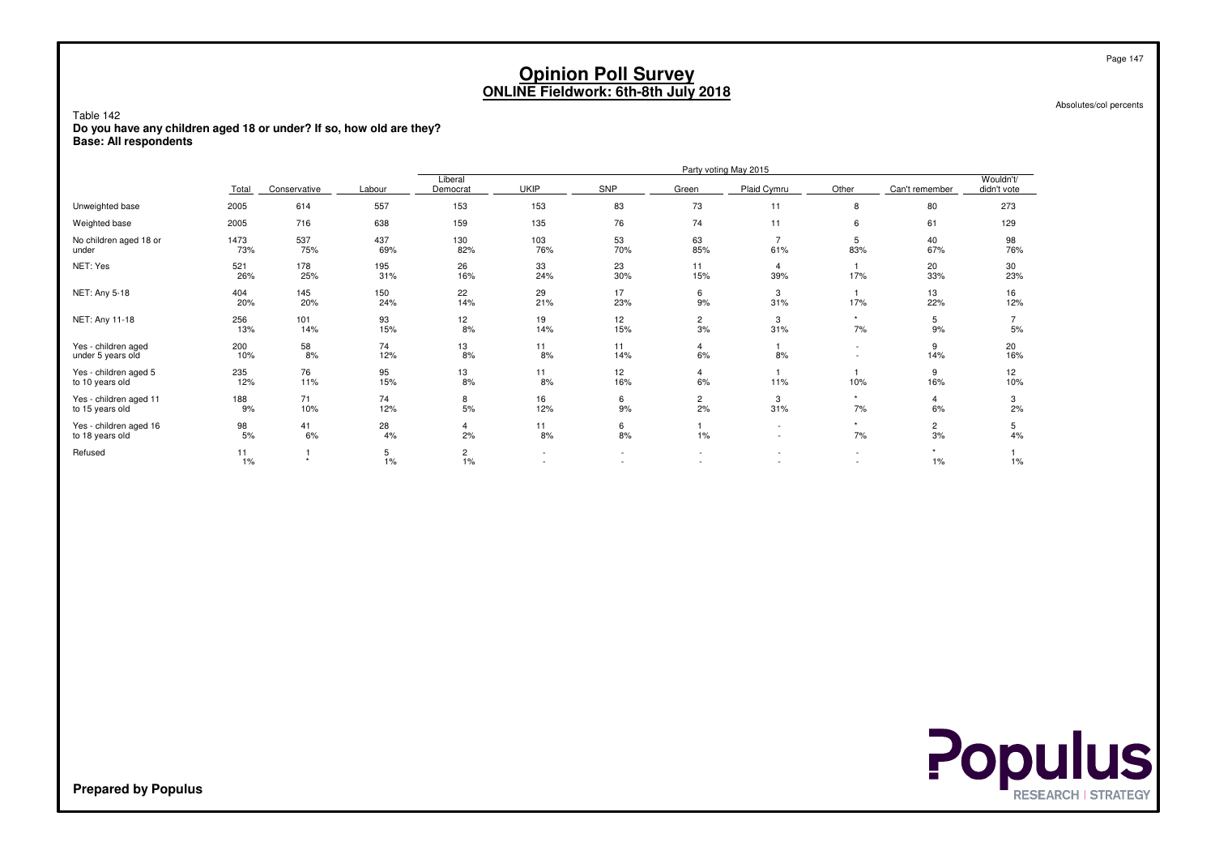Absolutes/col percents

Table 142 **Do you have any children aged 18 or under? If so, how old are they?Base: All respondents**

|                                           |             |                                          | Party voting May 2015 |                      |             |                          |                               |                                                      |                                    |                      |                          |  |  |
|-------------------------------------------|-------------|------------------------------------------|-----------------------|----------------------|-------------|--------------------------|-------------------------------|------------------------------------------------------|------------------------------------|----------------------|--------------------------|--|--|
|                                           | Total       | Conservative                             | Labour                | Liberal<br>Democrat  | <b>UKIP</b> | SNP                      | Green                         | Plaid Cymru                                          | Other                              | Can't remember       | Wouldn't/<br>didn't vote |  |  |
| Unweighted base                           | 2005        | 614                                      | 557                   | 153                  | 153         | 83                       | 73                            | 11                                                   | 8                                  | 80                   | 273                      |  |  |
| Weighted base                             | 2005        | 716                                      | 638                   | 159                  | 135         | 76                       | 74                            | 11                                                   | 6                                  | 61                   | 129                      |  |  |
| No children aged 18 or<br>under           | 1473<br>73% | 537<br>75%                               | 437<br>69%            | 130<br>82%           | 103<br>76%  | 53<br>70%                | 63<br>85%                     | 61%                                                  | 5<br>83%                           | 40<br>67%            | 98<br>76%                |  |  |
| NET: Yes                                  | 521<br>26%  | 178<br>25%                               | 195<br>31%            | 26<br>16%            | 33<br>24%   | 23<br>30%                | 11<br>15%                     | 39%                                                  | 17%                                | 20<br>33%            | 30<br>23%                |  |  |
| NET: Any 5-18                             | 404<br>20%  | 145<br>20%                               | 150<br>24%            | 22<br>14%            | 29<br>21%   | 17<br>23%                | 6<br>9%                       | 3<br>31%                                             | 17%                                | 13<br>22%            | 16<br>12%                |  |  |
| NET: Any 11-18                            | 256<br>13%  | 101<br>14%                               | 93<br>15%             | 12<br>8%             | 19<br>14%   | 12<br>15%                | $\overline{c}$<br>3%          | 3<br>31%                                             | $\star$<br>7%                      | 5<br>9%              | 5%                       |  |  |
| Yes - children aged<br>under 5 years old  | 200<br>10%  | $\begin{array}{c} 58 \\ 8\% \end{array}$ | 74<br>12%             | 13<br>8%             | 11<br>8%    | 11<br>14%                | 4<br>6%                       | 8%                                                   | $\sim$                             | 9<br>14%             | 20<br>16%                |  |  |
| Yes - children aged 5<br>to 10 years old  | 235<br>12%  | 76<br>11%                                | 95<br>15%             | 13<br>8%             | 11<br>8%    | 12<br>16%                | 4<br>6%                       | 11%                                                  | 10%                                | 9<br>16%             | 12<br>10%                |  |  |
| Yes - children aged 11<br>to 15 years old | 188<br>9%   | 71<br>10%                                | 74<br>12%             | 8<br>5%              | 16<br>12%   | 6<br>9%                  | 2<br>2%                       | 3<br>31%                                             | $\star$<br>7%                      | 4<br>6%              | 3<br>2%                  |  |  |
| Yes - children aged 16<br>to 18 years old | 98<br>5%    | 41<br>6%                                 | 28<br>4%              | 4<br>2%              | 11<br>8%    | 6<br>8%                  | 1%                            | $\overline{\phantom{a}}$<br>$\overline{\phantom{a}}$ | $\star$<br>7%                      | $\overline{c}$<br>3% | 5<br>4%                  |  |  |
| Refused                                   | 11<br>$1\%$ | $\star$                                  | 5<br>1%               | $\overline{c}$<br>1% | $\sim$      | $\overline{\phantom{a}}$ | $\overline{\phantom{a}}$<br>۰ | $\overline{\phantom{a}}$                             | $\sim$<br>$\overline{\phantom{a}}$ | $\star$<br>$1\%$     | 1%                       |  |  |



**Prepared by Populus**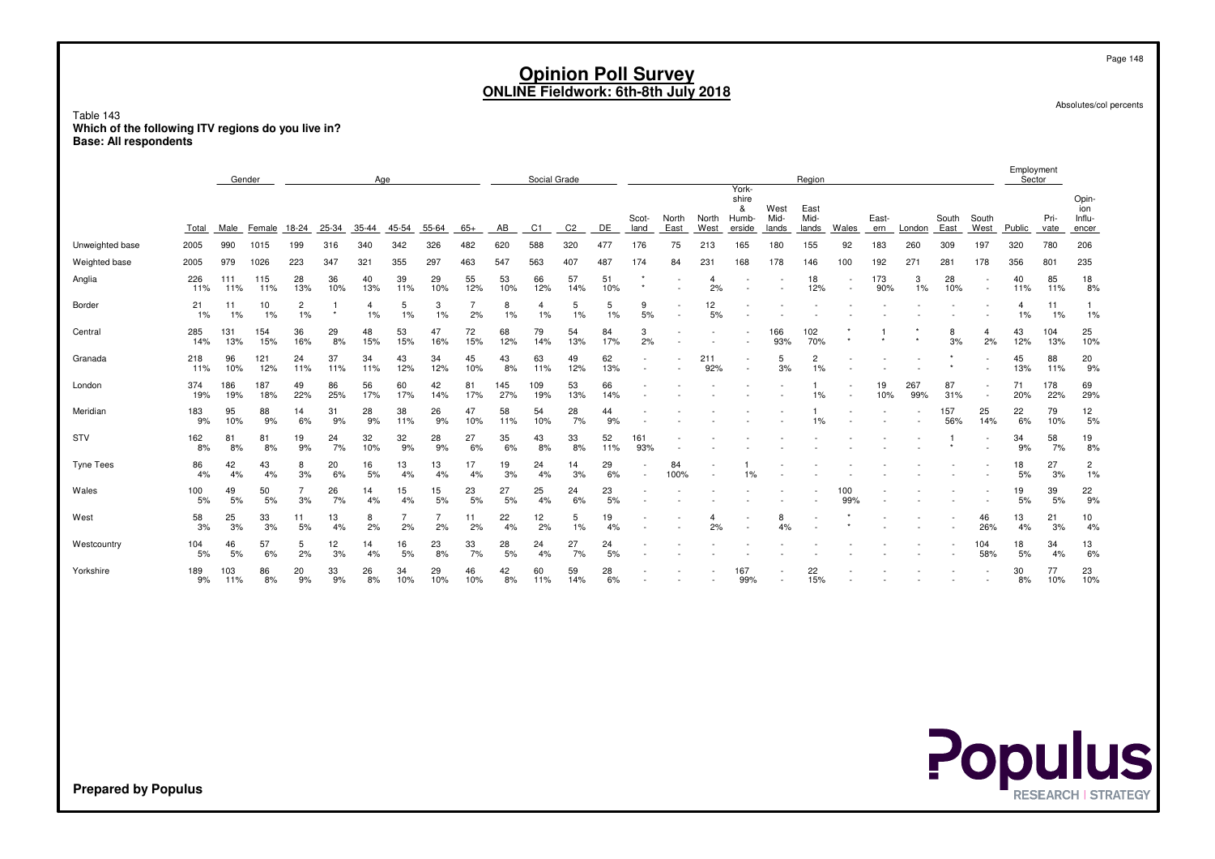Absolutes/col percents

Page 148

Table 143 **Which of the following ITV regions do you live in?Base: All respondents**

|                  |            | Gender<br>Age |            |                      |           |           |           | Social Grade |                      |            |                |                |           | York-         |               | Region        |                               |                       |                       |       |              | Employment<br>Sector |               |                          |           |              |                                 |
|------------------|------------|---------------|------------|----------------------|-----------|-----------|-----------|--------------|----------------------|------------|----------------|----------------|-----------|---------------|---------------|---------------|-------------------------------|-----------------------|-----------------------|-------|--------------|----------------------|---------------|--------------------------|-----------|--------------|---------------------------------|
|                  | Total      | Male          | Female     | 18-24                | 25-34     | $35 - 44$ | 45-54     | 55-64        | $65+$                | AB         | C <sub>1</sub> | C <sub>2</sub> | DE        | Scot-<br>land | North<br>East | North<br>West | shire<br>&<br>Humb-<br>erside | West<br>Mid-<br>lands | East<br>Mid-<br>lands | Wales | East-<br>ern | London               | South<br>East | South<br>West            | Public    | Pri-<br>vate | Opin-<br>ion<br>Influ-<br>encer |
| Unweighted base  | 2005       | 990           | 1015       | 199                  | 316       | 340       | 342       | 326          | 482                  | 620        | 588            | 320            | 477       | 176           | 75            | 213           | 165                           | 180                   | 155                   | 92    | 183          | 260                  | 309           | 197                      | 320       | 780          | 206                             |
| Weighted base    | 2005       | 979           | 1026       | 223                  | 347       | 321       | 355       | 297          | 463                  | 547        | 563            | 407            | 487       | 174           | 84            | 231           | 168                           | 178                   | 146                   | 100   | 192          | $27 -$               | 281           | 178                      | 356       | 801          | 235                             |
| Anglia           | 226<br>11% | 111<br>11%    | 115<br>11% | 28<br>13%            | 36<br>10% | 40<br>13% | 39<br>11% | 29<br>10%    | 55<br>12%            | 53<br>10%  | 66<br>12%      | 57<br>14%      | 51<br>10% |               |               | 4<br>2%       |                               |                       | 18<br>12%             |       | 173<br>90%   | 3<br>1%              | 28<br>10%     | $\overline{\phantom{a}}$ | 40<br>11% | 85<br>11%    | 18<br>8%                        |
| Border           | 21<br>1%   | 11<br>1%      | 10<br>1%   | $\overline{c}$<br>1% | $\star$   | 1%        | 5<br>1%   | 3<br>1%      | $\overline{7}$<br>2% | 8<br>1%    | 4<br>1%        | 5<br>1%        | 5<br>1%   | 9<br>5%       |               | 12<br>5%      |                               |                       |                       |       |              |                      |               |                          | 4<br>1%   | 11<br>1%     | 1%                              |
| Central          | 285<br>14% | 131<br>13%    | 154<br>15% | 36<br>16%            | 29<br>8%  | 48<br>15% | 53<br>15% | 47<br>16%    | 72<br>15%            | 68<br>12%  | 79<br>14%      | 54<br>13%      | 84<br>17% | 3<br>2%       |               |               |                               | 166<br>93%            | 102<br>70%            |       |              |                      | 8<br>3%       | 4<br>2%                  | 43<br>12% | 104<br>13%   | 25<br>10%                       |
| Granada          | 218<br>11% | 96<br>10%     | 121<br>12% | 24<br>11%            | 37<br>11% | 34<br>11% | 43<br>12% | 34<br>12%    | 45<br>10%            | 43<br>8%   | 63<br>11%      | 49<br>12%      | 62<br>13% |               |               | 211<br>92%    |                               | 5<br>3%               | $\overline{c}$<br>1%  |       |              |                      |               |                          | 45<br>13% | 88<br>11%    | 20<br>9%                        |
| London           | 374<br>19% | 186<br>19%    | 187<br>18% | 49<br>22%            | 86<br>25% | 56<br>17% | 60<br>17% | 42<br>14%    | 81<br>17%            | 145<br>27% | 109<br>19%     | 53<br>13%      | 66<br>14% |               |               |               |                               |                       | 1%                    |       | 19<br>10%    | 267<br>99%           | 87<br>31%     | $\overline{\phantom{a}}$ | 71<br>20% | 178<br>22%   | 69<br>29%                       |
| Meridian         | 183<br>9%  | 95<br>10%     | 88<br>9%   | 14<br>6%             | 31<br>9%  | 28<br>9%  | 38<br>11% | 26<br>9%     | 47<br>10%            | 58<br>11%  | 54<br>10%      | 28<br>7%       | 44<br>9%  |               |               |               |                               |                       | 1%                    |       |              |                      | 157<br>56%    | 25<br>14%                | 22<br>6%  | 79<br>10%    | 12<br>5%                        |
| STV              | 162<br>8%  | 81<br>8%      | 81<br>8%   | 19<br>9%             | 24<br>7%  | 32<br>10% | 32<br>9%  | 28<br>9%     | 27<br>6%             | 35<br>6%   | 43<br>8%       | 33<br>8%       | 52<br>11% | 161<br>93%    |               |               |                               |                       |                       |       |              |                      |               |                          | 34<br>9%  | 58<br>7%     | 19<br>8%                        |
| <b>Tyne Tees</b> | 86<br>4%   | 42<br>4%      | 43<br>4%   | 8<br>3%              | 20<br>6%  | 16<br>5%  | 13<br>4%  | 13<br>4%     | 17<br>4%             | 19<br>3%   | 24<br>4%       | 14<br>3%       | 29<br>6%  |               | 84<br>100%    |               | $1\%$                         |                       |                       |       |              |                      |               |                          | 18<br>5%  | 27<br>3%     | $\overline{c}$<br>1%            |
| Wales            | 100<br>5%  | 49<br>5%      | 50<br>5%   | 3%                   | 26<br>7%  | 14<br>4%  | 15<br>4%  | 15<br>5%     | 23<br>5%             | 27<br>5%   | 25<br>4%       | 24<br>6%       | 23<br>5%  |               |               |               |                               |                       |                       | 99%   |              |                      |               |                          | 19<br>5%  | 39<br>5%     | 22<br>9%                        |
| West             | 58<br>3%   | 25<br>3%      | 33<br>3%   | 11<br>5%             | 13<br>4%  | 8<br>2%   | 7<br>2%   | 2%           | 11<br>2%             | 22<br>4%   | 12<br>2%       | 5<br>1%        | 19<br>4%  |               |               | 2%            |                               | 8<br>4%               |                       |       |              |                      |               | 46<br>26%                | 13<br>4%  | 21<br>3%     | 10<br>4%                        |
| Westcountry      | 104<br>5%  | 46<br>5%      | 57<br>6%   | 5<br>2%              | 12<br>3%  | 14<br>4%  | 16<br>5%  | 23<br>8%     | 33<br>7%             | 28<br>5%   | 24<br>4%       | 27<br>7%       | 24<br>5%  |               |               |               |                               |                       |                       |       |              |                      |               | 104<br>58%               | 18<br>5%  | 34<br>4%     | 13<br>6%                        |
| Yorkshire        | 189<br>9%  | 103<br>11%    | 86<br>8%   | 20<br>9%             | 33<br>9%  | 26<br>8%  | 34<br>10% | 29<br>10%    | 46<br>10%            | 42<br>8%   | 60<br>11%      | 59<br>14%      | 28<br>6%  |               |               |               | 167<br>99%                    |                       | 22<br>15%             |       |              |                      |               |                          | 30<br>8%  | 77<br>10%    | 23<br>10%                       |

**Populus**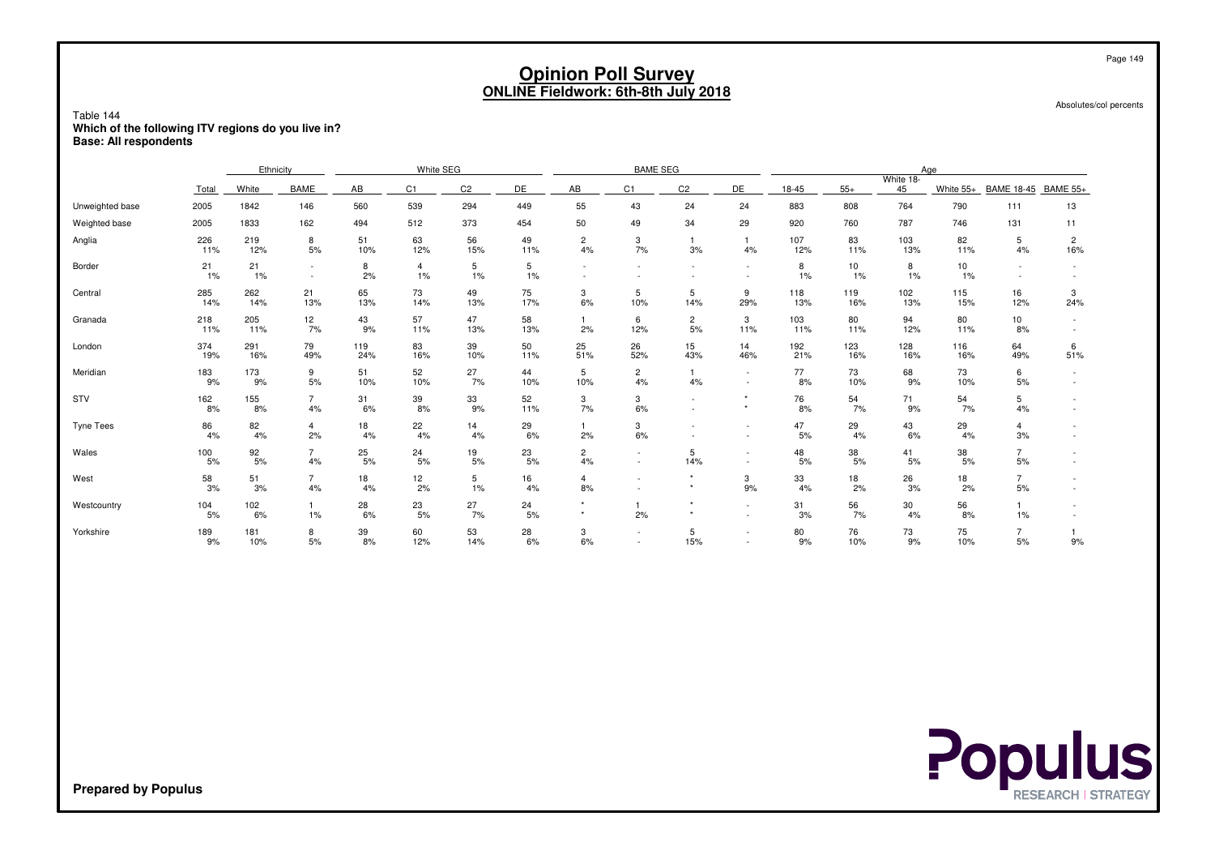Absolutes/col percents

#### Table 144 **Which of the following ITV regions do you live in?Base: All respondents**

|                 |                 | Ethnicity  |                      |            | White SEG            |                |           |                          | <b>BAME SEG</b>      |                      |                                    |            |            |                 | Age                      |                        |                       |
|-----------------|-----------------|------------|----------------------|------------|----------------------|----------------|-----------|--------------------------|----------------------|----------------------|------------------------------------|------------|------------|-----------------|--------------------------|------------------------|-----------------------|
|                 | Total           | White      | <b>BAME</b>          | AB         | C <sub>1</sub>       | C <sub>2</sub> | DE        | AB                       | C <sub>1</sub>       | C <sub>2</sub>       | DE                                 | 18-45      | $55+$      | White 18-<br>45 | White 55+                | <b>BAME 18-45</b>      | <b>BAME 55+</b>       |
| Unweighted base | 2005            | 1842       | 146                  | 560        | 539                  | 294            | 449       | 55                       | 43                   | 24                   | 24                                 | 883        | 808        | 764             | 790                      | 111                    | 13                    |
| Weighted base   | 2005            | 1833       | 162                  | 494        | 512                  | 373            | 454       | 50                       | 49                   | 34                   | 29                                 | 920        | 760        | 787             | 746                      | 131                    | 11                    |
| Anglia          | 226<br>11%      | 219<br>12% | 8<br>5%              | 51<br>10%  | 63<br>12%            | 56<br>15%      | 49<br>11% | $\overline{c}$<br>4%     | 3<br>7%              | 3%                   | 4%                                 | 107<br>12% | 83<br>11%  | 103<br>13%      | 82<br>11%                | 5<br>4%                | $\overline{c}$<br>16% |
| Border          | 21<br>1%        | 21<br>1%   | $\sim$<br>$\sim$     | 8<br>2%    | $\overline{4}$<br>1% | 5<br>1%        | 5<br>1%   | $\overline{\phantom{a}}$ |                      |                      |                                    | 8<br>1%    | 10<br>1%   | 8<br>1%         | 10 <sup>1</sup><br>$1\%$ |                        |                       |
| Central         | 285<br>14%      | 262<br>14% | 21<br>13%            | 65<br>13%  | 73<br>14%            | 49<br>13%      | 75<br>17% | 3<br>6%                  | 5<br>10%             | 5<br>14%             | 9<br>29%                           | 118<br>13% | 119<br>16% | 102<br>13%      | 115<br>15%               | 16<br>12%              | 3<br>24%              |
| Granada         | $^{218}_{11\%}$ | 205<br>11% | 12<br>7%             | 43<br>9%   | 57<br>11%            | 47<br>13%      | 58<br>13% | 1<br>2%                  | 6<br>12%             | $\overline{c}$<br>5% | 3<br>11%                           | 103<br>11% | 80<br>11%  | 94<br>12%       | 80<br>11%                | 10<br>8%               |                       |
| London          | 374<br>19%      | 291<br>16% | 79<br>49%            | 119<br>24% | 83<br>16%            | 39<br>10%      | 50<br>11% | 25<br>51%                | 26<br>52%            | 15<br>43%            | 14<br>46%                          | 192<br>21% | 123<br>16% | 128<br>16%      | 116<br>16%               | 64<br>49%              | 6<br>51%              |
| Meridian        | 183<br>9%       | 173<br>9%  | 9<br>5%              | 51<br>10%  | 52<br>10%            | 27<br>7%       | 44<br>10% | 5<br>10%                 | $\overline{c}$<br>4% | 4%                   | $\sim$                             | 77<br>8%   | 73<br>10%  | 68<br>9%        | 73<br>10%                | 6<br>5%                |                       |
| STV             | 162<br>8%       | 155<br>8%  | $\overline{7}$<br>4% | 31<br>6%   | 39<br>8%             | 33<br>9%       | 52<br>11% | 3<br>7%                  | 3<br>6%              |                      | $\star$                            | 76<br>8%   | 54<br>7%   | 71<br>9%        | $\frac{54}{7\%}$         | 5<br>4%                |                       |
| Tyne Tees       | 86<br>4%        | 82<br>4%   | 4<br>2%              | 18<br>4%   | 22<br>4%             | 14<br>4%       | 29<br>6%  | 2%                       | 3<br>6%              |                      | $\overline{\phantom{a}}$<br>$\sim$ | 47<br>5%   | 29<br>4%   | 43<br>6%        | 29<br>4%                 | $\overline{4}$<br>3%   |                       |
| Wales           | 100<br>5%       | 92<br>5%   | $\overline{7}$<br>4% | 25<br>5%   | 24<br>5%             | 19<br>5%       | 23<br>5%  | $\overline{c}$<br>4%     |                      | 5<br>14%             |                                    | 48<br>5%   | 38<br>5%   | 41<br>5%        | 38<br>5%                 | $\overline{7}$<br>$5%$ |                       |
| West            | 58<br>3%        | 51<br>3%   | $\overline{7}$<br>4% | 18<br>4%   | 12<br>2%             | 5<br>1%        | 16<br>4%  | $\overline{4}$<br>8%     |                      | $\star$<br>$^\star$  | 3<br>9%                            | 33<br>4%   | 18<br>2%   | 26<br>3%        | 18<br>2%                 | $\overline{7}$<br>5%   |                       |
| Westcountry     | 104<br>5%       | 102<br>6%  | 1%                   | 28<br>6%   | 23<br>5%             | 27<br>7%       | 24<br>5%  | $\star$                  | 2%                   | $\star$<br>$\star$   | $\sim$                             | 31<br>3%   | 56<br>7%   | 30<br>4%        | 56<br>8%                 | 1%                     |                       |
| Yorkshire       | 189<br>9%       | 181<br>10% | 8<br>5%              | 39<br>8%   | 60<br>12%            | 53<br>14%      | 28<br>6%  | 3<br>6%                  |                      | 5<br>15%             | $\overline{\phantom{a}}$           | 80<br>9%   | 76<br>10%  | 73<br>9%        | 75<br>10%                | $\overline{7}$<br>5%   | 9%                    |



**Prepared by Populus**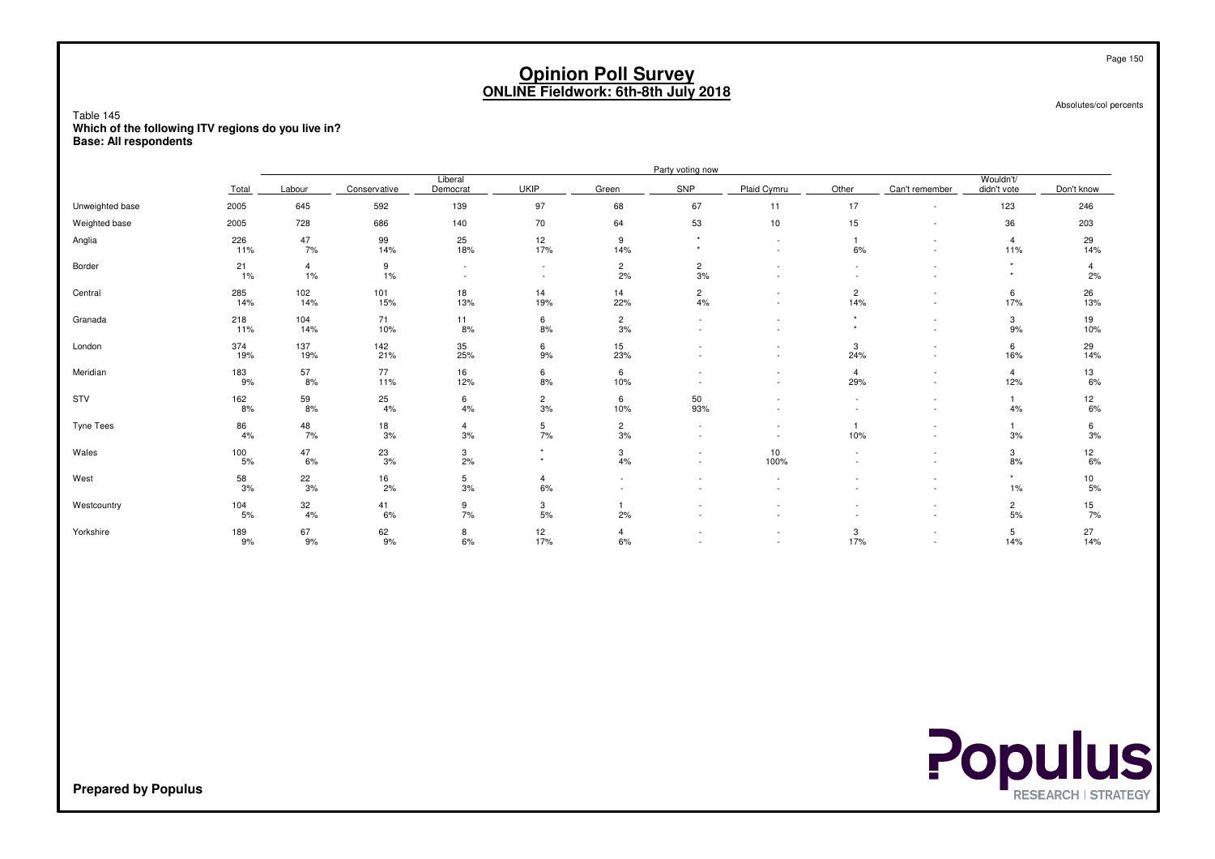Absolutes/col percents

Page 150

Table 145 **Which of the following ITV regions do you live in?Base: All respondents**

|                  |                                           | Party voting now     |                 |                      |                    |                      |                                    |                                    |                       |                                                      |                          |                      |  |  |
|------------------|-------------------------------------------|----------------------|-----------------|----------------------|--------------------|----------------------|------------------------------------|------------------------------------|-----------------------|------------------------------------------------------|--------------------------|----------------------|--|--|
|                  | Total                                     | Labour               | Conservative    | Liberal<br>Democrat  | <b>UKIP</b>        | Green                | <b>SNP</b>                         | Plaid Cymru                        | Other                 | Can't remember                                       | Wouldn't/<br>didn't vote | Don't know           |  |  |
| Unweighted base  | 2005                                      | 645                  | 592             | 139                  | 97                 | 68                   | 67                                 | 11                                 | 17                    |                                                      | 123                      | 246                  |  |  |
| Weighted base    | 2005                                      | 728                  | 686             | 140                  | 70                 | 64                   | 53                                 | 10                                 | 15                    | ٠                                                    | 36                       | 203                  |  |  |
| Anglia           | 226<br>11%                                | 47<br>7%             | 99<br>14%       | 25<br>18%            | 12<br>17%          | 9<br>14%             | $\star$                            | $\sim$<br>$\sim$                   | 6%                    | ٠<br>$\overline{\phantom{a}}$                        | $\overline{4}$<br>11%    | 29<br>14%            |  |  |
| Border           | 21<br>1%                                  | $\overline{4}$<br>1% | 9<br>1%         | $\sim$<br>$\sim$     | $\sim$<br>$\sim$   | $\overline{c}$<br>2% | $\overline{\mathbf{c}}$<br>3%      |                                    | $\sim$                | ٠                                                    | $\star$                  | $\overline{4}$<br>2% |  |  |
| Central          | 285<br>14%                                | 102<br>14%           | 101<br>15%      | 18<br>13%            | 14<br>19%          | 14<br>22%            | $\overline{c}$<br>4%               | $\sim$                             | $\overline{c}$<br>14% | $\overline{\phantom{a}}$                             | 6<br>17%                 | 26<br>13%            |  |  |
| Granada          | 218<br>11%                                | 104<br>14%           | 71<br>10%       | 11<br>8%             | 6<br>8%            | $\overline{2}$<br>3% | $\overline{\phantom{a}}$<br>$\sim$ | $\sim$<br>$\overline{\phantom{a}}$ | $\star$<br>$\star$    | ٠<br>$\overline{\phantom{a}}$                        | 3<br>9%                  | 19<br>10%            |  |  |
| London           | 374<br>19%                                | 137<br>19%           | 142<br>21%      | 35<br>25%            | 6<br>9%            | 15<br>23%            |                                    | $\sim$                             | 3<br>24%              | ٠<br>$\overline{\phantom{a}}$                        | 6<br>16%                 | 29<br>14%            |  |  |
| Meridian         | 183<br>9%                                 | 57<br>8%             | $77\,$<br>11%   | 16<br>12%            | 6<br>8%            | 6<br>10%             | $\overline{\phantom{a}}$           | $\overline{\phantom{a}}$<br>$\sim$ | $\overline{4}$<br>29% | ٠<br>$\overline{\phantom{a}}$                        | $\overline{4}$<br>12%    | 13<br>6%             |  |  |
| STV              | 162<br>8%                                 | $\frac{59}{8\%}$     | 25<br>4%        | 6<br>4%              | $\frac{2}{3\%}$    | 6<br>10%             | 50<br>93%                          |                                    | $\sim$                | $\overline{\phantom{a}}$                             | 1<br>4%                  | 12<br>6%             |  |  |
| <b>Tyne Tees</b> | 86<br>4%                                  | 48<br>7%             | 18<br>3%        | $\overline{4}$<br>3% | 5<br>7%            | $\overline{2}$<br>3% | $\sim$                             | $\overline{\phantom{a}}$           | 10%                   | ٠<br>٠                                               | 1<br>3%                  | 6<br>3%              |  |  |
| Wales            | $\begin{array}{c} 100 \\ 5\% \end{array}$ | 47<br>6%             | $^{23}_{\,3\%}$ | 3<br>2%              | $\star$<br>$\star$ | 3<br>4%              | $\sim$                             | 10<br>100%                         |                       | ٠                                                    | 3<br>8%                  | 12<br>6%             |  |  |
| West             | 58<br>3%                                  | $\frac{22}{3\%}$     | 16<br>2%        | 5<br>3%              | 4<br>$6\%$         | $\sim$               |                                    |                                    |                       | ٠<br>$\overline{\phantom{a}}$                        | $\star$<br>$1\%$         | 10<br>5%             |  |  |
| Westcountry      | 104<br>5%                                 | 32<br>4%             | 41<br>6%        | 9<br>7%              | 3<br>$5%$          | 2%                   |                                    |                                    |                       | $\overline{\phantom{a}}$<br>$\overline{\phantom{a}}$ | $\overline{2}$<br>5%     | 15<br>7%             |  |  |
| Yorkshire        | 189<br>9%                                 | 67<br>9%             | 62<br>9%        | 8<br>6%              | 12<br>17%          | $\overline{4}$<br>6% |                                    | $\overline{\phantom{a}}$           | 3<br>17%              | ٠<br>$\overline{\phantom{a}}$                        | 5<br>14%                 | 27<br>14%            |  |  |

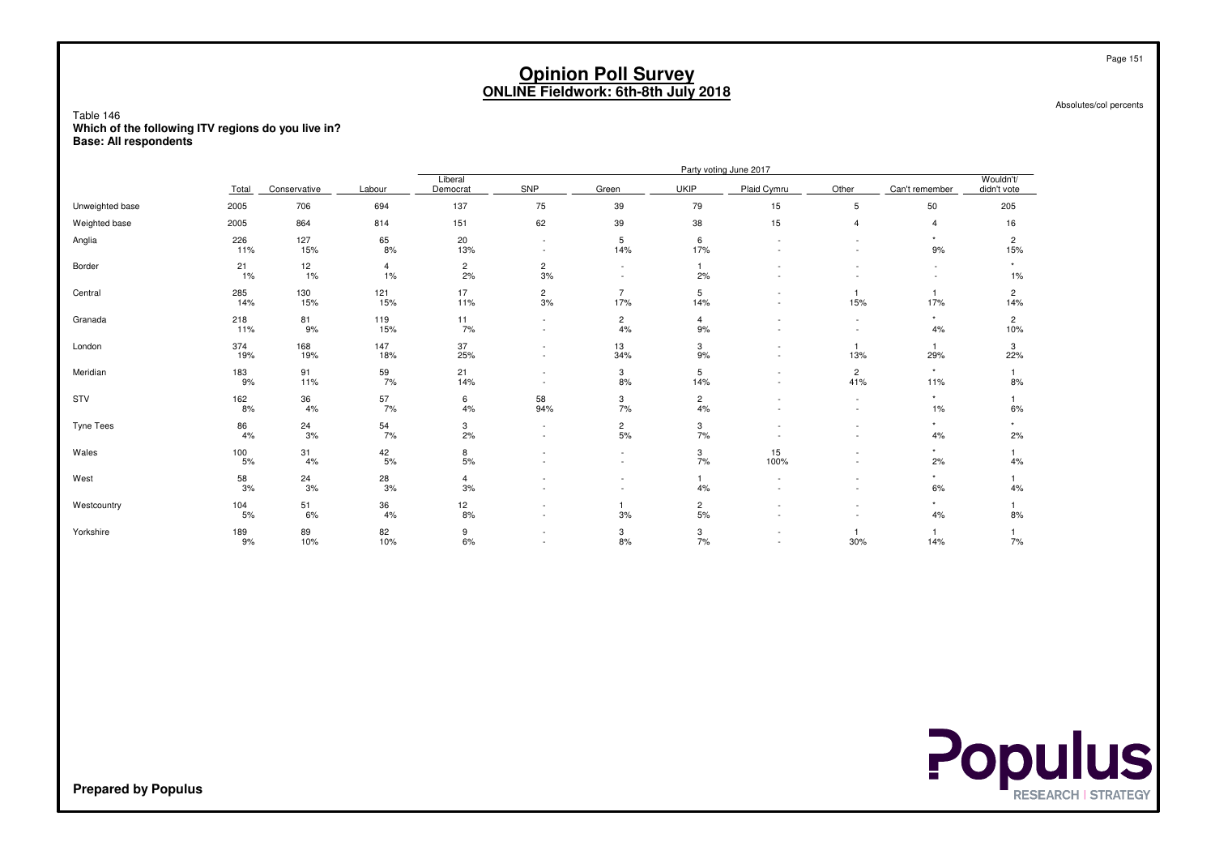Absolutes/col percents

Table 146 **Which of the following ITV regions do you live in?Base: All respondents**

|                 | Party voting June 2017 |              |                         |                      |                                                      |                       |                      |                          |                                    |                     |                          |
|-----------------|------------------------|--------------|-------------------------|----------------------|------------------------------------------------------|-----------------------|----------------------|--------------------------|------------------------------------|---------------------|--------------------------|
|                 | Total                  | Conservative | Labour                  | Liberal<br>Democrat  | SNP                                                  | Green                 | <b>UKIP</b>          | Plaid Cymru              | Other                              | Can't remember      | Wouldn't/<br>didn't vote |
| Unweighted base | 2005                   | 706          | 694                     | 137                  | 75                                                   | 39                    | 79                   | 15                       | 5                                  | 50                  | 205                      |
| Weighted base   | 2005                   | 864          | 814                     | 151                  | 62                                                   | 39                    | 38                   | 15                       | 4                                  | 4                   | 16                       |
| Anglia          | 226<br>11%             | 127<br>15%   | 65<br>8%                | 20<br>13%            | $\overline{\phantom{a}}$<br>$\sim$                   | 5<br>14%              | 6<br>17%             |                          |                                    | 9%                  | $\overline{c}$<br>15%    |
| Border          | 21<br>1%               | 12<br>1%     | $\overline{4}$<br>$1\%$ | $\overline{c}$<br>2% | $\overline{c}$<br>3%                                 |                       | 2%                   |                          |                                    | ٠                   | 1%                       |
| Central         | 285<br>14%             | 130<br>15%   | 121<br>15%              | 17<br>11%            | $\frac{2}{3\%}$                                      | $\overline{7}$<br>17% | 5<br>14%             |                          | 1<br>15%                           | $\mathbf{1}$<br>17% | $\overline{2}$<br>14%    |
| Granada         | 218<br>11%             | 81<br>9%     | 119<br>15%              | 11<br>7%             | $\overline{\phantom{a}}$<br>$\sim$                   | $\overline{c}$<br>4%  | $\overline{4}$<br>9% |                          | $\overline{\phantom{a}}$<br>$\sim$ | $\star$<br>4%       | $\overline{c}$<br>10%    |
| London          | 374<br>19%             | 168<br>19%   | 147<br>18%              | 37<br>25%            | $\overline{\phantom{a}}$                             | 13<br>34%             | 3<br>9%              |                          | 13%                                | 1<br>29%            | 3<br>22%                 |
| Meridian        | 183<br>9%              | 91<br>11%    | $\frac{59}{7\%}$        | 21<br>14%            | $\overline{\phantom{a}}$<br>- 2                      | 3<br>8%               | 5<br>14%             |                          | $\overline{c}$<br>41%              | $\star$<br>11%      | 8%                       |
| STV             | 162<br>8%              | 36<br>4%     | 57<br>7%                | 6<br>4%              | 58<br>94%                                            | 3<br>7%               | $\overline{c}$<br>4% |                          | $\sim$                             | 1%                  | 6%                       |
| Tyne Tees       | 86<br>4%               | 24<br>3%     | 54<br>7%                | 3<br>2%              | $\overline{\phantom{a}}$                             | $\overline{c}$<br>5%  | 3<br>7%              |                          |                                    | 4%                  | 2%                       |
| Wales           | 100<br>$5%$            | 31<br>4%     | $\frac{42}{5\%}$        | $\frac{8}{5\%}$      |                                                      | $\sim$                | 3<br>7%              | 15<br>100%               |                                    | 2%                  | 4%                       |
| West            | 58<br>3%               | 24<br>3%     | 28<br>3%                | $\overline{4}$<br>3% |                                                      |                       | 4%                   |                          |                                    | $\star$<br>6%       | 4%                       |
| Westcountry     | 104<br>5%              | 51<br>6%     | 36<br>4%                | 12<br>8%             |                                                      | 3%                    | $\overline{c}$<br>5% |                          |                                    | $\star$<br>4%       | 8%                       |
| Yorkshire       | 189<br>9%              | 89<br>10%    | 82<br>10%               | 9<br>6%              | $\overline{\phantom{a}}$<br>$\overline{\phantom{a}}$ | 3<br>8%               | 3<br>7%              | $\overline{\phantom{a}}$ | 30%                                | 14%                 | 7%                       |

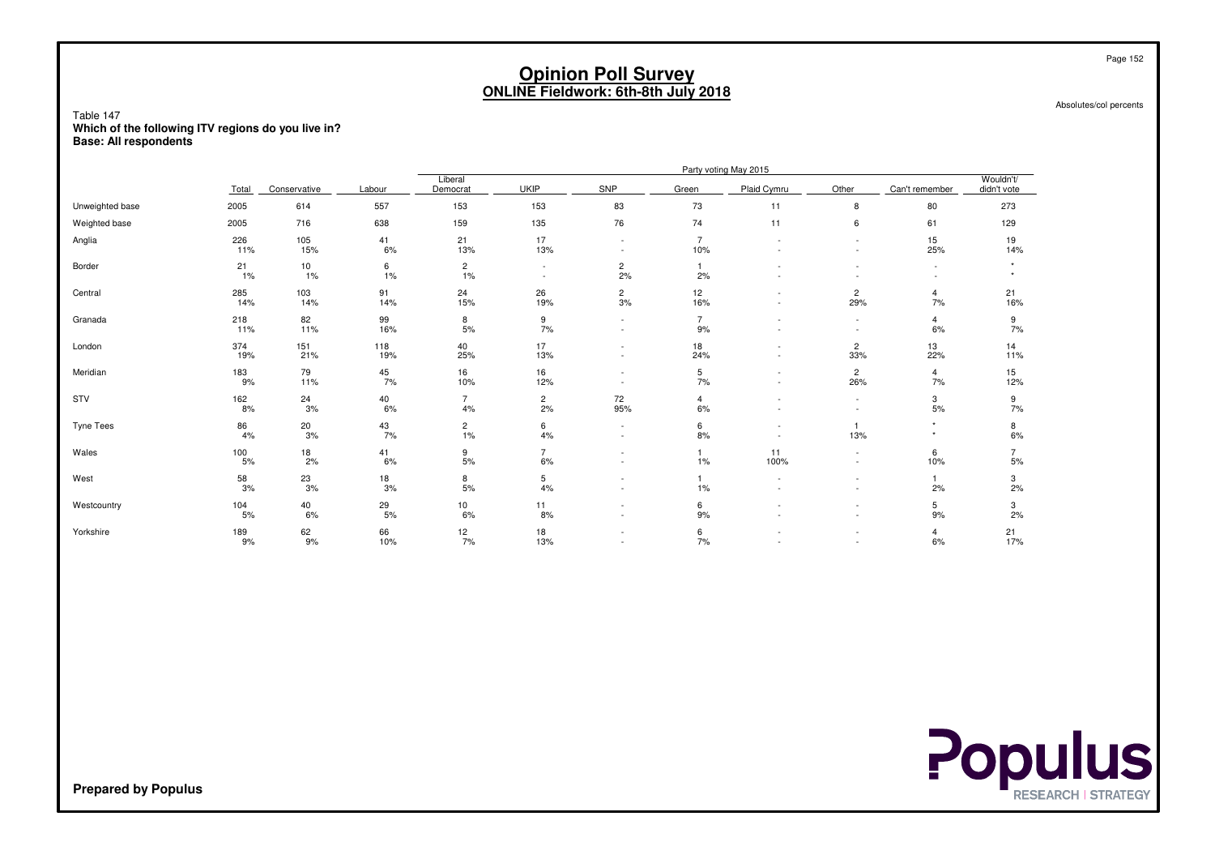Absolutes/col percents

Table 147 **Which of the following ITV regions do you live in?Base: All respondents**

|                 |            |                  |                  | Party voting May 2015 |                      |                                                      |                       |                          |                                |                               |                          |  |  |
|-----------------|------------|------------------|------------------|-----------------------|----------------------|------------------------------------------------------|-----------------------|--------------------------|--------------------------------|-------------------------------|--------------------------|--|--|
|                 | Total      | Conservative     | Labour           | Liberal<br>Democrat   | <b>UKIP</b>          | SNP                                                  | Green                 | Plaid Cymru              | Other                          | Can't remember                | Wouldn't/<br>didn't vote |  |  |
| Unweighted base | 2005       | 614              | 557              | 153                   | 153                  | 83                                                   | 73                    | 11                       | 8                              | 80                            | 273                      |  |  |
| Weighted base   | 2005       | 716              | 638              | 159                   | 135                  | 76                                                   | 74                    | 11                       | 6                              | 61                            | 129                      |  |  |
| Anglia          | 226<br>11% | 105<br>15%       | 41<br>6%         | 21<br>13%             | 17<br>13%            |                                                      | $\overline{7}$<br>10% |                          | ٠<br>÷,                        | 15<br>25%                     | 19<br>14%                |  |  |
| Border          | 21<br>1%   | 10<br>1%         | 6<br>1%          | $\overline{c}$<br>1%  | $\sim$               | $\overline{c}$<br>2%                                 | 2%                    | $\overline{\phantom{a}}$ | ٠                              | ٠<br>$\overline{\phantom{a}}$ |                          |  |  |
| Central         | 285<br>14% | 103<br>14%       | 91<br>14%        | 24<br>15%             | 26<br>19%            | $\frac{2}{3\%}$                                      | 12<br>16%             | -<br>$\sim$              | $\overline{c}$<br>29%          | $\overline{4}$<br>7%          | 21<br>16%                |  |  |
| Granada         | 218<br>11% | 82<br>11%        | 99<br>16%        | 8<br>5%               | 9<br>7%              |                                                      | $\overline{7}$<br>9%  | -                        | $\overline{\phantom{0}}$<br>٠  | $\overline{4}$<br>6%          | 9<br>7%                  |  |  |
| London          | 374<br>19% | 151<br>21%       | 118<br>19%       | 40<br>25%             | 17<br>13%            | $\overline{\phantom{a}}$<br>$\overline{\phantom{a}}$ | 18<br>24%             | -<br>$\sim$              | $\overline{c}$<br>33%          | 13<br>22%                     | 14<br>11%                |  |  |
| Meridian        | 183<br>9%  | 79<br>11%        | $\frac{45}{7\%}$ | 16<br>10%             | 16<br>12%            |                                                      | 5<br>7%               | $\sim$                   | $\overline{c}$<br>26%          | $\overline{4}$<br>7%          | 15<br>12%                |  |  |
| STV             | 162<br>8%  | $\frac{24}{3\%}$ | 40<br>6%         | $\overline{7}$<br>4%  | $\frac{2}{2\%}$      | 72<br>95%                                            | 4<br>6%               | $\overline{\phantom{a}}$ | $\sim$                         | $\frac{3}{5\%}$               | 9<br>7%                  |  |  |
| Tyne Tees       | 86<br>4%   | $20\,$<br>3%     | 43<br>7%         | $\overline{c}$<br>1%  | 6<br>4%              |                                                      | 6<br>8%               | $\overline{\phantom{a}}$ | 13%                            |                               | 8<br>$6\%$               |  |  |
| Wales           | 100<br>5%  | 18<br>2%         | 41<br>6%         | 9<br>5%               | $\overline{7}$<br>6% | $\overline{\phantom{a}}$                             | 1<br>1%               | 11<br>100%               | $\sim$<br>٠                    | 6<br>10%                      | 5%                       |  |  |
| West            | 58<br>3%   | $^{23}_{\,3\%}$  | 18<br>3%         | 8<br>5%               | 5<br>4%              |                                                      | 1<br>1%               | $\sim$<br>$\sim$         | ÷,<br>$\overline{\phantom{0}}$ | 2%                            | $\frac{3}{2\%}$          |  |  |
| Westcountry     | 104<br>5%  | 40<br>6%         | $^{29}_{5\%}$    | 10<br>6%              | 11<br>8%             |                                                      | 6<br>9%               |                          | ٠                              | 5<br>9%                       | 3<br>2%                  |  |  |
| Yorkshire       | 189<br>9%  | 62<br>9%         | 66<br>10%        | 12<br>7%              | 18<br>13%            | $\overline{\phantom{a}}$                             | 6<br>7%               |                          | ÷,<br>$\sim$                   | $\overline{4}$<br>6%          | 21<br>17%                |  |  |



**Prepared by Populus**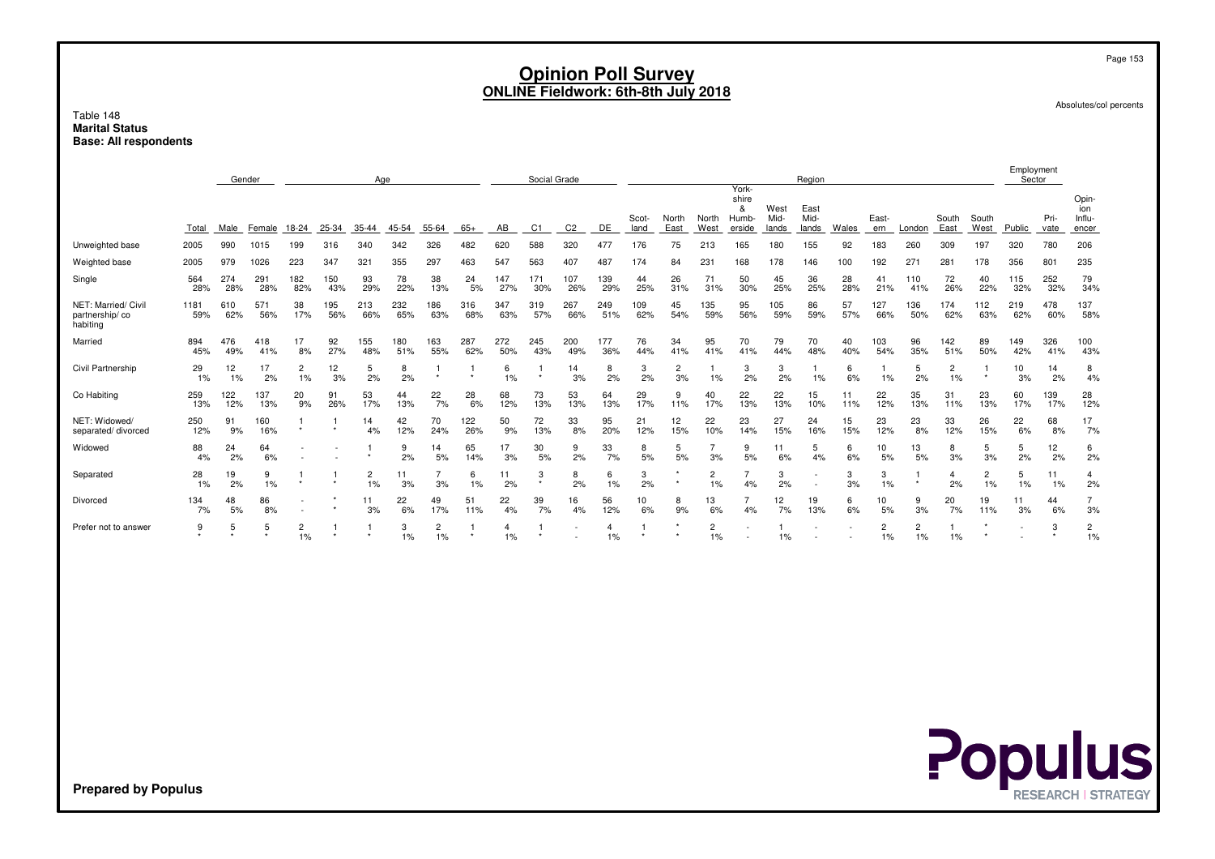Page 153

Absolutes/col percents

#### Table 148 **Marital StatusBase: All respondents**

|                                                   | Gender<br>Age |            |            |            |            |                      | Social Grade |                      |            |            |            |                | York-                |               | Region               |                      |                               |                       |                       |           | Employment<br>Sector |                      |               |               |            |              |                                 |
|---------------------------------------------------|---------------|------------|------------|------------|------------|----------------------|--------------|----------------------|------------|------------|------------|----------------|----------------------|---------------|----------------------|----------------------|-------------------------------|-----------------------|-----------------------|-----------|----------------------|----------------------|---------------|---------------|------------|--------------|---------------------------------|
|                                                   | Total         | Male       | Female     | 18-24      | 25-34      | 35-44                | 45-54        | 55-64                | $65+$      | AB         | C1         | C <sub>2</sub> | DE                   | Scot-<br>land | North<br>East        | North<br>West        | shire<br>&<br>Humb-<br>erside | West<br>Mid-<br>lands | East<br>Mid-<br>lands | Wales     | East-<br>ern         | London               | South<br>East | South<br>West | Public     | Pri-<br>vate | Opin-<br>ion<br>Influ-<br>encer |
| Unweighted base                                   | 2005          | 990        | 1015       | 199        | 316        | 340                  | 342          | 326                  | 482        | 620        | 588        | 320            | 477                  | 176           | 75                   | 213                  | 165                           | 180                   | 155                   | 92        | 183                  | 260                  | 309           | 197           | 320        | 780          | 206                             |
| Weighted base                                     | 2005          | 979        | 1026       | 223        | 347        | 321                  | 355          | 297                  | 463        | 547        | 563        | 407            | 487                  | 174           | 84                   | 231                  | 168                           | 178                   | 146                   | 100       | 192                  | 271                  | 281           | 178           | 356        | 801          | 235                             |
| Single                                            | 564<br>28%    | 274<br>28% | 291<br>28% | 182<br>82% | 150<br>43% | 93<br>29%            | 78<br>22%    | 38<br>13%            | 24<br>5%   | 147<br>27% | 171<br>30% | 107<br>26%     | 139<br>29%           | 44<br>25%     | 26<br>31%            | 71<br>31%            | 50<br>30%                     | 45<br>25%             | 36<br>25%             | 28<br>28% | 41<br>21%            | 110<br>41%           | 72<br>26%     | 40<br>22%     | 115<br>32% | 252<br>32%   | 79<br>34%                       |
| NET: Married/ Civil<br>partnership/co<br>habiting | 1181<br>59%   | 610<br>62% | 571<br>56% | 38<br>17%  | 195<br>56% | 213<br>66%           | 232<br>65%   | 186<br>63%           | 316<br>68% | 347<br>63% | 319<br>57% | 267<br>66%     | 249<br>51%           | 109<br>62%    | 45<br>54%            | 135<br>59%           | 95<br>56%                     | 105<br>59%            | 86<br>59%             | 57<br>57% | 127<br>66%           | 136<br>50%           | 174<br>62%    | 112<br>63%    | 219<br>62% | 478<br>60%   | 137<br>58%                      |
| Married                                           | 894<br>45%    | 476<br>49% | 418<br>41% | 17<br>8%   | 92<br>27%  | 155<br>48%           | 180<br>51%   | 163<br>55%           | 287<br>62% | 272<br>50% | 245<br>43% | 200<br>49%     | 177<br>36%           | 76<br>44%     | 34<br>41%            | 95<br>41%            | 70<br>41%                     | 79<br>44%             | 70<br>48%             | 40<br>40% | 103<br>54%           | 96<br>35%            | 142<br>51%    | 89<br>50%     | 149<br>42% | 326<br>41%   | 100<br>43%                      |
| Civil Partnership                                 | 29<br>1%      | 12<br>1%   | 17<br>2%   | 1%         | 12<br>3%   | 5<br>2%              | 8<br>2%      | ٠                    |            | 6<br>1%    |            | 14<br>3%       | 8<br>2%              | 3<br>2%       | $\overline{2}$<br>3% | 1%                   | 3<br>2%                       | 3<br>2%               | 1%                    | 6<br>6%   | 1%                   | 5<br>2%              | 2<br>1%       |               | 10<br>3%   | 14<br>2%     | 8<br>4%                         |
| Co Habiting                                       | 259<br>13%    | 122<br>12% | 137<br>13% | 20<br>9%   | 91<br>26%  | 53<br>17%            | 44<br>13%    | 22<br>7%             | 28<br>6%   | 68<br>12%  | 73<br>13%  | 53<br>13%      | 64<br>13%            | 29<br>17%     | 9<br>11%             | 40<br>17%            | 22<br>13%                     | 22<br>13%             | 15<br>10%             | 11<br>11% | 22<br>12%            | 35<br>13%            | 31<br>11%     | 23<br>13%     | 60<br>17%  | 139<br>17%   | 28<br>12%                       |
| NET: Widowed/<br>separated/divorced               | 250<br>12%    | 91<br>9%   | 160<br>16% | $\star$    |            | 14<br>4%             | 42<br>12%    | 70<br>24%            | 122<br>26% | 50<br>9%   | 72<br>13%  | 33<br>8%       | 95<br>20%            | 21<br>12%     | 12<br>15%            | 22<br>10%            | 23<br>14%                     | 27<br>15%             | 24<br>16%             | 15<br>15% | 23<br>12%            | 23<br>8%             | 33<br>12%     | 26<br>15%     | 22<br>6%   | 68<br>8%     | 17<br>7%                        |
| Widowed                                           | 88<br>4%      | 24<br>2%   | 64<br>6%   |            |            |                      | 9<br>2%      | 14<br>5%             | 65<br>14%  | 17<br>3%   | 30<br>5%   | 9<br>2%        | 33<br>7%             | 8<br>5%       | 5<br>5%              | 3%                   | 9<br>5%                       | 11<br>6%              | 5<br>4%               | 6<br>6%   | 10<br>5%             | 13<br>5%             | 8<br>3%       | 5<br>3%       | 5<br>2%    | 12<br>2%     | 6<br>2%                         |
| Separated                                         | 28<br>1%      | 19<br>2%   | 9<br>1%    | $\star$    |            | $\overline{c}$<br>1% | 11<br>3%     | 3%                   | 6<br>1%    | 11<br>2%   | 3          | 8<br>2%        | 6<br>1%              | 3<br>2%       |                      | $\overline{c}$<br>1% | 4%                            | 3<br>2%               |                       | 3<br>3%   | 3<br>1%              |                      | 2%            | 2<br>1%       | 5<br>1%    | 11<br>1%     | 4<br>2%                         |
| Divorced                                          | 134<br>7%     | 48<br>5%   | 86<br>8%   |            |            | 11<br>3%             | 22<br>6%     | 49<br>17%            | 51<br>11%  | 22<br>4%   | 39<br>7%   | 16<br>4%       | 56<br>12%            | 10<br>6%      | 8<br>9%              | 13<br>6%             | 4%                            | 12<br>7%              | 19<br>13%             | 6<br>6%   | 10<br>5%             | 9<br>3%              | 20<br>7%      | 19<br>11%     | 11<br>3%   | 44<br>6%     | 3%                              |
| Prefer not to answer                              | 9             |            | 5          | 1%         |            |                      | 3<br>1%      | $\overline{c}$<br>1% |            | 1%         |            |                | $\overline{4}$<br>1% |               |                      | 2<br>1%              |                               | $1\%$                 |                       |           | 2<br>1%              | $\overline{2}$<br>1% | 1%            |               |            | 3            | $\overline{2}$<br>1%            |

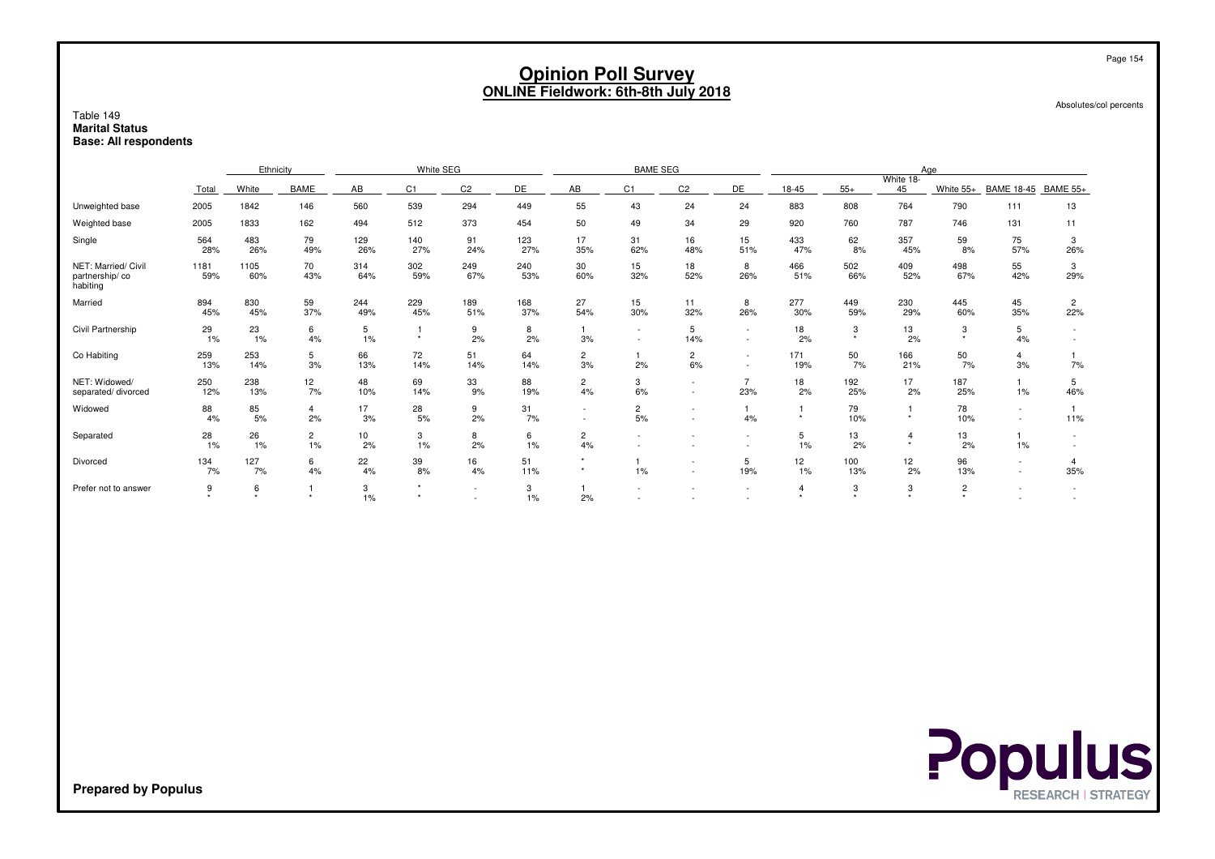|                                                                    | <b>Opinion Poll Survey</b><br><b>ONLINE Fieldwork: 6th-8th July 2018</b> |             |                      |            |                           |                  |            |                      |                      |                                    |                                    |                |            |                           |                        | Page 154<br>Absolutes/col percents |                       |
|--------------------------------------------------------------------|--------------------------------------------------------------------------|-------------|----------------------|------------|---------------------------|------------------|------------|----------------------|----------------------|------------------------------------|------------------------------------|----------------|------------|---------------------------|------------------------|------------------------------------|-----------------------|
| Table 149<br><b>Marital Status</b><br><b>Base: All respondents</b> |                                                                          |             |                      |            |                           |                  |            |                      |                      |                                    |                                    |                |            |                           |                        |                                    |                       |
|                                                                    |                                                                          | Ethnicity   |                      |            | White SEG                 |                  |            |                      | <b>BAME SEG</b>      |                                    |                                    |                |            | Age                       |                        |                                    |                       |
|                                                                    | Total                                                                    | White       | <b>BAME</b>          | AB         | C1                        | C <sub>2</sub>   | DE         | AB                   | C1                   | C <sub>2</sub>                     | DE                                 | 18-45          | $55+$      | White 18-<br>45           | White 55+              | <b>BAME 18-45</b>                  | <b>BAME 55+</b>       |
| Unweighted base                                                    | 2005                                                                     | 1842        | 146                  | 560        | 539                       | 294              | 449        | 55                   | 43                   | 24                                 | 24                                 | 883            | 808        | 764                       | 790                    | 111                                | 13                    |
| Weighted base                                                      | 2005                                                                     | 1833        | 162                  | 494        | 512                       | 373              | 454        | 50                   | 49                   | 34                                 | 29                                 | 920            | 760        | 787                       | 746                    | 131                                | 11                    |
| Single                                                             | 564<br>28%                                                               | 483<br>26%  | 79<br>49%            | 129<br>26% | 140<br>27%                | 91<br>24%        | 123<br>27% | 17<br>35%            | 31<br>62%            | 16<br>48%                          | 15<br>51%                          | 433<br>47%     | 62<br>8%   | 357<br>45%                | 59<br>8%               | 75<br>57%                          | 3<br>26%              |
| NET: Married/ Civil<br>partnership/co<br>habiting                  | 1181<br>59%                                                              | 1105<br>60% | 70<br>43%            | 314<br>64% | 302<br>59%                | 249<br>67%       | 240<br>53% | 30<br>60%            | 15<br>32%            | 18<br>52%                          | 8<br>26%                           | 466<br>51%     | 502<br>66% | 409<br>52%                | 498<br>67%             | 55<br>42%                          | 3<br>29%              |
| Married                                                            | 894<br>45%                                                               | 830<br>45%  | 59<br>37%            | 244<br>49% | 229<br>45%                | 189<br>51%       | 168<br>37% | 27<br>54%            | 15<br>30%            | 11<br>32%                          | 8<br>26%                           | 277<br>30%     | 449<br>59% | 230<br>29%                | 445<br>60%             | 45<br>35%                          | $\overline{c}$<br>22% |
| Civil Partnership                                                  | 29<br>$1\%$                                                              | 23<br>$1\%$ | 6<br>4%              | 5<br>1%    | $\overline{1}$<br>$\star$ | 9<br>2%          | 8<br>2%    | -1<br>3%             |                      | 5<br>14%                           | $\sim$<br>$\sim$                   | 18<br>2%       | 3          | 13<br>2%                  | 3<br>$\star$           | 5<br>4%                            | $\sim$                |
| Co Habiting                                                        | 259<br>13%                                                               | 253<br>14%  | 5<br>3%              | 66<br>13%  | 72<br>14%                 | 51<br>14%        | 64<br>14%  | $\overline{c}$<br>3% | 1<br>2%              | $\overline{2}$<br>6%               | $\sim$<br>$\sim$                   | 171<br>19%     | 50<br>7%   | 166<br>21%                | 50<br>7%               | $\overline{4}$<br>3%               | 7%                    |
| NET: Widowed/<br>separated/divorced                                | 250<br>12%                                                               | 238<br>13%  | 12<br>7%             | 48<br>10%  | 69<br>14%                 | 33<br>9%         | 88<br>19%  | $\mathbf{2}$<br>4%   | 3<br>6%              | $\sim$<br>$\sim$                   | $\overline{7}$<br>23%              | 18<br>2%       | 192<br>25% | 17<br>2%                  | 187<br>25%             | 1<br>1%                            | 5<br>46%              |
| Widowed                                                            | 88<br>4%                                                                 | 85<br>5%    | $\overline{4}$<br>2% | 17<br>3%   | 28<br>5%                  | 9<br>2%          | 31<br>7%   | $\sim$<br>$\sim$     | $\overline{2}$<br>5% | $\overline{\phantom{a}}$<br>$\sim$ | $\mathbf{1}$<br>4%                 | $\star$        | 79<br>10%  | $\star$                   | 78<br>10%              | $\sim$<br>$\sim$                   | 11%                   |
| Separated                                                          | 28<br>1%                                                                 | 26<br>1%    | $\overline{2}$<br>1% | 10<br>2%   | 3<br>1%                   | 8<br>2%          | 6<br>1%    | $\overline{c}$<br>4% |                      |                                    | $\overline{\phantom{a}}$<br>$\sim$ | 5<br>1%        | 13<br>2%   | $\overline{4}$<br>$\star$ | 13<br>2%               | $\mathbf{1}$<br>1%                 | $\sim$<br>$\sim$      |
| Divorced                                                           | 134<br>7%                                                                | 127<br>7%   | 6<br>4%              | 22<br>4%   | 39<br>8%                  | 16<br>4%         | 51<br>11%  | $\star$<br>$\star$   | 1<br>1%              | $\sim$                             | 5<br>19%                           | 12<br>1%       | 100<br>13% | 12<br>2%                  | 96<br>13%              | $\sim$<br>$\sim$                   | $\overline{4}$<br>35% |
| Prefer not to answer                                               | 9                                                                        | 6           | $\star$              | 3<br>1%    | $\star$                   | $\sim$<br>$\sim$ | 3<br>1%    | 2%                   |                      |                                    | $\overline{\phantom{a}}$           | $\overline{4}$ | 3          | 3                         | $\mathbf 2$<br>$\star$ |                                    | $\sim$                |

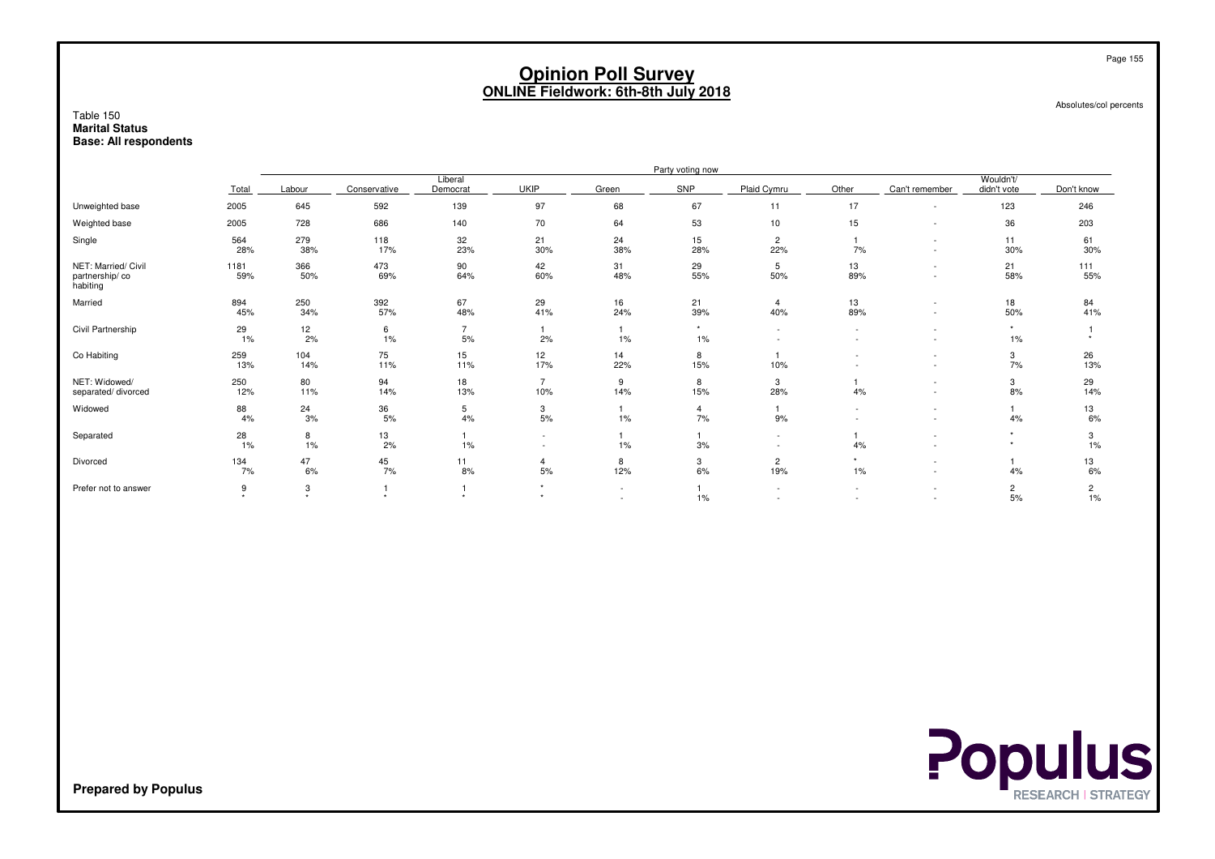#### Absolutes/col percents

#### Table 150 **Marital StatusBase: All respondents**

|                                                   |             | Party voting now |              |                        |                                                      |                          |                  |                       |                                    |                                                      |                          |            |  |
|---------------------------------------------------|-------------|------------------|--------------|------------------------|------------------------------------------------------|--------------------------|------------------|-----------------------|------------------------------------|------------------------------------------------------|--------------------------|------------|--|
|                                                   | Total       | Labour           | Conservative | Liberal<br>Democrat    | <b>UKIP</b>                                          | Green                    | SNP              | Plaid Cymru           | Other                              | Can't remember                                       | Wouldn't/<br>didn't vote | Don't know |  |
| Unweighted base                                   | 2005        | 645              | 592          | 139                    | 97                                                   | 68                       | 67               | 11                    | 17                                 |                                                      | 123                      | 246        |  |
| Weighted base                                     | 2005        | 728              | 686          | 140                    | 70                                                   | 64                       | 53               | 10                    | 15                                 | $\overline{\phantom{a}}$                             | 36                       | 203        |  |
| Single                                            | 564<br>28%  | 279<br>38%       | 118<br>17%   | 32<br>23%              | 21<br>30%                                            | 24<br>38%                | 15<br>28%        | $\overline{c}$<br>22% | 7%                                 | $\overline{\phantom{a}}$                             | 11<br>30%                | 61<br>30%  |  |
| NET: Married/ Civil<br>partnership/co<br>habiting | 1181<br>59% | 366<br>50%       | 473<br>69%   | 90<br>64%              | 42<br>60%                                            | 31<br>48%                | 29<br>55%        | 5<br>50%              | 13<br>89%                          |                                                      | 21<br>58%                | 111<br>55% |  |
| Married                                           | 894<br>45%  | 250<br>34%       | 392<br>57%   | 67<br>48%              | 29<br>41%                                            | 16<br>24%                | 21<br>39%        | $\overline{4}$<br>40% | 13<br>89%                          | $\overline{\phantom{a}}$                             | 18<br>50%                | 84<br>41%  |  |
| Civil Partnership                                 | 29<br>1%    | 12<br>2%         | 6<br>1%      | $\overline{7}$<br>$5%$ | 2%                                                   | $1\%$                    | $\star$<br>$1\%$ |                       | $\sim$<br>$\overline{\phantom{a}}$ | $\overline{\phantom{a}}$<br>$\overline{\phantom{a}}$ | $\star$<br>$1\%$         |            |  |
| Co Habiting                                       | 259<br>13%  | 104<br>14%       | 75<br>11%    | 15<br>11%              | 12<br>17%                                            | 14<br>22%                | 8<br>15%         | 10%                   |                                    | $\overline{\phantom{a}}$<br>$\overline{\phantom{a}}$ | 3<br>7%                  | 26<br>13%  |  |
| NET: Widowed/<br>separated/divorced               | 250<br>12%  | 80<br>11%        | 94<br>14%    | 18<br>13%              | $\overline{ }$<br>10%                                | 9<br>14%                 | 8<br>15%         | 3<br>28%              | 4%                                 | $\overline{\phantom{a}}$                             | 3<br>8%                  | 29<br>14%  |  |
| Widowed                                           | 88<br>4%    | 24<br>3%         | 36<br>5%     | 5<br>4%                | 3<br>5%                                              | 1%                       | 4<br>7%          | 9%                    | ٠                                  | $\overline{\phantom{a}}$                             | 4%                       | 13<br>6%   |  |
| Separated                                         | 28<br>1%    | 8<br>1%          | 13<br>2%     | 1%                     | $\overline{\phantom{a}}$<br>$\overline{\phantom{a}}$ | 1%                       | 3%               |                       | 4%                                 |                                                      |                          | 3<br>1%    |  |
| Divorced                                          | 134<br>7%   | 47<br>6%         | 45<br>7%     | 11<br>8%               | 5%                                                   | 8<br>12%                 | 3<br>6%          | 2<br>19%              | $1\%$                              |                                                      | 4%                       | 13<br>6%   |  |
| Prefer not to answer                              | 9<br>÷.     | 3<br>$\Delta$    |              |                        |                                                      | $\overline{\phantom{a}}$ | $1\%$            |                       |                                    |                                                      | $\overline{2}$<br>5%     | 2<br>1%    |  |



**Prepared by Populus**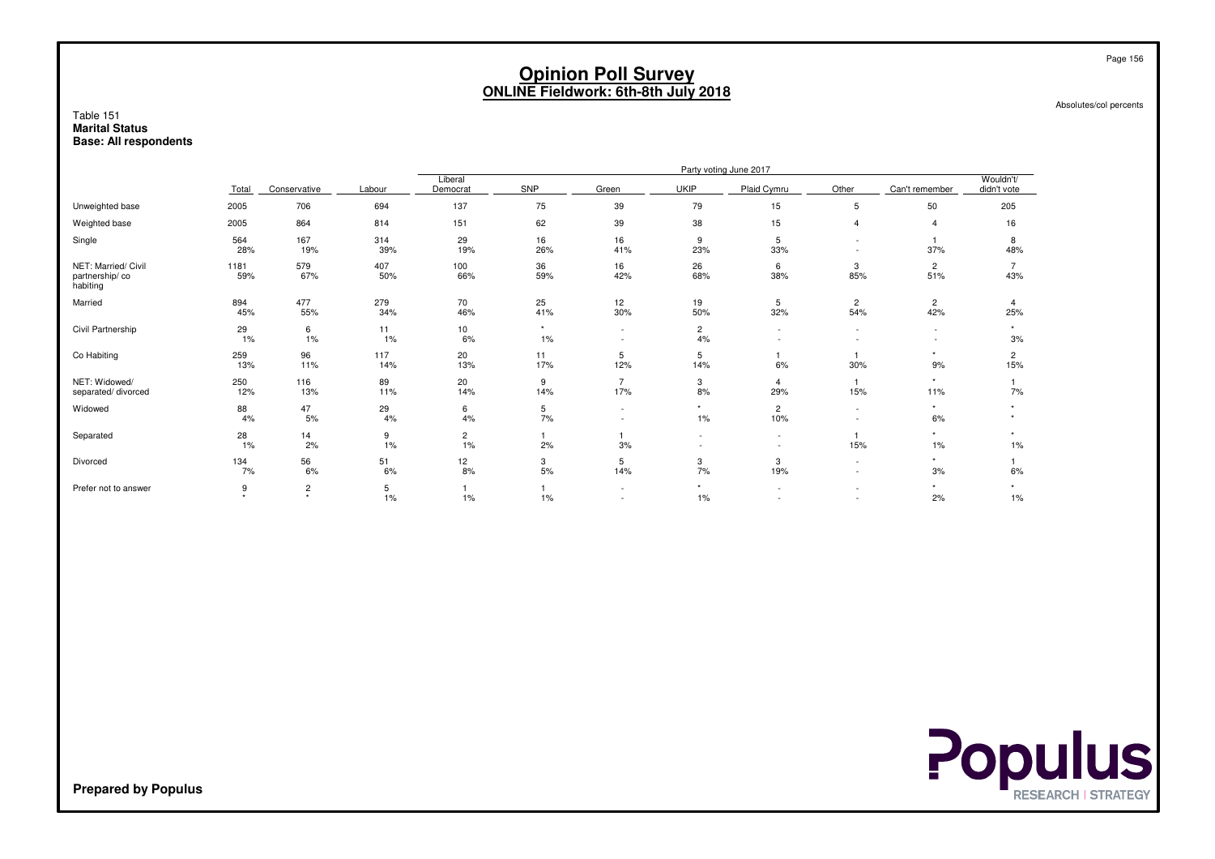Absolutes/col percents

#### Table 151 **Marital StatusBase: All respondents**

| Party voting June 2017 |                           |              |                      |               |                                                      |                      |                                                      |                       |                                                      |                            |
|------------------------|---------------------------|--------------|----------------------|---------------|------------------------------------------------------|----------------------|------------------------------------------------------|-----------------------|------------------------------------------------------|----------------------------|
| Total                  |                           | Labour       | Democrat             | SNP           | Green                                                | <b>UKIP</b>          | Plaid Cymru                                          | Other                 | Can't remember                                       | Wouldn't/<br>didn't vote   |
| 2005                   | 706                       | 694          | 137                  | 75            | 39                                                   | 79                   | 15                                                   | 5                     | 50                                                   | 205                        |
| 2005                   | 864                       | 814          | 151                  | 62            | 39                                                   | 38                   | 15                                                   | 4                     | $\overline{4}$                                       | 16                         |
| 564<br>28%             | 167<br>19%                | 314<br>39%   | 29<br>19%            | 16<br>26%     | 16<br>41%                                            | 9<br>23%             | 5<br>33%                                             | $\sim$                | 37%                                                  | 8<br>48%                   |
| 1181<br>59%            | 579<br>67%                | 407<br>50%   | 100<br>66%           | 36<br>59%     | 16<br>42%                                            | 26<br>68%            | 6<br>38%                                             | 3<br>85%              | $\overline{2}$<br>51%                                | 43%                        |
| 894<br>45%             | 477<br>55%                | 279<br>34%   | 70<br>46%            | 25<br>41%     | 12<br>30%                                            | 19<br>50%            | 5<br>32%                                             | $\overline{c}$<br>54% | $\overline{2}$<br>42%                                | 25%                        |
| 29<br>1%               | 6<br>1%                   | 11<br>1%     | 10<br>6%             | $\star$<br>1% | $\overline{\phantom{a}}$<br>$\overline{\phantom{a}}$ | $\overline{2}$<br>4% | $\sim$                                               | $\sim$                | $\overline{\phantom{a}}$<br>$\overline{\phantom{a}}$ | $\ddot{\phantom{1}}$<br>3% |
| 259<br>13%             | 96<br>11%                 | 117<br>14%   | 20<br>13%            | 11<br>17%     | 5<br>12%                                             | 5<br>14%             | 6%                                                   | 30%                   | $\star$<br>9%                                        | 2<br>15%                   |
| 250<br>12%             | 116<br>13%                | 89<br>11%    | 20<br>14%            | 9<br>14%      | $\overline{7}$<br>17%                                | 3<br>8%              | $\overline{4}$<br>29%                                | 15%                   | $\star$<br>11%                                       | 7%                         |
| 88<br>4%               | 47<br>5%                  | 29<br>4%     | 6<br>4%              | 5<br>7%       | $\overline{\phantom{a}}$<br>٠                        | $\star$<br>$1\%$     | $\overline{c}$<br>10%                                | $\sim$                | $\star$<br>6%                                        |                            |
| 28<br>1%               | 14<br>2%                  | 9<br>$1\%$   | $\overline{c}$<br>1% | 2%            | 3%                                                   | $\overline{a}$       | $\sim$<br>$\overline{a}$                             | 15%                   | $\star$<br>1%                                        | $\ddot{\phantom{1}}$<br>1% |
| 134<br>7%              | 56<br>6%                  | 51<br>6%     | 12<br>8%             | 3<br>5%       | 5<br>14%                                             | 3<br>7%              | 3<br>19%                                             | $\sim$                | $\star$<br>3%                                        | 6%                         |
| 9<br>٠                 | $\overline{c}$<br>$\star$ | 5<br>1%      | $1\%$                | 1%            | $\overline{\phantom{a}}$<br>$\overline{\phantom{a}}$ | $\star$<br>$1\%$     | $\overline{\phantom{a}}$<br>$\overline{\phantom{a}}$ |                       | $\star$<br>2%                                        | 1%                         |
|                        |                           | Conservative |                      | Liberal       |                                                      |                      |                                                      |                       |                                                      |                            |



**Prepared by Populus**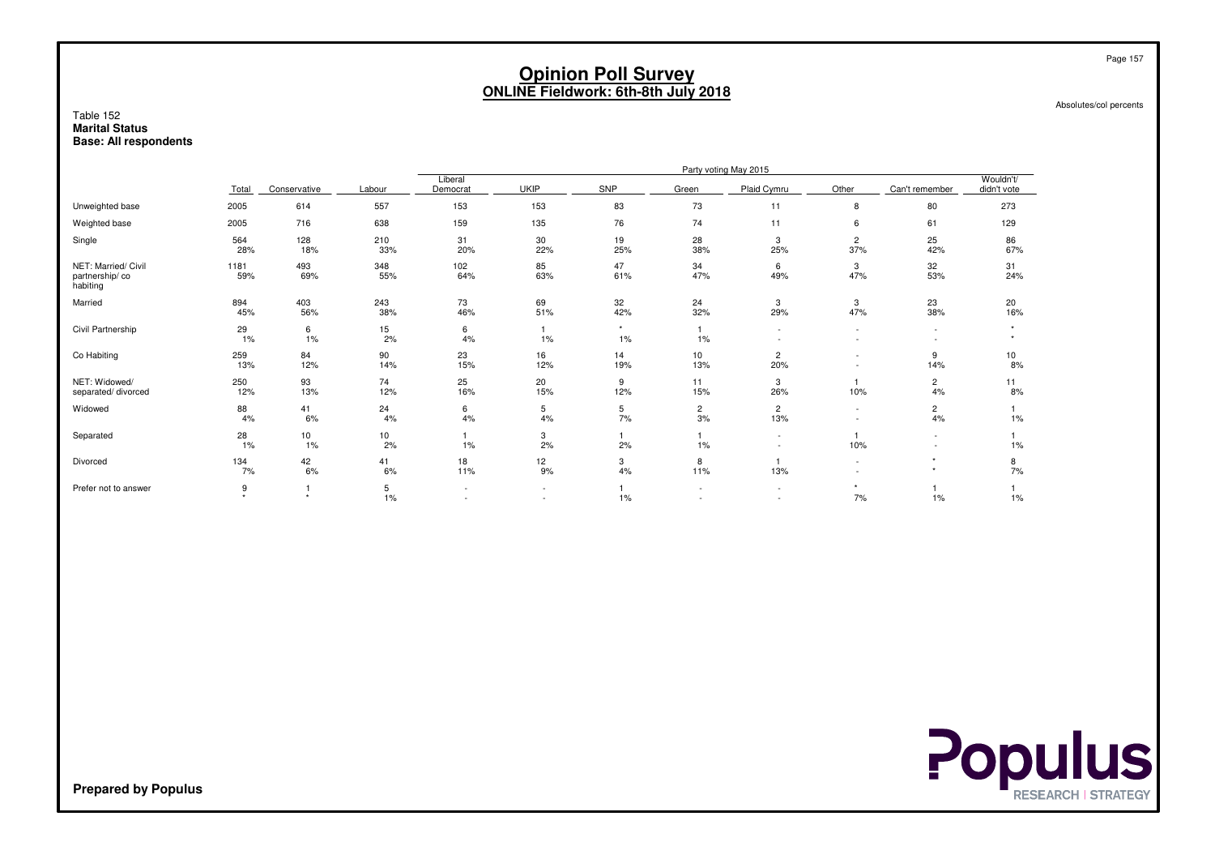Absolutes/col percents

#### Table 152 **Marital StatusBase: All respondents**

|                                                   |             |              |            |                          |             |               |                               | Party voting May 2015              |                          |                      |                          |
|---------------------------------------------------|-------------|--------------|------------|--------------------------|-------------|---------------|-------------------------------|------------------------------------|--------------------------|----------------------|--------------------------|
|                                                   | Total       | Conservative | Labour     | Liberal<br>Democrat      | <b>UKIP</b> | <b>SNP</b>    | Green                         | Plaid Cymru                        | Other                    | Can't remember       | Wouldn't/<br>didn't vote |
| Unweighted base                                   | 2005        | 614          | 557        | 153                      | 153         | 83            | 73                            | 11                                 | 8                        | 80                   | 273                      |
| Weighted base                                     | 2005        | 716          | 638        | 159                      | 135         | 76            | 74                            | 11                                 | 6                        | 61                   | 129                      |
| Single                                            | 564<br>28%  | 128<br>18%   | 210<br>33% | 31<br>20%                | 30<br>22%   | 19<br>25%     | 28<br>38%                     | 3<br>25%                           | $\overline{c}$<br>37%    | 25<br>42%            | 86<br>67%                |
| NET: Married/ Civil<br>partnership/co<br>habiting | 1181<br>59% | 493<br>69%   | 348<br>55% | 102<br>64%               | 85<br>63%   | 47<br>61%     | 34<br>47%                     | 6<br>49%                           | 3<br>47%                 | 32<br>53%            | 31<br>24%                |
| Married                                           | 894<br>45%  | 403<br>56%   | 243<br>38% | 73<br>46%                | 69<br>51%   | 32<br>42%     | 24<br>32%                     | 3<br>29%                           | 3<br>47%                 | 23<br>38%            | 20<br>16%                |
| Civil Partnership                                 | 29<br>1%    | 6<br>$1\%$   | 15<br>2%   | 6<br>4%                  | 1%          | $\star$<br>1% | 1%                            | $\overline{\phantom{a}}$           | $\overline{\phantom{a}}$ |                      |                          |
| Co Habiting                                       | 259<br>13%  | 84<br>12%    | 90<br>14%  | 23<br>15%                | 16<br>12%   | 14<br>19%     | 10<br>13%                     | $\overline{c}$<br>20%              |                          | 9<br>14%             | 10<br>8%                 |
| NET: Widowed/<br>separated/divorced               | 250<br>12%  | 93<br>13%    | 74<br>12%  | 25<br>16%                | 20<br>15%   | 9<br>12%      | 11<br>15%                     | 3<br>26%                           | 10%                      | $\overline{c}$<br>4% | 11<br>8%                 |
| Widowed                                           | 88<br>4%    | 41<br>6%     | 24<br>4%   | 6<br>4%                  | 5<br>4%     | 5<br>7%       | $\overline{2}$<br>3%          | $\overline{c}$<br>13%              | $\sim$                   | $\overline{c}$<br>4% | 1%                       |
| Separated                                         | 28<br>1%    | 10<br>$1\%$  | 10<br>2%   | $1\%$                    | 3<br>2%     | 2%            | $1\%$                         | $\overline{\phantom{a}}$           | 10%                      | $\sim$               | $1\%$                    |
| Divorced                                          | 134<br>7%   | 42<br>6%     | 41<br>6%   | 18<br>11%                | 12<br>9%    | 3<br>4%       | 8<br>11%                      | 13%                                |                          | $\star$              | 8<br>7%                  |
| Prefer not to answer                              | 9<br>٠      | $\star$      | 5<br>1%    | $\overline{\phantom{a}}$ | $\sim$      | 1%            | $\overline{\phantom{a}}$<br>٠ | $\sim$<br>$\overline{\phantom{a}}$ | 7%                       | 1%                   | 1%                       |



**Prepared by Populus**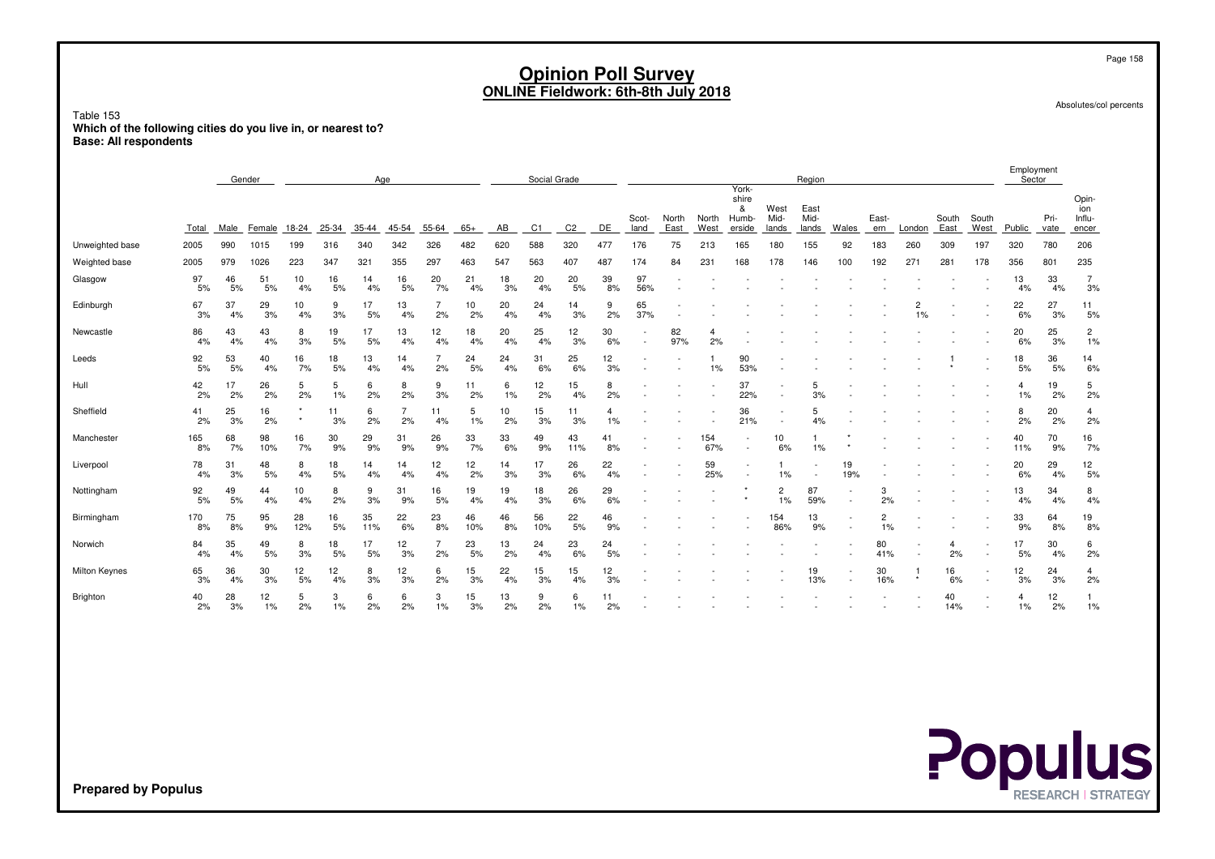Absolutes/col percents

Page 158

Table 153 **Which of the following cities do you live in, or nearest to?Base: All respondents**

|                      | Gender<br>Age |          |           |           |            |           |                      |                      |           |          | Social Grade |                |          |               |               |               |                                               |                       | Region                |                          |                      |                      |               |               | Employment<br>Sector |              |                                 |
|----------------------|---------------|----------|-----------|-----------|------------|-----------|----------------------|----------------------|-----------|----------|--------------|----------------|----------|---------------|---------------|---------------|-----------------------------------------------|-----------------------|-----------------------|--------------------------|----------------------|----------------------|---------------|---------------|----------------------|--------------|---------------------------------|
|                      | Total         | Male     | Female    | 18-24     | 25-34      | 35-44     | 45-54                | 55-64                | $65+$     | AB       | C1           | C <sub>2</sub> | DE       | Scot-<br>land | North<br>East | North<br>West | York-<br>shire<br>&<br><b>Humb-</b><br>erside | West<br>Mid-<br>lands | East<br>Mid-<br>lands | Wales                    | East-<br>ern         | London               | South<br>East | South<br>West | Public               | Pri-<br>vate | Opin-<br>ion<br>Influ-<br>encer |
| Unweighted base      | 2005          | 990      | 1015      | 199       | 316        | 340       | 342                  | 326                  | 482       | 620      | 588          | 320            | 477      | 176           | 75            | 213           | 165                                           | 180                   | 155                   | 92                       | 183                  | 260                  | 309           | 197           | 320                  | 780          | 206                             |
| Weighted base        | 2005          | 979      | 1026      | 223       | 347        | 321       | 355                  | 297                  | 463       | 547      | 563          | 407            | 487      | 174           | 84            | 231           | 168                                           | 178                   | 146                   | 100                      | 192                  | 271                  | 281           | 178           | 356                  | 801          | 235                             |
| Glasgow              | 97<br>5%      | 46<br>5% | 51<br>5%  | 10<br>4%  | 16<br>5%   | 14<br>4%  | 16<br>5%             | 20<br>7%             | 21<br>4%  | 18<br>3% | 20<br>4%     | 20<br>5%       | 39<br>8% | 97<br>56%     |               |               |                                               |                       |                       |                          |                      |                      |               |               | 13<br>4%             | 33<br>4%     | $\overline{7}$<br>3%            |
| Edinburgh            | 67<br>3%      | 37<br>4% | 29<br>3%  | 10<br>4%  | 9<br>3%    | 17<br>5%  | 13<br>4%             | $\overline{7}$<br>2% | 10<br>2%  | 20<br>4% | 24<br>4%     | 14<br>3%       | 9<br>2%  | 65<br>37%     |               |               |                                               |                       |                       |                          |                      | $\overline{2}$<br>1% |               |               | 22<br>6%             | 27<br>3%     | 11<br>5%                        |
| Newcastle            | 86<br>4%      | 43<br>4% | 43<br>4%  | 8<br>3%   | 19<br>5%   | 17<br>5%  | 13<br>4%             | 12<br>4%             | 18<br>4%  | 20<br>4% | 25<br>4%     | 12<br>3%       | 30<br>6% |               | 82<br>97%     | 2%            |                                               |                       |                       |                          |                      |                      |               |               | 20<br>6%             | 25<br>3%     | $\overline{c}$<br>1%            |
| Leeds                | 92<br>5%      | 53<br>5% | 40<br>4%  | 16<br>7%  | 18<br>5%   | 13<br>4%  | 14<br>4%             | 2%                   | 24<br>5%  | 24<br>4% | 31<br>6%     | 25<br>6%       | 12<br>3% |               |               | 1%            | 90<br>53%                                     |                       |                       |                          |                      |                      |               |               | 18<br>5%             | 36<br>5%     | 14<br>6%                        |
| Hull                 | 42<br>2%      | 17<br>2% | 26<br>2%  | 5<br>2%   | 5<br>$1\%$ | 6<br>2%   | 8<br>2%              | 9<br>3%              | 11<br>2%  | 6<br>1%  | 12<br>2%     | 15<br>4%       | 8<br>2%  |               |               |               | 37<br>22%                                     |                       | 3%                    |                          |                      |                      |               |               | 4<br>1%              | 19<br>2%     | 5<br>2%                         |
| Sheffield            | 41<br>2%      | 25<br>3% | 16<br>2%  |           | 11<br>3%   | 6<br>2%   | $\overline{7}$<br>2% | 11<br>4%             | 5<br>1%   | 10<br>2% | 15<br>3%     | 11<br>3%       | 4<br>1%  |               |               |               | 36<br>21%                                     |                       | 4%                    |                          |                      |                      |               |               | 8<br>2%              | 20<br>2%     | 4<br>2%                         |
| Manchester           | 165<br>8%     | 68<br>7% | 98<br>10% | 16<br>7%  | 30<br>9%   | 29<br>9%  | 31<br>9%             | 26<br>9%             | 33<br>7%  | 33<br>6% | 49<br>9%     | 43<br>11%      | 41<br>8% |               |               | 154<br>67%    | $\sim$                                        | 10<br>6%              | 1%                    |                          |                      |                      |               |               | 40<br>11%            | 70<br>9%     | 16<br>7%                        |
| Liverpool            | 78<br>4%      | 31<br>3% | 48<br>5%  | 8<br>4%   | 18<br>5%   | 14<br>4%  | 14<br>4%             | 12<br>4%             | 12<br>2%  | 14<br>3% | 17<br>3%     | 26<br>6%       | 22<br>4% |               |               | 59<br>25%     |                                               | 1%                    |                       | 19<br>19%                |                      |                      |               |               | 20<br>6%             | 29<br>4%     | 12<br>5%                        |
| Nottingham           | 92<br>5%      | 49<br>5% | 44<br>4%  | 10<br>4%  | 8<br>2%    | 9<br>3%   | 31<br>9%             | 16<br>5%             | 19<br>4%  | 19<br>4% | 18<br>3%     | 26<br>6%       | 29<br>6% |               |               |               |                                               | $\overline{c}$<br>1%  | 87<br>59%             | $\overline{\phantom{a}}$ | 3<br>2%              |                      |               |               | 13<br>4%             | 34<br>4%     | 8<br>4%                         |
| Birmingham           | 170<br>8%     | 75<br>8% | 95<br>9%  | 28<br>12% | 16<br>5%   | 35<br>11% | 22<br>6%             | 23<br>8%             | 46<br>10% | 46<br>8% | 56<br>10%    | 22<br>5%       | 46<br>9% |               |               |               |                                               | 154<br>86%            | 13<br>9%              |                          | $\overline{2}$<br>1% |                      |               |               | 33<br>9%             | 64<br>8%     | 19<br>8%                        |
| Norwich              | 84<br>4%      | 35<br>4% | 49<br>5%  | 8<br>3%   | 18<br>5%   | 17<br>5%  | 12<br>3%             | 2%                   | 23<br>5%  | 13<br>2% | 24<br>4%     | 23<br>6%       | 24<br>5% |               |               |               |                                               |                       |                       |                          | 80<br>41%            |                      | 4<br>2%       |               | 17<br>5%             | 30<br>4%     | 6<br>2%                         |
| <b>Milton Keynes</b> | 65<br>3%      | 36<br>4% | 30<br>3%  | 12<br>5%  | 12<br>4%   | 8<br>3%   | 12<br>3%             | 6<br>2%              | 15<br>3%  | 22<br>4% | 15<br>3%     | 15<br>4%       | 12<br>3% |               |               |               |                                               |                       | 19<br>13%             | $\overline{\phantom{a}}$ | 30<br>16%            |                      | 16<br>6%      |               | 12<br>3%             | 24<br>3%     | 4<br>2%                         |
| Brighton             | 40<br>2%      | 28<br>3% | 12<br>1%  | 5<br>2%   | 3<br>1%    | 6<br>2%   | 6<br>2%              | 3<br>1%              | 15<br>3%  | 13<br>2% | 9<br>2%      | 6<br>1%        | 11<br>2% |               |               |               |                                               |                       |                       |                          |                      |                      | 40<br>14%     |               | 1%                   | 12<br>2%     | 1%                              |

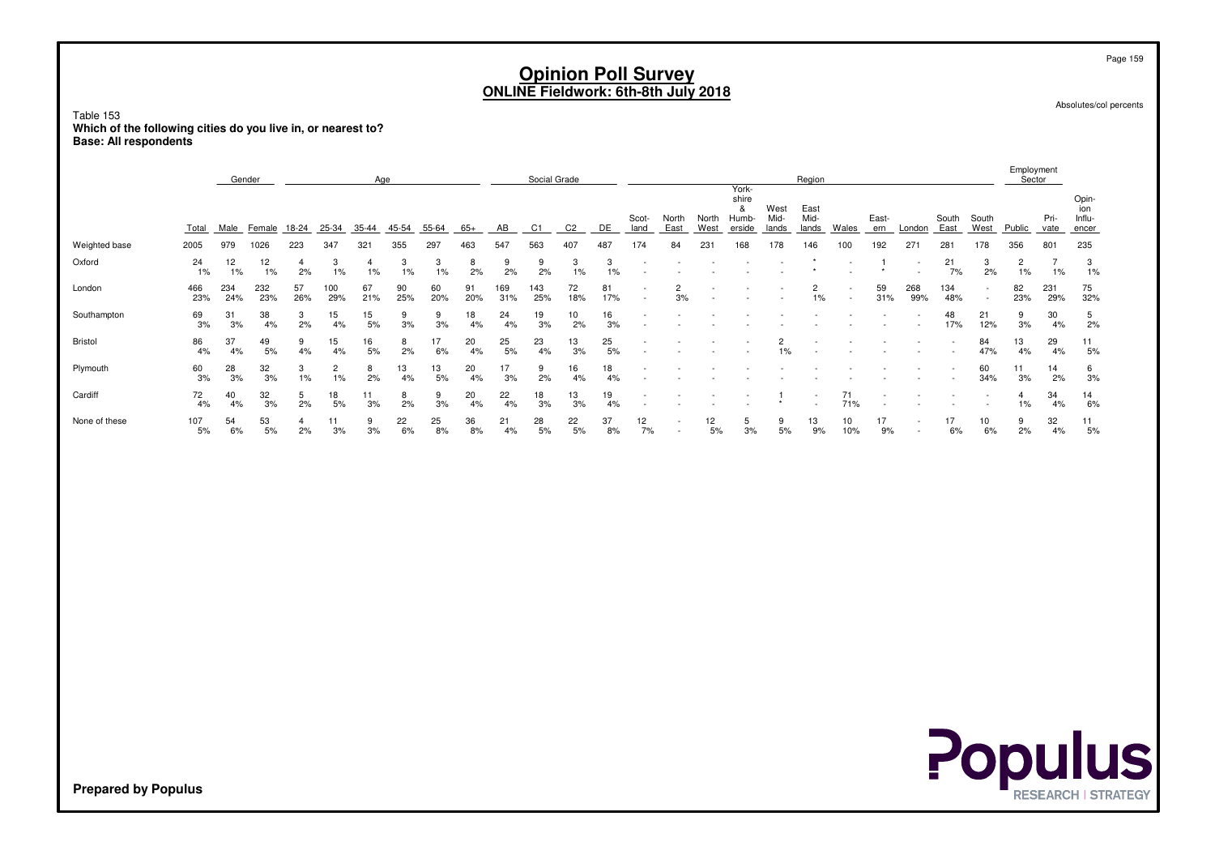Absolutes/col percents

Page 159

Table 153 **Which of the following cities do you live in, or nearest to?Base: All respondents**

|               |             | Gender     |                         | Age       |                       |                      |           |            |           |            | Social Grade |                |           |               |                      |               |                                        |                       | Region               |             |                |                                    |                |                                    | Employment<br>Sector    |                      |                                 |
|---------------|-------------|------------|-------------------------|-----------|-----------------------|----------------------|-----------|------------|-----------|------------|--------------|----------------|-----------|---------------|----------------------|---------------|----------------------------------------|-----------------------|----------------------|-------------|----------------|------------------------------------|----------------|------------------------------------|-------------------------|----------------------|---------------------------------|
|               | Total       |            | Male Female 18-24 25-34 |           |                       | $35 - 44$            | 45-54     | 55-64      | $-65+$    | AB         | C1           | C <sub>2</sub> | DE        | Scot-<br>land | North<br>East        | North<br>West | York-<br>shire<br>&<br>Humb-<br>erside | West<br>Mid-<br>lands | East<br>Mid-         | lands Wales | East-<br>ern   | London                             | South<br>East  | South<br>West                      | Public                  | Pri-<br>vate         | Opin-<br>ion<br>Influ-<br>encer |
| Weighted base | 2005        | 979        | 1026                    | 223       | 347                   | 321                  | 355       | 297        | 463       | 547        | 563          | 407            | 487       | 174           | 84                   | 231           | 168                                    | 178                   | 146                  | 100         | 192            | 271                                | 281            | 178                                | 356                     | 801                  | 235                             |
| Oxford        | 24<br>1%    | 12<br>1%   | 12<br>1%                | 4<br>2%   | 3<br>1%               | $\overline{4}$<br>1% | 3<br>1%   | 3<br>$1\%$ | 8<br>2%   | 9<br>2%    | 9<br>2%      | 3<br>1%        | 3<br>1%   | $\sim$        |                      | $\sim$        | $\sim$                                 | $\sim$<br>$\sim$      | $\star$              |             | -1<br>$^\star$ | $\overline{\phantom{a}}$<br>$\sim$ | 21<br>7%       | 3<br>2%                            | $\overline{c}$<br>$1\%$ | $\overline{7}$<br>1% | 3<br>1%                         |
| London        | 466<br>23%  | 234<br>24% | 232<br>23%              | 57<br>26% | 100<br>29%            | 67<br>21%            | 90<br>25% | 60<br>20%  | 91<br>20% | 169<br>31% | 143<br>25%   | 72<br>18%      | 81<br>17% | $\sim$        | $\overline{2}$<br>3% |               |                                        |                       | $\overline{2}$<br>1% | $\sim$      | 59<br>31%      | 268<br>99%                         | 134<br>48%     | $\overline{\phantom{a}}$<br>$\sim$ | 82<br>23%               | 231<br>29%           | 75<br>32%                       |
| Southampton   | 69<br>3%    | 31<br>3%   | 38<br>4%                | 3<br>2%   | 15<br>4%              | 15<br>5%             | 9<br>3%   | 9<br>3%    | 18<br>4%  | 24<br>4%   | 19<br>3%     | $10$<br>2%     | 16<br>3%  |               |                      |               |                                        |                       |                      |             |                | $\overline{\phantom{a}}$<br>$\sim$ | 48<br>17%      | 21<br>12%                          | 9<br>3%                 | 30<br>4%             | 5<br>2%                         |
| Bristol       | 86<br>4%    | 37<br>4%   | 49<br>5%                | 9<br>4%   | 15<br>4%              | 16<br>5%             | 8<br>2%   | 17<br>6%   | 20<br>4%  | 25<br>5%   | 23<br>4%     | 13<br>3%       | 25<br>5%  |               |                      |               |                                        | $\overline{c}$<br>1%  |                      |             |                |                                    |                | 84<br>47%                          | 13<br>4%                | 29<br>4%             | 11<br>5%                        |
| Plymouth      | 60<br>3%    | 28<br>3%   | 32<br>3%                | 3<br>1%   | $\mathbf{2}$<br>$1\%$ | 8<br>2%              | 13<br>4%  | 13<br>5%   | 20<br>4%  | 17<br>3%   | 9<br>2%      | 16<br>4%       | 18<br>4%  |               |                      |               |                                        |                       |                      |             |                |                                    | $\blacksquare$ | 60<br>34%                          | 11<br>3%                | 14<br>2%             | 6<br>$3%$                       |
| Cardiff       | 72<br>4%    | 40<br>4%   | 32<br>3%                | 5<br>2%   | 18<br>5%              | 11<br>3%             | 8<br>2%   | 9<br>3%    | 20<br>4%  | 22<br>4%   | 18<br>3%     | 13<br>3%       | 19<br>4%  |               |                      |               |                                        |                       |                      | 71<br>71%   | $\sim$         |                                    |                | $\sim$                             | 4<br>1%                 | 34<br>4%             | 14<br>6%                        |
| None of these | 107<br>$5%$ | 54<br>6%   | 53<br>5%                | 4<br>2%   | 11<br>3%              | 9<br>3%              | 22<br>6%  | 25<br>8%   | 36<br>8%  | 21<br>4%   | 28<br>5%     | 22<br>5%       | 37<br>8%  | 12<br>7%      |                      | 12<br>5%      | 5<br>3%                                | 9<br>5%               | 13<br>9%             | 10<br>10%   | 17<br>9%       | $\sim$                             | 17<br>6%       | 10<br>6%                           | 9<br>2%                 | 32<br>4%             | 11<br>5%                        |
|               |             |            |                         |           |                       |                      |           |            |           |            |              |                |           |               |                      |               |                                        |                       |                      |             |                |                                    |                |                                    |                         |                      |                                 |

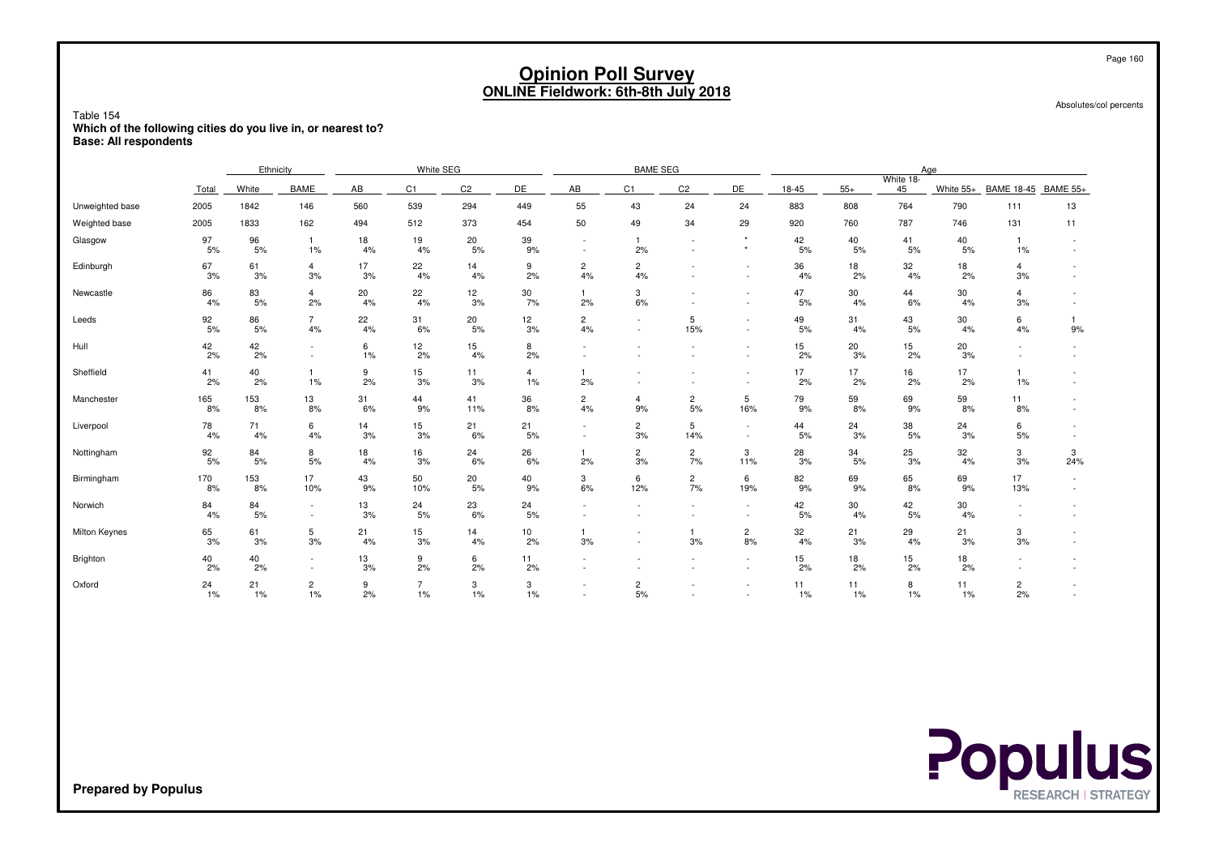|                                                                                                           |           |             |                                    |          |                         |                | <b>ONLINE Fieldwork: 6th-8th July 2018</b> |                                                      | <b>Opinion Poll Survey</b> |                      |                      |             |          |                    |             |                      | Page 160<br>Absolutes/col percents |
|-----------------------------------------------------------------------------------------------------------|-----------|-------------|------------------------------------|----------|-------------------------|----------------|--------------------------------------------|------------------------------------------------------|----------------------------|----------------------|----------------------|-------------|----------|--------------------|-------------|----------------------|------------------------------------|
| Table 154<br>Which of the following cities do you live in, or nearest to?<br><b>Base: All respondents</b> |           |             |                                    |          |                         |                |                                            |                                                      |                            |                      |                      |             |          |                    |             |                      |                                    |
|                                                                                                           |           | Ethnicity   |                                    |          | White SEG               |                |                                            |                                                      | <b>BAME SEG</b>            |                      |                      |             |          |                    | Age         |                      |                                    |
|                                                                                                           | Total     | White       | <b>BAME</b>                        | AB       | C1                      | C <sub>2</sub> | DE                                         | AB                                                   | C <sub>1</sub>             | C <sub>2</sub>       | DE                   | $18 - 45$   | $55+$    | White 18-<br>45    | White 55+   | BAME 18-45 BAME 55+  |                                    |
| Unweighted base                                                                                           | 2005      | 1842        | 146                                | 560      | 539                     | 294            | 449                                        | 55                                                   | 43                         | 24                   | 24                   | 883         | 808      | 764                | 790         | 111                  | 13                                 |
| Weighted base                                                                                             | 2005      | 1833        | 162                                | 494      | 512                     | 373            | 454                                        | 50                                                   | 49                         | 34                   | 29                   | 920         | 760      | 787                | 746         | 131                  | 11                                 |
| Glasgow                                                                                                   | 97<br>5%  | 96<br>5%    | $\overline{1}$<br>1%               | 18<br>4% | 19<br>4%                | 20<br>$5%$     | 39<br>9%                                   |                                                      |                            | 42<br>5%             | 40<br>5%             | 41<br>5%    | 40<br>5% | $\mathbf{1}$<br>1% |             |                      |                                    |
| Edinburgh                                                                                                 | 67<br>3%  | 61<br>3%    | $\overline{4}$<br>3%               | 17<br>3% | 22<br>4%                | 14<br>4%       | 9<br>2%                                    | $\overline{2}$<br>4%                                 | $\overline{c}$<br>4%       | $\sim$               | $\sim$<br>$\sim$     | 36<br>4%    | 18<br>2% | 32<br>4%           | 18<br>2%    | $\overline{4}$<br>3% |                                    |
| Newcastle                                                                                                 | 86<br>4%  | 83<br>5%    | $\overline{4}$<br>2%               | 20<br>4% | 22<br>4%                | 12<br>3%       | 30<br>7%                                   | $\mathbf{1}$<br>2%                                   | 3<br>6%                    | $\sim$<br>$\sim$     | $\sim$<br>٠          | 47<br>5%    | 30<br>4% | 44<br>6%           | 30<br>4%    | $\overline{4}$<br>3% |                                    |
| Leeds                                                                                                     | 92<br>5%  | 86<br>5%    | $\overline{7}$<br>4%               | 22<br>4% | 31<br>6%                | 20<br>5%       | 12<br>3%                                   | $\overline{2}$<br>4%                                 | $\sim$                     | 5<br>15%             | ٠<br>$\sim$          | 49<br>5%    | 31<br>4% | 43<br>5%           | 30<br>4%    | 6<br>4%              | 1<br>9%                            |
| Hull                                                                                                      | 42<br>2%  | 42<br>2%    | $\sim$                             | 6<br>1%  | 12<br>2%                | 15<br>4%       | 8<br>2%                                    |                                                      |                            |                      | ٠                    | 15<br>2%    | 20<br>3% | 15<br>2%           | 20<br>3%    |                      |                                    |
| Sheffield                                                                                                 | 41<br>2%  | 40<br>2%    | $\mathbf{1}$<br>1%                 | 9<br>2%  | 15<br>3%                | 11<br>3%       | $\overline{4}$<br>1%                       | $\mathbf{1}$<br>2%                                   |                            |                      | $\sim$               | 17<br>2%    | 17<br>2% | 16<br>2%           | 17<br>2%    | $\mathbf{1}$<br>1%   |                                    |
| Manchester                                                                                                | 165<br>8% | 153<br>8%   | 13<br>8%                           | 31<br>6% | 44<br>9%                | 41<br>11%      | 36<br>8%                                   | $\mathbf{2}$<br>4%                                   | $\overline{a}$<br>9%       | $\overline{2}$<br>5% | 5<br>16%             | 79<br>9%    | 59<br>8% | 69<br>9%           | 59<br>8%    | 11<br>8%             |                                    |
| Liverpool                                                                                                 | 78<br>4%  | 71<br>4%    | 6<br>4%                            | 14<br>3% | 15<br>3%                | 21<br>6%       | 21<br>5%                                   | $\overline{\phantom{a}}$<br>$\overline{\phantom{a}}$ | $\mathbf{2}$<br>3%         | 5<br>14%             | $\sim$<br>$\sim$     | 44<br>5%    | 24<br>3% | 38<br>5%           | 24<br>3%    | 6<br>5%              | $\sim$                             |
| Nottingham                                                                                                | 92<br>5%  | 84<br>5%    | 8<br>5%                            | 18<br>4% | 16<br>3%                | 24<br>6%       | 26<br>6%                                   | $\mathbf{1}$<br>2%                                   | $\overline{c}$<br>3%       | $\overline{2}$<br>7% | 3<br>11%             | 28<br>3%    | 34<br>5% | 25<br>3%           | 32<br>4%    | 3<br>3%              | 3<br>24%                           |
| Birmingham                                                                                                | 170<br>8% | 153<br>8%   | 17<br>10%                          | 43<br>9% | 50<br>10%               | 20<br>5%       | 40<br>9%                                   | 3<br>6%                                              | 6<br>12%                   | $\overline{c}$<br>7% | 6<br>19%             | 82<br>9%    | 69<br>9% | 65<br>8%           | 69<br>9%    | 17<br>13%            |                                    |
| Norwich                                                                                                   | 84<br>4%  | 84<br>5%    | $\sim$<br>$\overline{\phantom{a}}$ | 13<br>3% | 24<br>5%                | 23<br>6%       | 24<br>5%                                   | $\overline{\phantom{a}}$                             |                            |                      | $\sim$               | 42<br>5%    | 30<br>4% | 42<br>5%           | 30<br>4%    |                      |                                    |
| Milton Keynes                                                                                             | 65<br>3%  | 61<br>3%    | 5<br>3%                            | 21<br>4% | 15<br>3%                | 14<br>$4\%$    | 10<br>2%                                   | $\mathbf{1}$<br>3%                                   |                            | $\mathbf{1}$<br>3%   | $\overline{c}$<br>8% | 32<br>4%    | 21<br>3% | 29<br>4%           | 21<br>3%    | 3<br>3%              |                                    |
| Brighton                                                                                                  | 40<br>2%  | 40<br>2%    | $\sim$<br>$\blacksquare$           | 13<br>3% | 9<br>2%                 | 6<br>2%        | 11<br>2%                                   | $\sim$                                               |                            | $\sim$               | $\sim$<br>$\sim$     | 15<br>2%    | 18<br>2% | 15<br>2%           | 18<br>2%    |                      |                                    |
| Oxford                                                                                                    | 24<br>1%  | 21<br>$1\%$ | $\overline{c}$<br>$1\%$            | 9<br>2%  | $\overline{7}$<br>$1\%$ | 3<br>$1\%$     | 3<br>$1\%$                                 | $\overline{\phantom{a}}$                             | $\overline{2}$<br>5%       |                      | ٠                    | 11<br>$1\%$ | 11<br>1% | 8<br>1%            | 11<br>$1\%$ | $\overline{c}$<br>2% |                                    |

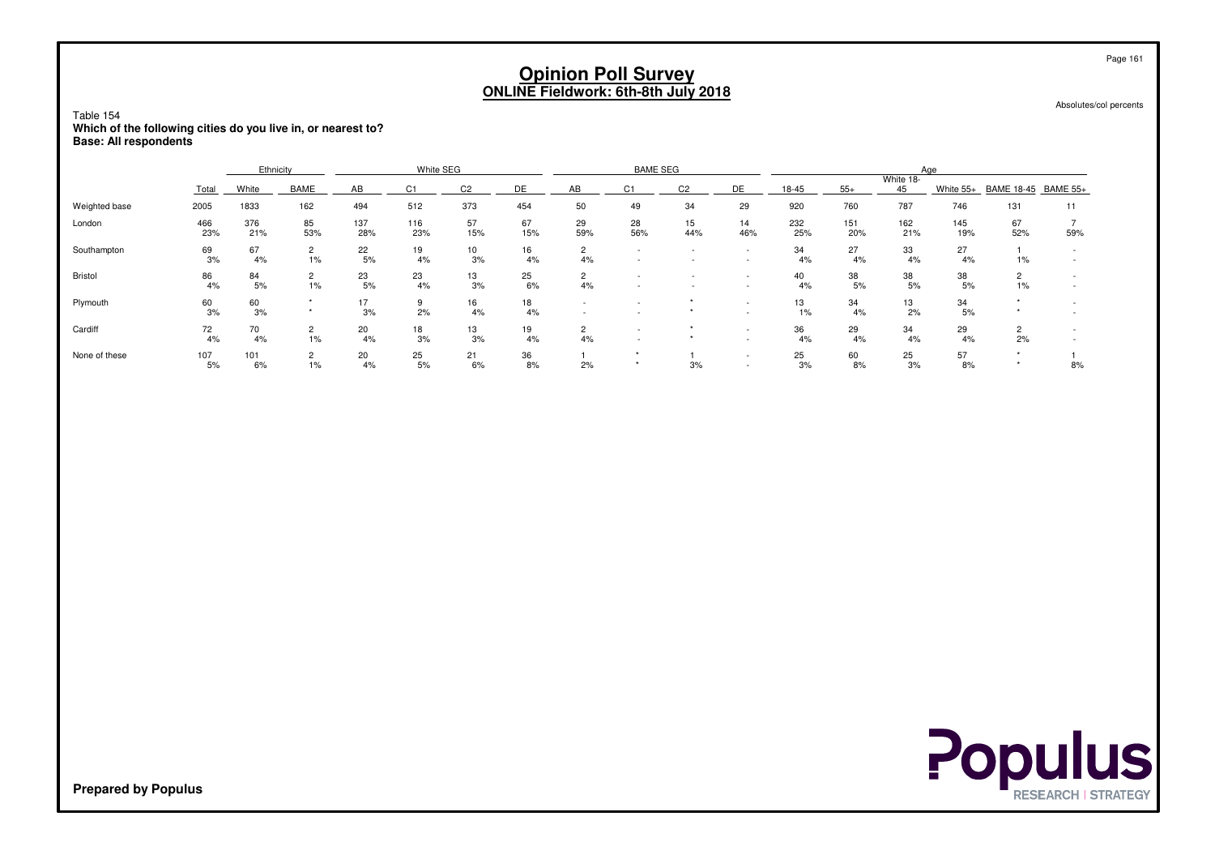Absolutes/col percents

Table 154 **Which of the following cities do you live in, or nearest to?Base: All respondents**

|               |            | Ethnicity  |                         |            | White SEG  |                |           |                                    | <b>BAME SEG</b>          |                          |                                                      |             |            | Aae             |            |                      |     |
|---------------|------------|------------|-------------------------|------------|------------|----------------|-----------|------------------------------------|--------------------------|--------------------------|------------------------------------------------------|-------------|------------|-----------------|------------|----------------------|-----|
|               | Total      | White      | <b>BAME</b>             | AB         | C1         | C <sub>2</sub> | <b>DE</b> | AB                                 | C <sub>1</sub>           | C <sub>2</sub>           | DE                                                   | 18-45       | $55+$      | White 18-<br>45 | White 55+  | BAME 18-45 BAME 55+  |     |
| Weighted base | 2005       | 1833       | 162                     | 494        | 512        | 373            | 454       | 50                                 | 49                       | 34                       | 29                                                   | 920         | 760        | 787             | 746        | 131                  | 11  |
| London        | 466<br>23% | 376<br>21% | 85<br>53%               | 137<br>28% | 116<br>23% | 57<br>15%      | 67<br>15% | 29<br>59%                          | 28<br>56%                | 15<br>44%                | 14<br>46%                                            | 232<br>25%  | 151<br>20% | 162<br>21%      | 145<br>19% | 67<br>52%            | 59% |
| Southampton   | 69<br>3%   | 67<br>4%   | $\overline{2}$<br>$1\%$ | 22<br>5%   | 19<br>4%   | 10<br>3%       | 16<br>4%  | $\overline{2}$<br>4%               | $\overline{\phantom{a}}$ | $\overline{\phantom{a}}$ | $\overline{\phantom{a}}$<br>$\overline{\phantom{a}}$ | 34<br>4%    | 27<br>4%   | 33<br>4%        | 27<br>4%   | 1%                   |     |
| Bristol       | 86<br>4%   | 84<br>5%   | 2<br>$1\%$              | 23<br>5%   | 23<br>4%   | 13<br>3%       | 25<br>6%  | $\overline{c}$<br>4%               |                          | $\overline{\phantom{a}}$ | $\overline{\phantom{a}}$<br>$\overline{\phantom{a}}$ | 40<br>4%    | 38<br>5%   | 38<br>5%        | 38<br>5%   | $1\%$                |     |
| Plymouth      | 60<br>3%   | 60<br>3%   |                         | 17<br>3%   | 9<br>2%    | 16<br>4%       | 18<br>4%  | $\overline{\phantom{a}}$<br>$\sim$ |                          |                          | $\overline{\phantom{a}}$<br>$\sim$                   | 13<br>$1\%$ | 34<br>4%   | 13<br>2%        | 34<br>5%   |                      |     |
| Cardiff       | 72<br>4%   | 70<br>4%   | $\overline{2}$<br>$1\%$ | 20<br>4%   | 18<br>3%   | 13<br>3%       | 19<br>4%  | $\overline{2}$<br>4%               |                          |                          | $\overline{\phantom{a}}$<br>$\overline{\phantom{a}}$ | 36<br>4%    | 29<br>4%   | 34<br>4%        | 29<br>4%   | $\overline{2}$<br>2% |     |
| None of these | 107<br>5%  | 101<br>6%  | $\overline{2}$<br>$1\%$ | 20<br>4%   | 25<br>5%   | 21<br>6%       | 36<br>8%  | 2%                                 |                          | 3%                       | $\overline{\phantom{a}}$<br>$\overline{\phantom{a}}$ | 25<br>3%    | 60<br>8%   | 25<br>3%        | 57<br>8%   |                      | 8%  |

**Populus** 

**Prepared by Populus**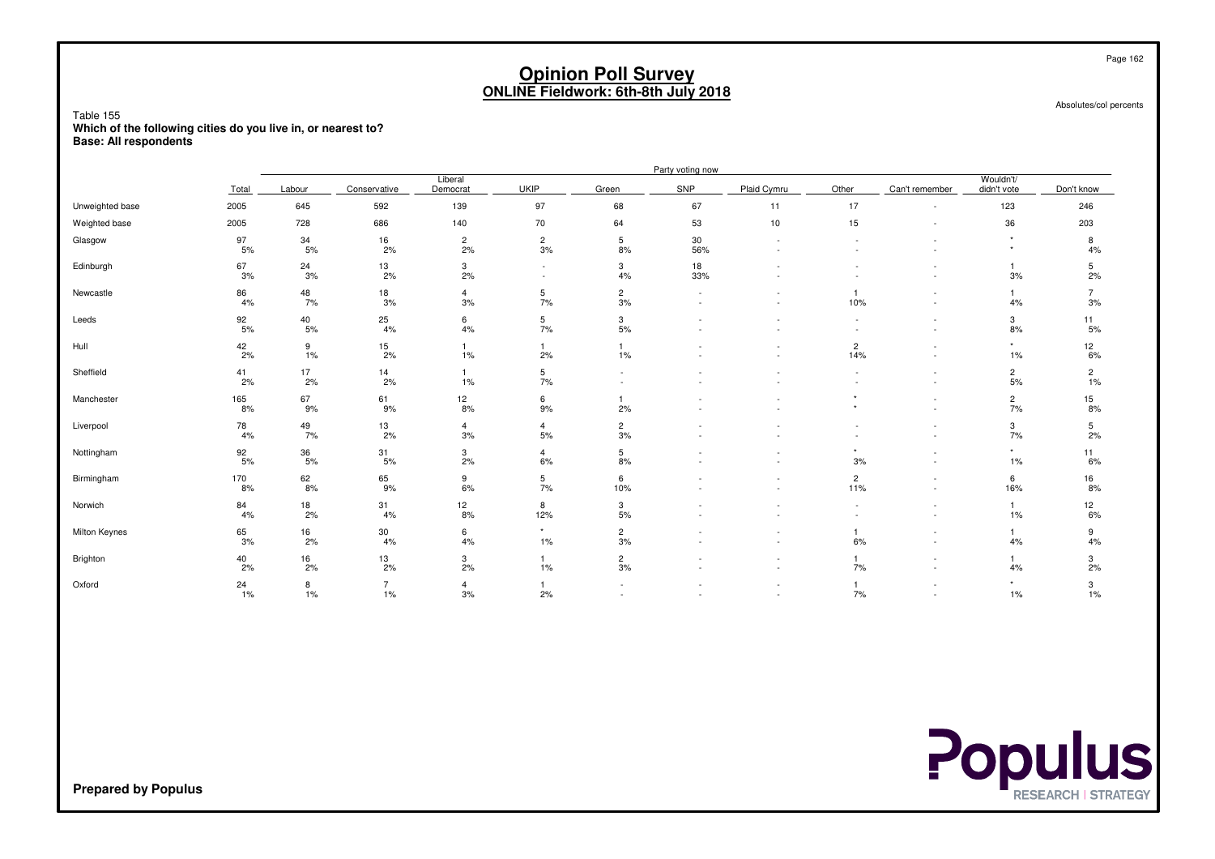Absolutes/col percents

Table 155 **Which of the following cities do you live in, or nearest to?Base: All respondents**

|                 |                  |                 |                         |                      |                                  |                            | Party voting now |                          |                       |                                                      |                          |                      |
|-----------------|------------------|-----------------|-------------------------|----------------------|----------------------------------|----------------------------|------------------|--------------------------|-----------------------|------------------------------------------------------|--------------------------|----------------------|
|                 | Total            | Labour          | Conservative            | Liberal<br>Democrat  | <b>UKIP</b>                      | Green                      | SNP              | Plaid Cymru              | Other                 | Can't remember                                       | Wouldn't/<br>didn't vote | Don't know           |
| Unweighted base | 2005             | 645             | 592                     | 139                  | 97                               | 68                         | 67               | 11                       | 17                    | $\sim$                                               | 123                      | 246                  |
| Weighted base   | 2005             | 728             | 686                     | 140                  | 70                               | 64                         | 53               | $10$                     | 15                    | $\overline{\phantom{a}}$                             | 36                       | 203                  |
| Glasgow         | 97<br>5%         | 34<br>5%        | 16<br>2%                | $\overline{c}$<br>2% | $\overline{2}$<br>3%             | $5\phantom{.0}$<br>8%      | 30<br>56%        | $\overline{\phantom{a}}$ |                       | $\overline{\phantom{a}}$<br>$\sim$                   | $\star$                  | 8<br>4%              |
| Edinburgh       | 67<br>3%         | 24<br>3%        | 13<br>2%                | 3<br>2%              | $\blacksquare$<br>$\blacksquare$ | 3<br>4%                    | 18<br>33%        |                          |                       | $\sim$                                               | $\overline{1}$<br>3%     | 5<br>2%              |
| Newcastle       | 86<br>4%         | 48<br>7%        | 18<br>3%                | $\overline{4}$<br>3% | 5<br>7%                          | $\overline{c}$<br>3%       | $\sim$<br>$\sim$ |                          | $\mathbf{1}$<br>10%   | $\overline{\phantom{a}}$<br>$\overline{\phantom{a}}$ | $\mathbf{1}$<br>4%       | $\overline{7}$<br>3% |
| Leeds           | $\frac{92}{5\%}$ | $^{40}_{\ 5\%}$ | $\frac{25}{4\%}$        | 6<br>4%              | 5<br>7%                          | 3<br>5%                    |                  | $\sim$                   |                       | $\overline{\phantom{a}}$<br>$\sim$                   | 3<br>8%                  | 11<br>5%             |
| Hull            | $\frac{42}{2\%}$ | 9<br>1%         | $\frac{15}{2\%}$        | $\mathbf{1}$<br>1%   | $\mathbf{1}$<br>2%               | $\overline{1}$<br>1%       |                  | $\sim$                   | $\overline{2}$<br>14% | $\sim$<br>$\sim$                                     | $\star$<br>1%            | $\frac{12}{6\%}$     |
| Sheffield       | $^{41}_{2\%}$    | 17<br>2%        | $\frac{14}{2\%}$        | $\mathbf{1}$<br>1%   | 5<br>7%                          | ٠<br>$\tilde{\phantom{a}}$ |                  | $\sim$                   | $\sim$                | $\overline{\phantom{a}}$<br>$\sim$                   | $\overline{c}$<br>5%     | $\frac{2}{1\%}$      |
| Manchester      | 165<br>8%        | 67<br>9%        | 61<br>9%                | 12<br>8%             | 6<br>9%                          | 2%                         |                  |                          |                       | $\sim$<br>$\sim$                                     | $\frac{2}{7\%}$          | 15<br>8%             |
| Liverpool       | 78<br>4%         | 49<br>7%        | 13<br>2%                | $\overline{4}$<br>3% | $\overline{4}$<br>5%             | $\overline{2}$<br>3%       |                  |                          |                       | $\overline{\phantom{a}}$<br>$\sim$                   | 3<br>7%                  | 5<br>2%              |
| Nottingham      | 92<br>5%         | 36<br>5%        | 31<br>5%                | 3<br>2%              | $\overline{4}$<br>6%             | 5<br>8%                    |                  |                          | $\star$<br>3%         | $\sim$<br>$\overline{\phantom{a}}$                   | $\star$<br>1%            | 11<br>6%             |
| Birmingham      | 170<br>8%        | 62<br>8%        | 65<br>9%                | 9<br>6%              | 5<br>7%                          | 6<br>10%                   |                  | $\overline{\phantom{a}}$ | $\overline{2}$<br>11% | $\overline{\phantom{a}}$<br>$\sim$                   | 6<br>16%                 | 16<br>8%             |
| Norwich         | 84<br>4%         | 18<br>2%        | 31<br>4%                | 12<br>8%             | 8<br>12%                         | 3<br>5%                    |                  |                          |                       | $\overline{\phantom{a}}$<br>$\sim$                   | $\overline{1}$<br>1%     | 12<br>6%             |
| Milton Keynes   | 65<br>3%         | 16<br>2%        | 30<br>4%                | 6<br>4%              | $\star$<br>1%                    | $\overline{c}$<br>3%       |                  |                          | $\mathbf{1}$<br>6%    | $\sim$<br>$\sim$                                     | $\mathbf{1}$<br>4%       | 9<br>4%              |
| Brighton        | 40<br>2%         | 16<br>2%        | 13<br>2%                | 3<br>2%              | $\mathbf{1}$<br>1%               | $\overline{2}$<br>3%       |                  | $\sim$                   | 7%                    | $\overline{\phantom{a}}$<br>$\sim$                   | $\overline{1}$<br>4%     | 3<br>2%              |
| Oxford          | 24<br>1%         | 8<br>1%         | $\overline{7}$<br>$1\%$ | $\overline{4}$<br>3% | $\mathbf{1}$<br>2%               | ٠                          |                  |                          | $\mathbf{1}$<br>7%    | $\overline{\phantom{a}}$                             | $\star$<br>1%            | 3<br>1%              |

**Prepared by Populus**

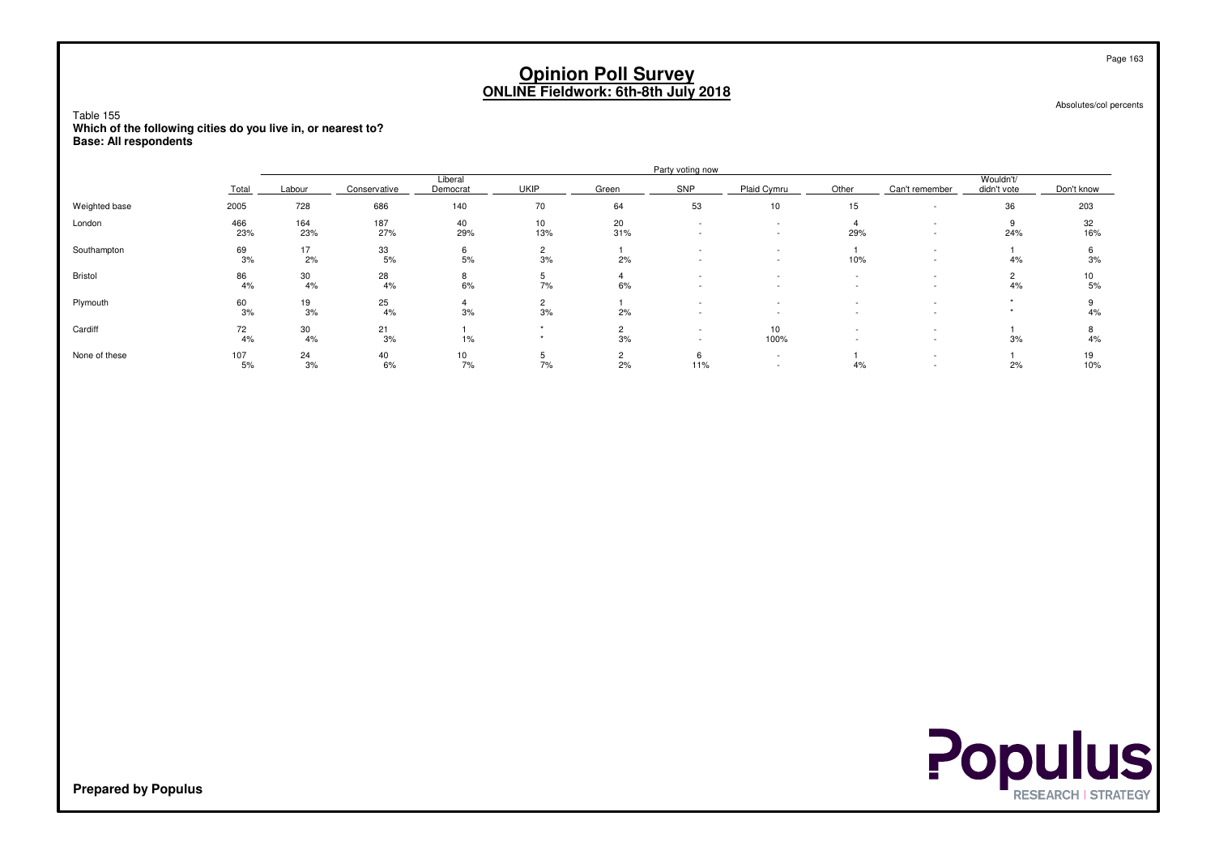Absolutes/col percents

Table 155 **Which of the following cities do you live in, or nearest to?Base: All respondents**

|               |            |            |              |                        |                      |           | Party voting now |                                                      |                                    |                |                          |            |
|---------------|------------|------------|--------------|------------------------|----------------------|-----------|------------------|------------------------------------------------------|------------------------------------|----------------|--------------------------|------------|
|               | Total      | Labour     | Conservative | Liberal<br>Democrat    | <b>UKIP</b>          | Green     | SNP              | Plaid Cymru                                          | Other                              | Can't remember | Wouldn't/<br>didn't vote | Don't know |
| Weighted base | 2005       | 728        | 686          | 140                    | 70                   | 64        | 53               | 10                                                   | 15                                 |                | 36                       | 203        |
| London        | 466<br>23% | 164<br>23% | 187<br>27%   | 40<br>29%              | 10<br>13%            | 20<br>31% |                  | $\overline{\phantom{a}}$<br>$\overline{\phantom{a}}$ | 29%                                |                | 24%                      | 32<br>16%  |
| Southampton   | 69<br>3%   | 17<br>2%   | 33<br>5%     | 6<br>5%                | $\overline{2}$<br>3% | 2%        |                  |                                                      | 10%                                |                | 4%                       | 6<br>3%    |
| Bristol       | 86<br>4%   | 30<br>4%   | 28<br>4%     | 8<br>6%                | 7%                   | 6%        |                  | $\overline{\phantom{a}}$                             | $\sim$<br>$\overline{\phantom{a}}$ |                | 4%                       | 10<br>5%   |
| Plymouth      | 60<br>3%   | 19<br>3%   | 25<br>4%     | 3%                     | $\overline{2}$<br>3% | 2%        | $\sim$           | $\overline{\phantom{a}}$                             |                                    |                |                          | 4%         |
| Cardiff       | 72<br>4%   | 30<br>4%   | 21<br>3%     | 1%                     |                      | 3%        |                  | 10<br>100%                                           |                                    |                | 3%                       | ۰<br>4%    |
| None of these | 107<br>5%  | 24<br>3%   | 40<br>6%     | 10 <sup>10</sup><br>7% | 7%                   | 2<br>2%   | 6<br>11%         | $\overline{\phantom{a}}$<br>$\overline{\phantom{a}}$ | 4%                                 |                | 2%                       | 19<br>10%  |



**Prepared by Populus**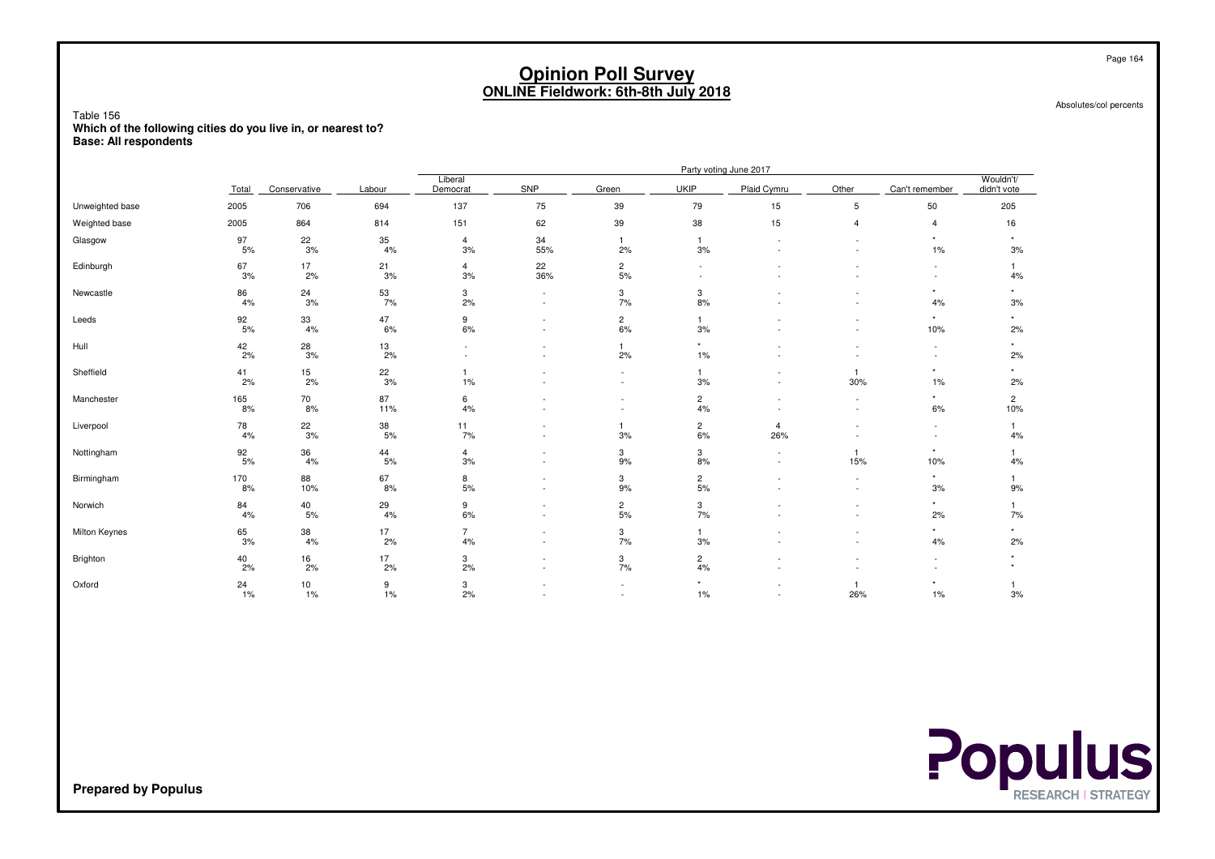Absolutes/col percents

Table 156 **Which of the following cities do you live in, or nearest to?Base: All respondents**

|                 |           |                  |                  |                      |                                                      |                                 |                      | Party voting June 2017             |                                                      |                                                      |                          |
|-----------------|-----------|------------------|------------------|----------------------|------------------------------------------------------|---------------------------------|----------------------|------------------------------------|------------------------------------------------------|------------------------------------------------------|--------------------------|
|                 | Total     | Conservative     | Labour           | Liberal<br>Democrat  | SNP                                                  | Green                           | <b>UKIP</b>          | Plaid Cymru                        | Other                                                | Can't remember                                       | Wouldn't/<br>didn't vote |
| Unweighted base | 2005      | 706              | 694              | 137                  | 75                                                   | 39                              | 79                   | 15                                 | $\sqrt{5}$                                           | 50                                                   | 205                      |
| Weighted base   | 2005      | 864              | 814              | 151                  | 62                                                   | 39                              | 38                   | 15                                 | $\overline{4}$                                       | $\overline{4}$                                       | 16                       |
| Glasgow         | 97<br>5%  | $\frac{22}{3\%}$ | 35<br>4%         | $\overline{4}$<br>3% | 34<br>55%                                            | $\overline{1}$<br>2%            | $\overline{1}$<br>3% | $\overline{\phantom{a}}$           | $\overline{\phantom{a}}$                             | $\star$<br>1%                                        | $^\star$<br>3%           |
| Edinburgh       | 67<br>3%  | 17<br>2%         | 21<br>3%         | $\overline{4}$<br>3% | 22<br>36%                                            | $\overline{c}$<br>$5%$          |                      |                                    |                                                      | $\sim$                                               | 4%                       |
| Newcastle       | 86<br>4%  | 24<br>3%         | $\frac{53}{7\%}$ | 3<br>2%              | $\overline{\phantom{a}}$<br>$\sim$                   | 3<br>7%                         | 3<br>8%              |                                    |                                                      | $\star$<br>4%                                        | $\star$<br>3%            |
| Leeds           | 92<br>5%  | 33<br>4%         | 47<br>6%         | 9<br>6%              | $\sim$<br>$\overline{\phantom{a}}$                   | $\frac{2}{6\%}$                 | 3%                   |                                    | $\sim$<br>$\sim$                                     | $\star$<br>10%                                       | $\star$<br>2%            |
| Hull            | 42<br>2%  | $\frac{28}{3\%}$ | 13<br>2%         |                      |                                                      | $\mathbf{1}$<br>2%              | $\star$<br>$1\%$     |                                    |                                                      | $\overline{\phantom{a}}$<br>$\overline{\phantom{a}}$ | $^\star$<br>2%           |
| Sheffield       | 41<br>2%  | 15<br>2%         | $\frac{22}{3\%}$ | 1%                   |                                                      | $\sim$<br>$\sim$                | $\mathbf{1}$<br>3%   | $\overline{\phantom{a}}$<br>$\sim$ | $\overline{1}$<br>30%                                | $\star$<br>1%                                        | *<br>2%                  |
| Manchester      | 165<br>8% | 70<br>8%         | 87<br>11%        | 6<br>4%              |                                                      | $\overline{\phantom{a}}$        | $\overline{c}$<br>4% |                                    | $\overline{\phantom{a}}$<br>$\overline{\phantom{a}}$ | $\star$<br>6%                                        | $\overline{c}$<br>10%    |
| Liverpool       | 78<br>4%  | 22<br>3%         | 38<br>5%         | 11<br>7%             |                                                      | $\overline{1}$<br>3%            | $\overline{c}$<br>6% | $\overline{4}$<br>26%              |                                                      | $\overline{\phantom{a}}$<br>$\overline{\phantom{a}}$ | 4%                       |
| Nottingham      | 92<br>5%  | 36<br>4%         | 44<br>5%         | $\overline{4}$<br>3% | $\overline{\phantom{a}}$<br>$\overline{\phantom{a}}$ | 3<br>9%                         | 3<br>8%              | $\overline{\phantom{a}}$           | $\overline{1}$<br>15%                                | $^\star$<br>10%                                      | 4%                       |
| Birmingham      | 170<br>8% | 88<br>10%        | 67<br>8%         | 8<br>5%              | $\overline{\phantom{a}}$<br>$\overline{\phantom{a}}$ | 3<br>9%                         | 2<br>5%              |                                    | $\overline{\phantom{a}}$                             | $\star$<br>3%                                        | 9%                       |
| Norwich         | 84<br>4%  | 40<br>5%         | 29<br>4%         | 9<br>6%              | $\overline{\phantom{a}}$<br>$\overline{\phantom{a}}$ | $\overline{\mathbf{c}}$<br>5%   | 3<br>7%              |                                    | $\overline{\phantom{a}}$                             | $\star$<br>2%                                        | 7%                       |
| Milton Keynes   | 65<br>3%  | 38<br>4%         | 17<br>2%         | $\overline{7}$<br>4% | $\overline{\phantom{a}}$                             | $\ensuremath{\mathsf{3}}$<br>7% | 3%                   |                                    | $\overline{\phantom{a}}$                             | $\star$<br>$4\%$                                     | $\star$<br>2%            |
| Brighton        | 40<br>2%  | 16<br>2%         | 17<br>2%         | 3<br>2%              | $\overline{\phantom{a}}$                             | 3<br>7%                         | $\overline{c}$<br>4% |                                    |                                                      | $\overline{\phantom{a}}$                             | $\star$                  |
| Oxford          | 24<br>1%  | 10<br>1%         | 9<br>1%          | 3<br>2%              |                                                      | ٠                               | 1%                   |                                    | $\overline{1}$<br>26%                                | $^\star$<br>1%                                       | 3%                       |

**Populus** 

**Prepared by Populus**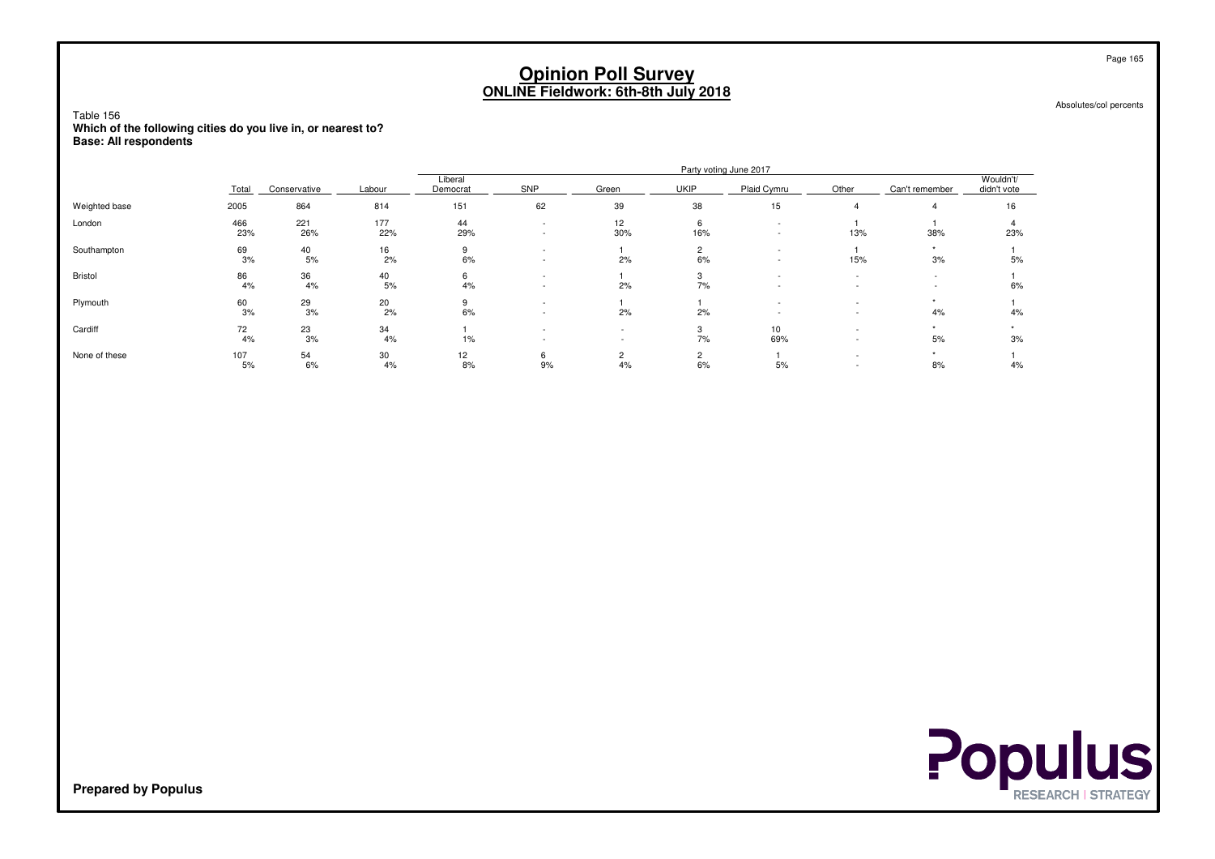Absolutes/col percents

Table 156 **Which of the following cities do you live in, or nearest to?Base: All respondents**

|               |            |              |            |                     |                                                      |                      |             | Party voting June 2017  |                          |                                                      |                          |
|---------------|------------|--------------|------------|---------------------|------------------------------------------------------|----------------------|-------------|-------------------------|--------------------------|------------------------------------------------------|--------------------------|
|               | Total      | Conservative | Labour     | Liberal<br>Democrat | SNP                                                  | Green                | <b>UKIP</b> | Plaid Cymru             | Other                    | Can't remember                                       | Wouldn't/<br>didn't vote |
| Weighted base | 2005       | 864          | 814        | 151                 | 62                                                   | 39                   | 38          | 15                      |                          |                                                      | 16                       |
| London        | 466<br>23% | 221<br>26%   | 177<br>22% | 44<br>29%           |                                                      | 12<br>30%            | 6<br>16%    |                         | 13%                      | 38%                                                  | 23%                      |
| Southampton   | 69<br>3%   | 40<br>5%     | 16<br>2%   | 9<br>6%             | $\overline{\phantom{a}}$<br>$\overline{\phantom{a}}$ | 2%                   | 2<br>6%     | $\sim$                  | 15%                      | 3%                                                   | 5%                       |
| Bristol       | 86<br>4%   | 36<br>4%     | 40<br>5%   | 6<br>4%             | $\overline{\phantom{a}}$<br>$\overline{\phantom{a}}$ | 2%                   | 3<br>7%     |                         | $\overline{\phantom{a}}$ | $\overline{\phantom{0}}$<br>$\overline{\phantom{a}}$ | 6%                       |
| Plymouth      | 60<br>3%   | 29<br>3%     | 20<br>2%   | 9<br>6%             |                                                      | 2%                   | 2%          |                         |                          | 4%                                                   | 4%                       |
| Cardiff       | 72<br>4%   | 23<br>3%     | 34<br>4%   | $1\%$               |                                                      |                      | 3<br>7%     | 10 <sup>10</sup><br>69% |                          | 5%                                                   | 3%                       |
| None of these | 107<br>5%  | 54<br>6%     | 30<br>4%   | 12<br>8%            | 6<br>9%                                              | $\overline{2}$<br>4% | 2<br>6%     | 5%                      | $\overline{\phantom{a}}$ | 8%                                                   | 4%                       |

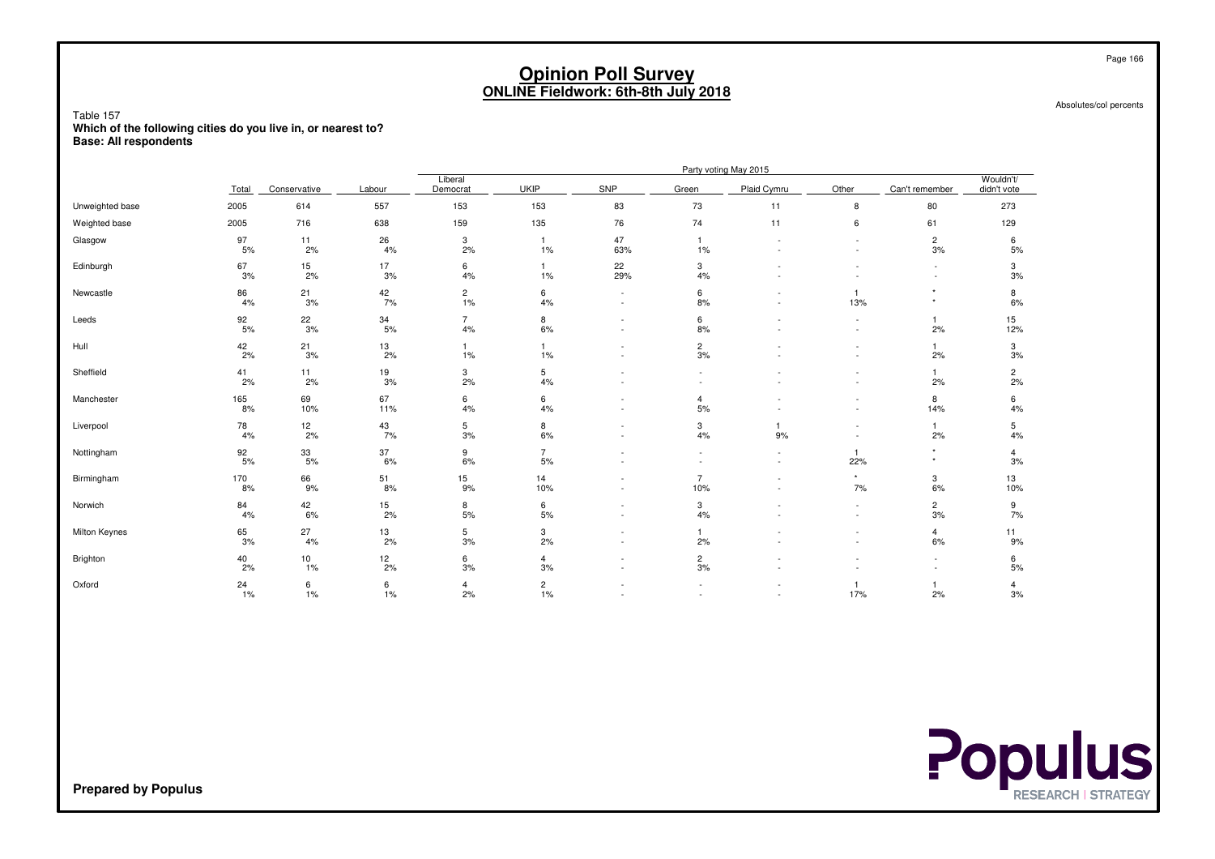Absolutes/col percents

Table 157 **Which of the following cities do you live in, or nearest to?Base: All respondents**

|                 |                  |                         |                  |                      |                      |                               |                          | Party voting May 2015              |                                                      |                          |                          |
|-----------------|------------------|-------------------------|------------------|----------------------|----------------------|-------------------------------|--------------------------|------------------------------------|------------------------------------------------------|--------------------------|--------------------------|
|                 | Total            | Conservative            | Labour           | Liberal<br>Democrat  | UKIP                 | SNP                           | Green                    | Plaid Cymru                        | Other                                                | Can't remember           | Wouldn't/<br>didn't vote |
| Unweighted base | 2005             | 614                     | 557              | 153                  | 153                  | 83                            | 73                       | 11                                 | 8                                                    | 80                       | 273                      |
| Weighted base   | 2005             | 716                     | 638              | 159                  | 135                  | 76                            | 74                       | 11                                 | 6                                                    | 61                       | 129                      |
| Glasgow         | 97<br>5%         | 11<br>2%                | 26<br>4%         | $_{\rm 3}$<br>2%     | $\overline{1}$<br>1% | 47<br>63%                     | $\mathbf{1}$<br>1%       | $\overline{\phantom{a}}$           | $\overline{\phantom{a}}$                             | $\overline{c}$<br>3%     | 6<br>5%                  |
| Edinburgh       | 67<br>3%         | 15<br>2%                | 17<br>3%         | 6<br>4%              | $\overline{1}$<br>1% | 22<br>29%                     | 3<br>4%                  |                                    |                                                      | $\sim$                   | 3<br>3%                  |
| Newcastle       | 86<br>4%         | 21<br>3%                | 42<br>7%         | $\overline{c}$<br>1% | 6<br>4%              | $\overline{\phantom{a}}$      | 6<br>8%                  |                                    | $\overline{1}$<br>13%                                | $\star$<br>$\star$       | 8<br>6%                  |
| Leeds           | 92<br>5%         | 22<br>3%                | $\frac{34}{5\%}$ | $\overline{7}$<br>4% | 8<br>6%              | $\sim$<br>$\sim$              | 6<br>8%                  | $\sim$                             | $\overline{\phantom{a}}$<br>$\overline{\phantom{a}}$ | $\overline{1}$<br>2%     | 15<br>12%                |
| Hull            | $\frac{42}{2\%}$ | $\frac{21}{3\%}$        | $\frac{13}{2\%}$ | $\overline{1}$<br>1% | $\overline{1}$<br>1% |                               | $\frac{2}{3\%}$          |                                    | $\overline{\phantom{a}}$<br>$\overline{\phantom{a}}$ | $\mathbf{1}$<br>2%       | $\frac{3}{3\%}$          |
| Sheffield       | 41<br>2%         | 11<br>2%                | 19<br>3%         | 3<br>2%              | 5<br>4%              | $\overline{\phantom{a}}$      | $\overline{\phantom{a}}$ |                                    | $\overline{\phantom{a}}$<br>$\overline{\phantom{a}}$ | $\mathbf{1}$<br>2%       | $\frac{2}{2\%}$          |
| Manchester      | 165<br>8%        | 69<br>10%               | 67<br>11%        | 6<br>4%              | 6<br>4%              |                               | $\overline{4}$<br>5%     |                                    | $\overline{\phantom{a}}$<br>$\overline{\phantom{a}}$ | 8<br>14%                 | 6<br>4%                  |
| Liverpool       | 78<br>4%         | $12 \overline{ }$<br>2% | 43<br>7%         | 5<br>3%              | 8<br>6%              | $\overline{\phantom{a}}$      | 3<br>4%                  | 1<br>9%                            |                                                      | $\overline{1}$<br>2%     | 5<br>4%                  |
| Nottingham      | 92<br>5%         | 33<br>5%                | 37<br>6%         | 9<br>6%              | $\overline{7}$<br>5% |                               |                          | $\sim$<br>$\overline{\phantom{a}}$ | $\overline{1}$<br>22%                                | $\star$<br>$^\star$      | $\overline{4}$<br>3%     |
| Birmingham      | 170<br>8%        | 66<br>9%                | 51<br>8%         | 15<br>9%             | 14<br>10%            | ٠                             | $\overline{7}$<br>10%    | $\overline{\phantom{a}}$           | $\star$<br>7%                                        | 3<br>6%                  | 13<br>10%                |
| Norwich         | 84<br>4%         | 42<br>6%                | 15<br>2%         | 8<br>5%              | 6<br>5%              | $\overline{\phantom{a}}$<br>٠ | 3<br>4%                  |                                    | $\sim$<br>$\overline{\phantom{a}}$                   | $\overline{c}$<br>3%     | 9<br>7%                  |
| Milton Keynes   | 65<br>3%         | 27<br>4%                | 13<br>2%         | 5<br>3%              | 3<br>2%              | ٠                             | $\mathbf{1}$<br>2%       |                                    | $\overline{\phantom{a}}$                             | 4<br>6%                  | 11<br>9%                 |
| Brighton        | 40<br>2%         | 10<br>1%                | 12<br>2%         | 6<br>3%              | 4<br>3%              | ٠                             | $\mathbf{2}$<br>3%       |                                    |                                                      | $\overline{\phantom{a}}$ | 6<br>$5%$                |
| Oxford          | 24<br>1%         | 6<br>1%                 | 6<br>1%          | $\overline{4}$<br>2% | $\sqrt{2}$<br>1%     |                               |                          |                                    | $\overline{1}$<br>17%                                | $\overline{1}$<br>2%     | 4<br>3%                  |



**Prepared by Populus**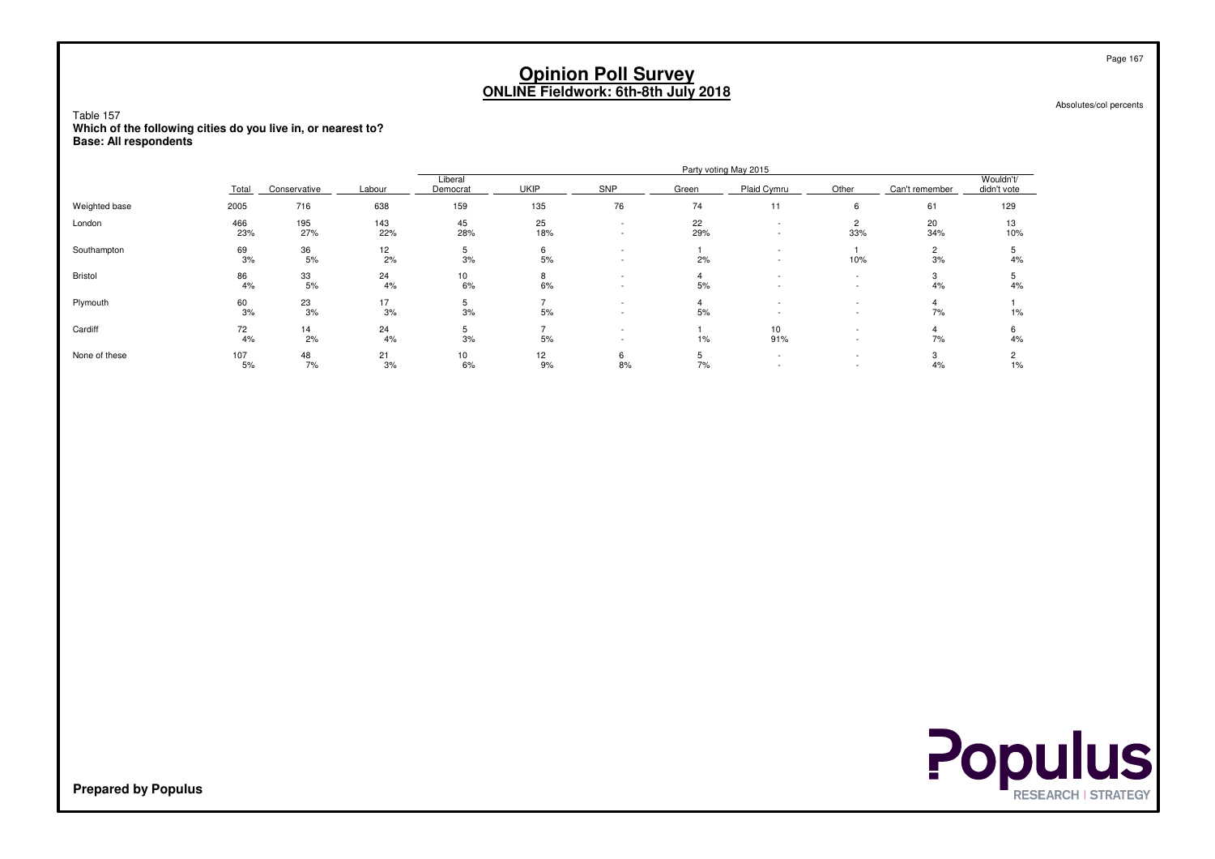Absolutes/col percents

Table 157 **Which of the following cities do you live in, or nearest to?Base: All respondents**

|               |            |              |            |                     |             |                          |           | Party voting May 2015   |                                                      |                      |                          |
|---------------|------------|--------------|------------|---------------------|-------------|--------------------------|-----------|-------------------------|------------------------------------------------------|----------------------|--------------------------|
|               | Total      | Conservative | Labour     | Liberal<br>Democrat | <b>UKIP</b> | SNP                      | Green     | Plaid Cymru             | Other                                                | Can't remember       | Wouldn't/<br>didn't vote |
| Weighted base | 2005       | 716          | 638        | 159                 | 135         | 76                       | 74        | 11                      | 6                                                    | 61                   | 129                      |
| London        | 466<br>23% | 195<br>27%   | 143<br>22% | 45<br>28%           | 25<br>18%   |                          | 22<br>29% |                         | $\overline{2}$<br>33%                                | 20<br>34%            | 13<br>10%                |
| Southampton   | 69<br>3%   | 36<br>5%     | 12<br>2%   | $\mathbf b$<br>3%   | 6<br>5%     | $\overline{\phantom{a}}$ | 2%        | $\sim$                  | 10%                                                  | $\overline{2}$<br>3% | 4%                       |
| Bristol       | 86<br>4%   | 33<br>5%     | 24<br>4%   | 10<br>6%            | 8<br>6%     | $\sim$                   | 5%        |                         | $\overline{\phantom{a}}$<br>$\overline{\phantom{a}}$ | 4%                   | 4%                       |
| Plymouth      | 60<br>3%   | 23<br>3%     | 17<br>3%   | b.<br>3%            | 5%          |                          | 5%        |                         |                                                      | 7%                   | 1%                       |
| Cardiff       | 72<br>4%   | 14<br>2%     | 24<br>4%   | $\mathbf{p}$<br>3%  | 5%          |                          | $1\%$     | 10 <sup>10</sup><br>91% |                                                      | 7%                   | 6<br>4%                  |
| None of these | 107<br>5%  | 48<br>7%     | 21<br>3%   | 10<br>6%            | 12<br>9%    | 6<br>8%                  | 5<br>7%   |                         | $\sim$                                               | 3<br>4%              | $\overline{2}$<br>$1\%$  |

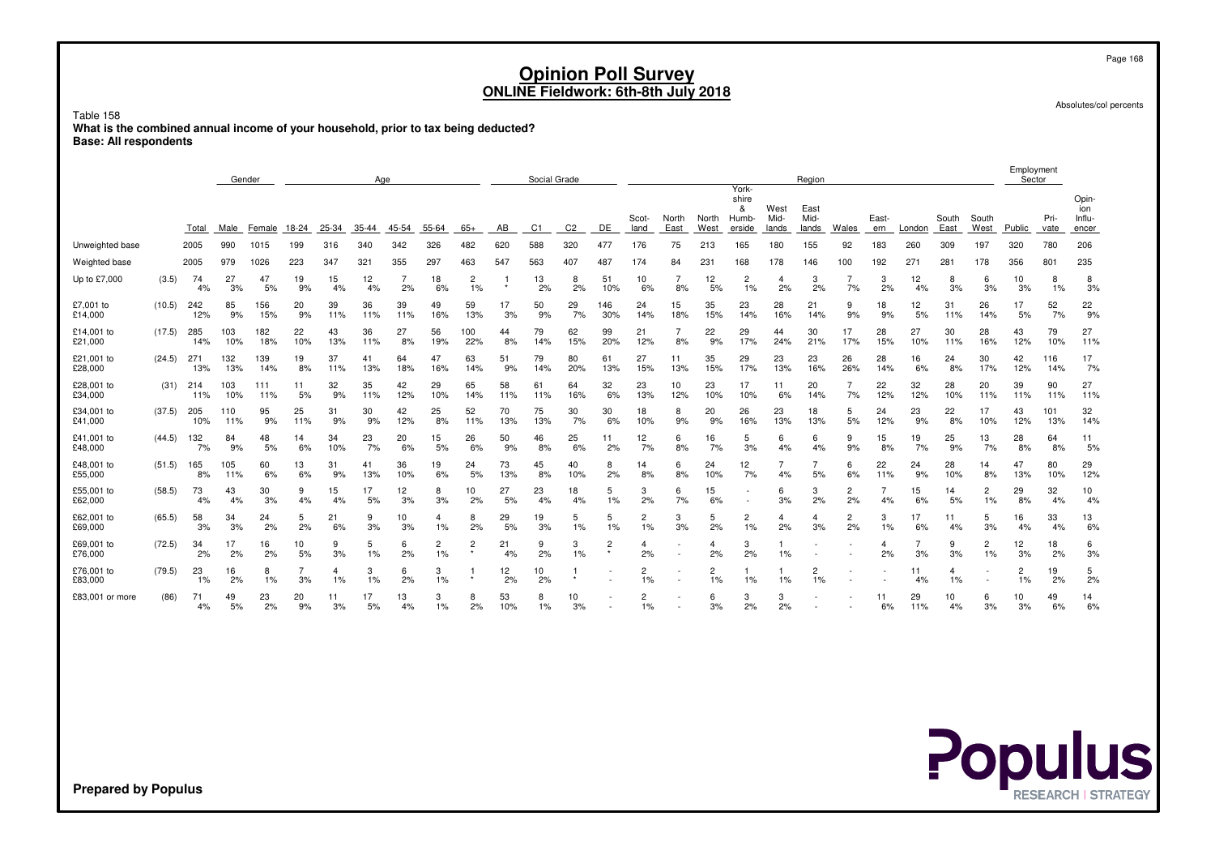Table 158 **What is the combined annual income of your household, prior to tax being deducted?Base: All respondents**

|                       |        |            | Gender     |            | Aae       |           |           |           |                      |                           |           | Social Grade |                |                           |                      |               |               | York-                         |                       | Region                |                      |              |              |               |                      | Employment<br>Sector |              |                                 |
|-----------------------|--------|------------|------------|------------|-----------|-----------|-----------|-----------|----------------------|---------------------------|-----------|--------------|----------------|---------------------------|----------------------|---------------|---------------|-------------------------------|-----------------------|-----------------------|----------------------|--------------|--------------|---------------|----------------------|----------------------|--------------|---------------------------------|
|                       |        | Total      | Male       | Female     | 18-24     | 25-34     | 35-44     | 45-54     | 55-64                | $65+$                     | AB        | C1           | C <sub>2</sub> | DE                        | Scot-<br>land        | North<br>East | North<br>West | shire<br>&<br>Humb-<br>erside | West<br>Mid-<br>lands | East<br>Mid-<br>lands | Wales                | East-<br>ern | London       | South<br>East | South<br>West        | Public               | Pri-<br>vate | Opin-<br>ion<br>Influ-<br>encer |
| Unweighted base       |        | 2005       | 990        | 1015       | 199       | 316       | 340       | 342       | 326                  | 482                       | 620       | 588          | 320            | 477                       | 176                  | 75            | 213           | 165                           | 180                   | 155                   | 92                   | 183          | 260          | 309           | 197                  | 320                  | 780          | 206                             |
| Weighted base         |        | 2005       | 979        | 1026       | 223       | 347       | 321       | 355       | 297                  | 463                       | 547       | 563          | 407            | 487                       | 174                  | 84            | 231           | 168                           | 178                   | 146                   | 100                  | 192          | $27^{\circ}$ | 281           | 178                  | 356                  | 801          | 235                             |
| Up to £7,000          | (3.5)  | 74<br>4%   | 27<br>3%   | 47<br>5%   | 19<br>9%  | 15<br>4%  | 12<br>4%  | 2%        | 18<br>6%             | $\overline{2}$<br>1%      | $\star$   | 13<br>2%     | 8<br>2%        | 51<br>10%                 | 10<br>6%             | 8%            | 12<br>5%      | 2<br>1%                       | 4<br>2%               | 2%                    | 7%                   | 3<br>2%      | 12<br>4%     | 8<br>3%       | 6<br>3%              | 10<br>3%             | 8<br>1%      | 8<br>3%                         |
| £7,001 to<br>£14,000  | (10.5) | 242<br>12% | 85<br>9%   | 156<br>15% | 20<br>9%  | 39<br>11% | 36<br>11% | 39<br>11% | 49<br>16%            | 59<br>13%                 | 17<br>3%  | 50<br>9%     | 29<br>7%       | 146<br>30%                | 24<br>14%            | 15<br>18%     | 35<br>15%     | 23<br>14%                     | 28<br>16%             | 21<br>14%             | 9<br>9%              | 18<br>9%     | 12<br>5%     | 31<br>11%     | 26<br>14%            | 17<br>5%             | 52<br>7%     | 22<br>9%                        |
| £14,001 to<br>£21,000 | (17.5) | 285<br>14% | 103<br>10% | 182<br>18% | 22<br>10% | 43<br>13% | 36<br>11% | 27<br>8%  | 56<br>19%            | 100<br>22%                | 44<br>8%  | 79<br>14%    | 62<br>15%      | 99<br>20%                 | 21<br>12%            | 8%            | 22<br>9%      | 29<br>17%                     | 44<br>24%             | 30<br>21%             | 17<br>17%            | 28<br>15%    | 27<br>10%    | 30<br>11%     | 28<br>16%            | 43<br>12%            | 79<br>10%    | 27<br>11%                       |
| £21,001 to<br>£28,000 | (24.5) | 271<br>13% | 132<br>13% | 139<br>14% | 19<br>8%  | 37<br>11% | 41<br>13% | 64<br>18% | 47<br>16%            | 63<br>14%                 | 51<br>9%  | 79<br>14%    | 80<br>20%      | 61<br>13%                 | 27<br>15%            | 11<br>13%     | 35<br>15%     | 29<br>17%                     | 23<br>13%             | 23<br>16%             | 26<br>26%            | 28<br>14%    | 16<br>6%     | 24<br>8%      | 30<br>17%            | 42<br>12%            | 116<br>14%   | 17<br>7%                        |
| £28,001 to<br>£34,000 | (31)   | 214<br>11% | 103<br>10% | 111<br>11% | 11<br>5%  | 32<br>9%  | 35<br>11% | 42<br>12% | 29<br>10%            | 65<br>14%                 | 58<br>11% | 61<br>11%    | 64<br>16%      | 32<br>6%                  | 23<br>13%            | 10<br>12%     | 23<br>10%     | 17<br>10%                     | 11<br>6%              | 20<br>14%             | 7%                   | 22<br>12%    | 32<br>12%    | 28<br>10%     | 20<br>11%            | 39<br>11%            | 90<br>11%    | 27<br>11%                       |
| £34,001 to<br>£41,000 | (37.5) | 205<br>10% | 110<br>11% | 95<br>9%   | 25<br>11% | 31<br>9%  | 30<br>9%  | 42<br>12% | 25<br>8%             | 52<br>11%                 | 70<br>13% | 75<br>13%    | 30<br>7%       | 30<br>6%                  | 18<br>10%            | 8<br>9%       | 20<br>9%      | 26<br>16%                     | 23<br>13%             | 18<br>13%             | 5<br>5%              | 24<br>12%    | 23<br>9%     | 22<br>8%      | 17<br>10%            | 43<br>12%            | 101<br>13%   | 32<br>14%                       |
| £41,001 to<br>£48,000 | (44.5) | 132<br>7%  | 84<br>9%   | 48<br>5%   | 14<br>6%  | 34<br>10% | 23<br>7%  | 20<br>6%  | 15<br>5%             | 26<br>6%                  | 50<br>9%  | 46<br>8%     | 25<br>6%       | 11<br>2%                  | 12<br>7%             | 6<br>8%       | 16<br>7%      | 5<br>3%                       | 6<br>4%               | 6<br>4%               | 9<br>9%              | 15<br>8%     | 19<br>7%     | 25<br>9%      | 13<br>7%             | 28<br>8%             | 64<br>8%     | 11<br>5%                        |
| £48,001 to<br>£55,000 | (51.5) | 165<br>8%  | 105<br>11% | 60<br>6%   | 13<br>6%  | 31<br>9%  | 41<br>13% | 36<br>10% | 19<br>6%             | 24<br>5%                  | 73<br>13% | 45<br>8%     | 40<br>10%      | 8<br>2%                   | 14<br>8%             | 6<br>8%       | 24<br>10%     | 12<br>7%                      | 4%                    | 5%                    | 6<br>6%              | 22<br>11%    | 24<br>9%     | 28<br>10%     | 14<br>8%             | 47<br>13%            | 80<br>10%    | 29<br>12%                       |
| £55,001 to<br>£62,000 | (58.5) | 73<br>4%   | 43<br>4%   | 30<br>3%   | 9<br>4%   | 15<br>4%  | 17<br>5%  | 12<br>3%  | 8<br>3%              | 10<br>2%                  | 27<br>5%  | 23<br>4%     | 18<br>4%       | 5<br>1%                   | 3<br>2%              | 6<br>7%       | 15<br>6%      | $\overline{\phantom{a}}$      | 6<br>3%               | 3<br>2%               | $\overline{2}$<br>2% | 4%           | 15<br>6%     | 14<br>5%      | $\overline{2}$<br>1% | 29<br>8%             | 32<br>4%     | 10<br>4%                        |
| £62,001 to<br>£69,000 | (65.5) | 58<br>3%   | 34<br>3%   | 24<br>2%   | 5<br>2%   | 21<br>6%  | 9<br>3%   | 10<br>3%  | 4<br>1%              | 8<br>2%                   | 29<br>5%  | 19<br>3%     | 5<br>1%        | 5<br>1%                   | 2<br>1%              | 3<br>3%       | 5<br>2%       | 2<br>1%                       | 4<br>2%               | 3%                    | $\overline{2}$<br>2% | 3<br>$1\%$   | 17<br>6%     | 11<br>4%      | 5<br>3%              | 16<br>4%             | 33<br>4%     | 13<br>6%                        |
| £69,001 to<br>£76,000 | (72.5) | 34<br>2%   | 17<br>2%   | 16<br>2%   | 10<br>5%  | 9<br>3%   | 5<br>1%   | 6<br>2%   | $\overline{c}$<br>1% | $\overline{2}$<br>$\star$ | 21<br>4%  | 9<br>2%      | 3<br>1%        | $\overline{2}$<br>$\star$ | 4<br>2%              |               | 4<br>2%       | 3<br>2%                       | 1%                    |                       |                      | 2%           | 3%           | 9<br>3%       | $\overline{2}$<br>1% | 12<br>3%             | 18<br>2%     | 6<br>3%                         |
| £76,001 to<br>£83,000 | (79.5) | 23<br>1%   | 16<br>2%   | 8<br>1%    | 3%        | 4<br>1%   | 3<br>1%   | 6<br>2%   | 3<br>1%              |                           | 12<br>2%  | 10<br>2%     | $\star$        |                           | $\overline{c}$<br>1% |               | 2<br>1%       | 1%                            | 1%                    | 2<br>1%               |                      |              | 11<br>4%     | 4<br>1%       |                      | $\overline{c}$<br>1% | 19<br>2%     | 5<br>2%                         |
| £83,001 or more       | (86)   | 71<br>4%   | 49<br>5%   | 23<br>2%   | 20<br>9%  | 11<br>3%  | 17<br>5%  | 13<br>4%  | 3<br>1%              | 8<br>2%                   | 53<br>10% | 8<br>1%      | 10<br>3%       |                           | 2<br>1%              |               | 6<br>3%       | 3<br>2%                       | 3<br>2%               |                       |                      | 11<br>6%     | 29<br>11%    | 10<br>4%      | 6<br>3%              | 10<br>3%             | 49<br>6%     | 14<br>6%                        |

**Populus** 

**Prepared by Populus**

Page 168

Absolutes/col percents

Employment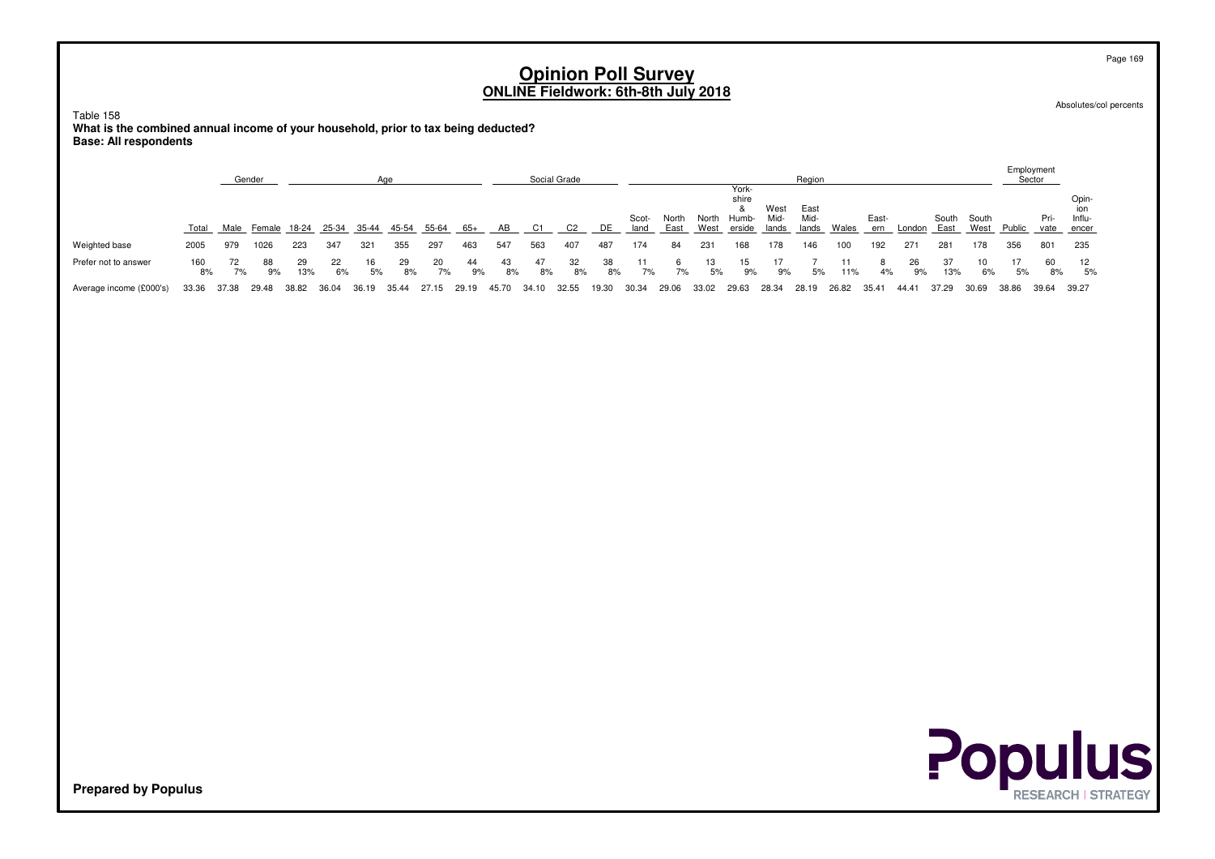Table 158 **What is the combined annual income of your household, prior to tax being deducted?Base: All respondents**

|                         |           |          | Gender   |                          |          |          | Aae         |          |          |          |          | Social Grade |          |               |               |          |                                              |              | Region                |       |              |          |           |             |             | Employment<br>Sector |                               |
|-------------------------|-----------|----------|----------|--------------------------|----------|----------|-------------|----------|----------|----------|----------|--------------|----------|---------------|---------------|----------|----------------------------------------------|--------------|-----------------------|-------|--------------|----------|-----------|-------------|-------------|----------------------|-------------------------------|
|                         | Total     | Male     |          | Female 18-24 25-34 35-44 |          |          | 45-54 55-64 |          | 65+      | AB       | C1       | C2           | DE       | Scot-<br>land | North<br>East | North    | York-<br>shire<br>Humb-<br>West erside lands | West<br>Mid- | East<br>Mid-<br>lands | Wales | East-<br>ern | London   | East      | South South | West Public | Pri-                 | Opin-<br>Influ-<br>vate encer |
| Weighted base           | 2005      | 979      | 1026     | 223                      | 347      | -321     | 355         | 297      | 463      | 547      | 563      | 407          | 487      | 174           | 84            | 231      | 168                                          | 178          | 146                   | 100   | 192          | 271      | 281       | 178         | 356         | 801                  | 235                           |
| Prefer not to answer    | 160<br>8% | 72<br>7% | 88<br>9% | 29<br>13%                | 22<br>6% | 16<br>5% | -29<br>8%   | 20<br>7% | 44<br>9% | 43<br>8% | 47<br>8% | 32<br>8%     | 38<br>8% | 7%            | 6<br>7%       | 13<br>5% | 15<br>9%                                     | 9%           | 5%                    | 11%   | 4%           | 26<br>9% | 37<br>13% | 10<br>6%    | 17<br>5%    | 60<br>8%             | 12<br>5%                      |
| Average income (£000's) | 33.36     | 37.38    | 29.48    | 38.82                    | 36.04    | 36.19    | 35.44       | 27.15    | 29.19    | 45.70    | 34.10    | 32.55        | 19.30    | 30.34         | 29.06         | 33.02    | 29.63                                        | 28.34        | 28.19                 | 26.82 | 35.41        | 44.41    | 37.29     | 30.69       | 38.86       | 39.64                | 39.27                         |

Absolutes/col percents



**Prepared by Populus**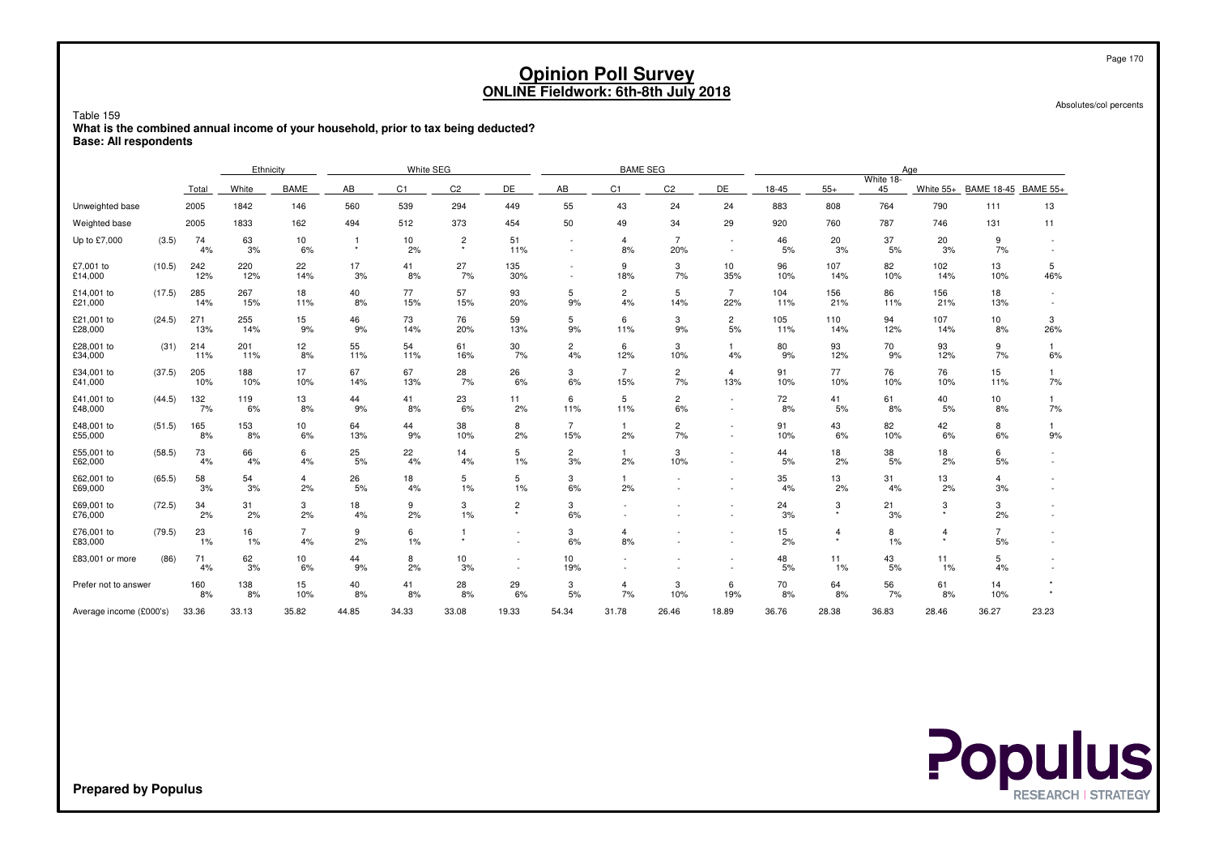Table 159

 **What is the combined annual income of your household, prior to tax being deducted?Base: All respondents**

|                         |        |            | Ethnicity  |                      |                           | White SEG |                           |                           |                          | <b>BAME SEG</b>       |                       |                                    |            |              |                 | Age                       |                       |                 |
|-------------------------|--------|------------|------------|----------------------|---------------------------|-----------|---------------------------|---------------------------|--------------------------|-----------------------|-----------------------|------------------------------------|------------|--------------|-----------------|---------------------------|-----------------------|-----------------|
|                         |        | Total      | White      | <b>BAME</b>          | AB                        | C1        | C <sub>2</sub>            | DE.                       | AB                       | C1                    | C <sub>2</sub>        | DE                                 | 18-45      | $55+$        | White 18-<br>45 | White $55+$               | <b>BAME 18-45</b>     | <b>BAME 55+</b> |
| Unweighted base         |        | 2005       | 1842       | 146                  | 560                       | 539       | 294                       | 449                       | 55                       | 43                    | 24                    | 24                                 | 883        | 808          | 764             | 790                       | 111                   | 13              |
| Weighted base           |        | 2005       | 1833       | 162                  | 494                       | 512       | 373                       | 454                       | 50                       | 49                    | 34                    | 29                                 | 920        | 760          | 787             | 746                       | 131                   | 11              |
| Up to £7,000            | (3.5)  | 74<br>4%   | 63<br>3%   | 10<br>6%             | $\overline{1}$<br>$\star$ | 10<br>2%  | $\overline{c}$<br>$\star$ | 51<br>11%                 | $\overline{\phantom{a}}$ | 4<br>8%               | $\overline{7}$<br>20% | $\sim$                             | 46<br>5%   | 20<br>3%     | 37<br>5%        | 20<br>3%                  | 9<br>7%               |                 |
| £7,001 to<br>£14,000    | (10.5) | 242<br>12% | 220<br>12% | 22<br>14%            | 17<br>3%                  | 41<br>8%  | 27<br>7%                  | 135<br>30%                |                          | 9<br>18%              | 3<br>7%               | 10<br>35%                          | 96<br>10%  | 107<br>14%   | 82<br>10%       | 102<br>14%                | 13<br>10%             | 5<br>46%        |
| £14,001 to<br>£21,000   | (17.5) | 285<br>14% | 267<br>15% | 18<br>11%            | 40<br>8%                  | 77<br>15% | 57<br>15%                 | 93<br>20%                 | 5<br>9%                  | $\overline{2}$<br>4%  | 5<br>14%              | $\overline{7}$<br>22%              | 104<br>11% | 156<br>21%   | 86<br>11%       | 156<br>21%                | 18<br>13%             |                 |
| £21,001 to<br>£28,000   | (24.5) | 271<br>13% | 255<br>14% | 15<br>9%             | 46<br>9%                  | 73<br>14% | 76<br>20%                 | 59<br>13%                 | 5<br>9%                  | 6<br>11%              | 3<br>9%               | 2<br>5%                            | 105<br>11% | 110<br>14%   | 94<br>12%       | 107<br>14%                | 10 <sub>1</sub><br>8% | 3<br>26%        |
| £28,001 to<br>£34,000   | (31)   | 214<br>11% | 201<br>11% | 12<br>8%             | 55<br>11%                 | 54<br>11% | 61<br>16%                 | 30<br>7%                  | $\overline{c}$<br>4%     | 6<br>12%              | 3<br>10%              | 4%                                 | 80<br>9%   | 93<br>12%    | 70<br>9%        | 93<br>12%                 | 9<br>7%               | 6%              |
| £34,001 to<br>£41,000   | (37.5) | 205<br>10% | 188<br>10% | 17<br>10%            | 67<br>14%                 | 67<br>13% | 28<br>7%                  | 26<br>6%                  | 3<br>6%                  | $\overline{7}$<br>15% | $\overline{c}$<br>7%  | $\overline{4}$<br>13%              | 91<br>10%  | 77<br>10%    | 76<br>10%       | 76<br>10%                 | 15<br>11%             | 7%              |
| £41,001 to<br>£48,000   | (44.5) | 132<br>7%  | 119<br>6%  | 13<br>8%             | 44<br>9%                  | 41<br>8%  | 23<br>6%                  | 11<br>2%                  | 6<br>11%                 | 5<br>11%              | 2<br>6%               |                                    | 72<br>8%   | 41<br>5%     | 61<br>8%        | 40<br>5%                  | 10<br>8%              | 7%              |
| £48,001 to<br>£55,000   | (51.5) | 165<br>8%  | 153<br>8%  | 10<br>6%             | 64<br>13%                 | 44<br>9%  | 38<br>10%                 | 8<br>2%                   | $\overline{7}$<br>15%    | $\mathbf{1}$<br>2%    | $\overline{c}$<br>7%  |                                    | 91<br>10%  | 43<br>6%     | 82<br>10%       | 42<br>6%                  | 8<br>6%               | 9%              |
| £55,001 to<br>£62,000   | (58.5) | 73<br>4%   | 66<br>4%   | 6<br>4%              | 25<br>5%                  | 22<br>4%  | 14<br>4%                  | 5<br>1%                   | $\overline{2}$<br>3%     | 1<br>2%               | 3<br>10%              | $\sim$<br>$\overline{\phantom{a}}$ | 44<br>5%   | 18<br>2%     | 38<br>5%        | 18<br>2%                  | 6<br>5%               |                 |
| £62,001 to<br>£69,000   | (65.5) | 58<br>3%   | 54<br>3%   | $\overline{4}$<br>2% | 26<br>5%                  | 18<br>4%  | 5<br>1%                   | 5<br>1%                   | 3<br>6%                  | 2%                    |                       |                                    | 35<br>4%   | 13<br>2%     | 31<br>4%        | 13<br>2%                  | 4<br>3%               |                 |
| £69,001 to<br>£76,000   | (72.5) | 34<br>2%   | 31<br>2%   | 3<br>2%              | 18<br>4%                  | 9<br>2%   | 3<br>1%                   | $\overline{2}$<br>$\star$ | 3<br>6%                  |                       |                       |                                    | 24<br>3%   | 3<br>$\star$ | 21<br>3%        | 3<br>$\star$              | 3<br>2%               |                 |
| £76,001 to<br>£83,000   | (79.5) | 23<br>1%   | 16<br>1%   | $\overline{7}$<br>4% | 9<br>2%                   | 6<br>1%   | $\mathbf{1}$<br>$\star$   | $\overline{\phantom{a}}$  | 3<br>6%                  | 4<br>8%               |                       | $\overline{\phantom{a}}$           | 15<br>2%   | 4<br>$\star$ | 8<br>1%         | $\overline{4}$<br>$\star$ | $\overline{7}$<br>5%  |                 |
| £83,001 or more         | (86)   | 71<br>4%   | 62<br>3%   | 10<br>6%             | 44<br>9%                  | 8<br>2%   | 10<br>3%                  |                           | 10<br>19%                |                       |                       |                                    | 48<br>5%   | 11<br>1%     | 43<br>5%        | 11<br>1%                  | 5<br>4%               |                 |
| Prefer not to answer    |        | 160<br>8%  | 138<br>8%  | 15<br>10%            | 40<br>8%                  | 41<br>8%  | 28<br>8%                  | 29<br>6%                  | 3<br>5%                  | 4<br>7%               | 3<br>10%              | 6<br>19%                           | 70<br>8%   | 64<br>8%     | 56<br>7%        | 61<br>8%                  | 14<br>10%             |                 |
| Average income (£000's) |        | 33.36      | 33.13      | 35.82                | 44.85                     | 34.33     | 33.08                     | 19.33                     | 54.34                    | 31.78                 | 26.46                 | 18.89                              | 36.76      | 28.38        | 36.83           | 28.46                     | 36.27                 | 23.23           |



Page 170

Absolutes/col percents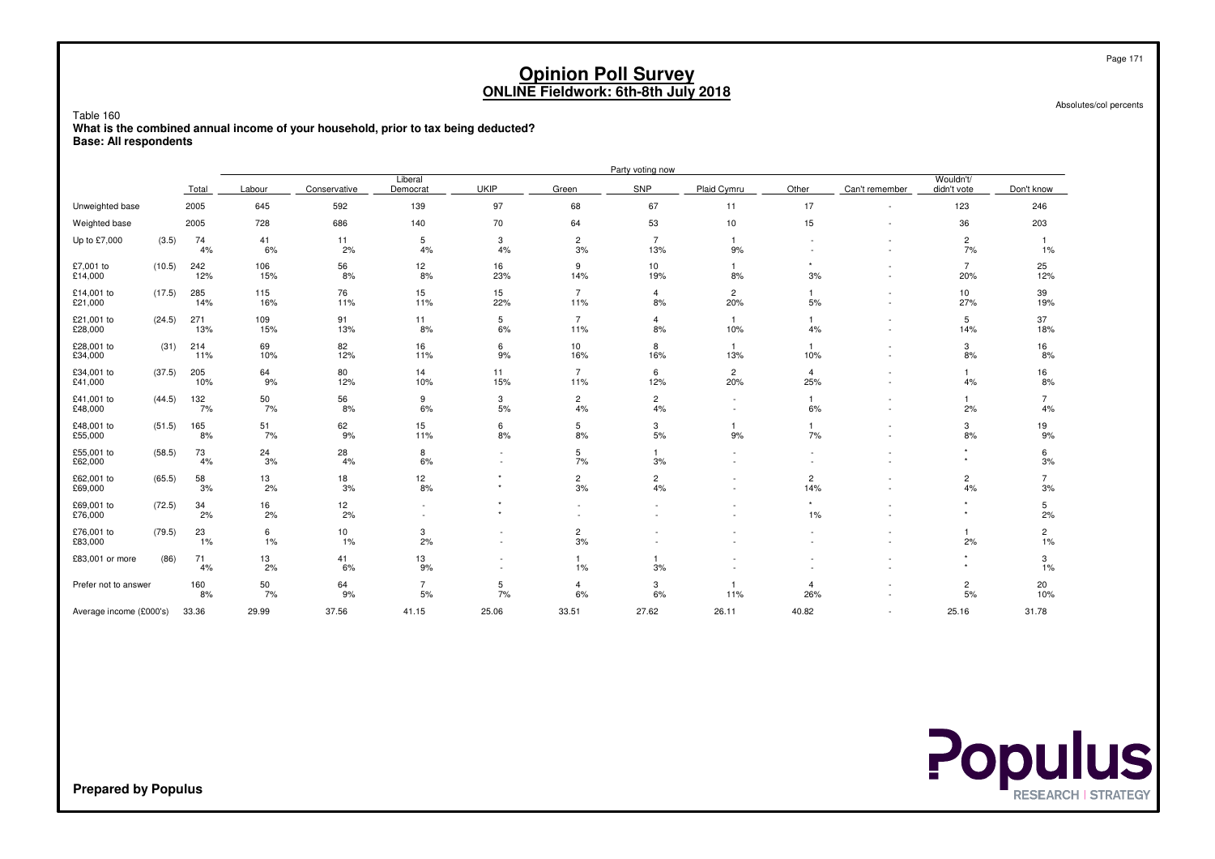Table 160

 **What is the combined annual income of your household, prior to tax being deducted?Base: All respondents**

|                         |        |            |            |              |                                                      |                                    |                               | Party voting now      |                       |                       |                               |                          |                      |
|-------------------------|--------|------------|------------|--------------|------------------------------------------------------|------------------------------------|-------------------------------|-----------------------|-----------------------|-----------------------|-------------------------------|--------------------------|----------------------|
|                         |        | Total      | Labour     | Conservative | Liberal<br>Democrat                                  | <b>UKIP</b>                        | Green                         | SNP                   | Plaid Cymru           | Other                 | Can't remember                | Wouldn't/<br>didn't vote | Don't know           |
| Unweighted base         |        | 2005       | 645        | 592          | 139                                                  | 97                                 | 68                            | 67                    | 11                    | 17                    | $\overline{\phantom{a}}$      | 123                      | 246                  |
| Weighted base           |        | 2005       | 728        | 686          | 140                                                  | 70                                 | 64                            | 53                    | 10                    | 15                    | ٠                             | 36                       | 203                  |
| Up to £7,000            | (3.5)  | 74<br>4%   | 41<br>6%   | 11<br>2%     | 5<br>4%                                              | 3<br>4%                            | $\overline{c}$<br>3%          | $\overline{7}$<br>13% | -1<br>9%              |                       | ٠<br>$\overline{\phantom{a}}$ | $\overline{c}$<br>7%     | $1\%$                |
| £7,001 to<br>£14,000    | (10.5) | 242<br>12% | 106<br>15% | 56<br>8%     | 12<br>8%                                             | 16<br>23%                          | 9<br>14%                      | 10<br>19%             | 1<br>8%               | $\star$<br>3%         | ٠                             | $\overline{7}$<br>20%    | 25<br>12%            |
| £14,001 to<br>£21,000   | (17.5) | 285<br>14% | 115<br>16% | 76<br>11%    | 15<br>11%                                            | 15<br>22%                          | $\overline{7}$<br>11%         | 4<br>8%               | $\overline{c}$<br>20% | 5%                    |                               | 10<br>27%                | 39<br>19%            |
| £21,001 to<br>£28,000   | (24.5) | 271<br>13% | 109<br>15% | 91<br>13%    | 11<br>8%                                             | 5<br>6%                            | $\overline{7}$<br>11%         | 4<br>$8%$             | -1<br>10%             | 4%                    | $\overline{\phantom{a}}$<br>٠ | 5<br>14%                 | 37<br>18%            |
| £28,001 to<br>£34,000   | (31)   | 214<br>11% | 69<br>10%  | 82<br>12%    | 16<br>11%                                            | 6<br>9%                            | 10<br>16%                     | 8<br>16%              | $\overline{1}$<br>13% | $\overline{1}$<br>10% |                               | 3<br>8%                  | 16<br>8%             |
| £34,001 to<br>£41,000   | (37.5) | 205<br>10% | 64<br>9%   | 80<br>12%    | 14<br>10%                                            | 11<br>15%                          | $\overline{7}$<br>11%         | 6<br>12%              | $\overline{c}$<br>20% | $\overline{4}$<br>25% | $\overline{\phantom{a}}$<br>٠ | $\mathbf{1}$<br>4%       | 16<br>8%             |
| £41,001 to<br>£48,000   | (44.5) | 132<br>7%  | 50<br>7%   | 56<br>8%     | 9<br>6%                                              | 3<br>5%                            | $\overline{2}$<br>4%          | $\overline{c}$<br>4%  |                       | 6%                    | ٠                             | $\mathbf{1}$<br>2%       | $\overline{7}$<br>4% |
| £48,001 to<br>£55,000   | (51.5) | 165<br>8%  | 51<br>7%   | 62<br>9%     | 15<br>11%                                            | 6<br>8%                            | 5<br>8%                       | 3<br>5%               | 9%                    | $\overline{1}$<br>7%  |                               | 3<br>8%                  | 19<br>9%             |
| £55,001 to<br>£62,000   | (58.5) | 73<br>4%   | 24<br>3%   | 28<br>4%     | 8<br>6%                                              | $\overline{\phantom{a}}$<br>$\sim$ | 5<br>7%                       | 3%                    |                       |                       | ٠<br>٠                        |                          | 6<br>3%              |
| £62,001 to<br>£69,000   | (65.5) | 58<br>3%   | 13<br>2%   | 18<br>3%     | 12<br>8%                                             |                                    | $\overline{2}$<br>3%          | $\overline{c}$<br>4%  |                       | $\overline{c}$<br>14% |                               | $\overline{c}$<br>4%     | 7<br>3%              |
| £69,001 to<br>£76,000   | (72.5) | 34<br>2%   | 16<br>2%   | 12<br>2%     | $\overline{\phantom{a}}$<br>$\overline{\phantom{a}}$ | $\star$                            | $\overline{\phantom{a}}$      |                       |                       | $^\star$<br>1%        |                               |                          | 5<br>2%              |
| £76,001 to<br>£83,000   | (79.5) | 23<br>1%   | 6<br>1%    | 10<br>1%     | 3<br>2%                                              |                                    | $\overline{\mathbf{c}}$<br>3% |                       |                       |                       |                               | $\mathbf{1}$<br>2%       | $\overline{c}$<br>1% |
| £83,001 or more         | (86)   | 71<br>4%   | 13<br>2%   | 41<br>6%     | 13<br>9%                                             |                                    | $\mathbf{1}$<br>$1\%$         | 3%                    |                       |                       |                               |                          | 3<br>$1\%$           |
| Prefer not to answer    |        | 160<br>8%  | 50<br>7%   | 64<br>9%     | $\overline{7}$<br>5%                                 | 5<br>7%                            | $\overline{4}$<br>6%          | 3<br>6%               | -1<br>11%             | 4<br>26%              |                               | $\overline{2}$<br>5%     | 20<br>10%            |
| Average income (£000's) |        | 33.36      | 29.99      | 37.56        | 41.15                                                | 25.06                              | 33.51                         | 27.62                 | 26.11                 | 40.82                 | $\overline{\phantom{a}}$      | 25.16                    | 31.78                |

Absolutes/col percents

Page 171

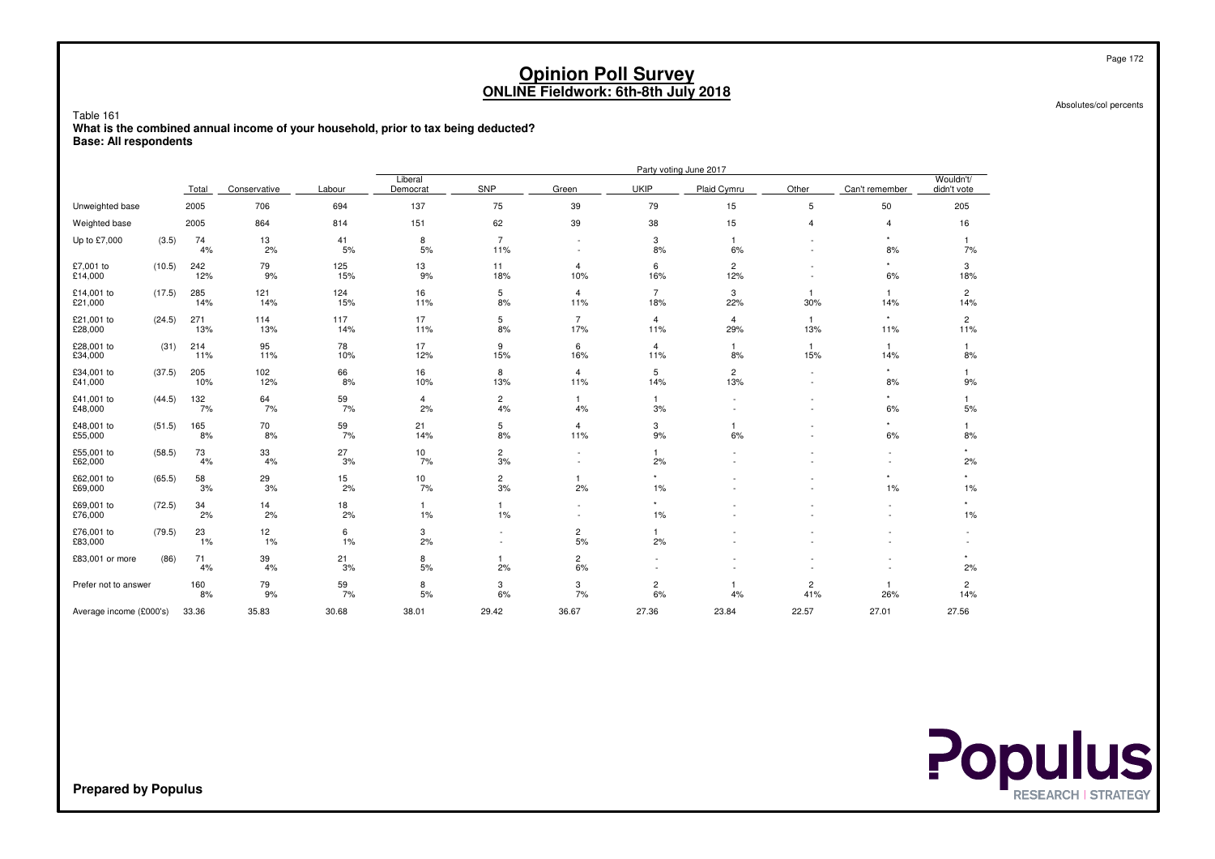Table 161

 **What is the combined annual income of your household, prior to tax being deducted?Base: All respondents**

|                         |        |            |              |            |                       |                          |                                                      |                       | Party voting June 2017 |                                    |                     |                          |
|-------------------------|--------|------------|--------------|------------|-----------------------|--------------------------|------------------------------------------------------|-----------------------|------------------------|------------------------------------|---------------------|--------------------------|
|                         |        | Total      | Conservative | Labour     | Liberal<br>Democrat   | SNP                      | Green                                                | <b>UKIP</b>           | Plaid Cymru            | Other                              | Can't remember      | Wouldn't/<br>didn't vote |
| Unweighted base         |        | 2005       | 706          | 694        | 137                   | 75                       | 39                                                   | 79                    | 15                     | 5                                  | 50                  | 205                      |
| Weighted base           |        | 2005       | 864          | 814        | 151                   | 62                       | 39                                                   | 38                    | 15                     | $\overline{4}$                     | $\overline{4}$      | 16                       |
| Up to £7,000            | (3.5)  | 74<br>4%   | 13<br>2%     | 41<br>5%   | 8<br>5%               | $\overline{7}$<br>11%    | $\sim$                                               | 3<br>8%               | $\overline{1}$<br>6%   |                                    | $\star$<br>8%       | 1<br>7%                  |
| £7,001 to<br>£14,000    | (10.5) | 242<br>12% | 79<br>9%     | 125<br>15% | 13<br>9%              | 11<br>18%                | $\overline{4}$<br>10%                                | 6<br>16%              | $\overline{c}$<br>12%  |                                    | $\star$<br>6%       | 3<br>18%                 |
| £14,001 to<br>£21,000   | (17.5) | 285<br>14% | 121<br>14%   | 124<br>15% | 16<br>11%             | 5<br>8%                  | $\overline{4}$<br>11%                                | $\overline{7}$<br>18% | 3<br>22%               | 1<br>30%                           | $\mathbf{1}$<br>14% | $\overline{2}$<br>14%    |
| £21,001 to<br>£28,000   | (24.5) | 271<br>13% | 114<br>13%   | 117<br>14% | 17<br>11%             | 5<br>8%                  | $\overline{7}$<br>17%                                | 4<br>11%              | 4<br>29%               | 1<br>13%                           | $\star$<br>11%      | $\overline{2}$<br>11%    |
| £28,001 to<br>£34,000   | (31)   | 214<br>11% | 95<br>11%    | 78<br>10%  | 17<br>12%             | 9<br>15%                 | 6<br>16%                                             | 4<br>11%              | 1<br>8%                | $\mathbf{1}$<br>15%                | $\mathbf{1}$<br>14% | 1<br>8%                  |
| £34,001 to<br>£41,000   | (37.5) | 205<br>10% | 102<br>12%   | 66<br>8%   | 16<br>10%             | 8<br>13%                 | 4<br>11%                                             | 5<br>14%              | $\overline{c}$<br>13%  | $\overline{\phantom{a}}$<br>$\sim$ | $\star$<br>8%       | 1<br>9%                  |
| £41,001 to<br>£48,000   | (44.5) | 132<br>7%  | 64<br>7%     | 59<br>7%   | 4<br>2%               | $\overline{c}$<br>4%     | $\mathbf{1}$<br>4%                                   | $\mathbf{1}$<br>3%    |                        |                                    | $\star$<br>6%       | 1<br>5%                  |
| £48,001 to<br>£55,000   | (51.5) | 165<br>8%  | 70<br>8%     | 59<br>7%   | 21<br>14%             | 5<br>8%                  | $\overline{4}$<br>11%                                | 3<br>9%               | 6%                     |                                    | $\star$<br>6%       | 1<br>8%                  |
| £55,001 to<br>£62,000   | (58.5) | 73<br>4%   | 33<br>4%     | 27<br>3%   | 10<br>7%              | $\overline{c}$<br>3%     | $\overline{\phantom{a}}$<br>$\overline{\phantom{a}}$ | 1<br>2%               |                        |                                    | $\sim$<br>٠         | 2%                       |
| £62,001 to<br>£69,000   | (65.5) | 58<br>3%   | 29<br>3%     | 15<br>2%   | 10<br>7%              | $\overline{c}$<br>3%     | $\mathbf{1}$<br>2%                                   | $^\star$<br>1%        |                        |                                    | 1%                  | 1%                       |
| £69,001 to<br>£76,000   | (72.5) | 34<br>2%   | 14<br>2%     | 18<br>2%   | $\mathbf{1}$<br>$1\%$ | 1<br>1%                  | $\sim$                                               | $^\star$<br>1%        |                        |                                    | ٠                   | $\star$<br>1%            |
| £76,001 to<br>£83,000   | (79.5) | 23<br>1%   | 12<br>1%     | 6<br>1%    | 3<br>2%               | $\overline{\phantom{a}}$ | $\overline{c}$<br>5%                                 | 1<br>2%               |                        |                                    |                     |                          |
| £83,001 or more         | (86)   | 71<br>4%   | 39<br>4%     | 21<br>3%   | 8<br>5%               | 1<br>2%                  | $\overline{c}$<br>6%                                 |                       |                        |                                    |                     | $\star$<br>2%            |
| Prefer not to answer    |        | 160<br>8%  | 79<br>9%     | 59<br>7%   | 8<br>5%               | 3<br>6%                  | 3<br>7%                                              | $\overline{c}$<br>6%  | -1<br>4%               | $\overline{c}$<br>41%              | $\mathbf{1}$<br>26% | $\overline{c}$<br>14%    |
| Average income (£000's) |        | 33.36      | 35.83        | 30.68      | 38.01                 | 29.42                    | 36.67                                                | 27.36                 | 23.84                  | 22.57                              | 27.01               | 27.56                    |



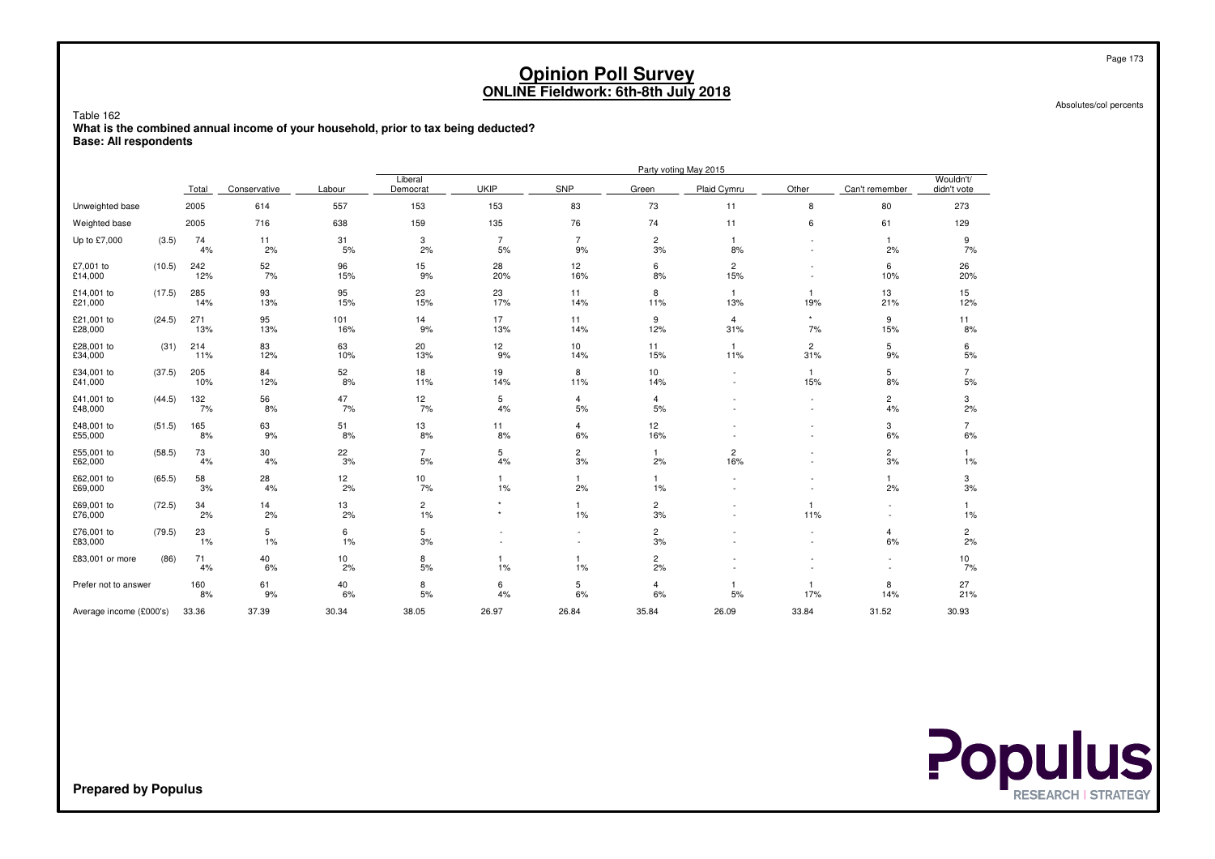Table 162

 **What is the combined annual income of your household, prior to tax being deducted?Base: All respondents**

|                         |        |            |              |            |                     |                      |                          |                      | Party voting May 2015 |                          |                      |                          |
|-------------------------|--------|------------|--------------|------------|---------------------|----------------------|--------------------------|----------------------|-----------------------|--------------------------|----------------------|--------------------------|
|                         |        | Total      | Conservative | Labour     | Liberal<br>Democrat | <b>UKIP</b>          | SNP                      | Green                | Plaid Cymru           | Other                    | Can't remember       | Wouldn't/<br>didn't vote |
| Unweighted base         |        | 2005       | 614          | 557        | 153                 | 153                  | 83                       | 73                   | 11                    | 8                        | 80                   | 273                      |
| Weighted base           |        | 2005       | 716          | 638        | 159                 | 135                  | 76                       | 74                   | 11                    | 6                        | 61                   | 129                      |
| Up to £7,000            | (3.5)  | 74<br>4%   | 11<br>2%     | 31<br>5%   | 3<br>2%             | $\overline{7}$<br>5% | $\overline{7}$<br>9%     | 2<br>3%              | $\overline{1}$<br>8%  | $\sim$                   | $\mathbf{1}$<br>2%   | 9<br>7%                  |
| £7,001 to<br>£14,000    | (10.5) | 242<br>12% | 52<br>7%     | 96<br>15%  | 15<br>9%            | 28<br>20%            | 12<br>16%                | 6<br>8%              | $\overline{c}$<br>15% |                          | 6<br>10%             | 26<br>20%                |
| £14,001 to<br>£21,000   | (17.5) | 285<br>14% | 93<br>13%    | 95<br>15%  | 23<br>15%           | 23<br>17%            | 11<br>14%                | 8<br>11%             | $\overline{1}$<br>13% | 1<br>19%                 | 13<br>21%            | 15<br>12%                |
| £21,001 to<br>£28,000   | (24.5) | 271<br>13% | 95<br>13%    | 101<br>16% | 14<br>9%            | 17<br>13%            | 11<br>14%                | 9<br>12%             | 4<br>31%              | $\star$<br>7%            | 9<br>15%             | 11<br>8%                 |
| £28,001 to<br>£34,000   | (31)   | 214<br>11% | 83<br>12%    | 63<br>10%  | 20<br>13%           | 12<br>9%             | 10<br>14%                | 11<br>15%            | -1<br>11%             | $\overline{2}$<br>31%    | 5<br>9%              | 6<br>5%                  |
| £34,001 to<br>£41,000   | (37.5) | 205<br>10% | 84<br>12%    | 52<br>8%   | 18<br>11%           | 19<br>14%            | 8<br>11%                 | 10<br>14%            |                       | 1<br>15%                 | 5<br>8%              | $\overline{7}$<br>5%     |
| £41,001 to<br>£48,000   | (44.5) | 132<br>7%  | 56<br>8%     | 47<br>7%   | 12<br>7%            | 5<br>4%              | $\overline{4}$<br>5%     | 4<br>5%              |                       | $\overline{\phantom{a}}$ | $\overline{c}$<br>4% | 3<br>2%                  |
| £48,001 to<br>£55,000   | (51.5) | 165<br>8%  | 63<br>9%     | 51<br>8%   | 13<br>8%            | 11<br>8%             | $\overline{4}$<br>6%     | 12<br>16%            |                       |                          | 3<br>6%              | $\overline{7}$<br>6%     |
| £55,001 to<br>£62,000   | (58.5) | 73<br>4%   | 30<br>4%     | 22<br>3%   | 7<br>5%             | 5<br>4%              | $\overline{c}$<br>3%     | $\mathbf{1}$<br>2%   | $\overline{c}$<br>16% |                          | $\overline{c}$<br>3% | 1<br>1%                  |
| £62,001 to<br>£69,000   | (65.5) | 58<br>3%   | 28<br>4%     | 12<br>2%   | 10<br>7%            | 1<br>$1\%$           | $\mathbf{1}$<br>2%       | -1<br>1%             |                       |                          | $\mathbf{1}$<br>2%   | 3<br>3%                  |
| £69,001 to<br>£76,000   | (72.5) | 34<br>2%   | 14<br>2%     | 13<br>2%   | 2<br>$1\%$          | $\star$<br>$\star$   | $\mathbf{1}$<br>$1\%$    | 2<br>3%              |                       | 1<br>11%                 | ٠<br>٠               | 1<br>1%                  |
| £76,001 to<br>£83,000   | (79.5) | 23<br>1%   | 5<br>1%      | 6<br>1%    | 5<br>3%             |                      | $\overline{\phantom{a}}$ | 2<br>3%              |                       | $\overline{\phantom{a}}$ | 4<br>6%              | $\overline{c}$<br>2%     |
| £83,001 or more         | (86)   | 71<br>4%   | 40<br>6%     | 10<br>2%   | 8<br>5%             | 1%                   | $\mathbf{1}$<br>1%       | $\overline{c}$<br>2% |                       |                          |                      | 10<br>7%                 |
| Prefer not to answer    |        | 160<br>8%  | 61<br>9%     | 40<br>6%   | 8<br>5%             | 6<br>4%              | 5<br>6%                  | 4<br>6%              | -1<br>5%              | 17%                      | 8<br>14%             | 27<br>21%                |
| Average income (£000's) |        | 33.36      | 37.39        | 30.34      | 38.05               | 26.97                | 26.84                    | 35.84                | 26.09                 | 33.84                    | 31.52                | 30.93                    |



Page 173

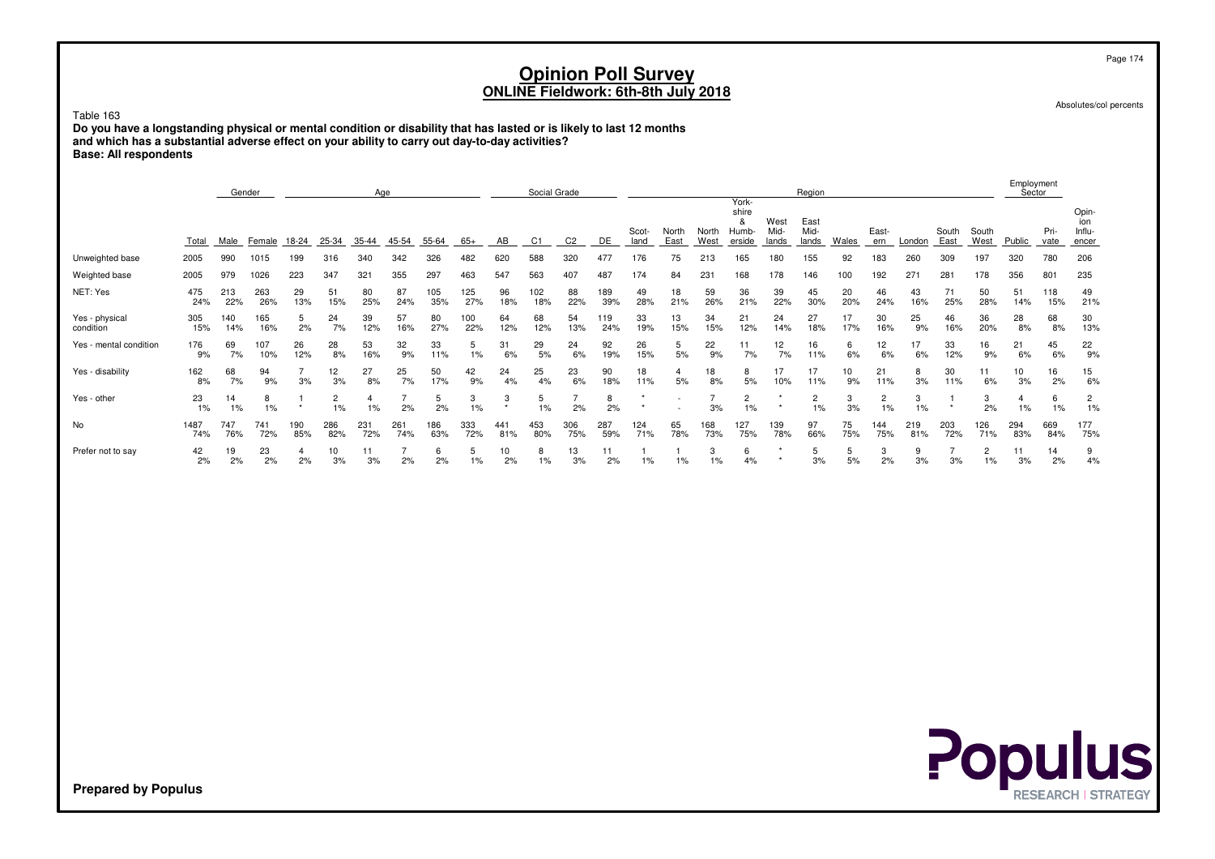Table 163 **Do you have a longstanding physical or mental condition or disability that has lasted or is likely to last 12 monthsand which has a substantial adverse effect on your ability to carry out day-to-day activities?Base: All respondents**

|                             |             |            | Gender     |                      |                      | Age         |                      |            |            |              | Social Grade |                |            |                    |                                                      |            |                                              |                       | Region                |           |              |            |                      |                         | Employment<br>Sector |              |                                 |
|-----------------------------|-------------|------------|------------|----------------------|----------------------|-------------|----------------------|------------|------------|--------------|--------------|----------------|------------|--------------------|------------------------------------------------------|------------|----------------------------------------------|-----------------------|-----------------------|-----------|--------------|------------|----------------------|-------------------------|----------------------|--------------|---------------------------------|
|                             | Total       | Male       | Female     | 18-24                | 25-34                | 35-44 45-54 |                      | 55-64      | $65+$      | AB           | C1           | C <sub>2</sub> | DE         | Scot-<br>land      | North<br>East                                        | West       | York-<br>shire<br>&<br>North Humb-<br>erside | West<br>Mid-<br>lands | East<br>Mid-<br>lands | Wales     | East-<br>ern | London     | South<br>East        | South<br>West           | Public               | Pri-<br>vate | Opin-<br>ion<br>Influ-<br>encer |
| Unweighted base             | 2005        | 990        | 1015       | 199                  | 316                  | 340         | 342                  | 326        | 482        | 620          | 588          | 320            | 477        | 176                | 75                                                   | 213        | 165                                          | 180                   | 155                   | 92        | 183          | 260        | 309                  | 197                     | 320                  | 780          | 206                             |
| Weighted base               | 2005        | 979        | 1026       | 223                  | 347                  | 321         | 355                  | 297        | 463        | 547          | 563          | 407            | 487        | 174                | 84                                                   | 231        | 168                                          | 178                   | 146                   | 100       | 192          | 271        | 281                  | 178                     | 356                  | 801          | 235                             |
| NET: Yes                    | 475<br>24%  | 213<br>22% | 263<br>26% | 29<br>13%            | 51<br>15%            | 80<br>25%   | 87<br>24%            | 105<br>35% | 125<br>27% | 96<br>18%    | 102<br>18%   | 88<br>22%      | 189<br>39% | 49<br>28%          | 18<br>21%                                            | 59<br>26%  | 36<br>21%                                    | 39<br>22%             | 45<br>30%             | 20<br>20% | 46<br>24%    | 43<br>16%  | 71<br>25%            | 50<br>28%               | 51<br>14%            | 118<br>15%   | 49<br>21%                       |
| Yes - physical<br>condition | 305<br>15%  | 140<br>14% | 165<br>16% | 5<br>2%              | 24<br>7%             | 39<br>12%   | 57<br>16%            | 80<br>27%  | 100<br>22% | 64<br>12%    | 68<br>12%    | 54<br>13%      | 119<br>24% | 33<br>19%          | 13<br>15%                                            | 34<br>15%  | 21<br>12%                                    | 24<br>14%             | 27<br>18%             | 17<br>17% | 30<br>16%    | 25<br>9%   | 46<br>16%            | 36<br>20%               | 28<br>8%             | 68<br>8%     | 30<br>13%                       |
| Yes - mental condition      | 176<br>9%   | 69<br>7%   | 107<br>10% | 26<br>12%            | 28<br>8%             | 53<br>16%   | 32<br>9%             | 33<br>11%  | 5<br>1%    | 31<br>6%     | 29<br>5%     | 24<br>6%       | 92<br>19%  | 26<br>15%          | 5<br>5%                                              | 22<br>9%   | 11<br>7%                                     | 12<br>7%              | 16<br>11%             | 6<br>6%   | 12<br>6%     | 17<br>6%   | 33<br>12%            | 16<br>9%                | 21<br>6%             | 45<br>6%     | 22<br>9%                        |
| Yes - disability            | 162<br>8%   | 68<br>7%   | 94<br>9%   | $\overline{7}$<br>3% | 12<br>3%             | 27<br>8%    | 25<br>7%             | 50<br>17%  | 42<br>9%   | 24<br>4%     | 25<br>4%     | 23<br>6%       | 90<br>18%  | 18<br>11%          | $\overline{4}$<br>5%                                 | 18<br>8%   | 8<br>5%                                      | 17<br>10%             | 17<br>11%             | 10<br>9%  | 21<br>11%    | 8<br>3%    | 30<br>11%            | 11<br>6%                | 10<br>3%             | 16<br>2%     | 15<br>$6\%$                     |
| Yes - other                 | 23<br>$1\%$ | 14<br>1%   | 8<br>1%    | -1<br>$\star$        | $\overline{2}$<br>1% | 4<br>1%     | 7<br>2%              | 5<br>2%    | 3<br>1%    | 3<br>$\star$ | 5<br>1%      | 7<br>2%        | 8<br>2%    | $\star$            | $\overline{\phantom{a}}$<br>$\overline{\phantom{a}}$ | 7<br>3%    | $\overline{c}$<br>$\frac{1}{1}$ %            | $\star$               | $\overline{c}$<br>1%  | 3<br>3%   | 2<br>1%      | 3<br>1%    | -1<br>$\star$        | 3<br>2%                 | $\overline{4}$<br>1% | 6<br>1%      | $\overline{c}$<br>1%            |
| No                          | 1487<br>74% | 747<br>76% | 741<br>72% | 190<br>85%           | 286<br>82%           | 231<br>72%  | 261<br>74%           | 186<br>63% | 333<br>72% | 441<br>81%   | 453<br>80%   | 306<br>75%     | 287<br>59% | 124<br>71%         | 65<br>78%                                            | 168<br>73% | 127<br>75%                                   | 139<br>78%            | 97<br>66%             | 75<br>75% | 144<br>75%   | 219<br>81% | 203<br>72%           | 126<br>71%              | 294<br>83%           | 669<br>84%   | 177<br>75%                      |
| Prefer not to say           | 42<br>2%    | 19<br>2%   | 23<br>2%   | $\overline{4}$<br>2% | 10<br>3%             | 11<br>3%    | $\overline{7}$<br>2% | 6<br>2%    | 5<br>$1\%$ | 10<br>2%     | 8<br>1%      | 13<br>3%       | 11<br>2%   | $\mathbf{1}$<br>1% | $\mathbf{1}$<br>$1\%$                                | 3<br>1%    | 6<br>4%                                      | $\star$<br>$\star$    | 5<br>3%               | 5<br>5%   | 3<br>2%      | 9<br>3%    | $\overline{7}$<br>3% | $\overline{2}$<br>$1\%$ | 11<br>3%             | 14<br>2%     | 9<br>4%                         |
|                             |             |            |            |                      |                      |             |                      |            |            |              |              |                |            |                    |                                                      |            |                                              |                       |                       |           |              |            |                      |                         |                      |              |                                 |
|                             |             |            |            |                      |                      |             |                      |            |            |              |              |                |            |                    |                                                      |            |                                              |                       |                       |           |              |            |                      |                         |                      |              |                                 |
|                             |             |            |            |                      |                      |             |                      |            |            |              |              |                |            |                    |                                                      |            |                                              |                       |                       |           |              |            |                      |                         |                      |              |                                 |
|                             |             |            |            |                      |                      |             |                      |            |            |              |              |                |            |                    |                                                      |            |                                              |                       |                       |           |              |            |                      |                         |                      |              |                                 |
|                             |             |            |            |                      |                      |             |                      |            |            |              |              |                |            |                    |                                                      |            |                                              |                       |                       |           |              |            |                      |                         |                      |              |                                 |
|                             |             |            |            |                      |                      |             |                      |            |            |              |              |                |            |                    |                                                      |            |                                              |                       |                       |           |              |            |                      |                         |                      |              |                                 |
|                             |             |            |            |                      |                      |             |                      |            |            |              |              |                |            |                    |                                                      |            |                                              |                       |                       |           |              |            |                      |                         |                      |              |                                 |
|                             |             |            |            |                      |                      |             |                      |            |            |              |              |                |            |                    |                                                      |            |                                              |                       |                       |           |              |            |                      |                         |                      |              |                                 |
|                             |             |            |            |                      |                      |             |                      |            |            |              |              |                |            |                    |                                                      |            |                                              |                       |                       |           |              |            |                      |                         |                      |              |                                 |
|                             |             |            |            |                      |                      |             |                      |            |            |              |              |                |            |                    |                                                      |            |                                              |                       |                       |           |              |            |                      |                         |                      |              |                                 |

Absolutes/col percents

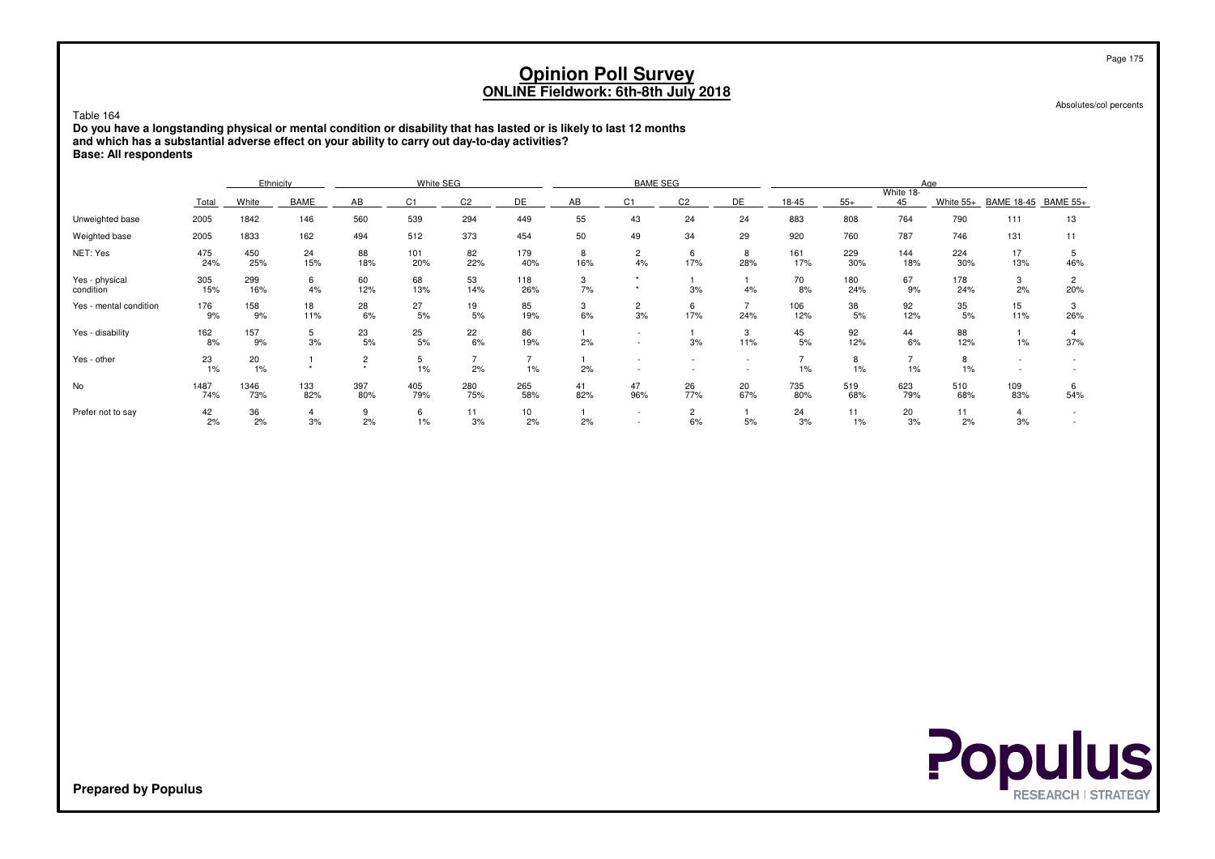| Table 164<br>Do you have a longstanding physical or mental condition or disability that has lasted or is likely to last 12 months<br>and which has a substantial adverse effect on your ability to carry out day-to-day activities?<br><b>Base: All respondents</b> |                                                                                                                                                                                                                                                                                                                    |             |            |                           |            |                      |            | <b>Opinion Poll Survey</b><br>ONLINE Fieldwork: 6th-8th July 2018 |                    |                      |                       |                      |            |            |            |                                                      |                       | Page 175<br>Absolutes/col percents |
|---------------------------------------------------------------------------------------------------------------------------------------------------------------------------------------------------------------------------------------------------------------------|--------------------------------------------------------------------------------------------------------------------------------------------------------------------------------------------------------------------------------------------------------------------------------------------------------------------|-------------|------------|---------------------------|------------|----------------------|------------|-------------------------------------------------------------------|--------------------|----------------------|-----------------------|----------------------|------------|------------|------------|------------------------------------------------------|-----------------------|------------------------------------|
|                                                                                                                                                                                                                                                                     | White SEG<br><b>BAME SEG</b><br>Ethnicity<br>Aae<br>White 18-                                                                                                                                                                                                                                                      |             |            |                           |            |                      |            |                                                                   |                    |                      |                       |                      |            |            |            |                                                      |                       |                                    |
|                                                                                                                                                                                                                                                                     | DE<br>AB<br>White<br><b>BAME</b><br>AB<br>C <sub>1</sub><br>C <sub>2</sub><br>C1<br>C <sub>2</sub><br>DE<br>18-45<br>$55+$<br>White 55+<br>45<br><b>BAME 18-45</b><br><b>BAME 55+</b><br>Total<br>560<br>539<br>294<br>24<br>883<br>808<br>764<br>790<br>2005<br>1842<br>146<br>449<br>55<br>43<br>24<br>13<br>111 |             |            |                           |            |                      |            |                                                                   |                    |                      |                       |                      |            |            |            |                                                      |                       |                                    |
| Unweighted base                                                                                                                                                                                                                                                     |                                                                                                                                                                                                                                                                                                                    |             |            |                           |            |                      |            |                                                                   |                    |                      |                       |                      |            |            |            |                                                      |                       |                                    |
| Weighted base                                                                                                                                                                                                                                                       | 2005                                                                                                                                                                                                                                                                                                               | 1833        | 162        | 494                       | 512        | 373                  | 454        | 50                                                                | 49                 | 34                   | 29                    | 920                  | 760        | 787        | 746        | 131                                                  | 11                    |                                    |
| NET: Yes                                                                                                                                                                                                                                                            | 475<br>24%                                                                                                                                                                                                                                                                                                         | 450<br>25%  | 24<br>15%  | 88<br>18%                 | 101<br>20% | 82<br>22%            | 179<br>40% | 8<br>16%                                                          | $\mathbf{2}$<br>4% | 6<br>17%             | 8<br>28%              | 161<br>17%           | 229<br>30% | 144<br>18% | 224<br>30% | 17<br>13%                                            | 5<br>46%              |                                    |
| Yes - physical<br>condition                                                                                                                                                                                                                                         | 305<br>15%                                                                                                                                                                                                                                                                                                         | 299<br>16%  | 6<br>4%    | 60<br>12%                 | 68<br>13%  | 53<br>14%            | 118<br>26% | 3<br>7%                                                           | $\star$<br>$\star$ | 3%                   | 4%                    | 70<br>8%             | 180<br>24% | 67<br>9%   | 178<br>24% | 3<br>2%                                              | $\overline{2}$<br>20% |                                    |
| Yes - mental condition                                                                                                                                                                                                                                              | 176<br>9%                                                                                                                                                                                                                                                                                                          | 158<br>9%   | 18<br>11%  | 28<br>6%                  | 27<br>5%   | 19<br>5%             | 85<br>19%  | 3<br>6%                                                           | 2<br>3%            | 6<br>17%             | $\overline{7}$<br>24% | 106<br>12%           | 38<br>5%   | 92<br>12%  | 35<br>5%   | 15<br>11%                                            | 3<br>26%              |                                    |
| Yes - disability                                                                                                                                                                                                                                                    | 162<br>8%                                                                                                                                                                                                                                                                                                          | 157<br>9%   | 5<br>3%    | 23<br>5%                  | 25<br>5%   | 22<br>6%             | 86<br>19%  | $\mathbf{1}$<br>2%                                                |                    | 3%                   | 3<br>11%              | 45<br>5%             | 92<br>12%  | 44<br>6%   | 88<br>12%  | 1%                                                   | $\overline{4}$<br>37% |                                    |
| Yes - other                                                                                                                                                                                                                                                         | 23<br>1%                                                                                                                                                                                                                                                                                                           | 20<br>1%    | $\star$    | $\overline{c}$<br>$\star$ | 5<br>1%    | $\overline{7}$<br>2% | 1%         | 2%                                                                |                    |                      | $\sim$<br>$\sim$      | $\overline{7}$<br>1% | 8<br>1%    | 1%         | 8<br>1%    | $\overline{\phantom{a}}$<br>$\overline{\phantom{a}}$ |                       |                                    |
| No                                                                                                                                                                                                                                                                  | 1487<br>74%                                                                                                                                                                                                                                                                                                        | 1346<br>73% | 133<br>82% | 397<br>80%                | 405<br>79% | 280<br>75%           | 265<br>58% | 41<br>82%                                                         | 47<br>96%          | 26<br>77%            | 20<br>67%             | 735<br>80%           | 519<br>68% | 623<br>79% | 510<br>68% | 109<br>83%                                           | 6<br>54%              |                                    |
| Prefer not to say                                                                                                                                                                                                                                                   | 42<br>2%                                                                                                                                                                                                                                                                                                           | 36<br>2%    | 4<br>3%    | 9<br>2%                   | 6<br>1%    | 11<br>3%             | 10<br>2%   | 2%                                                                |                    | $\overline{2}$<br>6% | 5%                    | 24<br>3%             | 11<br>1%   | 20<br>3%   | 11<br>2%   | $\overline{4}$<br>3%                                 | $\sim$                |                                    |

**Populus**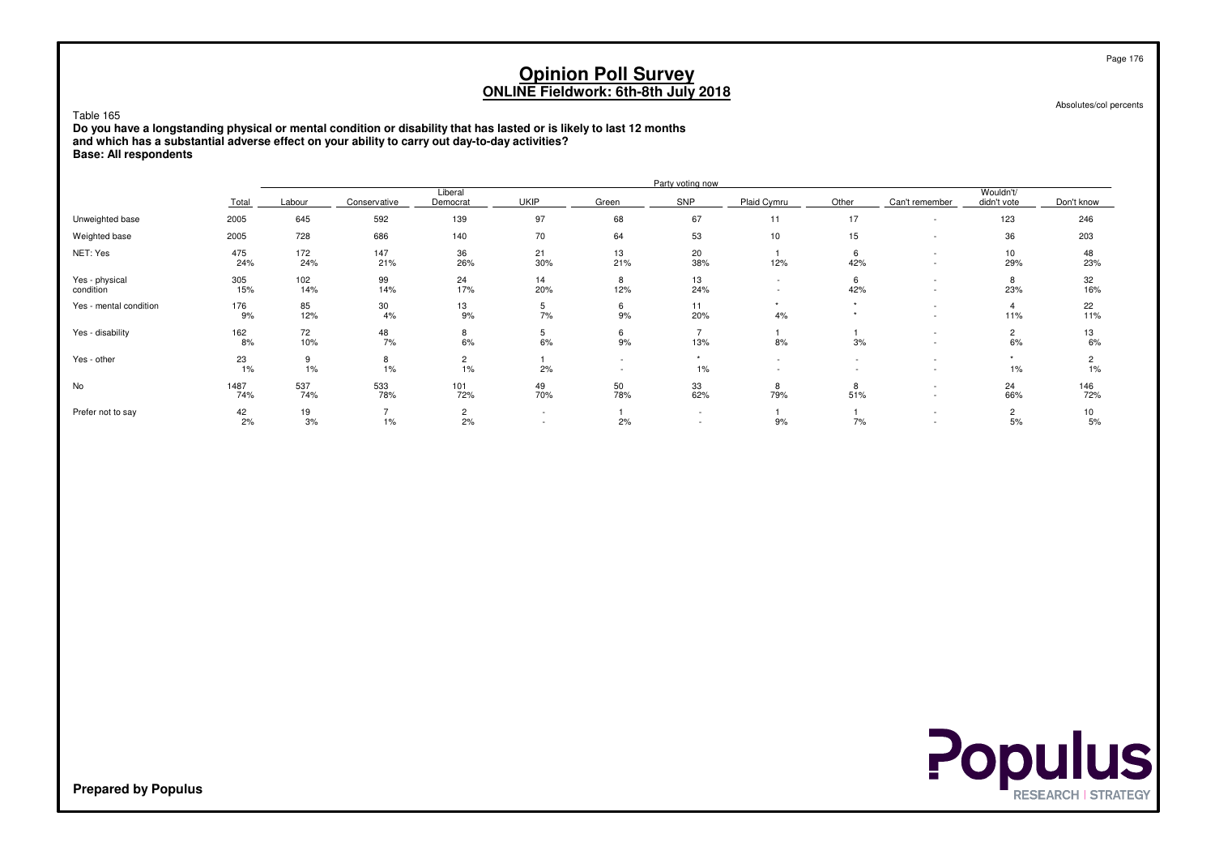#### Table 165

 **Do you have a longstanding physical or mental condition or disability that has lasted or is likely to last 12 monthsand which has a substantial adverse effect on your ability to carry out day-to-day activities?Base: All respondents**

|                             |             |            |              |                      |                          |           | Party voting now         |                                                      |          |                          |                          |            |
|-----------------------------|-------------|------------|--------------|----------------------|--------------------------|-----------|--------------------------|------------------------------------------------------|----------|--------------------------|--------------------------|------------|
|                             | Total       | Labour     | Conservative | Liberal<br>Democrat  | <b>UKIP</b>              | Green     | SNP                      | Plaid Cymru                                          | Other    | Can't remember           | Wouldn't/<br>didn't vote | Don't know |
| Unweighted base             | 2005        | 645        | 592          | 139                  | 97                       | 68        | 67                       | 11                                                   | 17       | $\overline{\phantom{a}}$ | 123                      | 246        |
| Weighted base               | 2005        | 728        | 686          | 140                  | 70                       | 64        | 53                       | 10                                                   | 15       | $\overline{\phantom{0}}$ | 36                       | 203        |
| NET: Yes                    | 475<br>24%  | 172<br>24% | 147<br>21%   | 36<br>26%            | 21<br>30%                | 13<br>21% | 20<br>38%                | 12%                                                  | 6<br>42% | $\overline{\phantom{a}}$ | 10<br>29%                | 48<br>23%  |
| Yes - physical<br>condition | 305<br>15%  | 102<br>14% | 99<br>14%    | 24<br>17%            | 14<br>20%                | 8<br>12%  | 13<br>24%                | $\overline{\phantom{a}}$<br>$\overline{\phantom{a}}$ | 6<br>42% | $\overline{\phantom{0}}$ | 8<br>23%                 | 32<br>16%  |
| Yes - mental condition      | 176<br>9%   | 85<br>12%  | 30<br>4%     | 13<br>9%             | b.<br>7%                 | 6<br>9%   | 11<br>20%                | 4%                                                   |          | $\overline{\phantom{a}}$ | 4<br>11%                 | 22<br>11%  |
| Yes - disability            | 162<br>8%   | 72<br>10%  | 48<br>7%     | 8<br>6%              | b.<br>6%                 | 6<br>9%   | 13%                      | 8%                                                   | 3%       |                          | $\overline{c}$<br>6%     | 13<br>6%   |
| Yes - other                 | 23<br>1%    | 9<br>1%    | 8<br>1%      | $\overline{2}$<br>1% | 2%                       | $\sim$    | $\rightarrow$<br>$1\%$   | $\sim$                                               |          | $\overline{\phantom{a}}$ | 1%                       | 2<br>$1\%$ |
| No                          | 1487<br>74% | 537<br>74% | 533<br>78%   | 101<br>72%           | 49<br>70%                | 50<br>78% | 33<br>62%                | 8<br>79%                                             | 8<br>51% | $\overline{\phantom{a}}$ | 24<br>66%                | 146<br>72% |
| Prefer not to say           | 42<br>2%    | 19<br>3%   | 1%           | $\overline{2}$<br>2% | $\overline{\phantom{0}}$ | 2%        | $\overline{\phantom{a}}$ | 9%                                                   | 7%       |                          | 2<br>5%                  | 10<br>5%   |



Page 176

Absolutes/col percents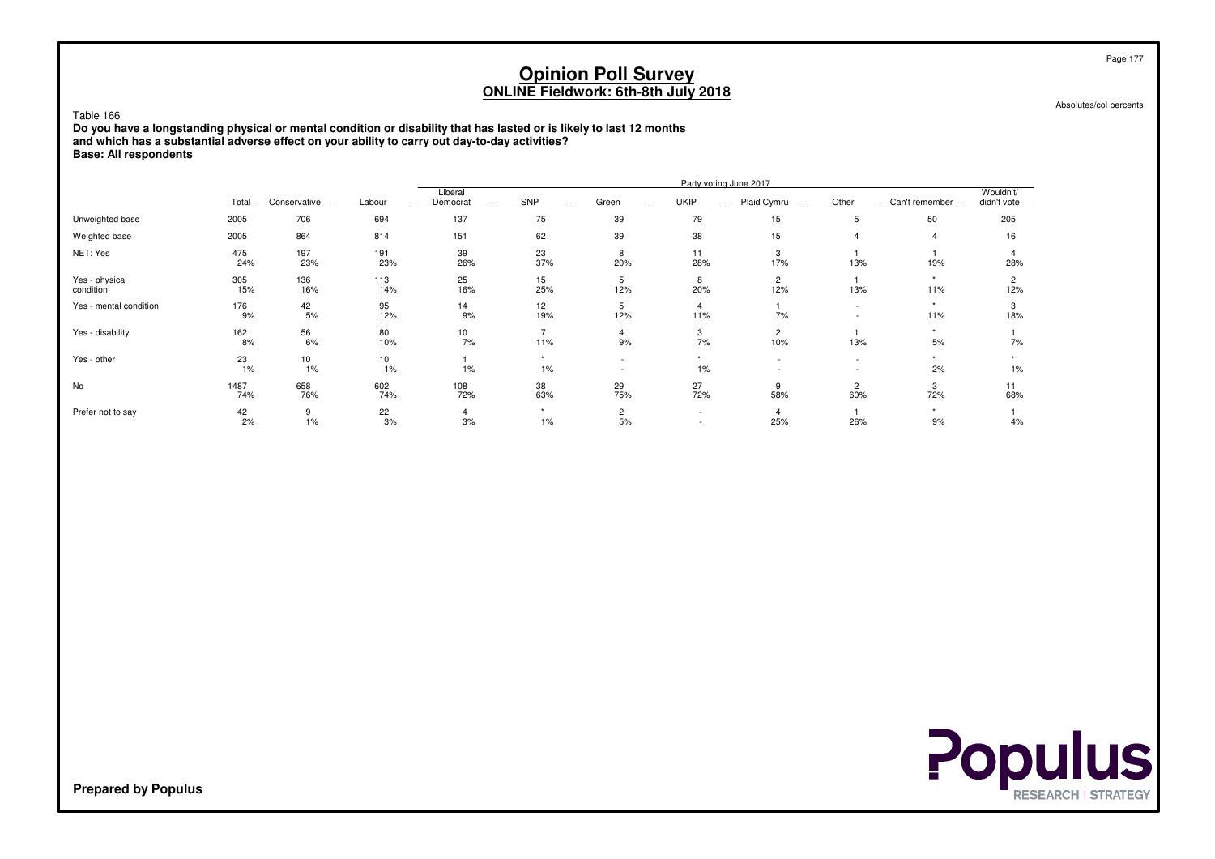Table 166

 **Do you have a longstanding physical or mental condition or disability that has lasted or is likely to last 12 monthsand which has a substantial adverse effect on your ability to carry out day-to-day activities?Base: All respondents**

|                             |             |              |             |                       |                       |                                    |                                    | Party voting June 2017                               |                                                      |                |                          |
|-----------------------------|-------------|--------------|-------------|-----------------------|-----------------------|------------------------------------|------------------------------------|------------------------------------------------------|------------------------------------------------------|----------------|--------------------------|
|                             | Total       | Conservative | Labour      | Liberal<br>Democrat   | SNP                   | Green                              | <b>UKIP</b>                        | Plaid Cymru                                          | Other                                                | Can't remember | Wouldn't/<br>didn't vote |
| Unweighted base             | 2005        | 706          | 694         | 137                   | 75                    | 39                                 | 79                                 | 15                                                   | 5                                                    | 50             | 205                      |
| Weighted base               | 2005        | 864          | 814         | 151                   | 62                    | 39                                 | 38                                 | 15                                                   | $\overline{4}$                                       | $\overline{4}$ | 16                       |
| NET: Yes                    | 475<br>24%  | 197<br>23%   | 191<br>23%  | 39<br>26%             | 23<br>37%             | 8<br>20%                           | 11<br>28%                          | 3<br>17%                                             | 13%                                                  | 19%            | 4<br>28%                 |
| Yes - physical<br>condition | 305<br>15%  | 136<br>16%   | 113<br>14%  | 25<br>16%             | 15<br>25%             | 5<br>12%                           | 8<br>20%                           | $\overline{c}$<br>12%                                | 13%                                                  | ٠<br>11%       | $\overline{2}$<br>12%    |
| Yes - mental condition      | 176<br>9%   | 42<br>5%     | 95<br>12%   | 14<br>9%              | 12<br>19%             | 5<br>12%                           | $\overline{4}$<br>11%              | 7%                                                   | $\overline{\phantom{a}}$<br>$\overline{\phantom{a}}$ | ٠<br>11%       | 3<br>18%                 |
| Yes - disability            | 162<br>8%   | 56<br>6%     | 80<br>10%   | 10 <sub>1</sub><br>7% | $\overline{ }$<br>11% | 4<br>9%                            | 3<br>7%                            | $\overline{c}$<br>10%                                | 13%                                                  | $\star$<br>5%  | 7%                       |
| Yes - other                 | 23<br>1%    | 10<br>1%     | 10<br>$1\%$ | $1\%$                 | $\ddot{}$<br>1%       | $\sim$<br>$\overline{\phantom{a}}$ | ٠<br>1%                            | $\overline{\phantom{a}}$<br>$\overline{\phantom{a}}$ | $\sim$<br>$\overline{\phantom{a}}$                   | ٠<br>2%        | 1%                       |
| No                          | 1487<br>74% | 658<br>76%   | 602<br>74%  | 108<br>72%            | 38<br>63%             | 29<br>75%                          | 27<br>72%                          | 9<br>58%                                             | $\overline{2}$<br>60%                                | 3<br>72%       | 11<br>68%                |
| Prefer not to say           | 42<br>2%    | 9<br>1%      | 22<br>3%    | 4<br>3%               | $\star$<br>1%         | $\overline{2}$<br>5%               | $\overline{\phantom{a}}$<br>$\sim$ | 4<br>25%                                             | 26%                                                  | $\star$<br>9%  | 4%                       |

Absolutes/col percents



**Prepared by Populus**